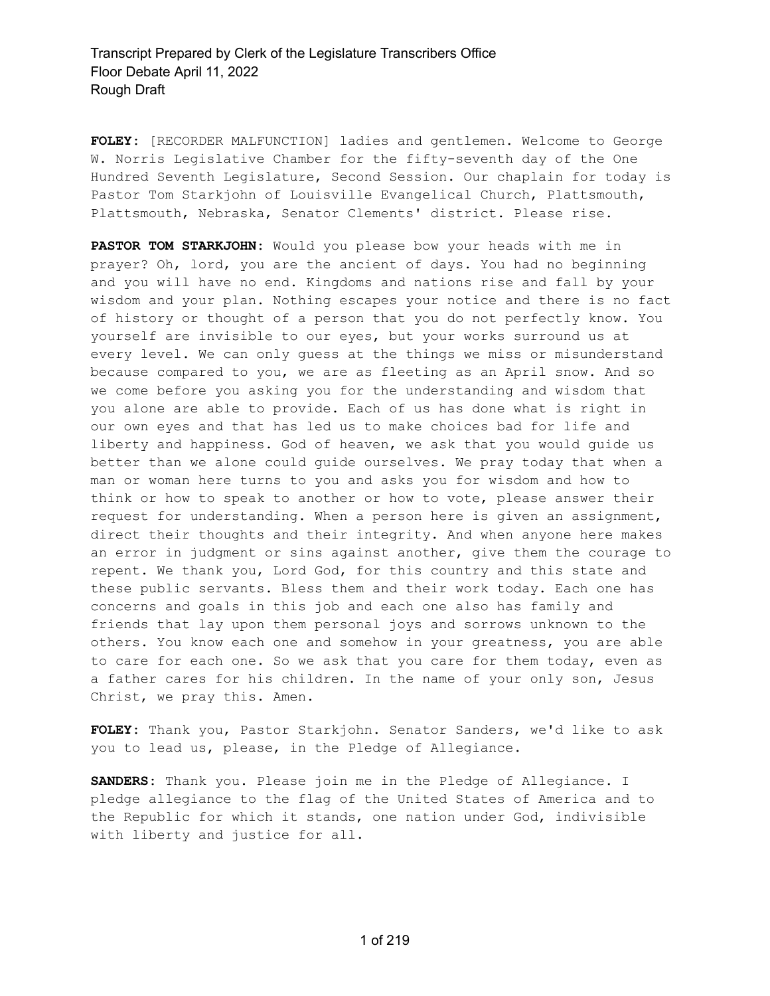**FOLEY:** [RECORDER MALFUNCTION] ladies and gentlemen. Welcome to George W. Norris Legislative Chamber for the fifty-seventh day of the One Hundred Seventh Legislature, Second Session. Our chaplain for today is Pastor Tom Starkjohn of Louisville Evangelical Church, Plattsmouth, Plattsmouth, Nebraska, Senator Clements' district. Please rise.

**PASTOR TOM STARKJOHN:** Would you please bow your heads with me in prayer? Oh, lord, you are the ancient of days. You had no beginning and you will have no end. Kingdoms and nations rise and fall by your wisdom and your plan. Nothing escapes your notice and there is no fact of history or thought of a person that you do not perfectly know. You yourself are invisible to our eyes, but your works surround us at every level. We can only guess at the things we miss or misunderstand because compared to you, we are as fleeting as an April snow. And so we come before you asking you for the understanding and wisdom that you alone are able to provide. Each of us has done what is right in our own eyes and that has led us to make choices bad for life and liberty and happiness. God of heaven, we ask that you would guide us better than we alone could guide ourselves. We pray today that when a man or woman here turns to you and asks you for wisdom and how to think or how to speak to another or how to vote, please answer their request for understanding. When a person here is given an assignment, direct their thoughts and their integrity. And when anyone here makes an error in judgment or sins against another, give them the courage to repent. We thank you, Lord God, for this country and this state and these public servants. Bless them and their work today. Each one has concerns and goals in this job and each one also has family and friends that lay upon them personal joys and sorrows unknown to the others. You know each one and somehow in your greatness, you are able to care for each one. So we ask that you care for them today, even as a father cares for his children. In the name of your only son, Jesus Christ, we pray this. Amen.

**FOLEY:** Thank you, Pastor Starkjohn. Senator Sanders, we'd like to ask you to lead us, please, in the Pledge of Allegiance.

**SANDERS:** Thank you. Please join me in the Pledge of Allegiance. I pledge allegiance to the flag of the United States of America and to the Republic for which it stands, one nation under God, indivisible with liberty and justice for all.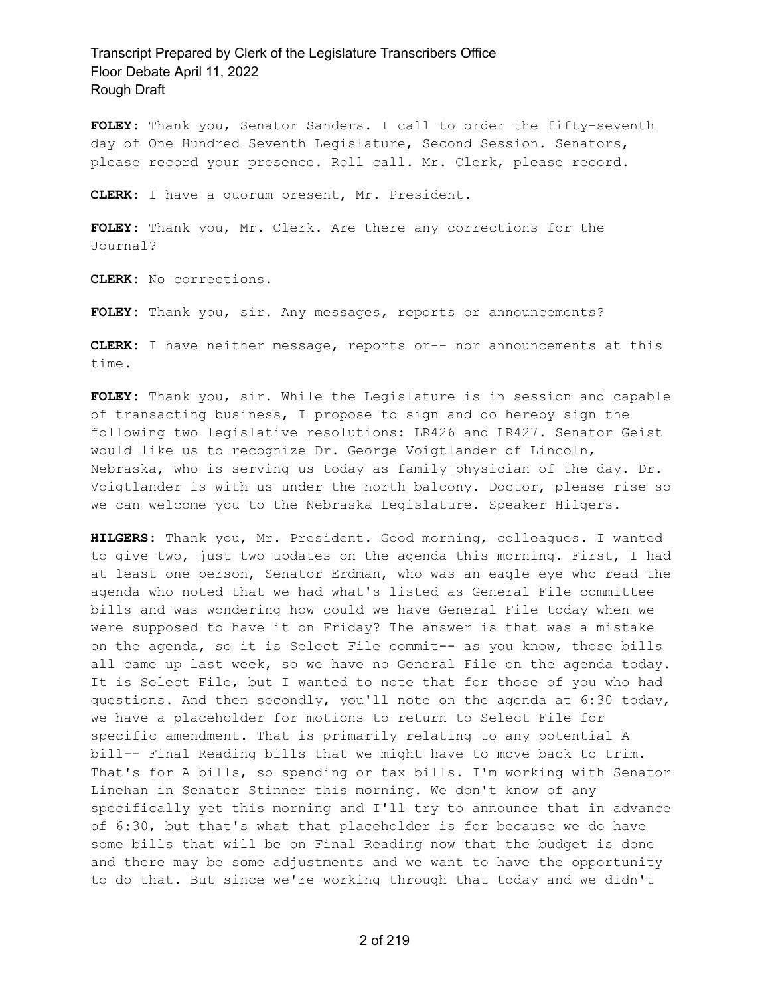**FOLEY:** Thank you, Senator Sanders. I call to order the fifty-seventh day of One Hundred Seventh Legislature, Second Session. Senators, please record your presence. Roll call. Mr. Clerk, please record.

**CLERK:** I have a quorum present, Mr. President.

**FOLEY:** Thank you, Mr. Clerk. Are there any corrections for the Journal?

**CLERK:** No corrections.

**FOLEY:** Thank you, sir. Any messages, reports or announcements?

**CLERK:** I have neither message, reports or-- nor announcements at this time.

**FOLEY:** Thank you, sir. While the Legislature is in session and capable of transacting business, I propose to sign and do hereby sign the following two legislative resolutions: LR426 and LR427. Senator Geist would like us to recognize Dr. George Voigtlander of Lincoln, Nebraska, who is serving us today as family physician of the day. Dr. Voigtlander is with us under the north balcony. Doctor, please rise so we can welcome you to the Nebraska Legislature. Speaker Hilgers.

**HILGERS:** Thank you, Mr. President. Good morning, colleagues. I wanted to give two, just two updates on the agenda this morning. First, I had at least one person, Senator Erdman, who was an eagle eye who read the agenda who noted that we had what's listed as General File committee bills and was wondering how could we have General File today when we were supposed to have it on Friday? The answer is that was a mistake on the agenda, so it is Select File commit-- as you know, those bills all came up last week, so we have no General File on the agenda today. It is Select File, but I wanted to note that for those of you who had questions. And then secondly, you'll note on the agenda at 6:30 today, we have a placeholder for motions to return to Select File for specific amendment. That is primarily relating to any potential A bill-- Final Reading bills that we might have to move back to trim. That's for A bills, so spending or tax bills. I'm working with Senator Linehan in Senator Stinner this morning. We don't know of any specifically yet this morning and I'll try to announce that in advance of 6:30, but that's what that placeholder is for because we do have some bills that will be on Final Reading now that the budget is done and there may be some adjustments and we want to have the opportunity to do that. But since we're working through that today and we didn't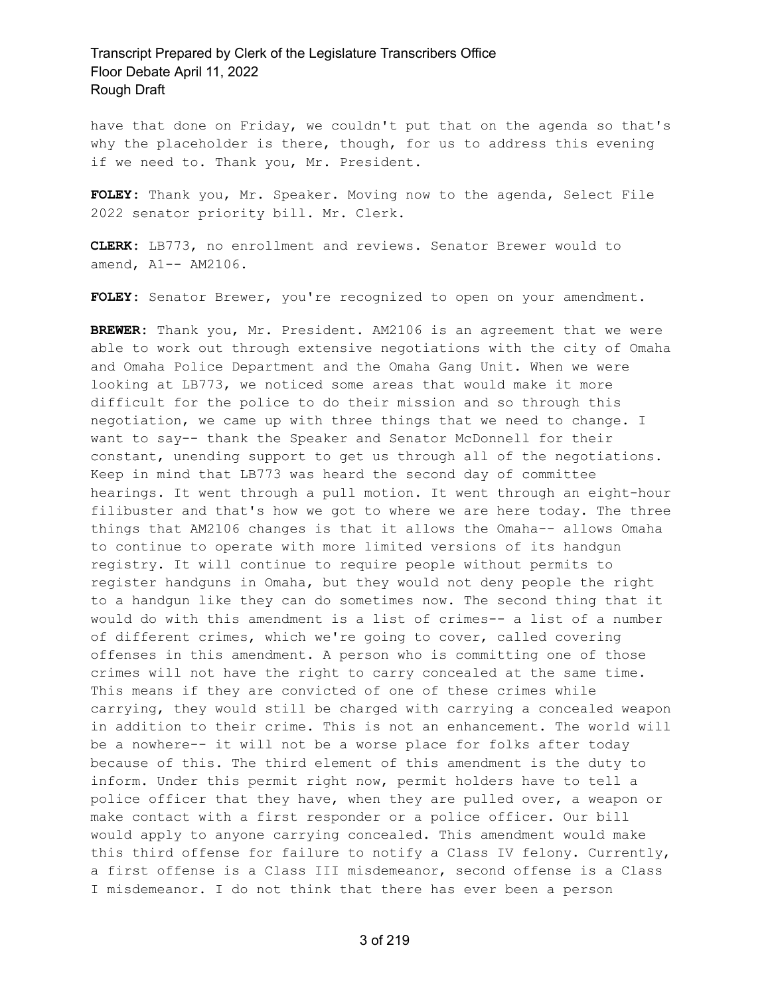have that done on Friday, we couldn't put that on the agenda so that's why the placeholder is there, though, for us to address this evening if we need to. Thank you, Mr. President.

**FOLEY:** Thank you, Mr. Speaker. Moving now to the agenda, Select File 2022 senator priority bill. Mr. Clerk.

**CLERK:** LB773, no enrollment and reviews. Senator Brewer would to amend, A1-- AM2106.

**FOLEY:** Senator Brewer, you're recognized to open on your amendment.

**BREWER:** Thank you, Mr. President. AM2106 is an agreement that we were able to work out through extensive negotiations with the city of Omaha and Omaha Police Department and the Omaha Gang Unit. When we were looking at LB773, we noticed some areas that would make it more difficult for the police to do their mission and so through this negotiation, we came up with three things that we need to change. I want to say-- thank the Speaker and Senator McDonnell for their constant, unending support to get us through all of the negotiations. Keep in mind that LB773 was heard the second day of committee hearings. It went through a pull motion. It went through an eight-hour filibuster and that's how we got to where we are here today. The three things that AM2106 changes is that it allows the Omaha-- allows Omaha to continue to operate with more limited versions of its handgun registry. It will continue to require people without permits to register handguns in Omaha, but they would not deny people the right to a handgun like they can do sometimes now. The second thing that it would do with this amendment is a list of crimes-- a list of a number of different crimes, which we're going to cover, called covering offenses in this amendment. A person who is committing one of those crimes will not have the right to carry concealed at the same time. This means if they are convicted of one of these crimes while carrying, they would still be charged with carrying a concealed weapon in addition to their crime. This is not an enhancement. The world will be a nowhere-- it will not be a worse place for folks after today because of this. The third element of this amendment is the duty to inform. Under this permit right now, permit holders have to tell a police officer that they have, when they are pulled over, a weapon or make contact with a first responder or a police officer. Our bill would apply to anyone carrying concealed. This amendment would make this third offense for failure to notify a Class IV felony. Currently, a first offense is a Class III misdemeanor, second offense is a Class I misdemeanor. I do not think that there has ever been a person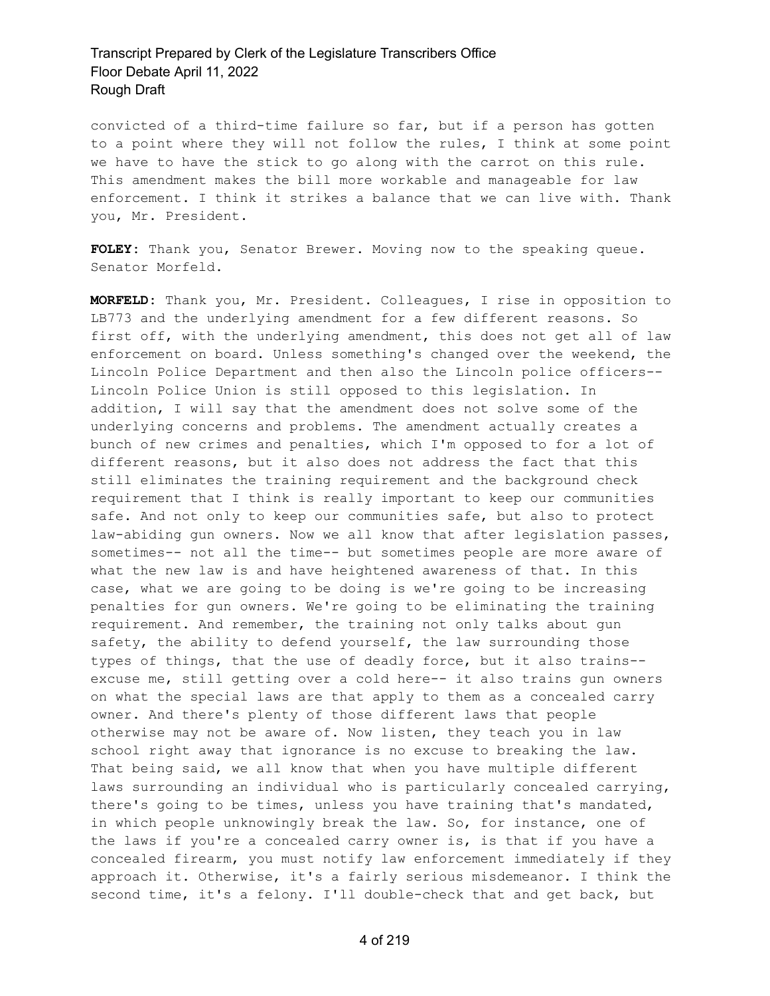convicted of a third-time failure so far, but if a person has gotten to a point where they will not follow the rules, I think at some point we have to have the stick to go along with the carrot on this rule. This amendment makes the bill more workable and manageable for law enforcement. I think it strikes a balance that we can live with. Thank you, Mr. President.

**FOLEY:** Thank you, Senator Brewer. Moving now to the speaking queue. Senator Morfeld.

**MORFELD:** Thank you, Mr. President. Colleagues, I rise in opposition to LB773 and the underlying amendment for a few different reasons. So first off, with the underlying amendment, this does not get all of law enforcement on board. Unless something's changed over the weekend, the Lincoln Police Department and then also the Lincoln police officers-- Lincoln Police Union is still opposed to this legislation. In addition, I will say that the amendment does not solve some of the underlying concerns and problems. The amendment actually creates a bunch of new crimes and penalties, which I'm opposed to for a lot of different reasons, but it also does not address the fact that this still eliminates the training requirement and the background check requirement that I think is really important to keep our communities safe. And not only to keep our communities safe, but also to protect law-abiding gun owners. Now we all know that after legislation passes, sometimes-- not all the time-- but sometimes people are more aware of what the new law is and have heightened awareness of that. In this case, what we are going to be doing is we're going to be increasing penalties for gun owners. We're going to be eliminating the training requirement. And remember, the training not only talks about gun safety, the ability to defend yourself, the law surrounding those types of things, that the use of deadly force, but it also trains- excuse me, still getting over a cold here-- it also trains gun owners on what the special laws are that apply to them as a concealed carry owner. And there's plenty of those different laws that people otherwise may not be aware of. Now listen, they teach you in law school right away that ignorance is no excuse to breaking the law. That being said, we all know that when you have multiple different laws surrounding an individual who is particularly concealed carrying, there's going to be times, unless you have training that's mandated, in which people unknowingly break the law. So, for instance, one of the laws if you're a concealed carry owner is, is that if you have a concealed firearm, you must notify law enforcement immediately if they approach it. Otherwise, it's a fairly serious misdemeanor. I think the second time, it's a felony. I'll double-check that and get back, but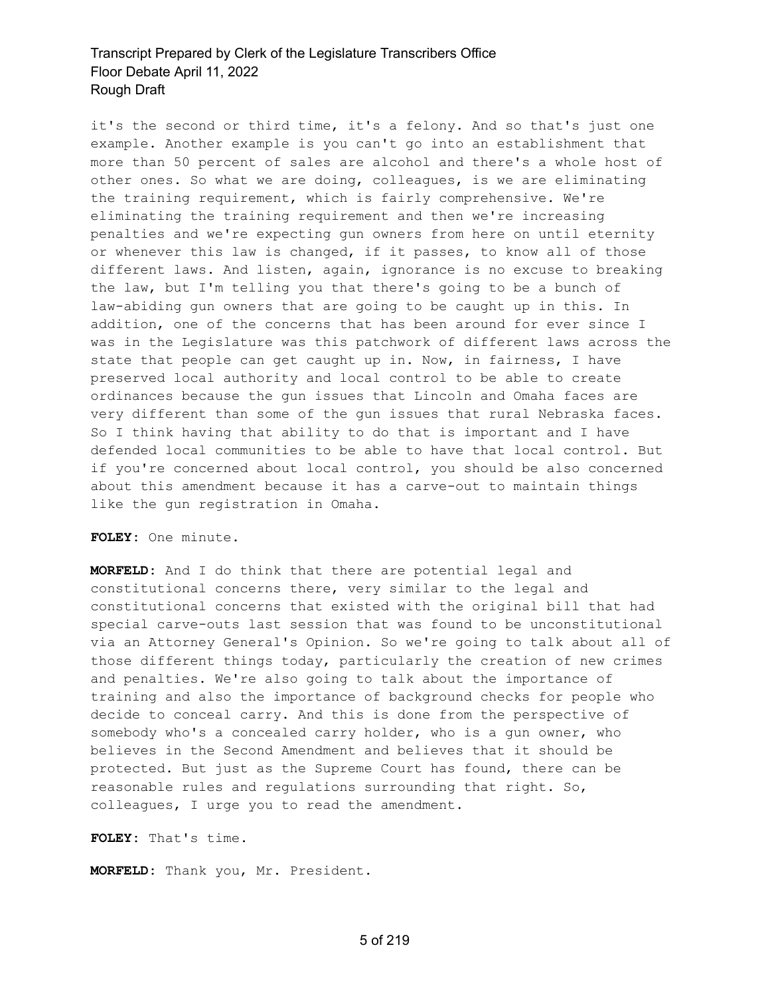it's the second or third time, it's a felony. And so that's just one example. Another example is you can't go into an establishment that more than 50 percent of sales are alcohol and there's a whole host of other ones. So what we are doing, colleagues, is we are eliminating the training requirement, which is fairly comprehensive. We're eliminating the training requirement and then we're increasing penalties and we're expecting gun owners from here on until eternity or whenever this law is changed, if it passes, to know all of those different laws. And listen, again, ignorance is no excuse to breaking the law, but I'm telling you that there's going to be a bunch of law-abiding gun owners that are going to be caught up in this. In addition, one of the concerns that has been around for ever since I was in the Legislature was this patchwork of different laws across the state that people can get caught up in. Now, in fairness, I have preserved local authority and local control to be able to create ordinances because the gun issues that Lincoln and Omaha faces are very different than some of the gun issues that rural Nebraska faces. So I think having that ability to do that is important and I have defended local communities to be able to have that local control. But if you're concerned about local control, you should be also concerned about this amendment because it has a carve-out to maintain things like the gun registration in Omaha.

#### **FOLEY:** One minute.

**MORFELD:** And I do think that there are potential legal and constitutional concerns there, very similar to the legal and constitutional concerns that existed with the original bill that had special carve-outs last session that was found to be unconstitutional via an Attorney General's Opinion. So we're going to talk about all of those different things today, particularly the creation of new crimes and penalties. We're also going to talk about the importance of training and also the importance of background checks for people who decide to conceal carry. And this is done from the perspective of somebody who's a concealed carry holder, who is a gun owner, who believes in the Second Amendment and believes that it should be protected. But just as the Supreme Court has found, there can be reasonable rules and regulations surrounding that right. So, colleagues, I urge you to read the amendment.

**FOLEY:** That's time.

**MORFELD:** Thank you, Mr. President.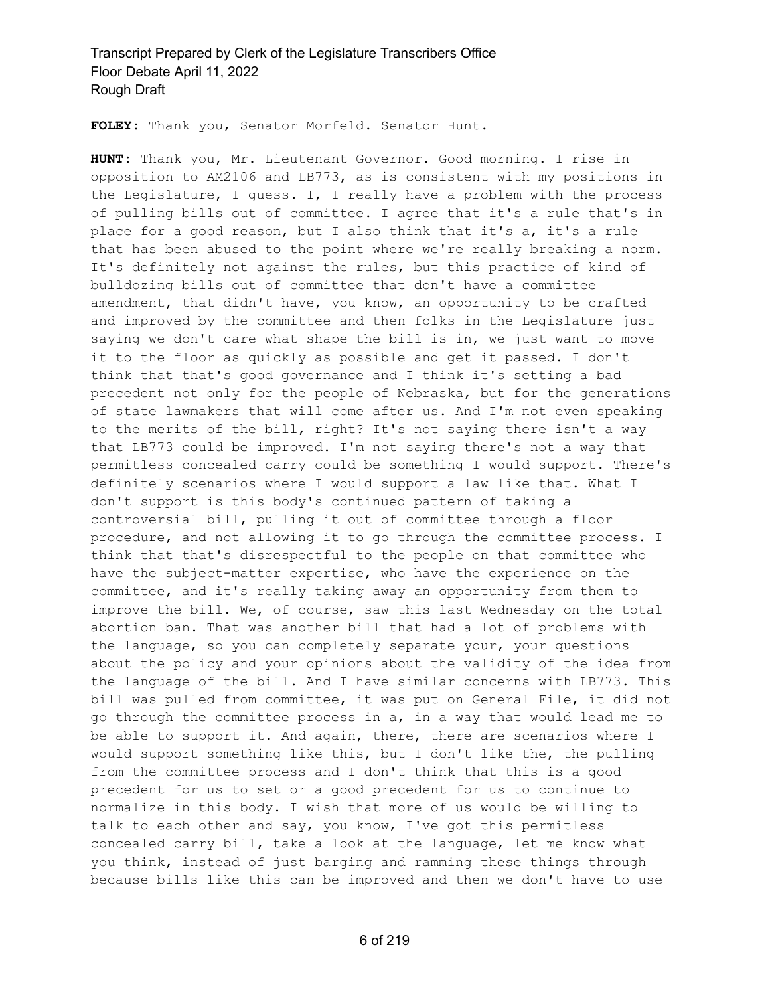**FOLEY:** Thank you, Senator Morfeld. Senator Hunt.

**HUNT:** Thank you, Mr. Lieutenant Governor. Good morning. I rise in opposition to AM2106 and LB773, as is consistent with my positions in the Legislature, I guess. I, I really have a problem with the process of pulling bills out of committee. I agree that it's a rule that's in place for a good reason, but I also think that it's a, it's a rule that has been abused to the point where we're really breaking a norm. It's definitely not against the rules, but this practice of kind of bulldozing bills out of committee that don't have a committee amendment, that didn't have, you know, an opportunity to be crafted and improved by the committee and then folks in the Legislature just saying we don't care what shape the bill is in, we just want to move it to the floor as quickly as possible and get it passed. I don't think that that's good governance and I think it's setting a bad precedent not only for the people of Nebraska, but for the generations of state lawmakers that will come after us. And I'm not even speaking to the merits of the bill, right? It's not saying there isn't a way that LB773 could be improved. I'm not saying there's not a way that permitless concealed carry could be something I would support. There's definitely scenarios where I would support a law like that. What I don't support is this body's continued pattern of taking a controversial bill, pulling it out of committee through a floor procedure, and not allowing it to go through the committee process. I think that that's disrespectful to the people on that committee who have the subject-matter expertise, who have the experience on the committee, and it's really taking away an opportunity from them to improve the bill. We, of course, saw this last Wednesday on the total abortion ban. That was another bill that had a lot of problems with the language, so you can completely separate your, your questions about the policy and your opinions about the validity of the idea from the language of the bill. And I have similar concerns with LB773. This bill was pulled from committee, it was put on General File, it did not go through the committee process in a, in a way that would lead me to be able to support it. And again, there, there are scenarios where I would support something like this, but I don't like the, the pulling from the committee process and I don't think that this is a good precedent for us to set or a good precedent for us to continue to normalize in this body. I wish that more of us would be willing to talk to each other and say, you know, I've got this permitless concealed carry bill, take a look at the language, let me know what you think, instead of just barging and ramming these things through because bills like this can be improved and then we don't have to use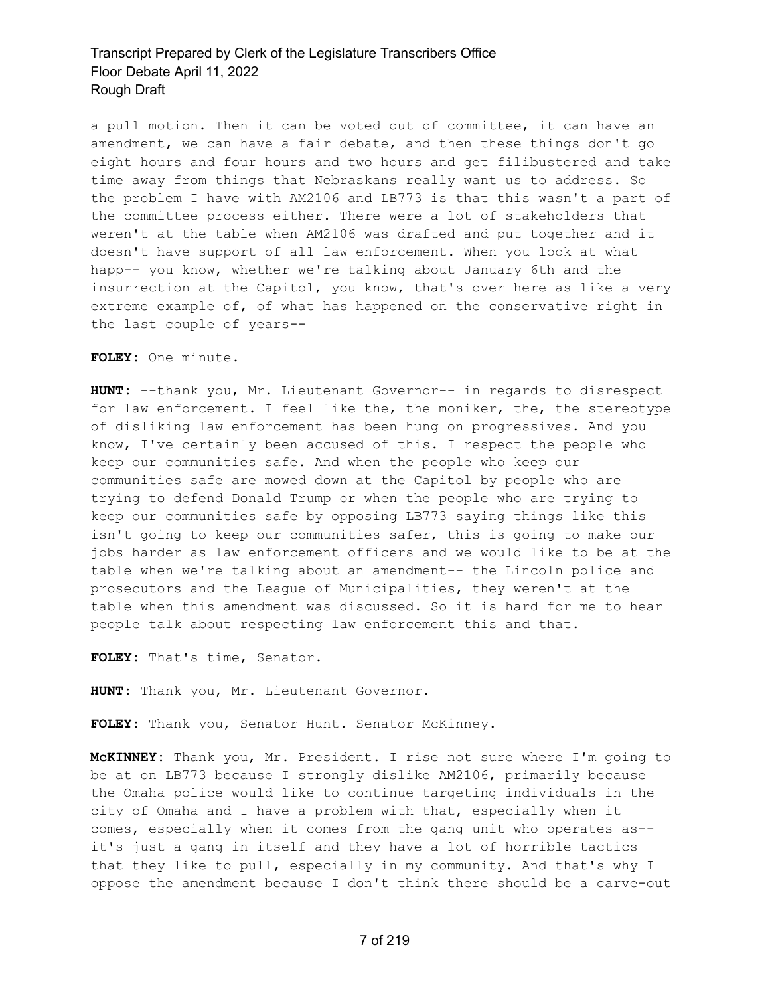a pull motion. Then it can be voted out of committee, it can have an amendment, we can have a fair debate, and then these things don't go eight hours and four hours and two hours and get filibustered and take time away from things that Nebraskans really want us to address. So the problem I have with AM2106 and LB773 is that this wasn't a part of the committee process either. There were a lot of stakeholders that weren't at the table when AM2106 was drafted and put together and it doesn't have support of all law enforcement. When you look at what happ-- you know, whether we're talking about January 6th and the insurrection at the Capitol, you know, that's over here as like a very extreme example of, of what has happened on the conservative right in the last couple of years--

**FOLEY:** One minute.

**HUNT:** --thank you, Mr. Lieutenant Governor-- in regards to disrespect for law enforcement. I feel like the, the moniker, the, the stereotype of disliking law enforcement has been hung on progressives. And you know, I've certainly been accused of this. I respect the people who keep our communities safe. And when the people who keep our communities safe are mowed down at the Capitol by people who are trying to defend Donald Trump or when the people who are trying to keep our communities safe by opposing LB773 saying things like this isn't going to keep our communities safer, this is going to make our jobs harder as law enforcement officers and we would like to be at the table when we're talking about an amendment-- the Lincoln police and prosecutors and the League of Municipalities, they weren't at the table when this amendment was discussed. So it is hard for me to hear people talk about respecting law enforcement this and that.

**FOLEY:** That's time, Senator.

**HUNT:** Thank you, Mr. Lieutenant Governor.

**FOLEY:** Thank you, Senator Hunt. Senator McKinney.

**McKINNEY:** Thank you, Mr. President. I rise not sure where I'm going to be at on LB773 because I strongly dislike AM2106, primarily because the Omaha police would like to continue targeting individuals in the city of Omaha and I have a problem with that, especially when it comes, especially when it comes from the gang unit who operates as- it's just a gang in itself and they have a lot of horrible tactics that they like to pull, especially in my community. And that's why I oppose the amendment because I don't think there should be a carve-out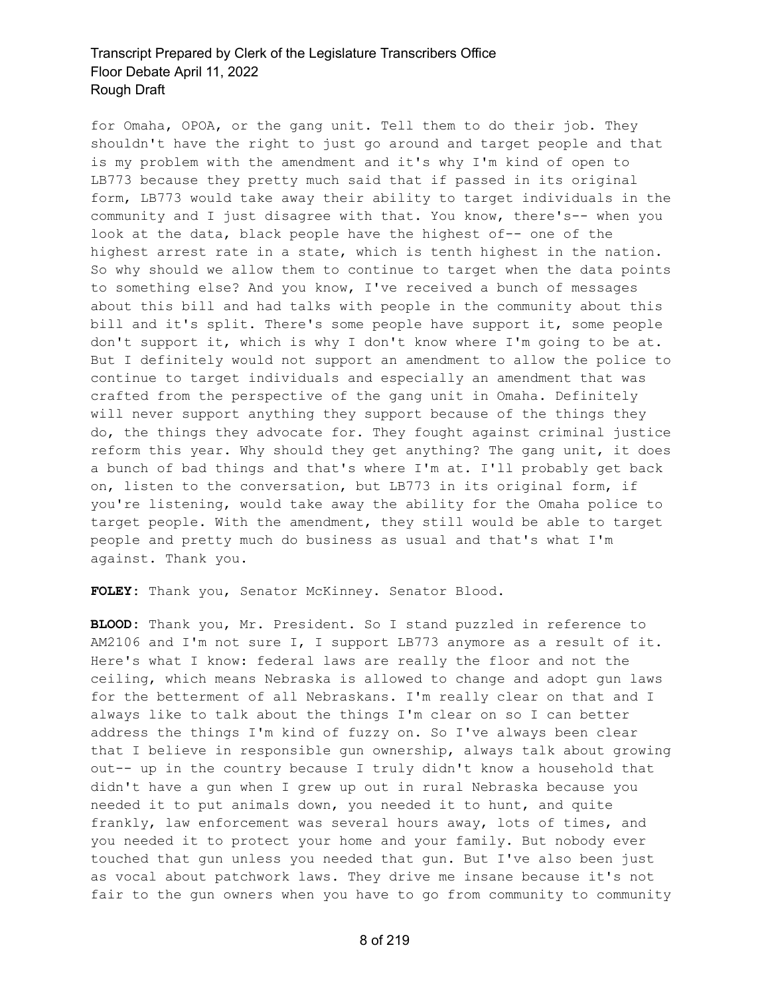for Omaha, OPOA, or the gang unit. Tell them to do their job. They shouldn't have the right to just go around and target people and that is my problem with the amendment and it's why I'm kind of open to LB773 because they pretty much said that if passed in its original form, LB773 would take away their ability to target individuals in the community and I just disagree with that. You know, there's-- when you look at the data, black people have the highest of-- one of the highest arrest rate in a state, which is tenth highest in the nation. So why should we allow them to continue to target when the data points to something else? And you know, I've received a bunch of messages about this bill and had talks with people in the community about this bill and it's split. There's some people have support it, some people don't support it, which is why I don't know where I'm going to be at. But I definitely would not support an amendment to allow the police to continue to target individuals and especially an amendment that was crafted from the perspective of the gang unit in Omaha. Definitely will never support anything they support because of the things they do, the things they advocate for. They fought against criminal justice reform this year. Why should they get anything? The gang unit, it does a bunch of bad things and that's where I'm at. I'll probably get back on, listen to the conversation, but LB773 in its original form, if you're listening, would take away the ability for the Omaha police to target people. With the amendment, they still would be able to target people and pretty much do business as usual and that's what I'm against. Thank you.

**FOLEY:** Thank you, Senator McKinney. Senator Blood.

**BLOOD:** Thank you, Mr. President. So I stand puzzled in reference to AM2106 and I'm not sure I, I support LB773 anymore as a result of it. Here's what I know: federal laws are really the floor and not the ceiling, which means Nebraska is allowed to change and adopt gun laws for the betterment of all Nebraskans. I'm really clear on that and I always like to talk about the things I'm clear on so I can better address the things I'm kind of fuzzy on. So I've always been clear that I believe in responsible gun ownership, always talk about growing out-- up in the country because I truly didn't know a household that didn't have a gun when I grew up out in rural Nebraska because you needed it to put animals down, you needed it to hunt, and quite frankly, law enforcement was several hours away, lots of times, and you needed it to protect your home and your family. But nobody ever touched that gun unless you needed that gun. But I've also been just as vocal about patchwork laws. They drive me insane because it's not fair to the gun owners when you have to go from community to community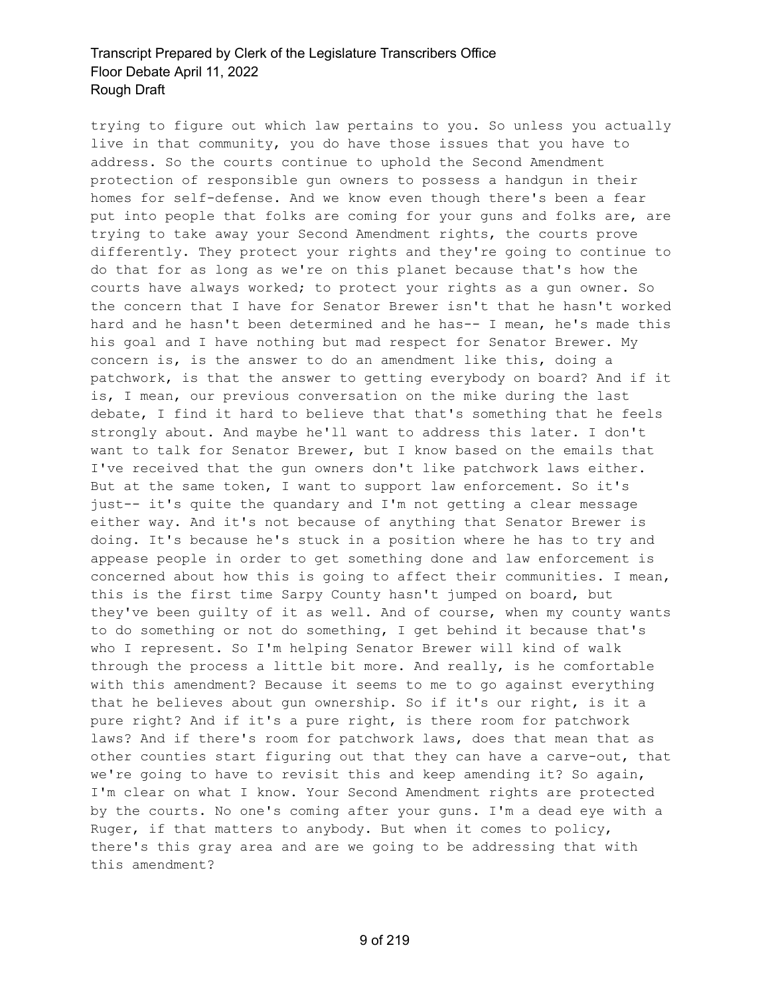trying to figure out which law pertains to you. So unless you actually live in that community, you do have those issues that you have to address. So the courts continue to uphold the Second Amendment protection of responsible gun owners to possess a handgun in their homes for self-defense. And we know even though there's been a fear put into people that folks are coming for your guns and folks are, are trying to take away your Second Amendment rights, the courts prove differently. They protect your rights and they're going to continue to do that for as long as we're on this planet because that's how the courts have always worked; to protect your rights as a gun owner. So the concern that I have for Senator Brewer isn't that he hasn't worked hard and he hasn't been determined and he has-- I mean, he's made this his goal and I have nothing but mad respect for Senator Brewer. My concern is, is the answer to do an amendment like this, doing a patchwork, is that the answer to getting everybody on board? And if it is, I mean, our previous conversation on the mike during the last debate, I find it hard to believe that that's something that he feels strongly about. And maybe he'll want to address this later. I don't want to talk for Senator Brewer, but I know based on the emails that I've received that the gun owners don't like patchwork laws either. But at the same token, I want to support law enforcement. So it's just-- it's quite the quandary and I'm not getting a clear message either way. And it's not because of anything that Senator Brewer is doing. It's because he's stuck in a position where he has to try and appease people in order to get something done and law enforcement is concerned about how this is going to affect their communities. I mean, this is the first time Sarpy County hasn't jumped on board, but they've been guilty of it as well. And of course, when my county wants to do something or not do something, I get behind it because that's who I represent. So I'm helping Senator Brewer will kind of walk through the process a little bit more. And really, is he comfortable with this amendment? Because it seems to me to go against everything that he believes about gun ownership. So if it's our right, is it a pure right? And if it's a pure right, is there room for patchwork laws? And if there's room for patchwork laws, does that mean that as other counties start figuring out that they can have a carve-out, that we're going to have to revisit this and keep amending it? So again, I'm clear on what I know. Your Second Amendment rights are protected by the courts. No one's coming after your guns. I'm a dead eye with a Ruger, if that matters to anybody. But when it comes to policy, there's this gray area and are we going to be addressing that with this amendment?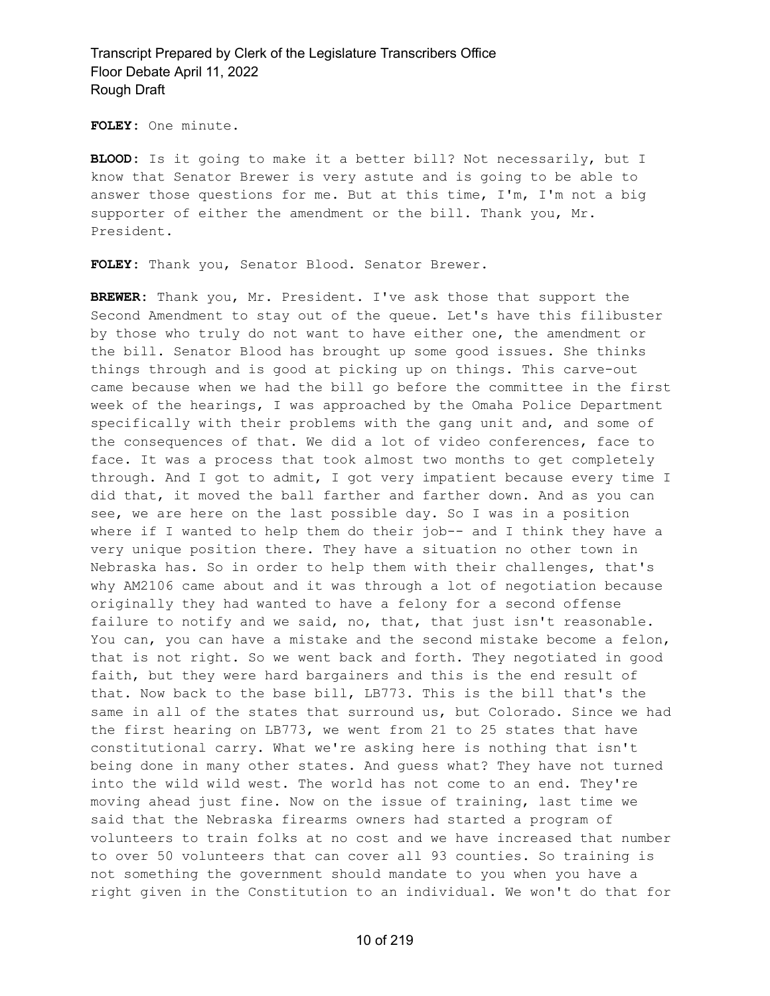**FOLEY:** One minute.

**BLOOD:** Is it going to make it a better bill? Not necessarily, but I know that Senator Brewer is very astute and is going to be able to answer those questions for me. But at this time, I'm, I'm not a big supporter of either the amendment or the bill. Thank you, Mr. President.

**FOLEY:** Thank you, Senator Blood. Senator Brewer.

**BREWER:** Thank you, Mr. President. I've ask those that support the Second Amendment to stay out of the queue. Let's have this filibuster by those who truly do not want to have either one, the amendment or the bill. Senator Blood has brought up some good issues. She thinks things through and is good at picking up on things. This carve-out came because when we had the bill go before the committee in the first week of the hearings, I was approached by the Omaha Police Department specifically with their problems with the gang unit and, and some of the consequences of that. We did a lot of video conferences, face to face. It was a process that took almost two months to get completely through. And I got to admit, I got very impatient because every time I did that, it moved the ball farther and farther down. And as you can see, we are here on the last possible day. So I was in a position where if I wanted to help them do their job-- and I think they have a very unique position there. They have a situation no other town in Nebraska has. So in order to help them with their challenges, that's why AM2106 came about and it was through a lot of negotiation because originally they had wanted to have a felony for a second offense failure to notify and we said, no, that, that just isn't reasonable. You can, you can have a mistake and the second mistake become a felon, that is not right. So we went back and forth. They negotiated in good faith, but they were hard bargainers and this is the end result of that. Now back to the base bill, LB773. This is the bill that's the same in all of the states that surround us, but Colorado. Since we had the first hearing on LB773, we went from 21 to 25 states that have constitutional carry. What we're asking here is nothing that isn't being done in many other states. And guess what? They have not turned into the wild wild west. The world has not come to an end. They're moving ahead just fine. Now on the issue of training, last time we said that the Nebraska firearms owners had started a program of volunteers to train folks at no cost and we have increased that number to over 50 volunteers that can cover all 93 counties. So training is not something the government should mandate to you when you have a right given in the Constitution to an individual. We won't do that for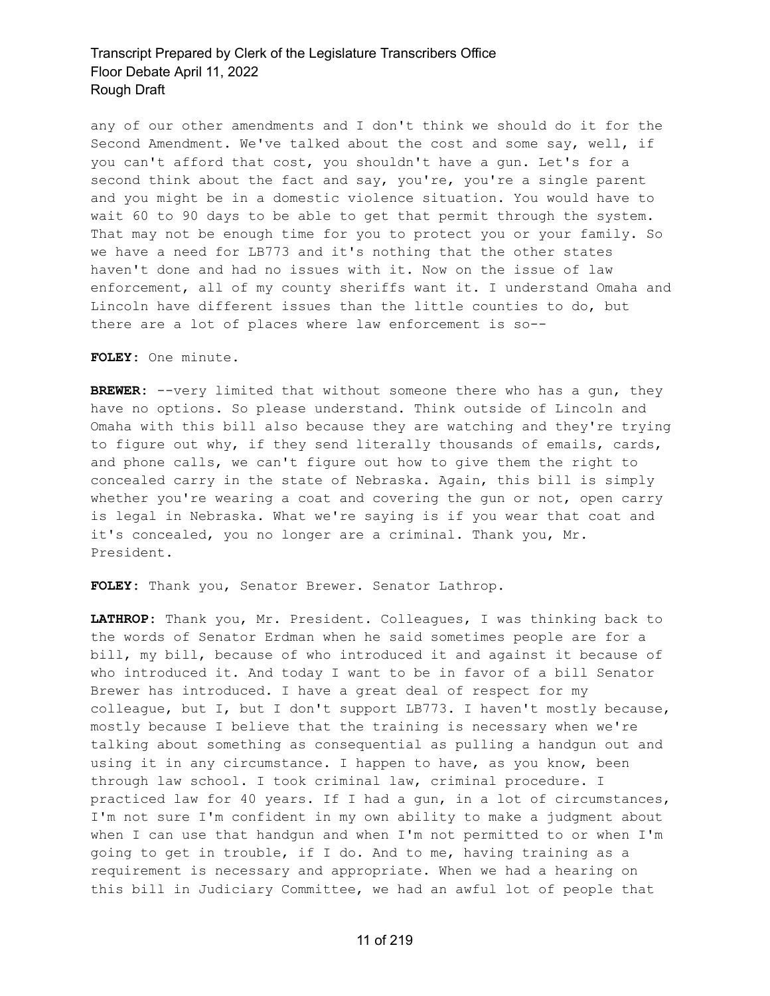any of our other amendments and I don't think we should do it for the Second Amendment. We've talked about the cost and some say, well, if you can't afford that cost, you shouldn't have a gun. Let's for a second think about the fact and say, you're, you're a single parent and you might be in a domestic violence situation. You would have to wait 60 to 90 days to be able to get that permit through the system. That may not be enough time for you to protect you or your family. So we have a need for LB773 and it's nothing that the other states haven't done and had no issues with it. Now on the issue of law enforcement, all of my county sheriffs want it. I understand Omaha and Lincoln have different issues than the little counties to do, but there are a lot of places where law enforcement is so--

**FOLEY:** One minute.

**BREWER:** --very limited that without someone there who has a gun, they have no options. So please understand. Think outside of Lincoln and Omaha with this bill also because they are watching and they're trying to figure out why, if they send literally thousands of emails, cards, and phone calls, we can't figure out how to give them the right to concealed carry in the state of Nebraska. Again, this bill is simply whether you're wearing a coat and covering the gun or not, open carry is legal in Nebraska. What we're saying is if you wear that coat and it's concealed, you no longer are a criminal. Thank you, Mr. President.

**FOLEY:** Thank you, Senator Brewer. Senator Lathrop.

**LATHROP:** Thank you, Mr. President. Colleagues, I was thinking back to the words of Senator Erdman when he said sometimes people are for a bill, my bill, because of who introduced it and against it because of who introduced it. And today I want to be in favor of a bill Senator Brewer has introduced. I have a great deal of respect for my colleague, but I, but I don't support LB773. I haven't mostly because, mostly because I believe that the training is necessary when we're talking about something as consequential as pulling a handgun out and using it in any circumstance. I happen to have, as you know, been through law school. I took criminal law, criminal procedure. I practiced law for 40 years. If I had a gun, in a lot of circumstances, I'm not sure I'm confident in my own ability to make a judgment about when I can use that handgun and when I'm not permitted to or when I'm going to get in trouble, if I do. And to me, having training as a requirement is necessary and appropriate. When we had a hearing on this bill in Judiciary Committee, we had an awful lot of people that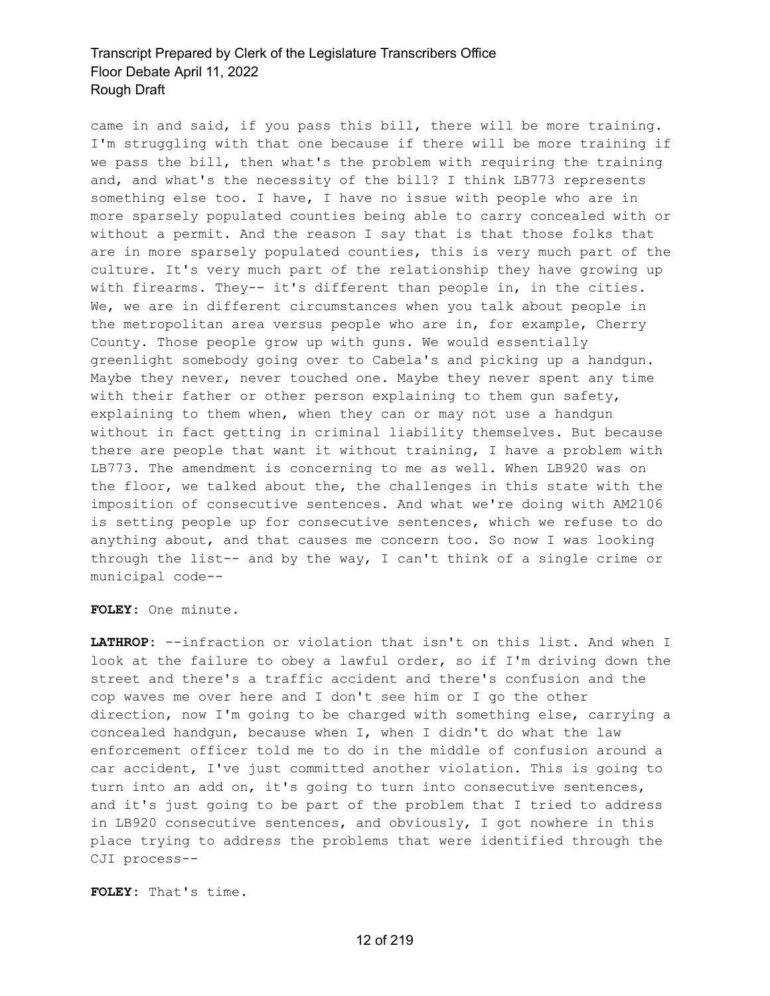came in and said, if you pass this bill, there will be more training. I'm struggling with that one because if there will be more training if we pass the bill, then what's the problem with requiring the training and, and what's the necessity of the bill? I think LB773 represents something else too. I have, I have no issue with people who are in more sparsely populated counties being able to carry concealed with or without a permit. And the reason I say that is that those folks that are in more sparsely populated counties, this is very much part of the culture. It's very much part of the relationship they have growing up with firearms. They-- it's different than people in, in the cities. We, we are in different circumstances when you talk about people in the metropolitan area versus people who are in, for example, Cherry County. Those people grow up with guns. We would essentially greenlight somebody going over to Cabela's and picking up a handgun. Maybe they never, never touched one. Maybe they never spent any time with their father or other person explaining to them gun safety, explaining to them when, when they can or may not use a handgun without in fact getting in criminal liability themselves. But because there are people that want it without training, I have a problem with LB773. The amendment is concerning to me as well. When LB920 was on the floor, we talked about the, the challenges in this state with the imposition of consecutive sentences. And what we're doing with AM2106 is setting people up for consecutive sentences, which we refuse to do anything about, and that causes me concern too. So now I was looking through the list-- and by the way, I can't think of a single crime or municipal code--

**FOLEY:** One minute.

**LATHROP:** --infraction or violation that isn't on this list. And when I look at the failure to obey a lawful order, so if I'm driving down the street and there's a traffic accident and there's confusion and the cop waves me over here and I don't see him or I go the other direction, now I'm going to be charged with something else, carrying a concealed handgun, because when I, when I didn't do what the law enforcement officer told me to do in the middle of confusion around a car accident, I've just committed another violation. This is going to turn into an add on, it's going to turn into consecutive sentences, and it's just going to be part of the problem that I tried to address in LB920 consecutive sentences, and obviously, I got nowhere in this place trying to address the problems that were identified through the CJI process--

**FOLEY:** That's time.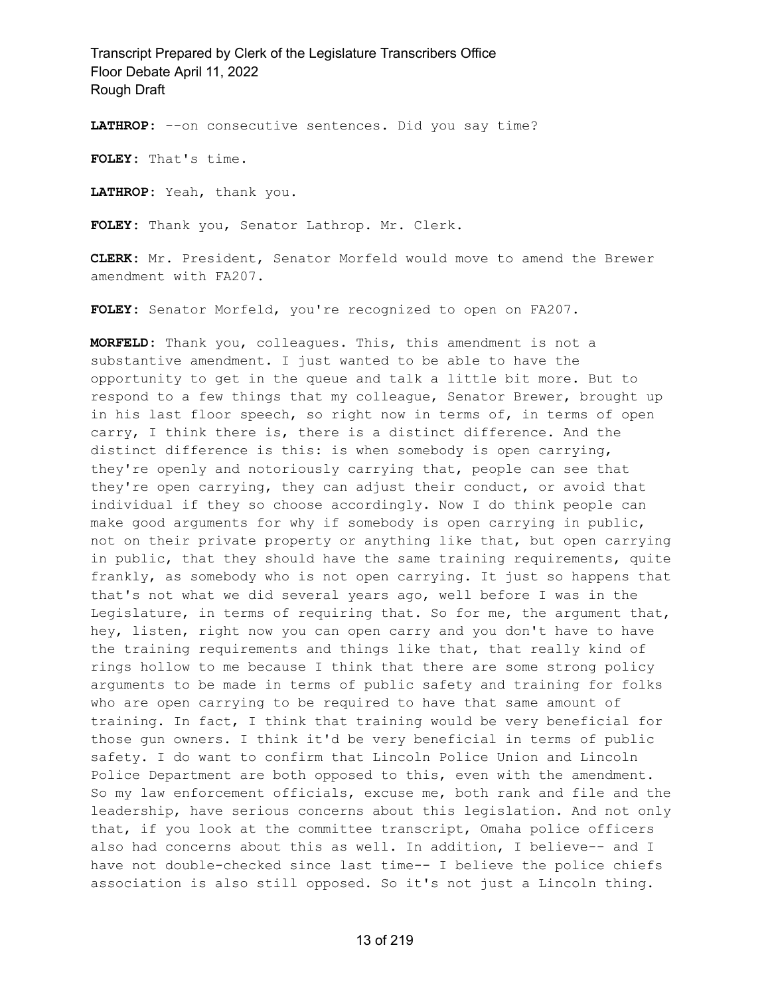**LATHROP:** --on consecutive sentences. Did you say time?

**FOLEY:** That's time.

**LATHROP:** Yeah, thank you.

**FOLEY:** Thank you, Senator Lathrop. Mr. Clerk.

**CLERK:** Mr. President, Senator Morfeld would move to amend the Brewer amendment with FA207.

**FOLEY:** Senator Morfeld, you're recognized to open on FA207.

**MORFELD:** Thank you, colleagues. This, this amendment is not a substantive amendment. I just wanted to be able to have the opportunity to get in the queue and talk a little bit more. But to respond to a few things that my colleague, Senator Brewer, brought up in his last floor speech, so right now in terms of, in terms of open carry, I think there is, there is a distinct difference. And the distinct difference is this: is when somebody is open carrying, they're openly and notoriously carrying that, people can see that they're open carrying, they can adjust their conduct, or avoid that individual if they so choose accordingly. Now I do think people can make good arguments for why if somebody is open carrying in public, not on their private property or anything like that, but open carrying in public, that they should have the same training requirements, quite frankly, as somebody who is not open carrying. It just so happens that that's not what we did several years ago, well before I was in the Legislature, in terms of requiring that. So for me, the argument that, hey, listen, right now you can open carry and you don't have to have the training requirements and things like that, that really kind of rings hollow to me because I think that there are some strong policy arguments to be made in terms of public safety and training for folks who are open carrying to be required to have that same amount of training. In fact, I think that training would be very beneficial for those gun owners. I think it'd be very beneficial in terms of public safety. I do want to confirm that Lincoln Police Union and Lincoln Police Department are both opposed to this, even with the amendment. So my law enforcement officials, excuse me, both rank and file and the leadership, have serious concerns about this legislation. And not only that, if you look at the committee transcript, Omaha police officers also had concerns about this as well. In addition, I believe-- and I have not double-checked since last time-- I believe the police chiefs association is also still opposed. So it's not just a Lincoln thing.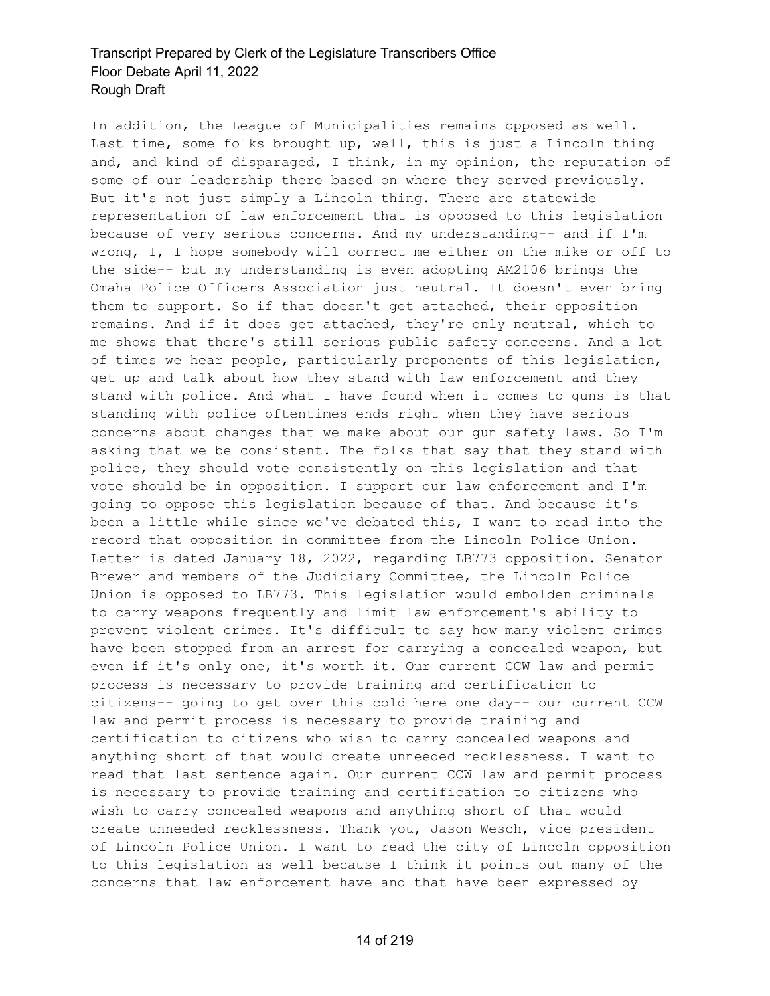In addition, the League of Municipalities remains opposed as well. Last time, some folks brought up, well, this is just a Lincoln thing and, and kind of disparaged, I think, in my opinion, the reputation of some of our leadership there based on where they served previously. But it's not just simply a Lincoln thing. There are statewide representation of law enforcement that is opposed to this legislation because of very serious concerns. And my understanding-- and if I'm wrong, I, I hope somebody will correct me either on the mike or off to the side-- but my understanding is even adopting AM2106 brings the Omaha Police Officers Association just neutral. It doesn't even bring them to support. So if that doesn't get attached, their opposition remains. And if it does get attached, they're only neutral, which to me shows that there's still serious public safety concerns. And a lot of times we hear people, particularly proponents of this legislation, get up and talk about how they stand with law enforcement and they stand with police. And what I have found when it comes to guns is that standing with police oftentimes ends right when they have serious concerns about changes that we make about our gun safety laws. So I'm asking that we be consistent. The folks that say that they stand with police, they should vote consistently on this legislation and that vote should be in opposition. I support our law enforcement and I'm going to oppose this legislation because of that. And because it's been a little while since we've debated this, I want to read into the record that opposition in committee from the Lincoln Police Union. Letter is dated January 18, 2022, regarding LB773 opposition. Senator Brewer and members of the Judiciary Committee, the Lincoln Police Union is opposed to LB773. This legislation would embolden criminals to carry weapons frequently and limit law enforcement's ability to prevent violent crimes. It's difficult to say how many violent crimes have been stopped from an arrest for carrying a concealed weapon, but even if it's only one, it's worth it. Our current CCW law and permit process is necessary to provide training and certification to citizens-- going to get over this cold here one day-- our current CCW law and permit process is necessary to provide training and certification to citizens who wish to carry concealed weapons and anything short of that would create unneeded recklessness. I want to read that last sentence again. Our current CCW law and permit process is necessary to provide training and certification to citizens who wish to carry concealed weapons and anything short of that would create unneeded recklessness. Thank you, Jason Wesch, vice president of Lincoln Police Union. I want to read the city of Lincoln opposition to this legislation as well because I think it points out many of the concerns that law enforcement have and that have been expressed by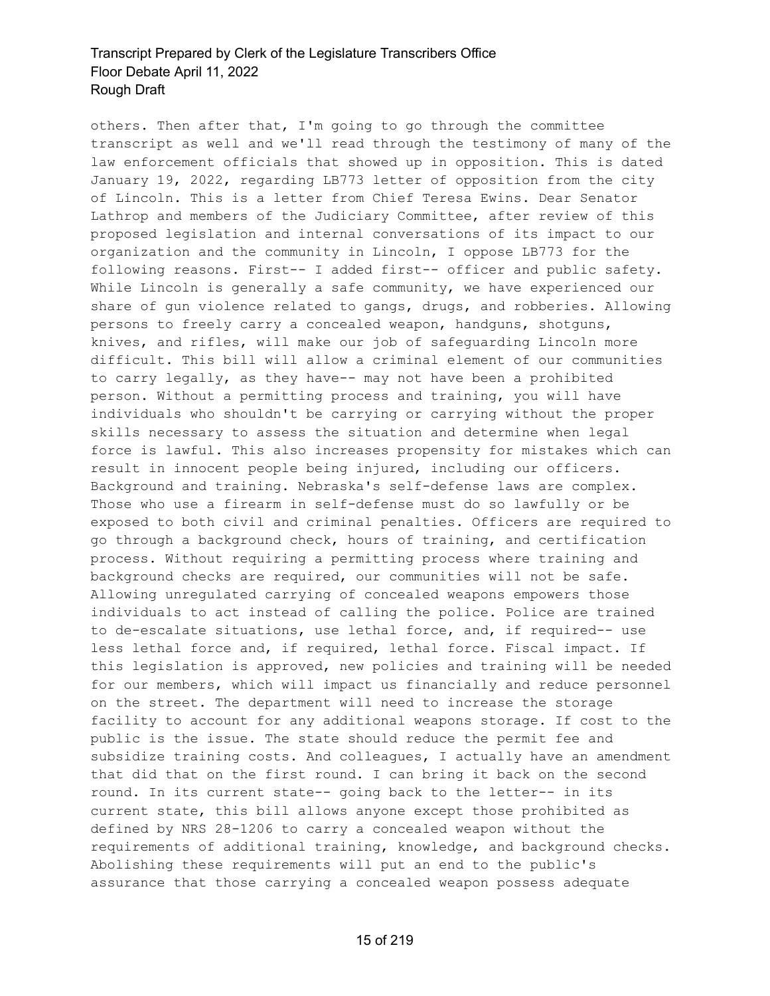others. Then after that, I'm going to go through the committee transcript as well and we'll read through the testimony of many of the law enforcement officials that showed up in opposition. This is dated January 19, 2022, regarding LB773 letter of opposition from the city of Lincoln. This is a letter from Chief Teresa Ewins. Dear Senator Lathrop and members of the Judiciary Committee, after review of this proposed legislation and internal conversations of its impact to our organization and the community in Lincoln, I oppose LB773 for the following reasons. First-- I added first-- officer and public safety. While Lincoln is generally a safe community, we have experienced our share of gun violence related to gangs, drugs, and robberies. Allowing persons to freely carry a concealed weapon, handguns, shotguns, knives, and rifles, will make our job of safeguarding Lincoln more difficult. This bill will allow a criminal element of our communities to carry legally, as they have-- may not have been a prohibited person. Without a permitting process and training, you will have individuals who shouldn't be carrying or carrying without the proper skills necessary to assess the situation and determine when legal force is lawful. This also increases propensity for mistakes which can result in innocent people being injured, including our officers. Background and training. Nebraska's self-defense laws are complex. Those who use a firearm in self-defense must do so lawfully or be exposed to both civil and criminal penalties. Officers are required to go through a background check, hours of training, and certification process. Without requiring a permitting process where training and background checks are required, our communities will not be safe. Allowing unregulated carrying of concealed weapons empowers those individuals to act instead of calling the police. Police are trained to de-escalate situations, use lethal force, and, if required-- use less lethal force and, if required, lethal force. Fiscal impact. If this legislation is approved, new policies and training will be needed for our members, which will impact us financially and reduce personnel on the street. The department will need to increase the storage facility to account for any additional weapons storage. If cost to the public is the issue. The state should reduce the permit fee and subsidize training costs. And colleagues, I actually have an amendment that did that on the first round. I can bring it back on the second round. In its current state-- going back to the letter-- in its current state, this bill allows anyone except those prohibited as defined by NRS 28-1206 to carry a concealed weapon without the requirements of additional training, knowledge, and background checks. Abolishing these requirements will put an end to the public's assurance that those carrying a concealed weapon possess adequate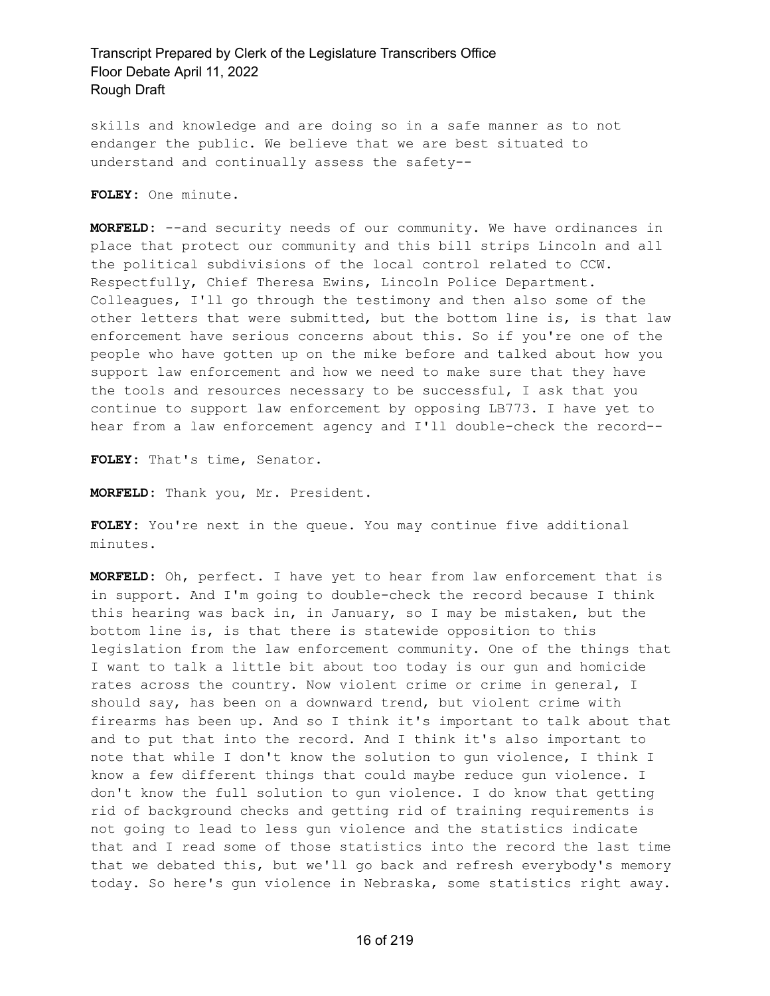skills and knowledge and are doing so in a safe manner as to not endanger the public. We believe that we are best situated to understand and continually assess the safety--

**FOLEY:** One minute.

**MORFELD:** --and security needs of our community. We have ordinances in place that protect our community and this bill strips Lincoln and all the political subdivisions of the local control related to CCW. Respectfully, Chief Theresa Ewins, Lincoln Police Department. Colleagues, I'll go through the testimony and then also some of the other letters that were submitted, but the bottom line is, is that law enforcement have serious concerns about this. So if you're one of the people who have gotten up on the mike before and talked about how you support law enforcement and how we need to make sure that they have the tools and resources necessary to be successful, I ask that you continue to support law enforcement by opposing LB773. I have yet to hear from a law enforcement agency and I'll double-check the record--

**FOLEY:** That's time, Senator.

**MORFELD:** Thank you, Mr. President.

**FOLEY:** You're next in the queue. You may continue five additional minutes.

**MORFELD:** Oh, perfect. I have yet to hear from law enforcement that is in support. And I'm going to double-check the record because I think this hearing was back in, in January, so I may be mistaken, but the bottom line is, is that there is statewide opposition to this legislation from the law enforcement community. One of the things that I want to talk a little bit about too today is our gun and homicide rates across the country. Now violent crime or crime in general, I should say, has been on a downward trend, but violent crime with firearms has been up. And so I think it's important to talk about that and to put that into the record. And I think it's also important to note that while I don't know the solution to gun violence, I think I know a few different things that could maybe reduce gun violence. I don't know the full solution to gun violence. I do know that getting rid of background checks and getting rid of training requirements is not going to lead to less gun violence and the statistics indicate that and I read some of those statistics into the record the last time that we debated this, but we'll go back and refresh everybody's memory today. So here's gun violence in Nebraska, some statistics right away.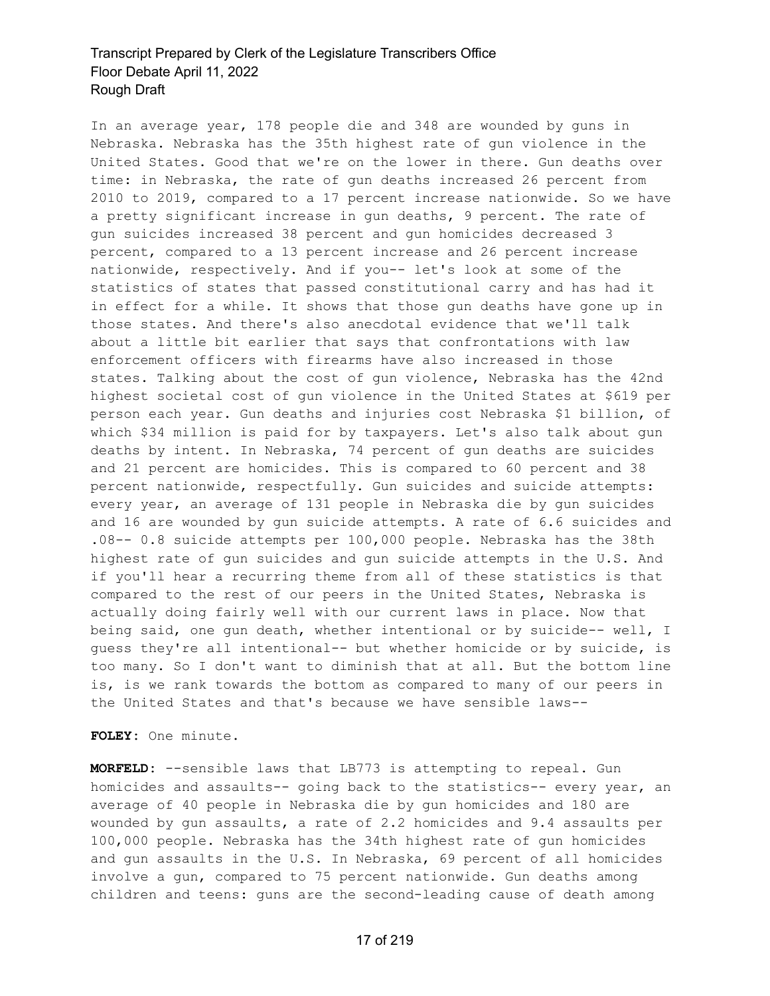In an average year, 178 people die and 348 are wounded by guns in Nebraska. Nebraska has the 35th highest rate of gun violence in the United States. Good that we're on the lower in there. Gun deaths over time: in Nebraska, the rate of gun deaths increased 26 percent from 2010 to 2019, compared to a 17 percent increase nationwide. So we have a pretty significant increase in gun deaths, 9 percent. The rate of gun suicides increased 38 percent and gun homicides decreased 3 percent, compared to a 13 percent increase and 26 percent increase nationwide, respectively. And if you-- let's look at some of the statistics of states that passed constitutional carry and has had it in effect for a while. It shows that those gun deaths have gone up in those states. And there's also anecdotal evidence that we'll talk about a little bit earlier that says that confrontations with law enforcement officers with firearms have also increased in those states. Talking about the cost of gun violence, Nebraska has the 42nd highest societal cost of gun violence in the United States at \$619 per person each year. Gun deaths and injuries cost Nebraska \$1 billion, of which \$34 million is paid for by taxpayers. Let's also talk about gun deaths by intent. In Nebraska, 74 percent of gun deaths are suicides and 21 percent are homicides. This is compared to 60 percent and 38 percent nationwide, respectfully. Gun suicides and suicide attempts: every year, an average of 131 people in Nebraska die by gun suicides and 16 are wounded by gun suicide attempts. A rate of 6.6 suicides and .08-- 0.8 suicide attempts per 100,000 people. Nebraska has the 38th highest rate of gun suicides and gun suicide attempts in the U.S. And if you'll hear a recurring theme from all of these statistics is that compared to the rest of our peers in the United States, Nebraska is actually doing fairly well with our current laws in place. Now that being said, one gun death, whether intentional or by suicide-- well, I guess they're all intentional-- but whether homicide or by suicide, is too many. So I don't want to diminish that at all. But the bottom line is, is we rank towards the bottom as compared to many of our peers in the United States and that's because we have sensible laws--

**FOLEY:** One minute.

**MORFELD:** --sensible laws that LB773 is attempting to repeal. Gun homicides and assaults-- going back to the statistics-- every year, an average of 40 people in Nebraska die by gun homicides and 180 are wounded by gun assaults, a rate of 2.2 homicides and 9.4 assaults per 100,000 people. Nebraska has the 34th highest rate of gun homicides and gun assaults in the U.S. In Nebraska, 69 percent of all homicides involve a gun, compared to 75 percent nationwide. Gun deaths among children and teens: guns are the second-leading cause of death among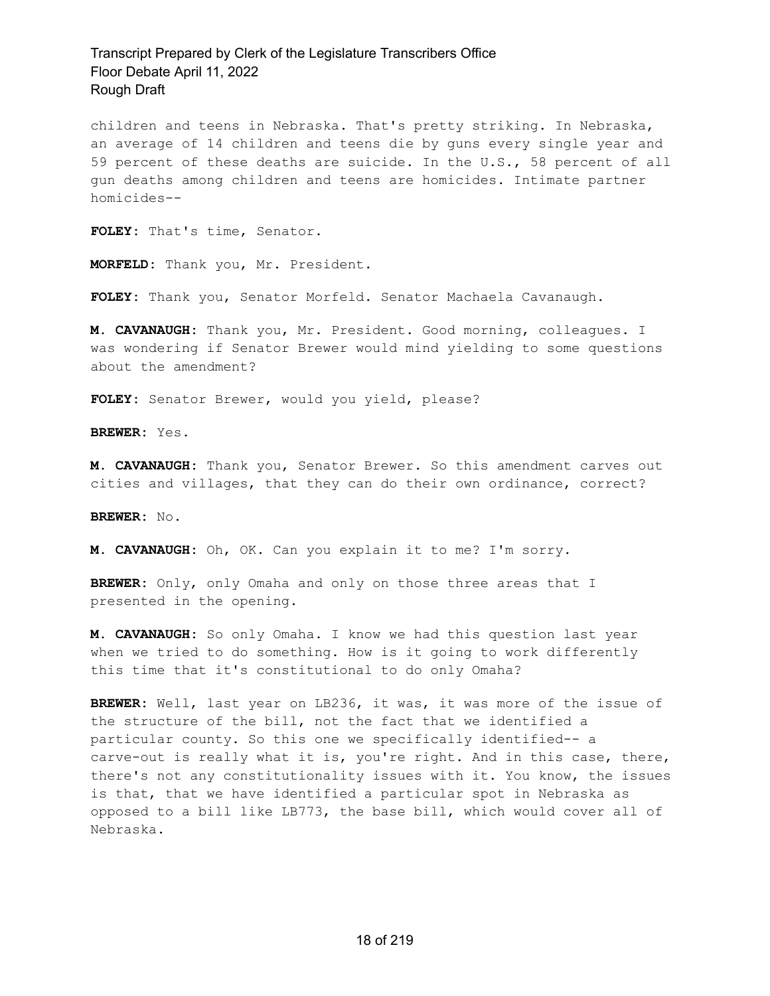children and teens in Nebraska. That's pretty striking. In Nebraska, an average of 14 children and teens die by guns every single year and 59 percent of these deaths are suicide. In the U.S., 58 percent of all gun deaths among children and teens are homicides. Intimate partner homicides--

**FOLEY:** That's time, Senator.

**MORFELD:** Thank you, Mr. President.

**FOLEY:** Thank you, Senator Morfeld. Senator Machaela Cavanaugh.

**M. CAVANAUGH:** Thank you, Mr. President. Good morning, colleagues. I was wondering if Senator Brewer would mind yielding to some questions about the amendment?

**FOLEY:** Senator Brewer, would you yield, please?

**BREWER:** Yes.

**M. CAVANAUGH:** Thank you, Senator Brewer. So this amendment carves out cities and villages, that they can do their own ordinance, correct?

**BREWER:** No.

**M. CAVANAUGH:** Oh, OK. Can you explain it to me? I'm sorry.

**BREWER:** Only, only Omaha and only on those three areas that I presented in the opening.

**M. CAVANAUGH:** So only Omaha. I know we had this question last year when we tried to do something. How is it going to work differently this time that it's constitutional to do only Omaha?

**BREWER:** Well, last year on LB236, it was, it was more of the issue of the structure of the bill, not the fact that we identified a particular county. So this one we specifically identified-- a carve-out is really what it is, you're right. And in this case, there, there's not any constitutionality issues with it. You know, the issues is that, that we have identified a particular spot in Nebraska as opposed to a bill like LB773, the base bill, which would cover all of Nebraska.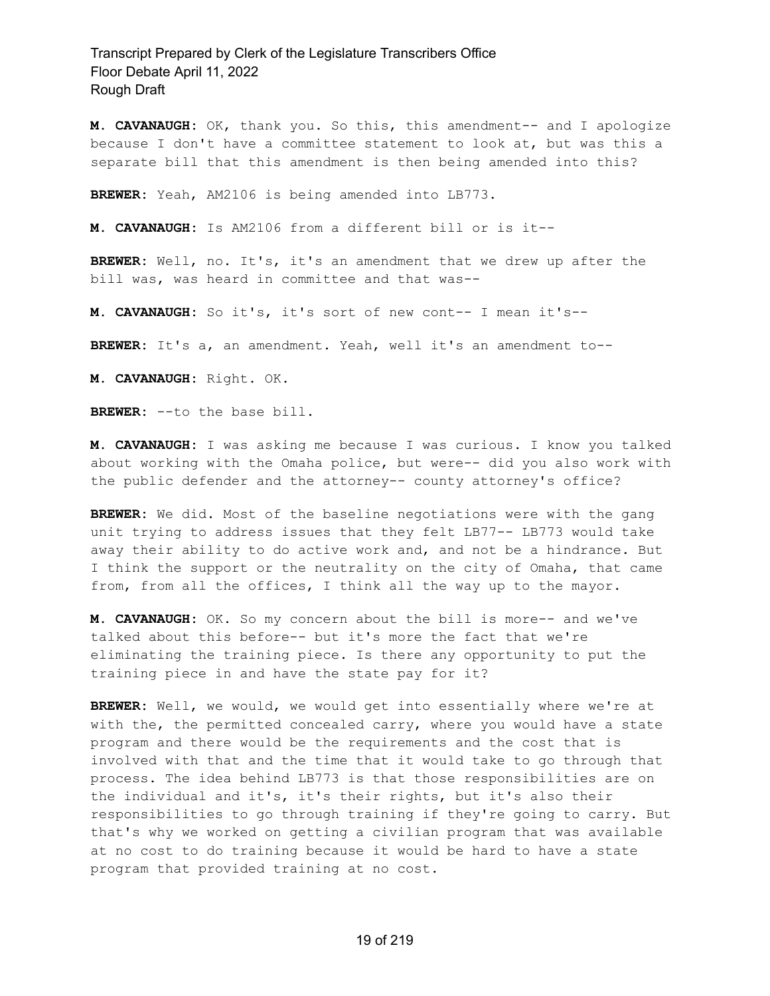**M. CAVANAUGH:** OK, thank you. So this, this amendment-- and I apologize because I don't have a committee statement to look at, but was this a separate bill that this amendment is then being amended into this?

**BREWER:** Yeah, AM2106 is being amended into LB773.

**M. CAVANAUGH:** Is AM2106 from a different bill or is it--

**BREWER:** Well, no. It's, it's an amendment that we drew up after the bill was, was heard in committee and that was--

**M. CAVANAUGH:** So it's, it's sort of new cont-- I mean it's--

**BREWER:** It's a, an amendment. Yeah, well it's an amendment to--

**M. CAVANAUGH:** Right. OK.

**BREWER:** --to the base bill.

**M. CAVANAUGH:** I was asking me because I was curious. I know you talked about working with the Omaha police, but were-- did you also work with the public defender and the attorney-- county attorney's office?

**BREWER:** We did. Most of the baseline negotiations were with the gang unit trying to address issues that they felt LB77-- LB773 would take away their ability to do active work and, and not be a hindrance. But I think the support or the neutrality on the city of Omaha, that came from, from all the offices, I think all the way up to the mayor.

**M. CAVANAUGH:** OK. So my concern about the bill is more-- and we've talked about this before-- but it's more the fact that we're eliminating the training piece. Is there any opportunity to put the training piece in and have the state pay for it?

**BREWER:** Well, we would, we would get into essentially where we're at with the, the permitted concealed carry, where you would have a state program and there would be the requirements and the cost that is involved with that and the time that it would take to go through that process. The idea behind LB773 is that those responsibilities are on the individual and it's, it's their rights, but it's also their responsibilities to go through training if they're going to carry. But that's why we worked on getting a civilian program that was available at no cost to do training because it would be hard to have a state program that provided training at no cost.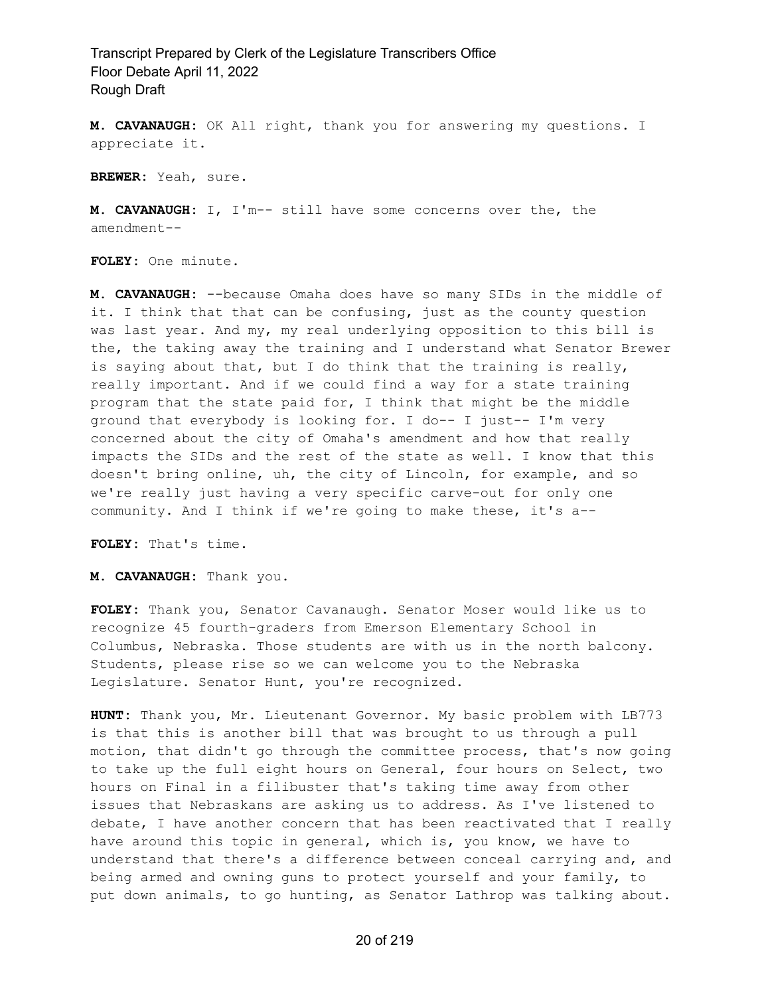**M. CAVANAUGH:** OK All right, thank you for answering my questions. I appreciate it.

**BREWER:** Yeah, sure.

**M. CAVANAUGH:** I, I'm-- still have some concerns over the, the amendment--

**FOLEY:** One minute.

**M. CAVANAUGH:** --because Omaha does have so many SIDs in the middle of it. I think that that can be confusing, just as the county question was last year. And my, my real underlying opposition to this bill is the, the taking away the training and I understand what Senator Brewer is saying about that, but I do think that the training is really, really important. And if we could find a way for a state training program that the state paid for, I think that might be the middle ground that everybody is looking for. I do-- I just-- I'm very concerned about the city of Omaha's amendment and how that really impacts the SIDs and the rest of the state as well. I know that this doesn't bring online, uh, the city of Lincoln, for example, and so we're really just having a very specific carve-out for only one community. And I think if we're going to make these, it's a--

**FOLEY:** That's time.

**M. CAVANAUGH:** Thank you.

**FOLEY:** Thank you, Senator Cavanaugh. Senator Moser would like us to recognize 45 fourth-graders from Emerson Elementary School in Columbus, Nebraska. Those students are with us in the north balcony. Students, please rise so we can welcome you to the Nebraska Legislature. Senator Hunt, you're recognized.

**HUNT:** Thank you, Mr. Lieutenant Governor. My basic problem with LB773 is that this is another bill that was brought to us through a pull motion, that didn't go through the committee process, that's now going to take up the full eight hours on General, four hours on Select, two hours on Final in a filibuster that's taking time away from other issues that Nebraskans are asking us to address. As I've listened to debate, I have another concern that has been reactivated that I really have around this topic in general, which is, you know, we have to understand that there's a difference between conceal carrying and, and being armed and owning guns to protect yourself and your family, to put down animals, to go hunting, as Senator Lathrop was talking about.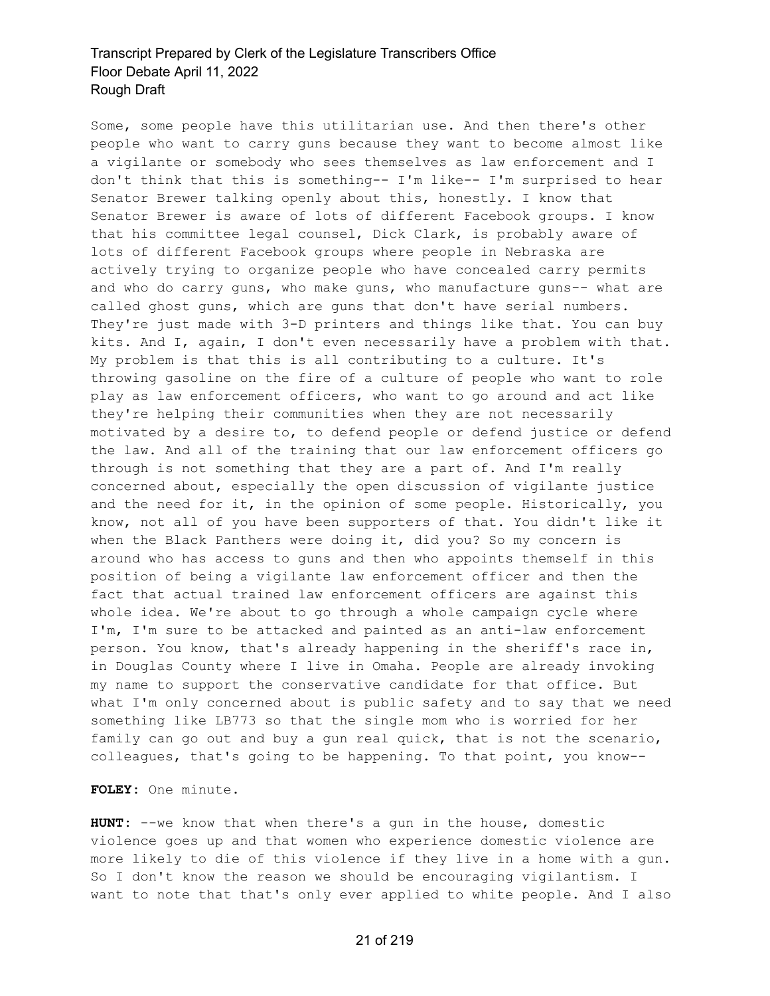Some, some people have this utilitarian use. And then there's other people who want to carry guns because they want to become almost like a vigilante or somebody who sees themselves as law enforcement and I don't think that this is something-- I'm like-- I'm surprised to hear Senator Brewer talking openly about this, honestly. I know that Senator Brewer is aware of lots of different Facebook groups. I know that his committee legal counsel, Dick Clark, is probably aware of lots of different Facebook groups where people in Nebraska are actively trying to organize people who have concealed carry permits and who do carry guns, who make guns, who manufacture guns-- what are called ghost guns, which are guns that don't have serial numbers. They're just made with 3-D printers and things like that. You can buy kits. And I, again, I don't even necessarily have a problem with that. My problem is that this is all contributing to a culture. It's throwing gasoline on the fire of a culture of people who want to role play as law enforcement officers, who want to go around and act like they're helping their communities when they are not necessarily motivated by a desire to, to defend people or defend justice or defend the law. And all of the training that our law enforcement officers go through is not something that they are a part of. And I'm really concerned about, especially the open discussion of vigilante justice and the need for it, in the opinion of some people. Historically, you know, not all of you have been supporters of that. You didn't like it when the Black Panthers were doing it, did you? So my concern is around who has access to guns and then who appoints themself in this position of being a vigilante law enforcement officer and then the fact that actual trained law enforcement officers are against this whole idea. We're about to go through a whole campaign cycle where I'm, I'm sure to be attacked and painted as an anti-law enforcement person. You know, that's already happening in the sheriff's race in, in Douglas County where I live in Omaha. People are already invoking my name to support the conservative candidate for that office. But what I'm only concerned about is public safety and to say that we need something like LB773 so that the single mom who is worried for her family can go out and buy a gun real quick, that is not the scenario, colleagues, that's going to be happening. To that point, you know--

**FOLEY:** One minute.

**HUNT:** --we know that when there's a gun in the house, domestic violence goes up and that women who experience domestic violence are more likely to die of this violence if they live in a home with a gun. So I don't know the reason we should be encouraging vigilantism. I want to note that that's only ever applied to white people. And I also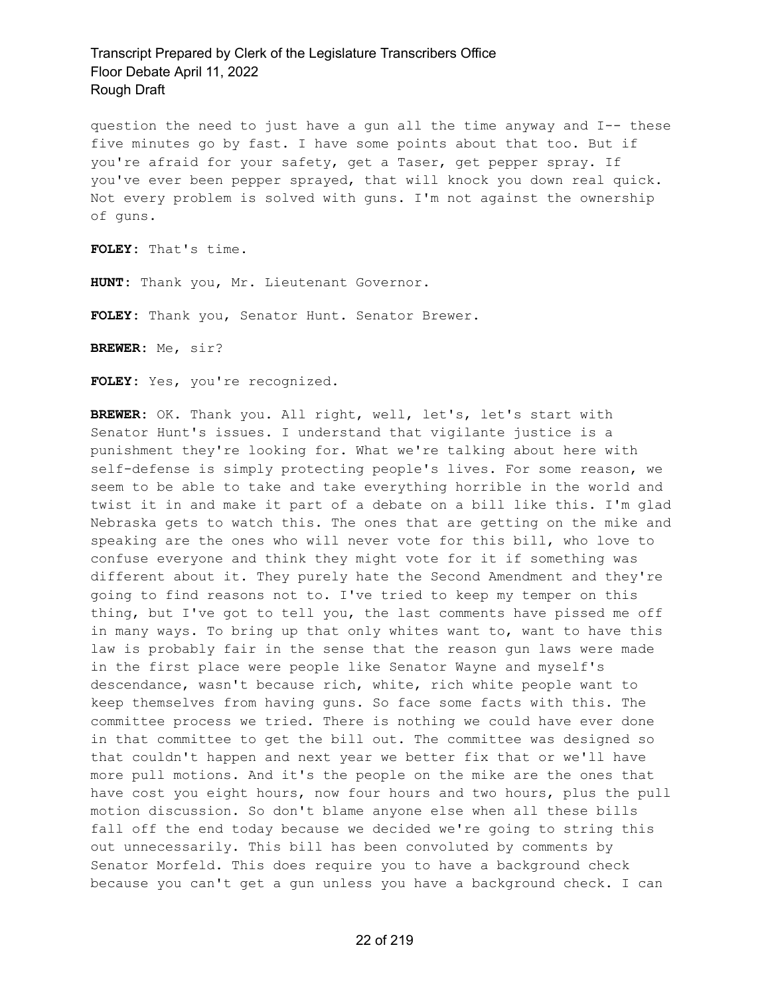question the need to just have a gun all the time anyway and I-- these five minutes go by fast. I have some points about that too. But if you're afraid for your safety, get a Taser, get pepper spray. If you've ever been pepper sprayed, that will knock you down real quick. Not every problem is solved with guns. I'm not against the ownership of guns.

**FOLEY:** That's time.

**HUNT:** Thank you, Mr. Lieutenant Governor.

**FOLEY:** Thank you, Senator Hunt. Senator Brewer.

**BREWER:** Me, sir?

**FOLEY:** Yes, you're recognized.

**BREWER:** OK. Thank you. All right, well, let's, let's start with Senator Hunt's issues. I understand that vigilante justice is a punishment they're looking for. What we're talking about here with self-defense is simply protecting people's lives. For some reason, we seem to be able to take and take everything horrible in the world and twist it in and make it part of a debate on a bill like this. I'm glad Nebraska gets to watch this. The ones that are getting on the mike and speaking are the ones who will never vote for this bill, who love to confuse everyone and think they might vote for it if something was different about it. They purely hate the Second Amendment and they're going to find reasons not to. I've tried to keep my temper on this thing, but I've got to tell you, the last comments have pissed me off in many ways. To bring up that only whites want to, want to have this law is probably fair in the sense that the reason gun laws were made in the first place were people like Senator Wayne and myself's descendance, wasn't because rich, white, rich white people want to keep themselves from having guns. So face some facts with this. The committee process we tried. There is nothing we could have ever done in that committee to get the bill out. The committee was designed so that couldn't happen and next year we better fix that or we'll have more pull motions. And it's the people on the mike are the ones that have cost you eight hours, now four hours and two hours, plus the pull motion discussion. So don't blame anyone else when all these bills fall off the end today because we decided we're going to string this out unnecessarily. This bill has been convoluted by comments by Senator Morfeld. This does require you to have a background check because you can't get a gun unless you have a background check. I can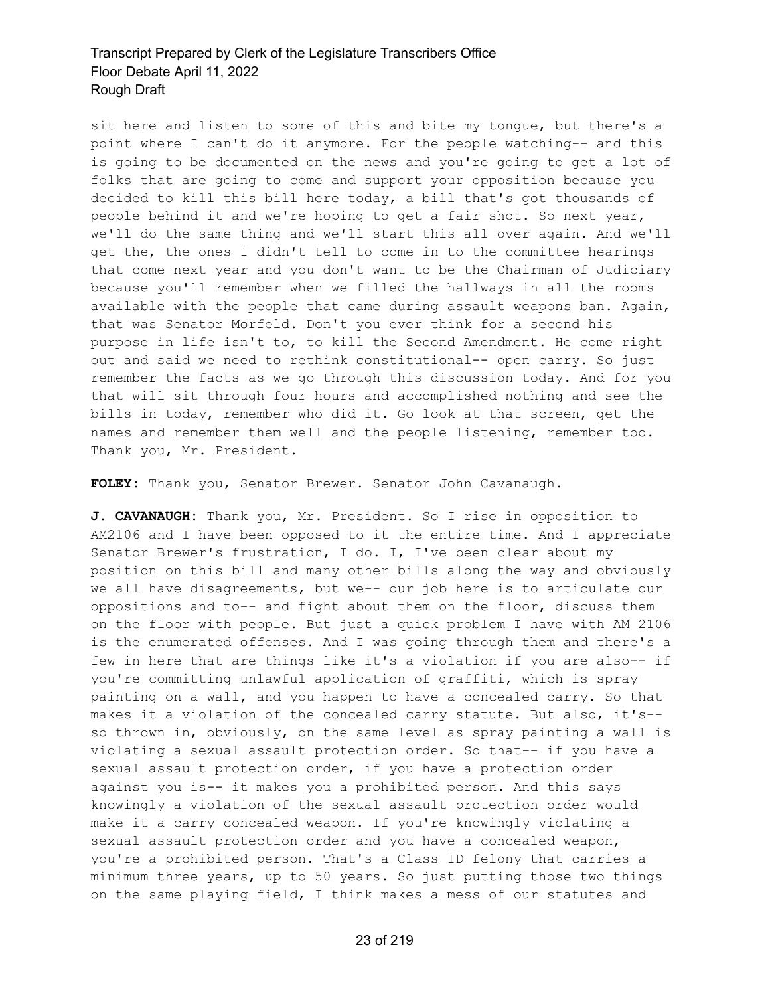sit here and listen to some of this and bite my tongue, but there's a point where I can't do it anymore. For the people watching-- and this is going to be documented on the news and you're going to get a lot of folks that are going to come and support your opposition because you decided to kill this bill here today, a bill that's got thousands of people behind it and we're hoping to get a fair shot. So next year, we'll do the same thing and we'll start this all over again. And we'll get the, the ones I didn't tell to come in to the committee hearings that come next year and you don't want to be the Chairman of Judiciary because you'll remember when we filled the hallways in all the rooms available with the people that came during assault weapons ban. Again, that was Senator Morfeld. Don't you ever think for a second his purpose in life isn't to, to kill the Second Amendment. He come right out and said we need to rethink constitutional-- open carry. So just remember the facts as we go through this discussion today. And for you that will sit through four hours and accomplished nothing and see the bills in today, remember who did it. Go look at that screen, get the names and remember them well and the people listening, remember too. Thank you, Mr. President.

**FOLEY:** Thank you, Senator Brewer. Senator John Cavanaugh.

**J. CAVANAUGH:** Thank you, Mr. President. So I rise in opposition to AM2106 and I have been opposed to it the entire time. And I appreciate Senator Brewer's frustration, I do. I, I've been clear about my position on this bill and many other bills along the way and obviously we all have disagreements, but we-- our job here is to articulate our oppositions and to-- and fight about them on the floor, discuss them on the floor with people. But just a quick problem I have with AM 2106 is the enumerated offenses. And I was going through them and there's a few in here that are things like it's a violation if you are also-- if you're committing unlawful application of graffiti, which is spray painting on a wall, and you happen to have a concealed carry. So that makes it a violation of the concealed carry statute. But also, it's- so thrown in, obviously, on the same level as spray painting a wall is violating a sexual assault protection order. So that-- if you have a sexual assault protection order, if you have a protection order against you is-- it makes you a prohibited person. And this says knowingly a violation of the sexual assault protection order would make it a carry concealed weapon. If you're knowingly violating a sexual assault protection order and you have a concealed weapon, you're a prohibited person. That's a Class ID felony that carries a minimum three years, up to 50 years. So just putting those two things on the same playing field, I think makes a mess of our statutes and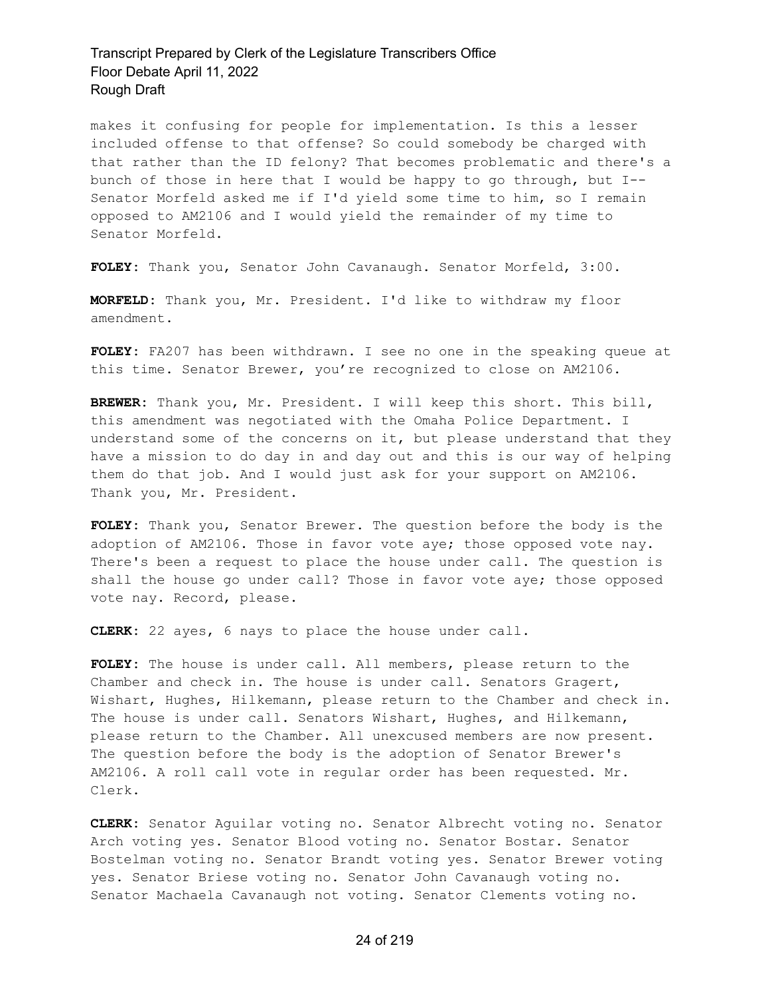makes it confusing for people for implementation. Is this a lesser included offense to that offense? So could somebody be charged with that rather than the ID felony? That becomes problematic and there's a bunch of those in here that I would be happy to go through, but I-- Senator Morfeld asked me if I'd yield some time to him, so I remain opposed to AM2106 and I would yield the remainder of my time to Senator Morfeld.

**FOLEY:** Thank you, Senator John Cavanaugh. Senator Morfeld, 3:00.

**MORFELD:** Thank you, Mr. President. I'd like to withdraw my floor amendment.

**FOLEY:** FA207 has been withdrawn. I see no one in the speaking queue at this time. Senator Brewer, you're recognized to close on AM2106.

**BREWER:** Thank you, Mr. President. I will keep this short. This bill, this amendment was negotiated with the Omaha Police Department. I understand some of the concerns on it, but please understand that they have a mission to do day in and day out and this is our way of helping them do that job. And I would just ask for your support on AM2106. Thank you, Mr. President.

**FOLEY:** Thank you, Senator Brewer. The question before the body is the adoption of AM2106. Those in favor vote aye; those opposed vote nay. There's been a request to place the house under call. The question is shall the house go under call? Those in favor vote aye; those opposed vote nay. Record, please.

**CLERK:** 22 ayes, 6 nays to place the house under call.

**FOLEY:** The house is under call. All members, please return to the Chamber and check in. The house is under call. Senators Gragert, Wishart, Hughes, Hilkemann, please return to the Chamber and check in. The house is under call. Senators Wishart, Hughes, and Hilkemann, please return to the Chamber. All unexcused members are now present. The question before the body is the adoption of Senator Brewer's AM2106. A roll call vote in regular order has been requested. Mr. Clerk.

**CLERK:** Senator Aguilar voting no. Senator Albrecht voting no. Senator Arch voting yes. Senator Blood voting no. Senator Bostar. Senator Bostelman voting no. Senator Brandt voting yes. Senator Brewer voting yes. Senator Briese voting no. Senator John Cavanaugh voting no. Senator Machaela Cavanaugh not voting. Senator Clements voting no.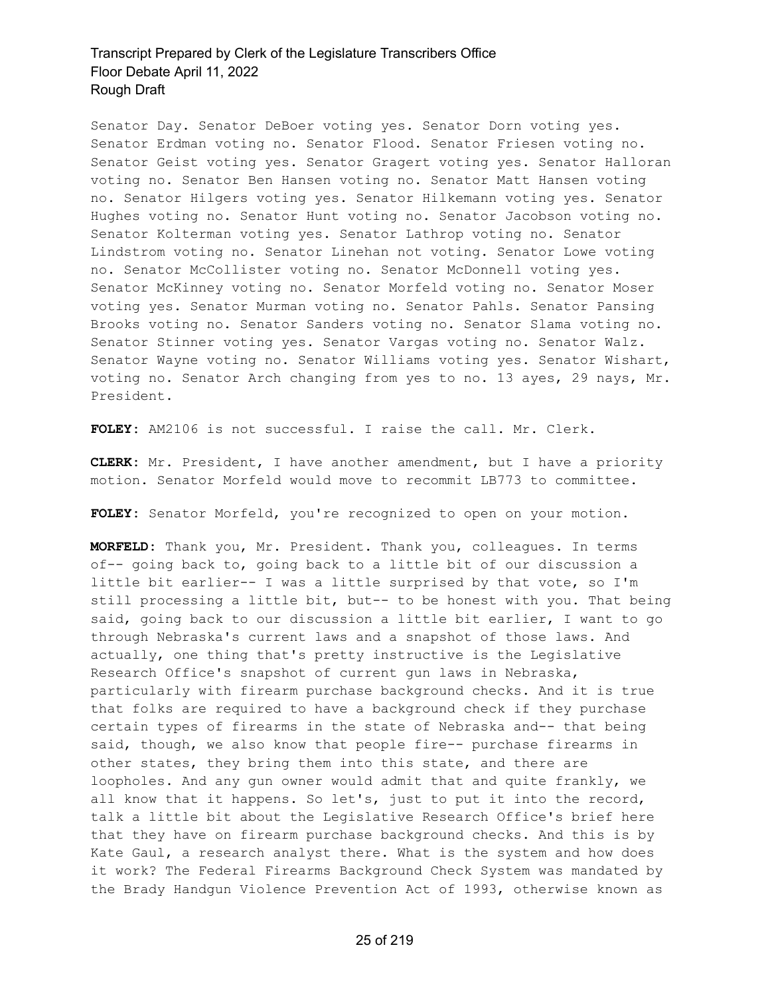Senator Day. Senator DeBoer voting yes. Senator Dorn voting yes. Senator Erdman voting no. Senator Flood. Senator Friesen voting no. Senator Geist voting yes. Senator Gragert voting yes. Senator Halloran voting no. Senator Ben Hansen voting no. Senator Matt Hansen voting no. Senator Hilgers voting yes. Senator Hilkemann voting yes. Senator Hughes voting no. Senator Hunt voting no. Senator Jacobson voting no. Senator Kolterman voting yes. Senator Lathrop voting no. Senator Lindstrom voting no. Senator Linehan not voting. Senator Lowe voting no. Senator McCollister voting no. Senator McDonnell voting yes. Senator McKinney voting no. Senator Morfeld voting no. Senator Moser voting yes. Senator Murman voting no. Senator Pahls. Senator Pansing Brooks voting no. Senator Sanders voting no. Senator Slama voting no. Senator Stinner voting yes. Senator Vargas voting no. Senator Walz. Senator Wayne voting no. Senator Williams voting yes. Senator Wishart, voting no. Senator Arch changing from yes to no. 13 ayes, 29 nays, Mr. President.

**FOLEY:** AM2106 is not successful. I raise the call. Mr. Clerk.

**CLERK:** Mr. President, I have another amendment, but I have a priority motion. Senator Morfeld would move to recommit LB773 to committee.

**FOLEY:** Senator Morfeld, you're recognized to open on your motion.

**MORFELD:** Thank you, Mr. President. Thank you, colleagues. In terms of-- going back to, going back to a little bit of our discussion a little bit earlier-- I was a little surprised by that vote, so I'm still processing a little bit, but-- to be honest with you. That being said, going back to our discussion a little bit earlier, I want to go through Nebraska's current laws and a snapshot of those laws. And actually, one thing that's pretty instructive is the Legislative Research Office's snapshot of current gun laws in Nebraska, particularly with firearm purchase background checks. And it is true that folks are required to have a background check if they purchase certain types of firearms in the state of Nebraska and-- that being said, though, we also know that people fire-- purchase firearms in other states, they bring them into this state, and there are loopholes. And any gun owner would admit that and quite frankly, we all know that it happens. So let's, just to put it into the record, talk a little bit about the Legislative Research Office's brief here that they have on firearm purchase background checks. And this is by Kate Gaul, a research analyst there. What is the system and how does it work? The Federal Firearms Background Check System was mandated by the Brady Handgun Violence Prevention Act of 1993, otherwise known as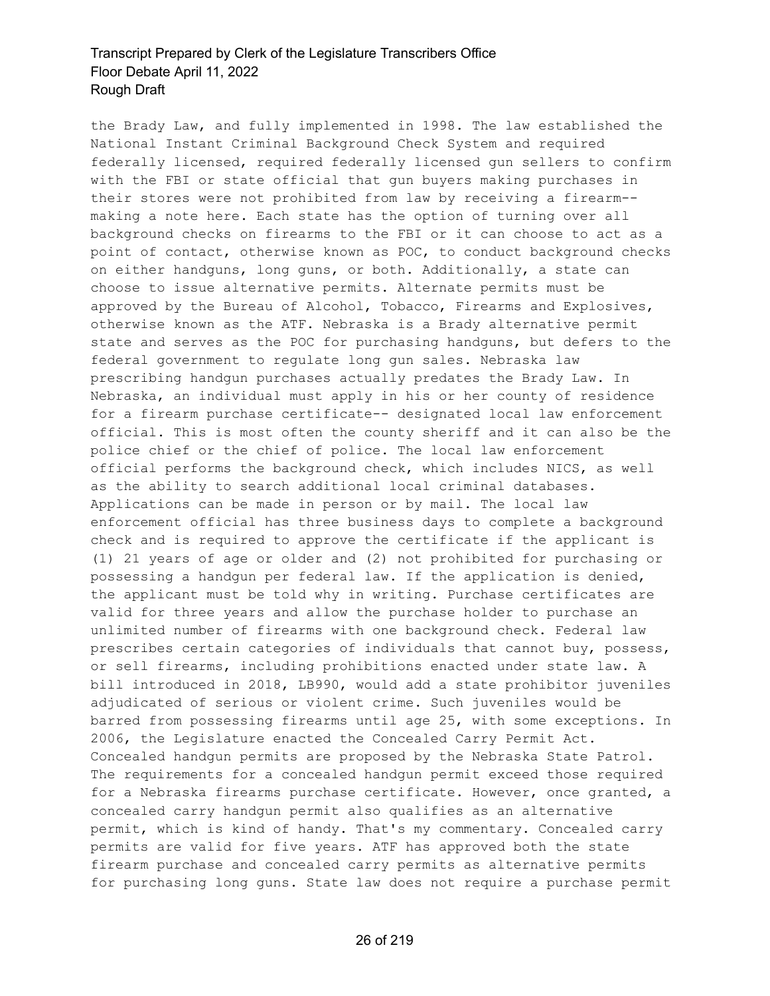the Brady Law, and fully implemented in 1998. The law established the National Instant Criminal Background Check System and required federally licensed, required federally licensed gun sellers to confirm with the FBI or state official that gun buyers making purchases in their stores were not prohibited from law by receiving a firearm- making a note here. Each state has the option of turning over all background checks on firearms to the FBI or it can choose to act as a point of contact, otherwise known as POC, to conduct background checks on either handguns, long guns, or both. Additionally, a state can choose to issue alternative permits. Alternate permits must be approved by the Bureau of Alcohol, Tobacco, Firearms and Explosives, otherwise known as the ATF. Nebraska is a Brady alternative permit state and serves as the POC for purchasing handguns, but defers to the federal government to regulate long gun sales. Nebraska law prescribing handgun purchases actually predates the Brady Law. In Nebraska, an individual must apply in his or her county of residence for a firearm purchase certificate-- designated local law enforcement official. This is most often the county sheriff and it can also be the police chief or the chief of police. The local law enforcement official performs the background check, which includes NICS, as well as the ability to search additional local criminal databases. Applications can be made in person or by mail. The local law enforcement official has three business days to complete a background check and is required to approve the certificate if the applicant is (1) 21 years of age or older and (2) not prohibited for purchasing or possessing a handgun per federal law. If the application is denied, the applicant must be told why in writing. Purchase certificates are valid for three years and allow the purchase holder to purchase an unlimited number of firearms with one background check. Federal law prescribes certain categories of individuals that cannot buy, possess, or sell firearms, including prohibitions enacted under state law. A bill introduced in 2018, LB990, would add a state prohibitor juveniles adjudicated of serious or violent crime. Such juveniles would be barred from possessing firearms until age 25, with some exceptions. In 2006, the Legislature enacted the Concealed Carry Permit Act. Concealed handgun permits are proposed by the Nebraska State Patrol. The requirements for a concealed handgun permit exceed those required for a Nebraska firearms purchase certificate. However, once granted, a concealed carry handgun permit also qualifies as an alternative permit, which is kind of handy. That's my commentary. Concealed carry permits are valid for five years. ATF has approved both the state firearm purchase and concealed carry permits as alternative permits for purchasing long guns. State law does not require a purchase permit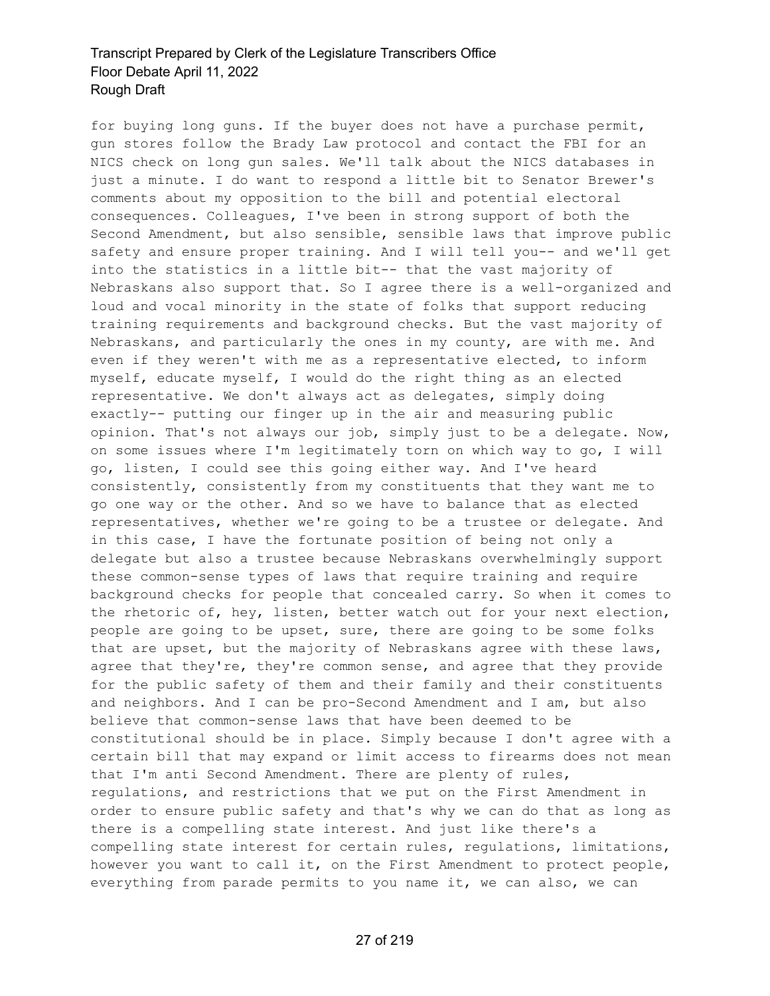for buying long guns. If the buyer does not have a purchase permit, gun stores follow the Brady Law protocol and contact the FBI for an NICS check on long gun sales. We'll talk about the NICS databases in just a minute. I do want to respond a little bit to Senator Brewer's comments about my opposition to the bill and potential electoral consequences. Colleagues, I've been in strong support of both the Second Amendment, but also sensible, sensible laws that improve public safety and ensure proper training. And I will tell you-- and we'll get into the statistics in a little bit-- that the vast majority of Nebraskans also support that. So I agree there is a well-organized and loud and vocal minority in the state of folks that support reducing training requirements and background checks. But the vast majority of Nebraskans, and particularly the ones in my county, are with me. And even if they weren't with me as a representative elected, to inform myself, educate myself, I would do the right thing as an elected representative. We don't always act as delegates, simply doing exactly-- putting our finger up in the air and measuring public opinion. That's not always our job, simply just to be a delegate. Now, on some issues where I'm legitimately torn on which way to go, I will go, listen, I could see this going either way. And I've heard consistently, consistently from my constituents that they want me to go one way or the other. And so we have to balance that as elected representatives, whether we're going to be a trustee or delegate. And in this case, I have the fortunate position of being not only a delegate but also a trustee because Nebraskans overwhelmingly support these common-sense types of laws that require training and require background checks for people that concealed carry. So when it comes to the rhetoric of, hey, listen, better watch out for your next election, people are going to be upset, sure, there are going to be some folks that are upset, but the majority of Nebraskans agree with these laws, agree that they're, they're common sense, and agree that they provide for the public safety of them and their family and their constituents and neighbors. And I can be pro-Second Amendment and I am, but also believe that common-sense laws that have been deemed to be constitutional should be in place. Simply because I don't agree with a certain bill that may expand or limit access to firearms does not mean that I'm anti Second Amendment. There are plenty of rules, regulations, and restrictions that we put on the First Amendment in order to ensure public safety and that's why we can do that as long as there is a compelling state interest. And just like there's a compelling state interest for certain rules, regulations, limitations, however you want to call it, on the First Amendment to protect people, everything from parade permits to you name it, we can also, we can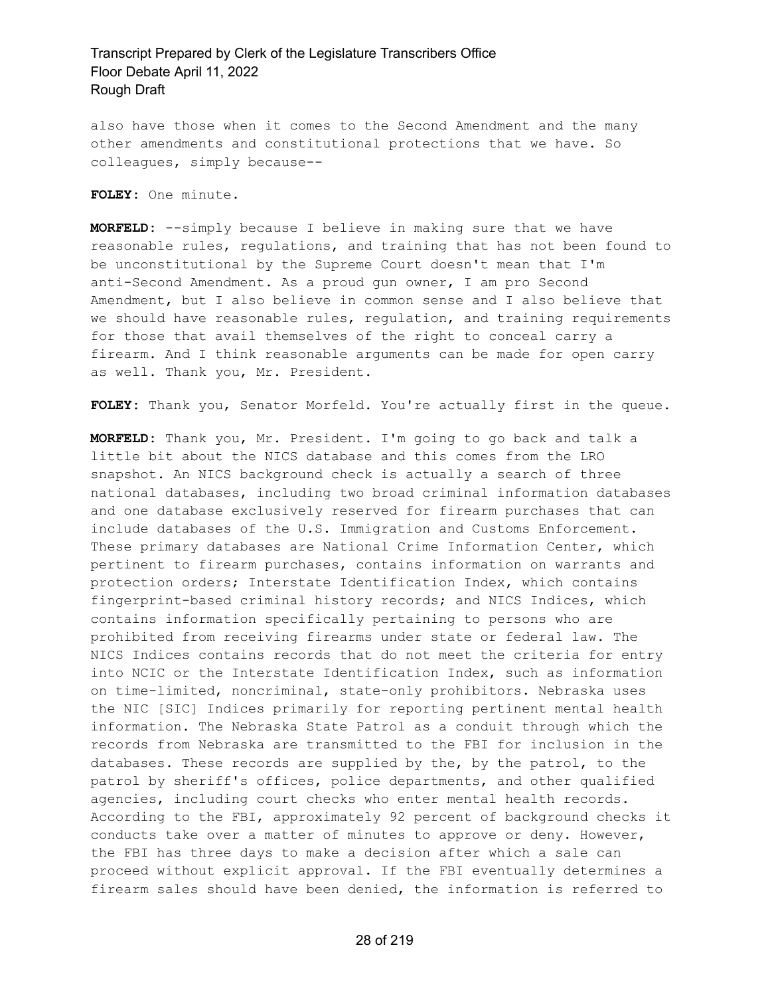also have those when it comes to the Second Amendment and the many other amendments and constitutional protections that we have. So colleagues, simply because--

**FOLEY:** One minute.

**MORFELD:** --simply because I believe in making sure that we have reasonable rules, regulations, and training that has not been found to be unconstitutional by the Supreme Court doesn't mean that I'm anti-Second Amendment. As a proud gun owner, I am pro Second Amendment, but I also believe in common sense and I also believe that we should have reasonable rules, regulation, and training requirements for those that avail themselves of the right to conceal carry a firearm. And I think reasonable arguments can be made for open carry as well. Thank you, Mr. President.

**FOLEY:** Thank you, Senator Morfeld. You're actually first in the queue.

**MORFELD:** Thank you, Mr. President. I'm going to go back and talk a little bit about the NICS database and this comes from the LRO snapshot. An NICS background check is actually a search of three national databases, including two broad criminal information databases and one database exclusively reserved for firearm purchases that can include databases of the U.S. Immigration and Customs Enforcement. These primary databases are National Crime Information Center, which pertinent to firearm purchases, contains information on warrants and protection orders; Interstate Identification Index, which contains fingerprint-based criminal history records; and NICS Indices, which contains information specifically pertaining to persons who are prohibited from receiving firearms under state or federal law. The NICS Indices contains records that do not meet the criteria for entry into NCIC or the Interstate Identification Index, such as information on time-limited, noncriminal, state-only prohibitors. Nebraska uses the NIC [SIC] Indices primarily for reporting pertinent mental health information. The Nebraska State Patrol as a conduit through which the records from Nebraska are transmitted to the FBI for inclusion in the databases. These records are supplied by the, by the patrol, to the patrol by sheriff's offices, police departments, and other qualified agencies, including court checks who enter mental health records. According to the FBI, approximately 92 percent of background checks it conducts take over a matter of minutes to approve or deny. However, the FBI has three days to make a decision after which a sale can proceed without explicit approval. If the FBI eventually determines a firearm sales should have been denied, the information is referred to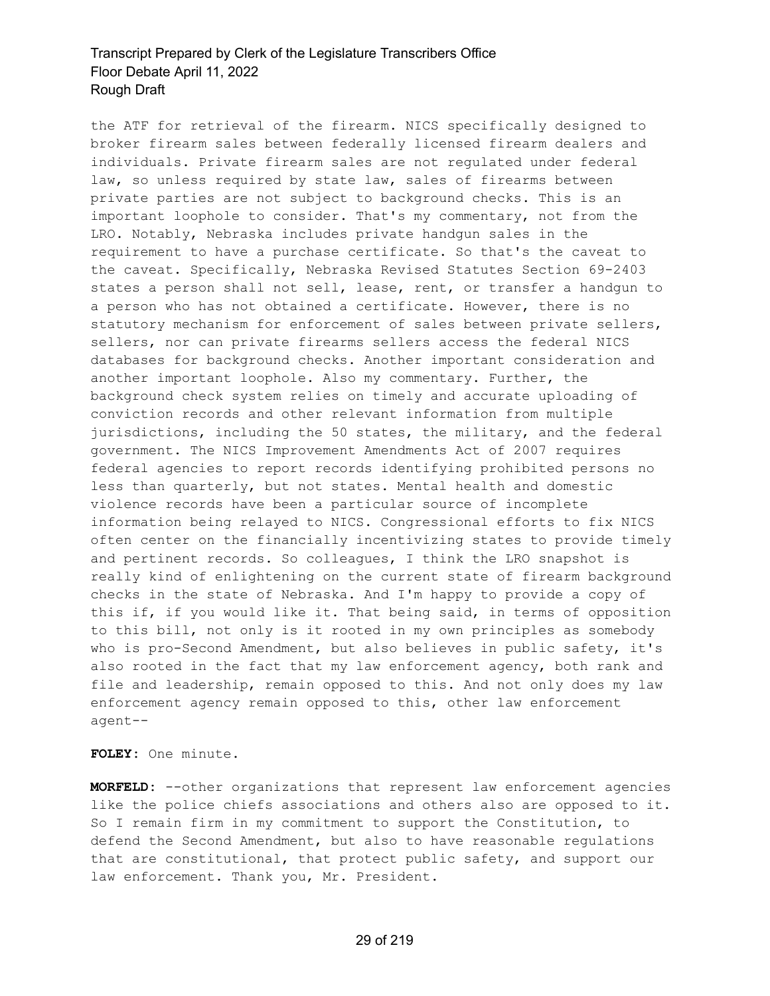the ATF for retrieval of the firearm. NICS specifically designed to broker firearm sales between federally licensed firearm dealers and individuals. Private firearm sales are not regulated under federal law, so unless required by state law, sales of firearms between private parties are not subject to background checks. This is an important loophole to consider. That's my commentary, not from the LRO. Notably, Nebraska includes private handgun sales in the requirement to have a purchase certificate. So that's the caveat to the caveat. Specifically, Nebraska Revised Statutes Section 69-2403 states a person shall not sell, lease, rent, or transfer a handgun to a person who has not obtained a certificate. However, there is no statutory mechanism for enforcement of sales between private sellers, sellers, nor can private firearms sellers access the federal NICS databases for background checks. Another important consideration and another important loophole. Also my commentary. Further, the background check system relies on timely and accurate uploading of conviction records and other relevant information from multiple jurisdictions, including the 50 states, the military, and the federal government. The NICS Improvement Amendments Act of 2007 requires federal agencies to report records identifying prohibited persons no less than quarterly, but not states. Mental health and domestic violence records have been a particular source of incomplete information being relayed to NICS. Congressional efforts to fix NICS often center on the financially incentivizing states to provide timely and pertinent records. So colleagues, I think the LRO snapshot is really kind of enlightening on the current state of firearm background checks in the state of Nebraska. And I'm happy to provide a copy of this if, if you would like it. That being said, in terms of opposition to this bill, not only is it rooted in my own principles as somebody who is pro-Second Amendment, but also believes in public safety, it's also rooted in the fact that my law enforcement agency, both rank and file and leadership, remain opposed to this. And not only does my law enforcement agency remain opposed to this, other law enforcement agent--

**FOLEY:** One minute.

**MORFELD:** --other organizations that represent law enforcement agencies like the police chiefs associations and others also are opposed to it. So I remain firm in my commitment to support the Constitution, to defend the Second Amendment, but also to have reasonable regulations that are constitutional, that protect public safety, and support our law enforcement. Thank you, Mr. President.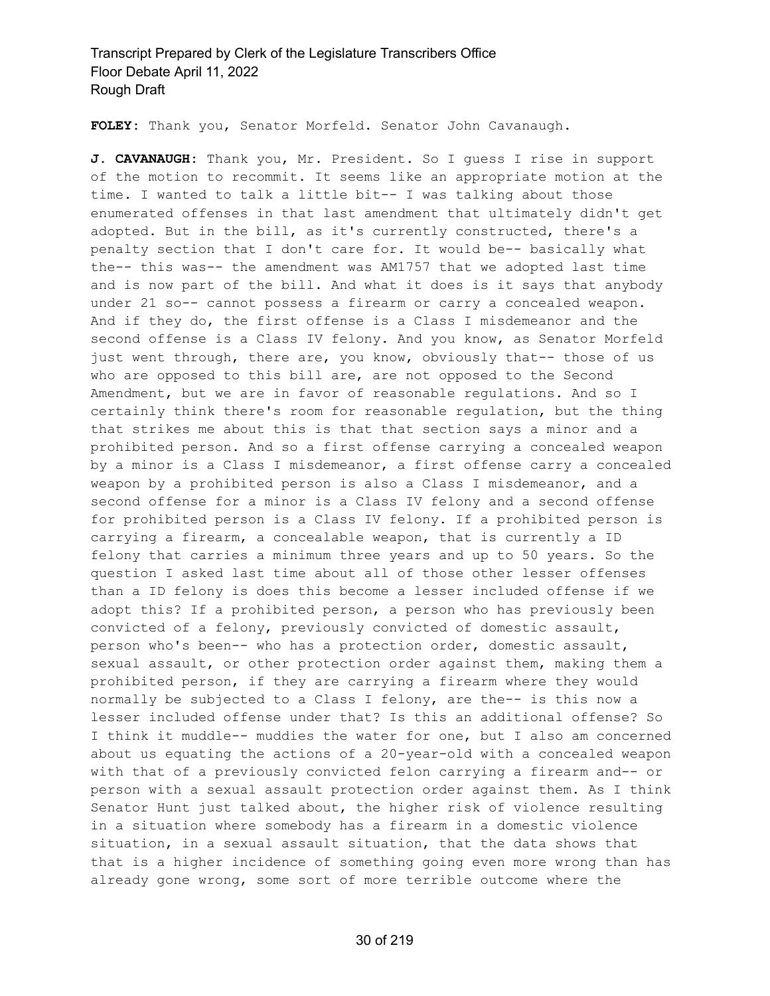**FOLEY:** Thank you, Senator Morfeld. Senator John Cavanaugh.

**J. CAVANAUGH:** Thank you, Mr. President. So I guess I rise in support of the motion to recommit. It seems like an appropriate motion at the time. I wanted to talk a little bit-- I was talking about those enumerated offenses in that last amendment that ultimately didn't get adopted. But in the bill, as it's currently constructed, there's a penalty section that I don't care for. It would be-- basically what the-- this was-- the amendment was AM1757 that we adopted last time and is now part of the bill. And what it does is it says that anybody under 21 so-- cannot possess a firearm or carry a concealed weapon. And if they do, the first offense is a Class I misdemeanor and the second offense is a Class IV felony. And you know, as Senator Morfeld just went through, there are, you know, obviously that-- those of us who are opposed to this bill are, are not opposed to the Second Amendment, but we are in favor of reasonable regulations. And so I certainly think there's room for reasonable regulation, but the thing that strikes me about this is that that section says a minor and a prohibited person. And so a first offense carrying a concealed weapon by a minor is a Class I misdemeanor, a first offense carry a concealed weapon by a prohibited person is also a Class I misdemeanor, and a second offense for a minor is a Class IV felony and a second offense for prohibited person is a Class IV felony. If a prohibited person is carrying a firearm, a concealable weapon, that is currently a ID felony that carries a minimum three years and up to 50 years. So the question I asked last time about all of those other lesser offenses than a ID felony is does this become a lesser included offense if we adopt this? If a prohibited person, a person who has previously been convicted of a felony, previously convicted of domestic assault, person who's been-- who has a protection order, domestic assault, sexual assault, or other protection order against them, making them a prohibited person, if they are carrying a firearm where they would normally be subjected to a Class I felony, are the-- is this now a lesser included offense under that? Is this an additional offense? So I think it muddle-- muddies the water for one, but I also am concerned about us equating the actions of a 20-year-old with a concealed weapon with that of a previously convicted felon carrying a firearm and-- or person with a sexual assault protection order against them. As I think Senator Hunt just talked about, the higher risk of violence resulting in a situation where somebody has a firearm in a domestic violence situation, in a sexual assault situation, that the data shows that that is a higher incidence of something going even more wrong than has already gone wrong, some sort of more terrible outcome where the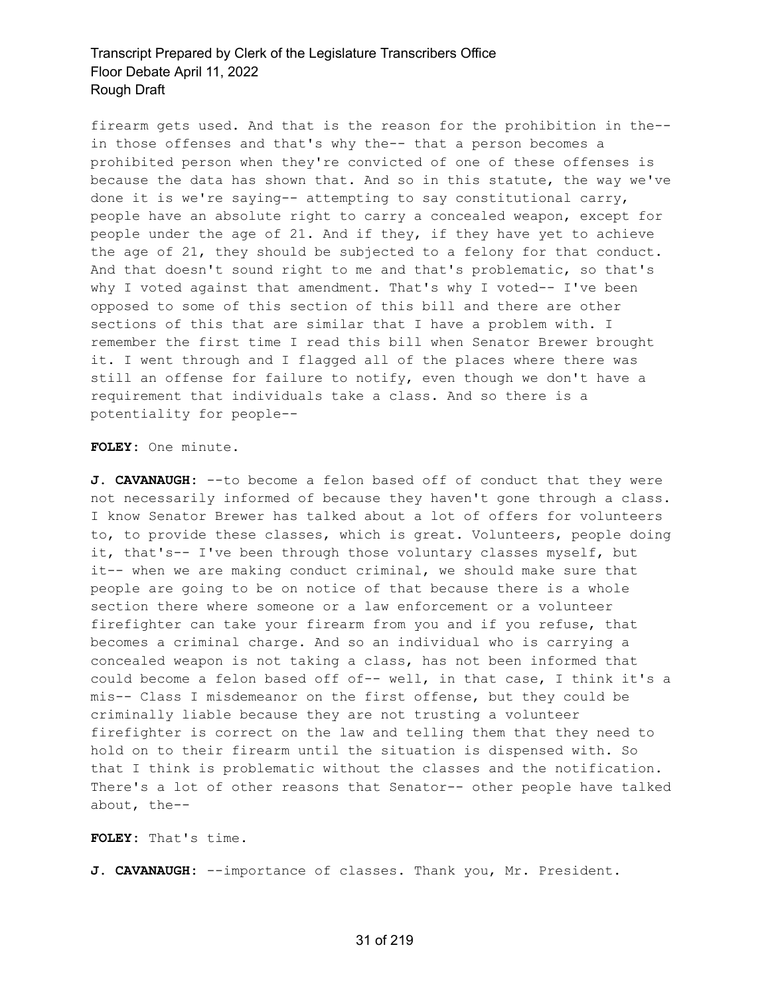firearm gets used. And that is the reason for the prohibition in the- in those offenses and that's why the-- that a person becomes a prohibited person when they're convicted of one of these offenses is because the data has shown that. And so in this statute, the way we've done it is we're saying-- attempting to say constitutional carry, people have an absolute right to carry a concealed weapon, except for people under the age of 21. And if they, if they have yet to achieve the age of 21, they should be subjected to a felony for that conduct. And that doesn't sound right to me and that's problematic, so that's why I voted against that amendment. That's why I voted-- I've been opposed to some of this section of this bill and there are other sections of this that are similar that I have a problem with. I remember the first time I read this bill when Senator Brewer brought it. I went through and I flagged all of the places where there was still an offense for failure to notify, even though we don't have a requirement that individuals take a class. And so there is a potentiality for people--

#### **FOLEY:** One minute.

**J. CAVANAUGH:** --to become a felon based off of conduct that they were not necessarily informed of because they haven't gone through a class. I know Senator Brewer has talked about a lot of offers for volunteers to, to provide these classes, which is great. Volunteers, people doing it, that's-- I've been through those voluntary classes myself, but it-- when we are making conduct criminal, we should make sure that people are going to be on notice of that because there is a whole section there where someone or a law enforcement or a volunteer firefighter can take your firearm from you and if you refuse, that becomes a criminal charge. And so an individual who is carrying a concealed weapon is not taking a class, has not been informed that could become a felon based off of-- well, in that case, I think it's a mis-- Class I misdemeanor on the first offense, but they could be criminally liable because they are not trusting a volunteer firefighter is correct on the law and telling them that they need to hold on to their firearm until the situation is dispensed with. So that I think is problematic without the classes and the notification. There's a lot of other reasons that Senator-- other people have talked about, the--

**FOLEY:** That's time.

**J. CAVANAUGH:** --importance of classes. Thank you, Mr. President.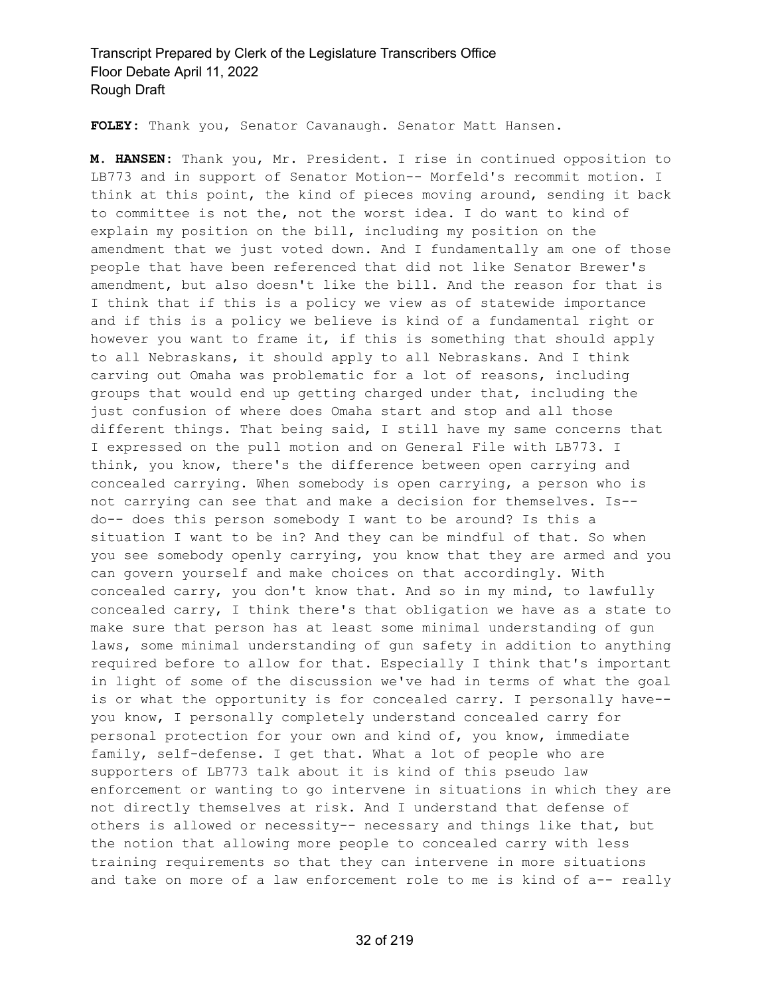**FOLEY:** Thank you, Senator Cavanaugh. Senator Matt Hansen.

**M. HANSEN:** Thank you, Mr. President. I rise in continued opposition to LB773 and in support of Senator Motion-- Morfeld's recommit motion. I think at this point, the kind of pieces moving around, sending it back to committee is not the, not the worst idea. I do want to kind of explain my position on the bill, including my position on the amendment that we just voted down. And I fundamentally am one of those people that have been referenced that did not like Senator Brewer's amendment, but also doesn't like the bill. And the reason for that is I think that if this is a policy we view as of statewide importance and if this is a policy we believe is kind of a fundamental right or however you want to frame it, if this is something that should apply to all Nebraskans, it should apply to all Nebraskans. And I think carving out Omaha was problematic for a lot of reasons, including groups that would end up getting charged under that, including the just confusion of where does Omaha start and stop and all those different things. That being said, I still have my same concerns that I expressed on the pull motion and on General File with LB773. I think, you know, there's the difference between open carrying and concealed carrying. When somebody is open carrying, a person who is not carrying can see that and make a decision for themselves. Is- do-- does this person somebody I want to be around? Is this a situation I want to be in? And they can be mindful of that. So when you see somebody openly carrying, you know that they are armed and you can govern yourself and make choices on that accordingly. With concealed carry, you don't know that. And so in my mind, to lawfully concealed carry, I think there's that obligation we have as a state to make sure that person has at least some minimal understanding of gun laws, some minimal understanding of gun safety in addition to anything required before to allow for that. Especially I think that's important in light of some of the discussion we've had in terms of what the goal is or what the opportunity is for concealed carry. I personally have- you know, I personally completely understand concealed carry for personal protection for your own and kind of, you know, immediate family, self-defense. I get that. What a lot of people who are supporters of LB773 talk about it is kind of this pseudo law enforcement or wanting to go intervene in situations in which they are not directly themselves at risk. And I understand that defense of others is allowed or necessity-- necessary and things like that, but the notion that allowing more people to concealed carry with less training requirements so that they can intervene in more situations and take on more of a law enforcement role to me is kind of a-- really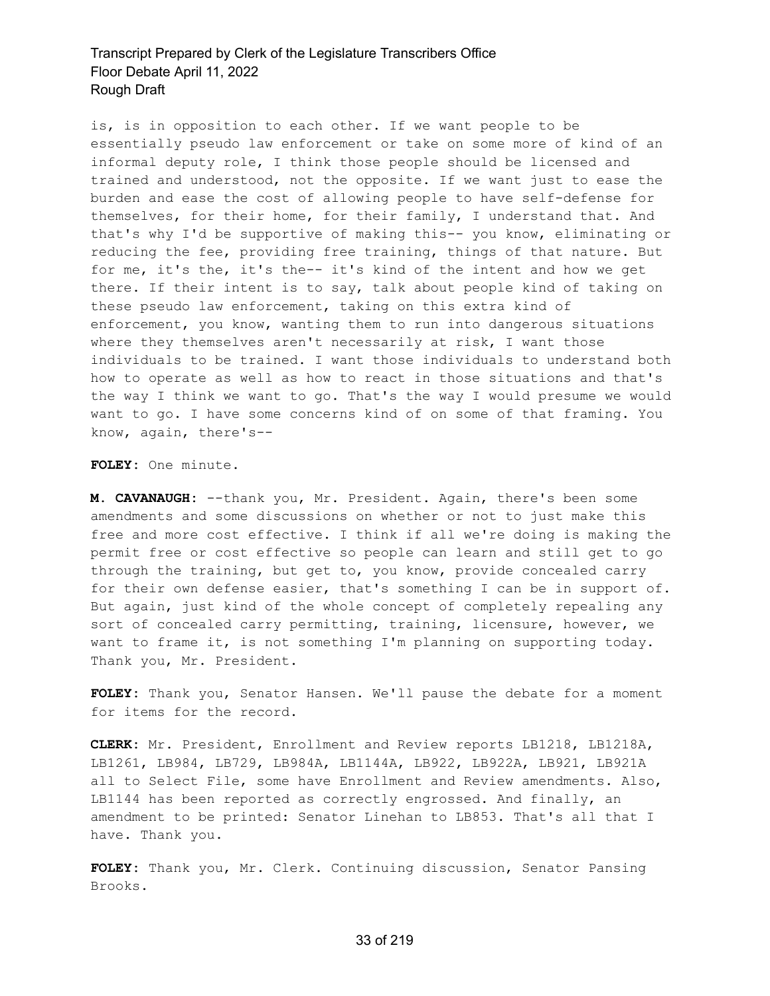is, is in opposition to each other. If we want people to be essentially pseudo law enforcement or take on some more of kind of an informal deputy role, I think those people should be licensed and trained and understood, not the opposite. If we want just to ease the burden and ease the cost of allowing people to have self-defense for themselves, for their home, for their family, I understand that. And that's why I'd be supportive of making this-- you know, eliminating or reducing the fee, providing free training, things of that nature. But for me, it's the, it's the-- it's kind of the intent and how we get there. If their intent is to say, talk about people kind of taking on these pseudo law enforcement, taking on this extra kind of enforcement, you know, wanting them to run into dangerous situations where they themselves aren't necessarily at risk, I want those individuals to be trained. I want those individuals to understand both how to operate as well as how to react in those situations and that's the way I think we want to go. That's the way I would presume we would want to go. I have some concerns kind of on some of that framing. You know, again, there's--

**FOLEY:** One minute.

**M. CAVANAUGH:** --thank you, Mr. President. Again, there's been some amendments and some discussions on whether or not to just make this free and more cost effective. I think if all we're doing is making the permit free or cost effective so people can learn and still get to go through the training, but get to, you know, provide concealed carry for their own defense easier, that's something I can be in support of. But again, just kind of the whole concept of completely repealing any sort of concealed carry permitting, training, licensure, however, we want to frame it, is not something I'm planning on supporting today. Thank you, Mr. President.

**FOLEY:** Thank you, Senator Hansen. We'll pause the debate for a moment for items for the record.

**CLERK:** Mr. President, Enrollment and Review reports LB1218, LB1218A, LB1261, LB984, LB729, LB984A, LB1144A, LB922, LB922A, LB921, LB921A all to Select File, some have Enrollment and Review amendments. Also, LB1144 has been reported as correctly engrossed. And finally, an amendment to be printed: Senator Linehan to LB853. That's all that I have. Thank you.

**FOLEY:** Thank you, Mr. Clerk. Continuing discussion, Senator Pansing Brooks.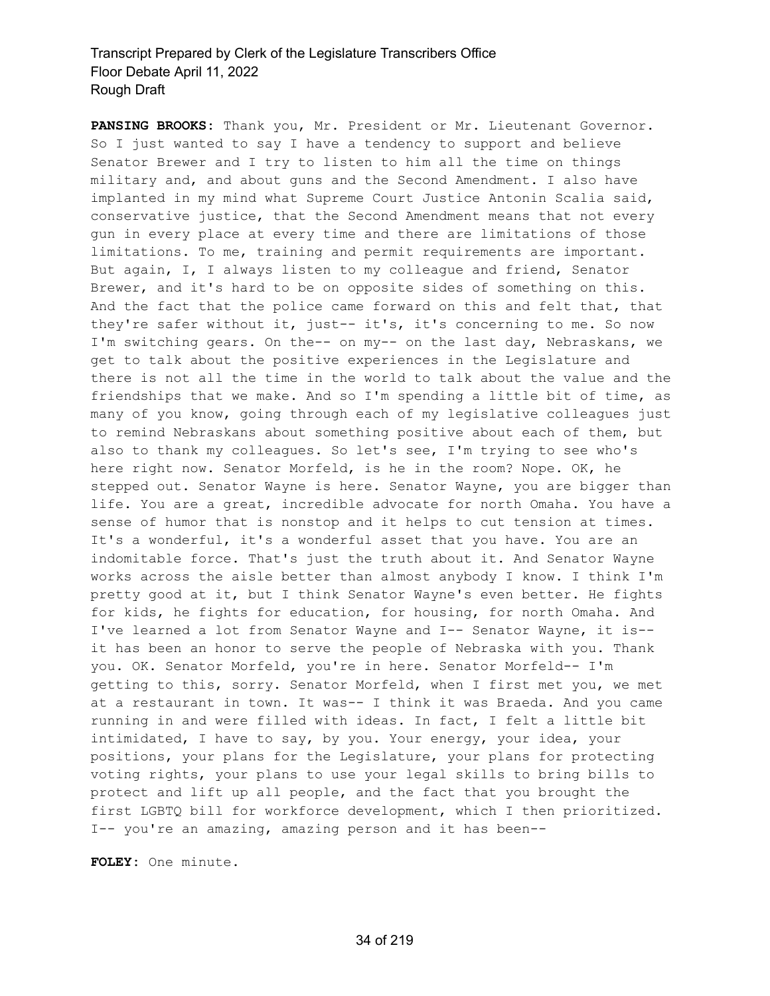**PANSING BROOKS:** Thank you, Mr. President or Mr. Lieutenant Governor. So I just wanted to say I have a tendency to support and believe Senator Brewer and I try to listen to him all the time on things military and, and about guns and the Second Amendment. I also have implanted in my mind what Supreme Court Justice Antonin Scalia said, conservative justice, that the Second Amendment means that not every gun in every place at every time and there are limitations of those limitations. To me, training and permit requirements are important. But again, I, I always listen to my colleague and friend, Senator Brewer, and it's hard to be on opposite sides of something on this. And the fact that the police came forward on this and felt that, that they're safer without it, just-- it's, it's concerning to me. So now I'm switching gears. On the-- on my-- on the last day, Nebraskans, we get to talk about the positive experiences in the Legislature and there is not all the time in the world to talk about the value and the friendships that we make. And so I'm spending a little bit of time, as many of you know, going through each of my legislative colleagues just to remind Nebraskans about something positive about each of them, but also to thank my colleagues. So let's see, I'm trying to see who's here right now. Senator Morfeld, is he in the room? Nope. OK, he stepped out. Senator Wayne is here. Senator Wayne, you are bigger than life. You are a great, incredible advocate for north Omaha. You have a sense of humor that is nonstop and it helps to cut tension at times. It's a wonderful, it's a wonderful asset that you have. You are an indomitable force. That's just the truth about it. And Senator Wayne works across the aisle better than almost anybody I know. I think I'm pretty good at it, but I think Senator Wayne's even better. He fights for kids, he fights for education, for housing, for north Omaha. And I've learned a lot from Senator Wayne and I-- Senator Wayne, it is- it has been an honor to serve the people of Nebraska with you. Thank you. OK. Senator Morfeld, you're in here. Senator Morfeld-- I'm getting to this, sorry. Senator Morfeld, when I first met you, we met at a restaurant in town. It was-- I think it was Braeda. And you came running in and were filled with ideas. In fact, I felt a little bit intimidated, I have to say, by you. Your energy, your idea, your positions, your plans for the Legislature, your plans for protecting voting rights, your plans to use your legal skills to bring bills to protect and lift up all people, and the fact that you brought the first LGBTQ bill for workforce development, which I then prioritized. I-- you're an amazing, amazing person and it has been--

**FOLEY:** One minute.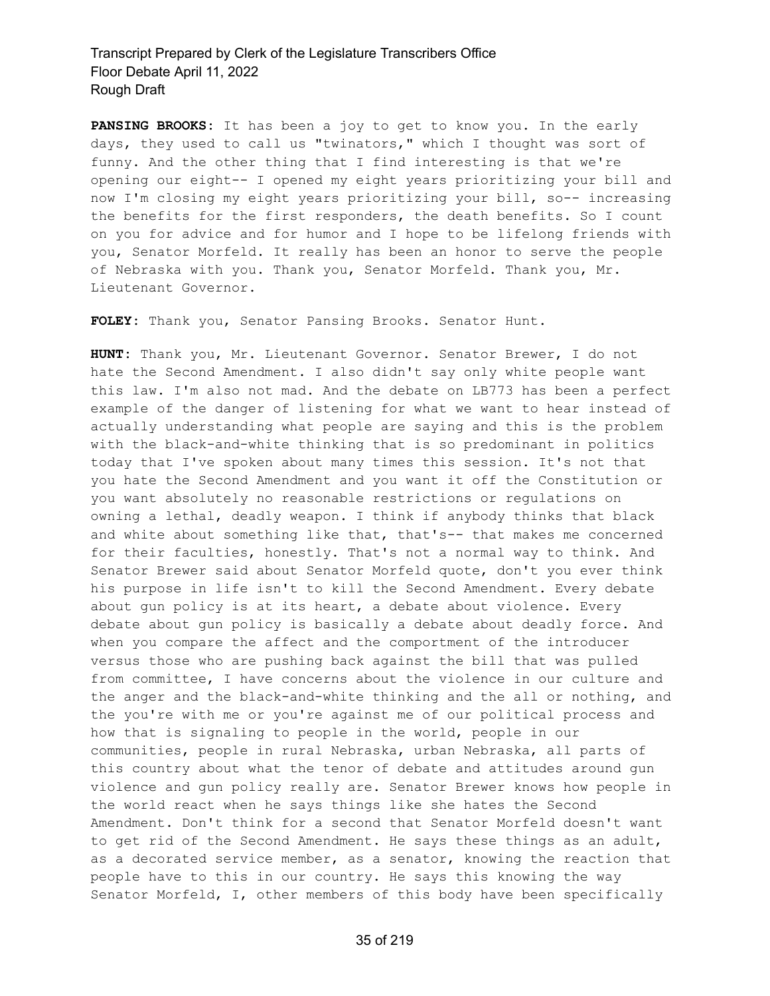**PANSING BROOKS:** It has been a joy to get to know you. In the early days, they used to call us "twinators," which I thought was sort of funny. And the other thing that I find interesting is that we're opening our eight-- I opened my eight years prioritizing your bill and now I'm closing my eight years prioritizing your bill, so-- increasing the benefits for the first responders, the death benefits. So I count on you for advice and for humor and I hope to be lifelong friends with you, Senator Morfeld. It really has been an honor to serve the people of Nebraska with you. Thank you, Senator Morfeld. Thank you, Mr. Lieutenant Governor.

**FOLEY:** Thank you, Senator Pansing Brooks. Senator Hunt.

**HUNT:** Thank you, Mr. Lieutenant Governor. Senator Brewer, I do not hate the Second Amendment. I also didn't say only white people want this law. I'm also not mad. And the debate on LB773 has been a perfect example of the danger of listening for what we want to hear instead of actually understanding what people are saying and this is the problem with the black-and-white thinking that is so predominant in politics today that I've spoken about many times this session. It's not that you hate the Second Amendment and you want it off the Constitution or you want absolutely no reasonable restrictions or regulations on owning a lethal, deadly weapon. I think if anybody thinks that black and white about something like that, that's-- that makes me concerned for their faculties, honestly. That's not a normal way to think. And Senator Brewer said about Senator Morfeld quote, don't you ever think his purpose in life isn't to kill the Second Amendment. Every debate about gun policy is at its heart, a debate about violence. Every debate about gun policy is basically a debate about deadly force. And when you compare the affect and the comportment of the introducer versus those who are pushing back against the bill that was pulled from committee, I have concerns about the violence in our culture and the anger and the black-and-white thinking and the all or nothing, and the you're with me or you're against me of our political process and how that is signaling to people in the world, people in our communities, people in rural Nebraska, urban Nebraska, all parts of this country about what the tenor of debate and attitudes around gun violence and gun policy really are. Senator Brewer knows how people in the world react when he says things like she hates the Second Amendment. Don't think for a second that Senator Morfeld doesn't want to get rid of the Second Amendment. He says these things as an adult, as a decorated service member, as a senator, knowing the reaction that people have to this in our country. He says this knowing the way Senator Morfeld, I, other members of this body have been specifically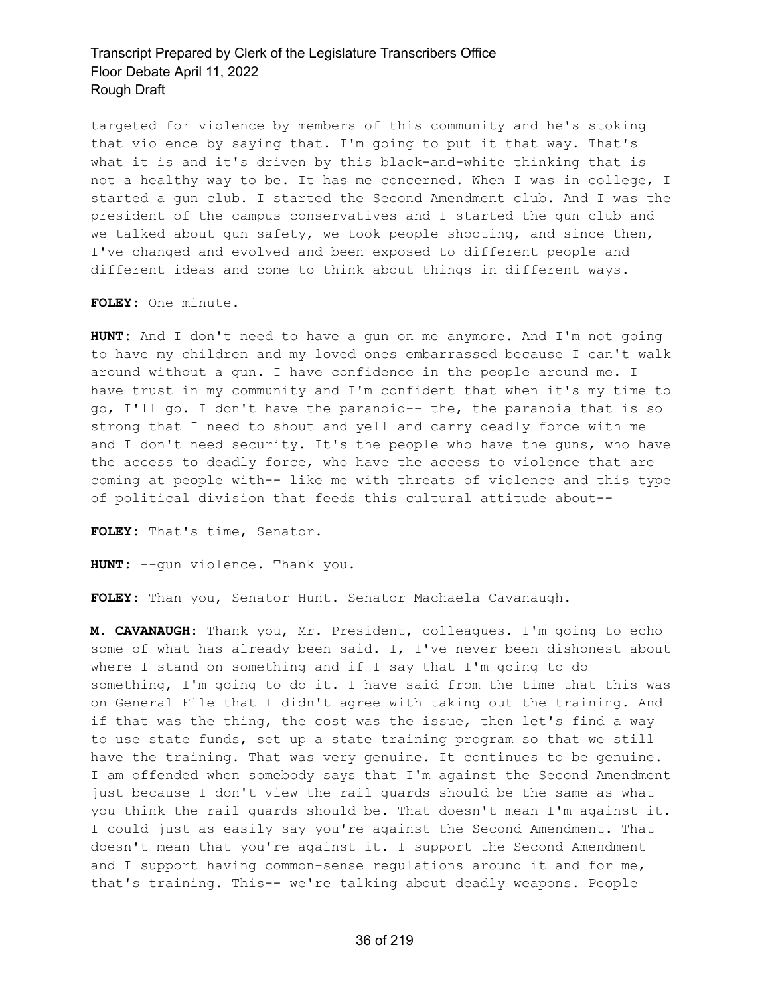targeted for violence by members of this community and he's stoking that violence by saying that. I'm going to put it that way. That's what it is and it's driven by this black-and-white thinking that is not a healthy way to be. It has me concerned. When I was in college, I started a gun club. I started the Second Amendment club. And I was the president of the campus conservatives and I started the gun club and we talked about gun safety, we took people shooting, and since then, I've changed and evolved and been exposed to different people and different ideas and come to think about things in different ways.

**FOLEY:** One minute.

**HUNT:** And I don't need to have a gun on me anymore. And I'm not going to have my children and my loved ones embarrassed because I can't walk around without a gun. I have confidence in the people around me. I have trust in my community and I'm confident that when it's my time to go, I'll go. I don't have the paranoid-- the, the paranoia that is so strong that I need to shout and yell and carry deadly force with me and I don't need security. It's the people who have the guns, who have the access to deadly force, who have the access to violence that are coming at people with-- like me with threats of violence and this type of political division that feeds this cultural attitude about--

**FOLEY:** That's time, Senator.

**HUNT:** --gun violence. Thank you.

**FOLEY:** Than you, Senator Hunt. Senator Machaela Cavanaugh.

**M. CAVANAUGH:** Thank you, Mr. President, colleagues. I'm going to echo some of what has already been said. I, I've never been dishonest about where I stand on something and if I say that I'm going to do something, I'm going to do it. I have said from the time that this was on General File that I didn't agree with taking out the training. And if that was the thing, the cost was the issue, then let's find a way to use state funds, set up a state training program so that we still have the training. That was very genuine. It continues to be genuine. I am offended when somebody says that I'm against the Second Amendment just because I don't view the rail guards should be the same as what you think the rail guards should be. That doesn't mean I'm against it. I could just as easily say you're against the Second Amendment. That doesn't mean that you're against it. I support the Second Amendment and I support having common-sense regulations around it and for me, that's training. This-- we're talking about deadly weapons. People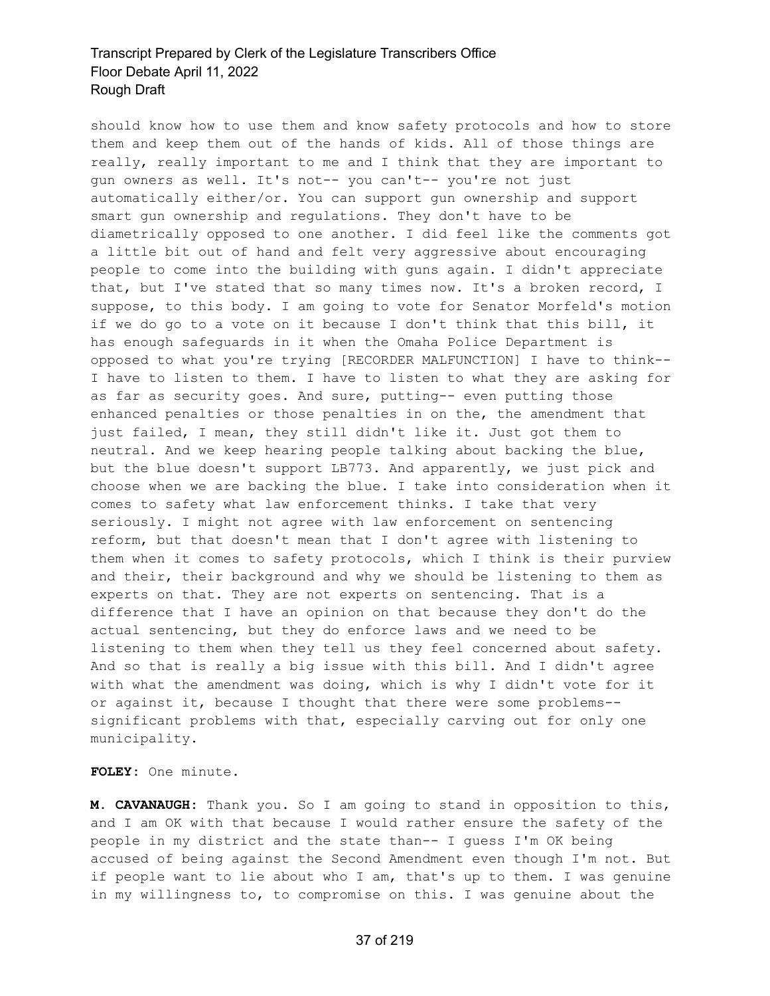should know how to use them and know safety protocols and how to store them and keep them out of the hands of kids. All of those things are really, really important to me and I think that they are important to gun owners as well. It's not-- you can't-- you're not just automatically either/or. You can support gun ownership and support smart gun ownership and regulations. They don't have to be diametrically opposed to one another. I did feel like the comments got a little bit out of hand and felt very aggressive about encouraging people to come into the building with guns again. I didn't appreciate that, but I've stated that so many times now. It's a broken record, I suppose, to this body. I am going to vote for Senator Morfeld's motion if we do go to a vote on it because I don't think that this bill, it has enough safeguards in it when the Omaha Police Department is opposed to what you're trying [RECORDER MALFUNCTION] I have to think-- I have to listen to them. I have to listen to what they are asking for as far as security goes. And sure, putting-- even putting those enhanced penalties or those penalties in on the, the amendment that just failed, I mean, they still didn't like it. Just got them to neutral. And we keep hearing people talking about backing the blue, but the blue doesn't support LB773. And apparently, we just pick and choose when we are backing the blue. I take into consideration when it comes to safety what law enforcement thinks. I take that very seriously. I might not agree with law enforcement on sentencing reform, but that doesn't mean that I don't agree with listening to them when it comes to safety protocols, which I think is their purview and their, their background and why we should be listening to them as experts on that. They are not experts on sentencing. That is a difference that I have an opinion on that because they don't do the actual sentencing, but they do enforce laws and we need to be listening to them when they tell us they feel concerned about safety. And so that is really a big issue with this bill. And I didn't agree with what the amendment was doing, which is why I didn't vote for it or against it, because I thought that there were some problems- significant problems with that, especially carving out for only one municipality.

**FOLEY:** One minute.

**M. CAVANAUGH:** Thank you. So I am going to stand in opposition to this, and I am OK with that because I would rather ensure the safety of the people in my district and the state than-- I guess I'm OK being accused of being against the Second Amendment even though I'm not. But if people want to lie about who I am, that's up to them. I was genuine in my willingness to, to compromise on this. I was genuine about the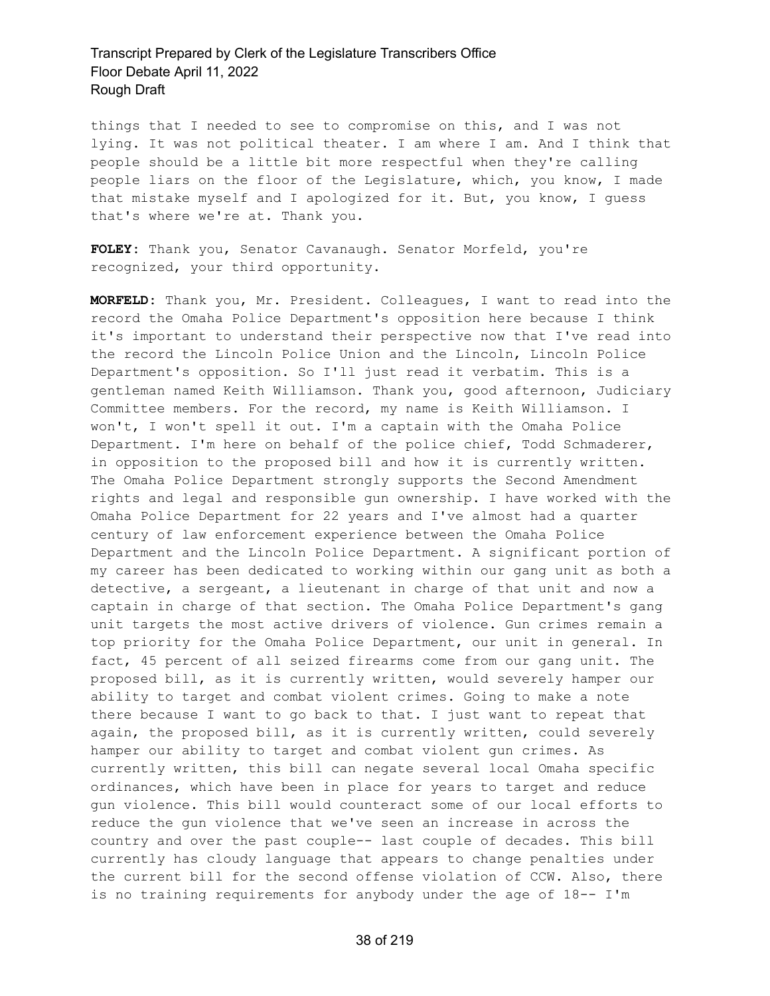things that I needed to see to compromise on this, and I was not lying. It was not political theater. I am where I am. And I think that people should be a little bit more respectful when they're calling people liars on the floor of the Legislature, which, you know, I made that mistake myself and I apologized for it. But, you know, I guess that's where we're at. Thank you.

**FOLEY:** Thank you, Senator Cavanaugh. Senator Morfeld, you're recognized, your third opportunity.

**MORFELD:** Thank you, Mr. President. Colleagues, I want to read into the record the Omaha Police Department's opposition here because I think it's important to understand their perspective now that I've read into the record the Lincoln Police Union and the Lincoln, Lincoln Police Department's opposition. So I'll just read it verbatim. This is a gentleman named Keith Williamson. Thank you, good afternoon, Judiciary Committee members. For the record, my name is Keith Williamson. I won't, I won't spell it out. I'm a captain with the Omaha Police Department. I'm here on behalf of the police chief, Todd Schmaderer, in opposition to the proposed bill and how it is currently written. The Omaha Police Department strongly supports the Second Amendment rights and legal and responsible gun ownership. I have worked with the Omaha Police Department for 22 years and I've almost had a quarter century of law enforcement experience between the Omaha Police Department and the Lincoln Police Department. A significant portion of my career has been dedicated to working within our gang unit as both a detective, a sergeant, a lieutenant in charge of that unit and now a captain in charge of that section. The Omaha Police Department's gang unit targets the most active drivers of violence. Gun crimes remain a top priority for the Omaha Police Department, our unit in general. In fact, 45 percent of all seized firearms come from our gang unit. The proposed bill, as it is currently written, would severely hamper our ability to target and combat violent crimes. Going to make a note there because I want to go back to that. I just want to repeat that again, the proposed bill, as it is currently written, could severely hamper our ability to target and combat violent gun crimes. As currently written, this bill can negate several local Omaha specific ordinances, which have been in place for years to target and reduce gun violence. This bill would counteract some of our local efforts to reduce the gun violence that we've seen an increase in across the country and over the past couple-- last couple of decades. This bill currently has cloudy language that appears to change penalties under the current bill for the second offense violation of CCW. Also, there is no training requirements for anybody under the age of 18-- I'm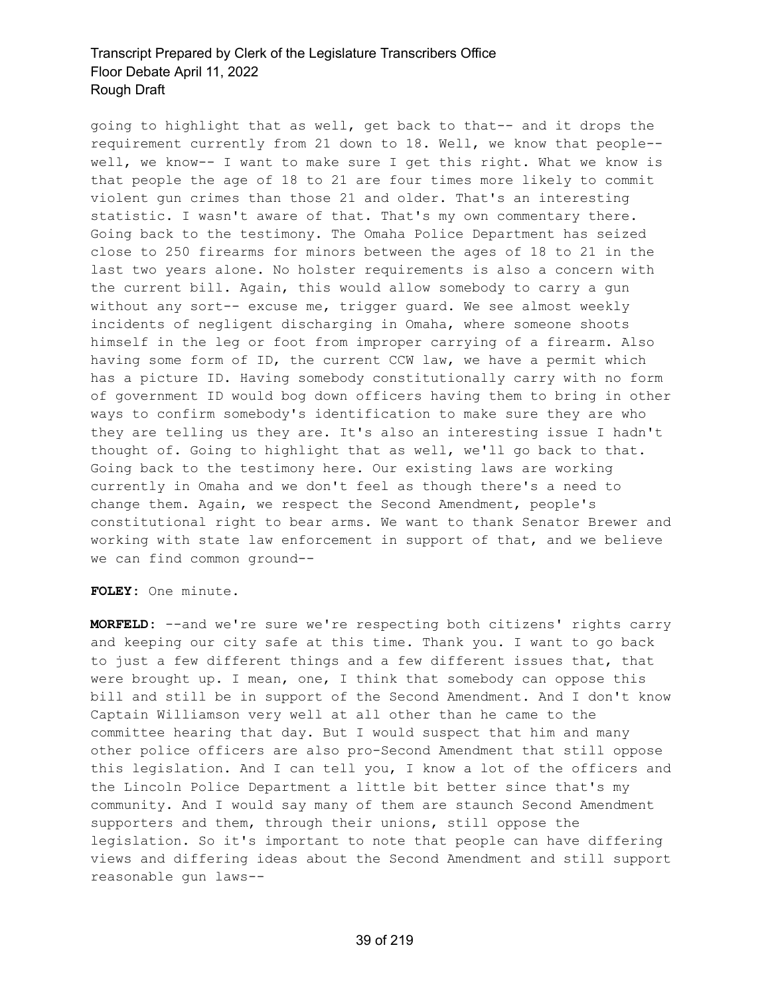going to highlight that as well, get back to that-- and it drops the requirement currently from 21 down to 18. Well, we know that people- well, we know-- I want to make sure I get this right. What we know is that people the age of 18 to 21 are four times more likely to commit violent gun crimes than those 21 and older. That's an interesting statistic. I wasn't aware of that. That's my own commentary there. Going back to the testimony. The Omaha Police Department has seized close to 250 firearms for minors between the ages of 18 to 21 in the last two years alone. No holster requirements is also a concern with the current bill. Again, this would allow somebody to carry a gun without any sort-- excuse me, trigger guard. We see almost weekly incidents of negligent discharging in Omaha, where someone shoots himself in the leg or foot from improper carrying of a firearm. Also having some form of ID, the current CCW law, we have a permit which has a picture ID. Having somebody constitutionally carry with no form of government ID would bog down officers having them to bring in other ways to confirm somebody's identification to make sure they are who they are telling us they are. It's also an interesting issue I hadn't thought of. Going to highlight that as well, we'll go back to that. Going back to the testimony here. Our existing laws are working currently in Omaha and we don't feel as though there's a need to change them. Again, we respect the Second Amendment, people's constitutional right to bear arms. We want to thank Senator Brewer and working with state law enforcement in support of that, and we believe we can find common ground--

**FOLEY:** One minute.

**MORFELD:** --and we're sure we're respecting both citizens' rights carry and keeping our city safe at this time. Thank you. I want to go back to just a few different things and a few different issues that, that were brought up. I mean, one, I think that somebody can oppose this bill and still be in support of the Second Amendment. And I don't know Captain Williamson very well at all other than he came to the committee hearing that day. But I would suspect that him and many other police officers are also pro-Second Amendment that still oppose this legislation. And I can tell you, I know a lot of the officers and the Lincoln Police Department a little bit better since that's my community. And I would say many of them are staunch Second Amendment supporters and them, through their unions, still oppose the legislation. So it's important to note that people can have differing views and differing ideas about the Second Amendment and still support reasonable gun laws--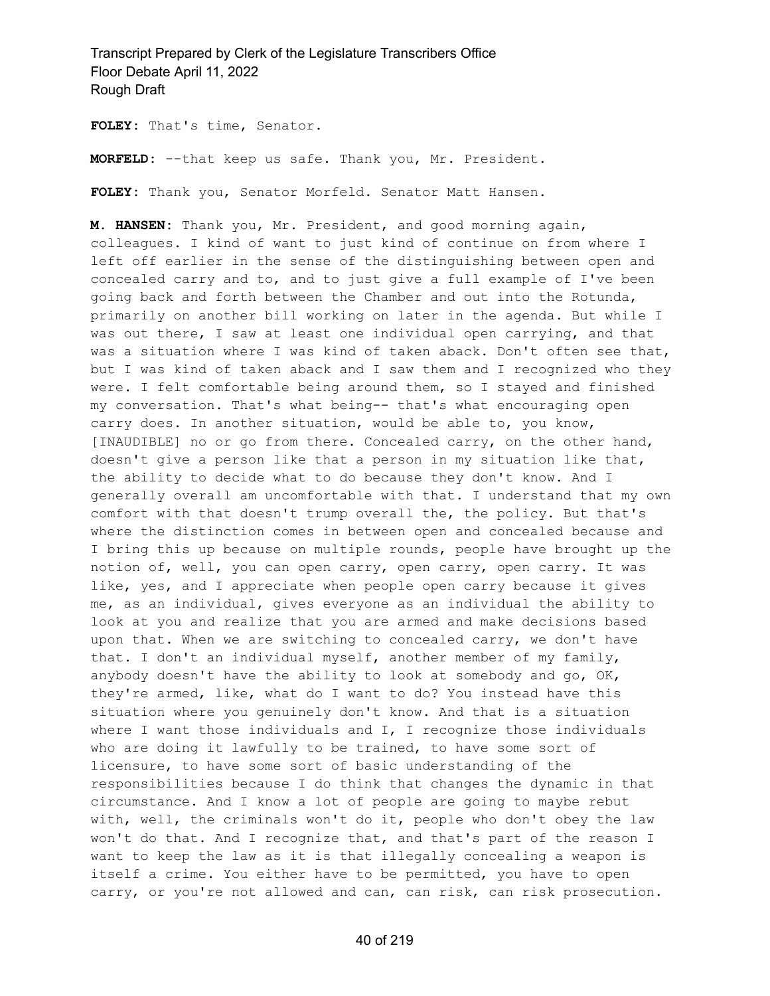**FOLEY:** That's time, Senator.

**MORFELD:** --that keep us safe. Thank you, Mr. President.

**FOLEY:** Thank you, Senator Morfeld. Senator Matt Hansen.

**M. HANSEN:** Thank you, Mr. President, and good morning again, colleagues. I kind of want to just kind of continue on from where I left off earlier in the sense of the distinguishing between open and concealed carry and to, and to just give a full example of I've been going back and forth between the Chamber and out into the Rotunda, primarily on another bill working on later in the agenda. But while I was out there, I saw at least one individual open carrying, and that was a situation where I was kind of taken aback. Don't often see that, but I was kind of taken aback and I saw them and I recognized who they were. I felt comfortable being around them, so I stayed and finished my conversation. That's what being-- that's what encouraging open carry does. In another situation, would be able to, you know, [INAUDIBLE] no or go from there. Concealed carry, on the other hand, doesn't give a person like that a person in my situation like that, the ability to decide what to do because they don't know. And I generally overall am uncomfortable with that. I understand that my own comfort with that doesn't trump overall the, the policy. But that's where the distinction comes in between open and concealed because and I bring this up because on multiple rounds, people have brought up the notion of, well, you can open carry, open carry, open carry. It was like, yes, and I appreciate when people open carry because it gives me, as an individual, gives everyone as an individual the ability to look at you and realize that you are armed and make decisions based upon that. When we are switching to concealed carry, we don't have that. I don't an individual myself, another member of my family, anybody doesn't have the ability to look at somebody and go, OK, they're armed, like, what do I want to do? You instead have this situation where you genuinely don't know. And that is a situation where I want those individuals and I, I recognize those individuals who are doing it lawfully to be trained, to have some sort of licensure, to have some sort of basic understanding of the responsibilities because I do think that changes the dynamic in that circumstance. And I know a lot of people are going to maybe rebut with, well, the criminals won't do it, people who don't obey the law won't do that. And I recognize that, and that's part of the reason I want to keep the law as it is that illegally concealing a weapon is itself a crime. You either have to be permitted, you have to open carry, or you're not allowed and can, can risk, can risk prosecution.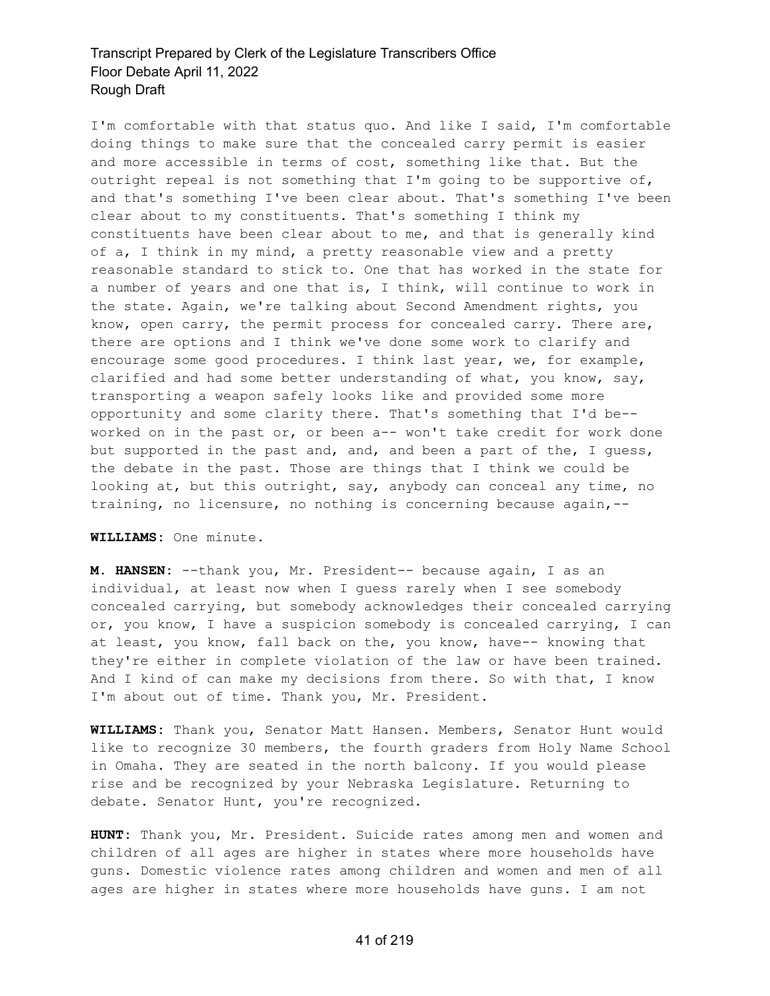I'm comfortable with that status quo. And like I said, I'm comfortable doing things to make sure that the concealed carry permit is easier and more accessible in terms of cost, something like that. But the outright repeal is not something that I'm going to be supportive of, and that's something I've been clear about. That's something I've been clear about to my constituents. That's something I think my constituents have been clear about to me, and that is generally kind of a, I think in my mind, a pretty reasonable view and a pretty reasonable standard to stick to. One that has worked in the state for a number of years and one that is, I think, will continue to work in the state. Again, we're talking about Second Amendment rights, you know, open carry, the permit process for concealed carry. There are, there are options and I think we've done some work to clarify and encourage some good procedures. I think last year, we, for example, clarified and had some better understanding of what, you know, say, transporting a weapon safely looks like and provided some more opportunity and some clarity there. That's something that I'd be- worked on in the past or, or been a-- won't take credit for work done but supported in the past and, and, and been a part of the, I guess, the debate in the past. Those are things that I think we could be looking at, but this outright, say, anybody can conceal any time, no training, no licensure, no nothing is concerning because again,--

#### **WILLIAMS:** One minute.

**M. HANSEN:** --thank you, Mr. President-- because again, I as an individual, at least now when I guess rarely when I see somebody concealed carrying, but somebody acknowledges their concealed carrying or, you know, I have a suspicion somebody is concealed carrying, I can at least, you know, fall back on the, you know, have-- knowing that they're either in complete violation of the law or have been trained. And I kind of can make my decisions from there. So with that, I know I'm about out of time. Thank you, Mr. President.

**WILLIAMS:** Thank you, Senator Matt Hansen. Members, Senator Hunt would like to recognize 30 members, the fourth graders from Holy Name School in Omaha. They are seated in the north balcony. If you would please rise and be recognized by your Nebraska Legislature. Returning to debate. Senator Hunt, you're recognized.

**HUNT:** Thank you, Mr. President. Suicide rates among men and women and children of all ages are higher in states where more households have guns. Domestic violence rates among children and women and men of all ages are higher in states where more households have guns. I am not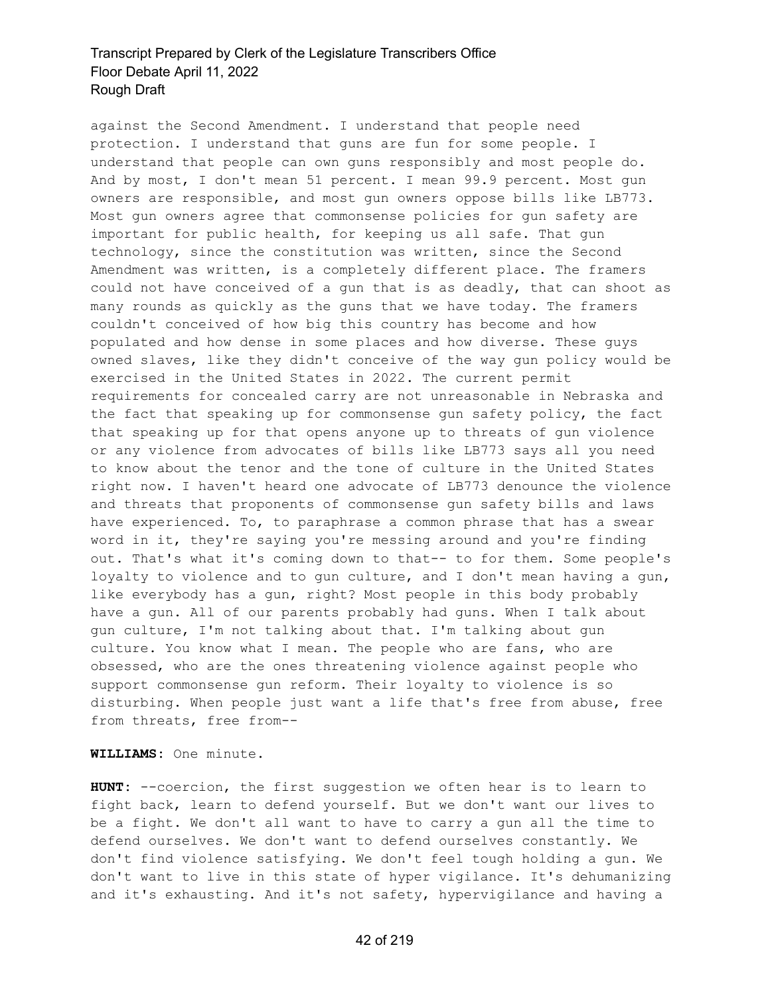against the Second Amendment. I understand that people need protection. I understand that guns are fun for some people. I understand that people can own guns responsibly and most people do. And by most, I don't mean 51 percent. I mean 99.9 percent. Most gun owners are responsible, and most gun owners oppose bills like LB773. Most gun owners agree that commonsense policies for gun safety are important for public health, for keeping us all safe. That gun technology, since the constitution was written, since the Second Amendment was written, is a completely different place. The framers could not have conceived of a gun that is as deadly, that can shoot as many rounds as quickly as the guns that we have today. The framers couldn't conceived of how big this country has become and how populated and how dense in some places and how diverse. These guys owned slaves, like they didn't conceive of the way gun policy would be exercised in the United States in 2022. The current permit requirements for concealed carry are not unreasonable in Nebraska and the fact that speaking up for commonsense gun safety policy, the fact that speaking up for that opens anyone up to threats of gun violence or any violence from advocates of bills like LB773 says all you need to know about the tenor and the tone of culture in the United States right now. I haven't heard one advocate of LB773 denounce the violence and threats that proponents of commonsense gun safety bills and laws have experienced. To, to paraphrase a common phrase that has a swear word in it, they're saying you're messing around and you're finding out. That's what it's coming down to that-- to for them. Some people's loyalty to violence and to qun culture, and I don't mean having a qun, like everybody has a gun, right? Most people in this body probably have a gun. All of our parents probably had guns. When I talk about gun culture, I'm not talking about that. I'm talking about gun culture. You know what I mean. The people who are fans, who are obsessed, who are the ones threatening violence against people who support commonsense gun reform. Their loyalty to violence is so disturbing. When people just want a life that's free from abuse, free from threats, free from--

**WILLIAMS:** One minute.

**HUNT:** --coercion, the first suggestion we often hear is to learn to fight back, learn to defend yourself. But we don't want our lives to be a fight. We don't all want to have to carry a gun all the time to defend ourselves. We don't want to defend ourselves constantly. We don't find violence satisfying. We don't feel tough holding a gun. We don't want to live in this state of hyper vigilance. It's dehumanizing and it's exhausting. And it's not safety, hypervigilance and having a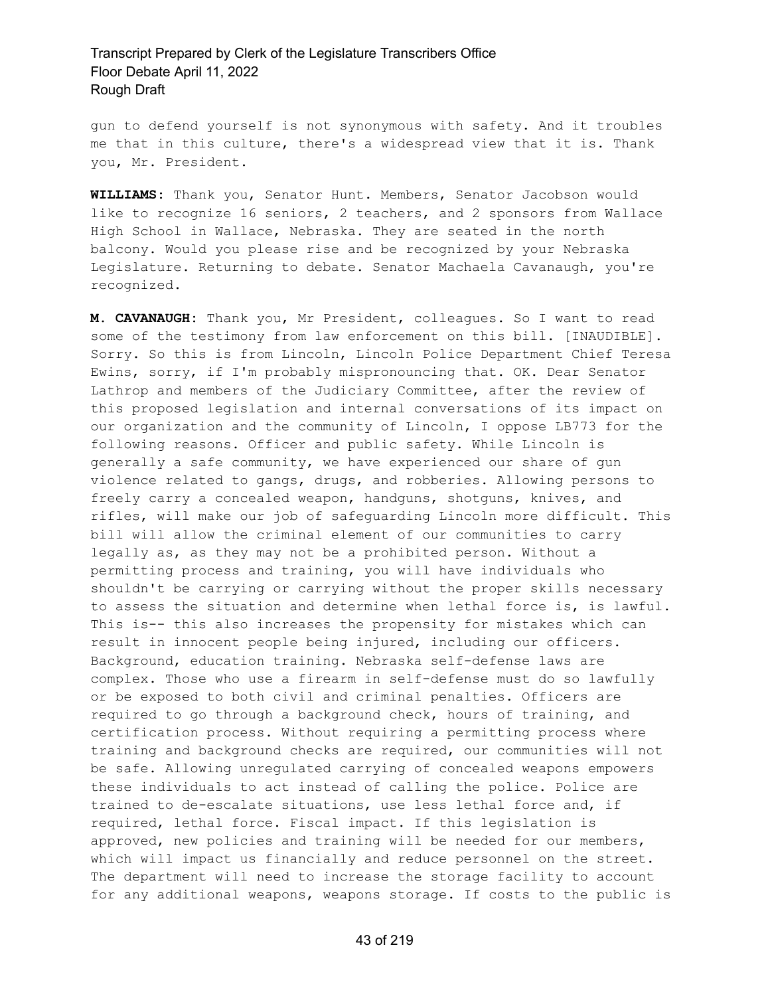gun to defend yourself is not synonymous with safety. And it troubles me that in this culture, there's a widespread view that it is. Thank you, Mr. President.

**WILLIAMS:** Thank you, Senator Hunt. Members, Senator Jacobson would like to recognize 16 seniors, 2 teachers, and 2 sponsors from Wallace High School in Wallace, Nebraska. They are seated in the north balcony. Would you please rise and be recognized by your Nebraska Legislature. Returning to debate. Senator Machaela Cavanaugh, you're recognized.

**M. CAVANAUGH:** Thank you, Mr President, colleagues. So I want to read some of the testimony from law enforcement on this bill. [INAUDIBLE]. Sorry. So this is from Lincoln, Lincoln Police Department Chief Teresa Ewins, sorry, if I'm probably mispronouncing that. OK. Dear Senator Lathrop and members of the Judiciary Committee, after the review of this proposed legislation and internal conversations of its impact on our organization and the community of Lincoln, I oppose LB773 for the following reasons. Officer and public safety. While Lincoln is generally a safe community, we have experienced our share of gun violence related to gangs, drugs, and robberies. Allowing persons to freely carry a concealed weapon, handguns, shotguns, knives, and rifles, will make our job of safeguarding Lincoln more difficult. This bill will allow the criminal element of our communities to carry legally as, as they may not be a prohibited person. Without a permitting process and training, you will have individuals who shouldn't be carrying or carrying without the proper skills necessary to assess the situation and determine when lethal force is, is lawful. This is-- this also increases the propensity for mistakes which can result in innocent people being injured, including our officers. Background, education training. Nebraska self-defense laws are complex. Those who use a firearm in self-defense must do so lawfully or be exposed to both civil and criminal penalties. Officers are required to go through a background check, hours of training, and certification process. Without requiring a permitting process where training and background checks are required, our communities will not be safe. Allowing unregulated carrying of concealed weapons empowers these individuals to act instead of calling the police. Police are trained to de-escalate situations, use less lethal force and, if required, lethal force. Fiscal impact. If this legislation is approved, new policies and training will be needed for our members, which will impact us financially and reduce personnel on the street. The department will need to increase the storage facility to account for any additional weapons, weapons storage. If costs to the public is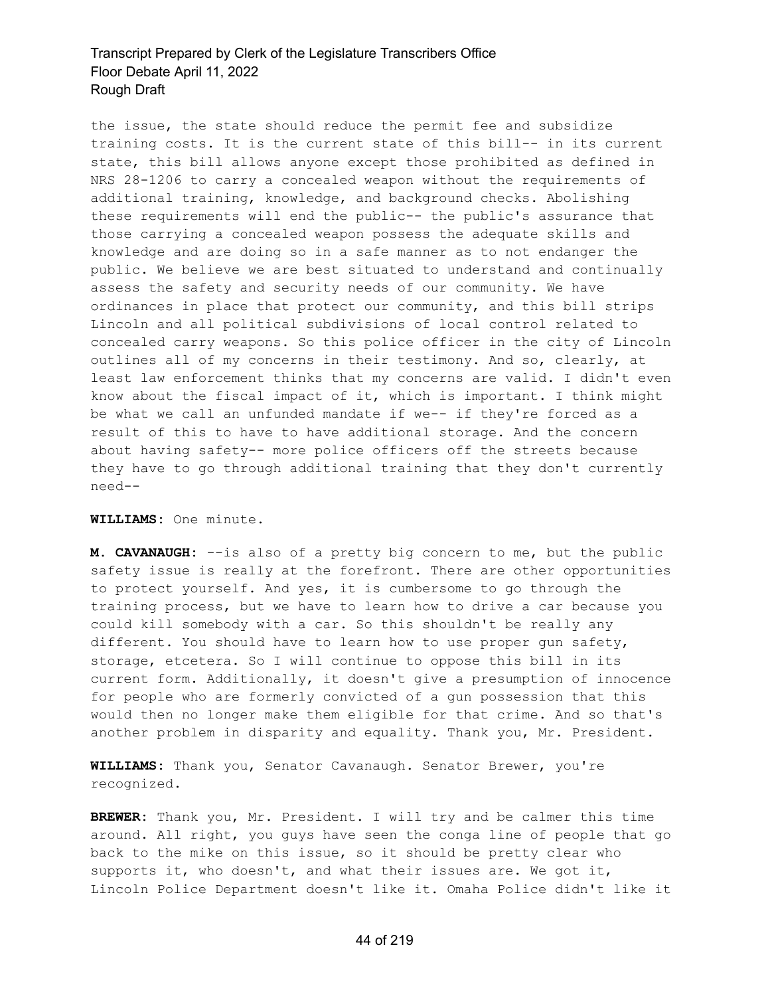the issue, the state should reduce the permit fee and subsidize training costs. It is the current state of this bill-- in its current state, this bill allows anyone except those prohibited as defined in NRS 28-1206 to carry a concealed weapon without the requirements of additional training, knowledge, and background checks. Abolishing these requirements will end the public-- the public's assurance that those carrying a concealed weapon possess the adequate skills and knowledge and are doing so in a safe manner as to not endanger the public. We believe we are best situated to understand and continually assess the safety and security needs of our community. We have ordinances in place that protect our community, and this bill strips Lincoln and all political subdivisions of local control related to concealed carry weapons. So this police officer in the city of Lincoln outlines all of my concerns in their testimony. And so, clearly, at least law enforcement thinks that my concerns are valid. I didn't even know about the fiscal impact of it, which is important. I think might be what we call an unfunded mandate if we-- if they're forced as a result of this to have to have additional storage. And the concern about having safety-- more police officers off the streets because they have to go through additional training that they don't currently need--

**WILLIAMS:** One minute.

**M. CAVANAUGH:** --is also of a pretty big concern to me, but the public safety issue is really at the forefront. There are other opportunities to protect yourself. And yes, it is cumbersome to go through the training process, but we have to learn how to drive a car because you could kill somebody with a car. So this shouldn't be really any different. You should have to learn how to use proper gun safety, storage, etcetera. So I will continue to oppose this bill in its current form. Additionally, it doesn't give a presumption of innocence for people who are formerly convicted of a gun possession that this would then no longer make them eligible for that crime. And so that's another problem in disparity and equality. Thank you, Mr. President.

**WILLIAMS:** Thank you, Senator Cavanaugh. Senator Brewer, you're recognized.

**BREWER:** Thank you, Mr. President. I will try and be calmer this time around. All right, you guys have seen the conga line of people that go back to the mike on this issue, so it should be pretty clear who supports it, who doesn't, and what their issues are. We got it, Lincoln Police Department doesn't like it. Omaha Police didn't like it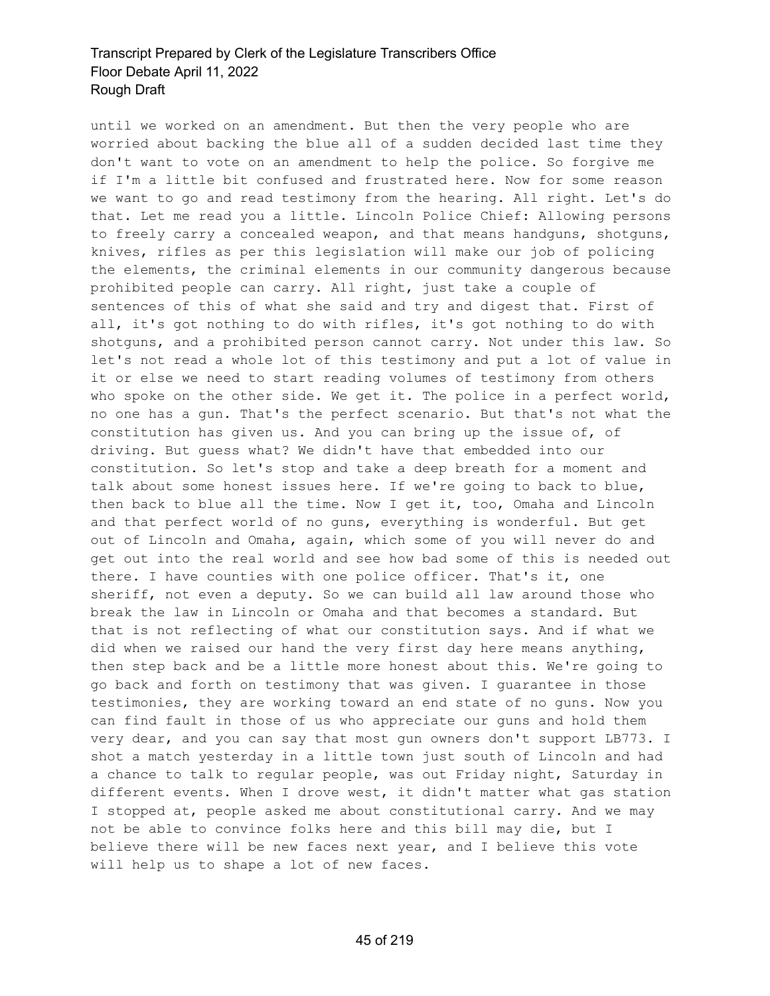until we worked on an amendment. But then the very people who are worried about backing the blue all of a sudden decided last time they don't want to vote on an amendment to help the police. So forgive me if I'm a little bit confused and frustrated here. Now for some reason we want to go and read testimony from the hearing. All right. Let's do that. Let me read you a little. Lincoln Police Chief: Allowing persons to freely carry a concealed weapon, and that means handguns, shotguns, knives, rifles as per this legislation will make our job of policing the elements, the criminal elements in our community dangerous because prohibited people can carry. All right, just take a couple of sentences of this of what she said and try and digest that. First of all, it's got nothing to do with rifles, it's got nothing to do with shotguns, and a prohibited person cannot carry. Not under this law. So let's not read a whole lot of this testimony and put a lot of value in it or else we need to start reading volumes of testimony from others who spoke on the other side. We get it. The police in a perfect world, no one has a gun. That's the perfect scenario. But that's not what the constitution has given us. And you can bring up the issue of, of driving. But guess what? We didn't have that embedded into our constitution. So let's stop and take a deep breath for a moment and talk about some honest issues here. If we're going to back to blue, then back to blue all the time. Now I get it, too, Omaha and Lincoln and that perfect world of no guns, everything is wonderful. But get out of Lincoln and Omaha, again, which some of you will never do and get out into the real world and see how bad some of this is needed out there. I have counties with one police officer. That's it, one sheriff, not even a deputy. So we can build all law around those who break the law in Lincoln or Omaha and that becomes a standard. But that is not reflecting of what our constitution says. And if what we did when we raised our hand the very first day here means anything, then step back and be a little more honest about this. We're going to go back and forth on testimony that was given. I guarantee in those testimonies, they are working toward an end state of no guns. Now you can find fault in those of us who appreciate our guns and hold them very dear, and you can say that most gun owners don't support LB773. I shot a match yesterday in a little town just south of Lincoln and had a chance to talk to regular people, was out Friday night, Saturday in different events. When I drove west, it didn't matter what gas station I stopped at, people asked me about constitutional carry. And we may not be able to convince folks here and this bill may die, but I believe there will be new faces next year, and I believe this vote will help us to shape a lot of new faces.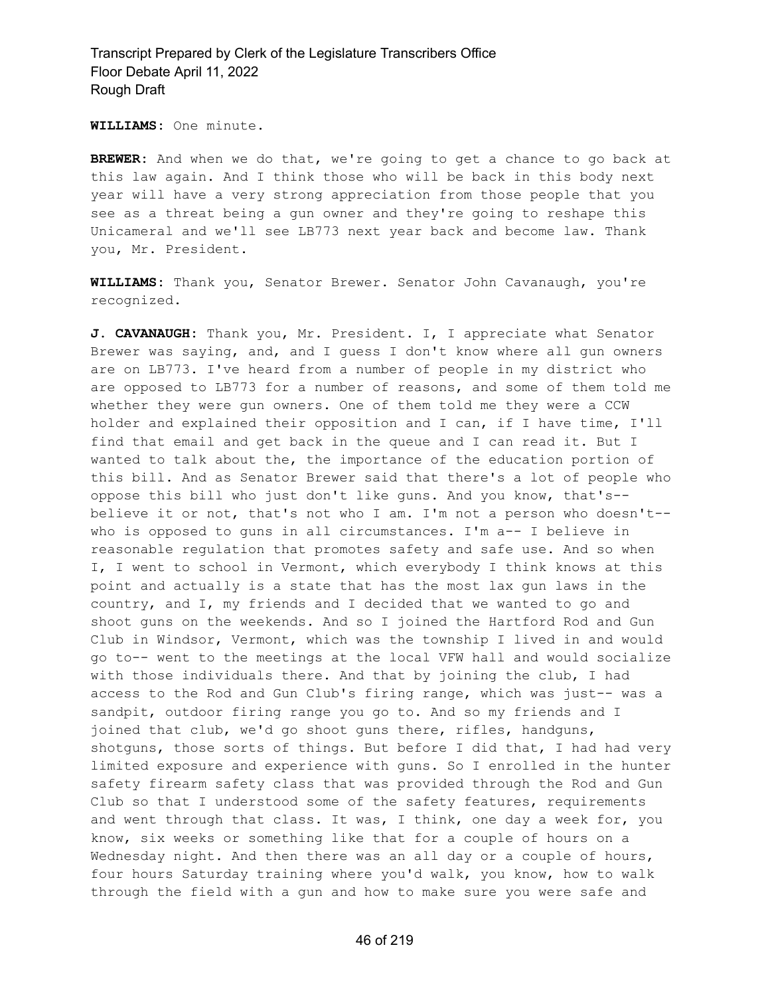**WILLIAMS:** One minute.

**BREWER:** And when we do that, we're going to get a chance to go back at this law again. And I think those who will be back in this body next year will have a very strong appreciation from those people that you see as a threat being a gun owner and they're going to reshape this Unicameral and we'll see LB773 next year back and become law. Thank you, Mr. President.

**WILLIAMS:** Thank you, Senator Brewer. Senator John Cavanaugh, you're recognized.

**J. CAVANAUGH:** Thank you, Mr. President. I, I appreciate what Senator Brewer was saying, and, and I guess I don't know where all gun owners are on LB773. I've heard from a number of people in my district who are opposed to LB773 for a number of reasons, and some of them told me whether they were gun owners. One of them told me they were a CCW holder and explained their opposition and I can, if I have time, I'll find that email and get back in the queue and I can read it. But I wanted to talk about the, the importance of the education portion of this bill. And as Senator Brewer said that there's a lot of people who oppose this bill who just don't like guns. And you know, that's- believe it or not, that's not who I am. I'm not a person who doesn't- who is opposed to guns in all circumstances. I'm a-- I believe in reasonable regulation that promotes safety and safe use. And so when I, I went to school in Vermont, which everybody I think knows at this point and actually is a state that has the most lax gun laws in the country, and I, my friends and I decided that we wanted to go and shoot guns on the weekends. And so I joined the Hartford Rod and Gun Club in Windsor, Vermont, which was the township I lived in and would go to-- went to the meetings at the local VFW hall and would socialize with those individuals there. And that by joining the club, I had access to the Rod and Gun Club's firing range, which was just-- was a sandpit, outdoor firing range you go to. And so my friends and I joined that club, we'd go shoot guns there, rifles, handguns, shotguns, those sorts of things. But before I did that, I had had very limited exposure and experience with guns. So I enrolled in the hunter safety firearm safety class that was provided through the Rod and Gun Club so that I understood some of the safety features, requirements and went through that class. It was, I think, one day a week for, you know, six weeks or something like that for a couple of hours on a Wednesday night. And then there was an all day or a couple of hours, four hours Saturday training where you'd walk, you know, how to walk through the field with a gun and how to make sure you were safe and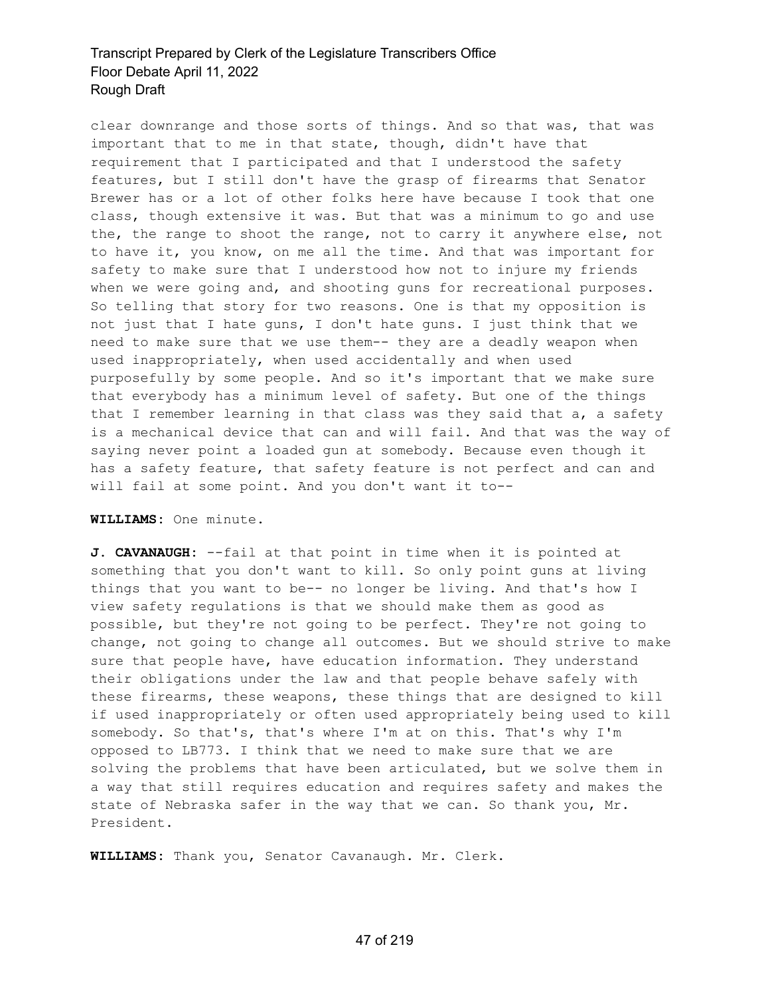clear downrange and those sorts of things. And so that was, that was important that to me in that state, though, didn't have that requirement that I participated and that I understood the safety features, but I still don't have the grasp of firearms that Senator Brewer has or a lot of other folks here have because I took that one class, though extensive it was. But that was a minimum to go and use the, the range to shoot the range, not to carry it anywhere else, not to have it, you know, on me all the time. And that was important for safety to make sure that I understood how not to injure my friends when we were going and, and shooting guns for recreational purposes. So telling that story for two reasons. One is that my opposition is not just that I hate guns, I don't hate guns. I just think that we need to make sure that we use them-- they are a deadly weapon when used inappropriately, when used accidentally and when used purposefully by some people. And so it's important that we make sure that everybody has a minimum level of safety. But one of the things that I remember learning in that class was they said that a, a safety is a mechanical device that can and will fail. And that was the way of saying never point a loaded gun at somebody. Because even though it has a safety feature, that safety feature is not perfect and can and will fail at some point. And you don't want it to--

### **WILLIAMS:** One minute.

**J. CAVANAUGH:** --fail at that point in time when it is pointed at something that you don't want to kill. So only point guns at living things that you want to be-- no longer be living. And that's how I view safety regulations is that we should make them as good as possible, but they're not going to be perfect. They're not going to change, not going to change all outcomes. But we should strive to make sure that people have, have education information. They understand their obligations under the law and that people behave safely with these firearms, these weapons, these things that are designed to kill if used inappropriately or often used appropriately being used to kill somebody. So that's, that's where I'm at on this. That's why I'm opposed to LB773. I think that we need to make sure that we are solving the problems that have been articulated, but we solve them in a way that still requires education and requires safety and makes the state of Nebraska safer in the way that we can. So thank you, Mr. President.

**WILLIAMS:** Thank you, Senator Cavanaugh. Mr. Clerk.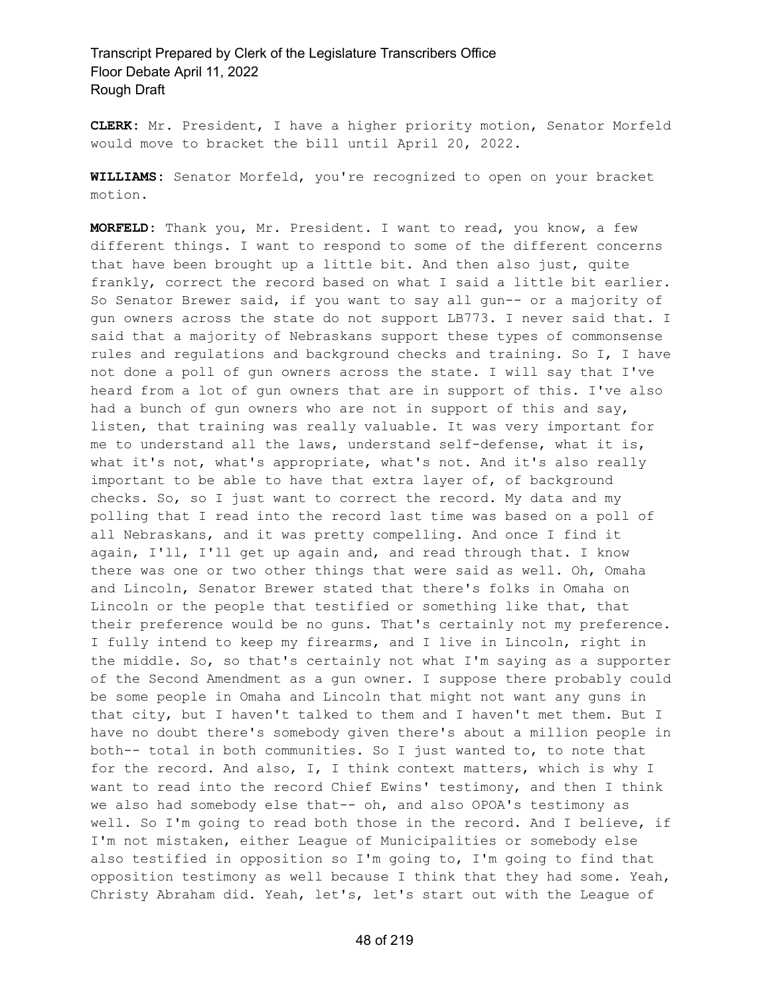**CLERK:** Mr. President, I have a higher priority motion, Senator Morfeld would move to bracket the bill until April 20, 2022.

**WILLIAMS:** Senator Morfeld, you're recognized to open on your bracket motion.

**MORFELD:** Thank you, Mr. President. I want to read, you know, a few different things. I want to respond to some of the different concerns that have been brought up a little bit. And then also just, quite frankly, correct the record based on what I said a little bit earlier. So Senator Brewer said, if you want to say all gun-- or a majority of gun owners across the state do not support LB773. I never said that. I said that a majority of Nebraskans support these types of commonsense rules and regulations and background checks and training. So I, I have not done a poll of gun owners across the state. I will say that I've heard from a lot of gun owners that are in support of this. I've also had a bunch of gun owners who are not in support of this and say, listen, that training was really valuable. It was very important for me to understand all the laws, understand self-defense, what it is, what it's not, what's appropriate, what's not. And it's also really important to be able to have that extra layer of, of background checks. So, so I just want to correct the record. My data and my polling that I read into the record last time was based on a poll of all Nebraskans, and it was pretty compelling. And once I find it again, I'll, I'll get up again and, and read through that. I know there was one or two other things that were said as well. Oh, Omaha and Lincoln, Senator Brewer stated that there's folks in Omaha on Lincoln or the people that testified or something like that, that their preference would be no guns. That's certainly not my preference. I fully intend to keep my firearms, and I live in Lincoln, right in the middle. So, so that's certainly not what I'm saying as a supporter of the Second Amendment as a gun owner. I suppose there probably could be some people in Omaha and Lincoln that might not want any guns in that city, but I haven't talked to them and I haven't met them. But I have no doubt there's somebody given there's about a million people in both-- total in both communities. So I just wanted to, to note that for the record. And also, I, I think context matters, which is why I want to read into the record Chief Ewins' testimony, and then I think we also had somebody else that-- oh, and also OPOA's testimony as well. So I'm going to read both those in the record. And I believe, if I'm not mistaken, either League of Municipalities or somebody else also testified in opposition so I'm going to, I'm going to find that opposition testimony as well because I think that they had some. Yeah, Christy Abraham did. Yeah, let's, let's start out with the League of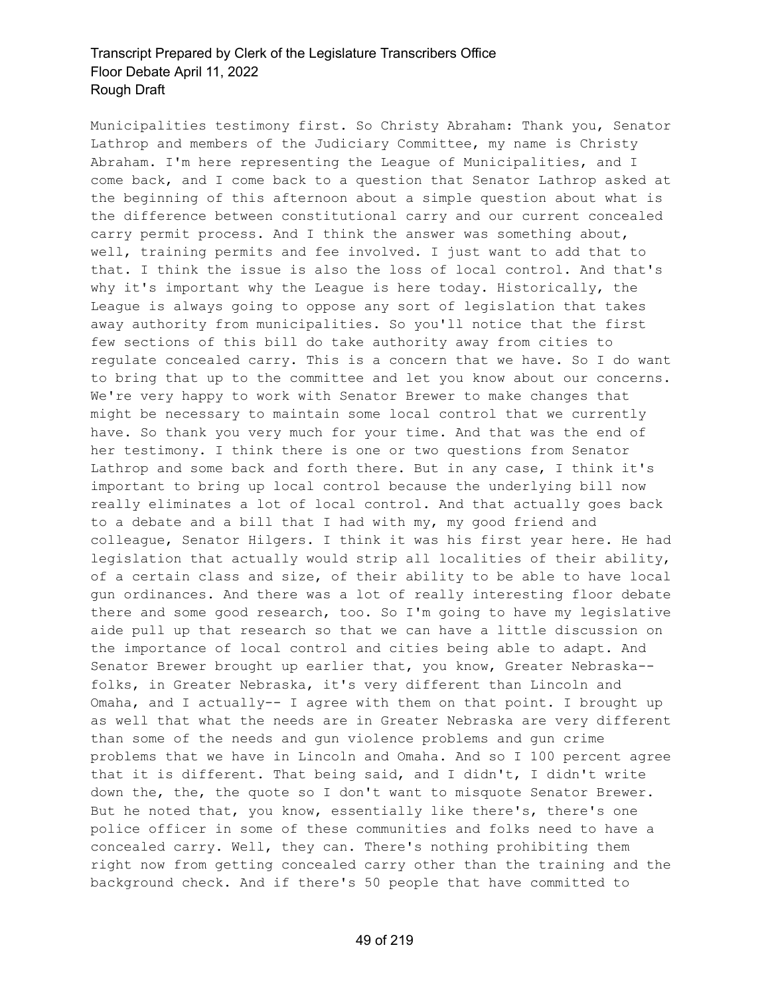Municipalities testimony first. So Christy Abraham: Thank you, Senator Lathrop and members of the Judiciary Committee, my name is Christy Abraham. I'm here representing the League of Municipalities, and I come back, and I come back to a question that Senator Lathrop asked at the beginning of this afternoon about a simple question about what is the difference between constitutional carry and our current concealed carry permit process. And I think the answer was something about, well, training permits and fee involved. I just want to add that to that. I think the issue is also the loss of local control. And that's why it's important why the League is here today. Historically, the League is always going to oppose any sort of legislation that takes away authority from municipalities. So you'll notice that the first few sections of this bill do take authority away from cities to regulate concealed carry. This is a concern that we have. So I do want to bring that up to the committee and let you know about our concerns. We're very happy to work with Senator Brewer to make changes that might be necessary to maintain some local control that we currently have. So thank you very much for your time. And that was the end of her testimony. I think there is one or two questions from Senator Lathrop and some back and forth there. But in any case, I think it's important to bring up local control because the underlying bill now really eliminates a lot of local control. And that actually goes back to a debate and a bill that I had with my, my good friend and colleague, Senator Hilgers. I think it was his first year here. He had legislation that actually would strip all localities of their ability, of a certain class and size, of their ability to be able to have local gun ordinances. And there was a lot of really interesting floor debate there and some good research, too. So I'm going to have my legislative aide pull up that research so that we can have a little discussion on the importance of local control and cities being able to adapt. And Senator Brewer brought up earlier that, you know, Greater Nebraska- folks, in Greater Nebraska, it's very different than Lincoln and Omaha, and I actually-- I agree with them on that point. I brought up as well that what the needs are in Greater Nebraska are very different than some of the needs and gun violence problems and gun crime problems that we have in Lincoln and Omaha. And so I 100 percent agree that it is different. That being said, and I didn't, I didn't write down the, the, the quote so I don't want to misquote Senator Brewer. But he noted that, you know, essentially like there's, there's one police officer in some of these communities and folks need to have a concealed carry. Well, they can. There's nothing prohibiting them right now from getting concealed carry other than the training and the background check. And if there's 50 people that have committed to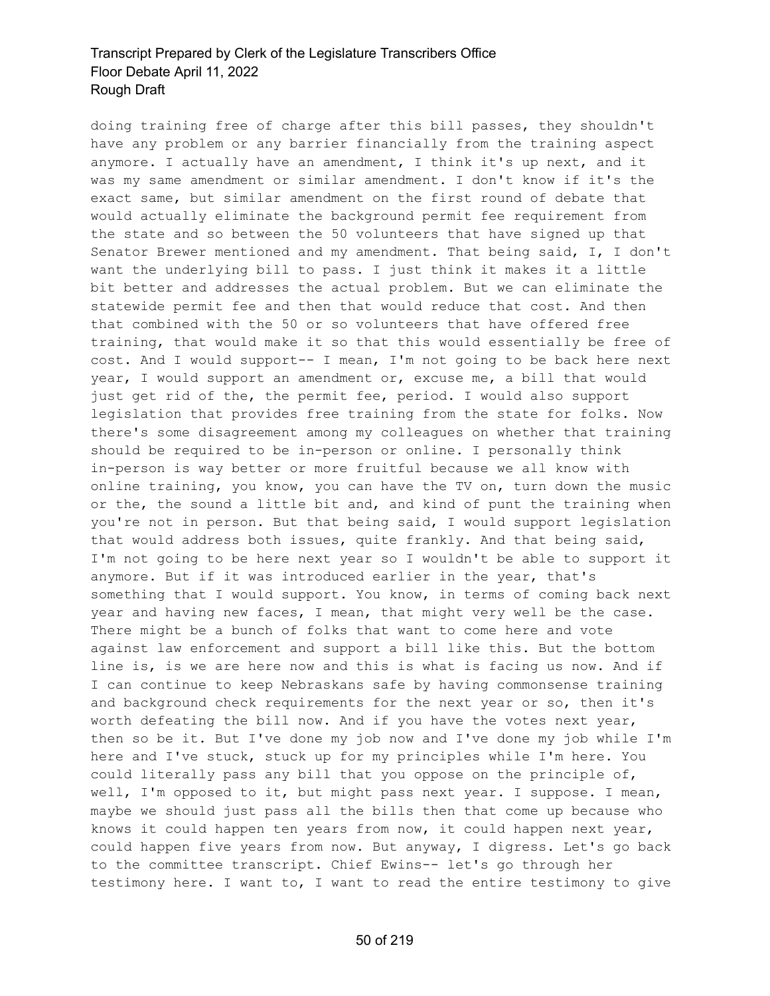doing training free of charge after this bill passes, they shouldn't have any problem or any barrier financially from the training aspect anymore. I actually have an amendment, I think it's up next, and it was my same amendment or similar amendment. I don't know if it's the exact same, but similar amendment on the first round of debate that would actually eliminate the background permit fee requirement from the state and so between the 50 volunteers that have signed up that Senator Brewer mentioned and my amendment. That being said, I, I don't want the underlying bill to pass. I just think it makes it a little bit better and addresses the actual problem. But we can eliminate the statewide permit fee and then that would reduce that cost. And then that combined with the 50 or so volunteers that have offered free training, that would make it so that this would essentially be free of cost. And I would support-- I mean, I'm not going to be back here next year, I would support an amendment or, excuse me, a bill that would just get rid of the, the permit fee, period. I would also support legislation that provides free training from the state for folks. Now there's some disagreement among my colleagues on whether that training should be required to be in-person or online. I personally think in-person is way better or more fruitful because we all know with online training, you know, you can have the TV on, turn down the music or the, the sound a little bit and, and kind of punt the training when you're not in person. But that being said, I would support legislation that would address both issues, quite frankly. And that being said, I'm not going to be here next year so I wouldn't be able to support it anymore. But if it was introduced earlier in the year, that's something that I would support. You know, in terms of coming back next year and having new faces, I mean, that might very well be the case. There might be a bunch of folks that want to come here and vote against law enforcement and support a bill like this. But the bottom line is, is we are here now and this is what is facing us now. And if I can continue to keep Nebraskans safe by having commonsense training and background check requirements for the next year or so, then it's worth defeating the bill now. And if you have the votes next year, then so be it. But I've done my job now and I've done my job while I'm here and I've stuck, stuck up for my principles while I'm here. You could literally pass any bill that you oppose on the principle of, well, I'm opposed to it, but might pass next year. I suppose. I mean, maybe we should just pass all the bills then that come up because who knows it could happen ten years from now, it could happen next year, could happen five years from now. But anyway, I digress. Let's go back to the committee transcript. Chief Ewins-- let's go through her testimony here. I want to, I want to read the entire testimony to give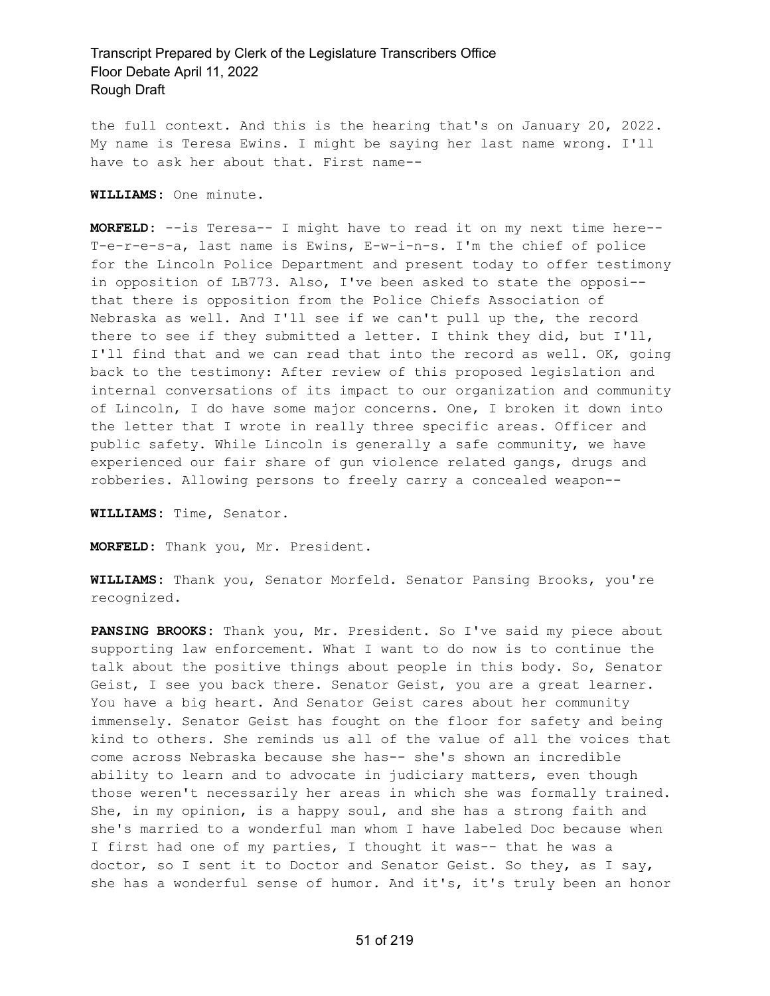the full context. And this is the hearing that's on January 20, 2022. My name is Teresa Ewins. I might be saying her last name wrong. I'll have to ask her about that. First name--

**WILLIAMS:** One minute.

**MORFELD:** --is Teresa-- I might have to read it on my next time here-- T-e-r-e-s-a, last name is Ewins, E-w-i-n-s. I'm the chief of police for the Lincoln Police Department and present today to offer testimony in opposition of LB773. Also, I've been asked to state the opposi- that there is opposition from the Police Chiefs Association of Nebraska as well. And I'll see if we can't pull up the, the record there to see if they submitted a letter. I think they did, but I'll, I'll find that and we can read that into the record as well. OK, going back to the testimony: After review of this proposed legislation and internal conversations of its impact to our organization and community of Lincoln, I do have some major concerns. One, I broken it down into the letter that I wrote in really three specific areas. Officer and public safety. While Lincoln is generally a safe community, we have experienced our fair share of gun violence related gangs, drugs and robberies. Allowing persons to freely carry a concealed weapon--

**WILLIAMS:** Time, Senator.

**MORFELD:** Thank you, Mr. President.

**WILLIAMS:** Thank you, Senator Morfeld. Senator Pansing Brooks, you're recognized.

**PANSING BROOKS:** Thank you, Mr. President. So I've said my piece about supporting law enforcement. What I want to do now is to continue the talk about the positive things about people in this body. So, Senator Geist, I see you back there. Senator Geist, you are a great learner. You have a big heart. And Senator Geist cares about her community immensely. Senator Geist has fought on the floor for safety and being kind to others. She reminds us all of the value of all the voices that come across Nebraska because she has-- she's shown an incredible ability to learn and to advocate in judiciary matters, even though those weren't necessarily her areas in which she was formally trained. She, in my opinion, is a happy soul, and she has a strong faith and she's married to a wonderful man whom I have labeled Doc because when I first had one of my parties, I thought it was-- that he was a doctor, so I sent it to Doctor and Senator Geist. So they, as I say, she has a wonderful sense of humor. And it's, it's truly been an honor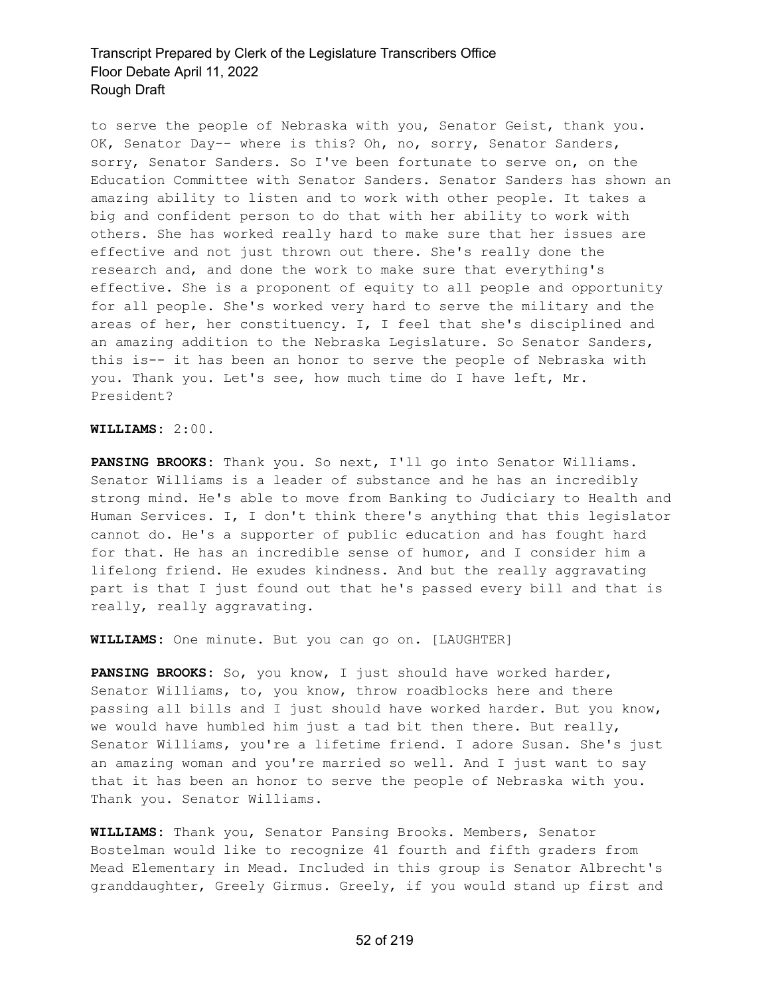to serve the people of Nebraska with you, Senator Geist, thank you. OK, Senator Day-- where is this? Oh, no, sorry, Senator Sanders, sorry, Senator Sanders. So I've been fortunate to serve on, on the Education Committee with Senator Sanders. Senator Sanders has shown an amazing ability to listen and to work with other people. It takes a big and confident person to do that with her ability to work with others. She has worked really hard to make sure that her issues are effective and not just thrown out there. She's really done the research and, and done the work to make sure that everything's effective. She is a proponent of equity to all people and opportunity for all people. She's worked very hard to serve the military and the areas of her, her constituency. I, I feel that she's disciplined and an amazing addition to the Nebraska Legislature. So Senator Sanders, this is-- it has been an honor to serve the people of Nebraska with you. Thank you. Let's see, how much time do I have left, Mr. President?

#### **WILLIAMS:** 2:00.

**PANSING BROOKS:** Thank you. So next, I'll go into Senator Williams. Senator Williams is a leader of substance and he has an incredibly strong mind. He's able to move from Banking to Judiciary to Health and Human Services. I, I don't think there's anything that this legislator cannot do. He's a supporter of public education and has fought hard for that. He has an incredible sense of humor, and I consider him a lifelong friend. He exudes kindness. And but the really aggravating part is that I just found out that he's passed every bill and that is really, really aggravating.

**WILLIAMS:** One minute. But you can go on. [LAUGHTER]

**PANSING BROOKS:** So, you know, I just should have worked harder, Senator Williams, to, you know, throw roadblocks here and there passing all bills and I just should have worked harder. But you know, we would have humbled him just a tad bit then there. But really, Senator Williams, you're a lifetime friend. I adore Susan. She's just an amazing woman and you're married so well. And I just want to say that it has been an honor to serve the people of Nebraska with you. Thank you. Senator Williams.

**WILLIAMS:** Thank you, Senator Pansing Brooks. Members, Senator Bostelman would like to recognize 41 fourth and fifth graders from Mead Elementary in Mead. Included in this group is Senator Albrecht's granddaughter, Greely Girmus. Greely, if you would stand up first and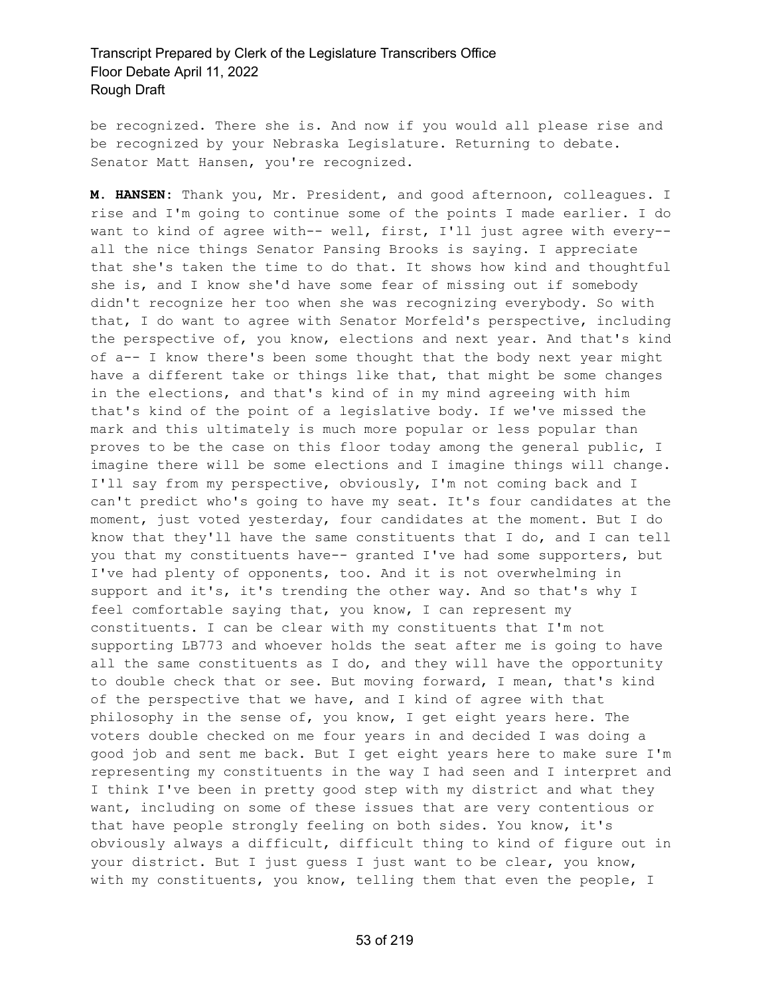be recognized. There she is. And now if you would all please rise and be recognized by your Nebraska Legislature. Returning to debate. Senator Matt Hansen, you're recognized.

**M. HANSEN:** Thank you, Mr. President, and good afternoon, colleagues. I rise and I'm going to continue some of the points I made earlier. I do want to kind of agree with-- well, first, I'll just agree with every- all the nice things Senator Pansing Brooks is saying. I appreciate that she's taken the time to do that. It shows how kind and thoughtful she is, and I know she'd have some fear of missing out if somebody didn't recognize her too when she was recognizing everybody. So with that, I do want to agree with Senator Morfeld's perspective, including the perspective of, you know, elections and next year. And that's kind of a-- I know there's been some thought that the body next year might have a different take or things like that, that might be some changes in the elections, and that's kind of in my mind agreeing with him that's kind of the point of a legislative body. If we've missed the mark and this ultimately is much more popular or less popular than proves to be the case on this floor today among the general public, I imagine there will be some elections and I imagine things will change. I'll say from my perspective, obviously, I'm not coming back and I can't predict who's going to have my seat. It's four candidates at the moment, just voted yesterday, four candidates at the moment. But I do know that they'll have the same constituents that I do, and I can tell you that my constituents have-- granted I've had some supporters, but I've had plenty of opponents, too. And it is not overwhelming in support and it's, it's trending the other way. And so that's why I feel comfortable saying that, you know, I can represent my constituents. I can be clear with my constituents that I'm not supporting LB773 and whoever holds the seat after me is going to have all the same constituents as I do, and they will have the opportunity to double check that or see. But moving forward, I mean, that's kind of the perspective that we have, and I kind of agree with that philosophy in the sense of, you know, I get eight years here. The voters double checked on me four years in and decided I was doing a good job and sent me back. But I get eight years here to make sure I'm representing my constituents in the way I had seen and I interpret and I think I've been in pretty good step with my district and what they want, including on some of these issues that are very contentious or that have people strongly feeling on both sides. You know, it's obviously always a difficult, difficult thing to kind of figure out in your district. But I just guess I just want to be clear, you know, with my constituents, you know, telling them that even the people, I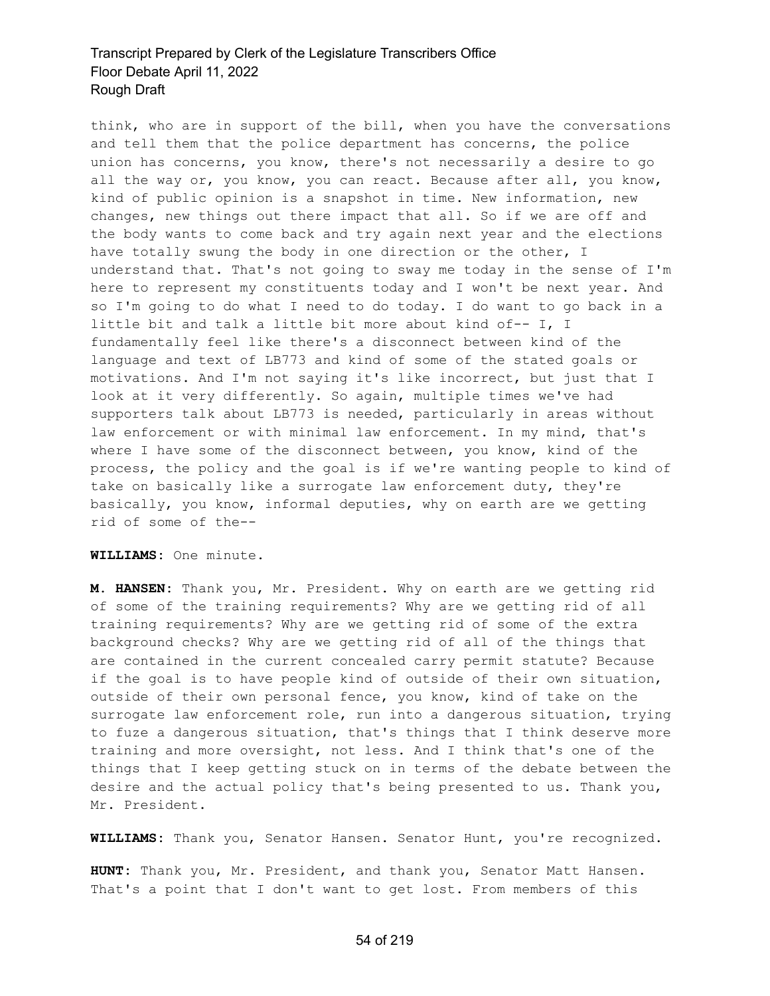think, who are in support of the bill, when you have the conversations and tell them that the police department has concerns, the police union has concerns, you know, there's not necessarily a desire to go all the way or, you know, you can react. Because after all, you know, kind of public opinion is a snapshot in time. New information, new changes, new things out there impact that all. So if we are off and the body wants to come back and try again next year and the elections have totally swung the body in one direction or the other, I understand that. That's not going to sway me today in the sense of I'm here to represent my constituents today and I won't be next year. And so I'm going to do what I need to do today. I do want to go back in a little bit and talk a little bit more about kind of-- I, I fundamentally feel like there's a disconnect between kind of the language and text of LB773 and kind of some of the stated goals or motivations. And I'm not saying it's like incorrect, but just that I look at it very differently. So again, multiple times we've had supporters talk about LB773 is needed, particularly in areas without law enforcement or with minimal law enforcement. In my mind, that's where I have some of the disconnect between, you know, kind of the process, the policy and the goal is if we're wanting people to kind of take on basically like a surrogate law enforcement duty, they're basically, you know, informal deputies, why on earth are we getting rid of some of the--

**WILLIAMS:** One minute.

**M. HANSEN:** Thank you, Mr. President. Why on earth are we getting rid of some of the training requirements? Why are we getting rid of all training requirements? Why are we getting rid of some of the extra background checks? Why are we getting rid of all of the things that are contained in the current concealed carry permit statute? Because if the goal is to have people kind of outside of their own situation, outside of their own personal fence, you know, kind of take on the surrogate law enforcement role, run into a dangerous situation, trying to fuze a dangerous situation, that's things that I think deserve more training and more oversight, not less. And I think that's one of the things that I keep getting stuck on in terms of the debate between the desire and the actual policy that's being presented to us. Thank you, Mr. President.

**WILLIAMS:** Thank you, Senator Hansen. Senator Hunt, you're recognized.

**HUNT:** Thank you, Mr. President, and thank you, Senator Matt Hansen. That's a point that I don't want to get lost. From members of this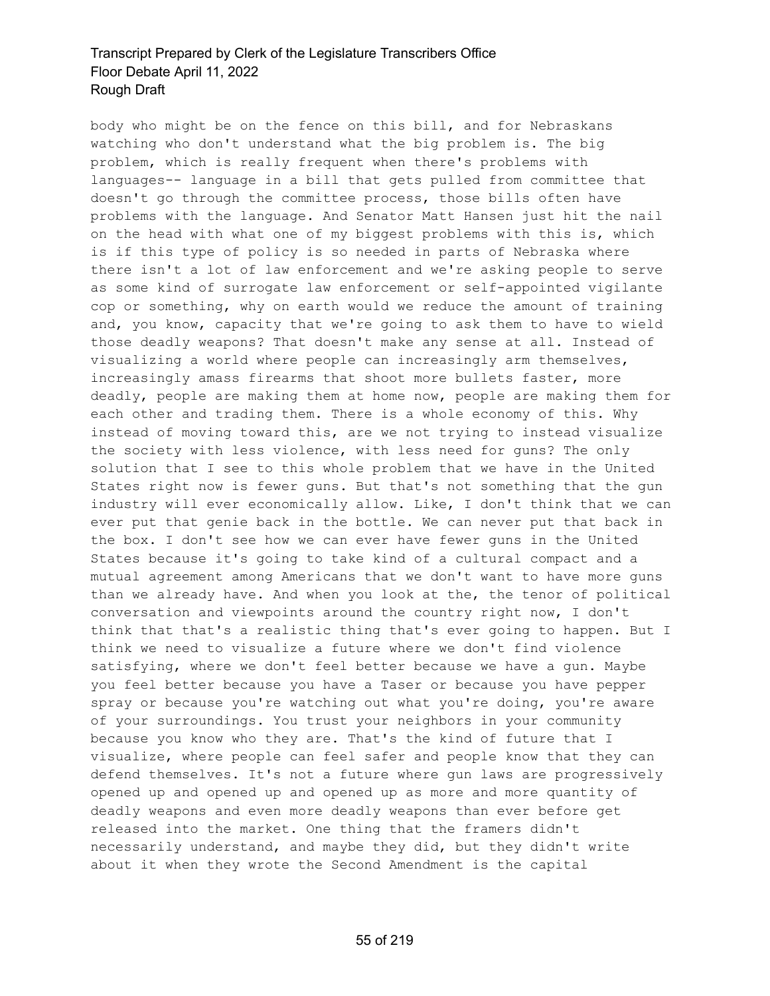body who might be on the fence on this bill, and for Nebraskans watching who don't understand what the big problem is. The big problem, which is really frequent when there's problems with languages-- language in a bill that gets pulled from committee that doesn't go through the committee process, those bills often have problems with the language. And Senator Matt Hansen just hit the nail on the head with what one of my biggest problems with this is, which is if this type of policy is so needed in parts of Nebraska where there isn't a lot of law enforcement and we're asking people to serve as some kind of surrogate law enforcement or self-appointed vigilante cop or something, why on earth would we reduce the amount of training and, you know, capacity that we're going to ask them to have to wield those deadly weapons? That doesn't make any sense at all. Instead of visualizing a world where people can increasingly arm themselves, increasingly amass firearms that shoot more bullets faster, more deadly, people are making them at home now, people are making them for each other and trading them. There is a whole economy of this. Why instead of moving toward this, are we not trying to instead visualize the society with less violence, with less need for guns? The only solution that I see to this whole problem that we have in the United States right now is fewer guns. But that's not something that the gun industry will ever economically allow. Like, I don't think that we can ever put that genie back in the bottle. We can never put that back in the box. I don't see how we can ever have fewer guns in the United States because it's going to take kind of a cultural compact and a mutual agreement among Americans that we don't want to have more guns than we already have. And when you look at the, the tenor of political conversation and viewpoints around the country right now, I don't think that that's a realistic thing that's ever going to happen. But I think we need to visualize a future where we don't find violence satisfying, where we don't feel better because we have a gun. Maybe you feel better because you have a Taser or because you have pepper spray or because you're watching out what you're doing, you're aware of your surroundings. You trust your neighbors in your community because you know who they are. That's the kind of future that I visualize, where people can feel safer and people know that they can defend themselves. It's not a future where gun laws are progressively opened up and opened up and opened up as more and more quantity of deadly weapons and even more deadly weapons than ever before get released into the market. One thing that the framers didn't necessarily understand, and maybe they did, but they didn't write about it when they wrote the Second Amendment is the capital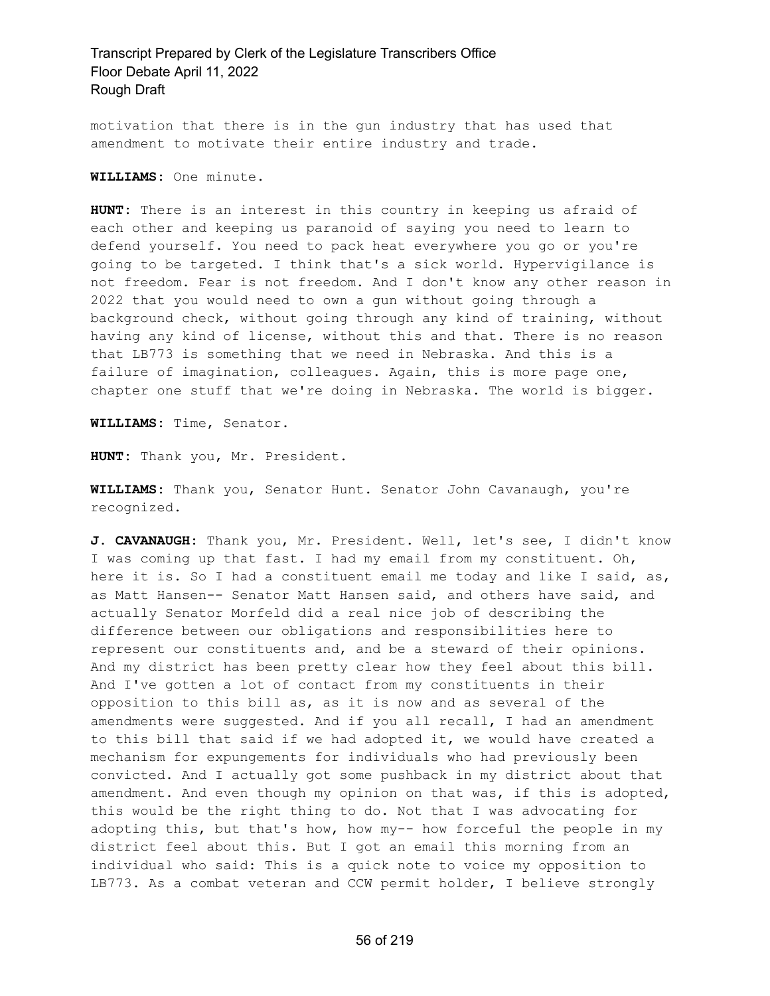motivation that there is in the gun industry that has used that amendment to motivate their entire industry and trade.

**WILLIAMS:** One minute.

**HUNT:** There is an interest in this country in keeping us afraid of each other and keeping us paranoid of saying you need to learn to defend yourself. You need to pack heat everywhere you go or you're going to be targeted. I think that's a sick world. Hypervigilance is not freedom. Fear is not freedom. And I don't know any other reason in 2022 that you would need to own a gun without going through a background check, without going through any kind of training, without having any kind of license, without this and that. There is no reason that LB773 is something that we need in Nebraska. And this is a failure of imagination, colleagues. Again, this is more page one, chapter one stuff that we're doing in Nebraska. The world is bigger.

**WILLIAMS:** Time, Senator.

**HUNT:** Thank you, Mr. President.

**WILLIAMS:** Thank you, Senator Hunt. Senator John Cavanaugh, you're recognized.

**J. CAVANAUGH:** Thank you, Mr. President. Well, let's see, I didn't know I was coming up that fast. I had my email from my constituent. Oh, here it is. So I had a constituent email me today and like I said, as, as Matt Hansen-- Senator Matt Hansen said, and others have said, and actually Senator Morfeld did a real nice job of describing the difference between our obligations and responsibilities here to represent our constituents and, and be a steward of their opinions. And my district has been pretty clear how they feel about this bill. And I've gotten a lot of contact from my constituents in their opposition to this bill as, as it is now and as several of the amendments were suggested. And if you all recall, I had an amendment to this bill that said if we had adopted it, we would have created a mechanism for expungements for individuals who had previously been convicted. And I actually got some pushback in my district about that amendment. And even though my opinion on that was, if this is adopted, this would be the right thing to do. Not that I was advocating for adopting this, but that's how, how my-- how forceful the people in my district feel about this. But I got an email this morning from an individual who said: This is a quick note to voice my opposition to LB773. As a combat veteran and CCW permit holder, I believe strongly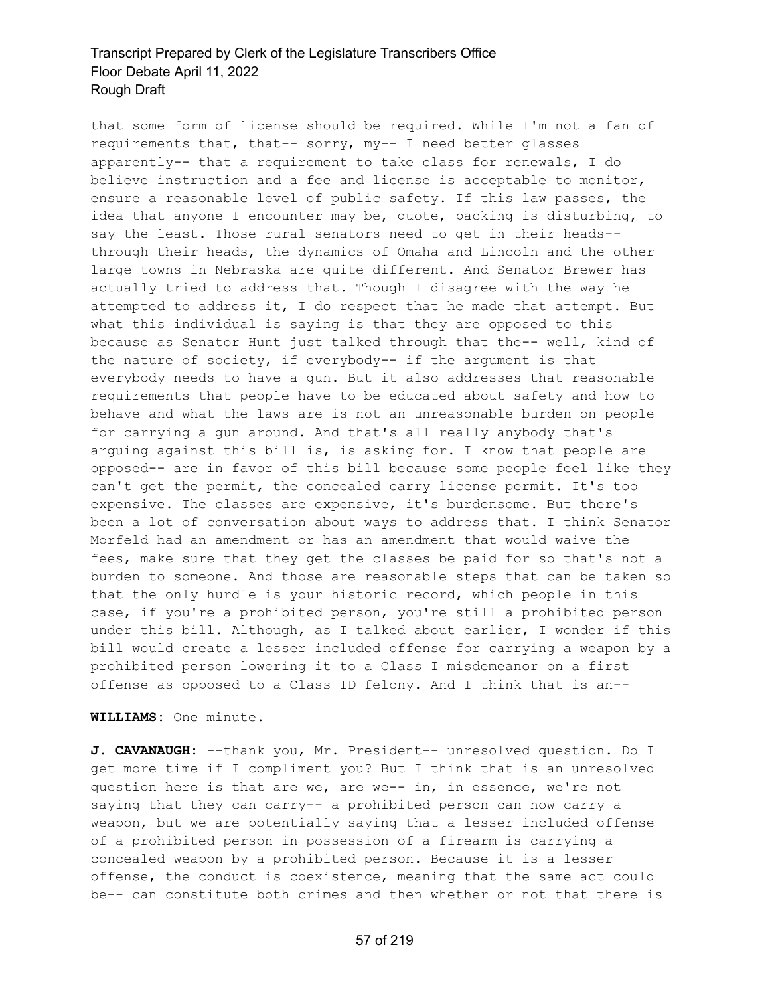that some form of license should be required. While I'm not a fan of requirements that, that-- sorry, my-- I need better glasses apparently-- that a requirement to take class for renewals, I do believe instruction and a fee and license is acceptable to monitor, ensure a reasonable level of public safety. If this law passes, the idea that anyone I encounter may be, quote, packing is disturbing, to say the least. Those rural senators need to get in their heads- through their heads, the dynamics of Omaha and Lincoln and the other large towns in Nebraska are quite different. And Senator Brewer has actually tried to address that. Though I disagree with the way he attempted to address it, I do respect that he made that attempt. But what this individual is saying is that they are opposed to this because as Senator Hunt just talked through that the-- well, kind of the nature of society, if everybody-- if the argument is that everybody needs to have a gun. But it also addresses that reasonable requirements that people have to be educated about safety and how to behave and what the laws are is not an unreasonable burden on people for carrying a gun around. And that's all really anybody that's arguing against this bill is, is asking for. I know that people are opposed-- are in favor of this bill because some people feel like they can't get the permit, the concealed carry license permit. It's too expensive. The classes are expensive, it's burdensome. But there's been a lot of conversation about ways to address that. I think Senator Morfeld had an amendment or has an amendment that would waive the fees, make sure that they get the classes be paid for so that's not a burden to someone. And those are reasonable steps that can be taken so that the only hurdle is your historic record, which people in this case, if you're a prohibited person, you're still a prohibited person under this bill. Although, as I talked about earlier, I wonder if this bill would create a lesser included offense for carrying a weapon by a prohibited person lowering it to a Class I misdemeanor on a first offense as opposed to a Class ID felony. And I think that is an--

**WILLIAMS:** One minute.

**J. CAVANAUGH:** --thank you, Mr. President-- unresolved question. Do I get more time if I compliment you? But I think that is an unresolved question here is that are we, are we-- in, in essence, we're not saying that they can carry-- a prohibited person can now carry a weapon, but we are potentially saying that a lesser included offense of a prohibited person in possession of a firearm is carrying a concealed weapon by a prohibited person. Because it is a lesser offense, the conduct is coexistence, meaning that the same act could be-- can constitute both crimes and then whether or not that there is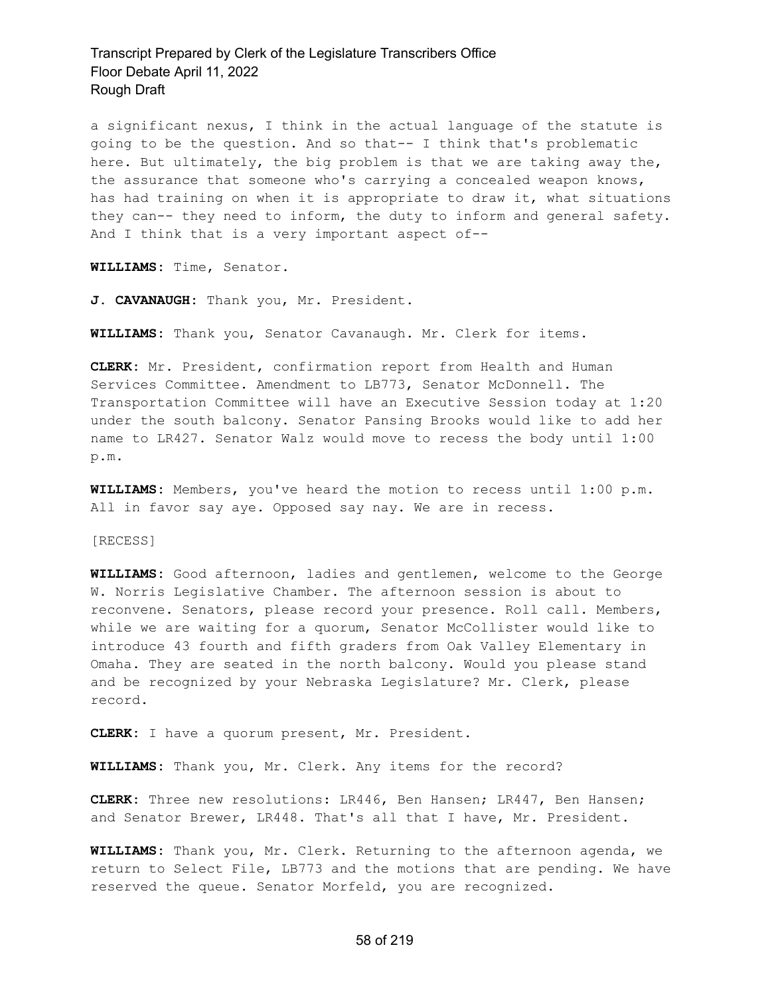a significant nexus, I think in the actual language of the statute is going to be the question. And so that-- I think that's problematic here. But ultimately, the big problem is that we are taking away the, the assurance that someone who's carrying a concealed weapon knows, has had training on when it is appropriate to draw it, what situations they can-- they need to inform, the duty to inform and general safety. And I think that is a very important aspect of--

**WILLIAMS:** Time, Senator.

**J. CAVANAUGH:** Thank you, Mr. President.

**WILLIAMS:** Thank you, Senator Cavanaugh. Mr. Clerk for items.

**CLERK:** Mr. President, confirmation report from Health and Human Services Committee. Amendment to LB773, Senator McDonnell. The Transportation Committee will have an Executive Session today at 1:20 under the south balcony. Senator Pansing Brooks would like to add her name to LR427. Senator Walz would move to recess the body until 1:00 p.m.

**WILLIAMS:** Members, you've heard the motion to recess until 1:00 p.m. All in favor say aye. Opposed say nay. We are in recess.

[RECESS]

**WILLIAMS:** Good afternoon, ladies and gentlemen, welcome to the George W. Norris Legislative Chamber. The afternoon session is about to reconvene. Senators, please record your presence. Roll call. Members, while we are waiting for a quorum, Senator McCollister would like to introduce 43 fourth and fifth graders from Oak Valley Elementary in Omaha. They are seated in the north balcony. Would you please stand and be recognized by your Nebraska Legislature? Mr. Clerk, please record.

**CLERK:** I have a quorum present, Mr. President.

**WILLIAMS:** Thank you, Mr. Clerk. Any items for the record?

**CLERK:** Three new resolutions: LR446, Ben Hansen; LR447, Ben Hansen; and Senator Brewer, LR448. That's all that I have, Mr. President.

**WILLIAMS:** Thank you, Mr. Clerk. Returning to the afternoon agenda, we return to Select File, LB773 and the motions that are pending. We have reserved the queue. Senator Morfeld, you are recognized.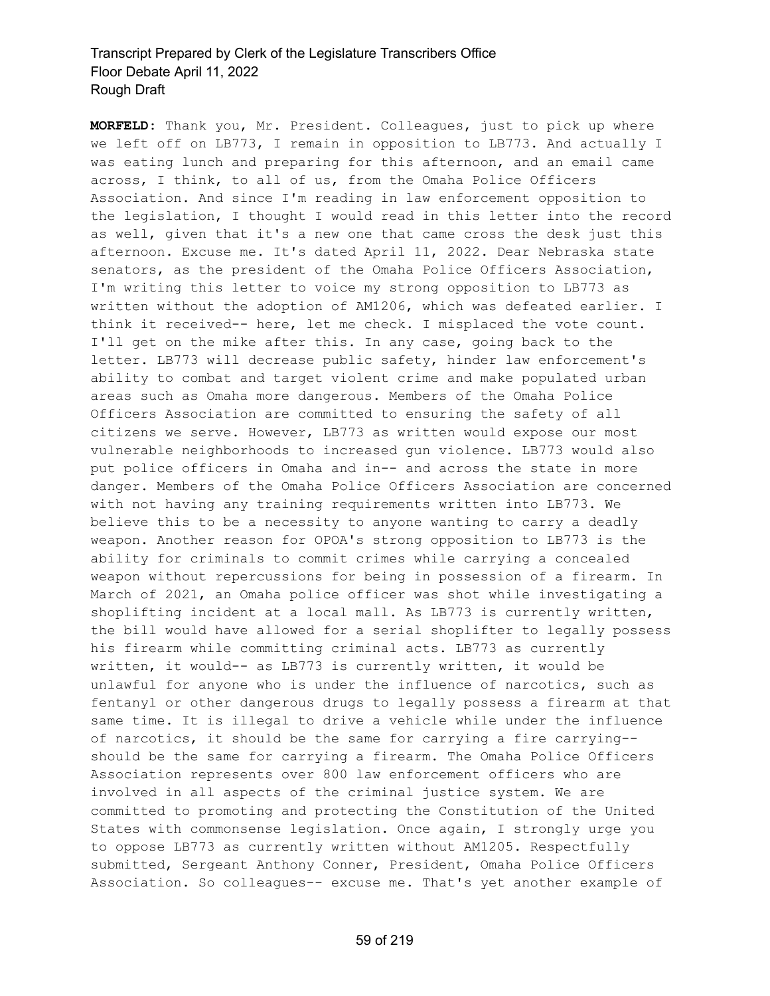**MORFELD:** Thank you, Mr. President. Colleagues, just to pick up where we left off on LB773, I remain in opposition to LB773. And actually I was eating lunch and preparing for this afternoon, and an email came across, I think, to all of us, from the Omaha Police Officers Association. And since I'm reading in law enforcement opposition to the legislation, I thought I would read in this letter into the record as well, given that it's a new one that came cross the desk just this afternoon. Excuse me. It's dated April 11, 2022. Dear Nebraska state senators, as the president of the Omaha Police Officers Association, I'm writing this letter to voice my strong opposition to LB773 as written without the adoption of AM1206, which was defeated earlier. I think it received-- here, let me check. I misplaced the vote count. I'll get on the mike after this. In any case, going back to the letter. LB773 will decrease public safety, hinder law enforcement's ability to combat and target violent crime and make populated urban areas such as Omaha more dangerous. Members of the Omaha Police Officers Association are committed to ensuring the safety of all citizens we serve. However, LB773 as written would expose our most vulnerable neighborhoods to increased gun violence. LB773 would also put police officers in Omaha and in-- and across the state in more danger. Members of the Omaha Police Officers Association are concerned with not having any training requirements written into LB773. We believe this to be a necessity to anyone wanting to carry a deadly weapon. Another reason for OPOA's strong opposition to LB773 is the ability for criminals to commit crimes while carrying a concealed weapon without repercussions for being in possession of a firearm. In March of 2021, an Omaha police officer was shot while investigating a shoplifting incident at a local mall. As LB773 is currently written, the bill would have allowed for a serial shoplifter to legally possess his firearm while committing criminal acts. LB773 as currently written, it would-- as LB773 is currently written, it would be unlawful for anyone who is under the influence of narcotics, such as fentanyl or other dangerous drugs to legally possess a firearm at that same time. It is illegal to drive a vehicle while under the influence of narcotics, it should be the same for carrying a fire carrying- should be the same for carrying a firearm. The Omaha Police Officers Association represents over 800 law enforcement officers who are involved in all aspects of the criminal justice system. We are committed to promoting and protecting the Constitution of the United States with commonsense legislation. Once again, I strongly urge you to oppose LB773 as currently written without AM1205. Respectfully submitted, Sergeant Anthony Conner, President, Omaha Police Officers Association. So colleagues-- excuse me. That's yet another example of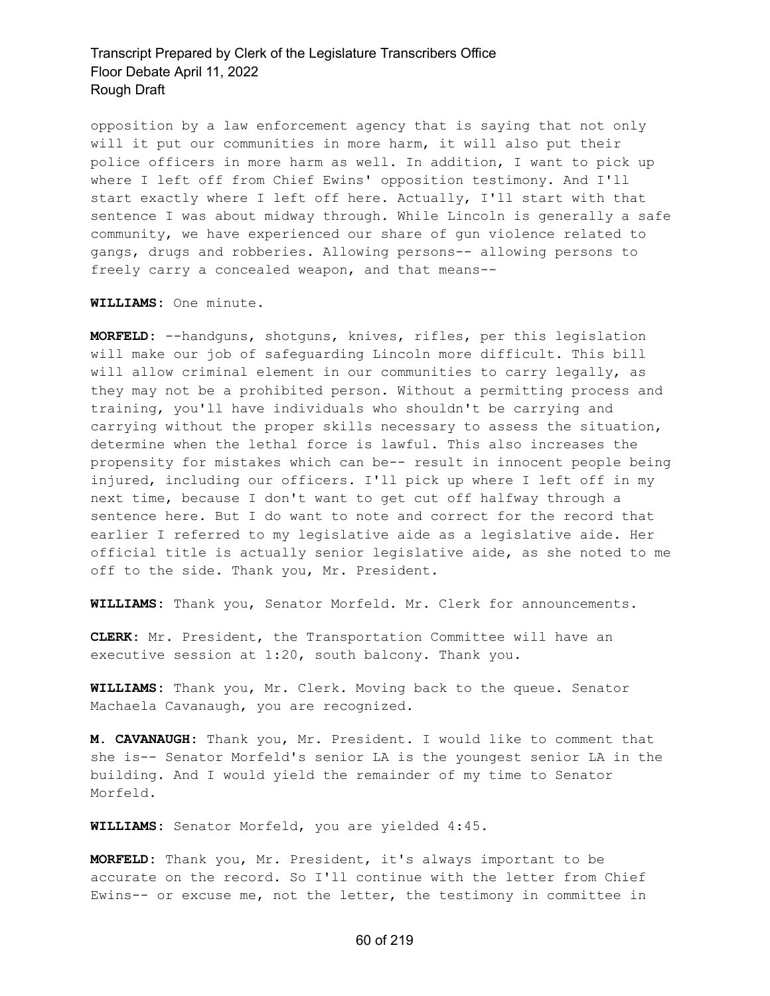opposition by a law enforcement agency that is saying that not only will it put our communities in more harm, it will also put their police officers in more harm as well. In addition, I want to pick up where I left off from Chief Ewins' opposition testimony. And I'll start exactly where I left off here. Actually, I'll start with that sentence I was about midway through. While Lincoln is generally a safe community, we have experienced our share of gun violence related to gangs, drugs and robberies. Allowing persons-- allowing persons to freely carry a concealed weapon, and that means--

**WILLIAMS:** One minute.

**MORFELD:** --handguns, shotguns, knives, rifles, per this legislation will make our job of safeguarding Lincoln more difficult. This bill will allow criminal element in our communities to carry legally, as they may not be a prohibited person. Without a permitting process and training, you'll have individuals who shouldn't be carrying and carrying without the proper skills necessary to assess the situation, determine when the lethal force is lawful. This also increases the propensity for mistakes which can be-- result in innocent people being injured, including our officers. I'll pick up where I left off in my next time, because I don't want to get cut off halfway through a sentence here. But I do want to note and correct for the record that earlier I referred to my legislative aide as a legislative aide. Her official title is actually senior legislative aide, as she noted to me off to the side. Thank you, Mr. President.

**WILLIAMS:** Thank you, Senator Morfeld. Mr. Clerk for announcements.

**CLERK:** Mr. President, the Transportation Committee will have an executive session at 1:20, south balcony. Thank you.

**WILLIAMS:** Thank you, Mr. Clerk. Moving back to the queue. Senator Machaela Cavanaugh, you are recognized.

**M. CAVANAUGH:** Thank you, Mr. President. I would like to comment that she is-- Senator Morfeld's senior LA is the youngest senior LA in the building. And I would yield the remainder of my time to Senator Morfeld.

**WILLIAMS:** Senator Morfeld, you are yielded 4:45.

**MORFELD:** Thank you, Mr. President, it's always important to be accurate on the record. So I'll continue with the letter from Chief Ewins-- or excuse me, not the letter, the testimony in committee in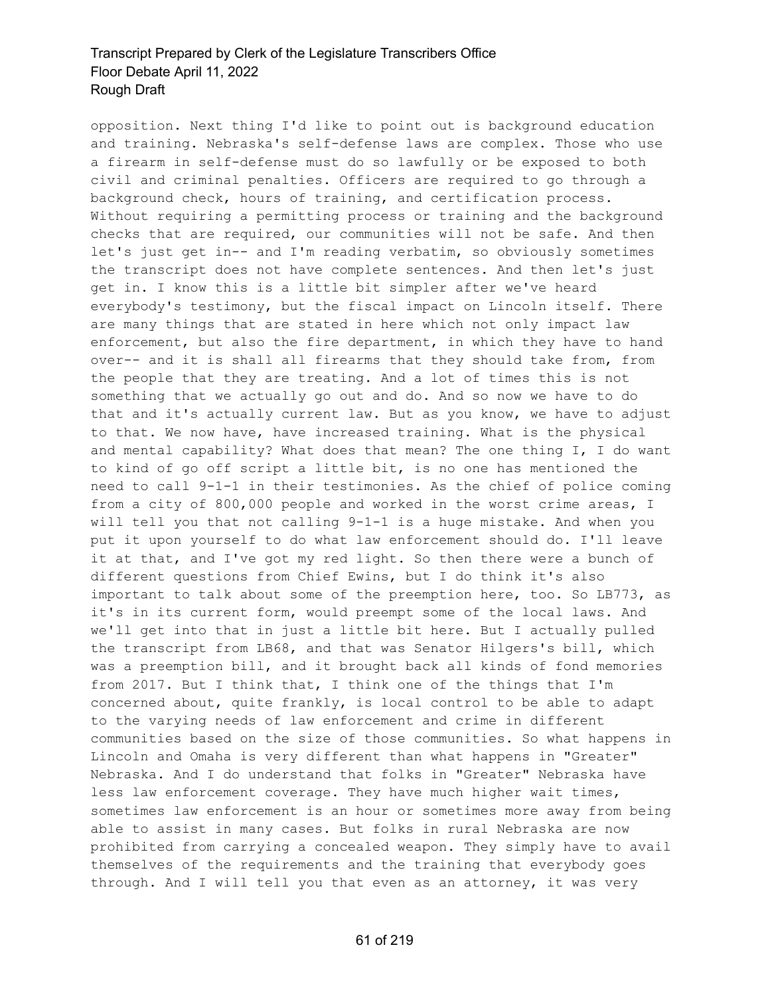opposition. Next thing I'd like to point out is background education and training. Nebraska's self-defense laws are complex. Those who use a firearm in self-defense must do so lawfully or be exposed to both civil and criminal penalties. Officers are required to go through a background check, hours of training, and certification process. Without requiring a permitting process or training and the background checks that are required, our communities will not be safe. And then let's just get in-- and I'm reading verbatim, so obviously sometimes the transcript does not have complete sentences. And then let's just get in. I know this is a little bit simpler after we've heard everybody's testimony, but the fiscal impact on Lincoln itself. There are many things that are stated in here which not only impact law enforcement, but also the fire department, in which they have to hand over-- and it is shall all firearms that they should take from, from the people that they are treating. And a lot of times this is not something that we actually go out and do. And so now we have to do that and it's actually current law. But as you know, we have to adjust to that. We now have, have increased training. What is the physical and mental capability? What does that mean? The one thing I, I do want to kind of go off script a little bit, is no one has mentioned the need to call 9-1-1 in their testimonies. As the chief of police coming from a city of 800,000 people and worked in the worst crime areas, I will tell you that not calling 9-1-1 is a huge mistake. And when you put it upon yourself to do what law enforcement should do. I'll leave it at that, and I've got my red light. So then there were a bunch of different questions from Chief Ewins, but I do think it's also important to talk about some of the preemption here, too. So LB773, as it's in its current form, would preempt some of the local laws. And we'll get into that in just a little bit here. But I actually pulled the transcript from LB68, and that was Senator Hilgers's bill, which was a preemption bill, and it brought back all kinds of fond memories from 2017. But I think that, I think one of the things that I'm concerned about, quite frankly, is local control to be able to adapt to the varying needs of law enforcement and crime in different communities based on the size of those communities. So what happens in Lincoln and Omaha is very different than what happens in "Greater" Nebraska. And I do understand that folks in "Greater" Nebraska have less law enforcement coverage. They have much higher wait times, sometimes law enforcement is an hour or sometimes more away from being able to assist in many cases. But folks in rural Nebraska are now prohibited from carrying a concealed weapon. They simply have to avail themselves of the requirements and the training that everybody goes through. And I will tell you that even as an attorney, it was very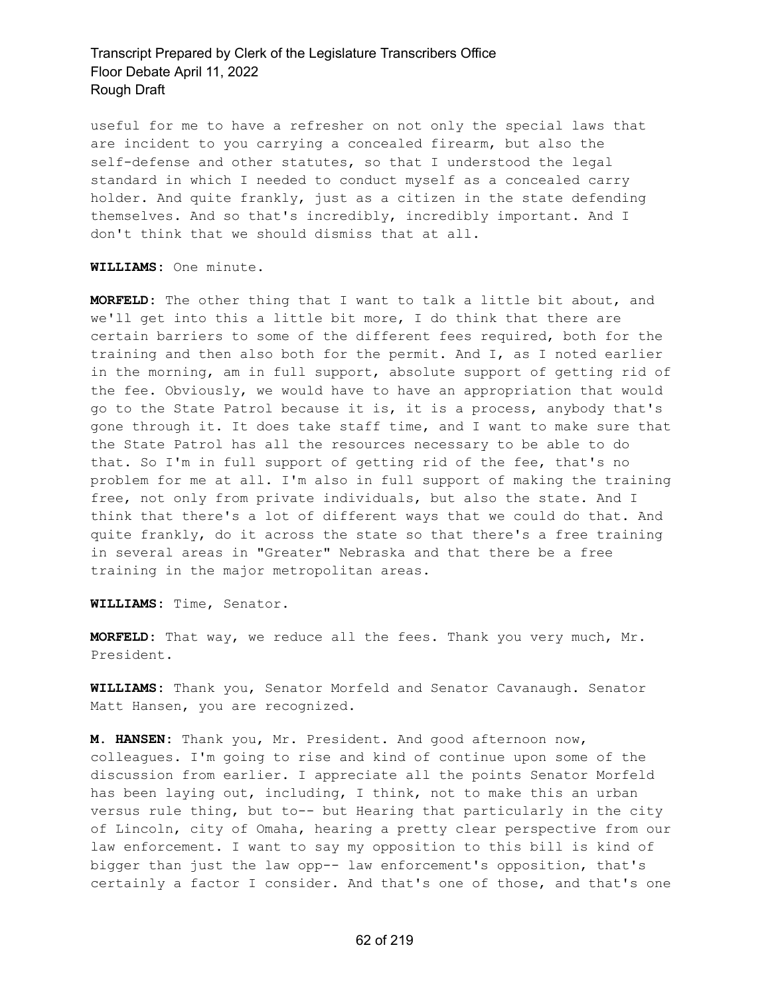useful for me to have a refresher on not only the special laws that are incident to you carrying a concealed firearm, but also the self-defense and other statutes, so that I understood the legal standard in which I needed to conduct myself as a concealed carry holder. And quite frankly, just as a citizen in the state defending themselves. And so that's incredibly, incredibly important. And I don't think that we should dismiss that at all.

#### **WILLIAMS:** One minute.

**MORFELD:** The other thing that I want to talk a little bit about, and we'll get into this a little bit more, I do think that there are certain barriers to some of the different fees required, both for the training and then also both for the permit. And I, as I noted earlier in the morning, am in full support, absolute support of getting rid of the fee. Obviously, we would have to have an appropriation that would go to the State Patrol because it is, it is a process, anybody that's gone through it. It does take staff time, and I want to make sure that the State Patrol has all the resources necessary to be able to do that. So I'm in full support of getting rid of the fee, that's no problem for me at all. I'm also in full support of making the training free, not only from private individuals, but also the state. And I think that there's a lot of different ways that we could do that. And quite frankly, do it across the state so that there's a free training in several areas in "Greater" Nebraska and that there be a free training in the major metropolitan areas.

**WILLIAMS:** Time, Senator.

**MORFELD:** That way, we reduce all the fees. Thank you very much, Mr. President.

**WILLIAMS:** Thank you, Senator Morfeld and Senator Cavanaugh. Senator Matt Hansen, you are recognized.

**M. HANSEN:** Thank you, Mr. President. And good afternoon now, colleagues. I'm going to rise and kind of continue upon some of the discussion from earlier. I appreciate all the points Senator Morfeld has been laying out, including, I think, not to make this an urban versus rule thing, but to-- but Hearing that particularly in the city of Lincoln, city of Omaha, hearing a pretty clear perspective from our law enforcement. I want to say my opposition to this bill is kind of bigger than just the law opp-- law enforcement's opposition, that's certainly a factor I consider. And that's one of those, and that's one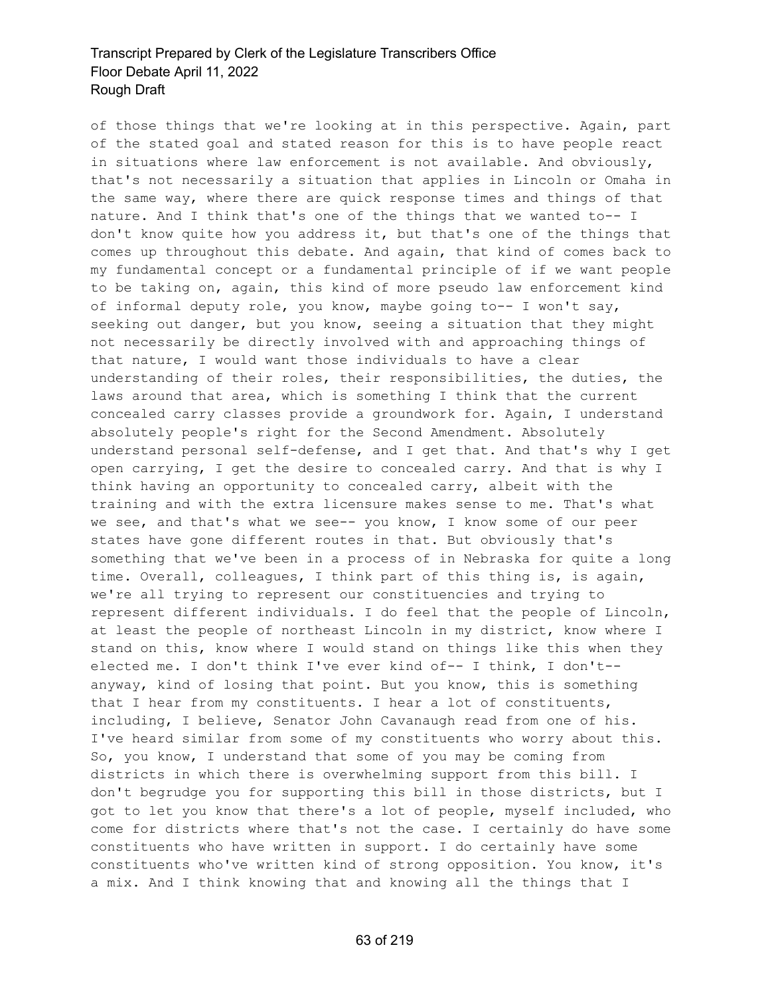of those things that we're looking at in this perspective. Again, part of the stated goal and stated reason for this is to have people react in situations where law enforcement is not available. And obviously, that's not necessarily a situation that applies in Lincoln or Omaha in the same way, where there are quick response times and things of that nature. And I think that's one of the things that we wanted to-- I don't know quite how you address it, but that's one of the things that comes up throughout this debate. And again, that kind of comes back to my fundamental concept or a fundamental principle of if we want people to be taking on, again, this kind of more pseudo law enforcement kind of informal deputy role, you know, maybe going to-- I won't say, seeking out danger, but you know, seeing a situation that they might not necessarily be directly involved with and approaching things of that nature, I would want those individuals to have a clear understanding of their roles, their responsibilities, the duties, the laws around that area, which is something I think that the current concealed carry classes provide a groundwork for. Again, I understand absolutely people's right for the Second Amendment. Absolutely understand personal self-defense, and I get that. And that's why I get open carrying, I get the desire to concealed carry. And that is why I think having an opportunity to concealed carry, albeit with the training and with the extra licensure makes sense to me. That's what we see, and that's what we see-- you know, I know some of our peer states have gone different routes in that. But obviously that's something that we've been in a process of in Nebraska for quite a long time. Overall, colleagues, I think part of this thing is, is again, we're all trying to represent our constituencies and trying to represent different individuals. I do feel that the people of Lincoln, at least the people of northeast Lincoln in my district, know where I stand on this, know where I would stand on things like this when they elected me. I don't think I've ever kind of-- I think, I don't- anyway, kind of losing that point. But you know, this is something that I hear from my constituents. I hear a lot of constituents, including, I believe, Senator John Cavanaugh read from one of his. I've heard similar from some of my constituents who worry about this. So, you know, I understand that some of you may be coming from districts in which there is overwhelming support from this bill. I don't begrudge you for supporting this bill in those districts, but I got to let you know that there's a lot of people, myself included, who come for districts where that's not the case. I certainly do have some constituents who have written in support. I do certainly have some constituents who've written kind of strong opposition. You know, it's a mix. And I think knowing that and knowing all the things that I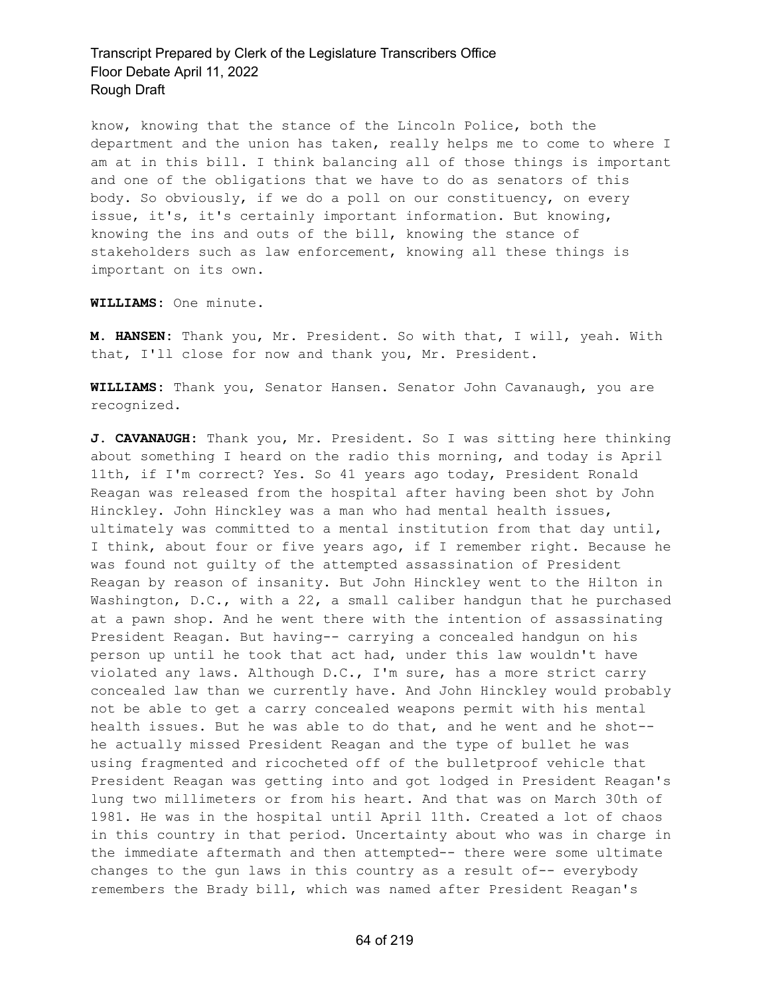know, knowing that the stance of the Lincoln Police, both the department and the union has taken, really helps me to come to where I am at in this bill. I think balancing all of those things is important and one of the obligations that we have to do as senators of this body. So obviously, if we do a poll on our constituency, on every issue, it's, it's certainly important information. But knowing, knowing the ins and outs of the bill, knowing the stance of stakeholders such as law enforcement, knowing all these things is important on its own.

**WILLIAMS:** One minute.

**M. HANSEN:** Thank you, Mr. President. So with that, I will, yeah. With that, I'll close for now and thank you, Mr. President.

**WILLIAMS:** Thank you, Senator Hansen. Senator John Cavanaugh, you are recognized.

**J. CAVANAUGH:** Thank you, Mr. President. So I was sitting here thinking about something I heard on the radio this morning, and today is April 11th, if I'm correct? Yes. So 41 years ago today, President Ronald Reagan was released from the hospital after having been shot by John Hinckley. John Hinckley was a man who had mental health issues, ultimately was committed to a mental institution from that day until, I think, about four or five years ago, if I remember right. Because he was found not guilty of the attempted assassination of President Reagan by reason of insanity. But John Hinckley went to the Hilton in Washington, D.C., with a 22, a small caliber handgun that he purchased at a pawn shop. And he went there with the intention of assassinating President Reagan. But having-- carrying a concealed handgun on his person up until he took that act had, under this law wouldn't have violated any laws. Although D.C., I'm sure, has a more strict carry concealed law than we currently have. And John Hinckley would probably not be able to get a carry concealed weapons permit with his mental health issues. But he was able to do that, and he went and he shot- he actually missed President Reagan and the type of bullet he was using fragmented and ricocheted off of the bulletproof vehicle that President Reagan was getting into and got lodged in President Reagan's lung two millimeters or from his heart. And that was on March 30th of 1981. He was in the hospital until April 11th. Created a lot of chaos in this country in that period. Uncertainty about who was in charge in the immediate aftermath and then attempted-- there were some ultimate changes to the gun laws in this country as a result of-- everybody remembers the Brady bill, which was named after President Reagan's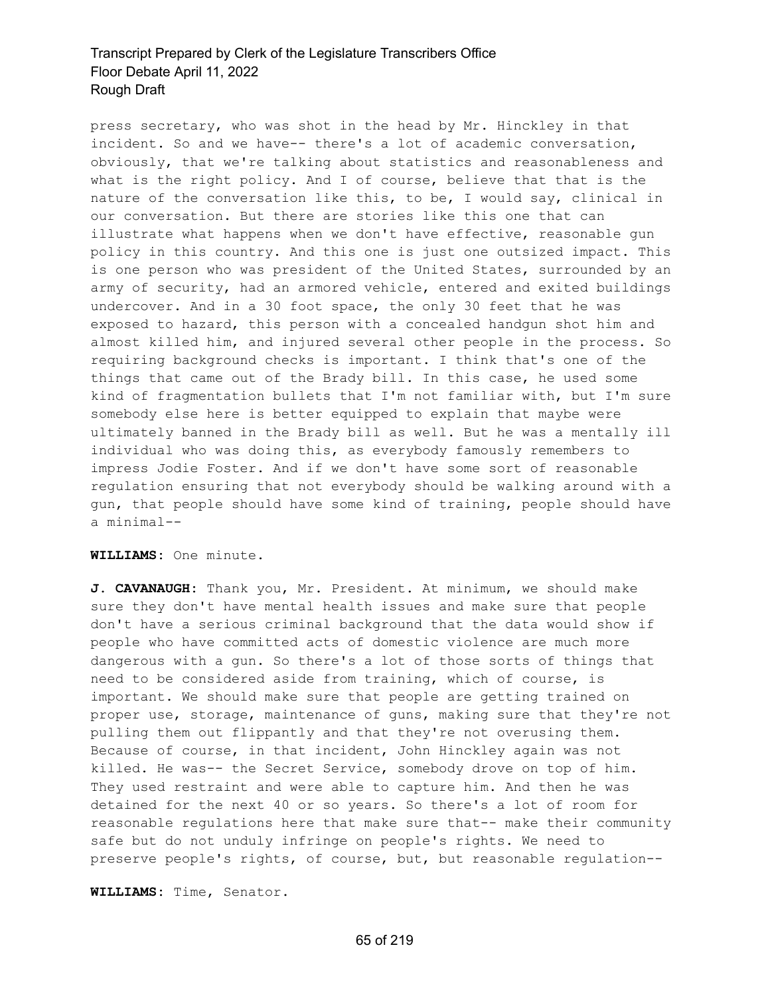press secretary, who was shot in the head by Mr. Hinckley in that incident. So and we have-- there's a lot of academic conversation, obviously, that we're talking about statistics and reasonableness and what is the right policy. And I of course, believe that that is the nature of the conversation like this, to be, I would say, clinical in our conversation. But there are stories like this one that can illustrate what happens when we don't have effective, reasonable gun policy in this country. And this one is just one outsized impact. This is one person who was president of the United States, surrounded by an army of security, had an armored vehicle, entered and exited buildings undercover. And in a 30 foot space, the only 30 feet that he was exposed to hazard, this person with a concealed handgun shot him and almost killed him, and injured several other people in the process. So requiring background checks is important. I think that's one of the things that came out of the Brady bill. In this case, he used some kind of fragmentation bullets that I'm not familiar with, but I'm sure somebody else here is better equipped to explain that maybe were ultimately banned in the Brady bill as well. But he was a mentally ill individual who was doing this, as everybody famously remembers to impress Jodie Foster. And if we don't have some sort of reasonable regulation ensuring that not everybody should be walking around with a gun, that people should have some kind of training, people should have a minimal--

#### **WILLIAMS:** One minute.

**J. CAVANAUGH:** Thank you, Mr. President. At minimum, we should make sure they don't have mental health issues and make sure that people don't have a serious criminal background that the data would show if people who have committed acts of domestic violence are much more dangerous with a gun. So there's a lot of those sorts of things that need to be considered aside from training, which of course, is important. We should make sure that people are getting trained on proper use, storage, maintenance of guns, making sure that they're not pulling them out flippantly and that they're not overusing them. Because of course, in that incident, John Hinckley again was not killed. He was-- the Secret Service, somebody drove on top of him. They used restraint and were able to capture him. And then he was detained for the next 40 or so years. So there's a lot of room for reasonable regulations here that make sure that-- make their community safe but do not unduly infringe on people's rights. We need to preserve people's rights, of course, but, but reasonable regulation--

**WILLIAMS:** Time, Senator.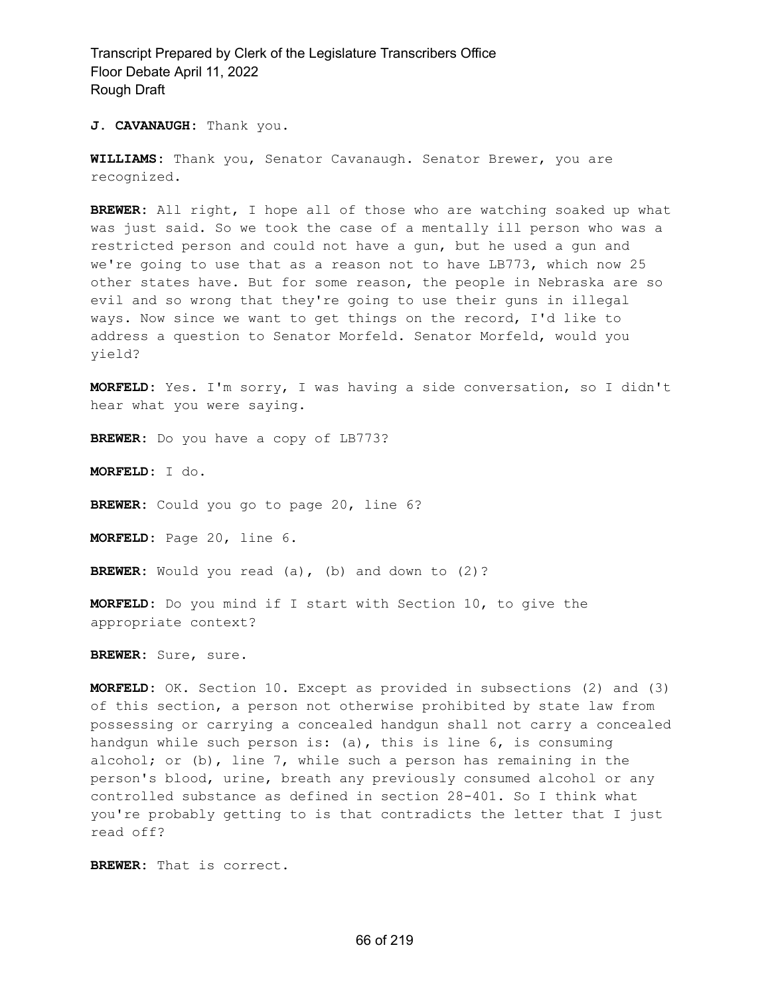**J. CAVANAUGH:** Thank you.

**WILLIAMS:** Thank you, Senator Cavanaugh. Senator Brewer, you are recognized.

**BREWER:** All right, I hope all of those who are watching soaked up what was just said. So we took the case of a mentally ill person who was a restricted person and could not have a gun, but he used a gun and we're going to use that as a reason not to have LB773, which now 25 other states have. But for some reason, the people in Nebraska are so evil and so wrong that they're going to use their guns in illegal ways. Now since we want to get things on the record, I'd like to address a question to Senator Morfeld. Senator Morfeld, would you yield?

**MORFELD:** Yes. I'm sorry, I was having a side conversation, so I didn't hear what you were saying.

**BREWER:** Do you have a copy of LB773?

**MORFELD:** I do.

**BREWER:** Could you go to page 20, line 6?

**MORFELD:** Page 20, line 6.

**BREWER:** Would you read (a), (b) and down to (2)?

**MORFELD:** Do you mind if I start with Section 10, to give the appropriate context?

**BREWER:** Sure, sure.

**MORFELD:** OK. Section 10. Except as provided in subsections (2) and (3) of this section, a person not otherwise prohibited by state law from possessing or carrying a concealed handgun shall not carry a concealed handgun while such person is: (a), this is line 6, is consuming alcohol; or (b), line 7, while such a person has remaining in the person's blood, urine, breath any previously consumed alcohol or any controlled substance as defined in section 28-401. So I think what you're probably getting to is that contradicts the letter that I just read off?

**BREWER:** That is correct.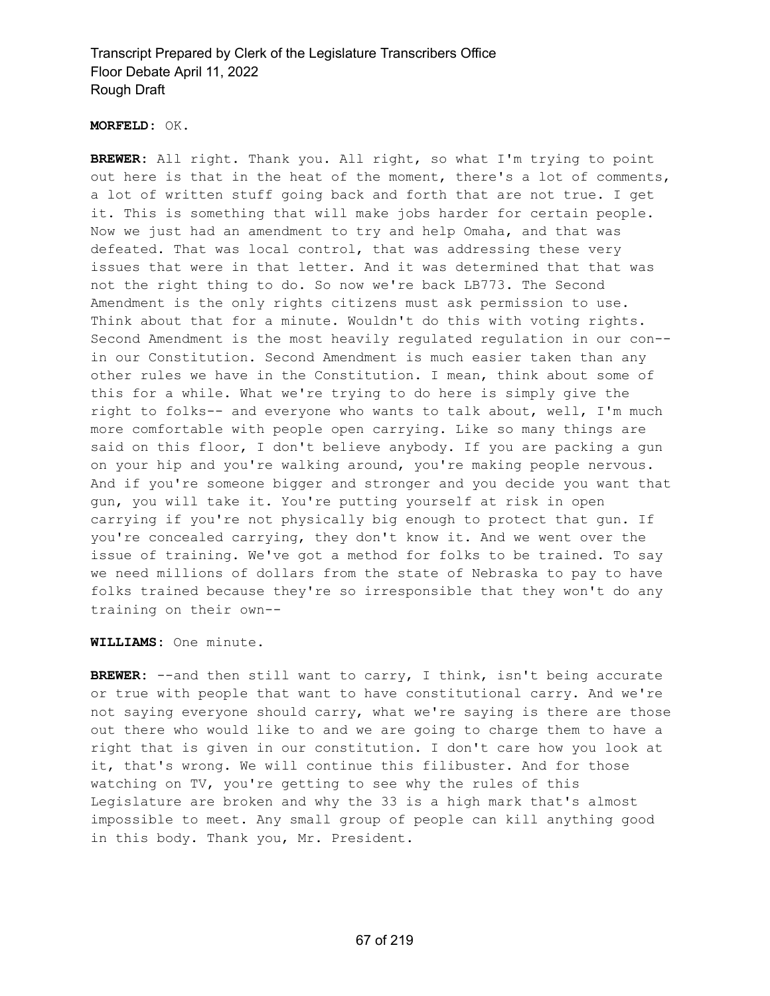#### **MORFELD:** OK.

**BREWER:** All right. Thank you. All right, so what I'm trying to point out here is that in the heat of the moment, there's a lot of comments, a lot of written stuff going back and forth that are not true. I get it. This is something that will make jobs harder for certain people. Now we just had an amendment to try and help Omaha, and that was defeated. That was local control, that was addressing these very issues that were in that letter. And it was determined that that was not the right thing to do. So now we're back LB773. The Second Amendment is the only rights citizens must ask permission to use. Think about that for a minute. Wouldn't do this with voting rights. Second Amendment is the most heavily regulated regulation in our con- in our Constitution. Second Amendment is much easier taken than any other rules we have in the Constitution. I mean, think about some of this for a while. What we're trying to do here is simply give the right to folks-- and everyone who wants to talk about, well, I'm much more comfortable with people open carrying. Like so many things are said on this floor, I don't believe anybody. If you are packing a gun on your hip and you're walking around, you're making people nervous. And if you're someone bigger and stronger and you decide you want that gun, you will take it. You're putting yourself at risk in open carrying if you're not physically big enough to protect that gun. If you're concealed carrying, they don't know it. And we went over the issue of training. We've got a method for folks to be trained. To say we need millions of dollars from the state of Nebraska to pay to have folks trained because they're so irresponsible that they won't do any training on their own--

### **WILLIAMS:** One minute.

**BREWER:** --and then still want to carry, I think, isn't being accurate or true with people that want to have constitutional carry. And we're not saying everyone should carry, what we're saying is there are those out there who would like to and we are going to charge them to have a right that is given in our constitution. I don't care how you look at it, that's wrong. We will continue this filibuster. And for those watching on TV, you're getting to see why the rules of this Legislature are broken and why the 33 is a high mark that's almost impossible to meet. Any small group of people can kill anything good in this body. Thank you, Mr. President.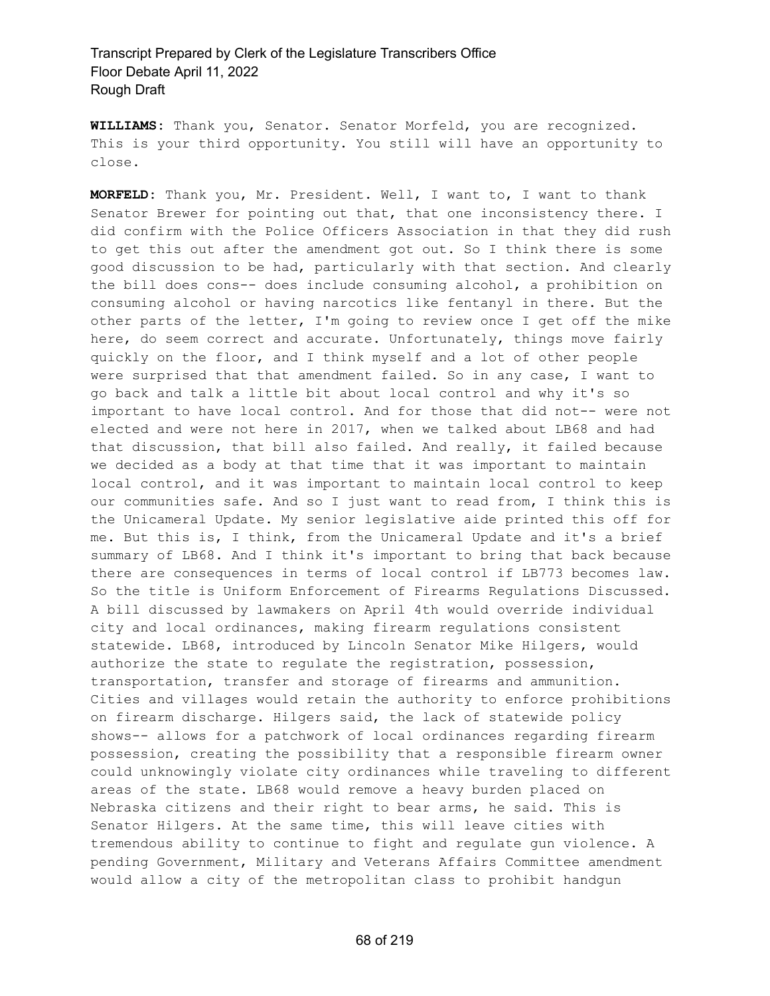**WILLIAMS:** Thank you, Senator. Senator Morfeld, you are recognized. This is your third opportunity. You still will have an opportunity to close.

**MORFELD:** Thank you, Mr. President. Well, I want to, I want to thank Senator Brewer for pointing out that, that one inconsistency there. I did confirm with the Police Officers Association in that they did rush to get this out after the amendment got out. So I think there is some good discussion to be had, particularly with that section. And clearly the bill does cons-- does include consuming alcohol, a prohibition on consuming alcohol or having narcotics like fentanyl in there. But the other parts of the letter, I'm going to review once I get off the mike here, do seem correct and accurate. Unfortunately, things move fairly quickly on the floor, and I think myself and a lot of other people were surprised that that amendment failed. So in any case, I want to go back and talk a little bit about local control and why it's so important to have local control. And for those that did not-- were not elected and were not here in 2017, when we talked about LB68 and had that discussion, that bill also failed. And really, it failed because we decided as a body at that time that it was important to maintain local control, and it was important to maintain local control to keep our communities safe. And so I just want to read from, I think this is the Unicameral Update. My senior legislative aide printed this off for me. But this is, I think, from the Unicameral Update and it's a brief summary of LB68. And I think it's important to bring that back because there are consequences in terms of local control if LB773 becomes law. So the title is Uniform Enforcement of Firearms Regulations Discussed. A bill discussed by lawmakers on April 4th would override individual city and local ordinances, making firearm regulations consistent statewide. LB68, introduced by Lincoln Senator Mike Hilgers, would authorize the state to regulate the registration, possession, transportation, transfer and storage of firearms and ammunition. Cities and villages would retain the authority to enforce prohibitions on firearm discharge. Hilgers said, the lack of statewide policy shows-- allows for a patchwork of local ordinances regarding firearm possession, creating the possibility that a responsible firearm owner could unknowingly violate city ordinances while traveling to different areas of the state. LB68 would remove a heavy burden placed on Nebraska citizens and their right to bear arms, he said. This is Senator Hilgers. At the same time, this will leave cities with tremendous ability to continue to fight and regulate gun violence. A pending Government, Military and Veterans Affairs Committee amendment would allow a city of the metropolitan class to prohibit handgun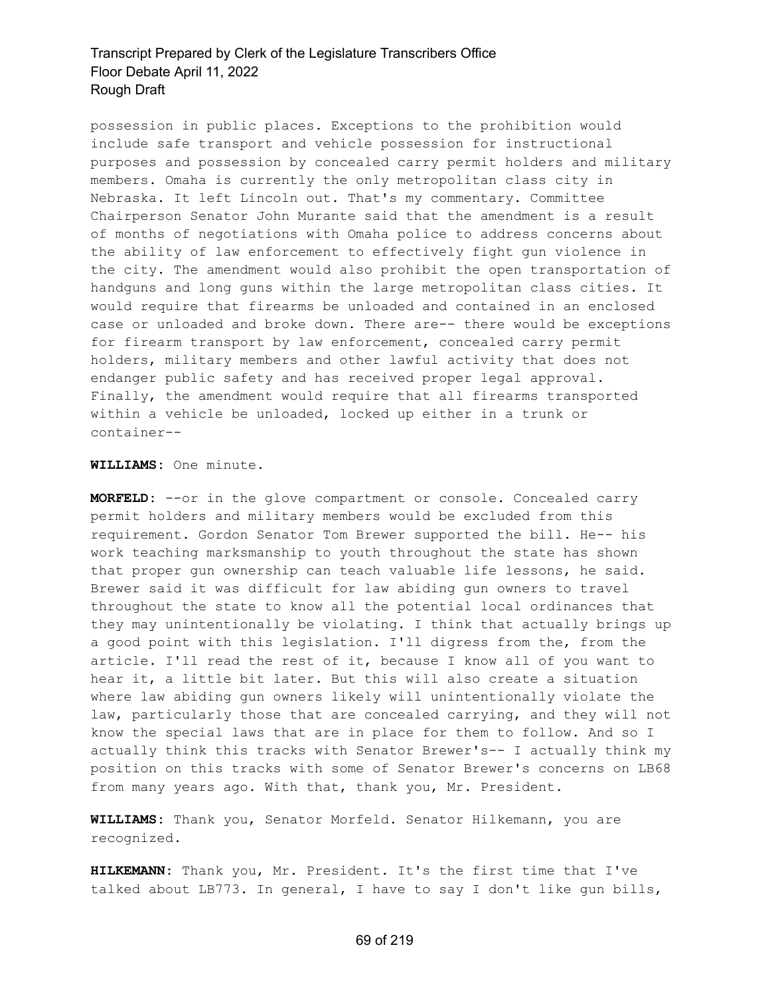possession in public places. Exceptions to the prohibition would include safe transport and vehicle possession for instructional purposes and possession by concealed carry permit holders and military members. Omaha is currently the only metropolitan class city in Nebraska. It left Lincoln out. That's my commentary. Committee Chairperson Senator John Murante said that the amendment is a result of months of negotiations with Omaha police to address concerns about the ability of law enforcement to effectively fight gun violence in the city. The amendment would also prohibit the open transportation of handguns and long guns within the large metropolitan class cities. It would require that firearms be unloaded and contained in an enclosed case or unloaded and broke down. There are-- there would be exceptions for firearm transport by law enforcement, concealed carry permit holders, military members and other lawful activity that does not endanger public safety and has received proper legal approval. Finally, the amendment would require that all firearms transported within a vehicle be unloaded, locked up either in a trunk or container--

**WILLIAMS:** One minute.

**MORFELD:** --or in the glove compartment or console. Concealed carry permit holders and military members would be excluded from this requirement. Gordon Senator Tom Brewer supported the bill. He-- his work teaching marksmanship to youth throughout the state has shown that proper gun ownership can teach valuable life lessons, he said. Brewer said it was difficult for law abiding gun owners to travel throughout the state to know all the potential local ordinances that they may unintentionally be violating. I think that actually brings up a good point with this legislation. I'll digress from the, from the article. I'll read the rest of it, because I know all of you want to hear it, a little bit later. But this will also create a situation where law abiding gun owners likely will unintentionally violate the law, particularly those that are concealed carrying, and they will not know the special laws that are in place for them to follow. And so I actually think this tracks with Senator Brewer's-- I actually think my position on this tracks with some of Senator Brewer's concerns on LB68 from many years ago. With that, thank you, Mr. President.

**WILLIAMS:** Thank you, Senator Morfeld. Senator Hilkemann, you are recognized.

**HILKEMANN:** Thank you, Mr. President. It's the first time that I've talked about LB773. In general, I have to say I don't like gun bills,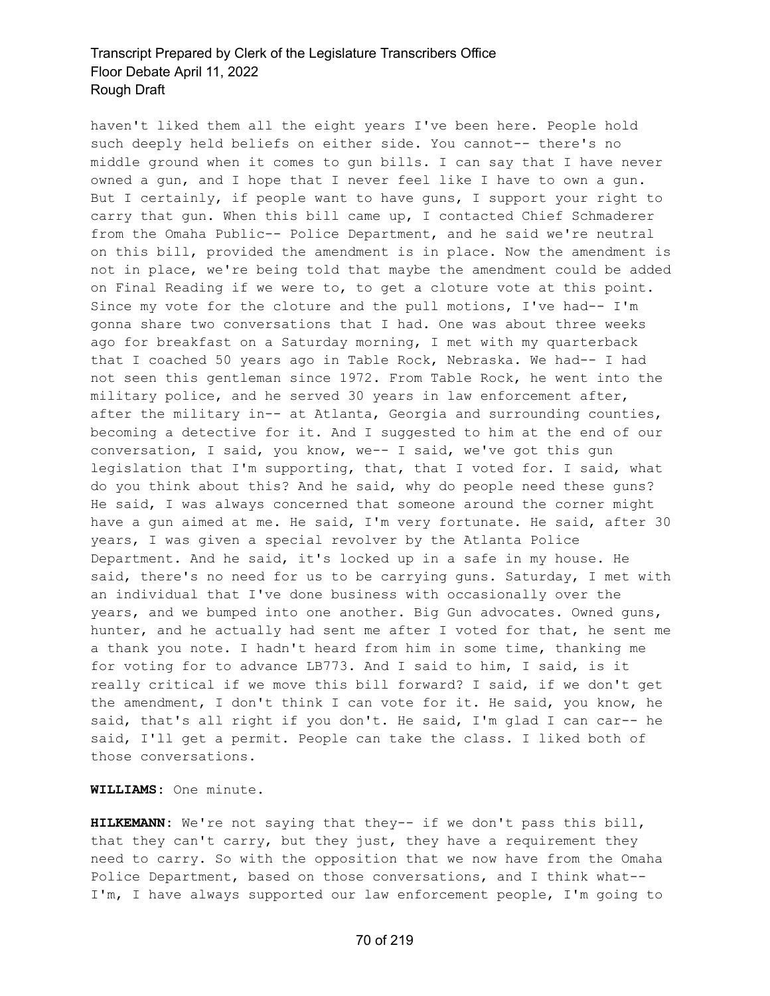haven't liked them all the eight years I've been here. People hold such deeply held beliefs on either side. You cannot-- there's no middle ground when it comes to gun bills. I can say that I have never owned a gun, and I hope that I never feel like I have to own a gun. But I certainly, if people want to have guns, I support your right to carry that gun. When this bill came up, I contacted Chief Schmaderer from the Omaha Public-- Police Department, and he said we're neutral on this bill, provided the amendment is in place. Now the amendment is not in place, we're being told that maybe the amendment could be added on Final Reading if we were to, to get a cloture vote at this point. Since my vote for the cloture and the pull motions, I've had-- I'm gonna share two conversations that I had. One was about three weeks ago for breakfast on a Saturday morning, I met with my quarterback that I coached 50 years ago in Table Rock, Nebraska. We had-- I had not seen this gentleman since 1972. From Table Rock, he went into the military police, and he served 30 years in law enforcement after, after the military in-- at Atlanta, Georgia and surrounding counties, becoming a detective for it. And I suggested to him at the end of our conversation, I said, you know, we-- I said, we've got this gun legislation that I'm supporting, that, that I voted for. I said, what do you think about this? And he said, why do people need these guns? He said, I was always concerned that someone around the corner might have a gun aimed at me. He said, I'm very fortunate. He said, after 30 years, I was given a special revolver by the Atlanta Police Department. And he said, it's locked up in a safe in my house. He said, there's no need for us to be carrying guns. Saturday, I met with an individual that I've done business with occasionally over the years, and we bumped into one another. Big Gun advocates. Owned guns, hunter, and he actually had sent me after I voted for that, he sent me a thank you note. I hadn't heard from him in some time, thanking me for voting for to advance LB773. And I said to him, I said, is it really critical if we move this bill forward? I said, if we don't get the amendment, I don't think I can vote for it. He said, you know, he said, that's all right if you don't. He said, I'm glad I can car-- he said, I'll get a permit. People can take the class. I liked both of those conversations.

**WILLIAMS:** One minute.

**HILKEMANN:** We're not saying that they-- if we don't pass this bill, that they can't carry, but they just, they have a requirement they need to carry. So with the opposition that we now have from the Omaha Police Department, based on those conversations, and I think what-- I'm, I have always supported our law enforcement people, I'm going to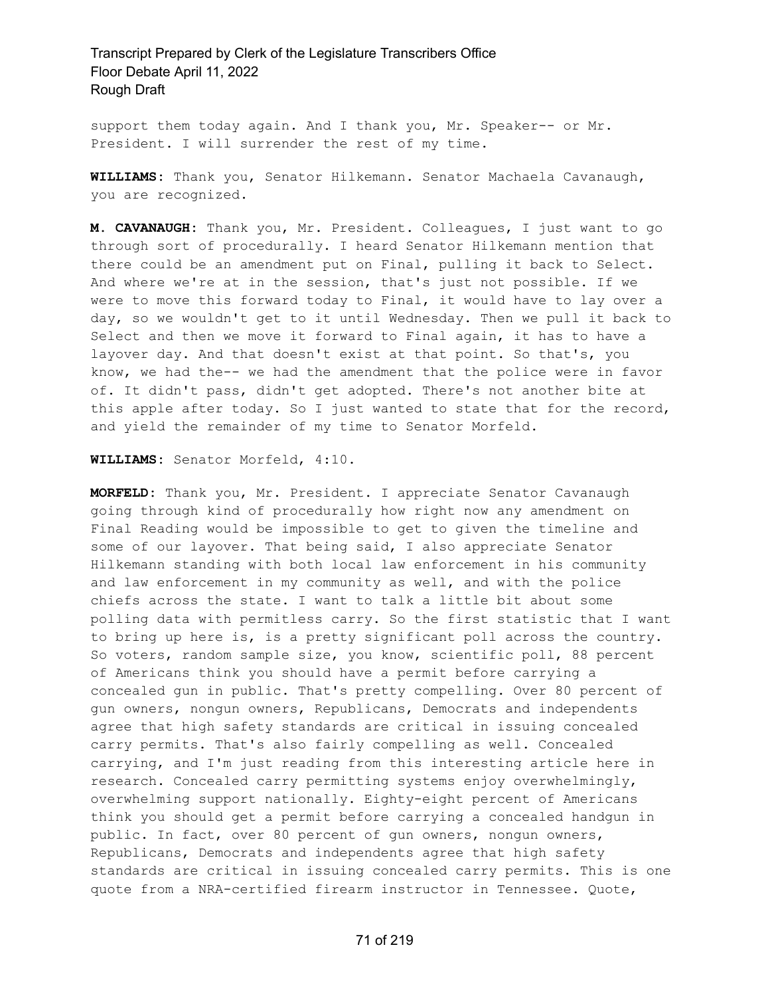support them today again. And I thank you, Mr. Speaker-- or Mr. President. I will surrender the rest of my time.

**WILLIAMS:** Thank you, Senator Hilkemann. Senator Machaela Cavanaugh, you are recognized.

**M. CAVANAUGH:** Thank you, Mr. President. Colleagues, I just want to go through sort of procedurally. I heard Senator Hilkemann mention that there could be an amendment put on Final, pulling it back to Select. And where we're at in the session, that's just not possible. If we were to move this forward today to Final, it would have to lay over a day, so we wouldn't get to it until Wednesday. Then we pull it back to Select and then we move it forward to Final again, it has to have a layover day. And that doesn't exist at that point. So that's, you know, we had the-- we had the amendment that the police were in favor of. It didn't pass, didn't get adopted. There's not another bite at this apple after today. So I just wanted to state that for the record, and yield the remainder of my time to Senator Morfeld.

**WILLIAMS:** Senator Morfeld, 4:10.

**MORFELD:** Thank you, Mr. President. I appreciate Senator Cavanaugh going through kind of procedurally how right now any amendment on Final Reading would be impossible to get to given the timeline and some of our layover. That being said, I also appreciate Senator Hilkemann standing with both local law enforcement in his community and law enforcement in my community as well, and with the police chiefs across the state. I want to talk a little bit about some polling data with permitless carry. So the first statistic that I want to bring up here is, is a pretty significant poll across the country. So voters, random sample size, you know, scientific poll, 88 percent of Americans think you should have a permit before carrying a concealed gun in public. That's pretty compelling. Over 80 percent of gun owners, nongun owners, Republicans, Democrats and independents agree that high safety standards are critical in issuing concealed carry permits. That's also fairly compelling as well. Concealed carrying, and I'm just reading from this interesting article here in research. Concealed carry permitting systems enjoy overwhelmingly, overwhelming support nationally. Eighty-eight percent of Americans think you should get a permit before carrying a concealed handgun in public. In fact, over 80 percent of gun owners, nongun owners, Republicans, Democrats and independents agree that high safety standards are critical in issuing concealed carry permits. This is one quote from a NRA-certified firearm instructor in Tennessee. Quote,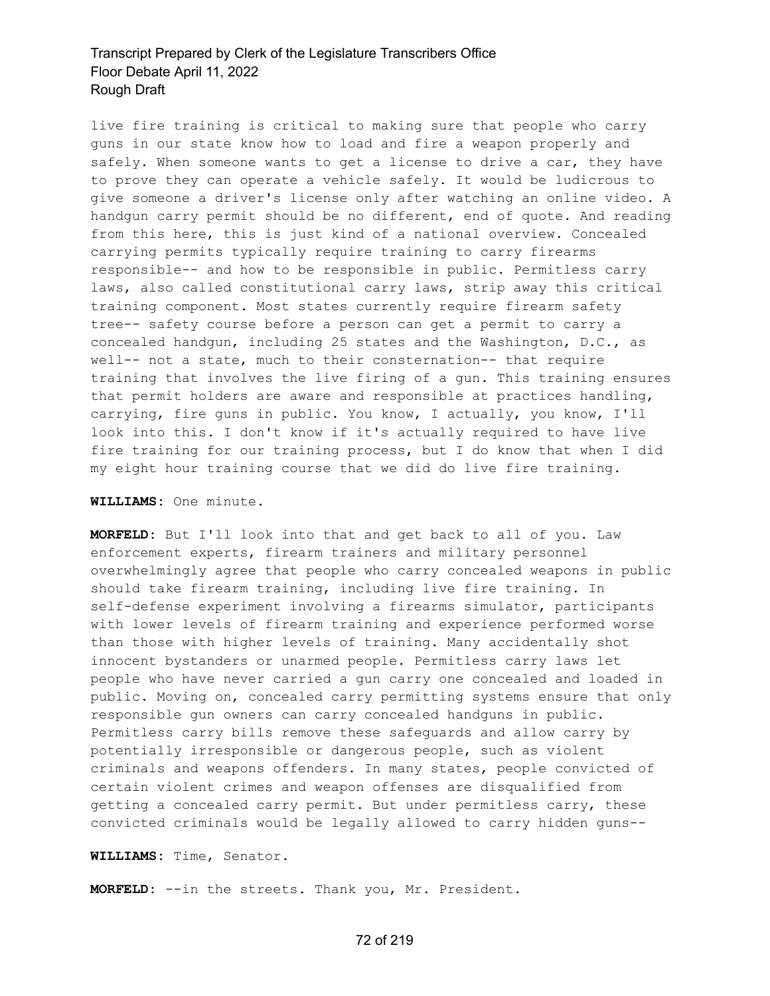live fire training is critical to making sure that people who carry guns in our state know how to load and fire a weapon properly and safely. When someone wants to get a license to drive a car, they have to prove they can operate a vehicle safely. It would be ludicrous to give someone a driver's license only after watching an online video. A handgun carry permit should be no different, end of quote. And reading from this here, this is just kind of a national overview. Concealed carrying permits typically require training to carry firearms responsible-- and how to be responsible in public. Permitless carry laws, also called constitutional carry laws, strip away this critical training component. Most states currently require firearm safety tree-- safety course before a person can get a permit to carry a concealed handgun, including 25 states and the Washington, D.C., as well-- not a state, much to their consternation-- that require training that involves the live firing of a gun. This training ensures that permit holders are aware and responsible at practices handling, carrying, fire guns in public. You know, I actually, you know, I'll look into this. I don't know if it's actually required to have live fire training for our training process, but I do know that when I did my eight hour training course that we did do live fire training.

#### **WILLIAMS:** One minute.

**MORFELD:** But I'll look into that and get back to all of you. Law enforcement experts, firearm trainers and military personnel overwhelmingly agree that people who carry concealed weapons in public should take firearm training, including live fire training. In self-defense experiment involving a firearms simulator, participants with lower levels of firearm training and experience performed worse than those with higher levels of training. Many accidentally shot innocent bystanders or unarmed people. Permitless carry laws let people who have never carried a gun carry one concealed and loaded in public. Moving on, concealed carry permitting systems ensure that only responsible gun owners can carry concealed handguns in public. Permitless carry bills remove these safeguards and allow carry by potentially irresponsible or dangerous people, such as violent criminals and weapons offenders. In many states, people convicted of certain violent crimes and weapon offenses are disqualified from getting a concealed carry permit. But under permitless carry, these convicted criminals would be legally allowed to carry hidden guns--

#### **WILLIAMS:** Time, Senator.

**MORFELD:** --in the streets. Thank you, Mr. President.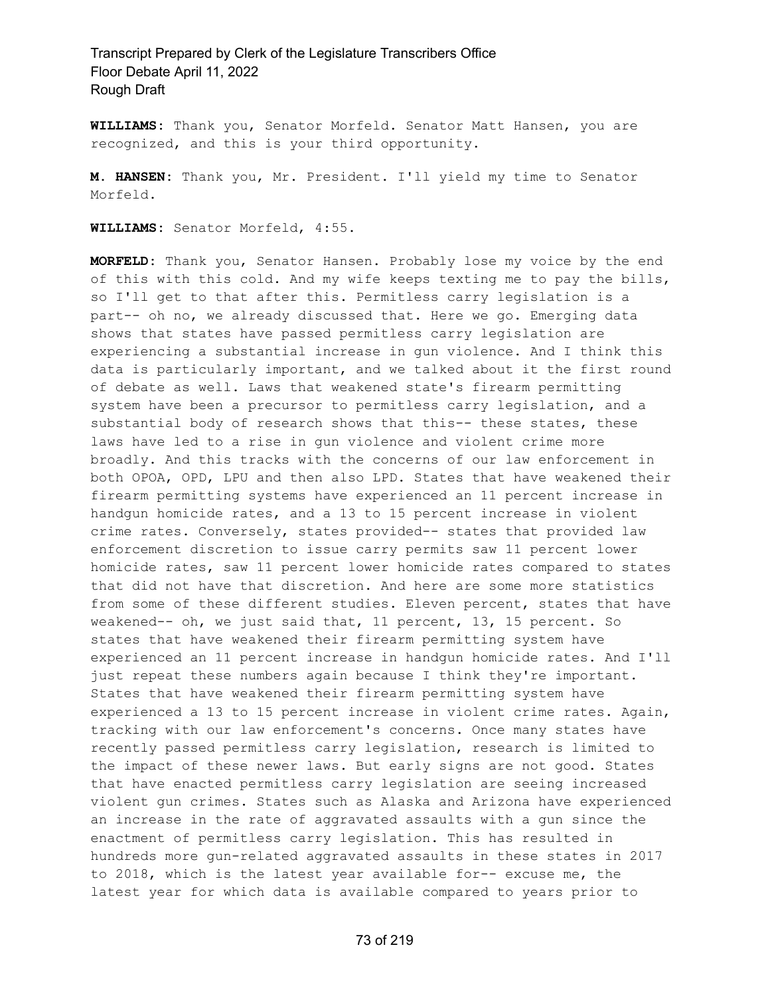**WILLIAMS:** Thank you, Senator Morfeld. Senator Matt Hansen, you are recognized, and this is your third opportunity.

**M. HANSEN:** Thank you, Mr. President. I'll yield my time to Senator Morfeld.

**WILLIAMS:** Senator Morfeld, 4:55.

**MORFELD:** Thank you, Senator Hansen. Probably lose my voice by the end of this with this cold. And my wife keeps texting me to pay the bills, so I'll get to that after this. Permitless carry legislation is a part-- oh no, we already discussed that. Here we go. Emerging data shows that states have passed permitless carry legislation are experiencing a substantial increase in gun violence. And I think this data is particularly important, and we talked about it the first round of debate as well. Laws that weakened state's firearm permitting system have been a precursor to permitless carry legislation, and a substantial body of research shows that this-- these states, these laws have led to a rise in gun violence and violent crime more broadly. And this tracks with the concerns of our law enforcement in both OPOA, OPD, LPU and then also LPD. States that have weakened their firearm permitting systems have experienced an 11 percent increase in handgun homicide rates, and a 13 to 15 percent increase in violent crime rates. Conversely, states provided-- states that provided law enforcement discretion to issue carry permits saw 11 percent lower homicide rates, saw 11 percent lower homicide rates compared to states that did not have that discretion. And here are some more statistics from some of these different studies. Eleven percent, states that have weakened-- oh, we just said that, 11 percent, 13, 15 percent. So states that have weakened their firearm permitting system have experienced an 11 percent increase in handgun homicide rates. And I'll just repeat these numbers again because I think they're important. States that have weakened their firearm permitting system have experienced a 13 to 15 percent increase in violent crime rates. Again, tracking with our law enforcement's concerns. Once many states have recently passed permitless carry legislation, research is limited to the impact of these newer laws. But early signs are not good. States that have enacted permitless carry legislation are seeing increased violent gun crimes. States such as Alaska and Arizona have experienced an increase in the rate of aggravated assaults with a gun since the enactment of permitless carry legislation. This has resulted in hundreds more gun-related aggravated assaults in these states in 2017 to 2018, which is the latest year available for-- excuse me, the latest year for which data is available compared to years prior to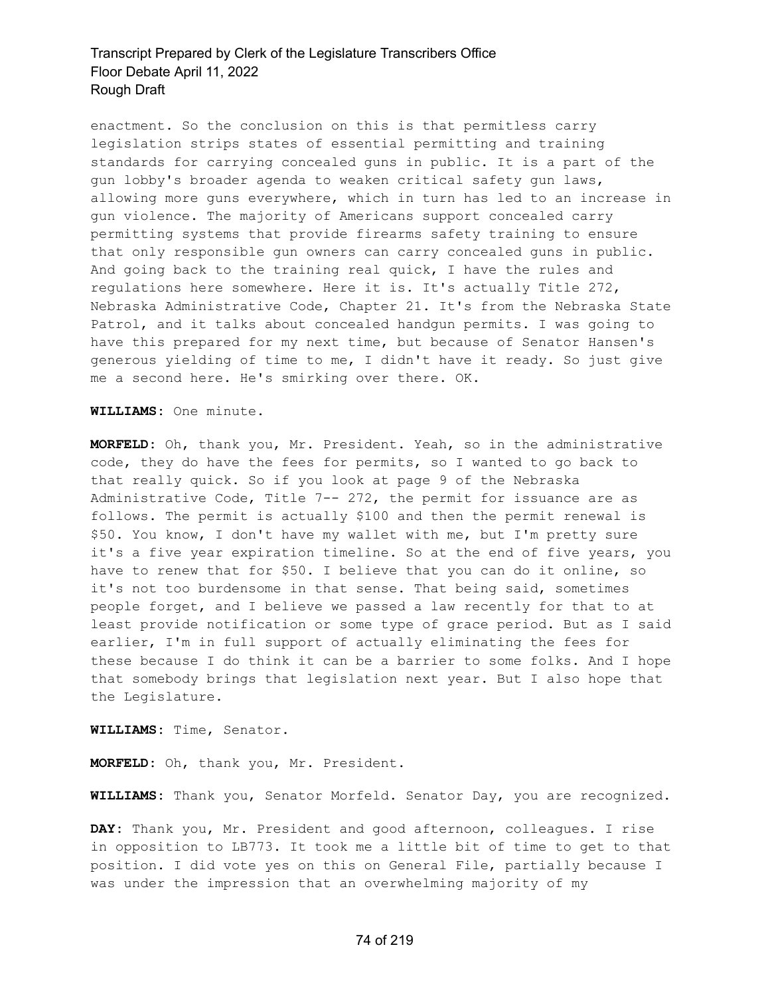enactment. So the conclusion on this is that permitless carry legislation strips states of essential permitting and training standards for carrying concealed guns in public. It is a part of the gun lobby's broader agenda to weaken critical safety gun laws, allowing more guns everywhere, which in turn has led to an increase in gun violence. The majority of Americans support concealed carry permitting systems that provide firearms safety training to ensure that only responsible gun owners can carry concealed guns in public. And going back to the training real quick, I have the rules and regulations here somewhere. Here it is. It's actually Title 272, Nebraska Administrative Code, Chapter 21. It's from the Nebraska State Patrol, and it talks about concealed handgun permits. I was going to have this prepared for my next time, but because of Senator Hansen's generous yielding of time to me, I didn't have it ready. So just give me a second here. He's smirking over there. OK.

**WILLIAMS:** One minute.

**MORFELD:** Oh, thank you, Mr. President. Yeah, so in the administrative code, they do have the fees for permits, so I wanted to go back to that really quick. So if you look at page 9 of the Nebraska Administrative Code, Title 7-- 272, the permit for issuance are as follows. The permit is actually \$100 and then the permit renewal is \$50. You know, I don't have my wallet with me, but I'm pretty sure it's a five year expiration timeline. So at the end of five years, you have to renew that for \$50. I believe that you can do it online, so it's not too burdensome in that sense. That being said, sometimes people forget, and I believe we passed a law recently for that to at least provide notification or some type of grace period. But as I said earlier, I'm in full support of actually eliminating the fees for these because I do think it can be a barrier to some folks. And I hope that somebody brings that legislation next year. But I also hope that the Legislature.

**WILLIAMS:** Time, Senator.

**MORFELD:** Oh, thank you, Mr. President.

**WILLIAMS:** Thank you, Senator Morfeld. Senator Day, you are recognized.

**DAY:** Thank you, Mr. President and good afternoon, colleagues. I rise in opposition to LB773. It took me a little bit of time to get to that position. I did vote yes on this on General File, partially because I was under the impression that an overwhelming majority of my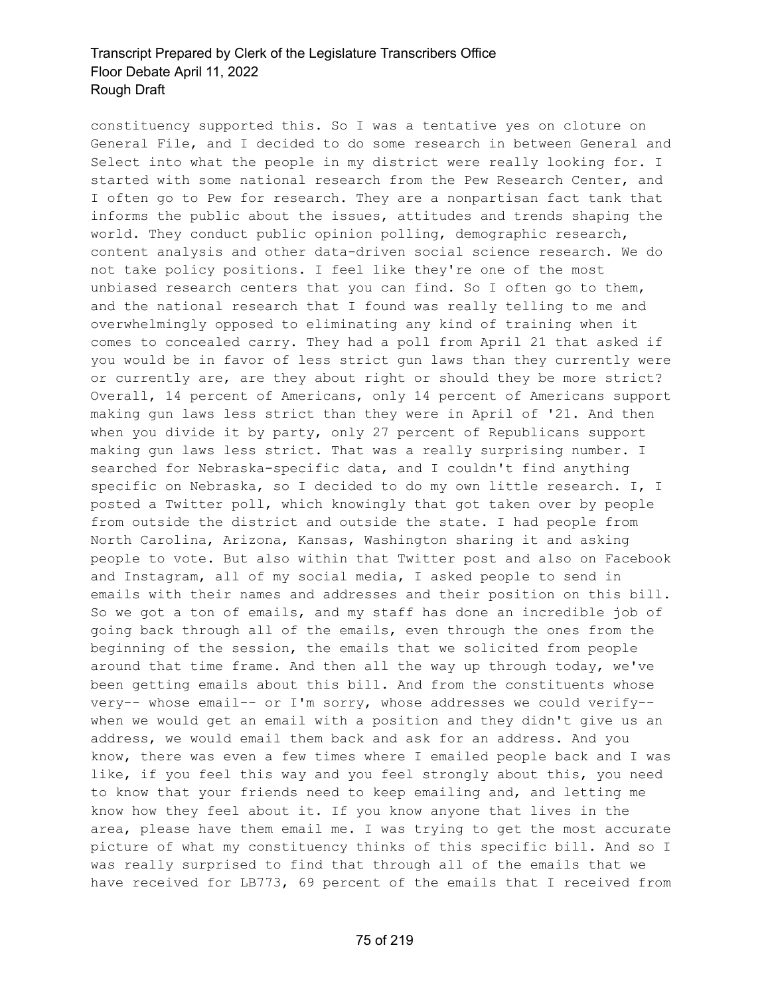constituency supported this. So I was a tentative yes on cloture on General File, and I decided to do some research in between General and Select into what the people in my district were really looking for. I started with some national research from the Pew Research Center, and I often go to Pew for research. They are a nonpartisan fact tank that informs the public about the issues, attitudes and trends shaping the world. They conduct public opinion polling, demographic research, content analysis and other data-driven social science research. We do not take policy positions. I feel like they're one of the most unbiased research centers that you can find. So I often go to them, and the national research that I found was really telling to me and overwhelmingly opposed to eliminating any kind of training when it comes to concealed carry. They had a poll from April 21 that asked if you would be in favor of less strict gun laws than they currently were or currently are, are they about right or should they be more strict? Overall, 14 percent of Americans, only 14 percent of Americans support making gun laws less strict than they were in April of '21. And then when you divide it by party, only 27 percent of Republicans support making gun laws less strict. That was a really surprising number. I searched for Nebraska-specific data, and I couldn't find anything specific on Nebraska, so I decided to do my own little research. I, I posted a Twitter poll, which knowingly that got taken over by people from outside the district and outside the state. I had people from North Carolina, Arizona, Kansas, Washington sharing it and asking people to vote. But also within that Twitter post and also on Facebook and Instagram, all of my social media, I asked people to send in emails with their names and addresses and their position on this bill. So we got a ton of emails, and my staff has done an incredible job of going back through all of the emails, even through the ones from the beginning of the session, the emails that we solicited from people around that time frame. And then all the way up through today, we've been getting emails about this bill. And from the constituents whose very-- whose email-- or I'm sorry, whose addresses we could verify- when we would get an email with a position and they didn't give us an address, we would email them back and ask for an address. And you know, there was even a few times where I emailed people back and I was like, if you feel this way and you feel strongly about this, you need to know that your friends need to keep emailing and, and letting me know how they feel about it. If you know anyone that lives in the area, please have them email me. I was trying to get the most accurate picture of what my constituency thinks of this specific bill. And so I was really surprised to find that through all of the emails that we have received for LB773, 69 percent of the emails that I received from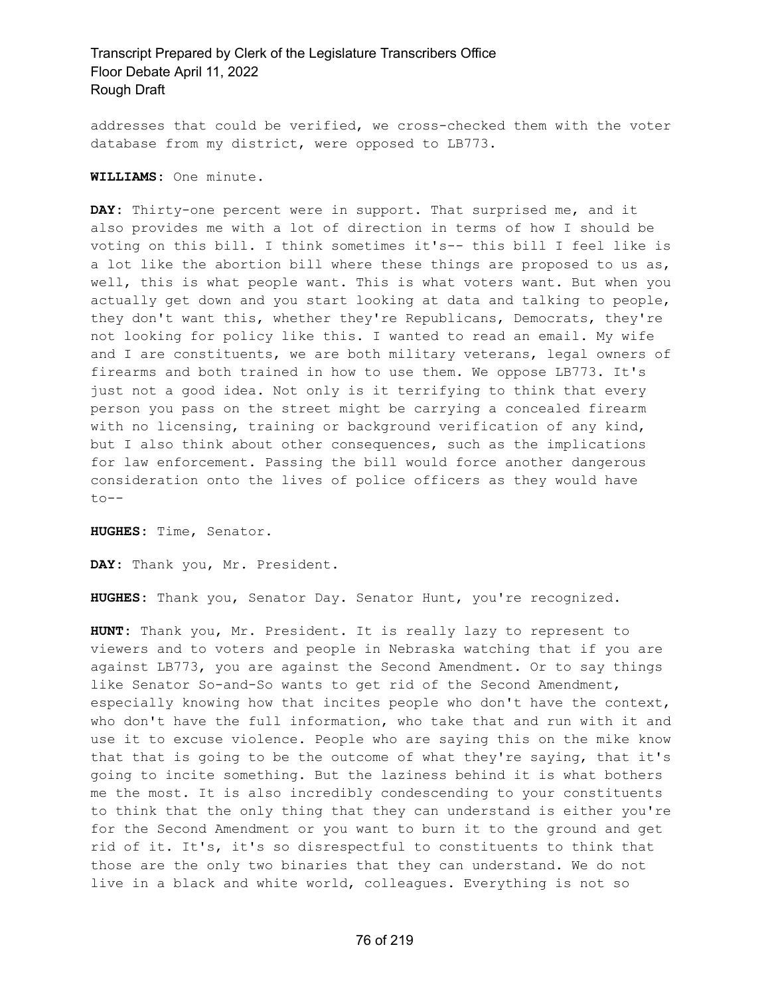addresses that could be verified, we cross-checked them with the voter database from my district, were opposed to LB773.

**WILLIAMS:** One minute.

**DAY:** Thirty-one percent were in support. That surprised me, and it also provides me with a lot of direction in terms of how I should be voting on this bill. I think sometimes it's-- this bill I feel like is a lot like the abortion bill where these things are proposed to us as, well, this is what people want. This is what voters want. But when you actually get down and you start looking at data and talking to people, they don't want this, whether they're Republicans, Democrats, they're not looking for policy like this. I wanted to read an email. My wife and I are constituents, we are both military veterans, legal owners of firearms and both trained in how to use them. We oppose LB773. It's just not a good idea. Not only is it terrifying to think that every person you pass on the street might be carrying a concealed firearm with no licensing, training or background verification of any kind, but I also think about other consequences, such as the implications for law enforcement. Passing the bill would force another dangerous consideration onto the lives of police officers as they would have  $to --$ 

**HUGHES:** Time, Senator.

**DAY:** Thank you, Mr. President.

**HUGHES:** Thank you, Senator Day. Senator Hunt, you're recognized.

**HUNT:** Thank you, Mr. President. It is really lazy to represent to viewers and to voters and people in Nebraska watching that if you are against LB773, you are against the Second Amendment. Or to say things like Senator So-and-So wants to get rid of the Second Amendment, especially knowing how that incites people who don't have the context, who don't have the full information, who take that and run with it and use it to excuse violence. People who are saying this on the mike know that that is going to be the outcome of what they're saying, that it's going to incite something. But the laziness behind it is what bothers me the most. It is also incredibly condescending to your constituents to think that the only thing that they can understand is either you're for the Second Amendment or you want to burn it to the ground and get rid of it. It's, it's so disrespectful to constituents to think that those are the only two binaries that they can understand. We do not live in a black and white world, colleagues. Everything is not so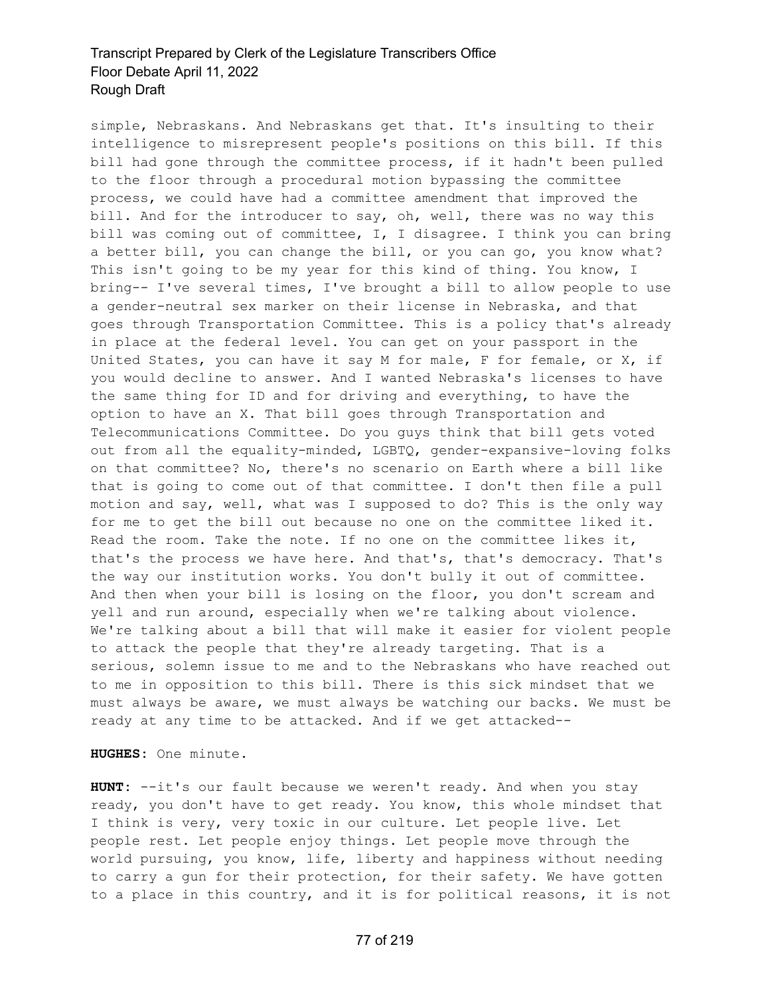simple, Nebraskans. And Nebraskans get that. It's insulting to their intelligence to misrepresent people's positions on this bill. If this bill had gone through the committee process, if it hadn't been pulled to the floor through a procedural motion bypassing the committee process, we could have had a committee amendment that improved the bill. And for the introducer to say, oh, well, there was no way this bill was coming out of committee, I, I disagree. I think you can bring a better bill, you can change the bill, or you can go, you know what? This isn't going to be my year for this kind of thing. You know, I bring-- I've several times, I've brought a bill to allow people to use a gender-neutral sex marker on their license in Nebraska, and that goes through Transportation Committee. This is a policy that's already in place at the federal level. You can get on your passport in the United States, you can have it say M for male, F for female, or X, if you would decline to answer. And I wanted Nebraska's licenses to have the same thing for ID and for driving and everything, to have the option to have an X. That bill goes through Transportation and Telecommunications Committee. Do you guys think that bill gets voted out from all the equality-minded, LGBTQ, gender-expansive-loving folks on that committee? No, there's no scenario on Earth where a bill like that is going to come out of that committee. I don't then file a pull motion and say, well, what was I supposed to do? This is the only way for me to get the bill out because no one on the committee liked it. Read the room. Take the note. If no one on the committee likes it, that's the process we have here. And that's, that's democracy. That's the way our institution works. You don't bully it out of committee. And then when your bill is losing on the floor, you don't scream and yell and run around, especially when we're talking about violence. We're talking about a bill that will make it easier for violent people to attack the people that they're already targeting. That is a serious, solemn issue to me and to the Nebraskans who have reached out to me in opposition to this bill. There is this sick mindset that we must always be aware, we must always be watching our backs. We must be ready at any time to be attacked. And if we get attacked--

**HUGHES:** One minute.

**HUNT:** --it's our fault because we weren't ready. And when you stay ready, you don't have to get ready. You know, this whole mindset that I think is very, very toxic in our culture. Let people live. Let people rest. Let people enjoy things. Let people move through the world pursuing, you know, life, liberty and happiness without needing to carry a gun for their protection, for their safety. We have gotten to a place in this country, and it is for political reasons, it is not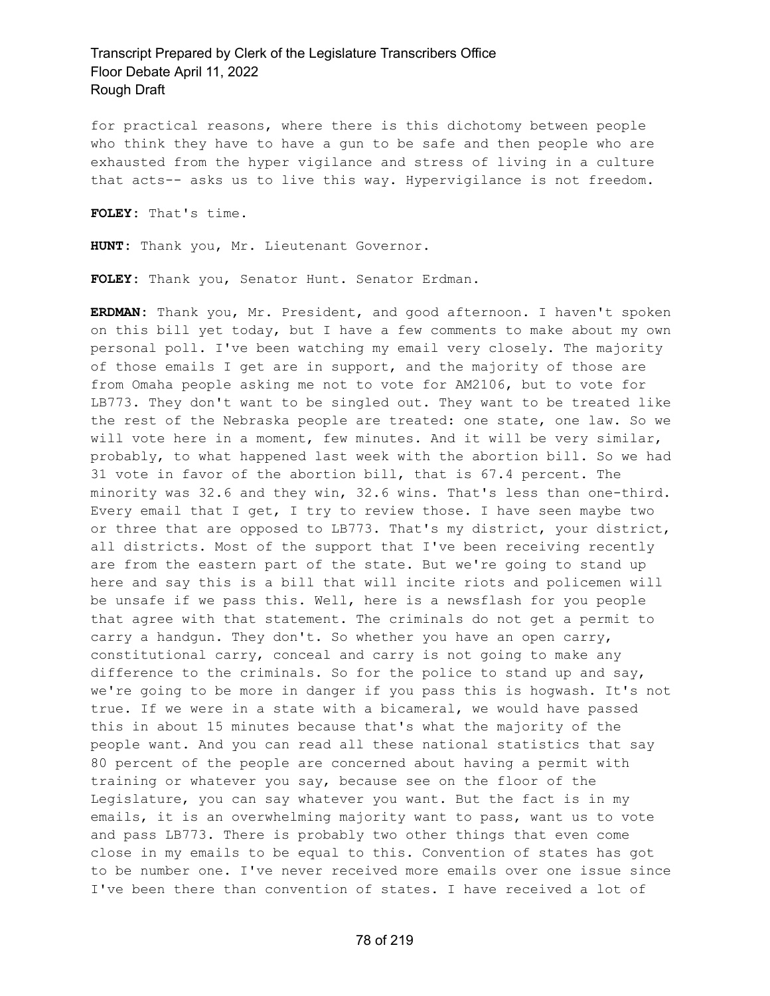for practical reasons, where there is this dichotomy between people who think they have to have a gun to be safe and then people who are exhausted from the hyper vigilance and stress of living in a culture that acts-- asks us to live this way. Hypervigilance is not freedom.

**FOLEY:** That's time.

**HUNT:** Thank you, Mr. Lieutenant Governor.

**FOLEY:** Thank you, Senator Hunt. Senator Erdman.

**ERDMAN:** Thank you, Mr. President, and good afternoon. I haven't spoken on this bill yet today, but I have a few comments to make about my own personal poll. I've been watching my email very closely. The majority of those emails I get are in support, and the majority of those are from Omaha people asking me not to vote for AM2106, but to vote for LB773. They don't want to be singled out. They want to be treated like the rest of the Nebraska people are treated: one state, one law. So we will vote here in a moment, few minutes. And it will be very similar, probably, to what happened last week with the abortion bill. So we had 31 vote in favor of the abortion bill, that is 67.4 percent. The minority was 32.6 and they win, 32.6 wins. That's less than one-third. Every email that I get, I try to review those. I have seen maybe two or three that are opposed to LB773. That's my district, your district, all districts. Most of the support that I've been receiving recently are from the eastern part of the state. But we're going to stand up here and say this is a bill that will incite riots and policemen will be unsafe if we pass this. Well, here is a newsflash for you people that agree with that statement. The criminals do not get a permit to carry a handgun. They don't. So whether you have an open carry, constitutional carry, conceal and carry is not going to make any difference to the criminals. So for the police to stand up and say, we're going to be more in danger if you pass this is hogwash. It's not true. If we were in a state with a bicameral, we would have passed this in about 15 minutes because that's what the majority of the people want. And you can read all these national statistics that say 80 percent of the people are concerned about having a permit with training or whatever you say, because see on the floor of the Legislature, you can say whatever you want. But the fact is in my emails, it is an overwhelming majority want to pass, want us to vote and pass LB773. There is probably two other things that even come close in my emails to be equal to this. Convention of states has got to be number one. I've never received more emails over one issue since I've been there than convention of states. I have received a lot of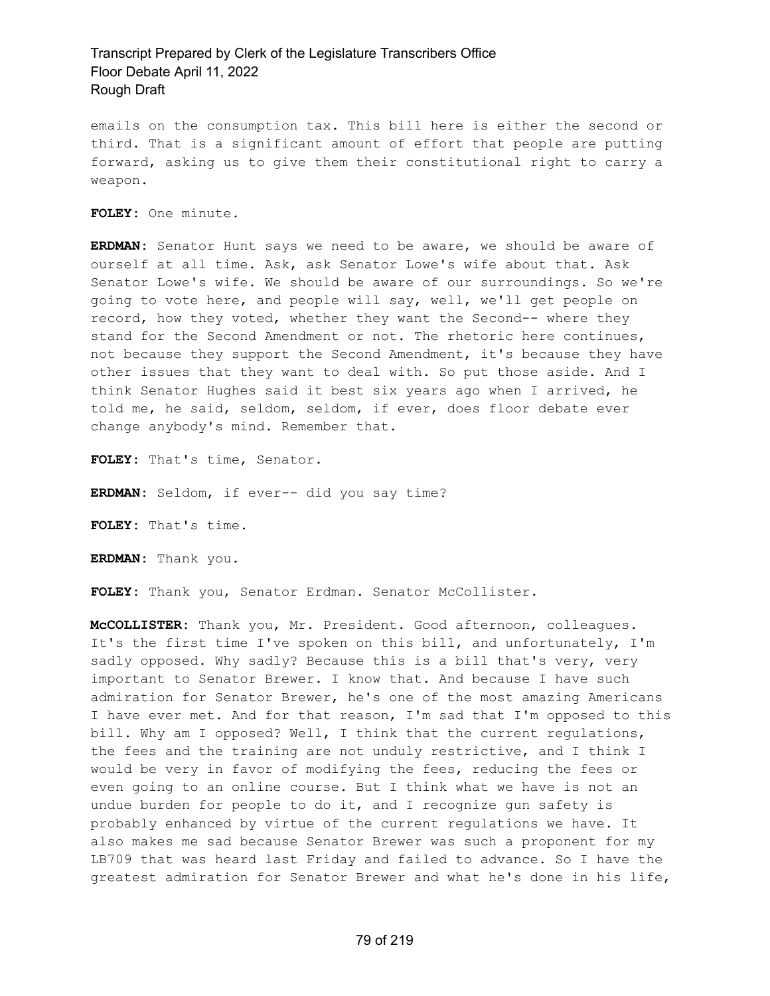emails on the consumption tax. This bill here is either the second or third. That is a significant amount of effort that people are putting forward, asking us to give them their constitutional right to carry a weapon.

**FOLEY:** One minute.

**ERDMAN:** Senator Hunt says we need to be aware, we should be aware of ourself at all time. Ask, ask Senator Lowe's wife about that. Ask Senator Lowe's wife. We should be aware of our surroundings. So we're going to vote here, and people will say, well, we'll get people on record, how they voted, whether they want the Second-- where they stand for the Second Amendment or not. The rhetoric here continues, not because they support the Second Amendment, it's because they have other issues that they want to deal with. So put those aside. And I think Senator Hughes said it best six years ago when I arrived, he told me, he said, seldom, seldom, if ever, does floor debate ever change anybody's mind. Remember that.

**FOLEY:** That's time, Senator.

**ERDMAN:** Seldom, if ever-- did you say time?

**FOLEY:** That's time.

**ERDMAN:** Thank you.

**FOLEY:** Thank you, Senator Erdman. Senator McCollister.

**McCOLLISTER:** Thank you, Mr. President. Good afternoon, colleagues. It's the first time I've spoken on this bill, and unfortunately, I'm sadly opposed. Why sadly? Because this is a bill that's very, very important to Senator Brewer. I know that. And because I have such admiration for Senator Brewer, he's one of the most amazing Americans I have ever met. And for that reason, I'm sad that I'm opposed to this bill. Why am I opposed? Well, I think that the current regulations, the fees and the training are not unduly restrictive, and I think I would be very in favor of modifying the fees, reducing the fees or even going to an online course. But I think what we have is not an undue burden for people to do it, and I recognize gun safety is probably enhanced by virtue of the current regulations we have. It also makes me sad because Senator Brewer was such a proponent for my LB709 that was heard last Friday and failed to advance. So I have the greatest admiration for Senator Brewer and what he's done in his life,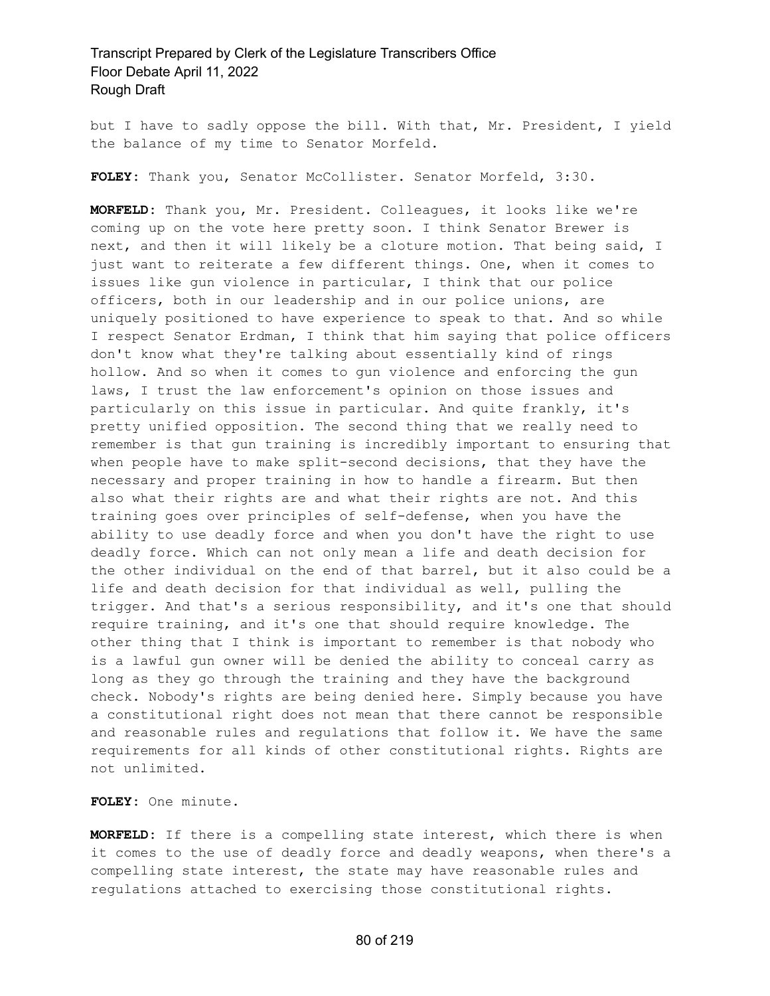but I have to sadly oppose the bill. With that, Mr. President, I yield the balance of my time to Senator Morfeld.

**FOLEY:** Thank you, Senator McCollister. Senator Morfeld, 3:30.

**MORFELD:** Thank you, Mr. President. Colleagues, it looks like we're coming up on the vote here pretty soon. I think Senator Brewer is next, and then it will likely be a cloture motion. That being said, I just want to reiterate a few different things. One, when it comes to issues like gun violence in particular, I think that our police officers, both in our leadership and in our police unions, are uniquely positioned to have experience to speak to that. And so while I respect Senator Erdman, I think that him saying that police officers don't know what they're talking about essentially kind of rings hollow. And so when it comes to gun violence and enforcing the gun laws, I trust the law enforcement's opinion on those issues and particularly on this issue in particular. And quite frankly, it's pretty unified opposition. The second thing that we really need to remember is that gun training is incredibly important to ensuring that when people have to make split-second decisions, that they have the necessary and proper training in how to handle a firearm. But then also what their rights are and what their rights are not. And this training goes over principles of self-defense, when you have the ability to use deadly force and when you don't have the right to use deadly force. Which can not only mean a life and death decision for the other individual on the end of that barrel, but it also could be a life and death decision for that individual as well, pulling the trigger. And that's a serious responsibility, and it's one that should require training, and it's one that should require knowledge. The other thing that I think is important to remember is that nobody who is a lawful gun owner will be denied the ability to conceal carry as long as they go through the training and they have the background check. Nobody's rights are being denied here. Simply because you have a constitutional right does not mean that there cannot be responsible and reasonable rules and regulations that follow it. We have the same requirements for all kinds of other constitutional rights. Rights are not unlimited.

**FOLEY:** One minute.

**MORFELD:** If there is a compelling state interest, which there is when it comes to the use of deadly force and deadly weapons, when there's a compelling state interest, the state may have reasonable rules and regulations attached to exercising those constitutional rights.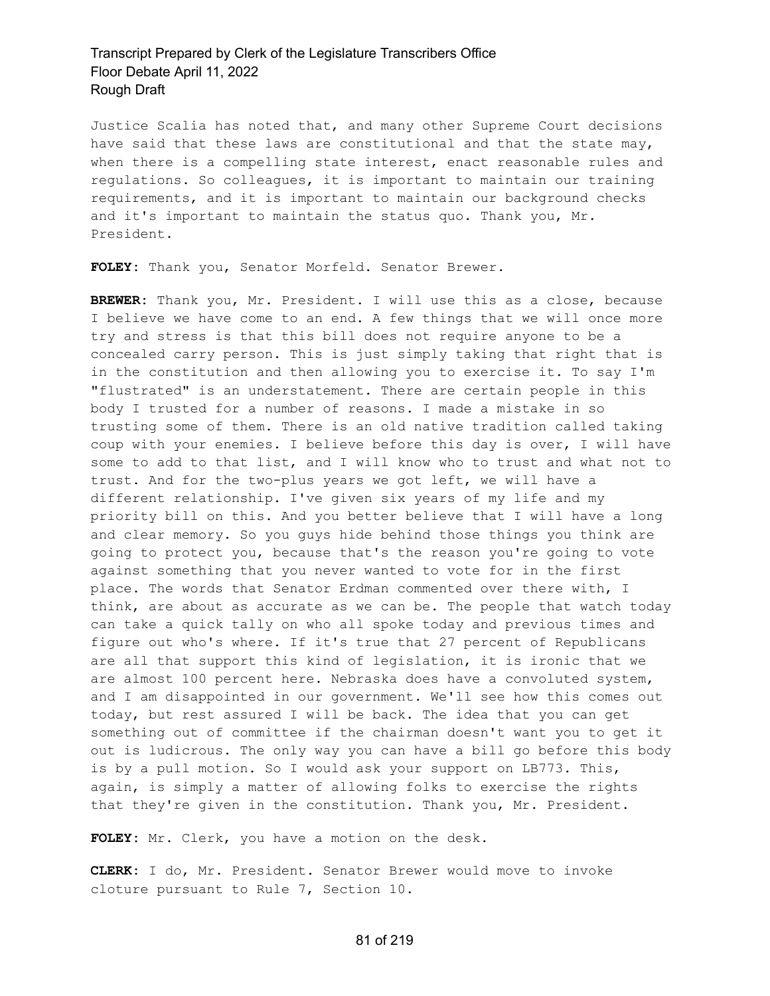Justice Scalia has noted that, and many other Supreme Court decisions have said that these laws are constitutional and that the state may, when there is a compelling state interest, enact reasonable rules and regulations. So colleagues, it is important to maintain our training requirements, and it is important to maintain our background checks and it's important to maintain the status quo. Thank you, Mr. President.

**FOLEY:** Thank you, Senator Morfeld. Senator Brewer.

**BREWER:** Thank you, Mr. President. I will use this as a close, because I believe we have come to an end. A few things that we will once more try and stress is that this bill does not require anyone to be a concealed carry person. This is just simply taking that right that is in the constitution and then allowing you to exercise it. To say I'm "flustrated" is an understatement. There are certain people in this body I trusted for a number of reasons. I made a mistake in so trusting some of them. There is an old native tradition called taking coup with your enemies. I believe before this day is over, I will have some to add to that list, and I will know who to trust and what not to trust. And for the two-plus years we got left, we will have a different relationship. I've given six years of my life and my priority bill on this. And you better believe that I will have a long and clear memory. So you guys hide behind those things you think are going to protect you, because that's the reason you're going to vote against something that you never wanted to vote for in the first place. The words that Senator Erdman commented over there with, I think, are about as accurate as we can be. The people that watch today can take a quick tally on who all spoke today and previous times and figure out who's where. If it's true that 27 percent of Republicans are all that support this kind of legislation, it is ironic that we are almost 100 percent here. Nebraska does have a convoluted system, and I am disappointed in our government. We'll see how this comes out today, but rest assured I will be back. The idea that you can get something out of committee if the chairman doesn't want you to get it out is ludicrous. The only way you can have a bill go before this body is by a pull motion. So I would ask your support on LB773. This, again, is simply a matter of allowing folks to exercise the rights that they're given in the constitution. Thank you, Mr. President.

**FOLEY:** Mr. Clerk, you have a motion on the desk.

**CLERK:** I do, Mr. President. Senator Brewer would move to invoke cloture pursuant to Rule 7, Section 10.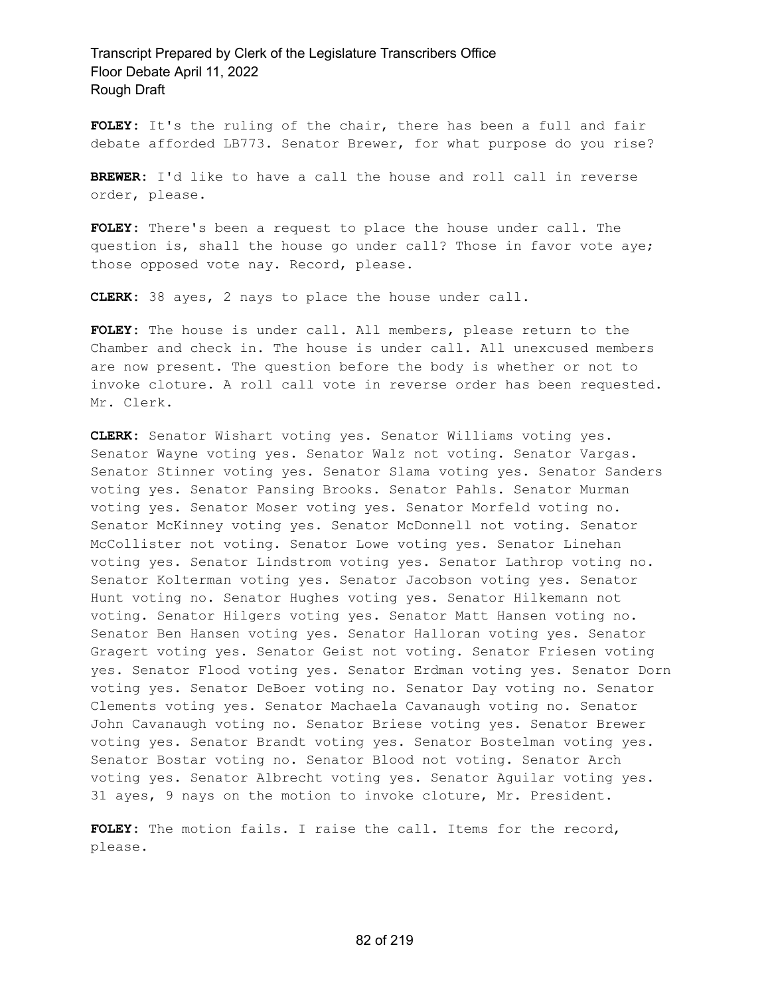**FOLEY:** It's the ruling of the chair, there has been a full and fair debate afforded LB773. Senator Brewer, for what purpose do you rise?

**BREWER:** I'd like to have a call the house and roll call in reverse order, please.

**FOLEY:** There's been a request to place the house under call. The question is, shall the house go under call? Those in favor vote aye; those opposed vote nay. Record, please.

**CLERK:** 38 ayes, 2 nays to place the house under call.

**FOLEY:** The house is under call. All members, please return to the Chamber and check in. The house is under call. All unexcused members are now present. The question before the body is whether or not to invoke cloture. A roll call vote in reverse order has been requested. Mr. Clerk.

**CLERK:** Senator Wishart voting yes. Senator Williams voting yes. Senator Wayne voting yes. Senator Walz not voting. Senator Vargas. Senator Stinner voting yes. Senator Slama voting yes. Senator Sanders voting yes. Senator Pansing Brooks. Senator Pahls. Senator Murman voting yes. Senator Moser voting yes. Senator Morfeld voting no. Senator McKinney voting yes. Senator McDonnell not voting. Senator McCollister not voting. Senator Lowe voting yes. Senator Linehan voting yes. Senator Lindstrom voting yes. Senator Lathrop voting no. Senator Kolterman voting yes. Senator Jacobson voting yes. Senator Hunt voting no. Senator Hughes voting yes. Senator Hilkemann not voting. Senator Hilgers voting yes. Senator Matt Hansen voting no. Senator Ben Hansen voting yes. Senator Halloran voting yes. Senator Gragert voting yes. Senator Geist not voting. Senator Friesen voting yes. Senator Flood voting yes. Senator Erdman voting yes. Senator Dorn voting yes. Senator DeBoer voting no. Senator Day voting no. Senator Clements voting yes. Senator Machaela Cavanaugh voting no. Senator John Cavanaugh voting no. Senator Briese voting yes. Senator Brewer voting yes. Senator Brandt voting yes. Senator Bostelman voting yes. Senator Bostar voting no. Senator Blood not voting. Senator Arch voting yes. Senator Albrecht voting yes. Senator Aguilar voting yes. 31 ayes, 9 nays on the motion to invoke cloture, Mr. President.

**FOLEY:** The motion fails. I raise the call. Items for the record, please.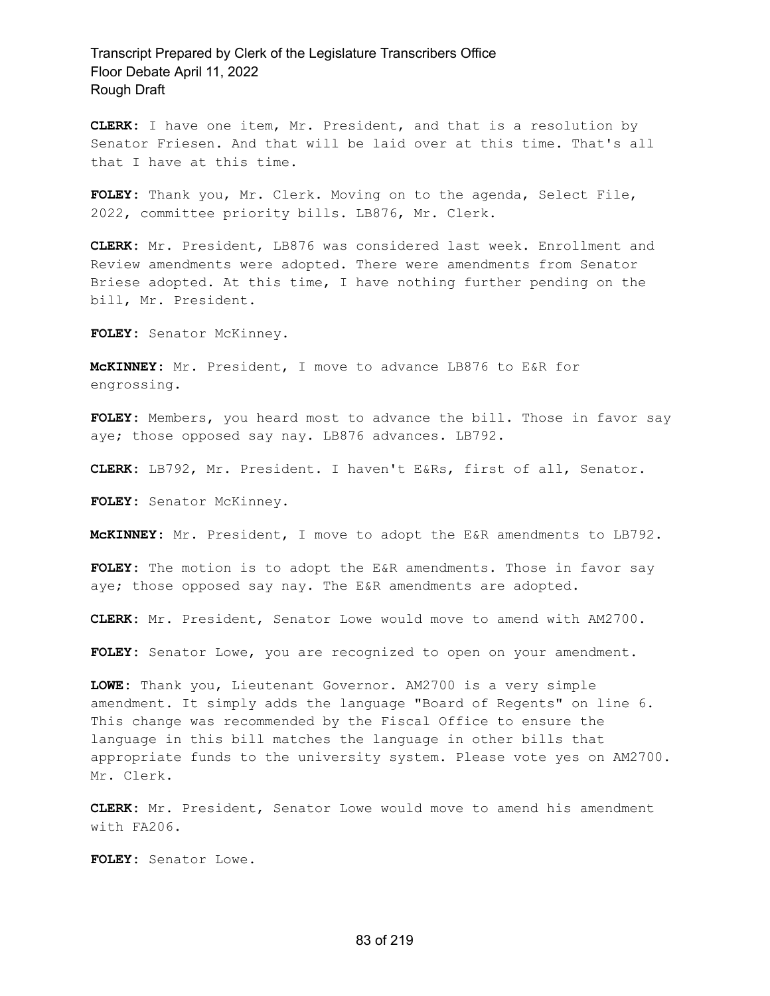**CLERK:** I have one item, Mr. President, and that is a resolution by Senator Friesen. And that will be laid over at this time. That's all that I have at this time.

**FOLEY:** Thank you, Mr. Clerk. Moving on to the agenda, Select File, 2022, committee priority bills. LB876, Mr. Clerk.

**CLERK:** Mr. President, LB876 was considered last week. Enrollment and Review amendments were adopted. There were amendments from Senator Briese adopted. At this time, I have nothing further pending on the bill, Mr. President.

**FOLEY:** Senator McKinney.

**McKINNEY:** Mr. President, I move to advance LB876 to E&R for engrossing.

FOLEY: Members, you heard most to advance the bill. Those in favor say aye; those opposed say nay. LB876 advances. LB792.

**CLERK:** LB792, Mr. President. I haven't E&Rs, first of all, Senator.

**FOLEY:** Senator McKinney.

**McKINNEY:** Mr. President, I move to adopt the E&R amendments to LB792.

**FOLEY:** The motion is to adopt the E&R amendments. Those in favor say aye; those opposed say nay. The E&R amendments are adopted.

**CLERK:** Mr. President, Senator Lowe would move to amend with AM2700.

**FOLEY:** Senator Lowe, you are recognized to open on your amendment.

**LOWE:** Thank you, Lieutenant Governor. AM2700 is a very simple amendment. It simply adds the language "Board of Regents" on line 6. This change was recommended by the Fiscal Office to ensure the language in this bill matches the language in other bills that appropriate funds to the university system. Please vote yes on AM2700. Mr. Clerk.

**CLERK:** Mr. President, Senator Lowe would move to amend his amendment with FA206.

**FOLEY:** Senator Lowe.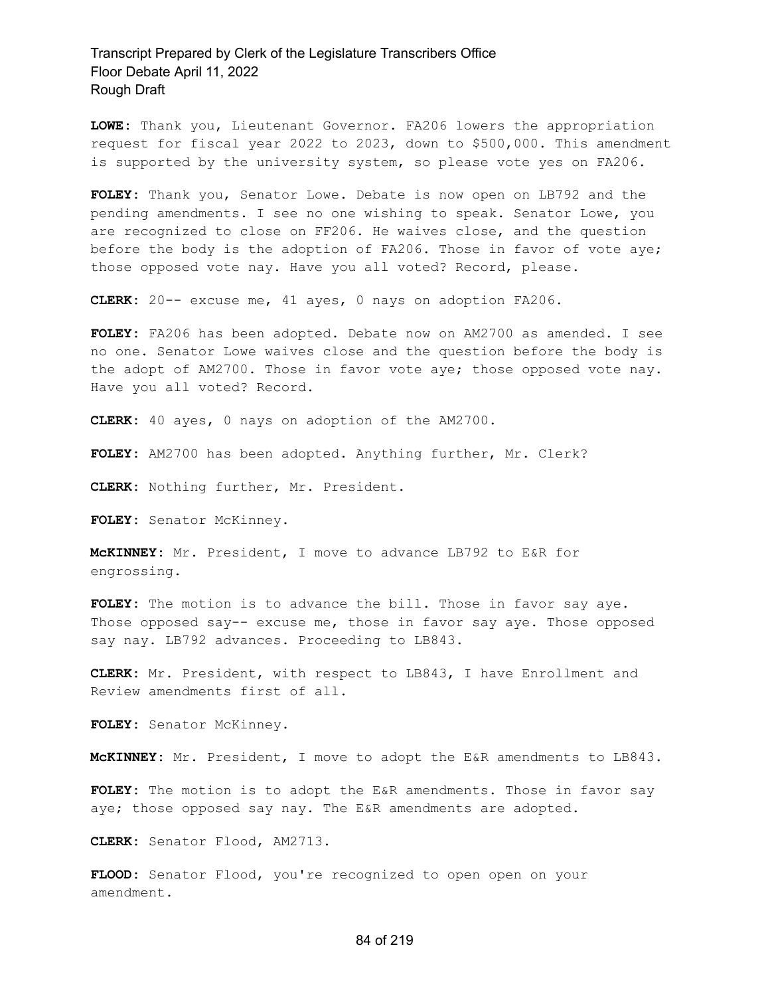**LOWE:** Thank you, Lieutenant Governor. FA206 lowers the appropriation request for fiscal year 2022 to 2023, down to \$500,000. This amendment is supported by the university system, so please vote yes on FA206.

**FOLEY:** Thank you, Senator Lowe. Debate is now open on LB792 and the pending amendments. I see no one wishing to speak. Senator Lowe, you are recognized to close on FF206. He waives close, and the question before the body is the adoption of FA206. Those in favor of vote aye; those opposed vote nay. Have you all voted? Record, please.

**CLERK:** 20-- excuse me, 41 ayes, 0 nays on adoption FA206.

**FOLEY:** FA206 has been adopted. Debate now on AM2700 as amended. I see no one. Senator Lowe waives close and the question before the body is the adopt of AM2700. Those in favor vote aye; those opposed vote nay. Have you all voted? Record.

**CLERK:** 40 ayes, 0 nays on adoption of the AM2700.

**FOLEY:** AM2700 has been adopted. Anything further, Mr. Clerk?

**CLERK:** Nothing further, Mr. President.

**FOLEY:** Senator McKinney.

**McKINNEY:** Mr. President, I move to advance LB792 to E&R for engrossing.

FOLEY: The motion is to advance the bill. Those in favor say aye. Those opposed say-- excuse me, those in favor say aye. Those opposed say nay. LB792 advances. Proceeding to LB843.

**CLERK:** Mr. President, with respect to LB843, I have Enrollment and Review amendments first of all.

**FOLEY:** Senator McKinney.

**McKINNEY:** Mr. President, I move to adopt the E&R amendments to LB843.

**FOLEY:** The motion is to adopt the E&R amendments. Those in favor say aye; those opposed say nay. The E&R amendments are adopted.

**CLERK:** Senator Flood, AM2713.

**FLOOD:** Senator Flood, you're recognized to open open on your amendment.

#### 84 of 219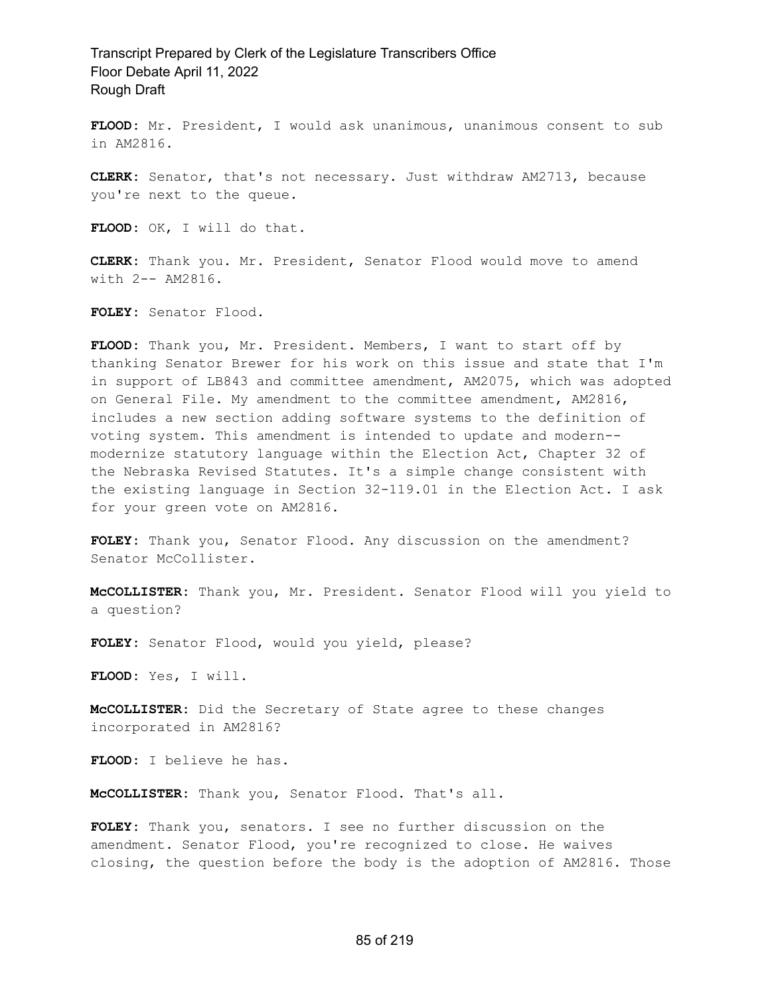**FLOOD:** Mr. President, I would ask unanimous, unanimous consent to sub in AM2816.

**CLERK:** Senator, that's not necessary. Just withdraw AM2713, because you're next to the queue.

**FLOOD:** OK, I will do that.

**CLERK:** Thank you. Mr. President, Senator Flood would move to amend with 2-- AM2816.

**FOLEY:** Senator Flood.

**FLOOD:** Thank you, Mr. President. Members, I want to start off by thanking Senator Brewer for his work on this issue and state that I'm in support of LB843 and committee amendment, AM2075, which was adopted on General File. My amendment to the committee amendment, AM2816, includes a new section adding software systems to the definition of voting system. This amendment is intended to update and modern- modernize statutory language within the Election Act, Chapter 32 of the Nebraska Revised Statutes. It's a simple change consistent with the existing language in Section 32-119.01 in the Election Act. I ask for your green vote on AM2816.

**FOLEY:** Thank you, Senator Flood. Any discussion on the amendment? Senator McCollister.

**McCOLLISTER:** Thank you, Mr. President. Senator Flood will you yield to a question?

**FOLEY:** Senator Flood, would you yield, please?

**FLOOD:** Yes, I will.

**McCOLLISTER:** Did the Secretary of State agree to these changes incorporated in AM2816?

**FLOOD:** I believe he has.

**McCOLLISTER:** Thank you, Senator Flood. That's all.

**FOLEY:** Thank you, senators. I see no further discussion on the amendment. Senator Flood, you're recognized to close. He waives closing, the question before the body is the adoption of AM2816. Those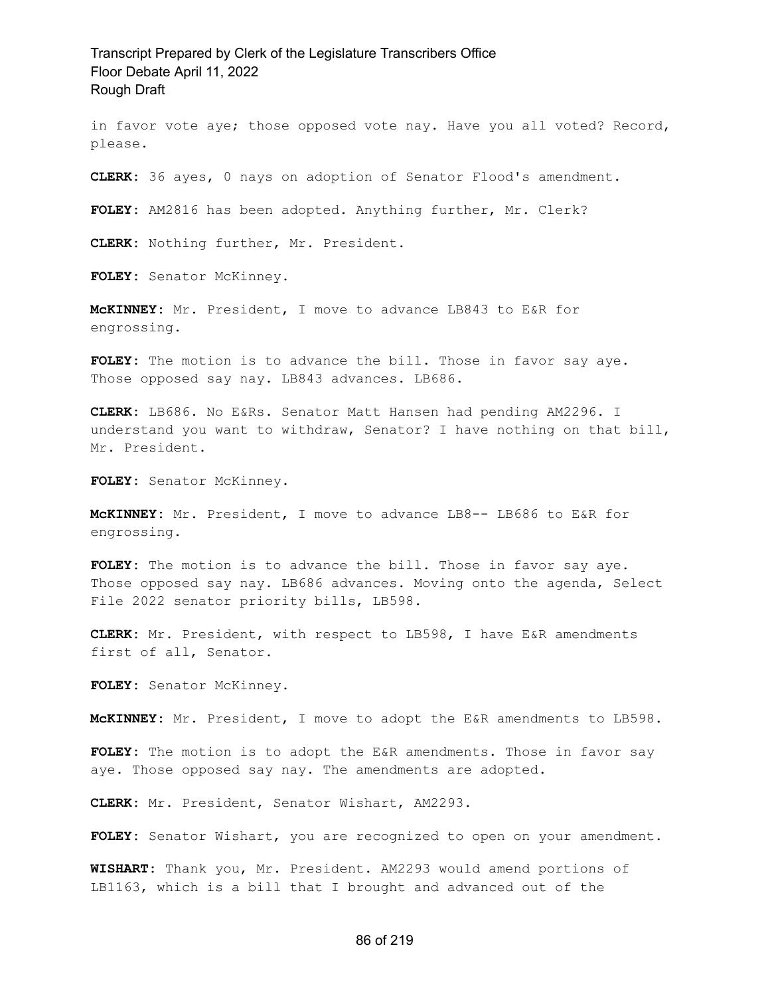in favor vote aye; those opposed vote nay. Have you all voted? Record, please.

**CLERK:** 36 ayes, 0 nays on adoption of Senator Flood's amendment.

**FOLEY:** AM2816 has been adopted. Anything further, Mr. Clerk?

**CLERK:** Nothing further, Mr. President.

**FOLEY:** Senator McKinney.

**McKINNEY:** Mr. President, I move to advance LB843 to E&R for engrossing.

FOLEY: The motion is to advance the bill. Those in favor say aye. Those opposed say nay. LB843 advances. LB686.

**CLERK:** LB686. No E&Rs. Senator Matt Hansen had pending AM2296. I understand you want to withdraw, Senator? I have nothing on that bill, Mr. President.

**FOLEY:** Senator McKinney.

**McKINNEY:** Mr. President, I move to advance LB8-- LB686 to E&R for engrossing.

FOLEY: The motion is to advance the bill. Those in favor say aye. Those opposed say nay. LB686 advances. Moving onto the agenda, Select File 2022 senator priority bills, LB598.

**CLERK:** Mr. President, with respect to LB598, I have E&R amendments first of all, Senator.

**FOLEY:** Senator McKinney.

**McKINNEY:** Mr. President, I move to adopt the E&R amendments to LB598.

**FOLEY:** The motion is to adopt the E&R amendments. Those in favor say aye. Those opposed say nay. The amendments are adopted.

**CLERK:** Mr. President, Senator Wishart, AM2293.

**FOLEY:** Senator Wishart, you are recognized to open on your amendment.

**WISHART:** Thank you, Mr. President. AM2293 would amend portions of LB1163, which is a bill that I brought and advanced out of the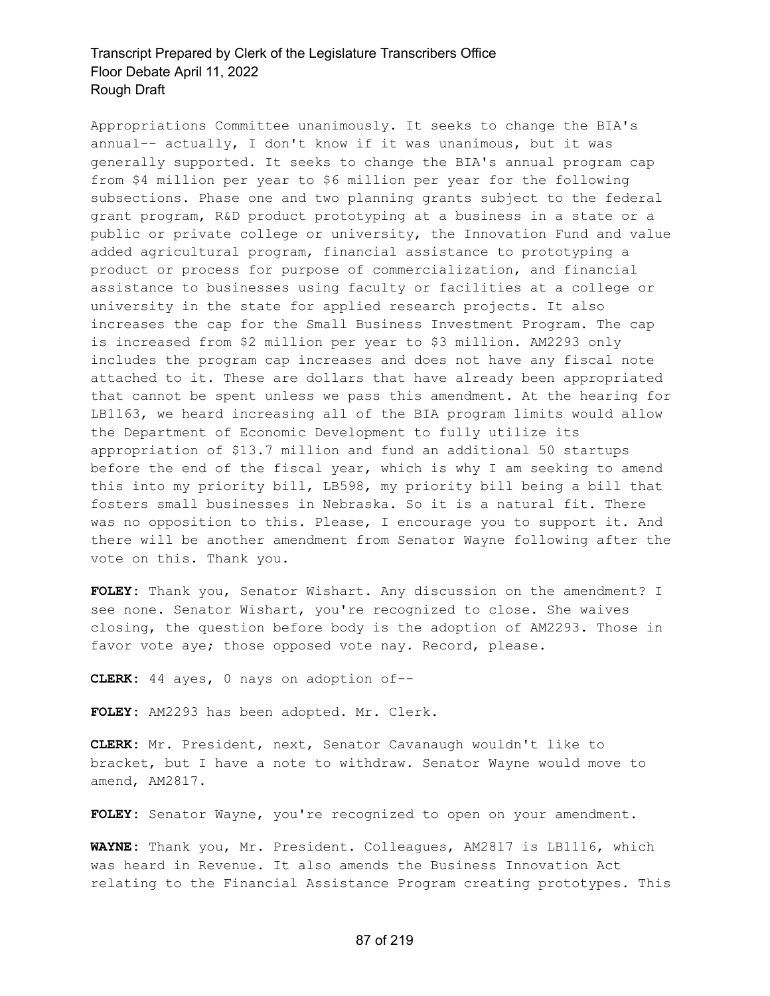Appropriations Committee unanimously. It seeks to change the BIA's annual-- actually, I don't know if it was unanimous, but it was generally supported. It seeks to change the BIA's annual program cap from \$4 million per year to \$6 million per year for the following subsections. Phase one and two planning grants subject to the federal grant program, R&D product prototyping at a business in a state or a public or private college or university, the Innovation Fund and value added agricultural program, financial assistance to prototyping a product or process for purpose of commercialization, and financial assistance to businesses using faculty or facilities at a college or university in the state for applied research projects. It also increases the cap for the Small Business Investment Program. The cap is increased from \$2 million per year to \$3 million. AM2293 only includes the program cap increases and does not have any fiscal note attached to it. These are dollars that have already been appropriated that cannot be spent unless we pass this amendment. At the hearing for LB1163, we heard increasing all of the BIA program limits would allow the Department of Economic Development to fully utilize its appropriation of \$13.7 million and fund an additional 50 startups before the end of the fiscal year, which is why I am seeking to amend this into my priority bill, LB598, my priority bill being a bill that fosters small businesses in Nebraska. So it is a natural fit. There was no opposition to this. Please, I encourage you to support it. And there will be another amendment from Senator Wayne following after the vote on this. Thank you.

**FOLEY:** Thank you, Senator Wishart. Any discussion on the amendment? I see none. Senator Wishart, you're recognized to close. She waives closing, the question before body is the adoption of AM2293. Those in favor vote aye; those opposed vote nay. Record, please.

**CLERK:** 44 ayes, 0 nays on adoption of--

**FOLEY:** AM2293 has been adopted. Mr. Clerk.

**CLERK:** Mr. President, next, Senator Cavanaugh wouldn't like to bracket, but I have a note to withdraw. Senator Wayne would move to amend, AM2817.

FOLEY: Senator Wayne, you're recognized to open on your amendment.

**WAYNE:** Thank you, Mr. President. Colleagues, AM2817 is LB1116, which was heard in Revenue. It also amends the Business Innovation Act relating to the Financial Assistance Program creating prototypes. This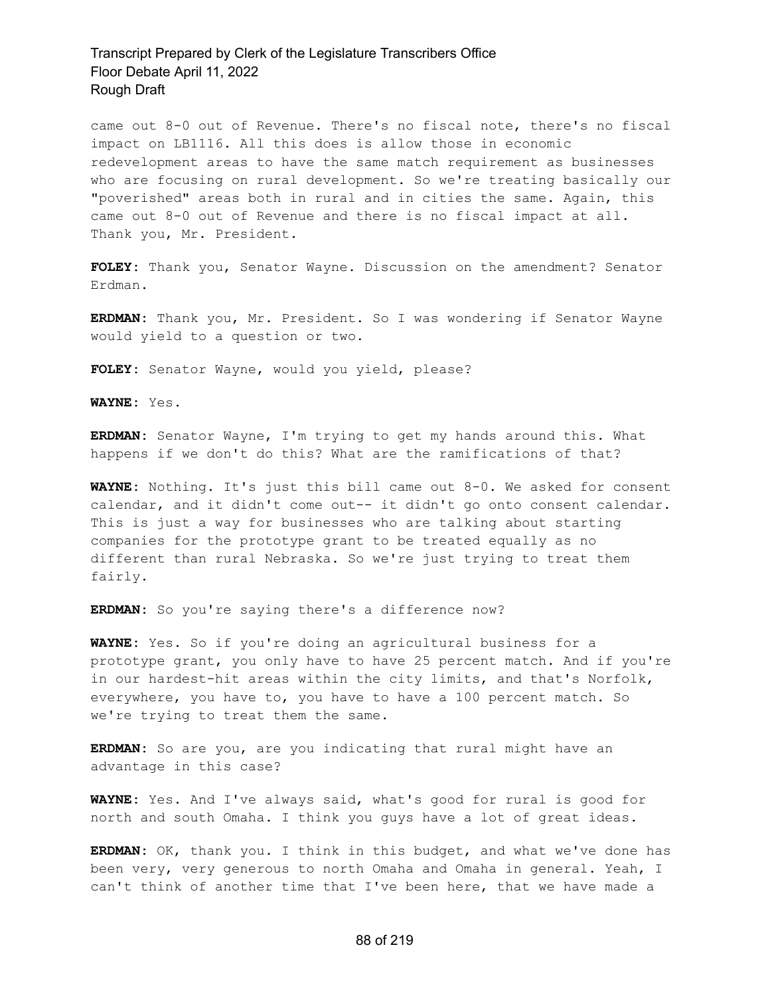came out 8-0 out of Revenue. There's no fiscal note, there's no fiscal impact on LB1116. All this does is allow those in economic redevelopment areas to have the same match requirement as businesses who are focusing on rural development. So we're treating basically our "poverished" areas both in rural and in cities the same. Again, this came out 8-0 out of Revenue and there is no fiscal impact at all. Thank you, Mr. President.

**FOLEY:** Thank you, Senator Wayne. Discussion on the amendment? Senator Erdman.

**ERDMAN:** Thank you, Mr. President. So I was wondering if Senator Wayne would yield to a question or two.

**FOLEY:** Senator Wayne, would you yield, please?

**WAYNE:** Yes.

**ERDMAN:** Senator Wayne, I'm trying to get my hands around this. What happens if we don't do this? What are the ramifications of that?

**WAYNE:** Nothing. It's just this bill came out 8-0. We asked for consent calendar, and it didn't come out-- it didn't go onto consent calendar. This is just a way for businesses who are talking about starting companies for the prototype grant to be treated equally as no different than rural Nebraska. So we're just trying to treat them fairly.

**ERDMAN:** So you're saying there's a difference now?

**WAYNE:** Yes. So if you're doing an agricultural business for a prototype grant, you only have to have 25 percent match. And if you're in our hardest-hit areas within the city limits, and that's Norfolk, everywhere, you have to, you have to have a 100 percent match. So we're trying to treat them the same.

**ERDMAN:** So are you, are you indicating that rural might have an advantage in this case?

**WAYNE:** Yes. And I've always said, what's good for rural is good for north and south Omaha. I think you guys have a lot of great ideas.

**ERDMAN:** OK, thank you. I think in this budget, and what we've done has been very, very generous to north Omaha and Omaha in general. Yeah, I can't think of another time that I've been here, that we have made a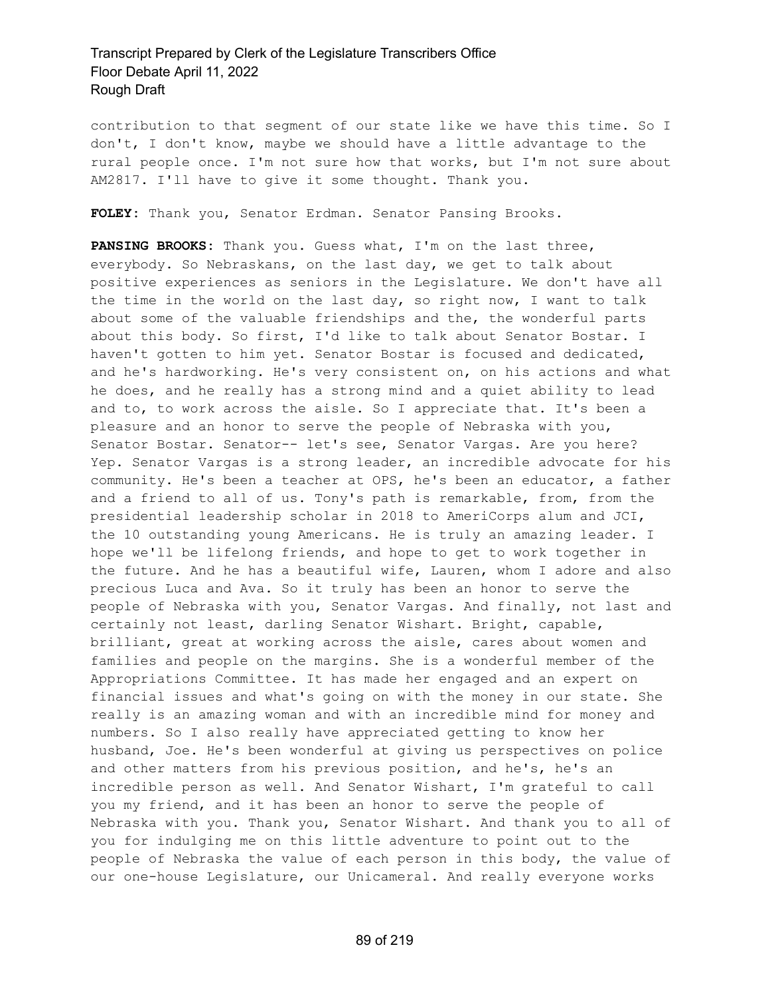contribution to that segment of our state like we have this time. So I don't, I don't know, maybe we should have a little advantage to the rural people once. I'm not sure how that works, but I'm not sure about AM2817. I'll have to give it some thought. Thank you.

**FOLEY:** Thank you, Senator Erdman. Senator Pansing Brooks.

**PANSING BROOKS:** Thank you. Guess what, I'm on the last three, everybody. So Nebraskans, on the last day, we get to talk about positive experiences as seniors in the Legislature. We don't have all the time in the world on the last day, so right now, I want to talk about some of the valuable friendships and the, the wonderful parts about this body. So first, I'd like to talk about Senator Bostar. I haven't gotten to him yet. Senator Bostar is focused and dedicated, and he's hardworking. He's very consistent on, on his actions and what he does, and he really has a strong mind and a quiet ability to lead and to, to work across the aisle. So I appreciate that. It's been a pleasure and an honor to serve the people of Nebraska with you, Senator Bostar. Senator-- let's see, Senator Vargas. Are you here? Yep. Senator Vargas is a strong leader, an incredible advocate for his community. He's been a teacher at OPS, he's been an educator, a father and a friend to all of us. Tony's path is remarkable, from, from the presidential leadership scholar in 2018 to AmeriCorps alum and JCI, the 10 outstanding young Americans. He is truly an amazing leader. I hope we'll be lifelong friends, and hope to get to work together in the future. And he has a beautiful wife, Lauren, whom I adore and also precious Luca and Ava. So it truly has been an honor to serve the people of Nebraska with you, Senator Vargas. And finally, not last and certainly not least, darling Senator Wishart. Bright, capable, brilliant, great at working across the aisle, cares about women and families and people on the margins. She is a wonderful member of the Appropriations Committee. It has made her engaged and an expert on financial issues and what's going on with the money in our state. She really is an amazing woman and with an incredible mind for money and numbers. So I also really have appreciated getting to know her husband, Joe. He's been wonderful at giving us perspectives on police and other matters from his previous position, and he's, he's an incredible person as well. And Senator Wishart, I'm grateful to call you my friend, and it has been an honor to serve the people of Nebraska with you. Thank you, Senator Wishart. And thank you to all of you for indulging me on this little adventure to point out to the people of Nebraska the value of each person in this body, the value of our one-house Legislature, our Unicameral. And really everyone works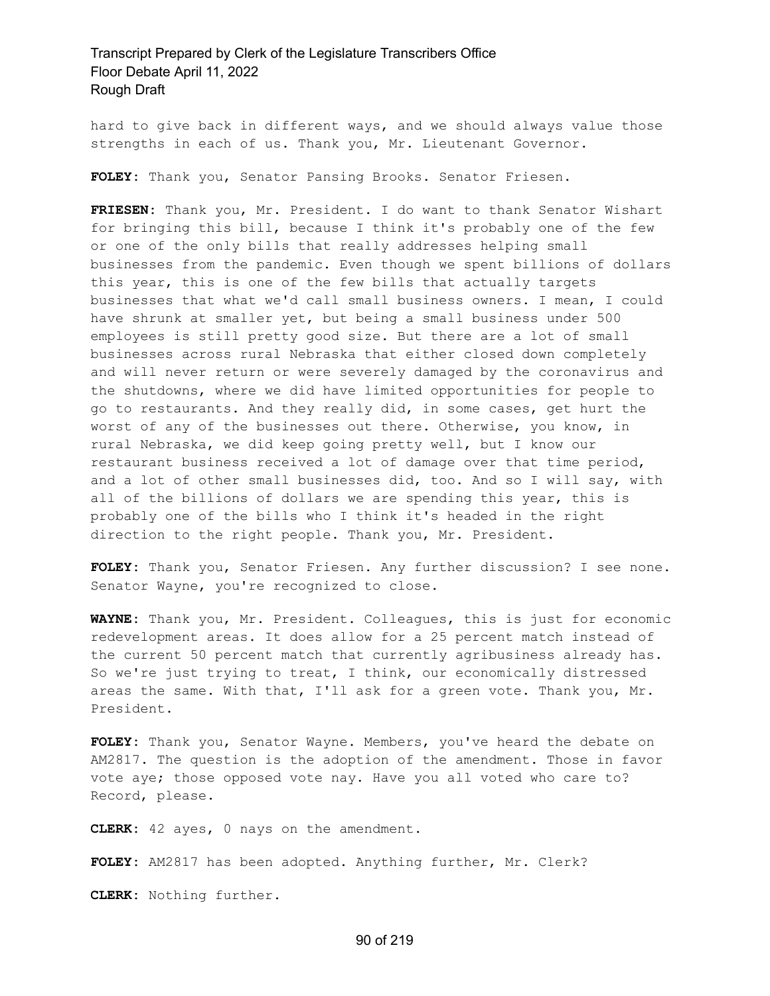hard to give back in different ways, and we should always value those strengths in each of us. Thank you, Mr. Lieutenant Governor.

**FOLEY:** Thank you, Senator Pansing Brooks. Senator Friesen.

**FRIESEN:** Thank you, Mr. President. I do want to thank Senator Wishart for bringing this bill, because I think it's probably one of the few or one of the only bills that really addresses helping small businesses from the pandemic. Even though we spent billions of dollars this year, this is one of the few bills that actually targets businesses that what we'd call small business owners. I mean, I could have shrunk at smaller yet, but being a small business under 500 employees is still pretty good size. But there are a lot of small businesses across rural Nebraska that either closed down completely and will never return or were severely damaged by the coronavirus and the shutdowns, where we did have limited opportunities for people to go to restaurants. And they really did, in some cases, get hurt the worst of any of the businesses out there. Otherwise, you know, in rural Nebraska, we did keep going pretty well, but I know our restaurant business received a lot of damage over that time period, and a lot of other small businesses did, too. And so I will say, with all of the billions of dollars we are spending this year, this is probably one of the bills who I think it's headed in the right direction to the right people. Thank you, Mr. President.

**FOLEY:** Thank you, Senator Friesen. Any further discussion? I see none. Senator Wayne, you're recognized to close.

**WAYNE:** Thank you, Mr. President. Colleagues, this is just for economic redevelopment areas. It does allow for a 25 percent match instead of the current 50 percent match that currently agribusiness already has. So we're just trying to treat, I think, our economically distressed areas the same. With that, I'll ask for a green vote. Thank you, Mr. President.

**FOLEY:** Thank you, Senator Wayne. Members, you've heard the debate on AM2817. The question is the adoption of the amendment. Those in favor vote aye; those opposed vote nay. Have you all voted who care to? Record, please.

**CLERK:** 42 ayes, 0 nays on the amendment.

**FOLEY:** AM2817 has been adopted. Anything further, Mr. Clerk?

**CLERK:** Nothing further.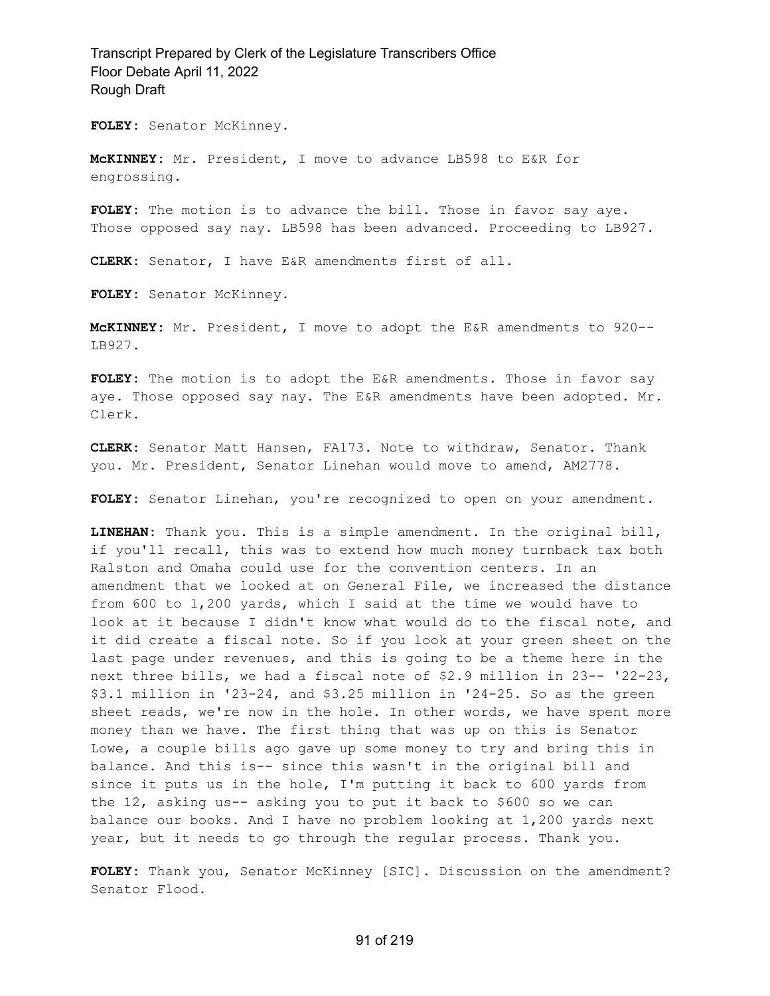**FOLEY:** Senator McKinney.

**McKINNEY:** Mr. President, I move to advance LB598 to E&R for engrossing.

FOLEY: The motion is to advance the bill. Those in favor say aye. Those opposed say nay. LB598 has been advanced. Proceeding to LB927.

**CLERK:** Senator, I have E&R amendments first of all.

**FOLEY:** Senator McKinney.

**McKINNEY:** Mr. President, I move to adopt the E&R amendments to 920-- LB927.

**FOLEY:** The motion is to adopt the E&R amendments. Those in favor say aye. Those opposed say nay. The E&R amendments have been adopted. Mr. Clerk.

**CLERK:** Senator Matt Hansen, FA173. Note to withdraw, Senator. Thank you. Mr. President, Senator Linehan would move to amend, AM2778.

**FOLEY:** Senator Linehan, you're recognized to open on your amendment.

**LINEHAN:** Thank you. This is a simple amendment. In the original bill, if you'll recall, this was to extend how much money turnback tax both Ralston and Omaha could use for the convention centers. In an amendment that we looked at on General File, we increased the distance from 600 to 1,200 yards, which I said at the time we would have to look at it because I didn't know what would do to the fiscal note, and it did create a fiscal note. So if you look at your green sheet on the last page under revenues, and this is going to be a theme here in the next three bills, we had a fiscal note of \$2.9 million in 23-- '22-23, \$3.1 million in '23-24, and \$3.25 million in '24-25. So as the green sheet reads, we're now in the hole. In other words, we have spent more money than we have. The first thing that was up on this is Senator Lowe, a couple bills ago gave up some money to try and bring this in balance. And this is-- since this wasn't in the original bill and since it puts us in the hole, I'm putting it back to 600 yards from the 12, asking us-- asking you to put it back to \$600 so we can balance our books. And I have no problem looking at 1,200 yards next year, but it needs to go through the regular process. Thank you.

**FOLEY:** Thank you, Senator McKinney [SIC]. Discussion on the amendment? Senator Flood.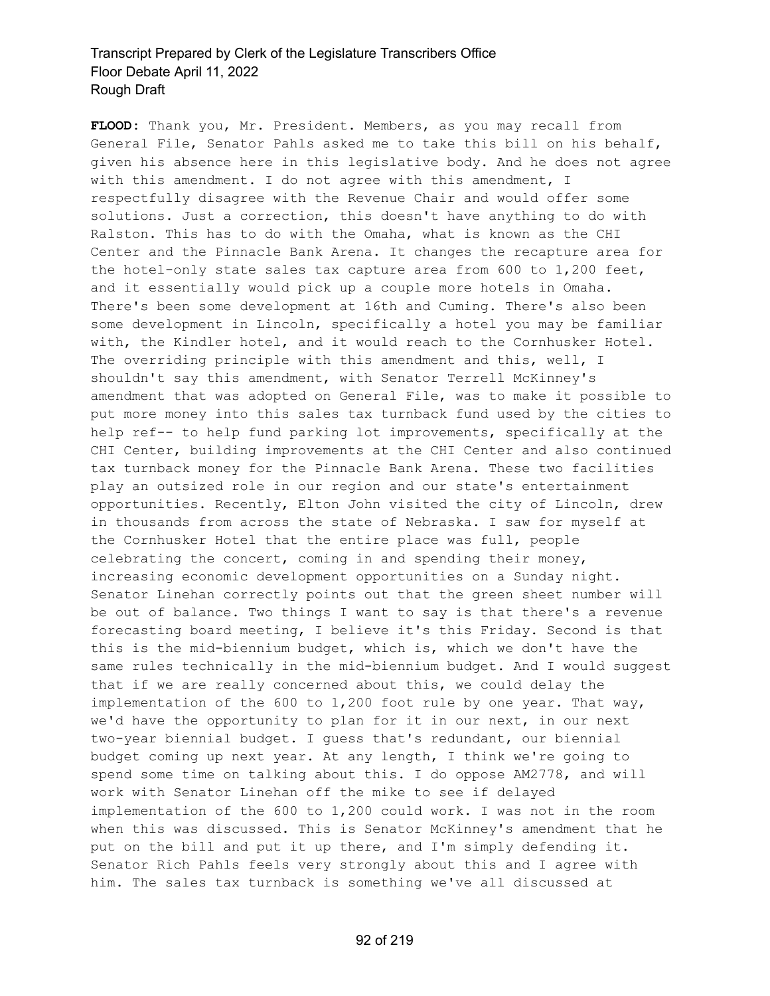**FLOOD:** Thank you, Mr. President. Members, as you may recall from General File, Senator Pahls asked me to take this bill on his behalf, given his absence here in this legislative body. And he does not agree with this amendment. I do not agree with this amendment, I respectfully disagree with the Revenue Chair and would offer some solutions. Just a correction, this doesn't have anything to do with Ralston. This has to do with the Omaha, what is known as the CHI Center and the Pinnacle Bank Arena. It changes the recapture area for the hotel-only state sales tax capture area from 600 to 1,200 feet, and it essentially would pick up a couple more hotels in Omaha. There's been some development at 16th and Cuming. There's also been some development in Lincoln, specifically a hotel you may be familiar with, the Kindler hotel, and it would reach to the Cornhusker Hotel. The overriding principle with this amendment and this, well, I shouldn't say this amendment, with Senator Terrell McKinney's amendment that was adopted on General File, was to make it possible to put more money into this sales tax turnback fund used by the cities to help ref-- to help fund parking lot improvements, specifically at the CHI Center, building improvements at the CHI Center and also continued tax turnback money for the Pinnacle Bank Arena. These two facilities play an outsized role in our region and our state's entertainment opportunities. Recently, Elton John visited the city of Lincoln, drew in thousands from across the state of Nebraska. I saw for myself at the Cornhusker Hotel that the entire place was full, people celebrating the concert, coming in and spending their money, increasing economic development opportunities on a Sunday night. Senator Linehan correctly points out that the green sheet number will be out of balance. Two things I want to say is that there's a revenue forecasting board meeting, I believe it's this Friday. Second is that this is the mid-biennium budget, which is, which we don't have the same rules technically in the mid-biennium budget. And I would suggest that if we are really concerned about this, we could delay the implementation of the 600 to 1,200 foot rule by one year. That way, we'd have the opportunity to plan for it in our next, in our next two-year biennial budget. I guess that's redundant, our biennial budget coming up next year. At any length, I think we're going to spend some time on talking about this. I do oppose AM2778, and will work with Senator Linehan off the mike to see if delayed implementation of the 600 to 1,200 could work. I was not in the room when this was discussed. This is Senator McKinney's amendment that he put on the bill and put it up there, and I'm simply defending it. Senator Rich Pahls feels very strongly about this and I agree with him. The sales tax turnback is something we've all discussed at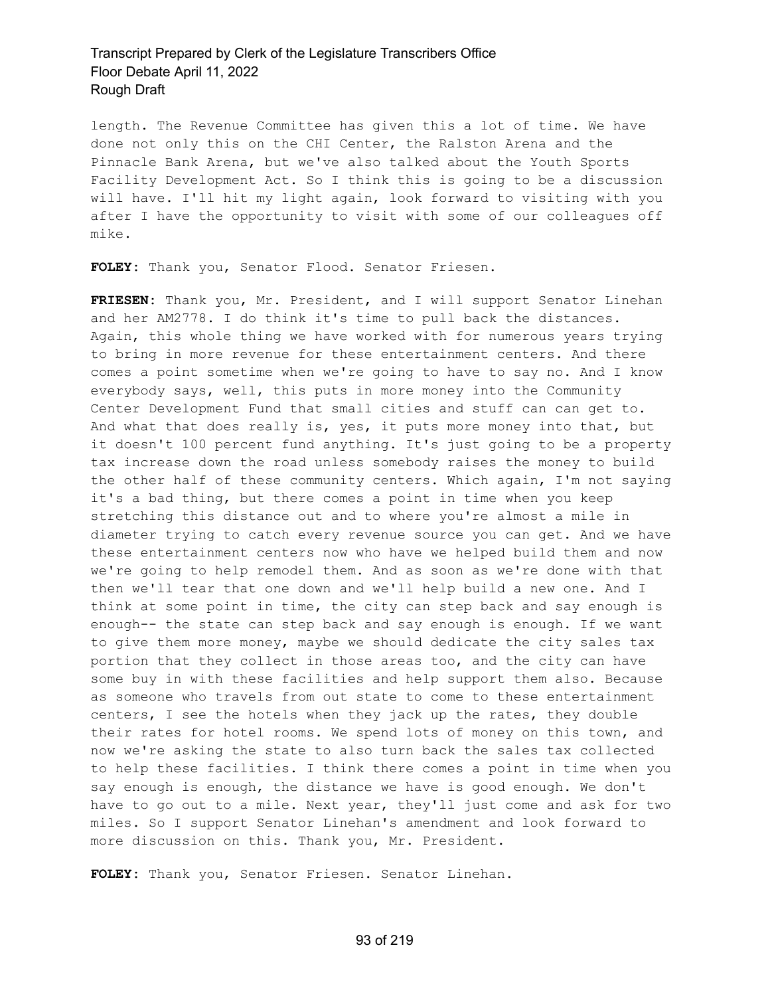length. The Revenue Committee has given this a lot of time. We have done not only this on the CHI Center, the Ralston Arena and the Pinnacle Bank Arena, but we've also talked about the Youth Sports Facility Development Act. So I think this is going to be a discussion will have. I'll hit my light again, look forward to visiting with you after I have the opportunity to visit with some of our colleagues off mike.

**FOLEY:** Thank you, Senator Flood. Senator Friesen.

**FRIESEN:** Thank you, Mr. President, and I will support Senator Linehan and her AM2778. I do think it's time to pull back the distances. Again, this whole thing we have worked with for numerous years trying to bring in more revenue for these entertainment centers. And there comes a point sometime when we're going to have to say no. And I know everybody says, well, this puts in more money into the Community Center Development Fund that small cities and stuff can can get to. And what that does really is, yes, it puts more money into that, but it doesn't 100 percent fund anything. It's just going to be a property tax increase down the road unless somebody raises the money to build the other half of these community centers. Which again, I'm not saying it's a bad thing, but there comes a point in time when you keep stretching this distance out and to where you're almost a mile in diameter trying to catch every revenue source you can get. And we have these entertainment centers now who have we helped build them and now we're going to help remodel them. And as soon as we're done with that then we'll tear that one down and we'll help build a new one. And I think at some point in time, the city can step back and say enough is enough-- the state can step back and say enough is enough. If we want to give them more money, maybe we should dedicate the city sales tax portion that they collect in those areas too, and the city can have some buy in with these facilities and help support them also. Because as someone who travels from out state to come to these entertainment centers, I see the hotels when they jack up the rates, they double their rates for hotel rooms. We spend lots of money on this town, and now we're asking the state to also turn back the sales tax collected to help these facilities. I think there comes a point in time when you say enough is enough, the distance we have is good enough. We don't have to go out to a mile. Next year, they'll just come and ask for two miles. So I support Senator Linehan's amendment and look forward to more discussion on this. Thank you, Mr. President.

**FOLEY:** Thank you, Senator Friesen. Senator Linehan.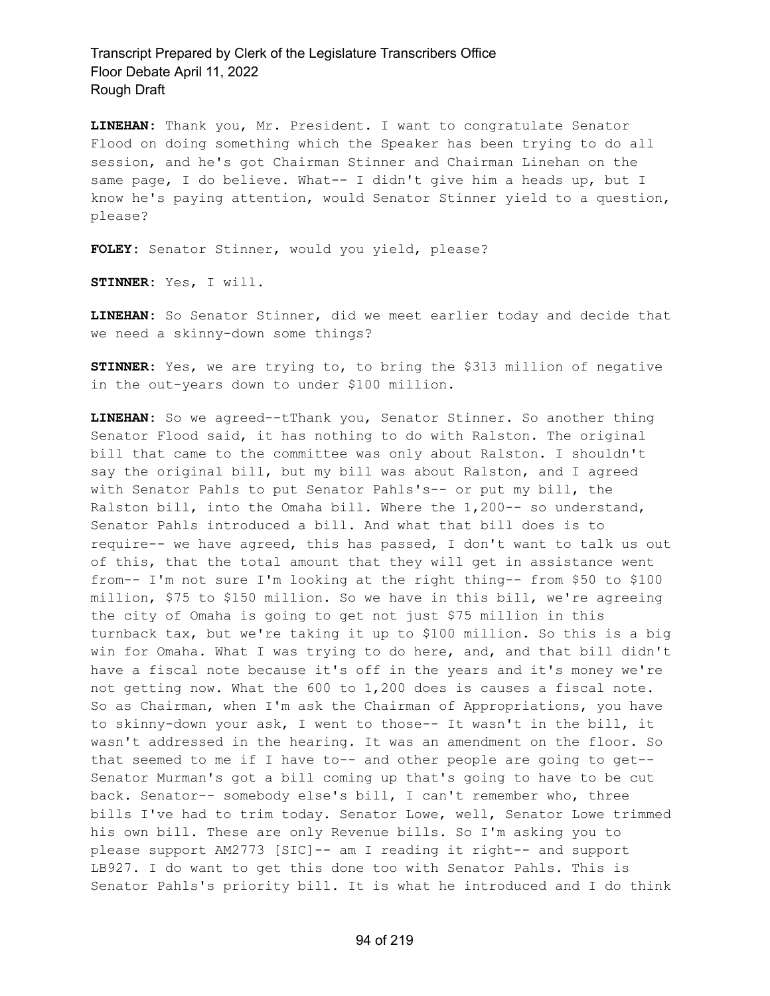**LINEHAN:** Thank you, Mr. President. I want to congratulate Senator Flood on doing something which the Speaker has been trying to do all session, and he's got Chairman Stinner and Chairman Linehan on the same page, I do believe. What-- I didn't give him a heads up, but I know he's paying attention, would Senator Stinner yield to a question, please?

**FOLEY:** Senator Stinner, would you yield, please?

**STINNER:** Yes, I will.

**LINEHAN:** So Senator Stinner, did we meet earlier today and decide that we need a skinny-down some things?

**STINNER:** Yes, we are trying to, to bring the \$313 million of negative in the out-years down to under \$100 million.

**LINEHAN:** So we agreed--tThank you, Senator Stinner. So another thing Senator Flood said, it has nothing to do with Ralston. The original bill that came to the committee was only about Ralston. I shouldn't say the original bill, but my bill was about Ralston, and I agreed with Senator Pahls to put Senator Pahls's-- or put my bill, the Ralston bill, into the Omaha bill. Where the 1,200-- so understand, Senator Pahls introduced a bill. And what that bill does is to require-- we have agreed, this has passed, I don't want to talk us out of this, that the total amount that they will get in assistance went from-- I'm not sure I'm looking at the right thing-- from \$50 to \$100 million, \$75 to \$150 million. So we have in this bill, we're agreeing the city of Omaha is going to get not just \$75 million in this turnback tax, but we're taking it up to \$100 million. So this is a big win for Omaha. What I was trying to do here, and, and that bill didn't have a fiscal note because it's off in the years and it's money we're not getting now. What the 600 to 1,200 does is causes a fiscal note. So as Chairman, when I'm ask the Chairman of Appropriations, you have to skinny-down your ask, I went to those-- It wasn't in the bill, it wasn't addressed in the hearing. It was an amendment on the floor. So that seemed to me if I have to-- and other people are going to get-- Senator Murman's got a bill coming up that's going to have to be cut back. Senator-- somebody else's bill, I can't remember who, three bills I've had to trim today. Senator Lowe, well, Senator Lowe trimmed his own bill. These are only Revenue bills. So I'm asking you to please support AM2773 [SIC]-- am I reading it right-- and support LB927. I do want to get this done too with Senator Pahls. This is Senator Pahls's priority bill. It is what he introduced and I do think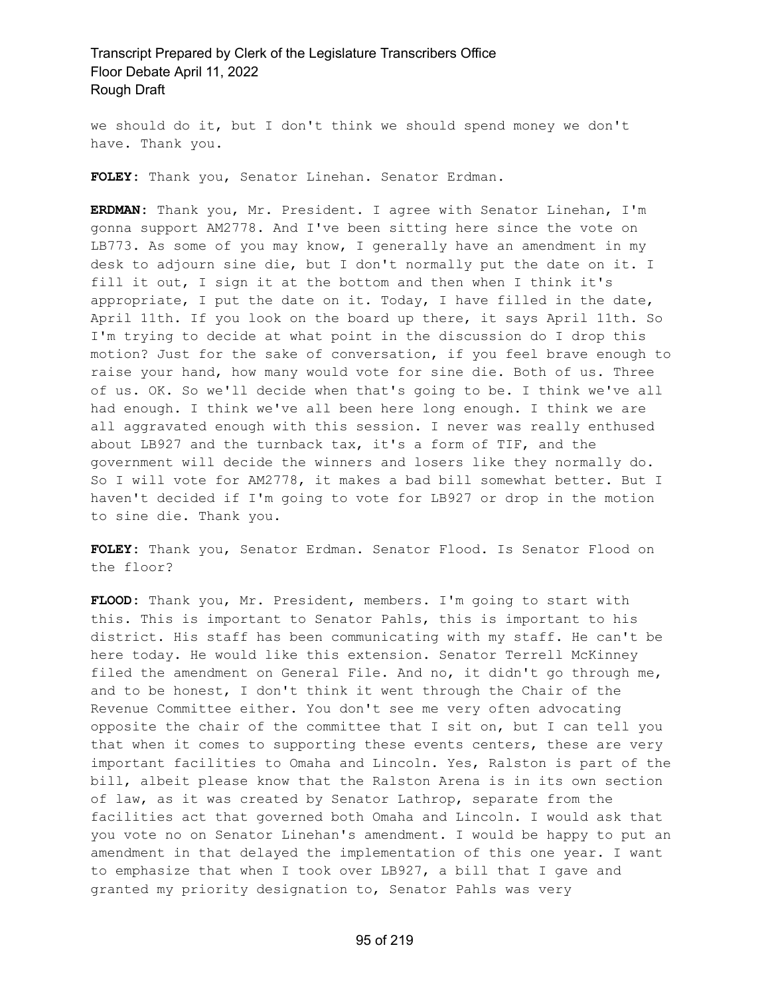we should do it, but I don't think we should spend money we don't have. Thank you.

**FOLEY:** Thank you, Senator Linehan. Senator Erdman.

**ERDMAN:** Thank you, Mr. President. I agree with Senator Linehan, I'm gonna support AM2778. And I've been sitting here since the vote on LB773. As some of you may know, I generally have an amendment in my desk to adjourn sine die, but I don't normally put the date on it. I fill it out, I sign it at the bottom and then when I think it's appropriate, I put the date on it. Today, I have filled in the date, April 11th. If you look on the board up there, it says April 11th. So I'm trying to decide at what point in the discussion do I drop this motion? Just for the sake of conversation, if you feel brave enough to raise your hand, how many would vote for sine die. Both of us. Three of us. OK. So we'll decide when that's going to be. I think we've all had enough. I think we've all been here long enough. I think we are all aggravated enough with this session. I never was really enthused about LB927 and the turnback tax, it's a form of TIF, and the government will decide the winners and losers like they normally do. So I will vote for AM2778, it makes a bad bill somewhat better. But I haven't decided if I'm going to vote for LB927 or drop in the motion to sine die. Thank you.

**FOLEY:** Thank you, Senator Erdman. Senator Flood. Is Senator Flood on the floor?

**FLOOD:** Thank you, Mr. President, members. I'm going to start with this. This is important to Senator Pahls, this is important to his district. His staff has been communicating with my staff. He can't be here today. He would like this extension. Senator Terrell McKinney filed the amendment on General File. And no, it didn't go through me, and to be honest, I don't think it went through the Chair of the Revenue Committee either. You don't see me very often advocating opposite the chair of the committee that I sit on, but I can tell you that when it comes to supporting these events centers, these are very important facilities to Omaha and Lincoln. Yes, Ralston is part of the bill, albeit please know that the Ralston Arena is in its own section of law, as it was created by Senator Lathrop, separate from the facilities act that governed both Omaha and Lincoln. I would ask that you vote no on Senator Linehan's amendment. I would be happy to put an amendment in that delayed the implementation of this one year. I want to emphasize that when I took over LB927, a bill that I gave and granted my priority designation to, Senator Pahls was very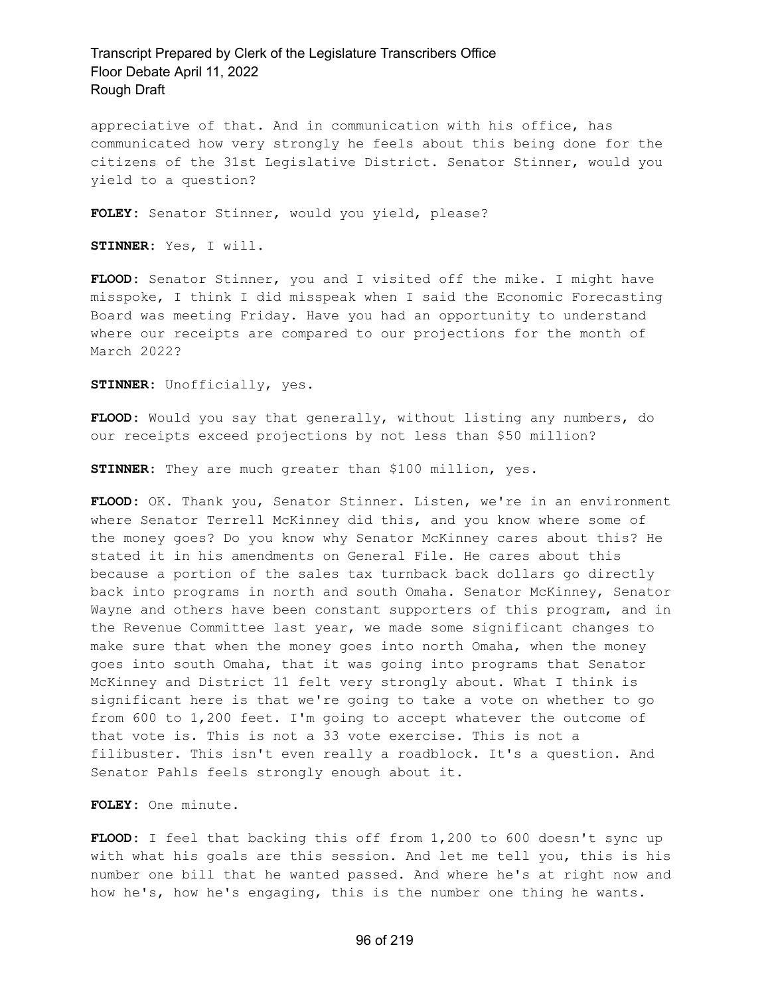appreciative of that. And in communication with his office, has communicated how very strongly he feels about this being done for the citizens of the 31st Legislative District. Senator Stinner, would you yield to a question?

**FOLEY:** Senator Stinner, would you yield, please?

**STINNER:** Yes, I will.

**FLOOD:** Senator Stinner, you and I visited off the mike. I might have misspoke, I think I did misspeak when I said the Economic Forecasting Board was meeting Friday. Have you had an opportunity to understand where our receipts are compared to our projections for the month of March 2022?

**STINNER:** Unofficially, yes.

**FLOOD:** Would you say that generally, without listing any numbers, do our receipts exceed projections by not less than \$50 million?

**STINNER:** They are much greater than \$100 million, yes.

**FLOOD:** OK. Thank you, Senator Stinner. Listen, we're in an environment where Senator Terrell McKinney did this, and you know where some of the money goes? Do you know why Senator McKinney cares about this? He stated it in his amendments on General File. He cares about this because a portion of the sales tax turnback back dollars go directly back into programs in north and south Omaha. Senator McKinney, Senator Wayne and others have been constant supporters of this program, and in the Revenue Committee last year, we made some significant changes to make sure that when the money goes into north Omaha, when the money goes into south Omaha, that it was going into programs that Senator McKinney and District 11 felt very strongly about. What I think is significant here is that we're going to take a vote on whether to go from 600 to 1,200 feet. I'm going to accept whatever the outcome of that vote is. This is not a 33 vote exercise. This is not a filibuster. This isn't even really a roadblock. It's a question. And Senator Pahls feels strongly enough about it.

**FOLEY:** One minute.

**FLOOD:** I feel that backing this off from 1,200 to 600 doesn't sync up with what his goals are this session. And let me tell you, this is his number one bill that he wanted passed. And where he's at right now and how he's, how he's engaging, this is the number one thing he wants.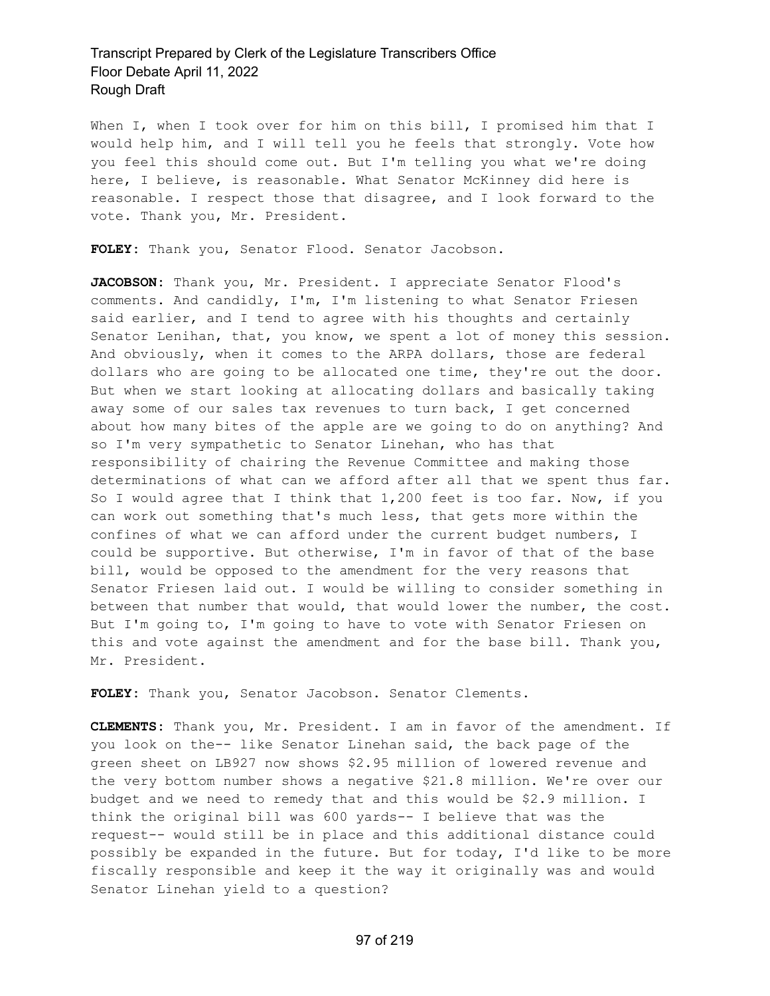When I, when I took over for him on this bill, I promised him that I would help him, and I will tell you he feels that strongly. Vote how you feel this should come out. But I'm telling you what we're doing here, I believe, is reasonable. What Senator McKinney did here is reasonable. I respect those that disagree, and I look forward to the vote. Thank you, Mr. President.

**FOLEY:** Thank you, Senator Flood. Senator Jacobson.

**JACOBSON:** Thank you, Mr. President. I appreciate Senator Flood's comments. And candidly, I'm, I'm listening to what Senator Friesen said earlier, and I tend to agree with his thoughts and certainly Senator Lenihan, that, you know, we spent a lot of money this session. And obviously, when it comes to the ARPA dollars, those are federal dollars who are going to be allocated one time, they're out the door. But when we start looking at allocating dollars and basically taking away some of our sales tax revenues to turn back, I get concerned about how many bites of the apple are we going to do on anything? And so I'm very sympathetic to Senator Linehan, who has that responsibility of chairing the Revenue Committee and making those determinations of what can we afford after all that we spent thus far. So I would agree that I think that 1,200 feet is too far. Now, if you can work out something that's much less, that gets more within the confines of what we can afford under the current budget numbers, I could be supportive. But otherwise, I'm in favor of that of the base bill, would be opposed to the amendment for the very reasons that Senator Friesen laid out. I would be willing to consider something in between that number that would, that would lower the number, the cost. But I'm going to, I'm going to have to vote with Senator Friesen on this and vote against the amendment and for the base bill. Thank you, Mr. President.

**FOLEY:** Thank you, Senator Jacobson. Senator Clements.

**CLEMENTS:** Thank you, Mr. President. I am in favor of the amendment. If you look on the-- like Senator Linehan said, the back page of the green sheet on LB927 now shows \$2.95 million of lowered revenue and the very bottom number shows a negative \$21.8 million. We're over our budget and we need to remedy that and this would be \$2.9 million. I think the original bill was 600 yards-- I believe that was the request-- would still be in place and this additional distance could possibly be expanded in the future. But for today, I'd like to be more fiscally responsible and keep it the way it originally was and would Senator Linehan yield to a question?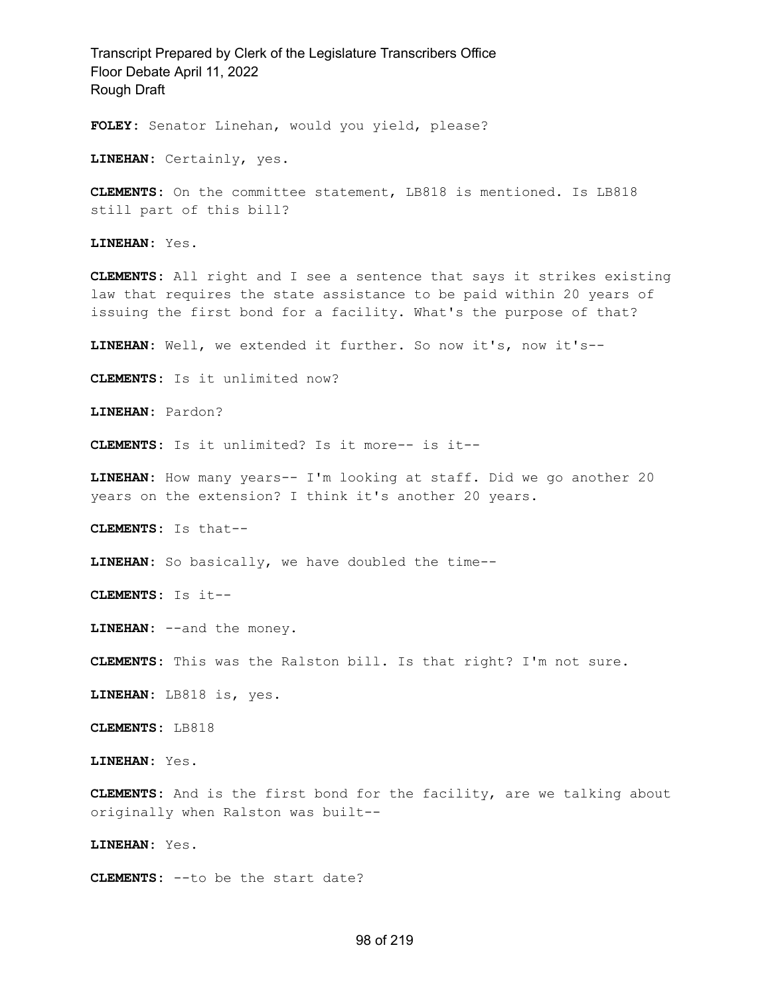Transcript Prepared by Clerk of the Legislature Transcribers Office Floor Debate April 11, 2022 Rough Draft **FOLEY:** Senator Linehan, would you yield, please? **LINEHAN:** Certainly, yes. **CLEMENTS:** On the committee statement, LB818 is mentioned. Is LB818 still part of this bill? **LINEHAN:** Yes. **CLEMENTS:** All right and I see a sentence that says it strikes existing law that requires the state assistance to be paid within 20 years of issuing the first bond for a facility. What's the purpose of that?

**LINEHAN:** Well, we extended it further. So now it's, now it's--

**CLEMENTS:** Is it unlimited now?

**LINEHAN:** Pardon?

**CLEMENTS:** Is it unlimited? Is it more-- is it--

**LINEHAN:** How many years-- I'm looking at staff. Did we go another 20 years on the extension? I think it's another 20 years.

**CLEMENTS:** Is that--

**LINEHAN:** So basically, we have doubled the time--

**CLEMENTS:** Is it--

**LINEHAN:** --and the money.

**CLEMENTS:** This was the Ralston bill. Is that right? I'm not sure.

**LINEHAN:** LB818 is, yes.

**CLEMENTS:** LB818

**LINEHAN:** Yes.

**CLEMENTS:** And is the first bond for the facility, are we talking about originally when Ralston was built--

**LINEHAN:** Yes.

**CLEMENTS:** --to be the start date?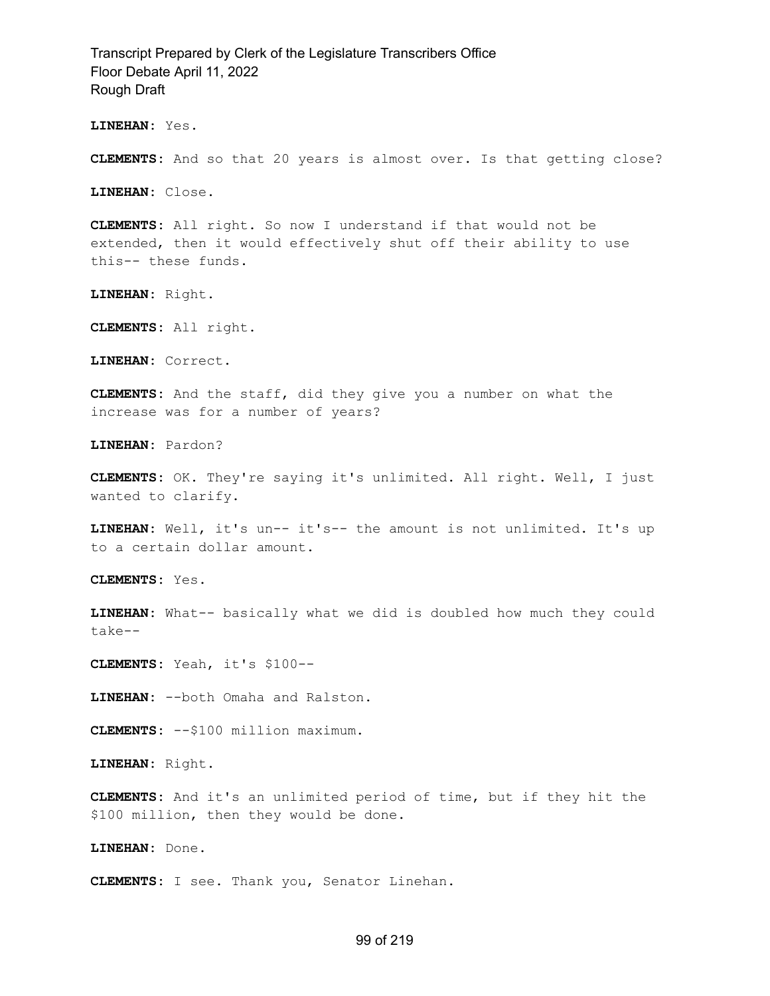**LINEHAN:** Yes.

**CLEMENTS:** And so that 20 years is almost over. Is that getting close?

**LINEHAN:** Close.

**CLEMENTS:** All right. So now I understand if that would not be extended, then it would effectively shut off their ability to use this-- these funds.

**LINEHAN:** Right.

**CLEMENTS:** All right.

**LINEHAN:** Correct.

**CLEMENTS:** And the staff, did they give you a number on what the increase was for a number of years?

**LINEHAN:** Pardon?

**CLEMENTS:** OK. They're saying it's unlimited. All right. Well, I just wanted to clarify.

**LINEHAN:** Well, it's un-- it's-- the amount is not unlimited. It's up to a certain dollar amount.

**CLEMENTS:** Yes.

**LINEHAN:** What-- basically what we did is doubled how much they could take--

**CLEMENTS:** Yeah, it's \$100--

**LINEHAN:** --both Omaha and Ralston.

**CLEMENTS:** --\$100 million maximum.

**LINEHAN:** Right.

**CLEMENTS:** And it's an unlimited period of time, but if they hit the \$100 million, then they would be done.

**LINEHAN:** Done.

**CLEMENTS:** I see. Thank you, Senator Linehan.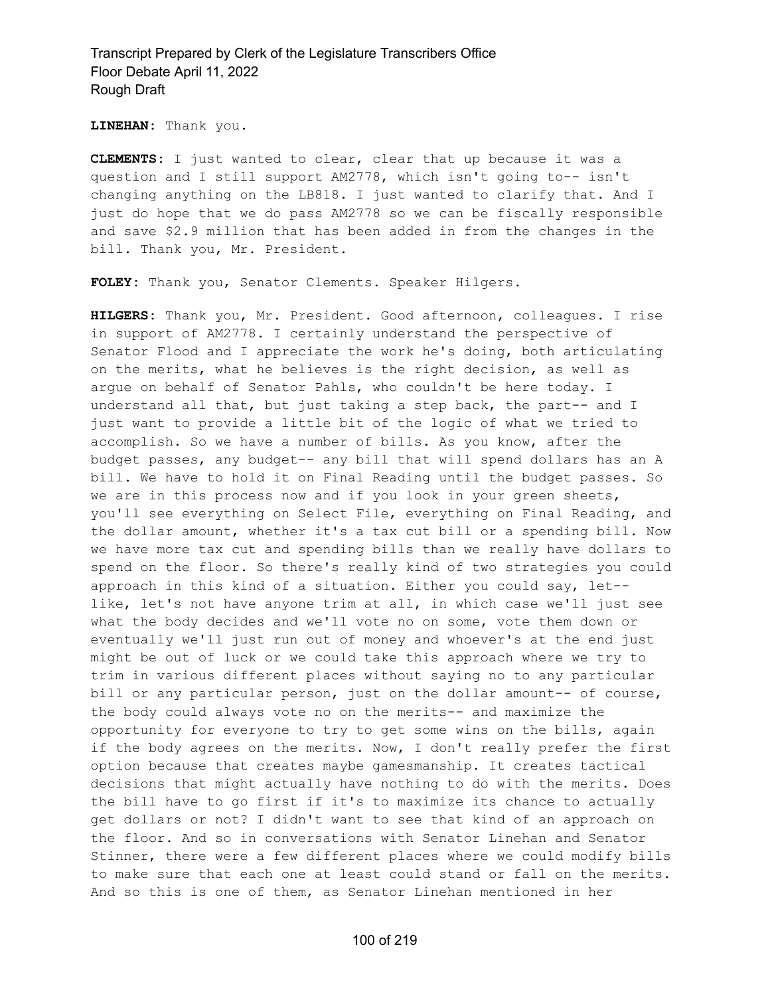**LINEHAN:** Thank you.

**CLEMENTS:** I just wanted to clear, clear that up because it was a question and I still support AM2778, which isn't going to-- isn't changing anything on the LB818. I just wanted to clarify that. And I just do hope that we do pass AM2778 so we can be fiscally responsible and save \$2.9 million that has been added in from the changes in the bill. Thank you, Mr. President.

**FOLEY:** Thank you, Senator Clements. Speaker Hilgers.

**HILGERS:** Thank you, Mr. President. Good afternoon, colleagues. I rise in support of AM2778. I certainly understand the perspective of Senator Flood and I appreciate the work he's doing, both articulating on the merits, what he believes is the right decision, as well as argue on behalf of Senator Pahls, who couldn't be here today. I understand all that, but just taking a step back, the part-- and I just want to provide a little bit of the logic of what we tried to accomplish. So we have a number of bills. As you know, after the budget passes, any budget-- any bill that will spend dollars has an A bill. We have to hold it on Final Reading until the budget passes. So we are in this process now and if you look in your green sheets, you'll see everything on Select File, everything on Final Reading, and the dollar amount, whether it's a tax cut bill or a spending bill. Now we have more tax cut and spending bills than we really have dollars to spend on the floor. So there's really kind of two strategies you could approach in this kind of a situation. Either you could say, let- like, let's not have anyone trim at all, in which case we'll just see what the body decides and we'll vote no on some, vote them down or eventually we'll just run out of money and whoever's at the end just might be out of luck or we could take this approach where we try to trim in various different places without saying no to any particular bill or any particular person, just on the dollar amount-- of course, the body could always vote no on the merits-- and maximize the opportunity for everyone to try to get some wins on the bills, again if the body agrees on the merits. Now, I don't really prefer the first option because that creates maybe gamesmanship. It creates tactical decisions that might actually have nothing to do with the merits. Does the bill have to go first if it's to maximize its chance to actually get dollars or not? I didn't want to see that kind of an approach on the floor. And so in conversations with Senator Linehan and Senator Stinner, there were a few different places where we could modify bills to make sure that each one at least could stand or fall on the merits. And so this is one of them, as Senator Linehan mentioned in her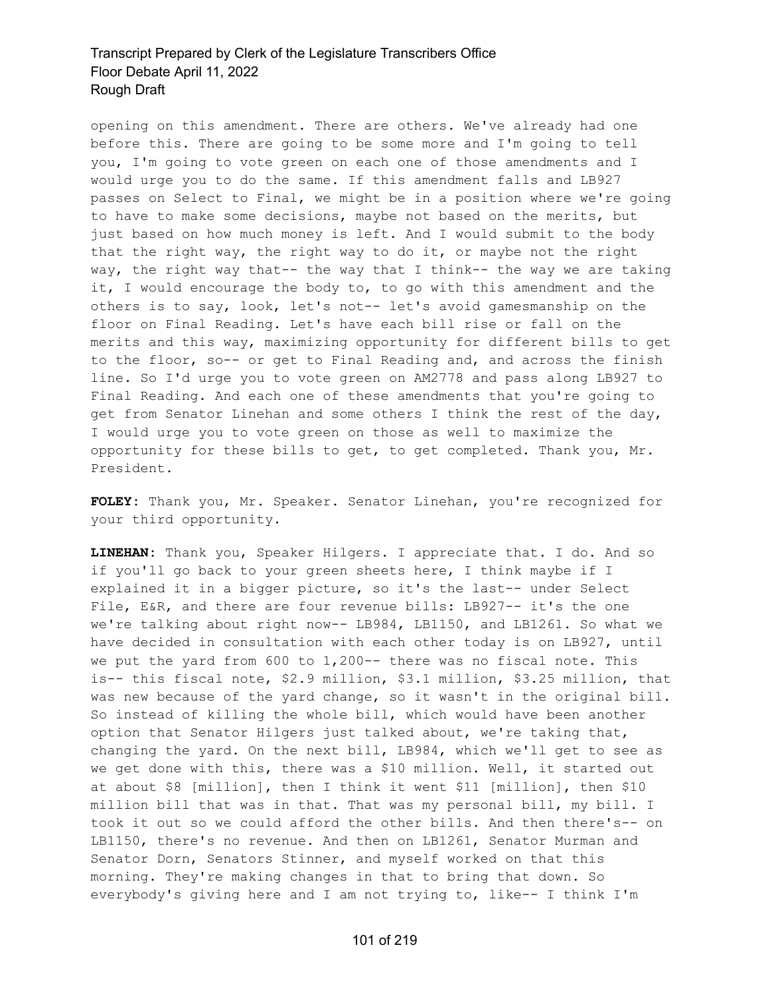opening on this amendment. There are others. We've already had one before this. There are going to be some more and I'm going to tell you, I'm going to vote green on each one of those amendments and I would urge you to do the same. If this amendment falls and LB927 passes on Select to Final, we might be in a position where we're going to have to make some decisions, maybe not based on the merits, but just based on how much money is left. And I would submit to the body that the right way, the right way to do it, or maybe not the right way, the right way that-- the way that I think-- the way we are taking it, I would encourage the body to, to go with this amendment and the others is to say, look, let's not-- let's avoid gamesmanship on the floor on Final Reading. Let's have each bill rise or fall on the merits and this way, maximizing opportunity for different bills to get to the floor, so-- or get to Final Reading and, and across the finish line. So I'd urge you to vote green on AM2778 and pass along LB927 to Final Reading. And each one of these amendments that you're going to get from Senator Linehan and some others I think the rest of the day, I would urge you to vote green on those as well to maximize the opportunity for these bills to get, to get completed. Thank you, Mr. President.

**FOLEY:** Thank you, Mr. Speaker. Senator Linehan, you're recognized for your third opportunity.

**LINEHAN:** Thank you, Speaker Hilgers. I appreciate that. I do. And so if you'll go back to your green sheets here, I think maybe if I explained it in a bigger picture, so it's the last-- under Select File, E&R, and there are four revenue bills: LB927-- it's the one we're talking about right now-- LB984, LB1150, and LB1261. So what we have decided in consultation with each other today is on LB927, until we put the yard from 600 to 1,200-- there was no fiscal note. This is-- this fiscal note, \$2.9 million, \$3.1 million, \$3.25 million, that was new because of the yard change, so it wasn't in the original bill. So instead of killing the whole bill, which would have been another option that Senator Hilgers just talked about, we're taking that, changing the yard. On the next bill, LB984, which we'll get to see as we get done with this, there was a \$10 million. Well, it started out at about \$8 [million], then I think it went \$11 [million], then \$10 million bill that was in that. That was my personal bill, my bill. I took it out so we could afford the other bills. And then there's-- on LB1150, there's no revenue. And then on LB1261, Senator Murman and Senator Dorn, Senators Stinner, and myself worked on that this morning. They're making changes in that to bring that down. So everybody's giving here and I am not trying to, like-- I think I'm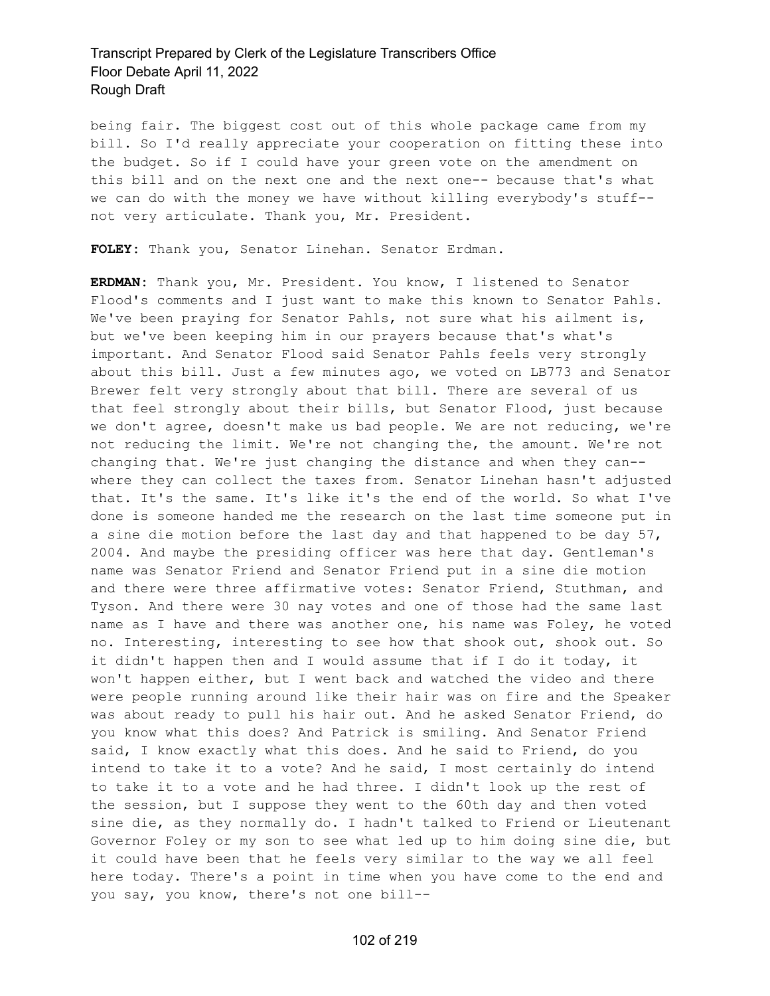being fair. The biggest cost out of this whole package came from my bill. So I'd really appreciate your cooperation on fitting these into the budget. So if I could have your green vote on the amendment on this bill and on the next one and the next one-- because that's what we can do with the money we have without killing everybody's stuff- not very articulate. Thank you, Mr. President.

**FOLEY:** Thank you, Senator Linehan. Senator Erdman.

**ERDMAN:** Thank you, Mr. President. You know, I listened to Senator Flood's comments and I just want to make this known to Senator Pahls. We've been praying for Senator Pahls, not sure what his ailment is, but we've been keeping him in our prayers because that's what's important. And Senator Flood said Senator Pahls feels very strongly about this bill. Just a few minutes ago, we voted on LB773 and Senator Brewer felt very strongly about that bill. There are several of us that feel strongly about their bills, but Senator Flood, just because we don't agree, doesn't make us bad people. We are not reducing, we're not reducing the limit. We're not changing the, the amount. We're not changing that. We're just changing the distance and when they can- where they can collect the taxes from. Senator Linehan hasn't adjusted that. It's the same. It's like it's the end of the world. So what I've done is someone handed me the research on the last time someone put in a sine die motion before the last day and that happened to be day 57, 2004. And maybe the presiding officer was here that day. Gentleman's name was Senator Friend and Senator Friend put in a sine die motion and there were three affirmative votes: Senator Friend, Stuthman, and Tyson. And there were 30 nay votes and one of those had the same last name as I have and there was another one, his name was Foley, he voted no. Interesting, interesting to see how that shook out, shook out. So it didn't happen then and I would assume that if I do it today, it won't happen either, but I went back and watched the video and there were people running around like their hair was on fire and the Speaker was about ready to pull his hair out. And he asked Senator Friend, do you know what this does? And Patrick is smiling. And Senator Friend said, I know exactly what this does. And he said to Friend, do you intend to take it to a vote? And he said, I most certainly do intend to take it to a vote and he had three. I didn't look up the rest of the session, but I suppose they went to the 60th day and then voted sine die, as they normally do. I hadn't talked to Friend or Lieutenant Governor Foley or my son to see what led up to him doing sine die, but it could have been that he feels very similar to the way we all feel here today. There's a point in time when you have come to the end and you say, you know, there's not one bill--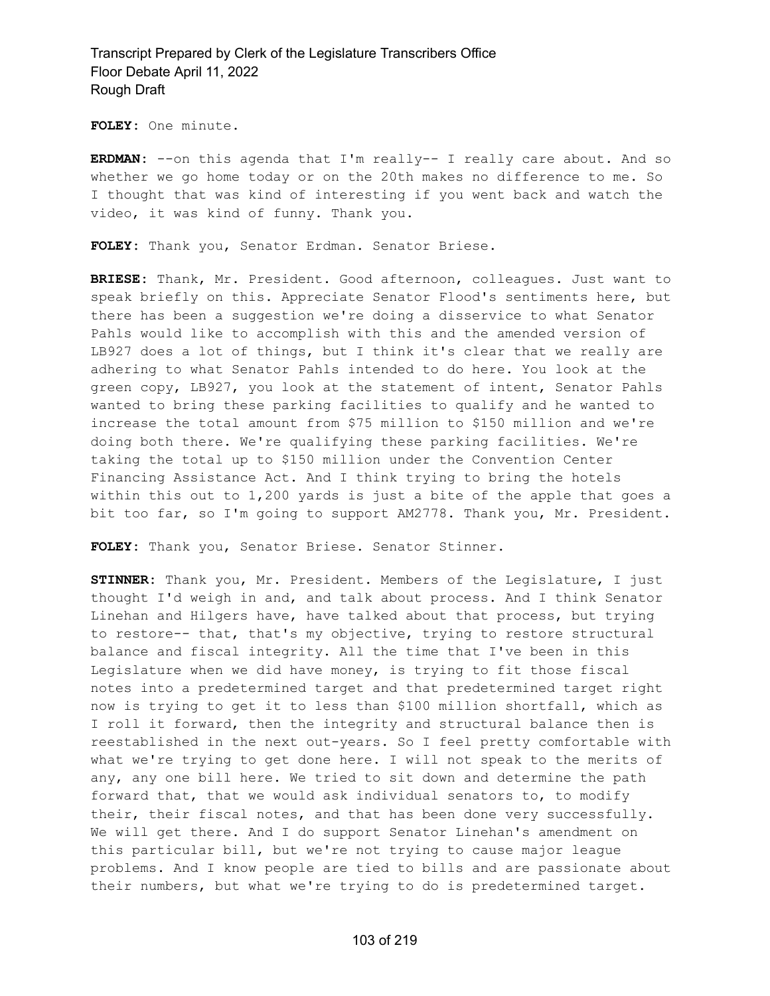**FOLEY:** One minute.

**ERDMAN:** --on this agenda that I'm really-- I really care about. And so whether we go home today or on the 20th makes no difference to me. So I thought that was kind of interesting if you went back and watch the video, it was kind of funny. Thank you.

**FOLEY:** Thank you, Senator Erdman. Senator Briese.

**BRIESE:** Thank, Mr. President. Good afternoon, colleagues. Just want to speak briefly on this. Appreciate Senator Flood's sentiments here, but there has been a suggestion we're doing a disservice to what Senator Pahls would like to accomplish with this and the amended version of LB927 does a lot of things, but I think it's clear that we really are adhering to what Senator Pahls intended to do here. You look at the green copy, LB927, you look at the statement of intent, Senator Pahls wanted to bring these parking facilities to qualify and he wanted to increase the total amount from \$75 million to \$150 million and we're doing both there. We're qualifying these parking facilities. We're taking the total up to \$150 million under the Convention Center Financing Assistance Act. And I think trying to bring the hotels within this out to 1,200 yards is just a bite of the apple that goes a bit too far, so I'm going to support AM2778. Thank you, Mr. President.

**FOLEY:** Thank you, Senator Briese. Senator Stinner.

**STINNER:** Thank you, Mr. President. Members of the Legislature, I just thought I'd weigh in and, and talk about process. And I think Senator Linehan and Hilgers have, have talked about that process, but trying to restore-- that, that's my objective, trying to restore structural balance and fiscal integrity. All the time that I've been in this Legislature when we did have money, is trying to fit those fiscal notes into a predetermined target and that predetermined target right now is trying to get it to less than \$100 million shortfall, which as I roll it forward, then the integrity and structural balance then is reestablished in the next out-years. So I feel pretty comfortable with what we're trying to get done here. I will not speak to the merits of any, any one bill here. We tried to sit down and determine the path forward that, that we would ask individual senators to, to modify their, their fiscal notes, and that has been done very successfully. We will get there. And I do support Senator Linehan's amendment on this particular bill, but we're not trying to cause major league problems. And I know people are tied to bills and are passionate about their numbers, but what we're trying to do is predetermined target.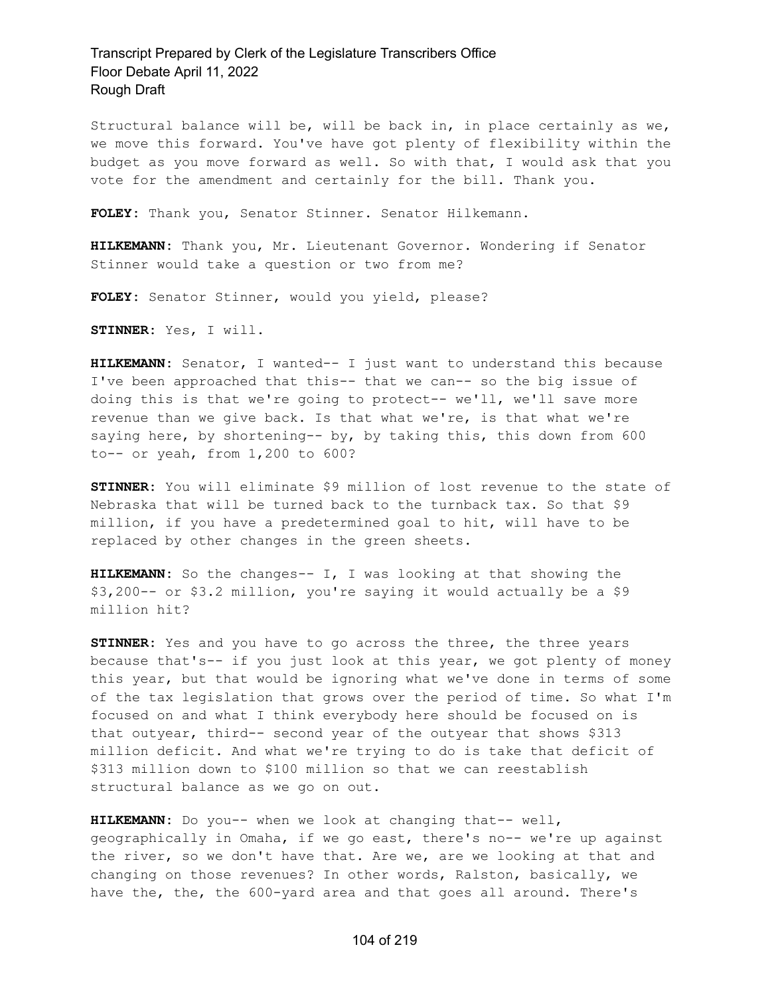Structural balance will be, will be back in, in place certainly as we, we move this forward. You've have got plenty of flexibility within the budget as you move forward as well. So with that, I would ask that you vote for the amendment and certainly for the bill. Thank you.

**FOLEY:** Thank you, Senator Stinner. Senator Hilkemann.

**HILKEMANN:** Thank you, Mr. Lieutenant Governor. Wondering if Senator Stinner would take a question or two from me?

**FOLEY:** Senator Stinner, would you yield, please?

**STINNER:** Yes, I will.

**HILKEMANN:** Senator, I wanted-- I just want to understand this because I've been approached that this-- that we can-- so the big issue of doing this is that we're going to protect-- we'll, we'll save more revenue than we give back. Is that what we're, is that what we're saying here, by shortening-- by, by taking this, this down from 600 to-- or yeah, from 1,200 to 600?

**STINNER:** You will eliminate \$9 million of lost revenue to the state of Nebraska that will be turned back to the turnback tax. So that \$9 million, if you have a predetermined goal to hit, will have to be replaced by other changes in the green sheets.

**HILKEMANN:** So the changes-- I, I was looking at that showing the \$3,200-- or \$3.2 million, you're saying it would actually be a \$9 million hit?

**STINNER:** Yes and you have to go across the three, the three years because that's-- if you just look at this year, we got plenty of money this year, but that would be ignoring what we've done in terms of some of the tax legislation that grows over the period of time. So what I'm focused on and what I think everybody here should be focused on is that outyear, third-- second year of the outyear that shows \$313 million deficit. And what we're trying to do is take that deficit of \$313 million down to \$100 million so that we can reestablish structural balance as we go on out.

**HILKEMANN:** Do you-- when we look at changing that-- well, geographically in Omaha, if we go east, there's no-- we're up against the river, so we don't have that. Are we, are we looking at that and changing on those revenues? In other words, Ralston, basically, we have the, the, the 600-yard area and that goes all around. There's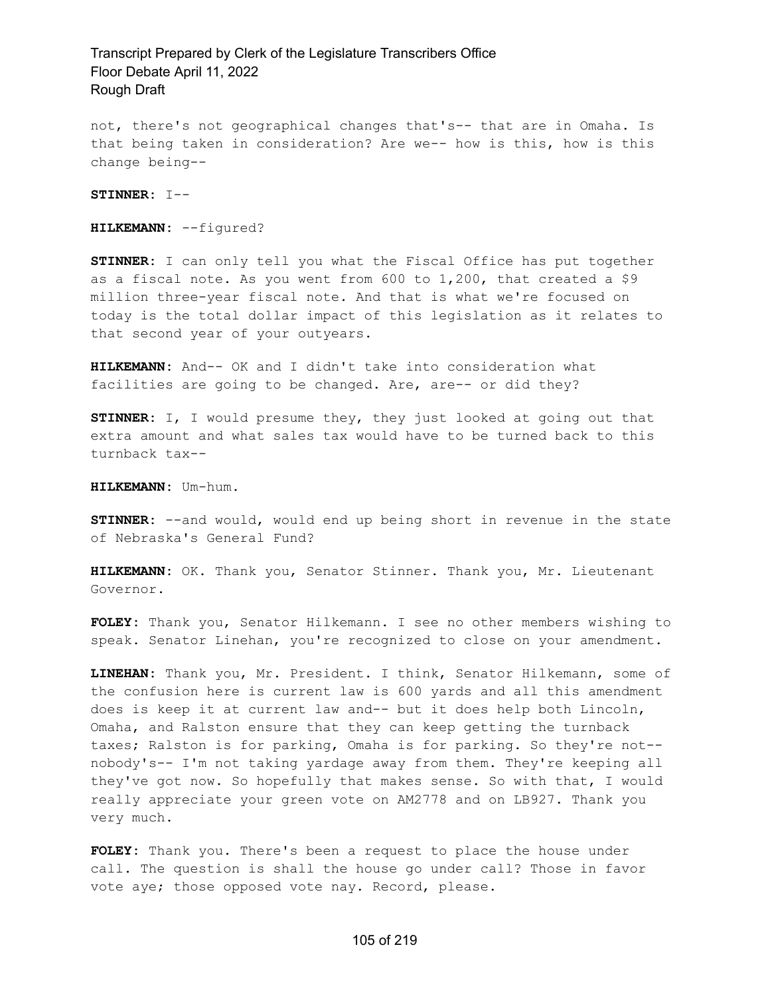not, there's not geographical changes that's-- that are in Omaha. Is that being taken in consideration? Are we-- how is this, how is this change being--

**STINNER:** I--

**HILKEMANN:** --figured?

**STINNER:** I can only tell you what the Fiscal Office has put together as a fiscal note. As you went from  $600$  to  $1,200$ , that created a \$9 million three-year fiscal note. And that is what we're focused on today is the total dollar impact of this legislation as it relates to that second year of your outyears.

**HILKEMANN:** And-- OK and I didn't take into consideration what facilities are going to be changed. Are, are-- or did they?

**STINNER:** I, I would presume they, they just looked at going out that extra amount and what sales tax would have to be turned back to this turnback tax--

**HILKEMANN:** Um-hum.

**STINNER:** --and would, would end up being short in revenue in the state of Nebraska's General Fund?

**HILKEMANN:** OK. Thank you, Senator Stinner. Thank you, Mr. Lieutenant Governor.

**FOLEY:** Thank you, Senator Hilkemann. I see no other members wishing to speak. Senator Linehan, you're recognized to close on your amendment.

**LINEHAN:** Thank you, Mr. President. I think, Senator Hilkemann, some of the confusion here is current law is 600 yards and all this amendment does is keep it at current law and-- but it does help both Lincoln, Omaha, and Ralston ensure that they can keep getting the turnback taxes; Ralston is for parking, Omaha is for parking. So they're not- nobody's-- I'm not taking yardage away from them. They're keeping all they've got now. So hopefully that makes sense. So with that, I would really appreciate your green vote on AM2778 and on LB927. Thank you very much.

**FOLEY:** Thank you. There's been a request to place the house under call. The question is shall the house go under call? Those in favor vote aye; those opposed vote nay. Record, please.

#### 105 of 219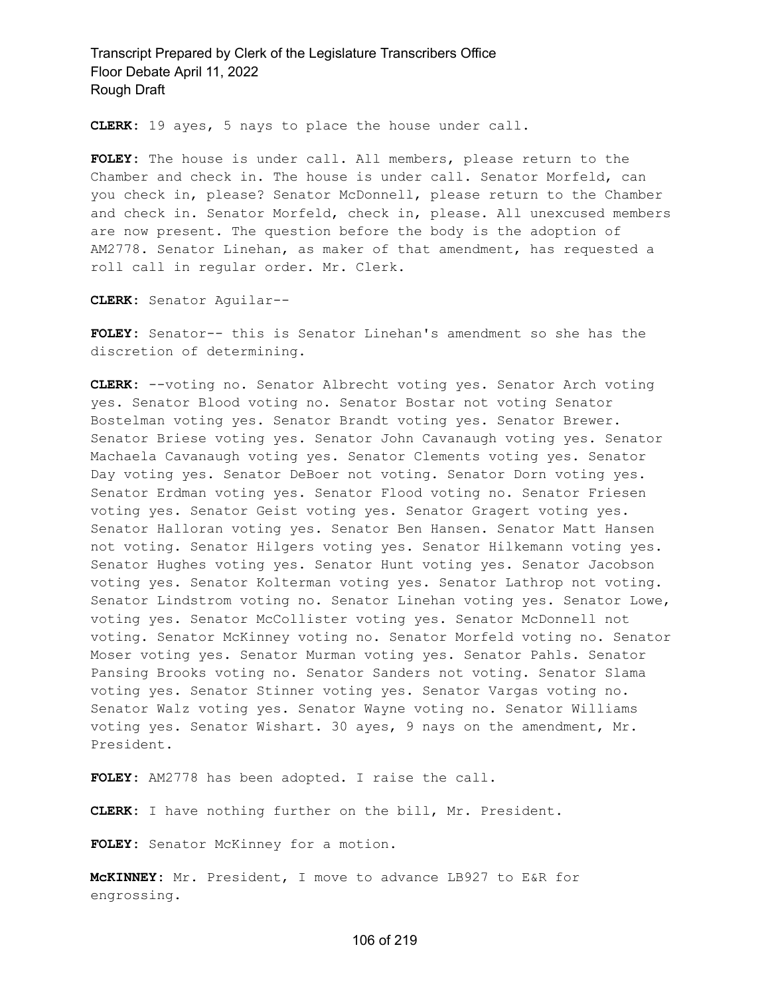**CLERK:** 19 ayes, 5 nays to place the house under call.

**FOLEY:** The house is under call. All members, please return to the Chamber and check in. The house is under call. Senator Morfeld, can you check in, please? Senator McDonnell, please return to the Chamber and check in. Senator Morfeld, check in, please. All unexcused members are now present. The question before the body is the adoption of AM2778. Senator Linehan, as maker of that amendment, has requested a roll call in regular order. Mr. Clerk.

**CLERK:** Senator Aguilar--

**FOLEY:** Senator-- this is Senator Linehan's amendment so she has the discretion of determining.

**CLERK:** --voting no. Senator Albrecht voting yes. Senator Arch voting yes. Senator Blood voting no. Senator Bostar not voting Senator Bostelman voting yes. Senator Brandt voting yes. Senator Brewer. Senator Briese voting yes. Senator John Cavanaugh voting yes. Senator Machaela Cavanaugh voting yes. Senator Clements voting yes. Senator Day voting yes. Senator DeBoer not voting. Senator Dorn voting yes. Senator Erdman voting yes. Senator Flood voting no. Senator Friesen voting yes. Senator Geist voting yes. Senator Gragert voting yes. Senator Halloran voting yes. Senator Ben Hansen. Senator Matt Hansen not voting. Senator Hilgers voting yes. Senator Hilkemann voting yes. Senator Hughes voting yes. Senator Hunt voting yes. Senator Jacobson voting yes. Senator Kolterman voting yes. Senator Lathrop not voting. Senator Lindstrom voting no. Senator Linehan voting yes. Senator Lowe, voting yes. Senator McCollister voting yes. Senator McDonnell not voting. Senator McKinney voting no. Senator Morfeld voting no. Senator Moser voting yes. Senator Murman voting yes. Senator Pahls. Senator Pansing Brooks voting no. Senator Sanders not voting. Senator Slama voting yes. Senator Stinner voting yes. Senator Vargas voting no. Senator Walz voting yes. Senator Wayne voting no. Senator Williams voting yes. Senator Wishart. 30 ayes, 9 nays on the amendment, Mr. President.

**FOLEY:** AM2778 has been adopted. I raise the call.

**CLERK:** I have nothing further on the bill, Mr. President.

**FOLEY:** Senator McKinney for a motion.

**McKINNEY:** Mr. President, I move to advance LB927 to E&R for engrossing.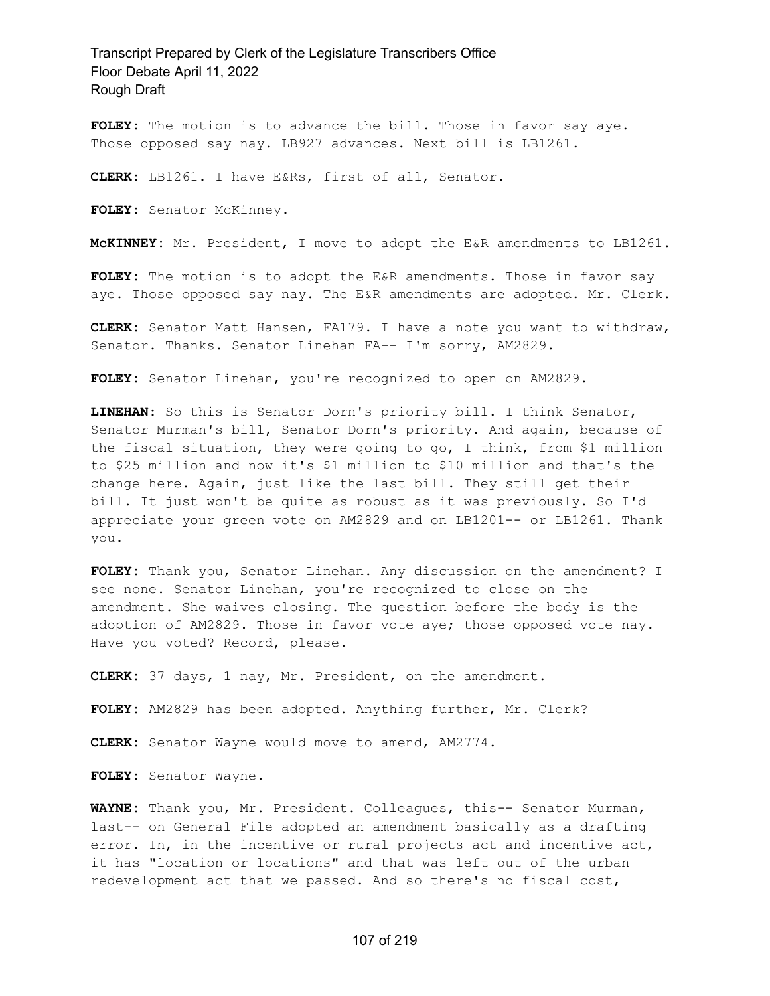FOLEY: The motion is to advance the bill. Those in favor say aye. Those opposed say nay. LB927 advances. Next bill is LB1261.

**CLERK:** LB1261. I have E&Rs, first of all, Senator.

**FOLEY:** Senator McKinney.

**McKINNEY:** Mr. President, I move to adopt the E&R amendments to LB1261.

**FOLEY:** The motion is to adopt the E&R amendments. Those in favor say aye. Those opposed say nay. The E&R amendments are adopted. Mr. Clerk.

**CLERK:** Senator Matt Hansen, FA179. I have a note you want to withdraw, Senator. Thanks. Senator Linehan FA-- I'm sorry, AM2829.

**FOLEY:** Senator Linehan, you're recognized to open on AM2829.

**LINEHAN:** So this is Senator Dorn's priority bill. I think Senator, Senator Murman's bill, Senator Dorn's priority. And again, because of the fiscal situation, they were going to go, I think, from \$1 million to \$25 million and now it's \$1 million to \$10 million and that's the change here. Again, just like the last bill. They still get their bill. It just won't be quite as robust as it was previously. So I'd appreciate your green vote on AM2829 and on LB1201-- or LB1261. Thank you.

**FOLEY:** Thank you, Senator Linehan. Any discussion on the amendment? I see none. Senator Linehan, you're recognized to close on the amendment. She waives closing. The question before the body is the adoption of AM2829. Those in favor vote aye; those opposed vote nay. Have you voted? Record, please.

**CLERK:** 37 days, 1 nay, Mr. President, on the amendment.

**FOLEY:** AM2829 has been adopted. Anything further, Mr. Clerk?

**CLERK:** Senator Wayne would move to amend, AM2774.

**FOLEY:** Senator Wayne.

**WAYNE:** Thank you, Mr. President. Colleagues, this-- Senator Murman, last-- on General File adopted an amendment basically as a drafting error. In, in the incentive or rural projects act and incentive act, it has "location or locations" and that was left out of the urban redevelopment act that we passed. And so there's no fiscal cost,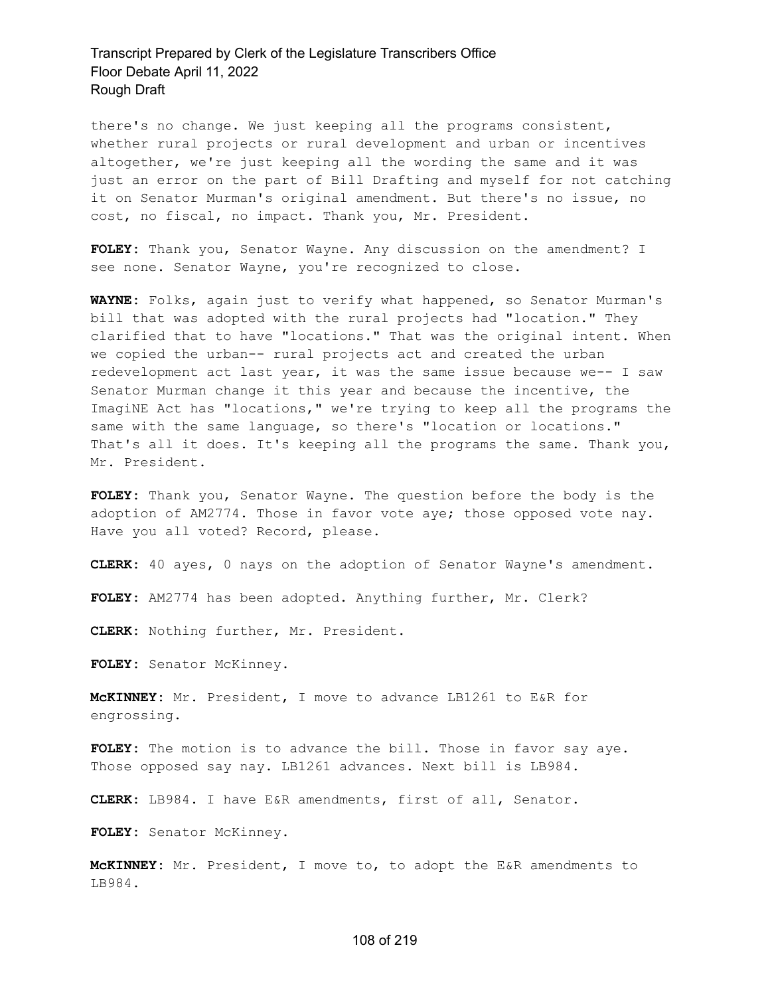there's no change. We just keeping all the programs consistent, whether rural projects or rural development and urban or incentives altogether, we're just keeping all the wording the same and it was just an error on the part of Bill Drafting and myself for not catching it on Senator Murman's original amendment. But there's no issue, no cost, no fiscal, no impact. Thank you, Mr. President.

**FOLEY:** Thank you, Senator Wayne. Any discussion on the amendment? I see none. Senator Wayne, you're recognized to close.

**WAYNE:** Folks, again just to verify what happened, so Senator Murman's bill that was adopted with the rural projects had "location." They clarified that to have "locations." That was the original intent. When we copied the urban-- rural projects act and created the urban redevelopment act last year, it was the same issue because we-- I saw Senator Murman change it this year and because the incentive, the ImagiNE Act has "locations," we're trying to keep all the programs the same with the same language, so there's "location or locations." That's all it does. It's keeping all the programs the same. Thank you, Mr. President.

**FOLEY:** Thank you, Senator Wayne. The question before the body is the adoption of AM2774. Those in favor vote aye; those opposed vote nay. Have you all voted? Record, please.

**CLERK:** 40 ayes, 0 nays on the adoption of Senator Wayne's amendment.

**FOLEY:** AM2774 has been adopted. Anything further, Mr. Clerk?

**CLERK:** Nothing further, Mr. President.

FOLEY: Senator McKinney.

**McKINNEY:** Mr. President, I move to advance LB1261 to E&R for engrossing.

**FOLEY:** The motion is to advance the bill. Those in favor say aye. Those opposed say nay. LB1261 advances. Next bill is LB984.

**CLERK:** LB984. I have E&R amendments, first of all, Senator.

**FOLEY:** Senator McKinney.

**McKINNEY:** Mr. President, I move to, to adopt the E&R amendments to LB984.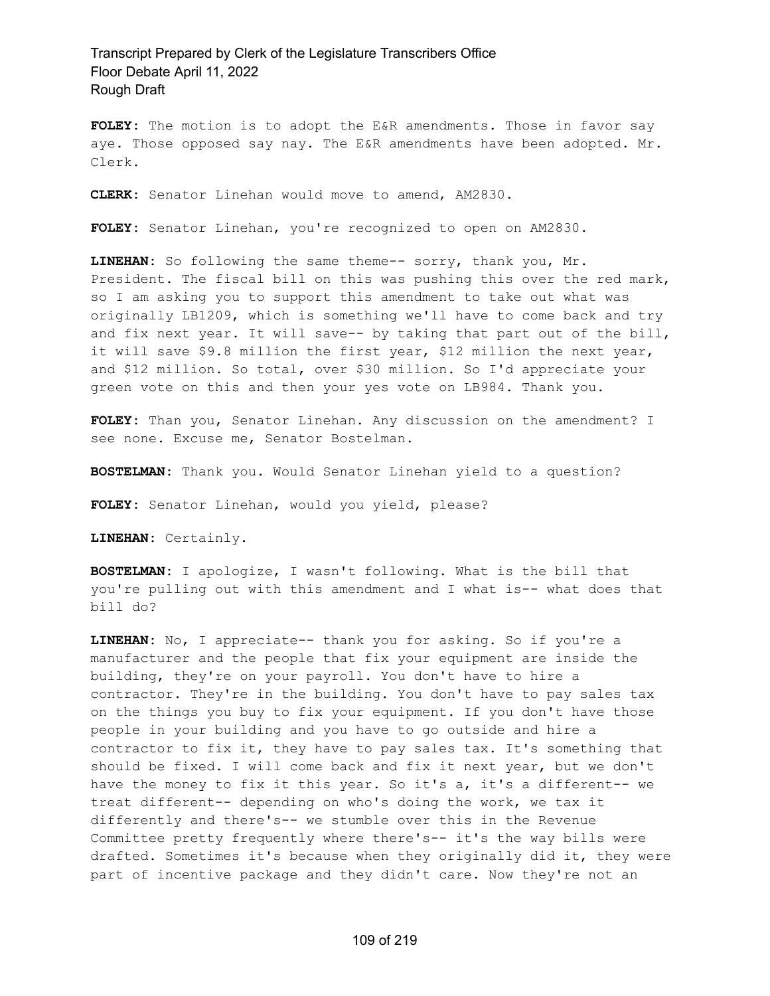**FOLEY:** The motion is to adopt the E&R amendments. Those in favor say aye. Those opposed say nay. The E&R amendments have been adopted. Mr. Clerk.

**CLERK:** Senator Linehan would move to amend, AM2830.

**FOLEY:** Senator Linehan, you're recognized to open on AM2830.

**LINEHAN:** So following the same theme-- sorry, thank you, Mr. President. The fiscal bill on this was pushing this over the red mark, so I am asking you to support this amendment to take out what was originally LB1209, which is something we'll have to come back and try and fix next year. It will save-- by taking that part out of the bill, it will save \$9.8 million the first year, \$12 million the next year, and \$12 million. So total, over \$30 million. So I'd appreciate your green vote on this and then your yes vote on LB984. Thank you.

**FOLEY:** Than you, Senator Linehan. Any discussion on the amendment? I see none. Excuse me, Senator Bostelman.

**BOSTELMAN:** Thank you. Would Senator Linehan yield to a question?

**FOLEY:** Senator Linehan, would you yield, please?

**LINEHAN:** Certainly.

**BOSTELMAN:** I apologize, I wasn't following. What is the bill that you're pulling out with this amendment and I what is-- what does that bill do?

**LINEHAN:** No, I appreciate-- thank you for asking. So if you're a manufacturer and the people that fix your equipment are inside the building, they're on your payroll. You don't have to hire a contractor. They're in the building. You don't have to pay sales tax on the things you buy to fix your equipment. If you don't have those people in your building and you have to go outside and hire a contractor to fix it, they have to pay sales tax. It's something that should be fixed. I will come back and fix it next year, but we don't have the money to fix it this year. So it's a, it's a different-- we treat different-- depending on who's doing the work, we tax it differently and there's-- we stumble over this in the Revenue Committee pretty frequently where there's-- it's the way bills were drafted. Sometimes it's because when they originally did it, they were part of incentive package and they didn't care. Now they're not an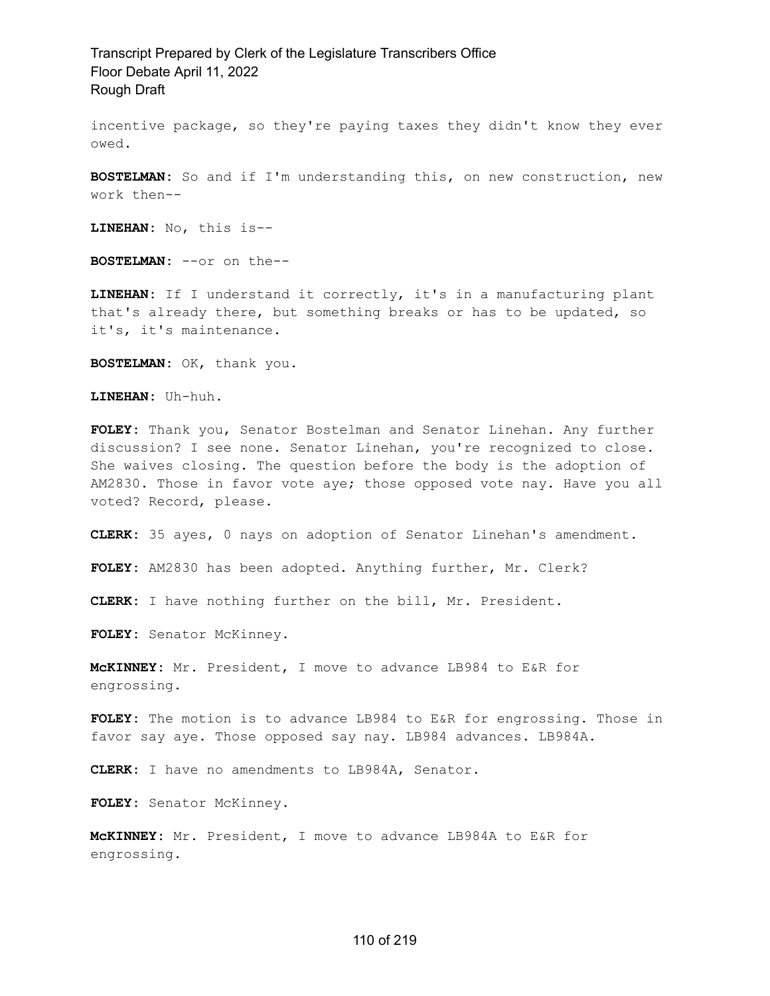incentive package, so they're paying taxes they didn't know they ever owed.

**BOSTELMAN:** So and if I'm understanding this, on new construction, new work then--

**LINEHAN:** No, this is--

**BOSTELMAN:** --or on the--

**LINEHAN:** If I understand it correctly, it's in a manufacturing plant that's already there, but something breaks or has to be updated, so it's, it's maintenance.

**BOSTELMAN:** OK, thank you.

**LINEHAN:** Uh-huh.

**FOLEY:** Thank you, Senator Bostelman and Senator Linehan. Any further discussion? I see none. Senator Linehan, you're recognized to close. She waives closing. The question before the body is the adoption of AM2830. Those in favor vote aye; those opposed vote nay. Have you all voted? Record, please.

**CLERK:** 35 ayes, 0 nays on adoption of Senator Linehan's amendment.

**FOLEY:** AM2830 has been adopted. Anything further, Mr. Clerk?

**CLERK:** I have nothing further on the bill, Mr. President.

**FOLEY:** Senator McKinney.

**McKINNEY:** Mr. President, I move to advance LB984 to E&R for engrossing.

**FOLEY:** The motion is to advance LB984 to E&R for engrossing. Those in favor say aye. Those opposed say nay. LB984 advances. LB984A.

**CLERK:** I have no amendments to LB984A, Senator.

**FOLEY:** Senator McKinney.

**McKINNEY:** Mr. President, I move to advance LB984A to E&R for engrossing.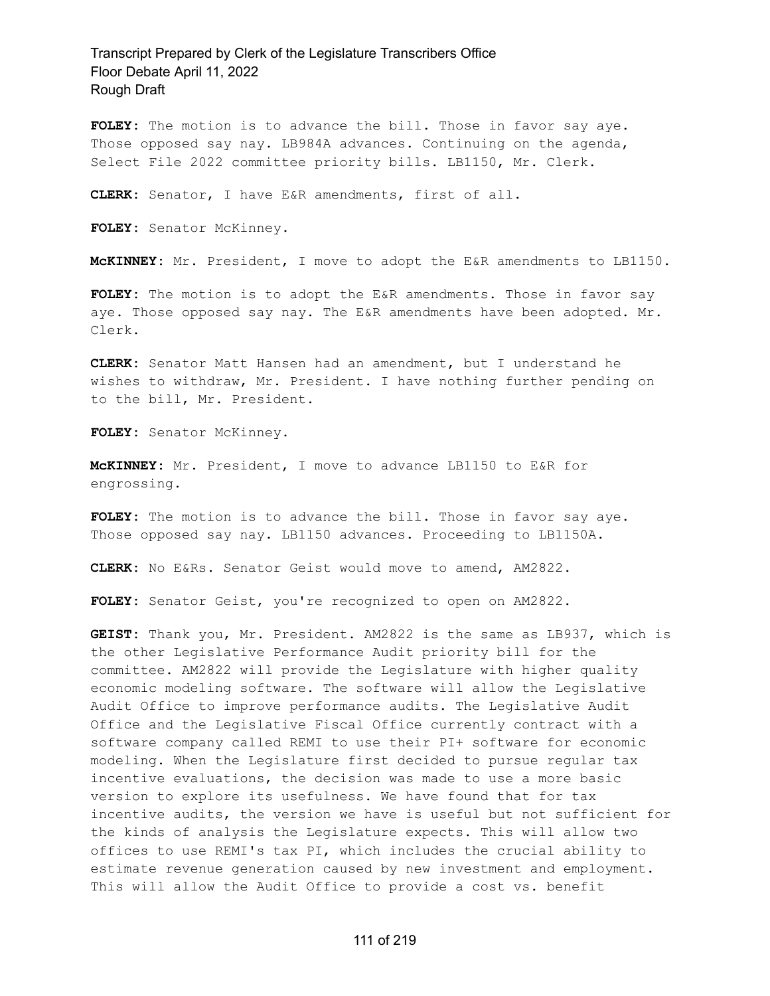**FOLEY:** The motion is to advance the bill. Those in favor say aye. Those opposed say nay. LB984A advances. Continuing on the agenda, Select File 2022 committee priority bills. LB1150, Mr. Clerk.

**CLERK:** Senator, I have E&R amendments, first of all.

**FOLEY:** Senator McKinney.

**McKINNEY:** Mr. President, I move to adopt the E&R amendments to LB1150.

**FOLEY:** The motion is to adopt the E&R amendments. Those in favor say aye. Those opposed say nay. The E&R amendments have been adopted. Mr. Clerk.

**CLERK:** Senator Matt Hansen had an amendment, but I understand he wishes to withdraw, Mr. President. I have nothing further pending on to the bill, Mr. President.

**FOLEY:** Senator McKinney.

**McKINNEY:** Mr. President, I move to advance LB1150 to E&R for engrossing.

FOLEY: The motion is to advance the bill. Those in favor say aye. Those opposed say nay. LB1150 advances. Proceeding to LB1150A.

**CLERK:** No E&Rs. Senator Geist would move to amend, AM2822.

**FOLEY:** Senator Geist, you're recognized to open on AM2822.

**GEIST:** Thank you, Mr. President. AM2822 is the same as LB937, which is the other Legislative Performance Audit priority bill for the committee. AM2822 will provide the Legislature with higher quality economic modeling software. The software will allow the Legislative Audit Office to improve performance audits. The Legislative Audit Office and the Legislative Fiscal Office currently contract with a software company called REMI to use their PI+ software for economic modeling. When the Legislature first decided to pursue regular tax incentive evaluations, the decision was made to use a more basic version to explore its usefulness. We have found that for tax incentive audits, the version we have is useful but not sufficient for the kinds of analysis the Legislature expects. This will allow two offices to use REMI's tax PI, which includes the crucial ability to estimate revenue generation caused by new investment and employment. This will allow the Audit Office to provide a cost vs. benefit

111 of 219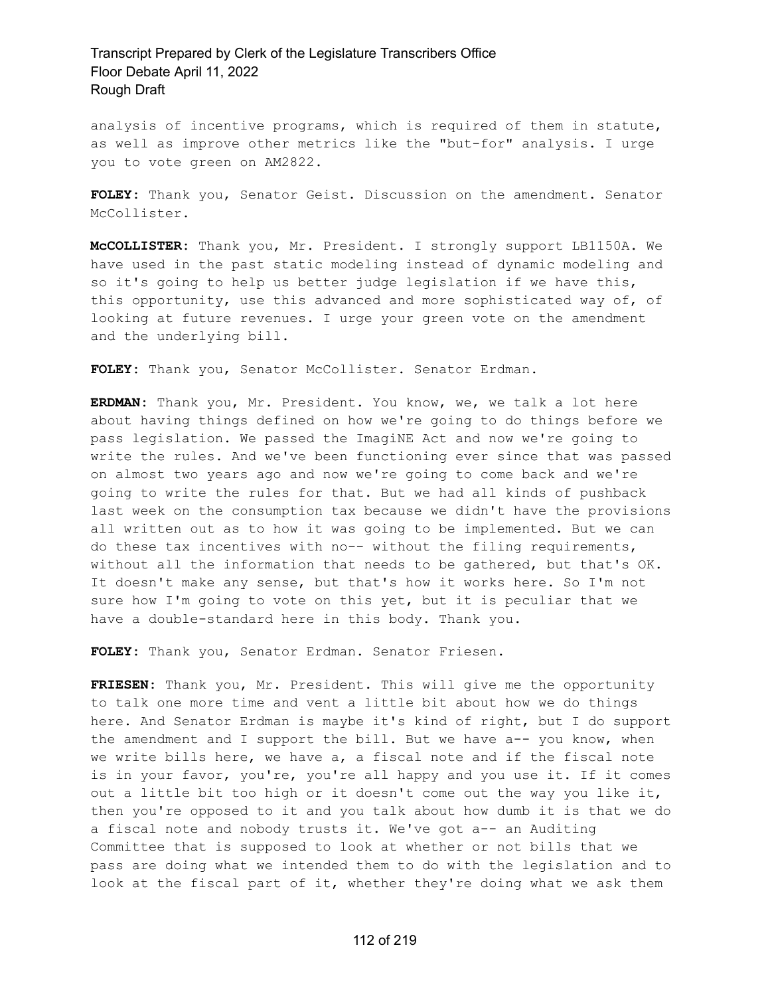analysis of incentive programs, which is required of them in statute, as well as improve other metrics like the "but-for" analysis. I urge you to vote green on AM2822.

**FOLEY:** Thank you, Senator Geist. Discussion on the amendment. Senator McCollister.

**McCOLLISTER:** Thank you, Mr. President. I strongly support LB1150A. We have used in the past static modeling instead of dynamic modeling and so it's going to help us better judge legislation if we have this, this opportunity, use this advanced and more sophisticated way of, of looking at future revenues. I urge your green vote on the amendment and the underlying bill.

**FOLEY:** Thank you, Senator McCollister. Senator Erdman.

**ERDMAN:** Thank you, Mr. President. You know, we, we talk a lot here about having things defined on how we're going to do things before we pass legislation. We passed the ImagiNE Act and now we're going to write the rules. And we've been functioning ever since that was passed on almost two years ago and now we're going to come back and we're going to write the rules for that. But we had all kinds of pushback last week on the consumption tax because we didn't have the provisions all written out as to how it was going to be implemented. But we can do these tax incentives with no-- without the filing requirements, without all the information that needs to be gathered, but that's OK. It doesn't make any sense, but that's how it works here. So I'm not sure how I'm going to vote on this yet, but it is peculiar that we have a double-standard here in this body. Thank you.

**FOLEY:** Thank you, Senator Erdman. Senator Friesen.

**FRIESEN:** Thank you, Mr. President. This will give me the opportunity to talk one more time and vent a little bit about how we do things here. And Senator Erdman is maybe it's kind of right, but I do support the amendment and I support the bill. But we have a-- you know, when we write bills here, we have a, a fiscal note and if the fiscal note is in your favor, you're, you're all happy and you use it. If it comes out a little bit too high or it doesn't come out the way you like it, then you're opposed to it and you talk about how dumb it is that we do a fiscal note and nobody trusts it. We've got a-- an Auditing Committee that is supposed to look at whether or not bills that we pass are doing what we intended them to do with the legislation and to look at the fiscal part of it, whether they're doing what we ask them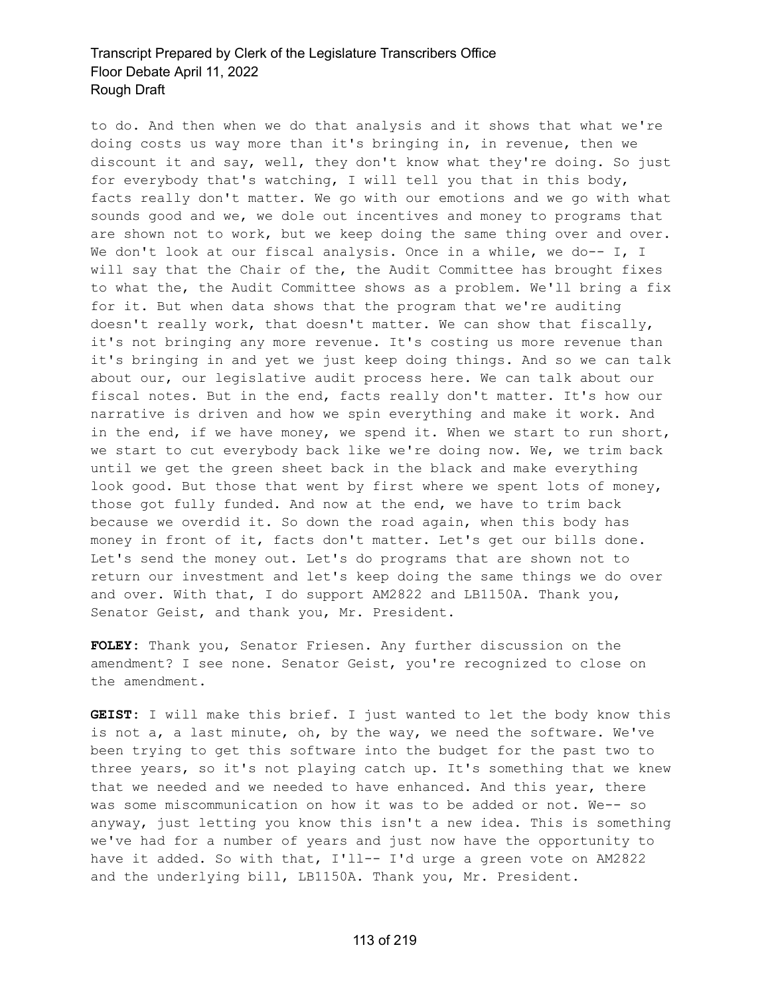to do. And then when we do that analysis and it shows that what we're doing costs us way more than it's bringing in, in revenue, then we discount it and say, well, they don't know what they're doing. So just for everybody that's watching, I will tell you that in this body, facts really don't matter. We go with our emotions and we go with what sounds good and we, we dole out incentives and money to programs that are shown not to work, but we keep doing the same thing over and over. We don't look at our fiscal analysis. Once in a while, we do-- I, I will say that the Chair of the, the Audit Committee has brought fixes to what the, the Audit Committee shows as a problem. We'll bring a fix for it. But when data shows that the program that we're auditing doesn't really work, that doesn't matter. We can show that fiscally, it's not bringing any more revenue. It's costing us more revenue than it's bringing in and yet we just keep doing things. And so we can talk about our, our legislative audit process here. We can talk about our fiscal notes. But in the end, facts really don't matter. It's how our narrative is driven and how we spin everything and make it work. And in the end, if we have money, we spend it. When we start to run short, we start to cut everybody back like we're doing now. We, we trim back until we get the green sheet back in the black and make everything look good. But those that went by first where we spent lots of money, those got fully funded. And now at the end, we have to trim back because we overdid it. So down the road again, when this body has money in front of it, facts don't matter. Let's get our bills done. Let's send the money out. Let's do programs that are shown not to return our investment and let's keep doing the same things we do over and over. With that, I do support AM2822 and LB1150A. Thank you, Senator Geist, and thank you, Mr. President.

**FOLEY:** Thank you, Senator Friesen. Any further discussion on the amendment? I see none. Senator Geist, you're recognized to close on the amendment.

**GEIST:** I will make this brief. I just wanted to let the body know this is not a, a last minute, oh, by the way, we need the software. We've been trying to get this software into the budget for the past two to three years, so it's not playing catch up. It's something that we knew that we needed and we needed to have enhanced. And this year, there was some miscommunication on how it was to be added or not. We-- so anyway, just letting you know this isn't a new idea. This is something we've had for a number of years and just now have the opportunity to have it added. So with that, I'll-- I'd urge a green vote on AM2822 and the underlying bill, LB1150A. Thank you, Mr. President.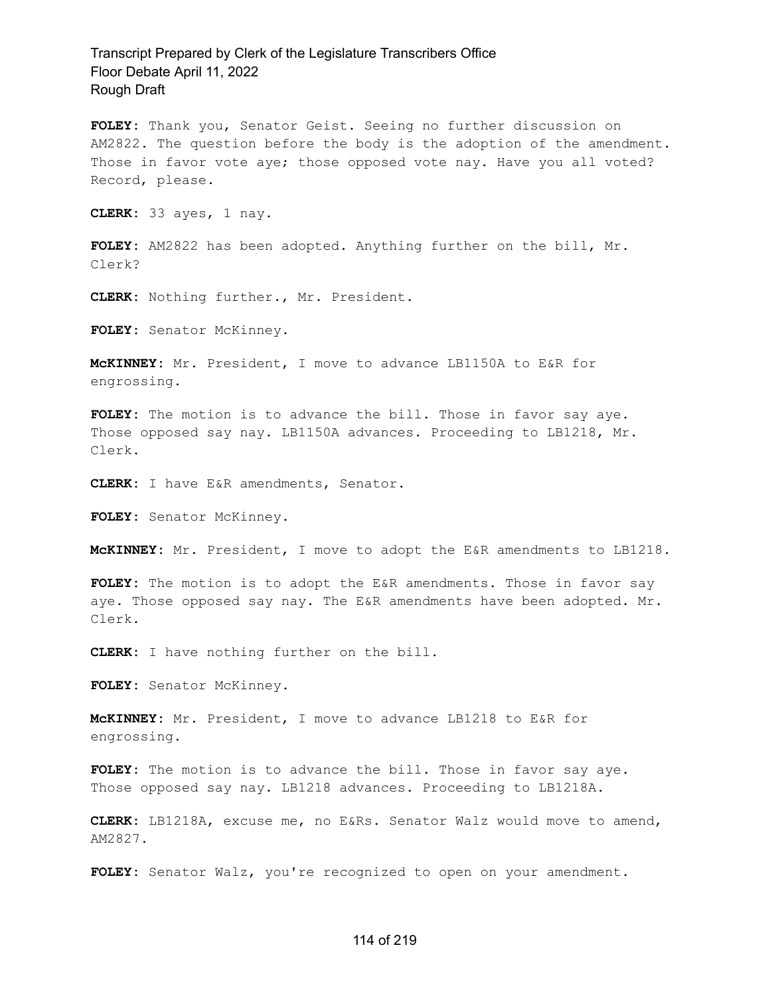**FOLEY:** Thank you, Senator Geist. Seeing no further discussion on AM2822. The question before the body is the adoption of the amendment. Those in favor vote aye; those opposed vote nay. Have you all voted? Record, please.

**CLERK:** 33 ayes, 1 nay.

**FOLEY:** AM2822 has been adopted. Anything further on the bill, Mr. Clerk?

**CLERK:** Nothing further., Mr. President.

**FOLEY:** Senator McKinney.

**McKINNEY:** Mr. President, I move to advance LB1150A to E&R for engrossing.

**FOLEY:** The motion is to advance the bill. Those in favor say aye. Those opposed say nay. LB1150A advances. Proceeding to LB1218, Mr. Clerk.

**CLERK:** I have E&R amendments, Senator.

**FOLEY:** Senator McKinney.

**McKINNEY:** Mr. President, I move to adopt the E&R amendments to LB1218.

**FOLEY:** The motion is to adopt the E&R amendments. Those in favor say aye. Those opposed say nay. The E&R amendments have been adopted. Mr. Clerk.

**CLERK:** I have nothing further on the bill.

**FOLEY:** Senator McKinney.

**McKINNEY:** Mr. President, I move to advance LB1218 to E&R for engrossing.

**FOLEY:** The motion is to advance the bill. Those in favor say aye. Those opposed say nay. LB1218 advances. Proceeding to LB1218A.

**CLERK:** LB1218A, excuse me, no E&Rs. Senator Walz would move to amend, AM2827.

**FOLEY:** Senator Walz, you're recognized to open on your amendment.

#### 114 of 219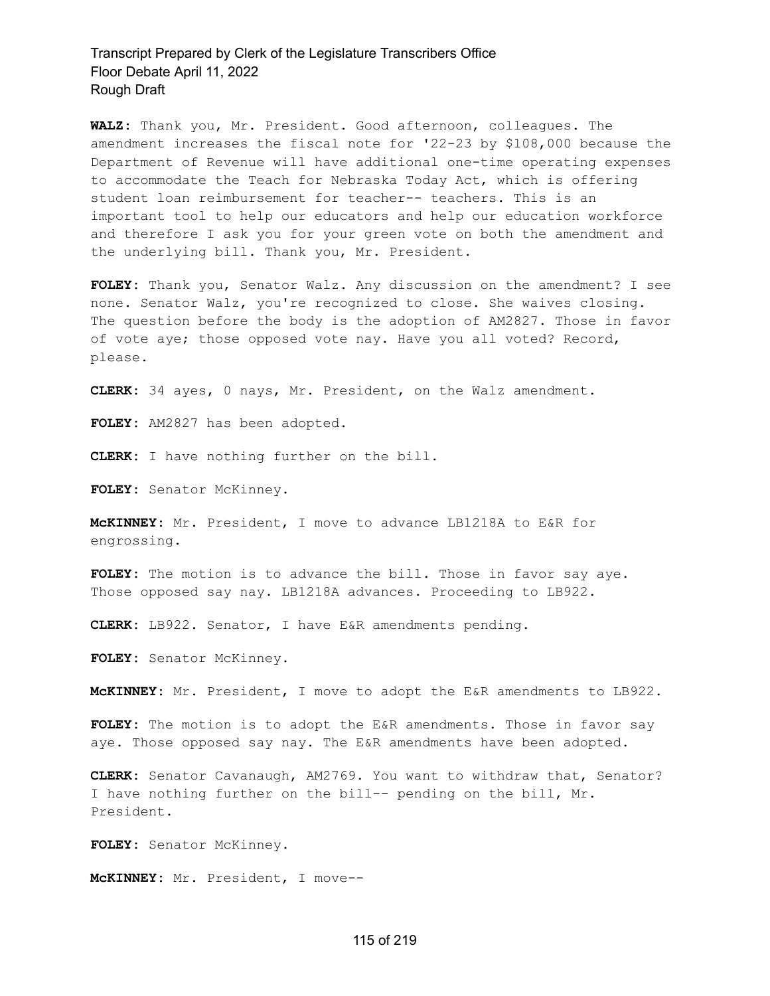**WALZ:** Thank you, Mr. President. Good afternoon, colleagues. The amendment increases the fiscal note for '22-23 by \$108,000 because the Department of Revenue will have additional one-time operating expenses to accommodate the Teach for Nebraska Today Act, which is offering student loan reimbursement for teacher-- teachers. This is an important tool to help our educators and help our education workforce and therefore I ask you for your green vote on both the amendment and the underlying bill. Thank you, Mr. President.

**FOLEY:** Thank you, Senator Walz. Any discussion on the amendment? I see none. Senator Walz, you're recognized to close. She waives closing. The question before the body is the adoption of AM2827. Those in favor of vote aye; those opposed vote nay. Have you all voted? Record, please.

**CLERK:** 34 ayes, 0 nays, Mr. President, on the Walz amendment.

**FOLEY:** AM2827 has been adopted.

**CLERK:** I have nothing further on the bill.

**FOLEY:** Senator McKinney.

**McKINNEY:** Mr. President, I move to advance LB1218A to E&R for engrossing.

FOLEY: The motion is to advance the bill. Those in favor say aye. Those opposed say nay. LB1218A advances. Proceeding to LB922.

**CLERK:** LB922. Senator, I have E&R amendments pending.

**FOLEY:** Senator McKinney.

**McKINNEY:** Mr. President, I move to adopt the E&R amendments to LB922.

**FOLEY:** The motion is to adopt the E&R amendments. Those in favor say aye. Those opposed say nay. The E&R amendments have been adopted.

**CLERK:** Senator Cavanaugh, AM2769. You want to withdraw that, Senator? I have nothing further on the bill-- pending on the bill, Mr. President.

**FOLEY:** Senator McKinney.

**McKINNEY:** Mr. President, I move--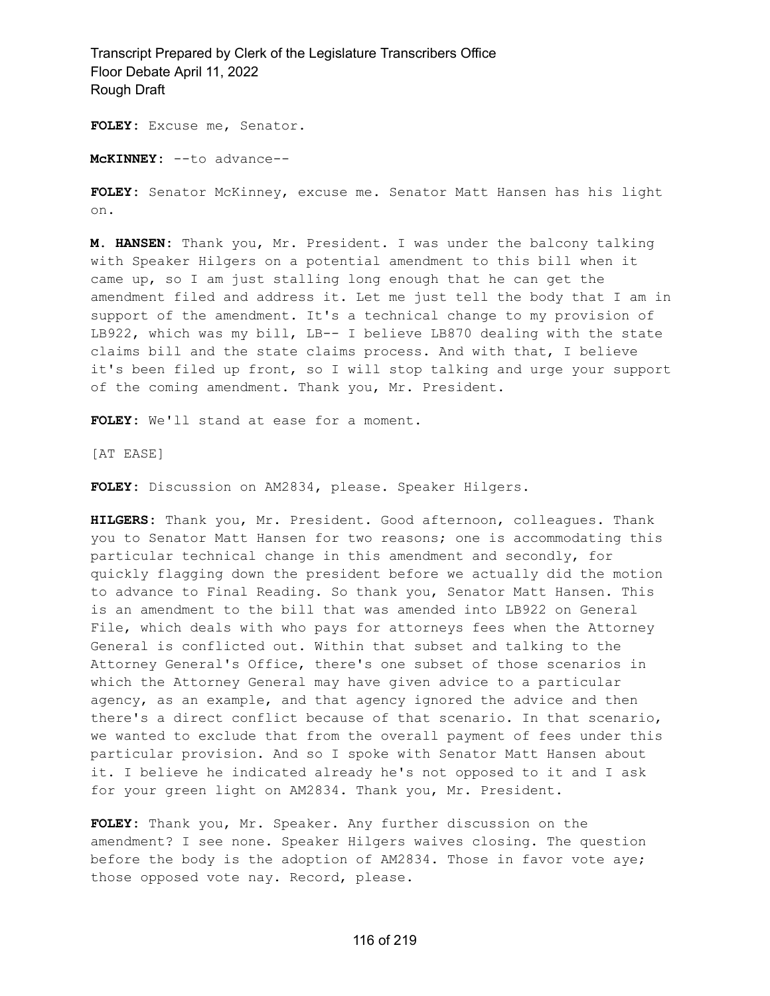**FOLEY:** Excuse me, Senator.

**McKINNEY:** --to advance--

**FOLEY:** Senator McKinney, excuse me. Senator Matt Hansen has his light on.

**M. HANSEN:** Thank you, Mr. President. I was under the balcony talking with Speaker Hilgers on a potential amendment to this bill when it came up, so I am just stalling long enough that he can get the amendment filed and address it. Let me just tell the body that I am in support of the amendment. It's a technical change to my provision of LB922, which was my bill, LB-- I believe LB870 dealing with the state claims bill and the state claims process. And with that, I believe it's been filed up front, so I will stop talking and urge your support of the coming amendment. Thank you, Mr. President.

**FOLEY:** We'll stand at ease for a moment.

[AT EASE]

**FOLEY:** Discussion on AM2834, please. Speaker Hilgers.

**HILGERS:** Thank you, Mr. President. Good afternoon, colleagues. Thank you to Senator Matt Hansen for two reasons; one is accommodating this particular technical change in this amendment and secondly, for quickly flagging down the president before we actually did the motion to advance to Final Reading. So thank you, Senator Matt Hansen. This is an amendment to the bill that was amended into LB922 on General File, which deals with who pays for attorneys fees when the Attorney General is conflicted out. Within that subset and talking to the Attorney General's Office, there's one subset of those scenarios in which the Attorney General may have given advice to a particular agency, as an example, and that agency ignored the advice and then there's a direct conflict because of that scenario. In that scenario, we wanted to exclude that from the overall payment of fees under this particular provision. And so I spoke with Senator Matt Hansen about it. I believe he indicated already he's not opposed to it and I ask for your green light on AM2834. Thank you, Mr. President.

**FOLEY:** Thank you, Mr. Speaker. Any further discussion on the amendment? I see none. Speaker Hilgers waives closing. The question before the body is the adoption of AM2834. Those in favor vote aye; those opposed vote nay. Record, please.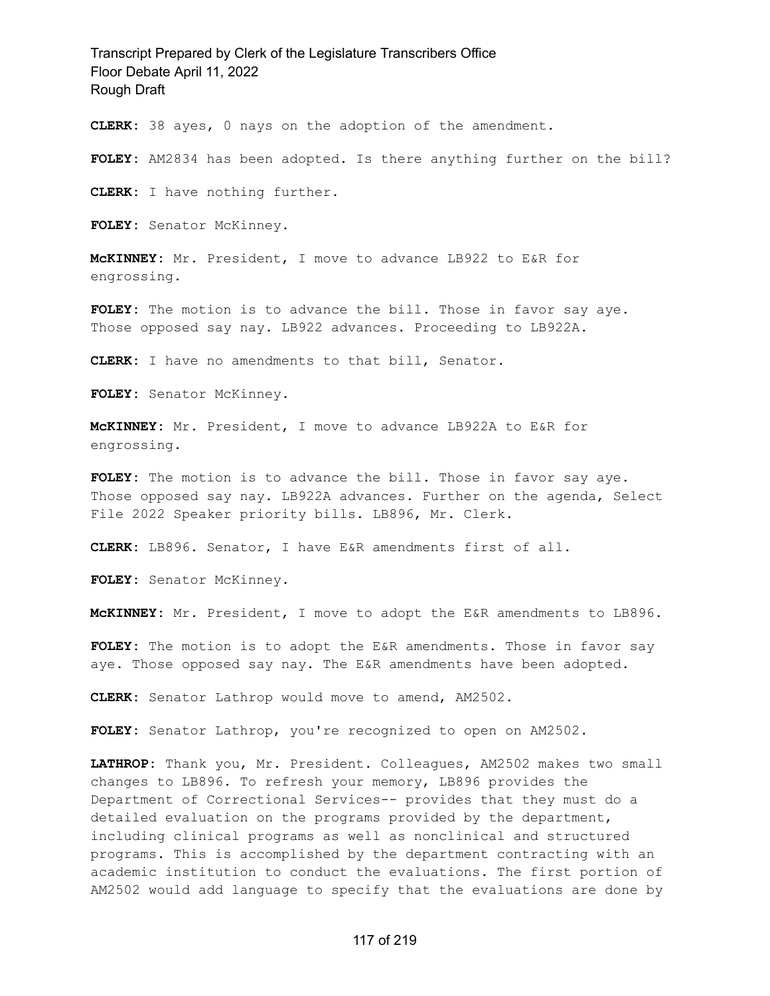**CLERK:** 38 ayes, 0 nays on the adoption of the amendment.

**FOLEY:** AM2834 has been adopted. Is there anything further on the bill?

**CLERK:** I have nothing further.

**FOLEY:** Senator McKinney.

**McKINNEY:** Mr. President, I move to advance LB922 to E&R for engrossing.

FOLEY: The motion is to advance the bill. Those in favor say aye. Those opposed say nay. LB922 advances. Proceeding to LB922A.

**CLERK:** I have no amendments to that bill, Senator.

**FOLEY:** Senator McKinney.

**McKINNEY:** Mr. President, I move to advance LB922A to E&R for engrossing.

FOLEY: The motion is to advance the bill. Those in favor say aye. Those opposed say nay. LB922A advances. Further on the agenda, Select File 2022 Speaker priority bills. LB896, Mr. Clerk.

**CLERK:** LB896. Senator, I have E&R amendments first of all.

**FOLEY:** Senator McKinney.

**McKINNEY:** Mr. President, I move to adopt the E&R amendments to LB896.

**FOLEY:** The motion is to adopt the E&R amendments. Those in favor say aye. Those opposed say nay. The E&R amendments have been adopted.

**CLERK:** Senator Lathrop would move to amend, AM2502.

**FOLEY:** Senator Lathrop, you're recognized to open on AM2502.

**LATHROP:** Thank you, Mr. President. Colleagues, AM2502 makes two small changes to LB896. To refresh your memory, LB896 provides the Department of Correctional Services-- provides that they must do a detailed evaluation on the programs provided by the department, including clinical programs as well as nonclinical and structured programs. This is accomplished by the department contracting with an academic institution to conduct the evaluations. The first portion of AM2502 would add language to specify that the evaluations are done by

#### 117 of 219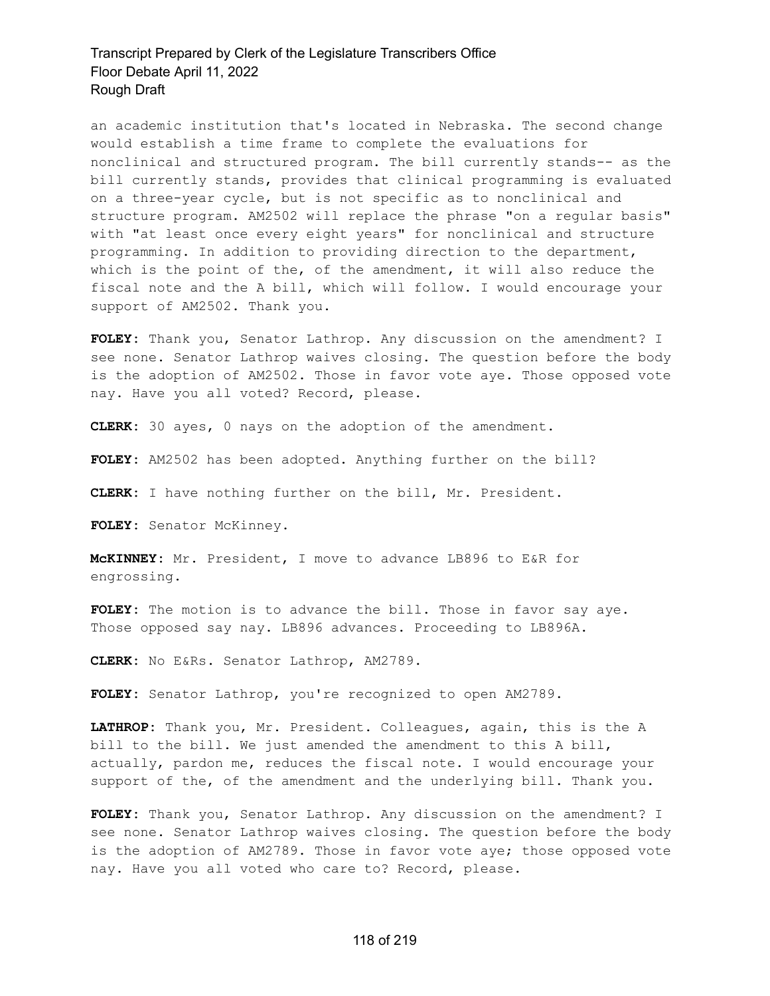an academic institution that's located in Nebraska. The second change would establish a time frame to complete the evaluations for nonclinical and structured program. The bill currently stands-- as the bill currently stands, provides that clinical programming is evaluated on a three-year cycle, but is not specific as to nonclinical and structure program. AM2502 will replace the phrase "on a regular basis" with "at least once every eight years" for nonclinical and structure programming. In addition to providing direction to the department, which is the point of the, of the amendment, it will also reduce the fiscal note and the A bill, which will follow. I would encourage your support of AM2502. Thank you.

**FOLEY:** Thank you, Senator Lathrop. Any discussion on the amendment? I see none. Senator Lathrop waives closing. The question before the body is the adoption of AM2502. Those in favor vote aye. Those opposed vote nay. Have you all voted? Record, please.

**CLERK:** 30 ayes, 0 nays on the adoption of the amendment.

**FOLEY:** AM2502 has been adopted. Anything further on the bill?

**CLERK:** I have nothing further on the bill, Mr. President.

**FOLEY:** Senator McKinney.

**McKINNEY:** Mr. President, I move to advance LB896 to E&R for engrossing.

**FOLEY:** The motion is to advance the bill. Those in favor say aye. Those opposed say nay. LB896 advances. Proceeding to LB896A.

**CLERK:** No E&Rs. Senator Lathrop, AM2789.

**FOLEY:** Senator Lathrop, you're recognized to open AM2789.

**LATHROP:** Thank you, Mr. President. Colleagues, again, this is the A bill to the bill. We just amended the amendment to this A bill, actually, pardon me, reduces the fiscal note. I would encourage your support of the, of the amendment and the underlying bill. Thank you.

**FOLEY:** Thank you, Senator Lathrop. Any discussion on the amendment? I see none. Senator Lathrop waives closing. The question before the body is the adoption of AM2789. Those in favor vote aye; those opposed vote nay. Have you all voted who care to? Record, please.

#### 118 of 219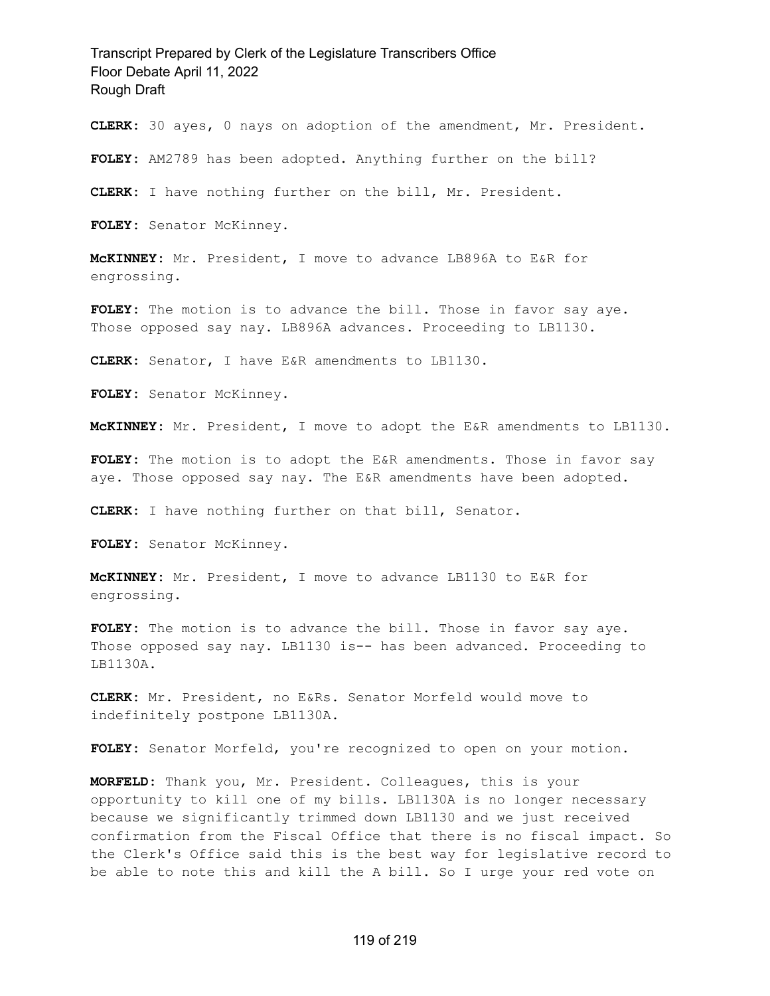**CLERK:** 30 ayes, 0 nays on adoption of the amendment, Mr. President.

**FOLEY:** AM2789 has been adopted. Anything further on the bill?

**CLERK:** I have nothing further on the bill, Mr. President.

**FOLEY:** Senator McKinney.

**McKINNEY:** Mr. President, I move to advance LB896A to E&R for engrossing.

FOLEY: The motion is to advance the bill. Those in favor say aye. Those opposed say nay. LB896A advances. Proceeding to LB1130.

**CLERK:** Senator, I have E&R amendments to LB1130.

**FOLEY:** Senator McKinney.

**McKINNEY:** Mr. President, I move to adopt the E&R amendments to LB1130.

**FOLEY:** The motion is to adopt the E&R amendments. Those in favor say aye. Those opposed say nay. The E&R amendments have been adopted.

**CLERK:** I have nothing further on that bill, Senator.

**FOLEY:** Senator McKinney.

**McKINNEY:** Mr. President, I move to advance LB1130 to E&R for engrossing.

**FOLEY:** The motion is to advance the bill. Those in favor say aye. Those opposed say nay. LB1130 is-- has been advanced. Proceeding to LB1130A.

**CLERK:** Mr. President, no E&Rs. Senator Morfeld would move to indefinitely postpone LB1130A.

**FOLEY:** Senator Morfeld, you're recognized to open on your motion.

**MORFELD:** Thank you, Mr. President. Colleagues, this is your opportunity to kill one of my bills. LB1130A is no longer necessary because we significantly trimmed down LB1130 and we just received confirmation from the Fiscal Office that there is no fiscal impact. So the Clerk's Office said this is the best way for legislative record to be able to note this and kill the A bill. So I urge your red vote on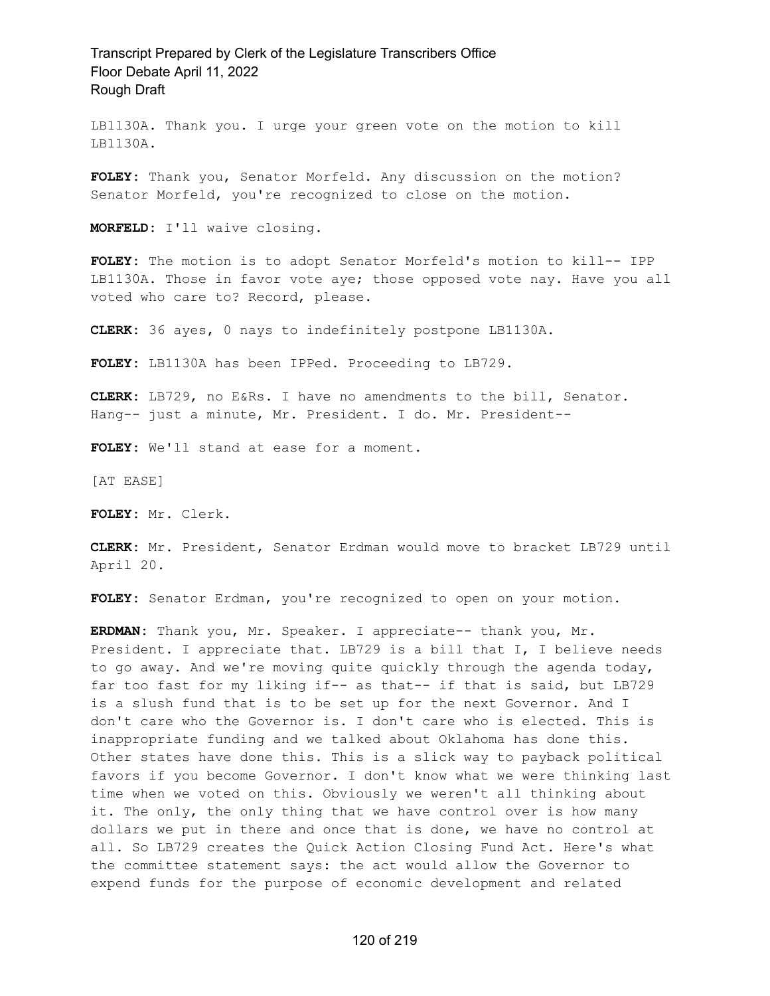LB1130A. Thank you. I urge your green vote on the motion to kill LB1130A.

**FOLEY:** Thank you, Senator Morfeld. Any discussion on the motion? Senator Morfeld, you're recognized to close on the motion.

**MORFELD:** I'll waive closing.

**FOLEY:** The motion is to adopt Senator Morfeld's motion to kill-- IPP LB1130A. Those in favor vote aye; those opposed vote nay. Have you all voted who care to? Record, please.

**CLERK:** 36 ayes, 0 nays to indefinitely postpone LB1130A.

**FOLEY:** LB1130A has been IPPed. Proceeding to LB729.

**CLERK:** LB729, no E&Rs. I have no amendments to the bill, Senator. Hang-- just a minute, Mr. President. I do. Mr. President--

**FOLEY:** We'll stand at ease for a moment.

[AT EASE]

**FOLEY:** Mr. Clerk.

**CLERK:** Mr. President, Senator Erdman would move to bracket LB729 until April 20.

**FOLEY:** Senator Erdman, you're recognized to open on your motion.

**ERDMAN:** Thank you, Mr. Speaker. I appreciate-- thank you, Mr. President. I appreciate that. LB729 is a bill that I, I believe needs to go away. And we're moving quite quickly through the agenda today, far too fast for my liking if-- as that-- if that is said, but LB729 is a slush fund that is to be set up for the next Governor. And I don't care who the Governor is. I don't care who is elected. This is inappropriate funding and we talked about Oklahoma has done this. Other states have done this. This is a slick way to payback political favors if you become Governor. I don't know what we were thinking last time when we voted on this. Obviously we weren't all thinking about it. The only, the only thing that we have control over is how many dollars we put in there and once that is done, we have no control at all. So LB729 creates the Quick Action Closing Fund Act. Here's what the committee statement says: the act would allow the Governor to expend funds for the purpose of economic development and related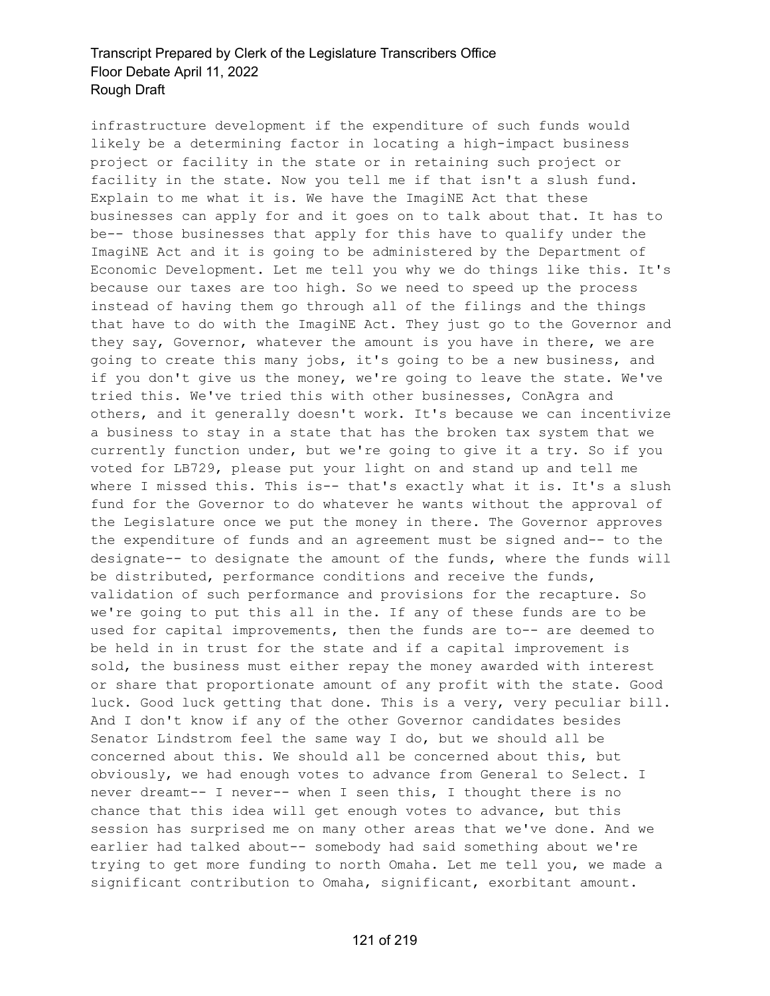infrastructure development if the expenditure of such funds would likely be a determining factor in locating a high-impact business project or facility in the state or in retaining such project or facility in the state. Now you tell me if that isn't a slush fund. Explain to me what it is. We have the ImagiNE Act that these businesses can apply for and it goes on to talk about that. It has to be-- those businesses that apply for this have to qualify under the ImagiNE Act and it is going to be administered by the Department of Economic Development. Let me tell you why we do things like this. It's because our taxes are too high. So we need to speed up the process instead of having them go through all of the filings and the things that have to do with the ImagiNE Act. They just go to the Governor and they say, Governor, whatever the amount is you have in there, we are going to create this many jobs, it's going to be a new business, and if you don't give us the money, we're going to leave the state. We've tried this. We've tried this with other businesses, ConAgra and others, and it generally doesn't work. It's because we can incentivize a business to stay in a state that has the broken tax system that we currently function under, but we're going to give it a try. So if you voted for LB729, please put your light on and stand up and tell me where I missed this. This is-- that's exactly what it is. It's a slush fund for the Governor to do whatever he wants without the approval of the Legislature once we put the money in there. The Governor approves the expenditure of funds and an agreement must be signed and-- to the designate-- to designate the amount of the funds, where the funds will be distributed, performance conditions and receive the funds, validation of such performance and provisions for the recapture. So we're going to put this all in the. If any of these funds are to be used for capital improvements, then the funds are to-- are deemed to be held in in trust for the state and if a capital improvement is sold, the business must either repay the money awarded with interest or share that proportionate amount of any profit with the state. Good luck. Good luck getting that done. This is a very, very peculiar bill. And I don't know if any of the other Governor candidates besides Senator Lindstrom feel the same way I do, but we should all be concerned about this. We should all be concerned about this, but obviously, we had enough votes to advance from General to Select. I never dreamt-- I never-- when I seen this, I thought there is no chance that this idea will get enough votes to advance, but this session has surprised me on many other areas that we've done. And we earlier had talked about-- somebody had said something about we're trying to get more funding to north Omaha. Let me tell you, we made a significant contribution to Omaha, significant, exorbitant amount.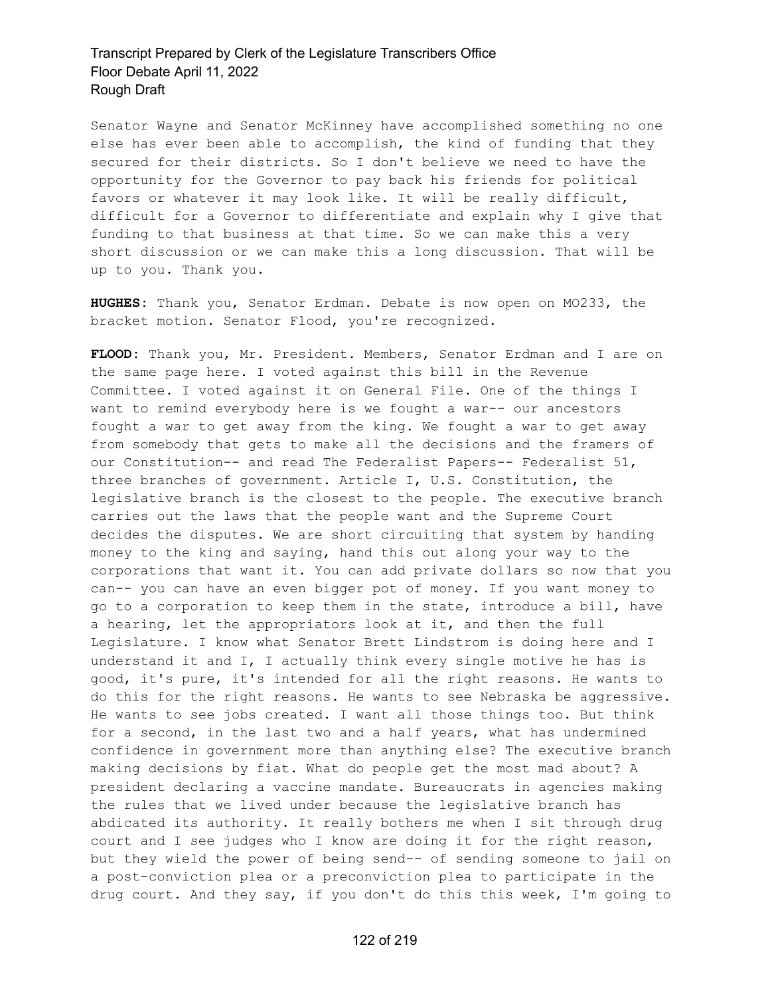Senator Wayne and Senator McKinney have accomplished something no one else has ever been able to accomplish, the kind of funding that they secured for their districts. So I don't believe we need to have the opportunity for the Governor to pay back his friends for political favors or whatever it may look like. It will be really difficult, difficult for a Governor to differentiate and explain why I give that funding to that business at that time. So we can make this a very short discussion or we can make this a long discussion. That will be up to you. Thank you.

**HUGHES:** Thank you, Senator Erdman. Debate is now open on MO233, the bracket motion. Senator Flood, you're recognized.

**FLOOD:** Thank you, Mr. President. Members, Senator Erdman and I are on the same page here. I voted against this bill in the Revenue Committee. I voted against it on General File. One of the things I want to remind everybody here is we fought a war-- our ancestors fought a war to get away from the king. We fought a war to get away from somebody that gets to make all the decisions and the framers of our Constitution-- and read The Federalist Papers-- Federalist 51, three branches of government. Article I, U.S. Constitution, the legislative branch is the closest to the people. The executive branch carries out the laws that the people want and the Supreme Court decides the disputes. We are short circuiting that system by handing money to the king and saying, hand this out along your way to the corporations that want it. You can add private dollars so now that you can-- you can have an even bigger pot of money. If you want money to go to a corporation to keep them in the state, introduce a bill, have a hearing, let the appropriators look at it, and then the full Legislature. I know what Senator Brett Lindstrom is doing here and I understand it and I, I actually think every single motive he has is good, it's pure, it's intended for all the right reasons. He wants to do this for the right reasons. He wants to see Nebraska be aggressive. He wants to see jobs created. I want all those things too. But think for a second, in the last two and a half years, what has undermined confidence in government more than anything else? The executive branch making decisions by fiat. What do people get the most mad about? A president declaring a vaccine mandate. Bureaucrats in agencies making the rules that we lived under because the legislative branch has abdicated its authority. It really bothers me when I sit through drug court and I see judges who I know are doing it for the right reason, but they wield the power of being send-- of sending someone to jail on a post-conviction plea or a preconviction plea to participate in the drug court. And they say, if you don't do this this week, I'm going to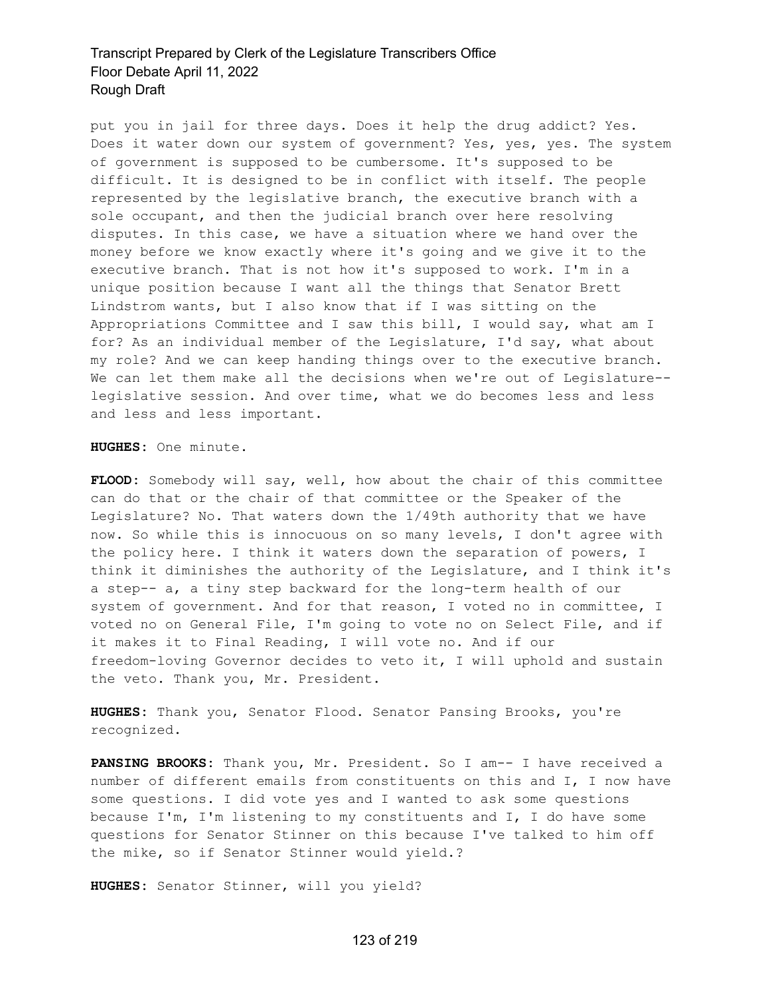put you in jail for three days. Does it help the drug addict? Yes. Does it water down our system of government? Yes, yes, yes. The system of government is supposed to be cumbersome. It's supposed to be difficult. It is designed to be in conflict with itself. The people represented by the legislative branch, the executive branch with a sole occupant, and then the judicial branch over here resolving disputes. In this case, we have a situation where we hand over the money before we know exactly where it's going and we give it to the executive branch. That is not how it's supposed to work. I'm in a unique position because I want all the things that Senator Brett Lindstrom wants, but I also know that if I was sitting on the Appropriations Committee and I saw this bill, I would say, what am I for? As an individual member of the Legislature, I'd say, what about my role? And we can keep handing things over to the executive branch. We can let them make all the decisions when we're out of Legislature- legislative session. And over time, what we do becomes less and less and less and less important.

**HUGHES:** One minute.

**FLOOD:** Somebody will say, well, how about the chair of this committee can do that or the chair of that committee or the Speaker of the Legislature? No. That waters down the 1/49th authority that we have now. So while this is innocuous on so many levels, I don't agree with the policy here. I think it waters down the separation of powers, I think it diminishes the authority of the Legislature, and I think it's a step-- a, a tiny step backward for the long-term health of our system of government. And for that reason, I voted no in committee, I voted no on General File, I'm going to vote no on Select File, and if it makes it to Final Reading, I will vote no. And if our freedom-loving Governor decides to veto it, I will uphold and sustain the veto. Thank you, Mr. President.

**HUGHES:** Thank you, Senator Flood. Senator Pansing Brooks, you're recognized.

**PANSING BROOKS:** Thank you, Mr. President. So I am-- I have received a number of different emails from constituents on this and I, I now have some questions. I did vote yes and I wanted to ask some questions because I'm, I'm listening to my constituents and I, I do have some questions for Senator Stinner on this because I've talked to him off the mike, so if Senator Stinner would yield.?

**HUGHES:** Senator Stinner, will you yield?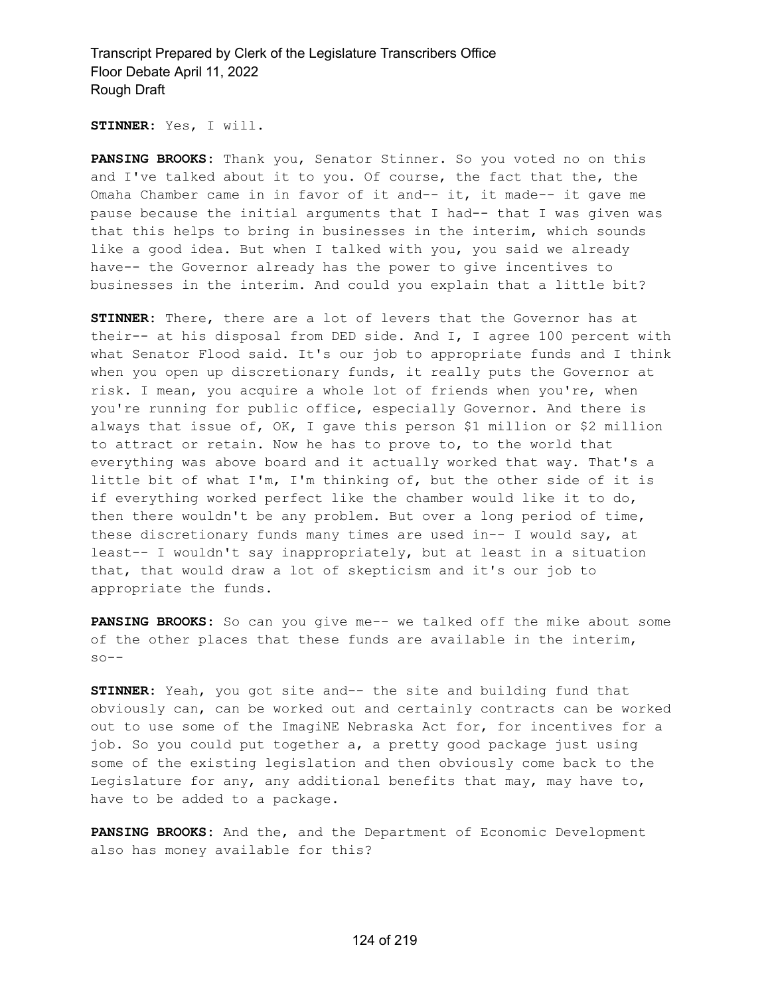**STINNER:** Yes, I will.

**PANSING BROOKS:** Thank you, Senator Stinner. So you voted no on this and I've talked about it to you. Of course, the fact that the, the Omaha Chamber came in in favor of it and-- it, it made-- it gave me pause because the initial arguments that I had-- that I was given was that this helps to bring in businesses in the interim, which sounds like a good idea. But when I talked with you, you said we already have-- the Governor already has the power to give incentives to businesses in the interim. And could you explain that a little bit?

**STINNER:** There, there are a lot of levers that the Governor has at their-- at his disposal from DED side. And I, I agree 100 percent with what Senator Flood said. It's our job to appropriate funds and I think when you open up discretionary funds, it really puts the Governor at risk. I mean, you acquire a whole lot of friends when you're, when you're running for public office, especially Governor. And there is always that issue of, OK, I gave this person \$1 million or \$2 million to attract or retain. Now he has to prove to, to the world that everything was above board and it actually worked that way. That's a little bit of what I'm, I'm thinking of, but the other side of it is if everything worked perfect like the chamber would like it to do, then there wouldn't be any problem. But over a long period of time, these discretionary funds many times are used in-- I would say, at least-- I wouldn't say inappropriately, but at least in a situation that, that would draw a lot of skepticism and it's our job to appropriate the funds.

**PANSING BROOKS:** So can you give me-- we talked off the mike about some of the other places that these funds are available in the interim,  $s$ o--

**STINNER:** Yeah, you got site and-- the site and building fund that obviously can, can be worked out and certainly contracts can be worked out to use some of the ImagiNE Nebraska Act for, for incentives for a job. So you could put together a, a pretty good package just using some of the existing legislation and then obviously come back to the Legislature for any, any additional benefits that may, may have to, have to be added to a package.

**PANSING BROOKS:** And the, and the Department of Economic Development also has money available for this?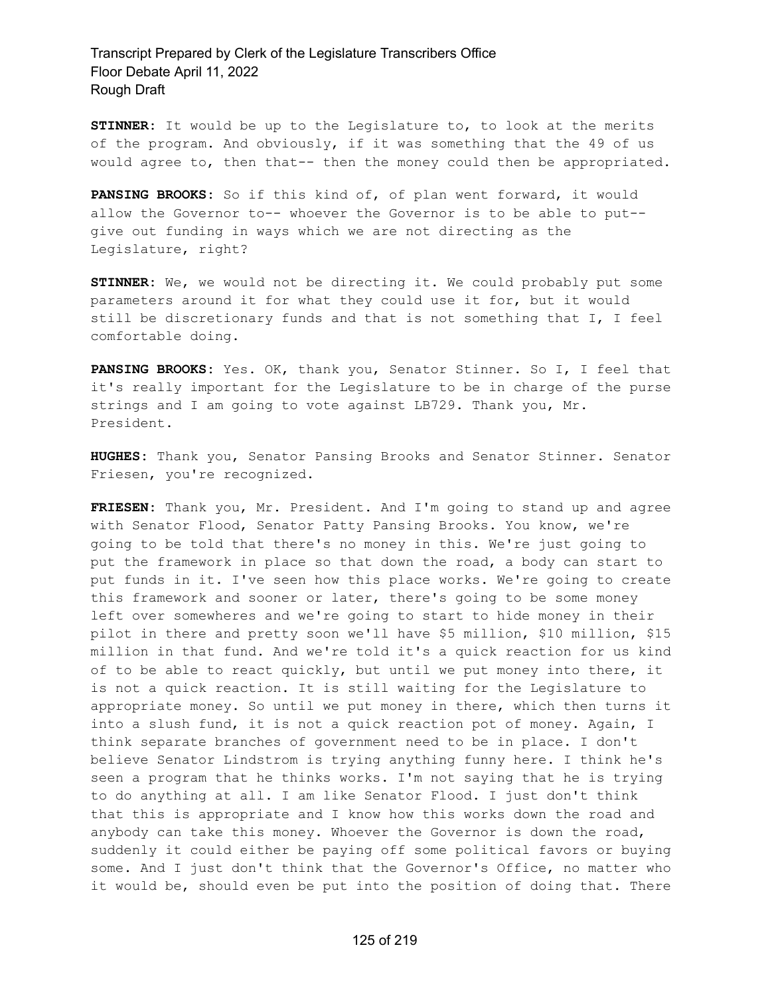**STINNER:** It would be up to the Legislature to, to look at the merits of the program. And obviously, if it was something that the 49 of us would agree to, then that-- then the money could then be appropriated.

**PANSING BROOKS:** So if this kind of, of plan went forward, it would allow the Governor to-- whoever the Governor is to be able to put- give out funding in ways which we are not directing as the Legislature, right?

**STINNER:** We, we would not be directing it. We could probably put some parameters around it for what they could use it for, but it would still be discretionary funds and that is not something that I, I feel comfortable doing.

**PANSING BROOKS:** Yes. OK, thank you, Senator Stinner. So I, I feel that it's really important for the Legislature to be in charge of the purse strings and I am going to vote against LB729. Thank you, Mr. President.

**HUGHES:** Thank you, Senator Pansing Brooks and Senator Stinner. Senator Friesen, you're recognized.

**FRIESEN:** Thank you, Mr. President. And I'm going to stand up and agree with Senator Flood, Senator Patty Pansing Brooks. You know, we're going to be told that there's no money in this. We're just going to put the framework in place so that down the road, a body can start to put funds in it. I've seen how this place works. We're going to create this framework and sooner or later, there's going to be some money left over somewheres and we're going to start to hide money in their pilot in there and pretty soon we'll have \$5 million, \$10 million, \$15 million in that fund. And we're told it's a quick reaction for us kind of to be able to react quickly, but until we put money into there, it is not a quick reaction. It is still waiting for the Legislature to appropriate money. So until we put money in there, which then turns it into a slush fund, it is not a quick reaction pot of money. Again, I think separate branches of government need to be in place. I don't believe Senator Lindstrom is trying anything funny here. I think he's seen a program that he thinks works. I'm not saying that he is trying to do anything at all. I am like Senator Flood. I just don't think that this is appropriate and I know how this works down the road and anybody can take this money. Whoever the Governor is down the road, suddenly it could either be paying off some political favors or buying some. And I just don't think that the Governor's Office, no matter who it would be, should even be put into the position of doing that. There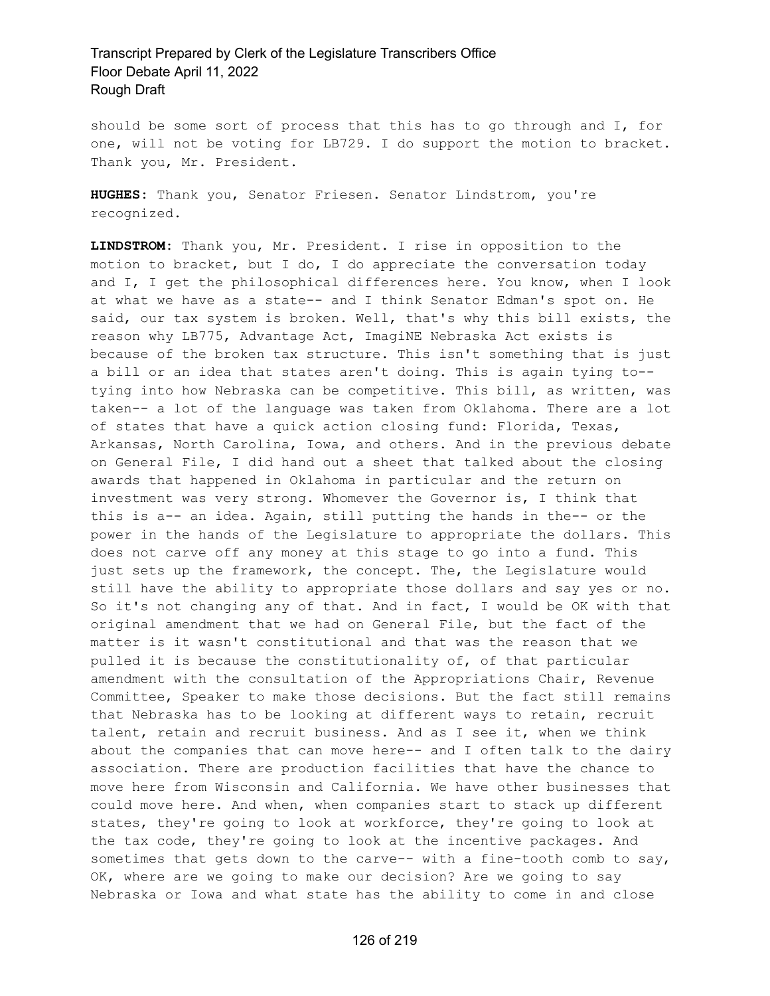should be some sort of process that this has to go through and I, for one, will not be voting for LB729. I do support the motion to bracket. Thank you, Mr. President.

**HUGHES:** Thank you, Senator Friesen. Senator Lindstrom, you're recognized.

**LINDSTROM:** Thank you, Mr. President. I rise in opposition to the motion to bracket, but I do, I do appreciate the conversation today and I, I get the philosophical differences here. You know, when I look at what we have as a state-- and I think Senator Edman's spot on. He said, our tax system is broken. Well, that's why this bill exists, the reason why LB775, Advantage Act, ImagiNE Nebraska Act exists is because of the broken tax structure. This isn't something that is just a bill or an idea that states aren't doing. This is again tying to- tying into how Nebraska can be competitive. This bill, as written, was taken-- a lot of the language was taken from Oklahoma. There are a lot of states that have a quick action closing fund: Florida, Texas, Arkansas, North Carolina, Iowa, and others. And in the previous debate on General File, I did hand out a sheet that talked about the closing awards that happened in Oklahoma in particular and the return on investment was very strong. Whomever the Governor is, I think that this is a-- an idea. Again, still putting the hands in the-- or the power in the hands of the Legislature to appropriate the dollars. This does not carve off any money at this stage to go into a fund. This just sets up the framework, the concept. The, the Legislature would still have the ability to appropriate those dollars and say yes or no. So it's not changing any of that. And in fact, I would be OK with that original amendment that we had on General File, but the fact of the matter is it wasn't constitutional and that was the reason that we pulled it is because the constitutionality of, of that particular amendment with the consultation of the Appropriations Chair, Revenue Committee, Speaker to make those decisions. But the fact still remains that Nebraska has to be looking at different ways to retain, recruit talent, retain and recruit business. And as I see it, when we think about the companies that can move here-- and I often talk to the dairy association. There are production facilities that have the chance to move here from Wisconsin and California. We have other businesses that could move here. And when, when companies start to stack up different states, they're going to look at workforce, they're going to look at the tax code, they're going to look at the incentive packages. And sometimes that gets down to the carve-- with a fine-tooth comb to say, OK, where are we going to make our decision? Are we going to say Nebraska or Iowa and what state has the ability to come in and close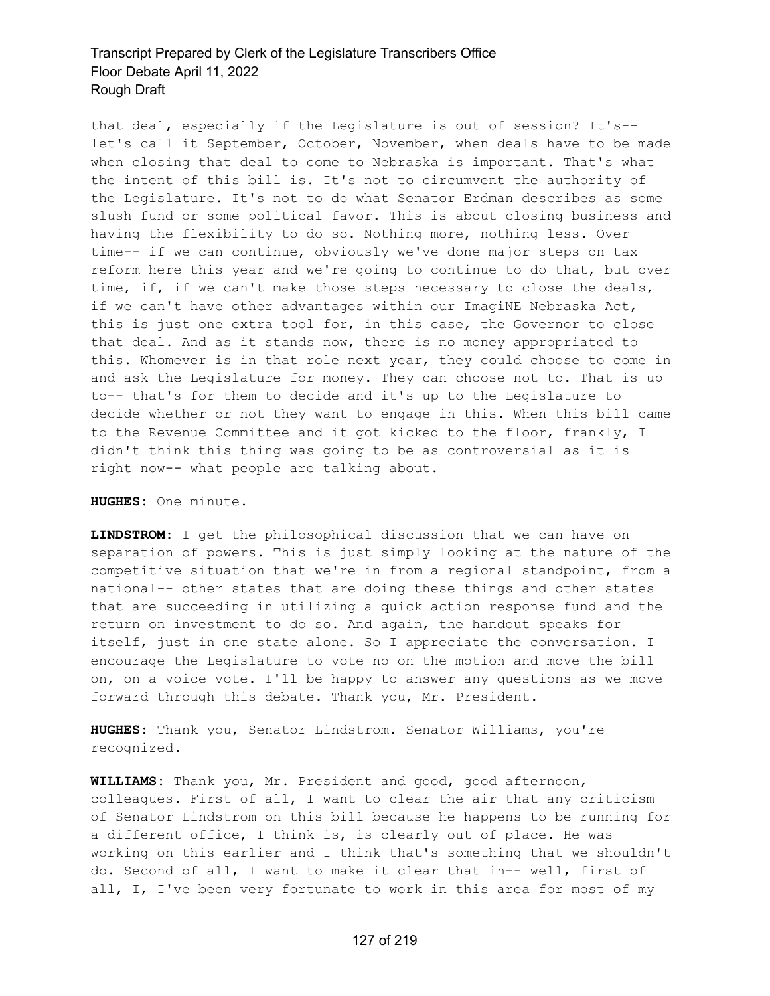that deal, especially if the Legislature is out of session? It's- let's call it September, October, November, when deals have to be made when closing that deal to come to Nebraska is important. That's what the intent of this bill is. It's not to circumvent the authority of the Legislature. It's not to do what Senator Erdman describes as some slush fund or some political favor. This is about closing business and having the flexibility to do so. Nothing more, nothing less. Over time-- if we can continue, obviously we've done major steps on tax reform here this year and we're going to continue to do that, but over time, if, if we can't make those steps necessary to close the deals, if we can't have other advantages within our ImagiNE Nebraska Act, this is just one extra tool for, in this case, the Governor to close that deal. And as it stands now, there is no money appropriated to this. Whomever is in that role next year, they could choose to come in and ask the Legislature for money. They can choose not to. That is up to-- that's for them to decide and it's up to the Legislature to decide whether or not they want to engage in this. When this bill came to the Revenue Committee and it got kicked to the floor, frankly, I didn't think this thing was going to be as controversial as it is right now-- what people are talking about.

**HUGHES:** One minute.

**LINDSTROM:** I get the philosophical discussion that we can have on separation of powers. This is just simply looking at the nature of the competitive situation that we're in from a regional standpoint, from a national-- other states that are doing these things and other states that are succeeding in utilizing a quick action response fund and the return on investment to do so. And again, the handout speaks for itself, just in one state alone. So I appreciate the conversation. I encourage the Legislature to vote no on the motion and move the bill on, on a voice vote. I'll be happy to answer any questions as we move forward through this debate. Thank you, Mr. President.

**HUGHES:** Thank you, Senator Lindstrom. Senator Williams, you're recognized.

**WILLIAMS:** Thank you, Mr. President and good, good afternoon, colleagues. First of all, I want to clear the air that any criticism of Senator Lindstrom on this bill because he happens to be running for a different office, I think is, is clearly out of place. He was working on this earlier and I think that's something that we shouldn't do. Second of all, I want to make it clear that in-- well, first of all, I, I've been very fortunate to work in this area for most of my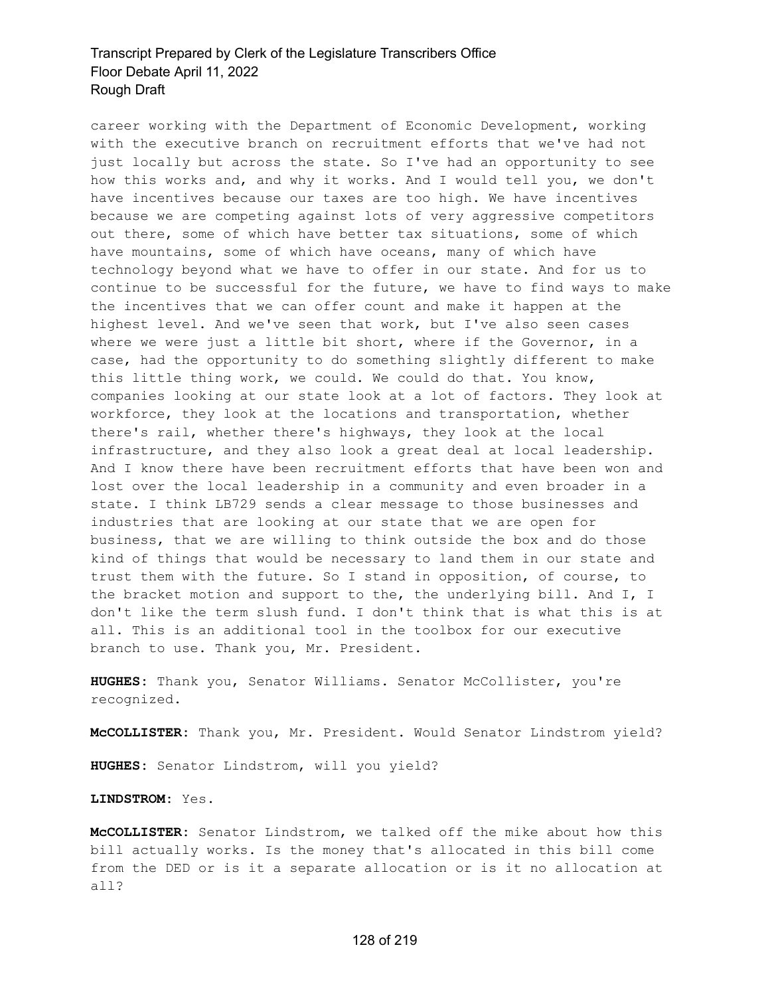career working with the Department of Economic Development, working with the executive branch on recruitment efforts that we've had not just locally but across the state. So I've had an opportunity to see how this works and, and why it works. And I would tell you, we don't have incentives because our taxes are too high. We have incentives because we are competing against lots of very aggressive competitors out there, some of which have better tax situations, some of which have mountains, some of which have oceans, many of which have technology beyond what we have to offer in our state. And for us to continue to be successful for the future, we have to find ways to make the incentives that we can offer count and make it happen at the highest level. And we've seen that work, but I've also seen cases where we were just a little bit short, where if the Governor, in a case, had the opportunity to do something slightly different to make this little thing work, we could. We could do that. You know, companies looking at our state look at a lot of factors. They look at workforce, they look at the locations and transportation, whether there's rail, whether there's highways, they look at the local infrastructure, and they also look a great deal at local leadership. And I know there have been recruitment efforts that have been won and lost over the local leadership in a community and even broader in a state. I think LB729 sends a clear message to those businesses and industries that are looking at our state that we are open for business, that we are willing to think outside the box and do those kind of things that would be necessary to land them in our state and trust them with the future. So I stand in opposition, of course, to the bracket motion and support to the, the underlying bill. And I, I don't like the term slush fund. I don't think that is what this is at all. This is an additional tool in the toolbox for our executive branch to use. Thank you, Mr. President.

**HUGHES:** Thank you, Senator Williams. Senator McCollister, you're recognized.

**McCOLLISTER:** Thank you, Mr. President. Would Senator Lindstrom yield?

**HUGHES:** Senator Lindstrom, will you yield?

**LINDSTROM:** Yes.

**McCOLLISTER:** Senator Lindstrom, we talked off the mike about how this bill actually works. Is the money that's allocated in this bill come from the DED or is it a separate allocation or is it no allocation at all?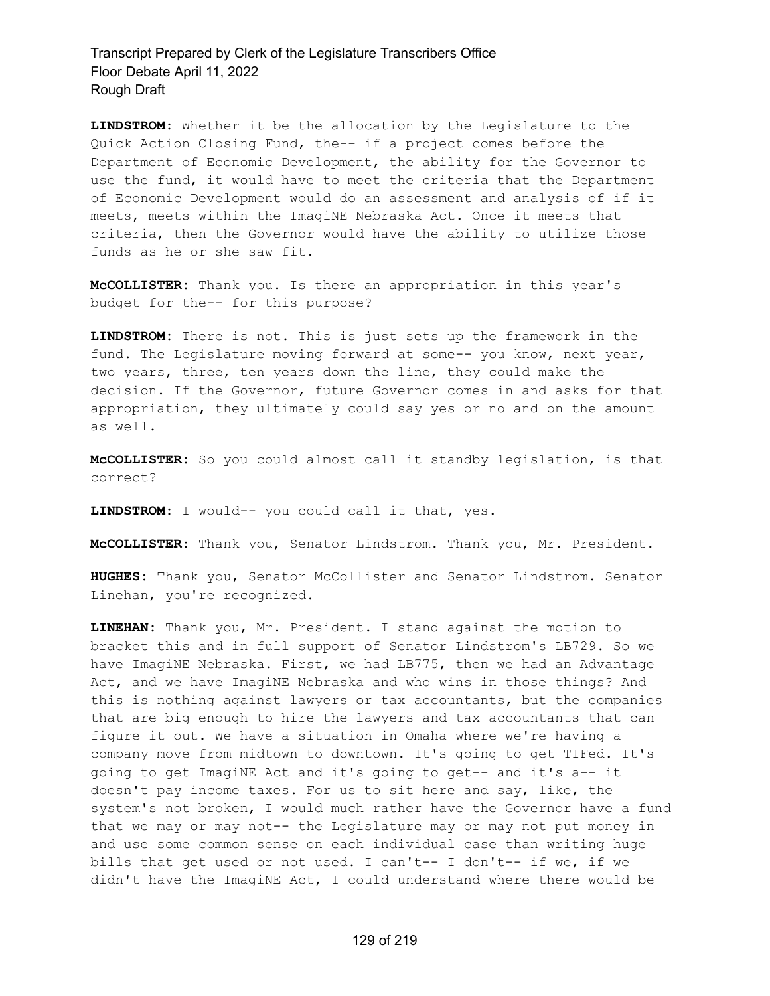**LINDSTROM:** Whether it be the allocation by the Legislature to the Quick Action Closing Fund, the-- if a project comes before the Department of Economic Development, the ability for the Governor to use the fund, it would have to meet the criteria that the Department of Economic Development would do an assessment and analysis of if it meets, meets within the ImagiNE Nebraska Act. Once it meets that criteria, then the Governor would have the ability to utilize those funds as he or she saw fit.

**McCOLLISTER:** Thank you. Is there an appropriation in this year's budget for the-- for this purpose?

**LINDSTROM:** There is not. This is just sets up the framework in the fund. The Legislature moving forward at some-- you know, next year, two years, three, ten years down the line, they could make the decision. If the Governor, future Governor comes in and asks for that appropriation, they ultimately could say yes or no and on the amount as well.

**McCOLLISTER:** So you could almost call it standby legislation, is that correct?

**LINDSTROM:** I would-- you could call it that, yes.

**McCOLLISTER:** Thank you, Senator Lindstrom. Thank you, Mr. President.

**HUGHES:** Thank you, Senator McCollister and Senator Lindstrom. Senator Linehan, you're recognized.

**LINEHAN:** Thank you, Mr. President. I stand against the motion to bracket this and in full support of Senator Lindstrom's LB729. So we have ImagiNE Nebraska. First, we had LB775, then we had an Advantage Act, and we have ImagiNE Nebraska and who wins in those things? And this is nothing against lawyers or tax accountants, but the companies that are big enough to hire the lawyers and tax accountants that can figure it out. We have a situation in Omaha where we're having a company move from midtown to downtown. It's going to get TIFed. It's going to get ImagiNE Act and it's going to get-- and it's a-- it doesn't pay income taxes. For us to sit here and say, like, the system's not broken, I would much rather have the Governor have a fund that we may or may not-- the Legislature may or may not put money in and use some common sense on each individual case than writing huge bills that get used or not used. I can't-- I don't-- if we, if we didn't have the ImagiNE Act, I could understand where there would be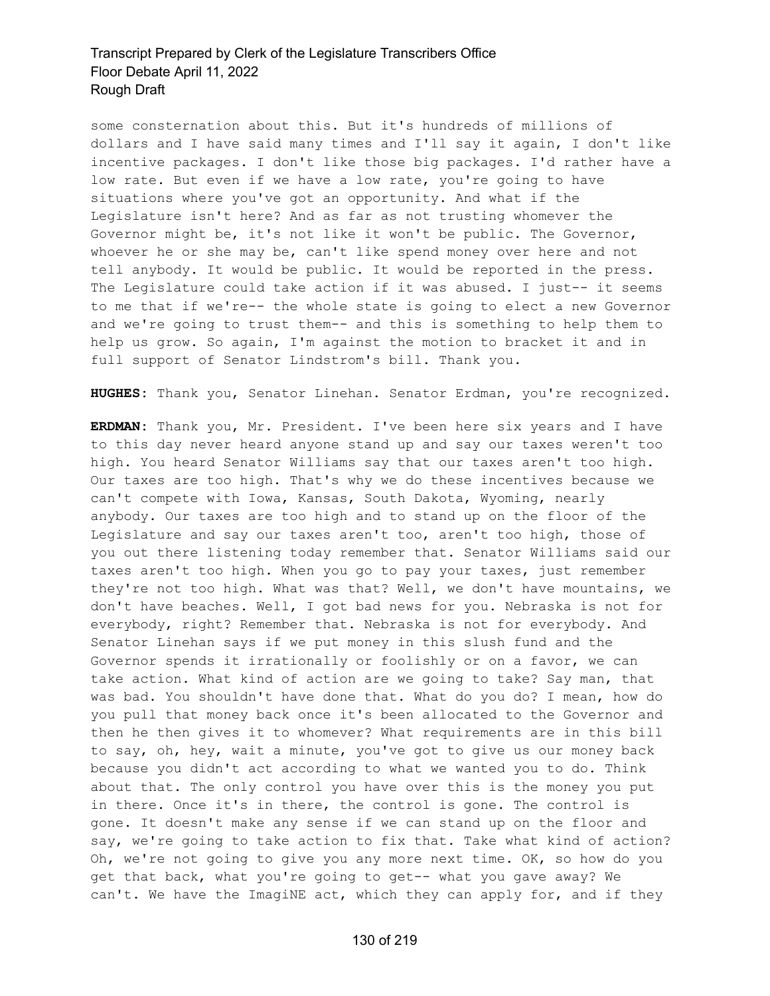some consternation about this. But it's hundreds of millions of dollars and I have said many times and I'll say it again, I don't like incentive packages. I don't like those big packages. I'd rather have a low rate. But even if we have a low rate, you're going to have situations where you've got an opportunity. And what if the Legislature isn't here? And as far as not trusting whomever the Governor might be, it's not like it won't be public. The Governor, whoever he or she may be, can't like spend money over here and not tell anybody. It would be public. It would be reported in the press. The Legislature could take action if it was abused. I just-- it seems to me that if we're-- the whole state is going to elect a new Governor and we're going to trust them-- and this is something to help them to help us grow. So again, I'm against the motion to bracket it and in full support of Senator Lindstrom's bill. Thank you.

**HUGHES:** Thank you, Senator Linehan. Senator Erdman, you're recognized.

**ERDMAN:** Thank you, Mr. President. I've been here six years and I have to this day never heard anyone stand up and say our taxes weren't too high. You heard Senator Williams say that our taxes aren't too high. Our taxes are too high. That's why we do these incentives because we can't compete with Iowa, Kansas, South Dakota, Wyoming, nearly anybody. Our taxes are too high and to stand up on the floor of the Legislature and say our taxes aren't too, aren't too high, those of you out there listening today remember that. Senator Williams said our taxes aren't too high. When you go to pay your taxes, just remember they're not too high. What was that? Well, we don't have mountains, we don't have beaches. Well, I got bad news for you. Nebraska is not for everybody, right? Remember that. Nebraska is not for everybody. And Senator Linehan says if we put money in this slush fund and the Governor spends it irrationally or foolishly or on a favor, we can take action. What kind of action are we going to take? Say man, that was bad. You shouldn't have done that. What do you do? I mean, how do you pull that money back once it's been allocated to the Governor and then he then gives it to whomever? What requirements are in this bill to say, oh, hey, wait a minute, you've got to give us our money back because you didn't act according to what we wanted you to do. Think about that. The only control you have over this is the money you put in there. Once it's in there, the control is gone. The control is gone. It doesn't make any sense if we can stand up on the floor and say, we're going to take action to fix that. Take what kind of action? Oh, we're not going to give you any more next time. OK, so how do you get that back, what you're going to get-- what you gave away? We can't. We have the ImagiNE act, which they can apply for, and if they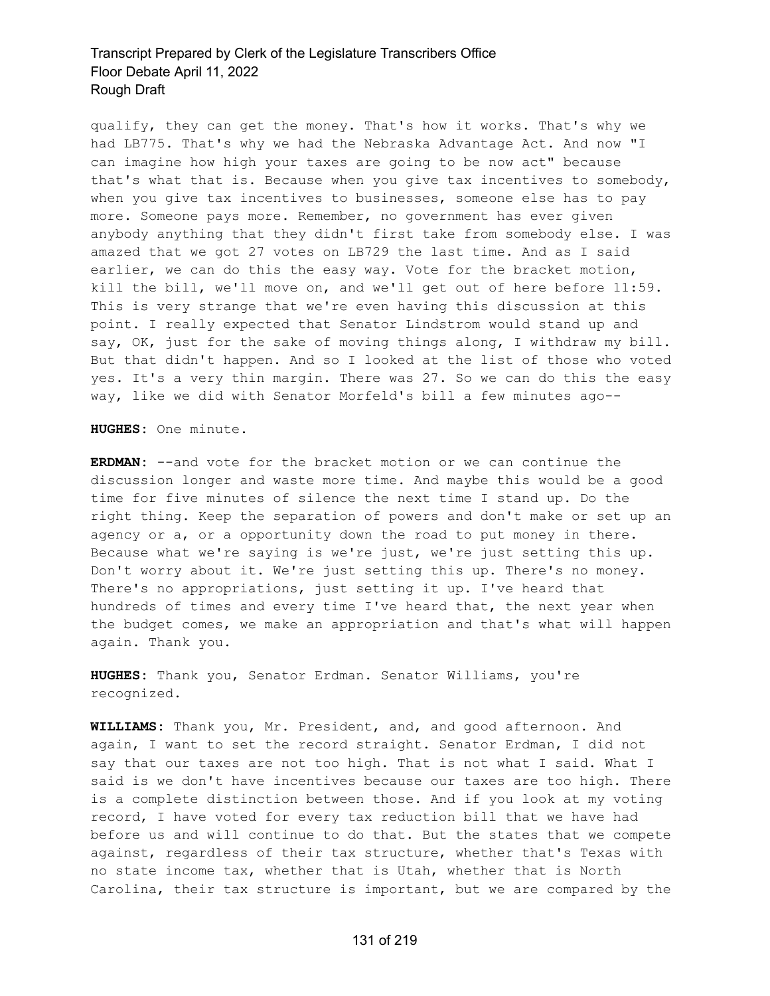qualify, they can get the money. That's how it works. That's why we had LB775. That's why we had the Nebraska Advantage Act. And now "I can imagine how high your taxes are going to be now act" because that's what that is. Because when you give tax incentives to somebody, when you give tax incentives to businesses, someone else has to pay more. Someone pays more. Remember, no government has ever given anybody anything that they didn't first take from somebody else. I was amazed that we got 27 votes on LB729 the last time. And as I said earlier, we can do this the easy way. Vote for the bracket motion, kill the bill, we'll move on, and we'll get out of here before 11:59. This is very strange that we're even having this discussion at this point. I really expected that Senator Lindstrom would stand up and say, OK, just for the sake of moving things along, I withdraw my bill. But that didn't happen. And so I looked at the list of those who voted yes. It's a very thin margin. There was 27. So we can do this the easy way, like we did with Senator Morfeld's bill a few minutes ago--

**HUGHES:** One minute.

**ERDMAN:** --and vote for the bracket motion or we can continue the discussion longer and waste more time. And maybe this would be a good time for five minutes of silence the next time I stand up. Do the right thing. Keep the separation of powers and don't make or set up an agency or a, or a opportunity down the road to put money in there. Because what we're saying is we're just, we're just setting this up. Don't worry about it. We're just setting this up. There's no money. There's no appropriations, just setting it up. I've heard that hundreds of times and every time I've heard that, the next year when the budget comes, we make an appropriation and that's what will happen again. Thank you.

**HUGHES:** Thank you, Senator Erdman. Senator Williams, you're recognized.

**WILLIAMS:** Thank you, Mr. President, and, and good afternoon. And again, I want to set the record straight. Senator Erdman, I did not say that our taxes are not too high. That is not what I said. What I said is we don't have incentives because our taxes are too high. There is a complete distinction between those. And if you look at my voting record, I have voted for every tax reduction bill that we have had before us and will continue to do that. But the states that we compete against, regardless of their tax structure, whether that's Texas with no state income tax, whether that is Utah, whether that is North Carolina, their tax structure is important, but we are compared by the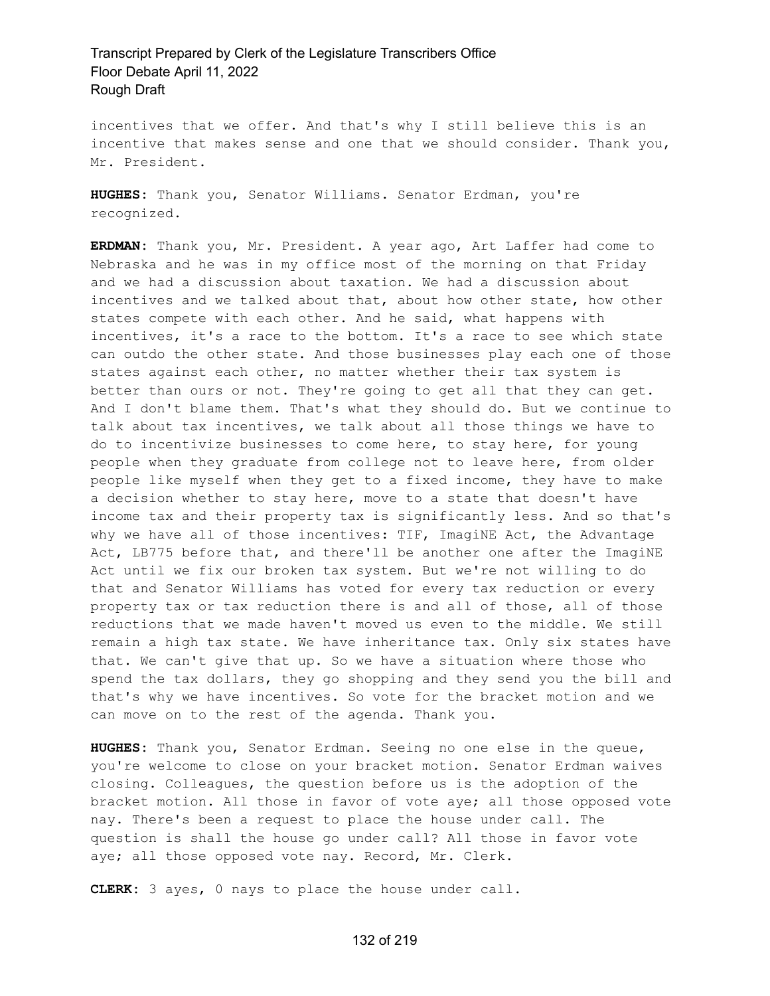incentives that we offer. And that's why I still believe this is an incentive that makes sense and one that we should consider. Thank you, Mr. President.

**HUGHES:** Thank you, Senator Williams. Senator Erdman, you're recognized.

**ERDMAN:** Thank you, Mr. President. A year ago, Art Laffer had come to Nebraska and he was in my office most of the morning on that Friday and we had a discussion about taxation. We had a discussion about incentives and we talked about that, about how other state, how other states compete with each other. And he said, what happens with incentives, it's a race to the bottom. It's a race to see which state can outdo the other state. And those businesses play each one of those states against each other, no matter whether their tax system is better than ours or not. They're going to get all that they can get. And I don't blame them. That's what they should do. But we continue to talk about tax incentives, we talk about all those things we have to do to incentivize businesses to come here, to stay here, for young people when they graduate from college not to leave here, from older people like myself when they get to a fixed income, they have to make a decision whether to stay here, move to a state that doesn't have income tax and their property tax is significantly less. And so that's why we have all of those incentives: TIF, ImagiNE Act, the Advantage Act, LB775 before that, and there'll be another one after the ImagiNE Act until we fix our broken tax system. But we're not willing to do that and Senator Williams has voted for every tax reduction or every property tax or tax reduction there is and all of those, all of those reductions that we made haven't moved us even to the middle. We still remain a high tax state. We have inheritance tax. Only six states have that. We can't give that up. So we have a situation where those who spend the tax dollars, they go shopping and they send you the bill and that's why we have incentives. So vote for the bracket motion and we can move on to the rest of the agenda. Thank you.

**HUGHES:** Thank you, Senator Erdman. Seeing no one else in the queue, you're welcome to close on your bracket motion. Senator Erdman waives closing. Colleagues, the question before us is the adoption of the bracket motion. All those in favor of vote aye; all those opposed vote nay. There's been a request to place the house under call. The question is shall the house go under call? All those in favor vote aye; all those opposed vote nay. Record, Mr. Clerk.

**CLERK:** 3 ayes, 0 nays to place the house under call.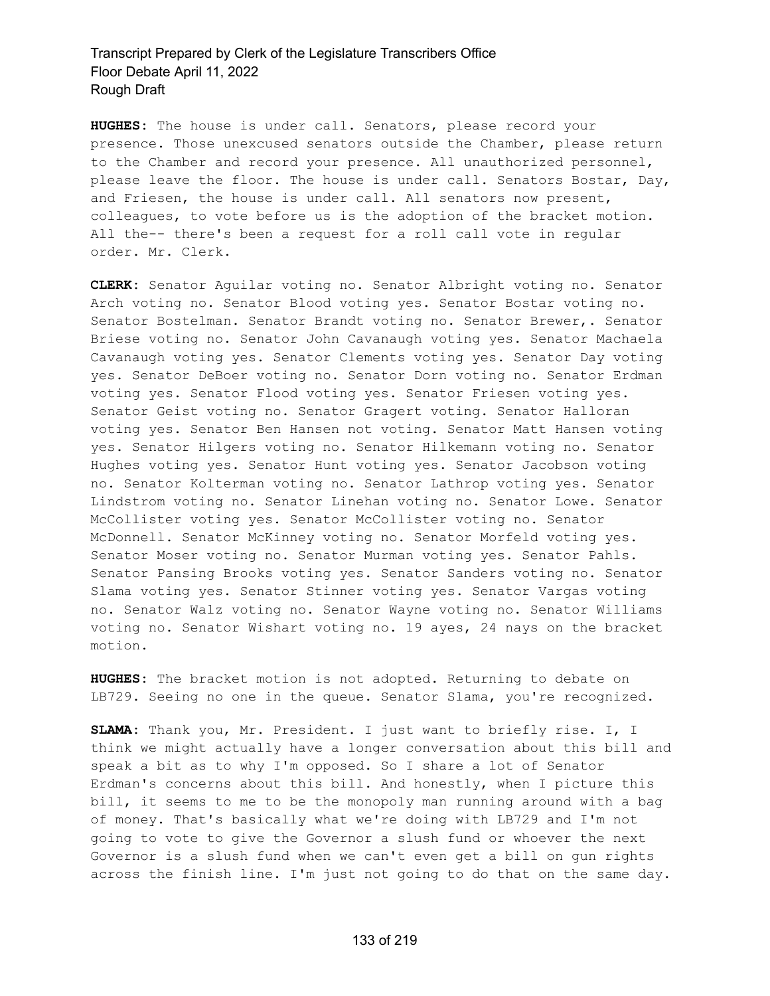**HUGHES:** The house is under call. Senators, please record your presence. Those unexcused senators outside the Chamber, please return to the Chamber and record your presence. All unauthorized personnel, please leave the floor. The house is under call. Senators Bostar, Day, and Friesen, the house is under call. All senators now present, colleagues, to vote before us is the adoption of the bracket motion. All the-- there's been a request for a roll call vote in regular order. Mr. Clerk.

**CLERK:** Senator Aguilar voting no. Senator Albright voting no. Senator Arch voting no. Senator Blood voting yes. Senator Bostar voting no. Senator Bostelman. Senator Brandt voting no. Senator Brewer,. Senator Briese voting no. Senator John Cavanaugh voting yes. Senator Machaela Cavanaugh voting yes. Senator Clements voting yes. Senator Day voting yes. Senator DeBoer voting no. Senator Dorn voting no. Senator Erdman voting yes. Senator Flood voting yes. Senator Friesen voting yes. Senator Geist voting no. Senator Gragert voting. Senator Halloran voting yes. Senator Ben Hansen not voting. Senator Matt Hansen voting yes. Senator Hilgers voting no. Senator Hilkemann voting no. Senator Hughes voting yes. Senator Hunt voting yes. Senator Jacobson voting no. Senator Kolterman voting no. Senator Lathrop voting yes. Senator Lindstrom voting no. Senator Linehan voting no. Senator Lowe. Senator McCollister voting yes. Senator McCollister voting no. Senator McDonnell. Senator McKinney voting no. Senator Morfeld voting yes. Senator Moser voting no. Senator Murman voting yes. Senator Pahls. Senator Pansing Brooks voting yes. Senator Sanders voting no. Senator Slama voting yes. Senator Stinner voting yes. Senator Vargas voting no. Senator Walz voting no. Senator Wayne voting no. Senator Williams voting no. Senator Wishart voting no. 19 ayes, 24 nays on the bracket motion.

**HUGHES:** The bracket motion is not adopted. Returning to debate on LB729. Seeing no one in the queue. Senator Slama, you're recognized.

**SLAMA:** Thank you, Mr. President. I just want to briefly rise. I, I think we might actually have a longer conversation about this bill and speak a bit as to why I'm opposed. So I share a lot of Senator Erdman's concerns about this bill. And honestly, when I picture this bill, it seems to me to be the monopoly man running around with a bag of money. That's basically what we're doing with LB729 and I'm not going to vote to give the Governor a slush fund or whoever the next Governor is a slush fund when we can't even get a bill on gun rights across the finish line. I'm just not going to do that on the same day.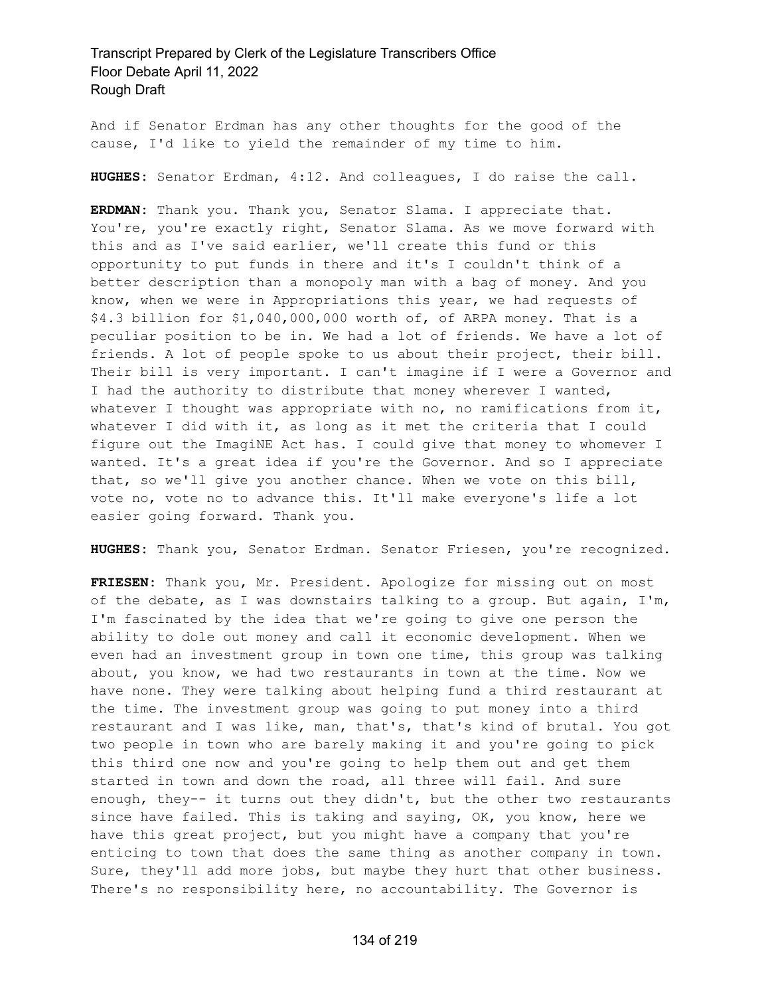And if Senator Erdman has any other thoughts for the good of the cause, I'd like to yield the remainder of my time to him.

**HUGHES:** Senator Erdman, 4:12. And colleagues, I do raise the call.

**ERDMAN:** Thank you. Thank you, Senator Slama. I appreciate that. You're, you're exactly right, Senator Slama. As we move forward with this and as I've said earlier, we'll create this fund or this opportunity to put funds in there and it's I couldn't think of a better description than a monopoly man with a bag of money. And you know, when we were in Appropriations this year, we had requests of \$4.3 billion for \$1,040,000,000 worth of, of ARPA money. That is a peculiar position to be in. We had a lot of friends. We have a lot of friends. A lot of people spoke to us about their project, their bill. Their bill is very important. I can't imagine if I were a Governor and I had the authority to distribute that money wherever I wanted, whatever I thought was appropriate with no, no ramifications from it, whatever I did with it, as long as it met the criteria that I could figure out the ImagiNE Act has. I could give that money to whomever I wanted. It's a great idea if you're the Governor. And so I appreciate that, so we'll give you another chance. When we vote on this bill, vote no, vote no to advance this. It'll make everyone's life a lot easier going forward. Thank you.

**HUGHES:** Thank you, Senator Erdman. Senator Friesen, you're recognized.

**FRIESEN:** Thank you, Mr. President. Apologize for missing out on most of the debate, as I was downstairs talking to a group. But again, I'm, I'm fascinated by the idea that we're going to give one person the ability to dole out money and call it economic development. When we even had an investment group in town one time, this group was talking about, you know, we had two restaurants in town at the time. Now we have none. They were talking about helping fund a third restaurant at the time. The investment group was going to put money into a third restaurant and I was like, man, that's, that's kind of brutal. You got two people in town who are barely making it and you're going to pick this third one now and you're going to help them out and get them started in town and down the road, all three will fail. And sure enough, they-- it turns out they didn't, but the other two restaurants since have failed. This is taking and saying, OK, you know, here we have this great project, but you might have a company that you're enticing to town that does the same thing as another company in town. Sure, they'll add more jobs, but maybe they hurt that other business. There's no responsibility here, no accountability. The Governor is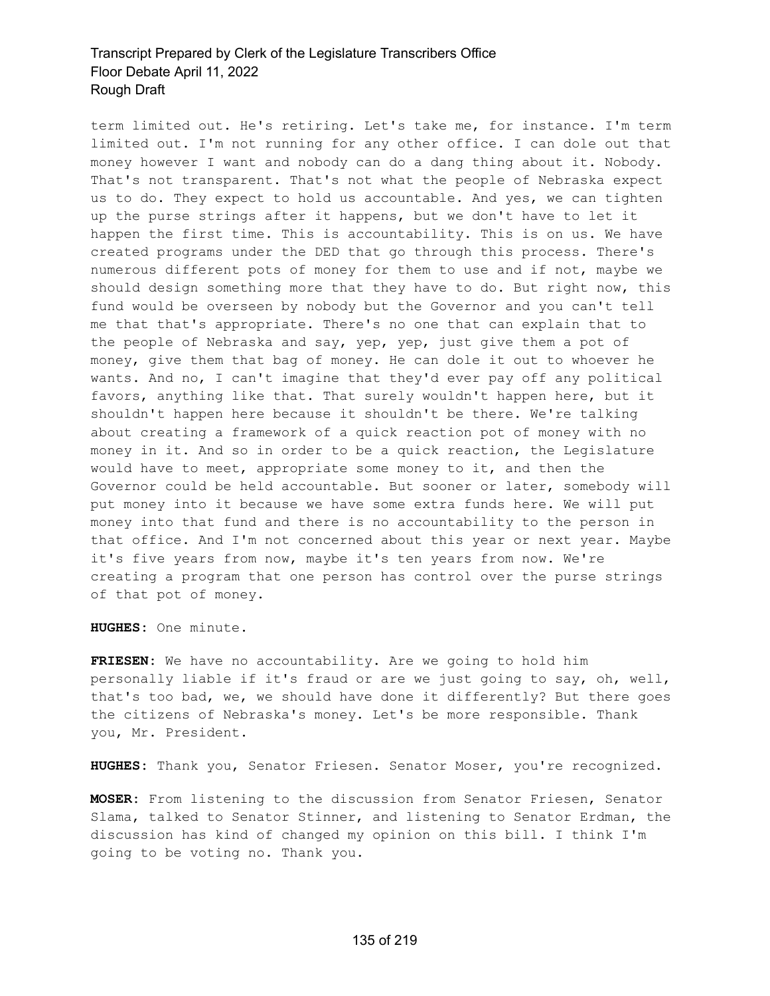term limited out. He's retiring. Let's take me, for instance. I'm term limited out. I'm not running for any other office. I can dole out that money however I want and nobody can do a dang thing about it. Nobody. That's not transparent. That's not what the people of Nebraska expect us to do. They expect to hold us accountable. And yes, we can tighten up the purse strings after it happens, but we don't have to let it happen the first time. This is accountability. This is on us. We have created programs under the DED that go through this process. There's numerous different pots of money for them to use and if not, maybe we should design something more that they have to do. But right now, this fund would be overseen by nobody but the Governor and you can't tell me that that's appropriate. There's no one that can explain that to the people of Nebraska and say, yep, yep, just give them a pot of money, give them that bag of money. He can dole it out to whoever he wants. And no, I can't imagine that they'd ever pay off any political favors, anything like that. That surely wouldn't happen here, but it shouldn't happen here because it shouldn't be there. We're talking about creating a framework of a quick reaction pot of money with no money in it. And so in order to be a quick reaction, the Legislature would have to meet, appropriate some money to it, and then the Governor could be held accountable. But sooner or later, somebody will put money into it because we have some extra funds here. We will put money into that fund and there is no accountability to the person in that office. And I'm not concerned about this year or next year. Maybe it's five years from now, maybe it's ten years from now. We're creating a program that one person has control over the purse strings of that pot of money.

**HUGHES:** One minute.

**FRIESEN:** We have no accountability. Are we going to hold him personally liable if it's fraud or are we just going to say, oh, well, that's too bad, we, we should have done it differently? But there goes the citizens of Nebraska's money. Let's be more responsible. Thank you, Mr. President.

**HUGHES:** Thank you, Senator Friesen. Senator Moser, you're recognized.

**MOSER:** From listening to the discussion from Senator Friesen, Senator Slama, talked to Senator Stinner, and listening to Senator Erdman, the discussion has kind of changed my opinion on this bill. I think I'm going to be voting no. Thank you.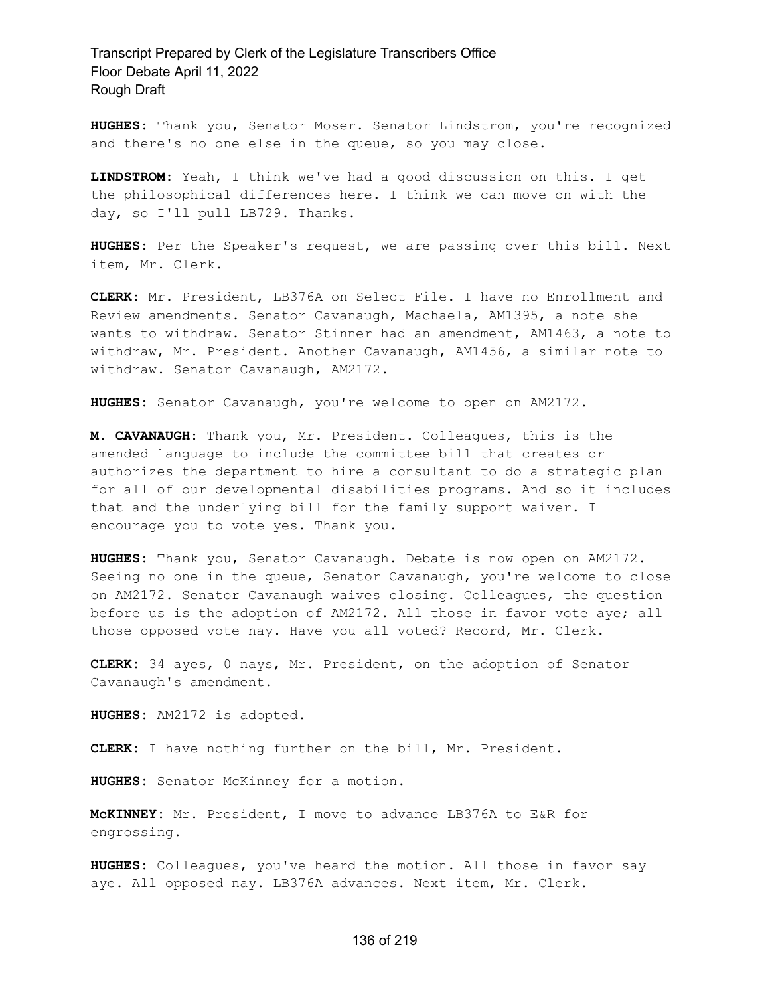**HUGHES:** Thank you, Senator Moser. Senator Lindstrom, you're recognized and there's no one else in the queue, so you may close.

**LINDSTROM:** Yeah, I think we've had a good discussion on this. I get the philosophical differences here. I think we can move on with the day, so I'll pull LB729. Thanks.

**HUGHES:** Per the Speaker's request, we are passing over this bill. Next item, Mr. Clerk.

**CLERK:** Mr. President, LB376A on Select File. I have no Enrollment and Review amendments. Senator Cavanaugh, Machaela, AM1395, a note she wants to withdraw. Senator Stinner had an amendment, AM1463, a note to withdraw, Mr. President. Another Cavanaugh, AM1456, a similar note to withdraw. Senator Cavanaugh, AM2172.

**HUGHES:** Senator Cavanaugh, you're welcome to open on AM2172.

**M. CAVANAUGH:** Thank you, Mr. President. Colleagues, this is the amended language to include the committee bill that creates or authorizes the department to hire a consultant to do a strategic plan for all of our developmental disabilities programs. And so it includes that and the underlying bill for the family support waiver. I encourage you to vote yes. Thank you.

**HUGHES:** Thank you, Senator Cavanaugh. Debate is now open on AM2172. Seeing no one in the queue, Senator Cavanaugh, you're welcome to close on AM2172. Senator Cavanaugh waives closing. Colleagues, the question before us is the adoption of AM2172. All those in favor vote aye; all those opposed vote nay. Have you all voted? Record, Mr. Clerk.

**CLERK:** 34 ayes, 0 nays, Mr. President, on the adoption of Senator Cavanaugh's amendment.

**HUGHES:** AM2172 is adopted.

**CLERK:** I have nothing further on the bill, Mr. President.

**HUGHES:** Senator McKinney for a motion.

**McKINNEY:** Mr. President, I move to advance LB376A to E&R for engrossing.

**HUGHES:** Colleagues, you've heard the motion. All those in favor say aye. All opposed nay. LB376A advances. Next item, Mr. Clerk.

#### 136 of 219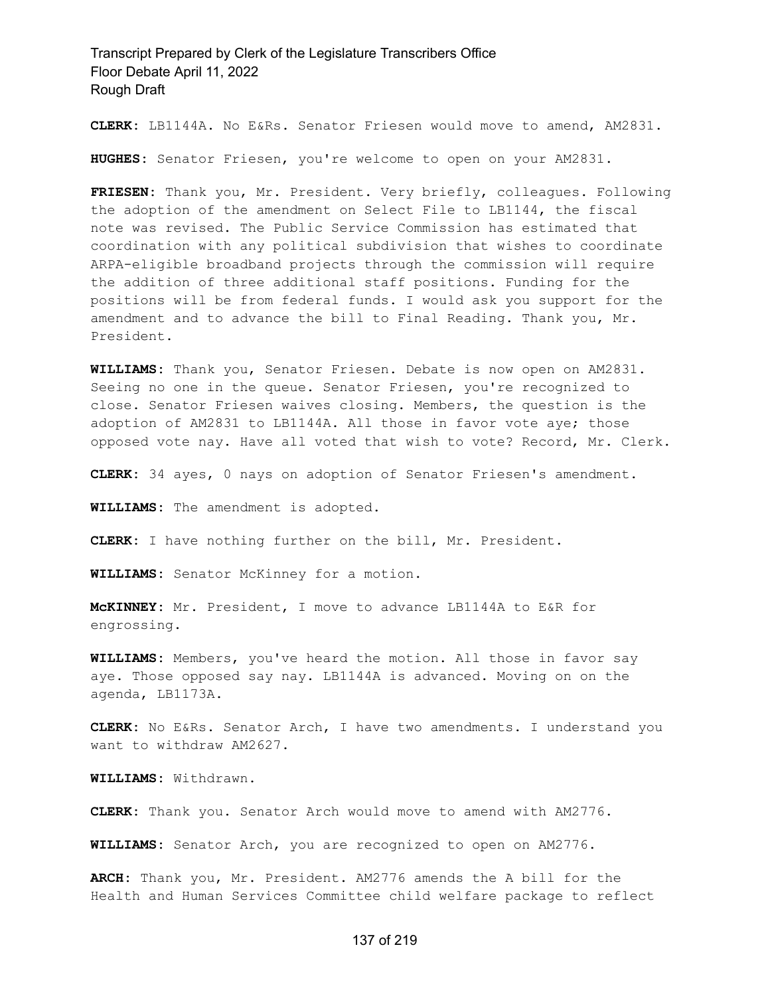**CLERK:** LB1144A. No E&Rs. Senator Friesen would move to amend, AM2831.

**HUGHES:** Senator Friesen, you're welcome to open on your AM2831.

**FRIESEN:** Thank you, Mr. President. Very briefly, colleagues. Following the adoption of the amendment on Select File to LB1144, the fiscal note was revised. The Public Service Commission has estimated that coordination with any political subdivision that wishes to coordinate ARPA-eligible broadband projects through the commission will require the addition of three additional staff positions. Funding for the positions will be from federal funds. I would ask you support for the amendment and to advance the bill to Final Reading. Thank you, Mr. President.

**WILLIAMS:** Thank you, Senator Friesen. Debate is now open on AM2831. Seeing no one in the queue. Senator Friesen, you're recognized to close. Senator Friesen waives closing. Members, the question is the adoption of AM2831 to LB1144A. All those in favor vote aye; those opposed vote nay. Have all voted that wish to vote? Record, Mr. Clerk.

**CLERK:** 34 ayes, 0 nays on adoption of Senator Friesen's amendment.

**WILLIAMS:** The amendment is adopted.

**CLERK:** I have nothing further on the bill, Mr. President.

**WILLIAMS:** Senator McKinney for a motion.

**McKINNEY:** Mr. President, I move to advance LB1144A to E&R for engrossing.

**WILLIAMS:** Members, you've heard the motion. All those in favor say aye. Those opposed say nay. LB1144A is advanced. Moving on on the agenda, LB1173A.

**CLERK:** No E&Rs. Senator Arch, I have two amendments. I understand you want to withdraw AM2627.

**WILLIAMS:** Withdrawn.

**CLERK:** Thank you. Senator Arch would move to amend with AM2776.

**WILLIAMS:** Senator Arch, you are recognized to open on AM2776.

**ARCH:** Thank you, Mr. President. AM2776 amends the A bill for the Health and Human Services Committee child welfare package to reflect

#### 137 of 219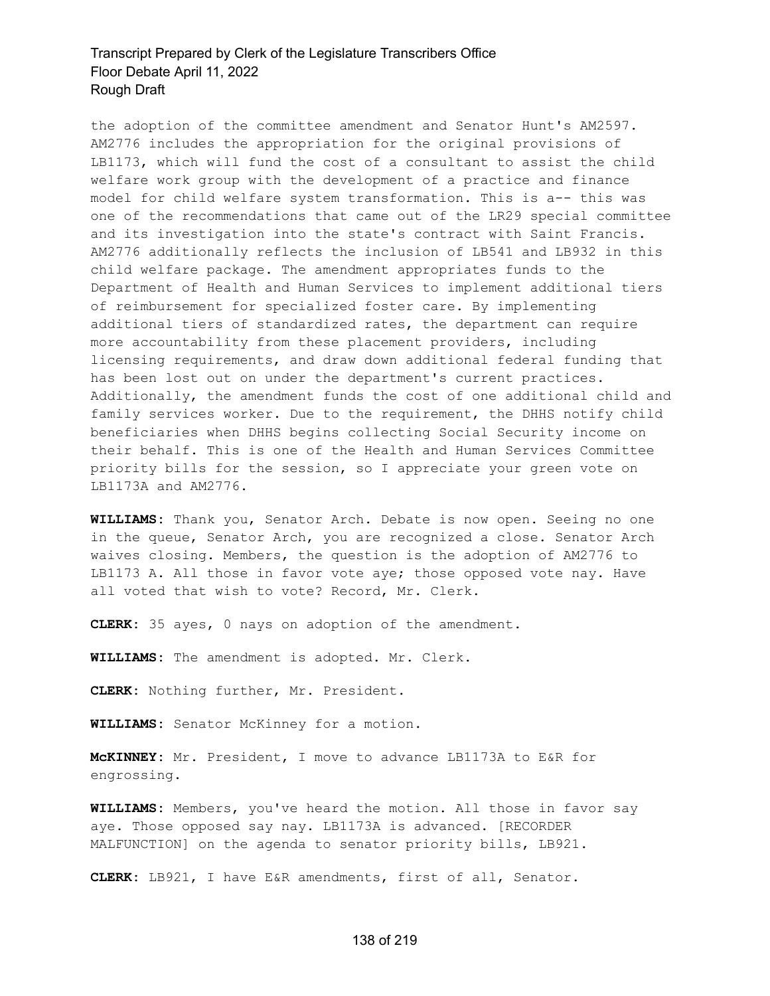the adoption of the committee amendment and Senator Hunt's AM2597. AM2776 includes the appropriation for the original provisions of LB1173, which will fund the cost of a consultant to assist the child welfare work group with the development of a practice and finance model for child welfare system transformation. This is a-- this was one of the recommendations that came out of the LR29 special committee and its investigation into the state's contract with Saint Francis. AM2776 additionally reflects the inclusion of LB541 and LB932 in this child welfare package. The amendment appropriates funds to the Department of Health and Human Services to implement additional tiers of reimbursement for specialized foster care. By implementing additional tiers of standardized rates, the department can require more accountability from these placement providers, including licensing requirements, and draw down additional federal funding that has been lost out on under the department's current practices. Additionally, the amendment funds the cost of one additional child and family services worker. Due to the requirement, the DHHS notify child beneficiaries when DHHS begins collecting Social Security income on their behalf. This is one of the Health and Human Services Committee priority bills for the session, so I appreciate your green vote on LB1173A and AM2776.

**WILLIAMS:** Thank you, Senator Arch. Debate is now open. Seeing no one in the queue, Senator Arch, you are recognized a close. Senator Arch waives closing. Members, the question is the adoption of AM2776 to LB1173 A. All those in favor vote aye; those opposed vote nay. Have all voted that wish to vote? Record, Mr. Clerk.

**CLERK:** 35 ayes, 0 nays on adoption of the amendment.

**WILLIAMS:** The amendment is adopted. Mr. Clerk.

**CLERK:** Nothing further, Mr. President.

**WILLIAMS:** Senator McKinney for a motion.

**McKINNEY:** Mr. President, I move to advance LB1173A to E&R for engrossing.

**WILLIAMS:** Members, you've heard the motion. All those in favor say aye. Those opposed say nay. LB1173A is advanced. [RECORDER MALFUNCTION] on the agenda to senator priority bills, LB921.

**CLERK:** LB921, I have E&R amendments, first of all, Senator.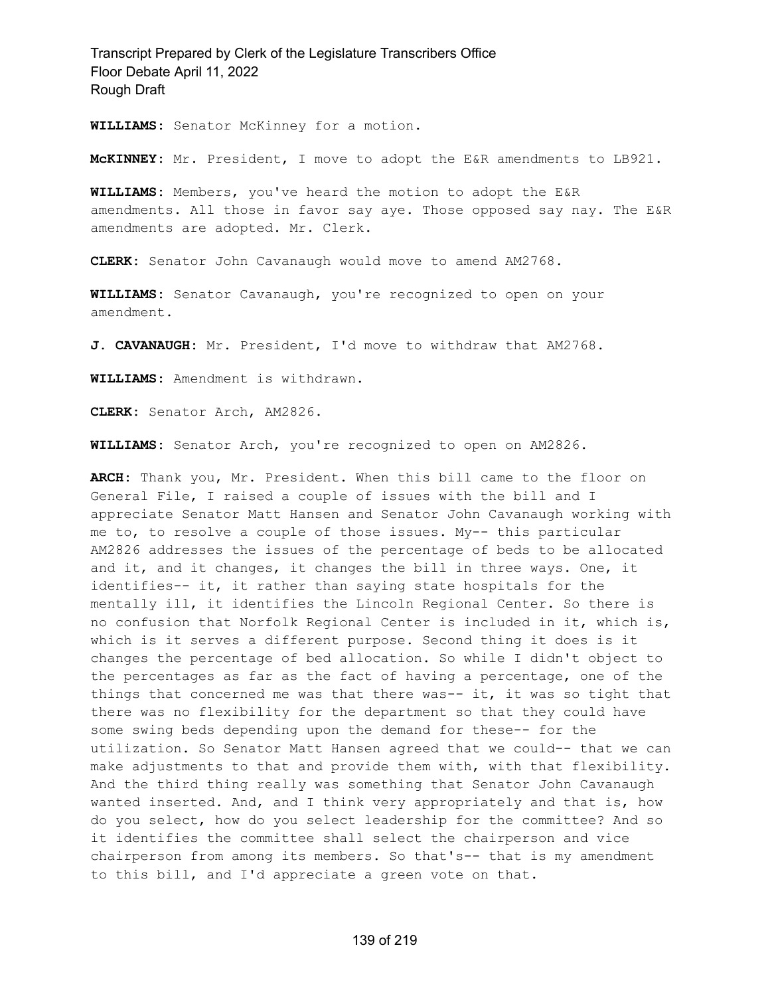**WILLIAMS:** Senator McKinney for a motion.

**McKINNEY:** Mr. President, I move to adopt the E&R amendments to LB921.

**WILLIAMS:** Members, you've heard the motion to adopt the E&R amendments. All those in favor say aye. Those opposed say nay. The E&R amendments are adopted. Mr. Clerk.

**CLERK:** Senator John Cavanaugh would move to amend AM2768.

**WILLIAMS:** Senator Cavanaugh, you're recognized to open on your amendment.

**J. CAVANAUGH:** Mr. President, I'd move to withdraw that AM2768.

**WILLIAMS:** Amendment is withdrawn.

**CLERK:** Senator Arch, AM2826.

**WILLIAMS:** Senator Arch, you're recognized to open on AM2826.

**ARCH:** Thank you, Mr. President. When this bill came to the floor on General File, I raised a couple of issues with the bill and I appreciate Senator Matt Hansen and Senator John Cavanaugh working with me to, to resolve a couple of those issues. My-- this particular AM2826 addresses the issues of the percentage of beds to be allocated and it, and it changes, it changes the bill in three ways. One, it identifies-- it, it rather than saying state hospitals for the mentally ill, it identifies the Lincoln Regional Center. So there is no confusion that Norfolk Regional Center is included in it, which is, which is it serves a different purpose. Second thing it does is it changes the percentage of bed allocation. So while I didn't object to the percentages as far as the fact of having a percentage, one of the things that concerned me was that there was-- it, it was so tight that there was no flexibility for the department so that they could have some swing beds depending upon the demand for these-- for the utilization. So Senator Matt Hansen agreed that we could-- that we can make adjustments to that and provide them with, with that flexibility. And the third thing really was something that Senator John Cavanaugh wanted inserted. And, and I think very appropriately and that is, how do you select, how do you select leadership for the committee? And so it identifies the committee shall select the chairperson and vice chairperson from among its members. So that's-- that is my amendment to this bill, and I'd appreciate a green vote on that.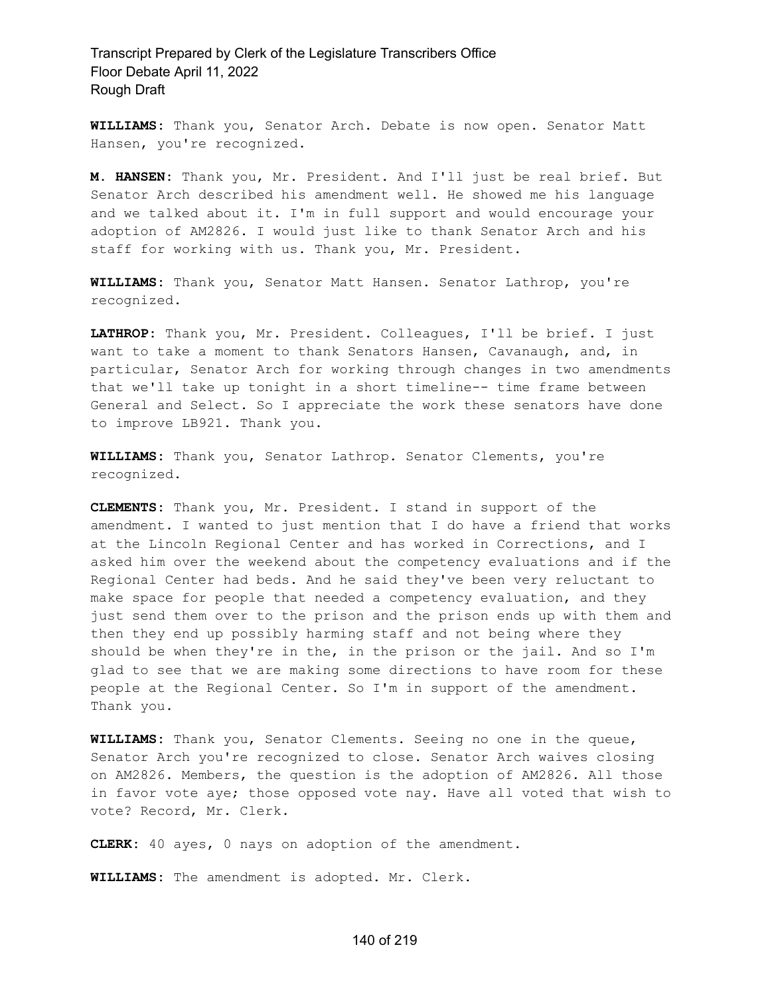**WILLIAMS:** Thank you, Senator Arch. Debate is now open. Senator Matt Hansen, you're recognized.

**M. HANSEN:** Thank you, Mr. President. And I'll just be real brief. But Senator Arch described his amendment well. He showed me his language and we talked about it. I'm in full support and would encourage your adoption of AM2826. I would just like to thank Senator Arch and his staff for working with us. Thank you, Mr. President.

**WILLIAMS:** Thank you, Senator Matt Hansen. Senator Lathrop, you're recognized.

**LATHROP:** Thank you, Mr. President. Colleagues, I'll be brief. I just want to take a moment to thank Senators Hansen, Cavanaugh, and, in particular, Senator Arch for working through changes in two amendments that we'll take up tonight in a short timeline-- time frame between General and Select. So I appreciate the work these senators have done to improve LB921. Thank you.

**WILLIAMS:** Thank you, Senator Lathrop. Senator Clements, you're recognized.

**CLEMENTS:** Thank you, Mr. President. I stand in support of the amendment. I wanted to just mention that I do have a friend that works at the Lincoln Regional Center and has worked in Corrections, and I asked him over the weekend about the competency evaluations and if the Regional Center had beds. And he said they've been very reluctant to make space for people that needed a competency evaluation, and they just send them over to the prison and the prison ends up with them and then they end up possibly harming staff and not being where they should be when they're in the, in the prison or the jail. And so I'm glad to see that we are making some directions to have room for these people at the Regional Center. So I'm in support of the amendment. Thank you.

**WILLIAMS:** Thank you, Senator Clements. Seeing no one in the queue, Senator Arch you're recognized to close. Senator Arch waives closing on AM2826. Members, the question is the adoption of AM2826. All those in favor vote aye; those opposed vote nay. Have all voted that wish to vote? Record, Mr. Clerk.

**CLERK:** 40 ayes, 0 nays on adoption of the amendment.

**WILLIAMS:** The amendment is adopted. Mr. Clerk.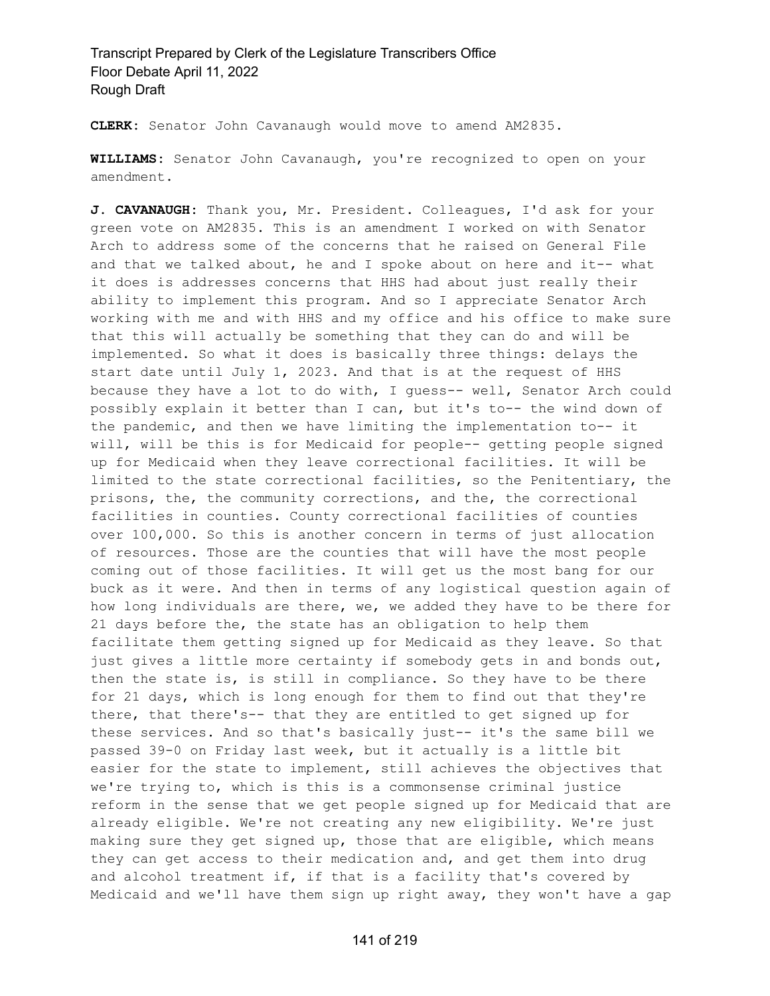**CLERK:** Senator John Cavanaugh would move to amend AM2835.

**WILLIAMS:** Senator John Cavanaugh, you're recognized to open on your amendment.

**J. CAVANAUGH:** Thank you, Mr. President. Colleagues, I'd ask for your green vote on AM2835. This is an amendment I worked on with Senator Arch to address some of the concerns that he raised on General File and that we talked about, he and I spoke about on here and it-- what it does is addresses concerns that HHS had about just really their ability to implement this program. And so I appreciate Senator Arch working with me and with HHS and my office and his office to make sure that this will actually be something that they can do and will be implemented. So what it does is basically three things: delays the start date until July 1, 2023. And that is at the request of HHS because they have a lot to do with, I guess-- well, Senator Arch could possibly explain it better than I can, but it's to-- the wind down of the pandemic, and then we have limiting the implementation to-- it will, will be this is for Medicaid for people-- getting people signed up for Medicaid when they leave correctional facilities. It will be limited to the state correctional facilities, so the Penitentiary, the prisons, the, the community corrections, and the, the correctional facilities in counties. County correctional facilities of counties over 100,000. So this is another concern in terms of just allocation of resources. Those are the counties that will have the most people coming out of those facilities. It will get us the most bang for our buck as it were. And then in terms of any logistical question again of how long individuals are there, we, we added they have to be there for 21 days before the, the state has an obligation to help them facilitate them getting signed up for Medicaid as they leave. So that just gives a little more certainty if somebody gets in and bonds out, then the state is, is still in compliance. So they have to be there for 21 days, which is long enough for them to find out that they're there, that there's-- that they are entitled to get signed up for these services. And so that's basically just-- it's the same bill we passed 39-0 on Friday last week, but it actually is a little bit easier for the state to implement, still achieves the objectives that we're trying to, which is this is a commonsense criminal justice reform in the sense that we get people signed up for Medicaid that are already eligible. We're not creating any new eligibility. We're just making sure they get signed up, those that are eligible, which means they can get access to their medication and, and get them into drug and alcohol treatment if, if that is a facility that's covered by Medicaid and we'll have them sign up right away, they won't have a gap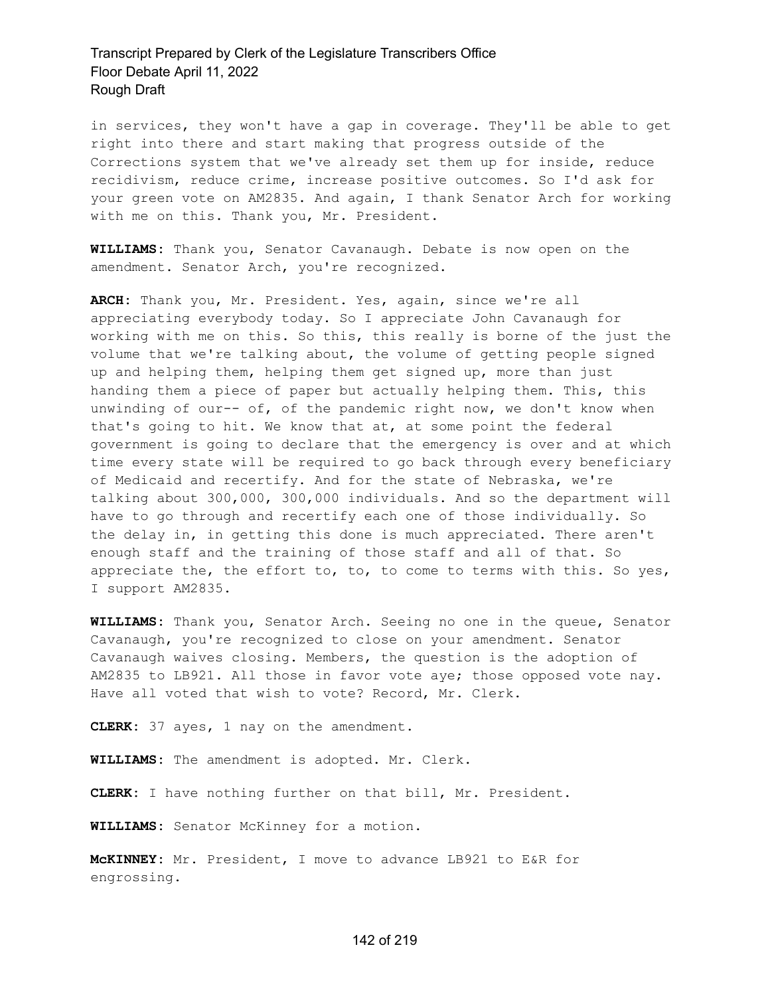in services, they won't have a gap in coverage. They'll be able to get right into there and start making that progress outside of the Corrections system that we've already set them up for inside, reduce recidivism, reduce crime, increase positive outcomes. So I'd ask for your green vote on AM2835. And again, I thank Senator Arch for working with me on this. Thank you, Mr. President.

**WILLIAMS:** Thank you, Senator Cavanaugh. Debate is now open on the amendment. Senator Arch, you're recognized.

**ARCH:** Thank you, Mr. President. Yes, again, since we're all appreciating everybody today. So I appreciate John Cavanaugh for working with me on this. So this, this really is borne of the just the volume that we're talking about, the volume of getting people signed up and helping them, helping them get signed up, more than just handing them a piece of paper but actually helping them. This, this unwinding of our-- of, of the pandemic right now, we don't know when that's going to hit. We know that at, at some point the federal government is going to declare that the emergency is over and at which time every state will be required to go back through every beneficiary of Medicaid and recertify. And for the state of Nebraska, we're talking about 300,000, 300,000 individuals. And so the department will have to go through and recertify each one of those individually. So the delay in, in getting this done is much appreciated. There aren't enough staff and the training of those staff and all of that. So appreciate the, the effort to, to, to come to terms with this. So yes, I support AM2835.

**WILLIAMS:** Thank you, Senator Arch. Seeing no one in the queue, Senator Cavanaugh, you're recognized to close on your amendment. Senator Cavanaugh waives closing. Members, the question is the adoption of AM2835 to LB921. All those in favor vote aye; those opposed vote nay. Have all voted that wish to vote? Record, Mr. Clerk.

**CLERK:** 37 ayes, 1 nay on the amendment.

**WILLIAMS:** The amendment is adopted. Mr. Clerk.

**CLERK:** I have nothing further on that bill, Mr. President.

**WILLIAMS:** Senator McKinney for a motion.

**McKINNEY:** Mr. President, I move to advance LB921 to E&R for engrossing.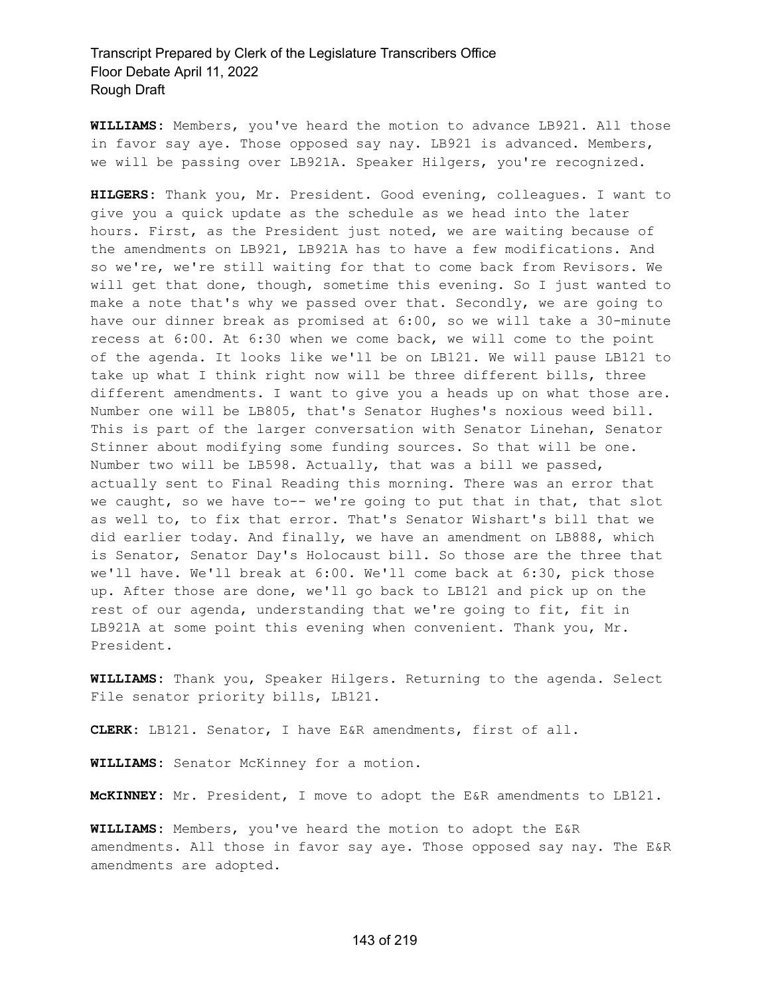**WILLIAMS:** Members, you've heard the motion to advance LB921. All those in favor say aye. Those opposed say nay. LB921 is advanced. Members, we will be passing over LB921A. Speaker Hilgers, you're recognized.

**HILGERS:** Thank you, Mr. President. Good evening, colleagues. I want to give you a quick update as the schedule as we head into the later hours. First, as the President just noted, we are waiting because of the amendments on LB921, LB921A has to have a few modifications. And so we're, we're still waiting for that to come back from Revisors. We will get that done, though, sometime this evening. So I just wanted to make a note that's why we passed over that. Secondly, we are going to have our dinner break as promised at 6:00, so we will take a 30-minute recess at 6:00. At 6:30 when we come back, we will come to the point of the agenda. It looks like we'll be on LB121. We will pause LB121 to take up what I think right now will be three different bills, three different amendments. I want to give you a heads up on what those are. Number one will be LB805, that's Senator Hughes's noxious weed bill. This is part of the larger conversation with Senator Linehan, Senator Stinner about modifying some funding sources. So that will be one. Number two will be LB598. Actually, that was a bill we passed, actually sent to Final Reading this morning. There was an error that we caught, so we have to-- we're going to put that in that, that slot as well to, to fix that error. That's Senator Wishart's bill that we did earlier today. And finally, we have an amendment on LB888, which is Senator, Senator Day's Holocaust bill. So those are the three that we'll have. We'll break at 6:00. We'll come back at 6:30, pick those up. After those are done, we'll go back to LB121 and pick up on the rest of our agenda, understanding that we're going to fit, fit in LB921A at some point this evening when convenient. Thank you, Mr. President.

**WILLIAMS:** Thank you, Speaker Hilgers. Returning to the agenda. Select File senator priority bills, LB121.

**CLERK:** LB121. Senator, I have E&R amendments, first of all.

**WILLIAMS:** Senator McKinney for a motion.

**McKINNEY:** Mr. President, I move to adopt the E&R amendments to LB121.

**WILLIAMS:** Members, you've heard the motion to adopt the E&R amendments. All those in favor say aye. Those opposed say nay. The E&R amendments are adopted.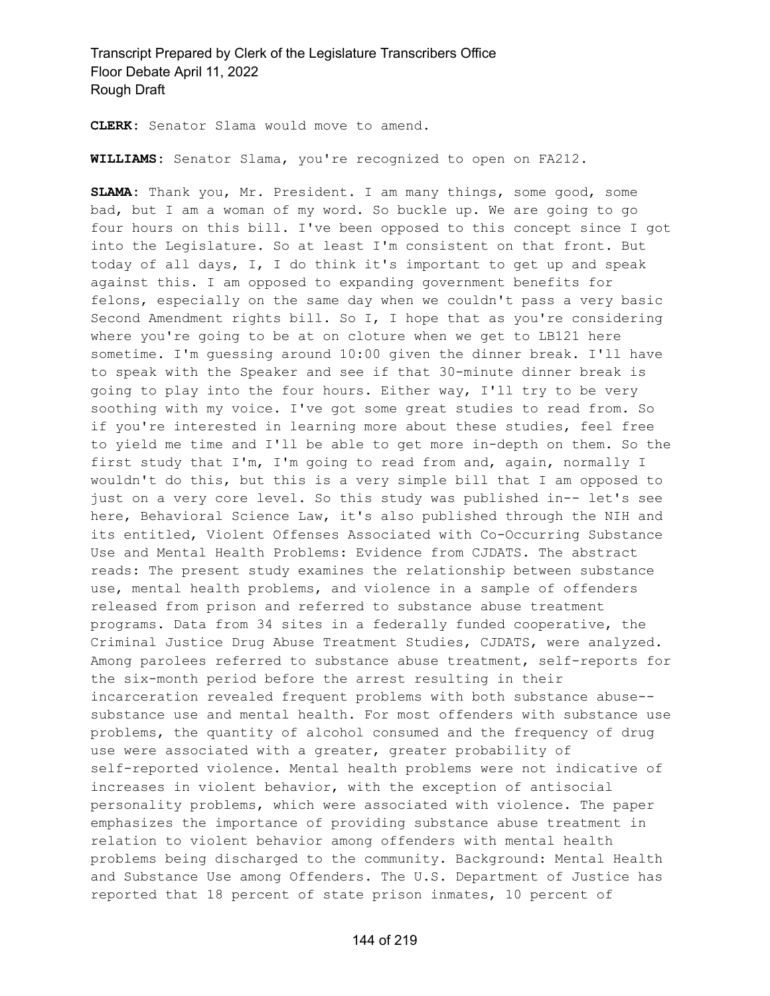**CLERK:** Senator Slama would move to amend.

**WILLIAMS:** Senator Slama, you're recognized to open on FA212.

**SLAMA:** Thank you, Mr. President. I am many things, some good, some bad, but I am a woman of my word. So buckle up. We are going to go four hours on this bill. I've been opposed to this concept since I got into the Legislature. So at least I'm consistent on that front. But today of all days, I, I do think it's important to get up and speak against this. I am opposed to expanding government benefits for felons, especially on the same day when we couldn't pass a very basic Second Amendment rights bill. So I, I hope that as you're considering where you're going to be at on cloture when we get to LB121 here sometime. I'm guessing around 10:00 given the dinner break. I'll have to speak with the Speaker and see if that 30-minute dinner break is going to play into the four hours. Either way, I'll try to be very soothing with my voice. I've got some great studies to read from. So if you're interested in learning more about these studies, feel free to yield me time and I'll be able to get more in-depth on them. So the first study that I'm, I'm going to read from and, again, normally I wouldn't do this, but this is a very simple bill that I am opposed to just on a very core level. So this study was published in-- let's see here, Behavioral Science Law, it's also published through the NIH and its entitled, Violent Offenses Associated with Co-Occurring Substance Use and Mental Health Problems: Evidence from CJDATS. The abstract reads: The present study examines the relationship between substance use, mental health problems, and violence in a sample of offenders released from prison and referred to substance abuse treatment programs. Data from 34 sites in a federally funded cooperative, the Criminal Justice Drug Abuse Treatment Studies, CJDATS, were analyzed. Among parolees referred to substance abuse treatment, self-reports for the six-month period before the arrest resulting in their incarceration revealed frequent problems with both substance abuse- substance use and mental health. For most offenders with substance use problems, the quantity of alcohol consumed and the frequency of drug use were associated with a greater, greater probability of self-reported violence. Mental health problems were not indicative of increases in violent behavior, with the exception of antisocial personality problems, which were associated with violence. The paper emphasizes the importance of providing substance abuse treatment in relation to violent behavior among offenders with mental health problems being discharged to the community. Background: Mental Health and Substance Use among Offenders. The U.S. Department of Justice has reported that 18 percent of state prison inmates, 10 percent of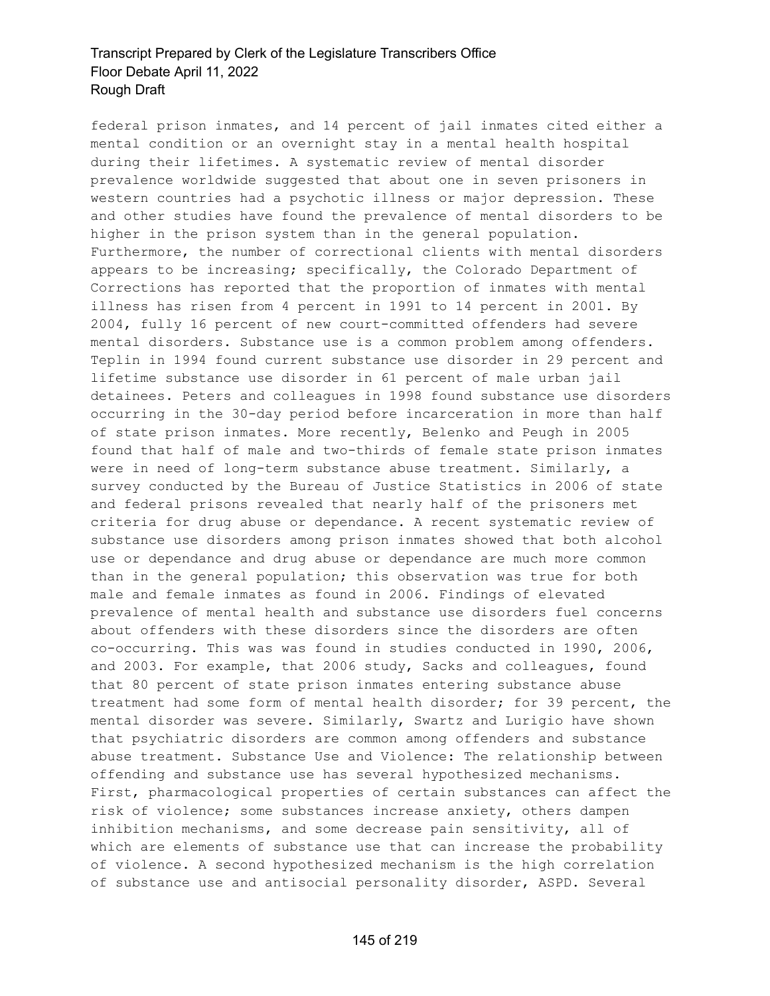federal prison inmates, and 14 percent of jail inmates cited either a mental condition or an overnight stay in a mental health hospital during their lifetimes. A systematic review of mental disorder prevalence worldwide suggested that about one in seven prisoners in western countries had a psychotic illness or major depression. These and other studies have found the prevalence of mental disorders to be higher in the prison system than in the general population. Furthermore, the number of correctional clients with mental disorders appears to be increasing; specifically, the Colorado Department of Corrections has reported that the proportion of inmates with mental illness has risen from 4 percent in 1991 to 14 percent in 2001. By 2004, fully 16 percent of new court-committed offenders had severe mental disorders. Substance use is a common problem among offenders. Teplin in 1994 found current substance use disorder in 29 percent and lifetime substance use disorder in 61 percent of male urban jail detainees. Peters and colleagues in 1998 found substance use disorders occurring in the 30-day period before incarceration in more than half of state prison inmates. More recently, Belenko and Peugh in 2005 found that half of male and two-thirds of female state prison inmates were in need of long-term substance abuse treatment. Similarly, a survey conducted by the Bureau of Justice Statistics in 2006 of state and federal prisons revealed that nearly half of the prisoners met criteria for drug abuse or dependance. A recent systematic review of substance use disorders among prison inmates showed that both alcohol use or dependance and drug abuse or dependance are much more common than in the general population; this observation was true for both male and female inmates as found in 2006. Findings of elevated prevalence of mental health and substance use disorders fuel concerns about offenders with these disorders since the disorders are often co-occurring. This was was found in studies conducted in 1990, 2006, and 2003. For example, that 2006 study, Sacks and colleagues, found that 80 percent of state prison inmates entering substance abuse treatment had some form of mental health disorder; for 39 percent, the mental disorder was severe. Similarly, Swartz and Lurigio have shown that psychiatric disorders are common among offenders and substance abuse treatment. Substance Use and Violence: The relationship between offending and substance use has several hypothesized mechanisms. First, pharmacological properties of certain substances can affect the risk of violence; some substances increase anxiety, others dampen inhibition mechanisms, and some decrease pain sensitivity, all of which are elements of substance use that can increase the probability of violence. A second hypothesized mechanism is the high correlation of substance use and antisocial personality disorder, ASPD. Several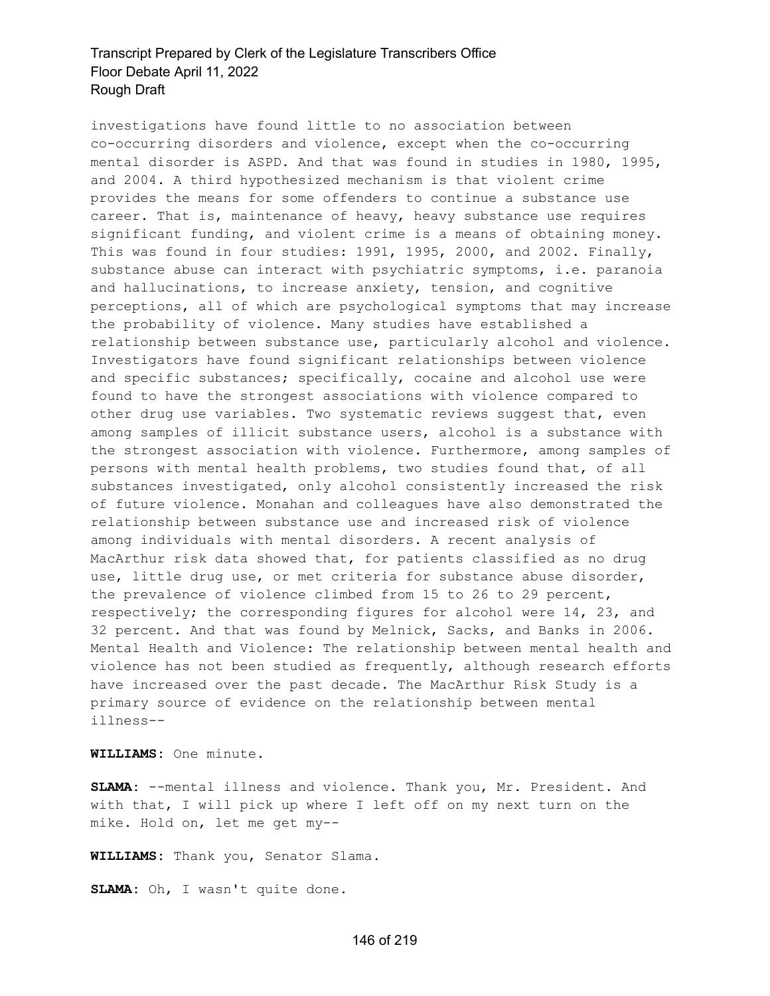investigations have found little to no association between co-occurring disorders and violence, except when the co-occurring mental disorder is ASPD. And that was found in studies in 1980, 1995, and 2004. A third hypothesized mechanism is that violent crime provides the means for some offenders to continue a substance use career. That is, maintenance of heavy, heavy substance use requires significant funding, and violent crime is a means of obtaining money. This was found in four studies: 1991, 1995, 2000, and 2002. Finally, substance abuse can interact with psychiatric symptoms, i.e. paranoia and hallucinations, to increase anxiety, tension, and cognitive perceptions, all of which are psychological symptoms that may increase the probability of violence. Many studies have established a relationship between substance use, particularly alcohol and violence. Investigators have found significant relationships between violence and specific substances; specifically, cocaine and alcohol use were found to have the strongest associations with violence compared to other drug use variables. Two systematic reviews suggest that, even among samples of illicit substance users, alcohol is a substance with the strongest association with violence. Furthermore, among samples of persons with mental health problems, two studies found that, of all substances investigated, only alcohol consistently increased the risk of future violence. Monahan and colleagues have also demonstrated the relationship between substance use and increased risk of violence among individuals with mental disorders. A recent analysis of MacArthur risk data showed that, for patients classified as no drug use, little drug use, or met criteria for substance abuse disorder, the prevalence of violence climbed from 15 to 26 to 29 percent, respectively; the corresponding figures for alcohol were 14, 23, and 32 percent. And that was found by Melnick, Sacks, and Banks in 2006. Mental Health and Violence: The relationship between mental health and violence has not been studied as frequently, although research efforts have increased over the past decade. The MacArthur Risk Study is a primary source of evidence on the relationship between mental illness--

**WILLIAMS:** One minute.

**SLAMA:** --mental illness and violence. Thank you, Mr. President. And with that, I will pick up where I left off on my next turn on the mike. Hold on, let me get my--

**WILLIAMS:** Thank you, Senator Slama.

**SLAMA:** Oh, I wasn't quite done.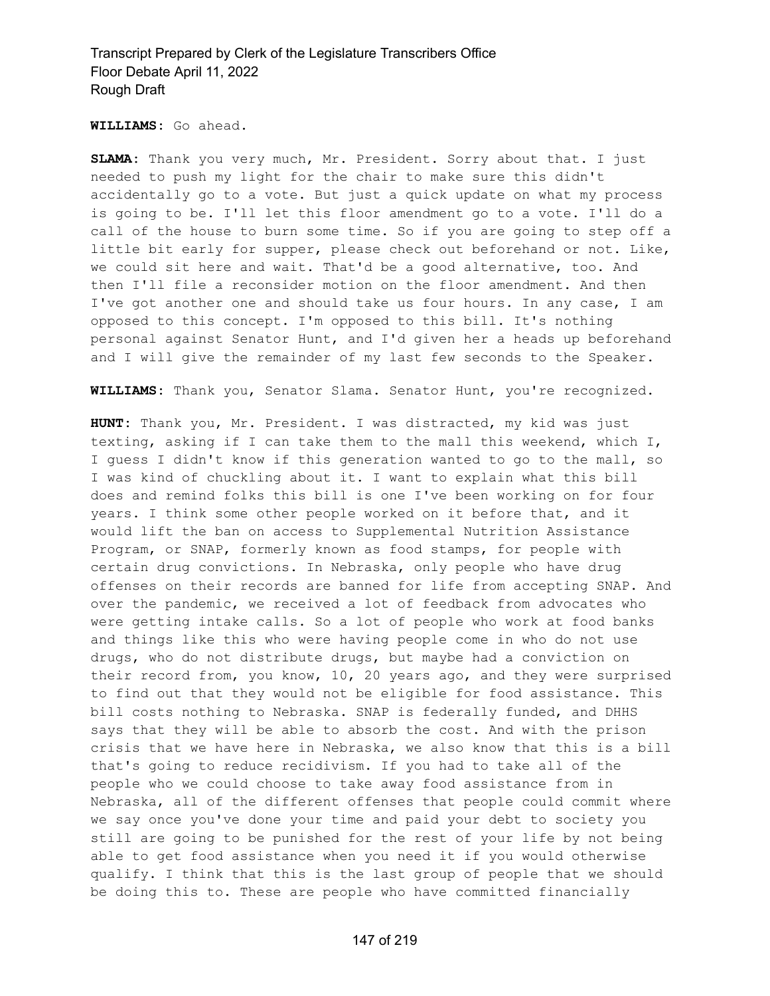**WILLIAMS:** Go ahead.

**SLAMA:** Thank you very much, Mr. President. Sorry about that. I just needed to push my light for the chair to make sure this didn't accidentally go to a vote. But just a quick update on what my process is going to be. I'll let this floor amendment go to a vote. I'll do a call of the house to burn some time. So if you are going to step off a little bit early for supper, please check out beforehand or not. Like, we could sit here and wait. That'd be a good alternative, too. And then I'll file a reconsider motion on the floor amendment. And then I've got another one and should take us four hours. In any case, I am opposed to this concept. I'm opposed to this bill. It's nothing personal against Senator Hunt, and I'd given her a heads up beforehand and I will give the remainder of my last few seconds to the Speaker.

**WILLIAMS:** Thank you, Senator Slama. Senator Hunt, you're recognized.

**HUNT:** Thank you, Mr. President. I was distracted, my kid was just texting, asking if I can take them to the mall this weekend, which I, I guess I didn't know if this generation wanted to go to the mall, so I was kind of chuckling about it. I want to explain what this bill does and remind folks this bill is one I've been working on for four years. I think some other people worked on it before that, and it would lift the ban on access to Supplemental Nutrition Assistance Program, or SNAP, formerly known as food stamps, for people with certain drug convictions. In Nebraska, only people who have drug offenses on their records are banned for life from accepting SNAP. And over the pandemic, we received a lot of feedback from advocates who were getting intake calls. So a lot of people who work at food banks and things like this who were having people come in who do not use drugs, who do not distribute drugs, but maybe had a conviction on their record from, you know, 10, 20 years ago, and they were surprised to find out that they would not be eligible for food assistance. This bill costs nothing to Nebraska. SNAP is federally funded, and DHHS says that they will be able to absorb the cost. And with the prison crisis that we have here in Nebraska, we also know that this is a bill that's going to reduce recidivism. If you had to take all of the people who we could choose to take away food assistance from in Nebraska, all of the different offenses that people could commit where we say once you've done your time and paid your debt to society you still are going to be punished for the rest of your life by not being able to get food assistance when you need it if you would otherwise qualify. I think that this is the last group of people that we should be doing this to. These are people who have committed financially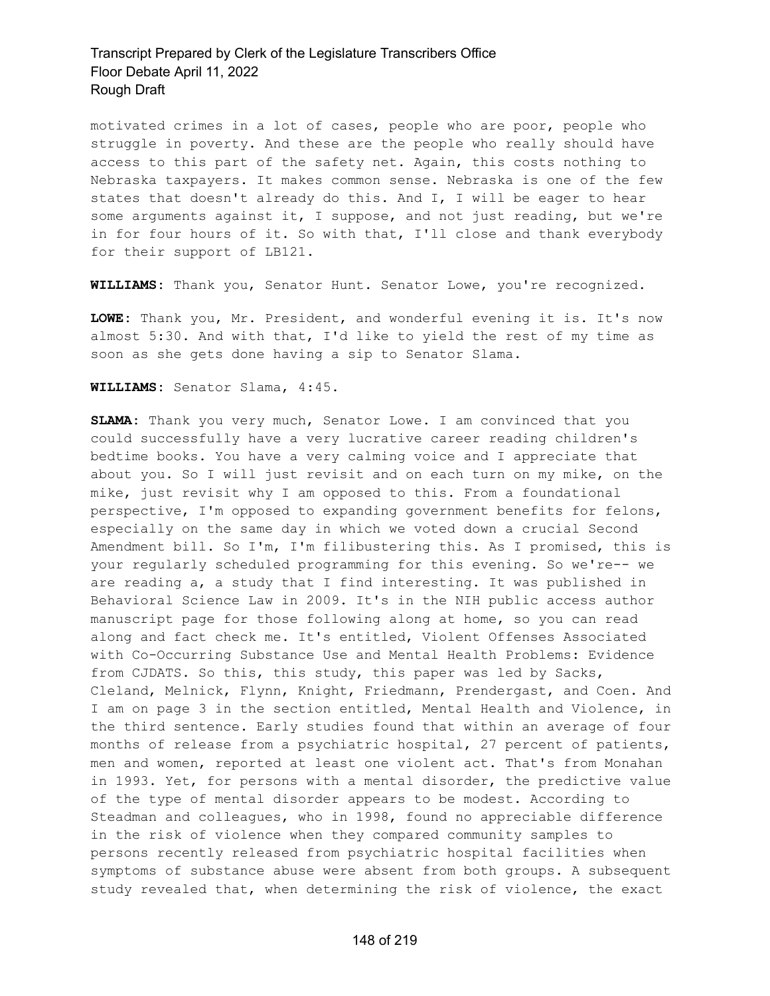motivated crimes in a lot of cases, people who are poor, people who struggle in poverty. And these are the people who really should have access to this part of the safety net. Again, this costs nothing to Nebraska taxpayers. It makes common sense. Nebraska is one of the few states that doesn't already do this. And I, I will be eager to hear some arguments against it, I suppose, and not just reading, but we're in for four hours of it. So with that, I'll close and thank everybody for their support of LB121.

**WILLIAMS:** Thank you, Senator Hunt. Senator Lowe, you're recognized.

**LOWE:** Thank you, Mr. President, and wonderful evening it is. It's now almost 5:30. And with that, I'd like to yield the rest of my time as soon as she gets done having a sip to Senator Slama.

**WILLIAMS:** Senator Slama, 4:45.

**SLAMA:** Thank you very much, Senator Lowe. I am convinced that you could successfully have a very lucrative career reading children's bedtime books. You have a very calming voice and I appreciate that about you. So I will just revisit and on each turn on my mike, on the mike, just revisit why I am opposed to this. From a foundational perspective, I'm opposed to expanding government benefits for felons, especially on the same day in which we voted down a crucial Second Amendment bill. So I'm, I'm filibustering this. As I promised, this is your regularly scheduled programming for this evening. So we're-- we are reading a, a study that I find interesting. It was published in Behavioral Science Law in 2009. It's in the NIH public access author manuscript page for those following along at home, so you can read along and fact check me. It's entitled, Violent Offenses Associated with Co-Occurring Substance Use and Mental Health Problems: Evidence from CJDATS. So this, this study, this paper was led by Sacks, Cleland, Melnick, Flynn, Knight, Friedmann, Prendergast, and Coen. And I am on page 3 in the section entitled, Mental Health and Violence, in the third sentence. Early studies found that within an average of four months of release from a psychiatric hospital, 27 percent of patients, men and women, reported at least one violent act. That's from Monahan in 1993. Yet, for persons with a mental disorder, the predictive value of the type of mental disorder appears to be modest. According to Steadman and colleagues, who in 1998, found no appreciable difference in the risk of violence when they compared community samples to persons recently released from psychiatric hospital facilities when symptoms of substance abuse were absent from both groups. A subsequent study revealed that, when determining the risk of violence, the exact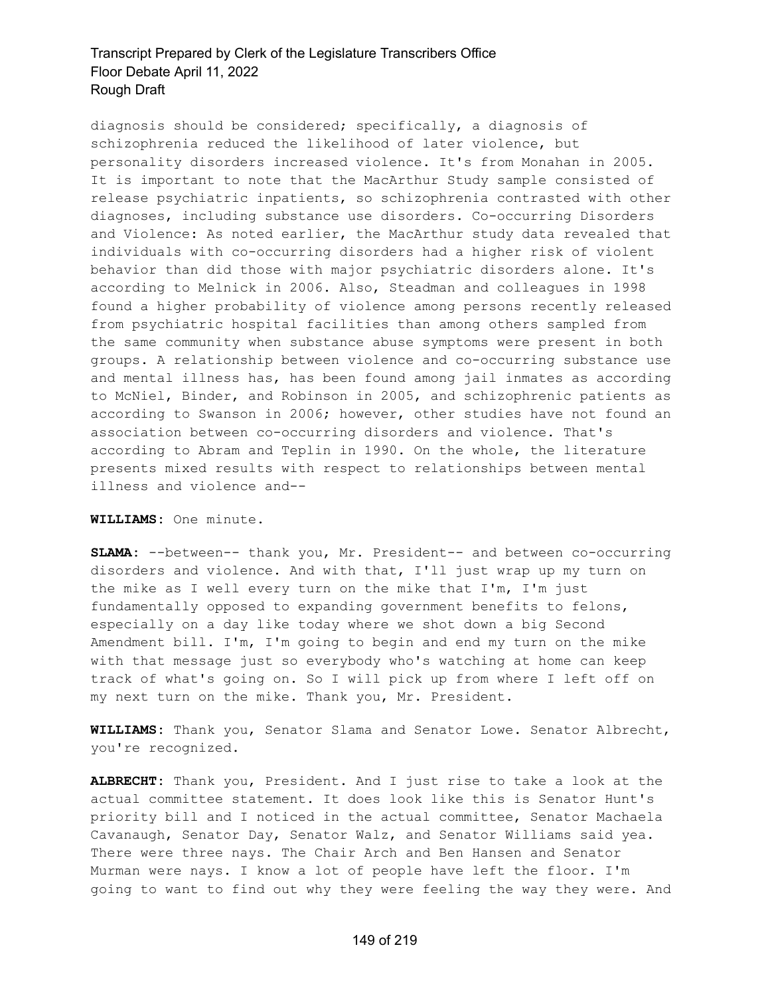diagnosis should be considered; specifically, a diagnosis of schizophrenia reduced the likelihood of later violence, but personality disorders increased violence. It's from Monahan in 2005. It is important to note that the MacArthur Study sample consisted of release psychiatric inpatients, so schizophrenia contrasted with other diagnoses, including substance use disorders. Co-occurring Disorders and Violence: As noted earlier, the MacArthur study data revealed that individuals with co-occurring disorders had a higher risk of violent behavior than did those with major psychiatric disorders alone. It's according to Melnick in 2006. Also, Steadman and colleagues in 1998 found a higher probability of violence among persons recently released from psychiatric hospital facilities than among others sampled from the same community when substance abuse symptoms were present in both groups. A relationship between violence and co-occurring substance use and mental illness has, has been found among jail inmates as according to McNiel, Binder, and Robinson in 2005, and schizophrenic patients as according to Swanson in 2006; however, other studies have not found an association between co-occurring disorders and violence. That's according to Abram and Teplin in 1990. On the whole, the literature presents mixed results with respect to relationships between mental illness and violence and--

**WILLIAMS:** One minute.

**SLAMA:** --between-- thank you, Mr. President-- and between co-occurring disorders and violence. And with that, I'll just wrap up my turn on the mike as I well every turn on the mike that I'm, I'm just fundamentally opposed to expanding government benefits to felons, especially on a day like today where we shot down a big Second Amendment bill. I'm, I'm going to begin and end my turn on the mike with that message just so everybody who's watching at home can keep track of what's going on. So I will pick up from where I left off on my next turn on the mike. Thank you, Mr. President.

**WILLIAMS:** Thank you, Senator Slama and Senator Lowe. Senator Albrecht, you're recognized.

**ALBRECHT:** Thank you, President. And I just rise to take a look at the actual committee statement. It does look like this is Senator Hunt's priority bill and I noticed in the actual committee, Senator Machaela Cavanaugh, Senator Day, Senator Walz, and Senator Williams said yea. There were three nays. The Chair Arch and Ben Hansen and Senator Murman were nays. I know a lot of people have left the floor. I'm going to want to find out why they were feeling the way they were. And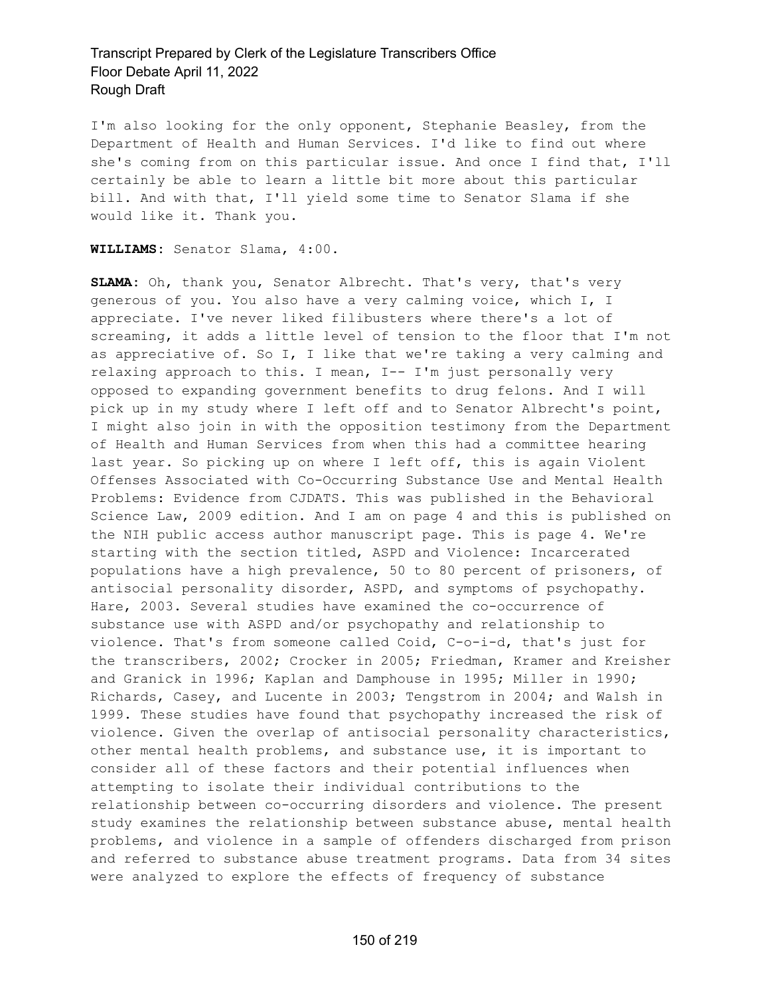I'm also looking for the only opponent, Stephanie Beasley, from the Department of Health and Human Services. I'd like to find out where she's coming from on this particular issue. And once I find that, I'll certainly be able to learn a little bit more about this particular bill. And with that, I'll yield some time to Senator Slama if she would like it. Thank you.

#### **WILLIAMS:** Senator Slama, 4:00.

**SLAMA:** Oh, thank you, Senator Albrecht. That's very, that's very generous of you. You also have a very calming voice, which I, I appreciate. I've never liked filibusters where there's a lot of screaming, it adds a little level of tension to the floor that I'm not as appreciative of. So I, I like that we're taking a very calming and relaxing approach to this. I mean, I-- I'm just personally very opposed to expanding government benefits to drug felons. And I will pick up in my study where I left off and to Senator Albrecht's point, I might also join in with the opposition testimony from the Department of Health and Human Services from when this had a committee hearing last year. So picking up on where I left off, this is again Violent Offenses Associated with Co-Occurring Substance Use and Mental Health Problems: Evidence from CJDATS. This was published in the Behavioral Science Law, 2009 edition. And I am on page 4 and this is published on the NIH public access author manuscript page. This is page 4. We're starting with the section titled, ASPD and Violence: Incarcerated populations have a high prevalence, 50 to 80 percent of prisoners, of antisocial personality disorder, ASPD, and symptoms of psychopathy. Hare, 2003. Several studies have examined the co-occurrence of substance use with ASPD and/or psychopathy and relationship to violence. That's from someone called Coid, C-o-i-d, that's just for the transcribers, 2002; Crocker in 2005; Friedman, Kramer and Kreisher and Granick in 1996; Kaplan and Damphouse in 1995; Miller in 1990; Richards, Casey, and Lucente in 2003; Tengstrom in 2004; and Walsh in 1999. These studies have found that psychopathy increased the risk of violence. Given the overlap of antisocial personality characteristics, other mental health problems, and substance use, it is important to consider all of these factors and their potential influences when attempting to isolate their individual contributions to the relationship between co-occurring disorders and violence. The present study examines the relationship between substance abuse, mental health problems, and violence in a sample of offenders discharged from prison and referred to substance abuse treatment programs. Data from 34 sites were analyzed to explore the effects of frequency of substance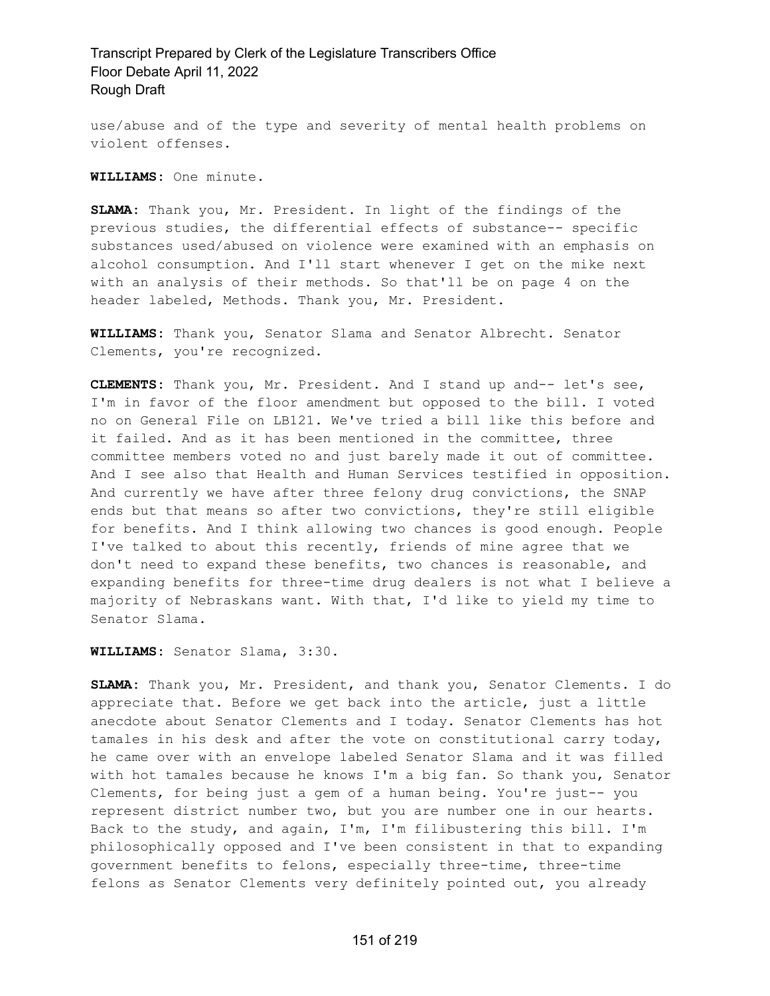use/abuse and of the type and severity of mental health problems on violent offenses.

**WILLIAMS:** One minute.

**SLAMA:** Thank you, Mr. President. In light of the findings of the previous studies, the differential effects of substance-- specific substances used/abused on violence were examined with an emphasis on alcohol consumption. And I'll start whenever I get on the mike next with an analysis of their methods. So that'll be on page 4 on the header labeled, Methods. Thank you, Mr. President.

**WILLIAMS:** Thank you, Senator Slama and Senator Albrecht. Senator Clements, you're recognized.

**CLEMENTS:** Thank you, Mr. President. And I stand up and-- let's see, I'm in favor of the floor amendment but opposed to the bill. I voted no on General File on LB121. We've tried a bill like this before and it failed. And as it has been mentioned in the committee, three committee members voted no and just barely made it out of committee. And I see also that Health and Human Services testified in opposition. And currently we have after three felony drug convictions, the SNAP ends but that means so after two convictions, they're still eligible for benefits. And I think allowing two chances is good enough. People I've talked to about this recently, friends of mine agree that we don't need to expand these benefits, two chances is reasonable, and expanding benefits for three-time drug dealers is not what I believe a majority of Nebraskans want. With that, I'd like to yield my time to Senator Slama.

**WILLIAMS:** Senator Slama, 3:30.

**SLAMA:** Thank you, Mr. President, and thank you, Senator Clements. I do appreciate that. Before we get back into the article, just a little anecdote about Senator Clements and I today. Senator Clements has hot tamales in his desk and after the vote on constitutional carry today, he came over with an envelope labeled Senator Slama and it was filled with hot tamales because he knows I'm a big fan. So thank you, Senator Clements, for being just a gem of a human being. You're just-- you represent district number two, but you are number one in our hearts. Back to the study, and again, I'm, I'm filibustering this bill. I'm philosophically opposed and I've been consistent in that to expanding government benefits to felons, especially three-time, three-time felons as Senator Clements very definitely pointed out, you already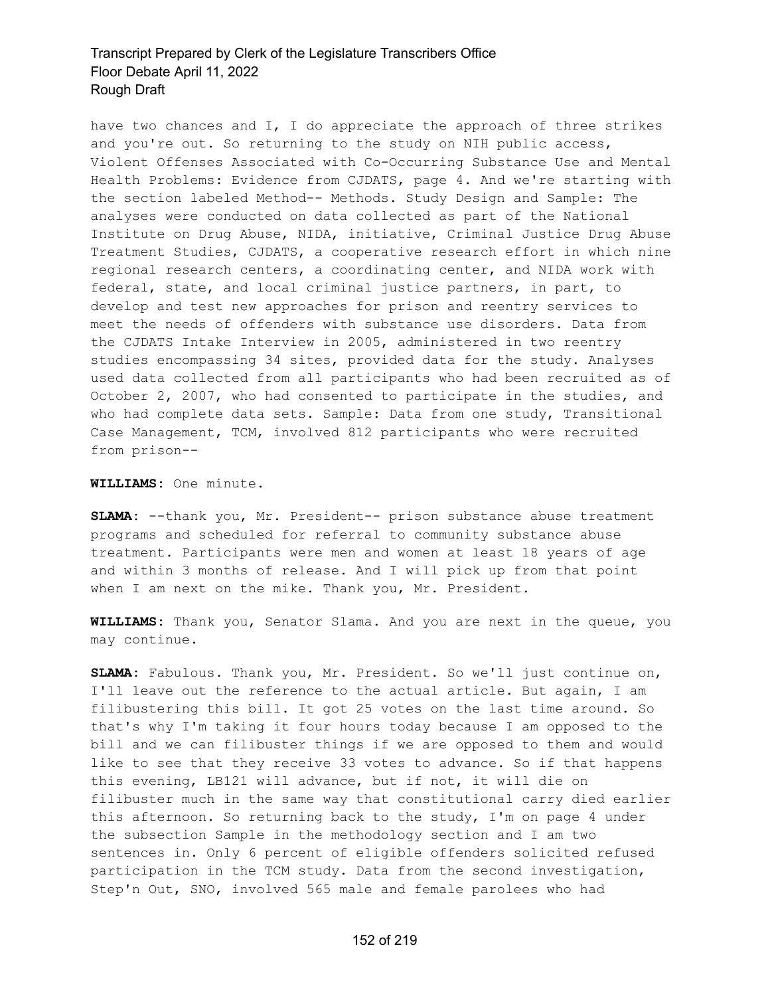have two chances and I, I do appreciate the approach of three strikes and you're out. So returning to the study on NIH public access, Violent Offenses Associated with Co-Occurring Substance Use and Mental Health Problems: Evidence from CJDATS, page 4. And we're starting with the section labeled Method-- Methods. Study Design and Sample: The analyses were conducted on data collected as part of the National Institute on Drug Abuse, NIDA, initiative, Criminal Justice Drug Abuse Treatment Studies, CJDATS, a cooperative research effort in which nine regional research centers, a coordinating center, and NIDA work with federal, state, and local criminal justice partners, in part, to develop and test new approaches for prison and reentry services to meet the needs of offenders with substance use disorders. Data from the CJDATS Intake Interview in 2005, administered in two reentry studies encompassing 34 sites, provided data for the study. Analyses used data collected from all participants who had been recruited as of October 2, 2007, who had consented to participate in the studies, and who had complete data sets. Sample: Data from one study, Transitional Case Management, TCM, involved 812 participants who were recruited from prison--

**WILLIAMS:** One minute.

**SLAMA:** --thank you, Mr. President-- prison substance abuse treatment programs and scheduled for referral to community substance abuse treatment. Participants were men and women at least 18 years of age and within 3 months of release. And I will pick up from that point when I am next on the mike. Thank you, Mr. President.

**WILLIAMS:** Thank you, Senator Slama. And you are next in the queue, you may continue.

**SLAMA:** Fabulous. Thank you, Mr. President. So we'll just continue on, I'll leave out the reference to the actual article. But again, I am filibustering this bill. It got 25 votes on the last time around. So that's why I'm taking it four hours today because I am opposed to the bill and we can filibuster things if we are opposed to them and would like to see that they receive 33 votes to advance. So if that happens this evening, LB121 will advance, but if not, it will die on filibuster much in the same way that constitutional carry died earlier this afternoon. So returning back to the study, I'm on page 4 under the subsection Sample in the methodology section and I am two sentences in. Only 6 percent of eligible offenders solicited refused participation in the TCM study. Data from the second investigation, Step'n Out, SNO, involved 565 male and female parolees who had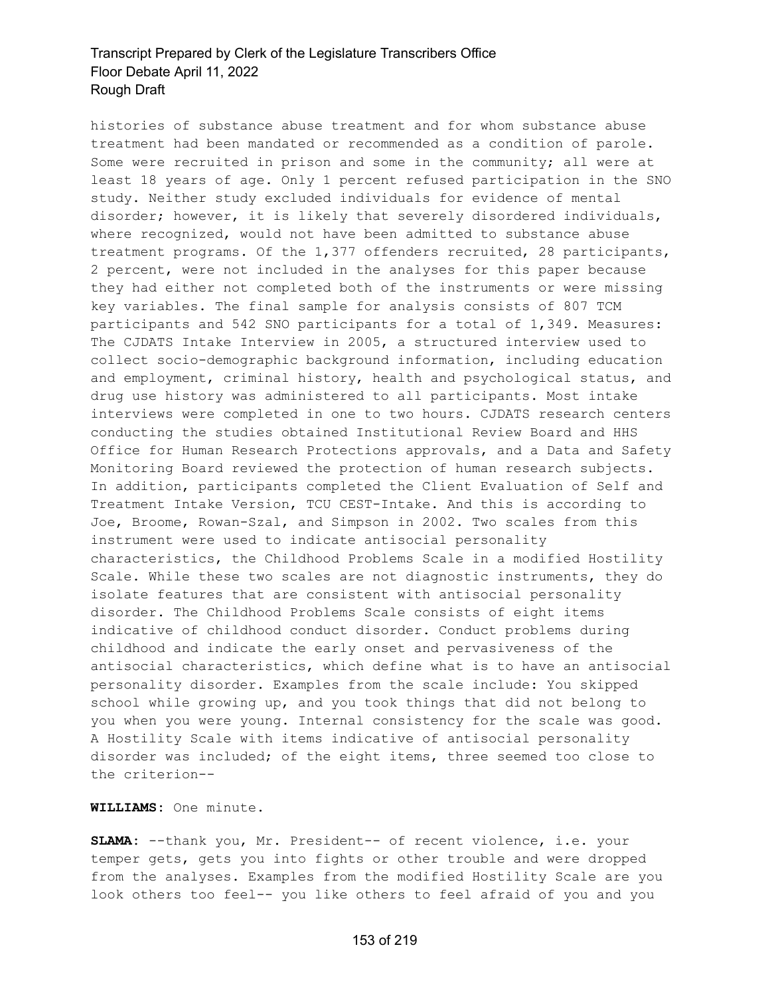histories of substance abuse treatment and for whom substance abuse treatment had been mandated or recommended as a condition of parole. Some were recruited in prison and some in the community; all were at least 18 years of age. Only 1 percent refused participation in the SNO study. Neither study excluded individuals for evidence of mental disorder; however, it is likely that severely disordered individuals, where recognized, would not have been admitted to substance abuse treatment programs. Of the 1,377 offenders recruited, 28 participants, 2 percent, were not included in the analyses for this paper because they had either not completed both of the instruments or were missing key variables. The final sample for analysis consists of 807 TCM participants and 542 SNO participants for a total of 1,349. Measures: The CJDATS Intake Interview in 2005, a structured interview used to collect socio-demographic background information, including education and employment, criminal history, health and psychological status, and drug use history was administered to all participants. Most intake interviews were completed in one to two hours. CJDATS research centers conducting the studies obtained Institutional Review Board and HHS Office for Human Research Protections approvals, and a Data and Safety Monitoring Board reviewed the protection of human research subjects. In addition, participants completed the Client Evaluation of Self and Treatment Intake Version, TCU CEST-Intake. And this is according to Joe, Broome, Rowan-Szal, and Simpson in 2002. Two scales from this instrument were used to indicate antisocial personality characteristics, the Childhood Problems Scale in a modified Hostility Scale. While these two scales are not diagnostic instruments, they do isolate features that are consistent with antisocial personality disorder. The Childhood Problems Scale consists of eight items indicative of childhood conduct disorder. Conduct problems during childhood and indicate the early onset and pervasiveness of the antisocial characteristics, which define what is to have an antisocial personality disorder. Examples from the scale include: You skipped school while growing up, and you took things that did not belong to you when you were young. Internal consistency for the scale was good. A Hostility Scale with items indicative of antisocial personality disorder was included; of the eight items, three seemed too close to the criterion--

**WILLIAMS:** One minute.

**SLAMA:** --thank you, Mr. President-- of recent violence, i.e. your temper gets, gets you into fights or other trouble and were dropped from the analyses. Examples from the modified Hostility Scale are you look others too feel-- you like others to feel afraid of you and you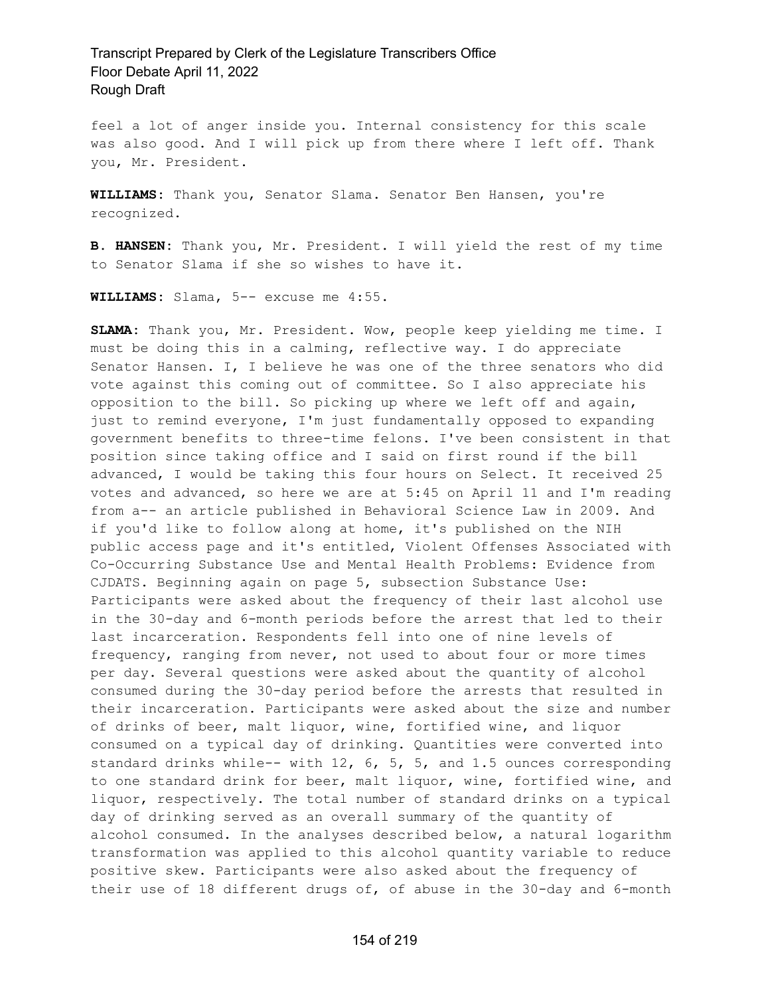feel a lot of anger inside you. Internal consistency for this scale was also good. And I will pick up from there where I left off. Thank you, Mr. President.

**WILLIAMS:** Thank you, Senator Slama. Senator Ben Hansen, you're recognized.

**B. HANSEN:** Thank you, Mr. President. I will yield the rest of my time to Senator Slama if she so wishes to have it.

**WILLIAMS:** Slama, 5-- excuse me 4:55.

**SLAMA:** Thank you, Mr. President. Wow, people keep yielding me time. I must be doing this in a calming, reflective way. I do appreciate Senator Hansen. I, I believe he was one of the three senators who did vote against this coming out of committee. So I also appreciate his opposition to the bill. So picking up where we left off and again, just to remind everyone, I'm just fundamentally opposed to expanding government benefits to three-time felons. I've been consistent in that position since taking office and I said on first round if the bill advanced, I would be taking this four hours on Select. It received 25 votes and advanced, so here we are at 5:45 on April 11 and I'm reading from a-- an article published in Behavioral Science Law in 2009. And if you'd like to follow along at home, it's published on the NIH public access page and it's entitled, Violent Offenses Associated with Co-Occurring Substance Use and Mental Health Problems: Evidence from CJDATS. Beginning again on page 5, subsection Substance Use: Participants were asked about the frequency of their last alcohol use in the 30-day and 6-month periods before the arrest that led to their last incarceration. Respondents fell into one of nine levels of frequency, ranging from never, not used to about four or more times per day. Several questions were asked about the quantity of alcohol consumed during the 30-day period before the arrests that resulted in their incarceration. Participants were asked about the size and number of drinks of beer, malt liquor, wine, fortified wine, and liquor consumed on a typical day of drinking. Quantities were converted into standard drinks while-- with 12, 6, 5, 5, and 1.5 ounces corresponding to one standard drink for beer, malt liquor, wine, fortified wine, and liquor, respectively. The total number of standard drinks on a typical day of drinking served as an overall summary of the quantity of alcohol consumed. In the analyses described below, a natural logarithm transformation was applied to this alcohol quantity variable to reduce positive skew. Participants were also asked about the frequency of their use of 18 different drugs of, of abuse in the 30-day and 6-month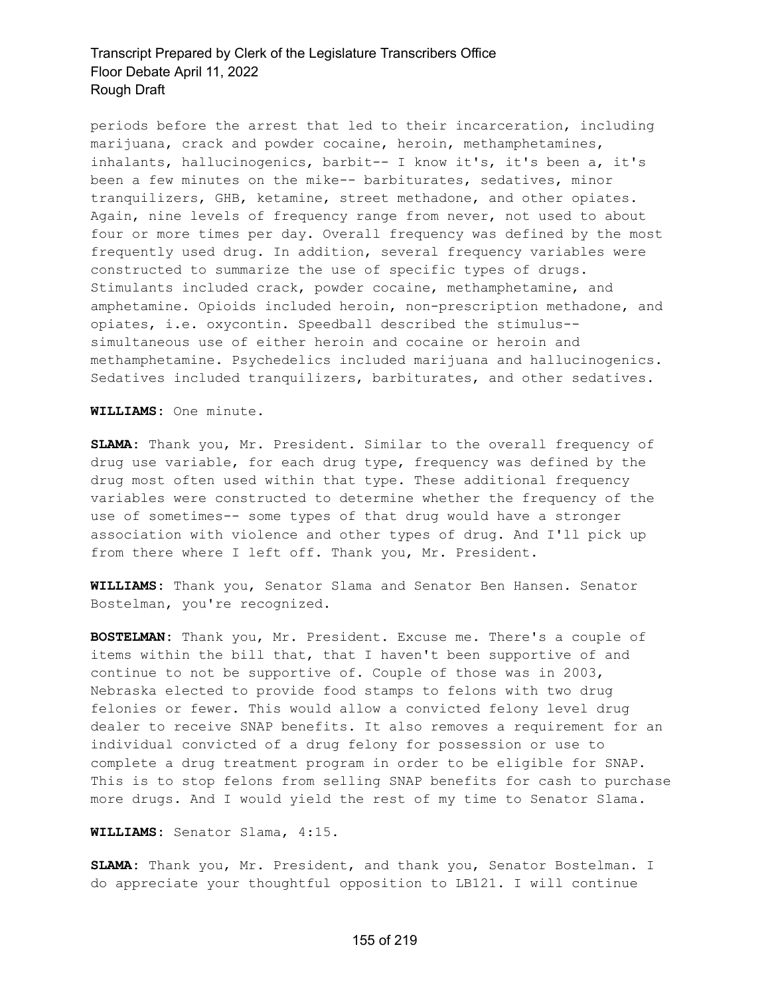periods before the arrest that led to their incarceration, including marijuana, crack and powder cocaine, heroin, methamphetamines, inhalants, hallucinogenics, barbit-- I know it's, it's been a, it's been a few minutes on the mike-- barbiturates, sedatives, minor tranquilizers, GHB, ketamine, street methadone, and other opiates. Again, nine levels of frequency range from never, not used to about four or more times per day. Overall frequency was defined by the most frequently used drug. In addition, several frequency variables were constructed to summarize the use of specific types of drugs. Stimulants included crack, powder cocaine, methamphetamine, and amphetamine. Opioids included heroin, non-prescription methadone, and opiates, i.e. oxycontin. Speedball described the stimulus- simultaneous use of either heroin and cocaine or heroin and methamphetamine. Psychedelics included marijuana and hallucinogenics. Sedatives included tranquilizers, barbiturates, and other sedatives.

**WILLIAMS:** One minute.

**SLAMA:** Thank you, Mr. President. Similar to the overall frequency of drug use variable, for each drug type, frequency was defined by the drug most often used within that type. These additional frequency variables were constructed to determine whether the frequency of the use of sometimes-- some types of that drug would have a stronger association with violence and other types of drug. And I'll pick up from there where I left off. Thank you, Mr. President.

**WILLIAMS:** Thank you, Senator Slama and Senator Ben Hansen. Senator Bostelman, you're recognized.

**BOSTELMAN:** Thank you, Mr. President. Excuse me. There's a couple of items within the bill that, that I haven't been supportive of and continue to not be supportive of. Couple of those was in 2003, Nebraska elected to provide food stamps to felons with two drug felonies or fewer. This would allow a convicted felony level drug dealer to receive SNAP benefits. It also removes a requirement for an individual convicted of a drug felony for possession or use to complete a drug treatment program in order to be eligible for SNAP. This is to stop felons from selling SNAP benefits for cash to purchase more drugs. And I would yield the rest of my time to Senator Slama.

**WILLIAMS:** Senator Slama, 4:15.

**SLAMA:** Thank you, Mr. President, and thank you, Senator Bostelman. I do appreciate your thoughtful opposition to LB121. I will continue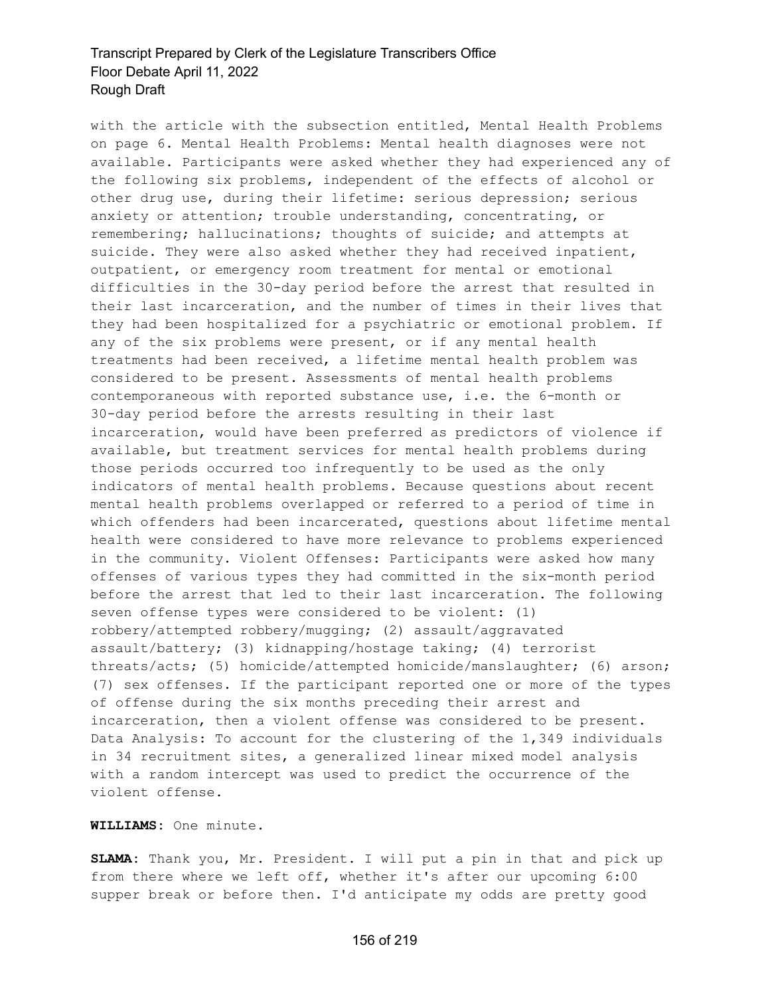with the article with the subsection entitled, Mental Health Problems on page 6. Mental Health Problems: Mental health diagnoses were not available. Participants were asked whether they had experienced any of the following six problems, independent of the effects of alcohol or other drug use, during their lifetime: serious depression; serious anxiety or attention; trouble understanding, concentrating, or remembering; hallucinations; thoughts of suicide; and attempts at suicide. They were also asked whether they had received inpatient, outpatient, or emergency room treatment for mental or emotional difficulties in the 30-day period before the arrest that resulted in their last incarceration, and the number of times in their lives that they had been hospitalized for a psychiatric or emotional problem. If any of the six problems were present, or if any mental health treatments had been received, a lifetime mental health problem was considered to be present. Assessments of mental health problems contemporaneous with reported substance use, i.e. the 6-month or 30-day period before the arrests resulting in their last incarceration, would have been preferred as predictors of violence if available, but treatment services for mental health problems during those periods occurred too infrequently to be used as the only indicators of mental health problems. Because questions about recent mental health problems overlapped or referred to a period of time in which offenders had been incarcerated, questions about lifetime mental health were considered to have more relevance to problems experienced in the community. Violent Offenses: Participants were asked how many offenses of various types they had committed in the six-month period before the arrest that led to their last incarceration. The following seven offense types were considered to be violent: (1) robbery/attempted robbery/mugging; (2) assault/aggravated assault/battery; (3) kidnapping/hostage taking; (4) terrorist threats/acts; (5) homicide/attempted homicide/manslaughter; (6) arson; (7) sex offenses. If the participant reported one or more of the types of offense during the six months preceding their arrest and incarceration, then a violent offense was considered to be present. Data Analysis: To account for the clustering of the 1,349 individuals in 34 recruitment sites, a generalized linear mixed model analysis with a random intercept was used to predict the occurrence of the violent offense.

### **WILLIAMS:** One minute.

**SLAMA:** Thank you, Mr. President. I will put a pin in that and pick up from there where we left off, whether it's after our upcoming 6:00 supper break or before then. I'd anticipate my odds are pretty good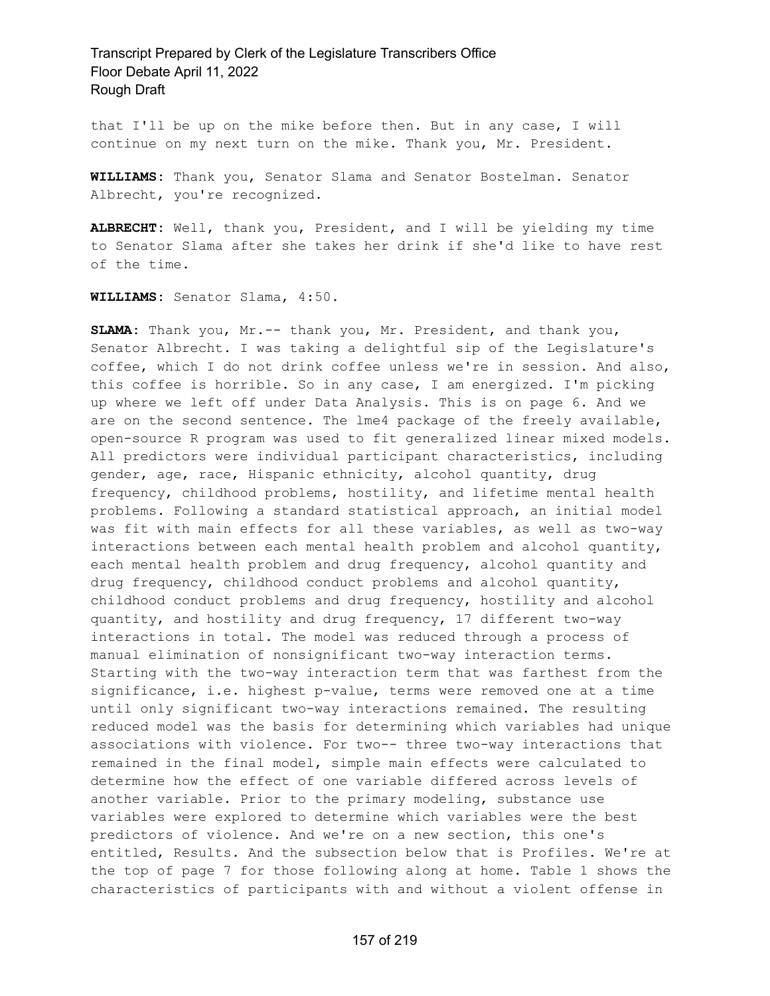that I'll be up on the mike before then. But in any case, I will continue on my next turn on the mike. Thank you, Mr. President.

**WILLIAMS:** Thank you, Senator Slama and Senator Bostelman. Senator Albrecht, you're recognized.

**ALBRECHT:** Well, thank you, President, and I will be yielding my time to Senator Slama after she takes her drink if she'd like to have rest of the time.

**WILLIAMS:** Senator Slama, 4:50.

**SLAMA:** Thank you, Mr.-- thank you, Mr. President, and thank you, Senator Albrecht. I was taking a delightful sip of the Legislature's coffee, which I do not drink coffee unless we're in session. And also, this coffee is horrible. So in any case, I am energized. I'm picking up where we left off under Data Analysis. This is on page 6. And we are on the second sentence. The lme4 package of the freely available, open-source R program was used to fit generalized linear mixed models. All predictors were individual participant characteristics, including gender, age, race, Hispanic ethnicity, alcohol quantity, drug frequency, childhood problems, hostility, and lifetime mental health problems. Following a standard statistical approach, an initial model was fit with main effects for all these variables, as well as two-way interactions between each mental health problem and alcohol quantity, each mental health problem and drug frequency, alcohol quantity and drug frequency, childhood conduct problems and alcohol quantity, childhood conduct problems and drug frequency, hostility and alcohol quantity, and hostility and drug frequency, 17 different two-way interactions in total. The model was reduced through a process of manual elimination of nonsignificant two-way interaction terms. Starting with the two-way interaction term that was farthest from the significance, i.e. highest p-value, terms were removed one at a time until only significant two-way interactions remained. The resulting reduced model was the basis for determining which variables had unique associations with violence. For two-- three two-way interactions that remained in the final model, simple main effects were calculated to determine how the effect of one variable differed across levels of another variable. Prior to the primary modeling, substance use variables were explored to determine which variables were the best predictors of violence. And we're on a new section, this one's entitled, Results. And the subsection below that is Profiles. We're at the top of page 7 for those following along at home. Table 1 shows the characteristics of participants with and without a violent offense in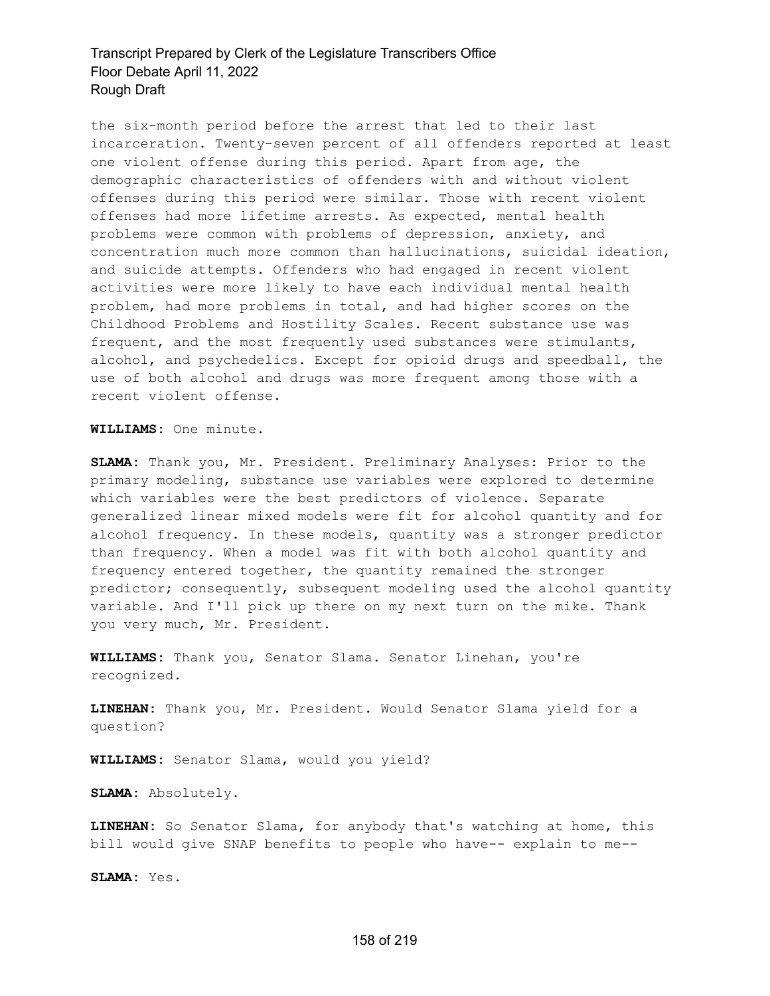the six-month period before the arrest that led to their last incarceration. Twenty-seven percent of all offenders reported at least one violent offense during this period. Apart from age, the demographic characteristics of offenders with and without violent offenses during this period were similar. Those with recent violent offenses had more lifetime arrests. As expected, mental health problems were common with problems of depression, anxiety, and concentration much more common than hallucinations, suicidal ideation, and suicide attempts. Offenders who had engaged in recent violent activities were more likely to have each individual mental health problem, had more problems in total, and had higher scores on the Childhood Problems and Hostility Scales. Recent substance use was frequent, and the most frequently used substances were stimulants, alcohol, and psychedelics. Except for opioid drugs and speedball, the use of both alcohol and drugs was more frequent among those with a recent violent offense.

**WILLIAMS:** One minute.

**SLAMA:** Thank you, Mr. President. Preliminary Analyses: Prior to the primary modeling, substance use variables were explored to determine which variables were the best predictors of violence. Separate generalized linear mixed models were fit for alcohol quantity and for alcohol frequency. In these models, quantity was a stronger predictor than frequency. When a model was fit with both alcohol quantity and frequency entered together, the quantity remained the stronger predictor; consequently, subsequent modeling used the alcohol quantity variable. And I'll pick up there on my next turn on the mike. Thank you very much, Mr. President.

**WILLIAMS:** Thank you, Senator Slama. Senator Linehan, you're recognized.

**LINEHAN:** Thank you, Mr. President. Would Senator Slama yield for a question?

**WILLIAMS:** Senator Slama, would you yield?

**SLAMA:** Absolutely.

**LINEHAN:** So Senator Slama, for anybody that's watching at home, this bill would give SNAP benefits to people who have-- explain to me--

**SLAMA:** Yes.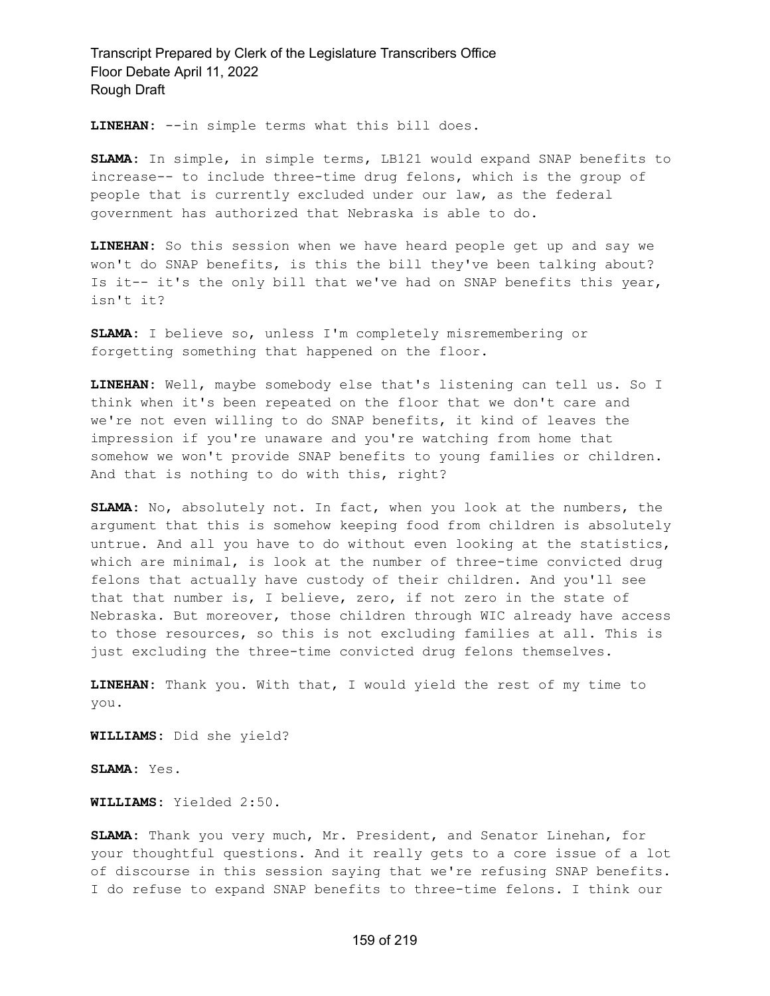**LINEHAN:** --in simple terms what this bill does.

**SLAMA:** In simple, in simple terms, LB121 would expand SNAP benefits to increase-- to include three-time drug felons, which is the group of people that is currently excluded under our law, as the federal government has authorized that Nebraska is able to do.

**LINEHAN:** So this session when we have heard people get up and say we won't do SNAP benefits, is this the bill they've been talking about? Is it-- it's the only bill that we've had on SNAP benefits this year, isn't it?

**SLAMA:** I believe so, unless I'm completely misremembering or forgetting something that happened on the floor.

**LINEHAN:** Well, maybe somebody else that's listening can tell us. So I think when it's been repeated on the floor that we don't care and we're not even willing to do SNAP benefits, it kind of leaves the impression if you're unaware and you're watching from home that somehow we won't provide SNAP benefits to young families or children. And that is nothing to do with this, right?

**SLAMA:** No, absolutely not. In fact, when you look at the numbers, the argument that this is somehow keeping food from children is absolutely untrue. And all you have to do without even looking at the statistics, which are minimal, is look at the number of three-time convicted drug felons that actually have custody of their children. And you'll see that that number is, I believe, zero, if not zero in the state of Nebraska. But moreover, those children through WIC already have access to those resources, so this is not excluding families at all. This is just excluding the three-time convicted drug felons themselves.

**LINEHAN:** Thank you. With that, I would yield the rest of my time to you.

**WILLIAMS:** Did she yield?

**SLAMA:** Yes.

**WILLIAMS:** Yielded 2:50.

**SLAMA:** Thank you very much, Mr. President, and Senator Linehan, for your thoughtful questions. And it really gets to a core issue of a lot of discourse in this session saying that we're refusing SNAP benefits. I do refuse to expand SNAP benefits to three-time felons. I think our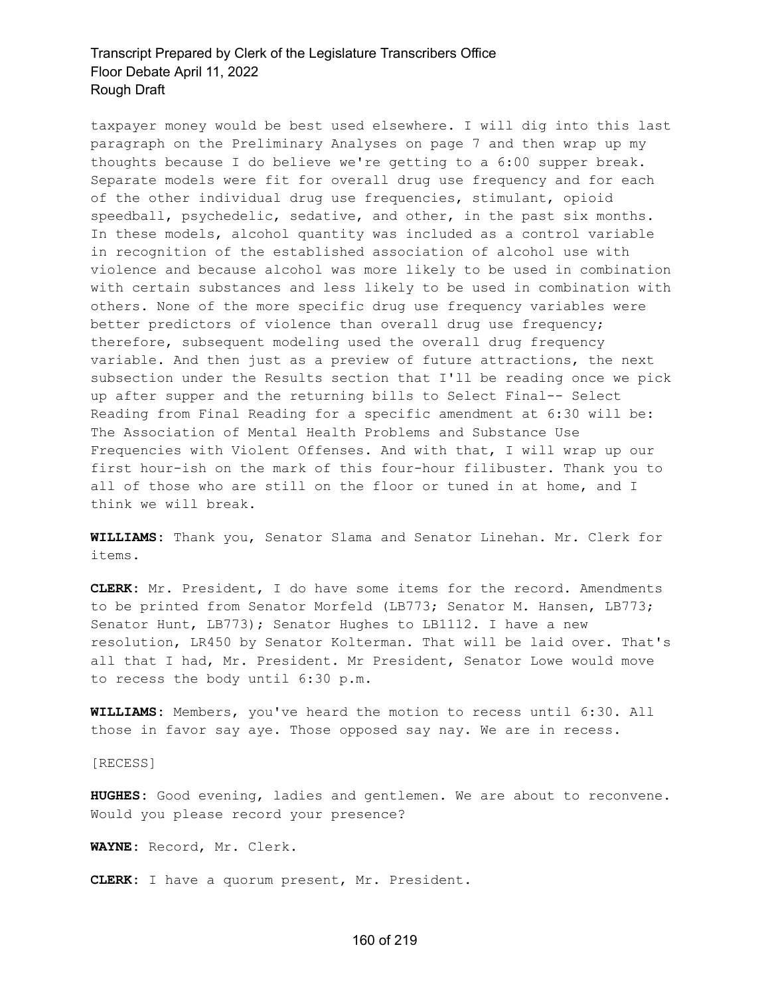taxpayer money would be best used elsewhere. I will dig into this last paragraph on the Preliminary Analyses on page 7 and then wrap up my thoughts because I do believe we're getting to a 6:00 supper break. Separate models were fit for overall drug use frequency and for each of the other individual drug use frequencies, stimulant, opioid speedball, psychedelic, sedative, and other, in the past six months. In these models, alcohol quantity was included as a control variable in recognition of the established association of alcohol use with violence and because alcohol was more likely to be used in combination with certain substances and less likely to be used in combination with others. None of the more specific drug use frequency variables were better predictors of violence than overall drug use frequency; therefore, subsequent modeling used the overall drug frequency variable. And then just as a preview of future attractions, the next subsection under the Results section that I'll be reading once we pick up after supper and the returning bills to Select Final-- Select Reading from Final Reading for a specific amendment at 6:30 will be: The Association of Mental Health Problems and Substance Use Frequencies with Violent Offenses. And with that, I will wrap up our first hour-ish on the mark of this four-hour filibuster. Thank you to all of those who are still on the floor or tuned in at home, and I think we will break.

**WILLIAMS:** Thank you, Senator Slama and Senator Linehan. Mr. Clerk for items.

**CLERK:** Mr. President, I do have some items for the record. Amendments to be printed from Senator Morfeld (LB773; Senator M. Hansen, LB773; Senator Hunt, LB773); Senator Hughes to LB1112. I have a new resolution, LR450 by Senator Kolterman. That will be laid over. That's all that I had, Mr. President. Mr President, Senator Lowe would move to recess the body until 6:30 p.m.

**WILLIAMS:** Members, you've heard the motion to recess until 6:30. All those in favor say aye. Those opposed say nay. We are in recess.

[RECESS]

**HUGHES:** Good evening, ladies and gentlemen. We are about to reconvene. Would you please record your presence?

**WAYNE:** Record, Mr. Clerk.

**CLERK:** I have a quorum present, Mr. President.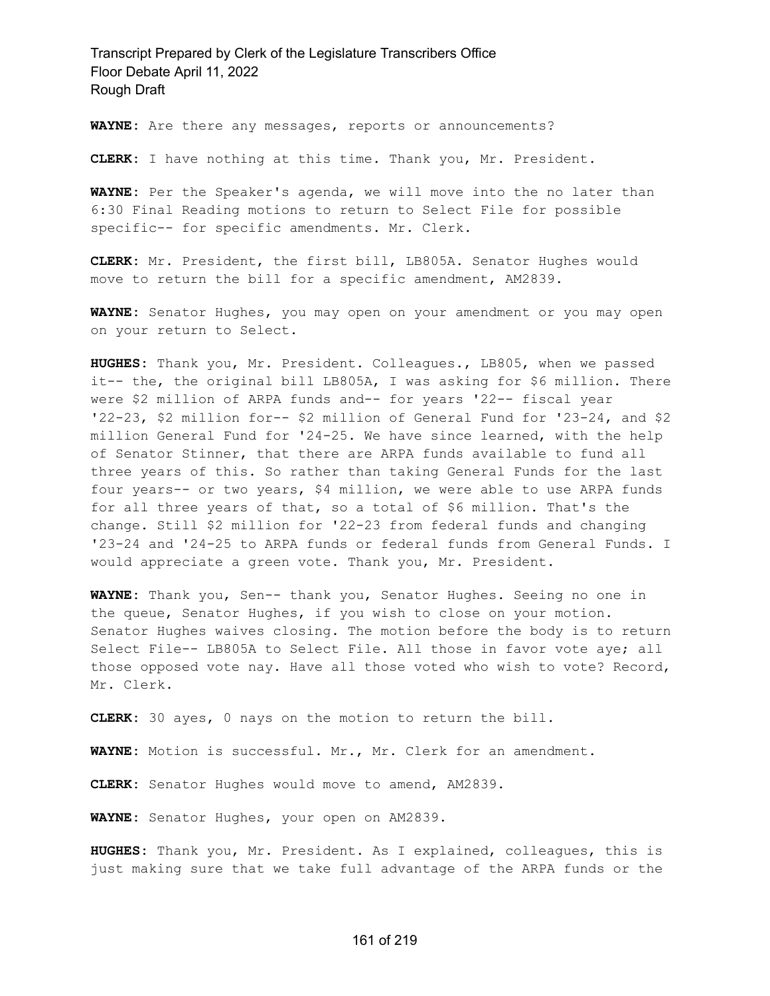**WAYNE:** Are there any messages, reports or announcements?

**CLERK:** I have nothing at this time. Thank you, Mr. President.

**WAYNE:** Per the Speaker's agenda, we will move into the no later than 6:30 Final Reading motions to return to Select File for possible specific-- for specific amendments. Mr. Clerk.

**CLERK:** Mr. President, the first bill, LB805A. Senator Hughes would move to return the bill for a specific amendment, AM2839.

**WAYNE:** Senator Hughes, you may open on your amendment or you may open on your return to Select.

**HUGHES:** Thank you, Mr. President. Colleagues., LB805, when we passed it-- the, the original bill LB805A, I was asking for \$6 million. There were \$2 million of ARPA funds and-- for years '22-- fiscal year '22-23, \$2 million for-- \$2 million of General Fund for '23-24, and \$2 million General Fund for '24-25. We have since learned, with the help of Senator Stinner, that there are ARPA funds available to fund all three years of this. So rather than taking General Funds for the last four years-- or two years, \$4 million, we were able to use ARPA funds for all three years of that, so a total of \$6 million. That's the change. Still \$2 million for '22-23 from federal funds and changing '23-24 and '24-25 to ARPA funds or federal funds from General Funds. I would appreciate a green vote. Thank you, Mr. President.

**WAYNE:** Thank you, Sen-- thank you, Senator Hughes. Seeing no one in the queue, Senator Hughes, if you wish to close on your motion. Senator Hughes waives closing. The motion before the body is to return Select File-- LB805A to Select File. All those in favor vote aye; all those opposed vote nay. Have all those voted who wish to vote? Record, Mr. Clerk.

**CLERK:** 30 ayes, 0 nays on the motion to return the bill.

**WAYNE:** Motion is successful. Mr., Mr. Clerk for an amendment.

**CLERK:** Senator Hughes would move to amend, AM2839.

**WAYNE:** Senator Hughes, your open on AM2839.

**HUGHES:** Thank you, Mr. President. As I explained, colleagues, this is just making sure that we take full advantage of the ARPA funds or the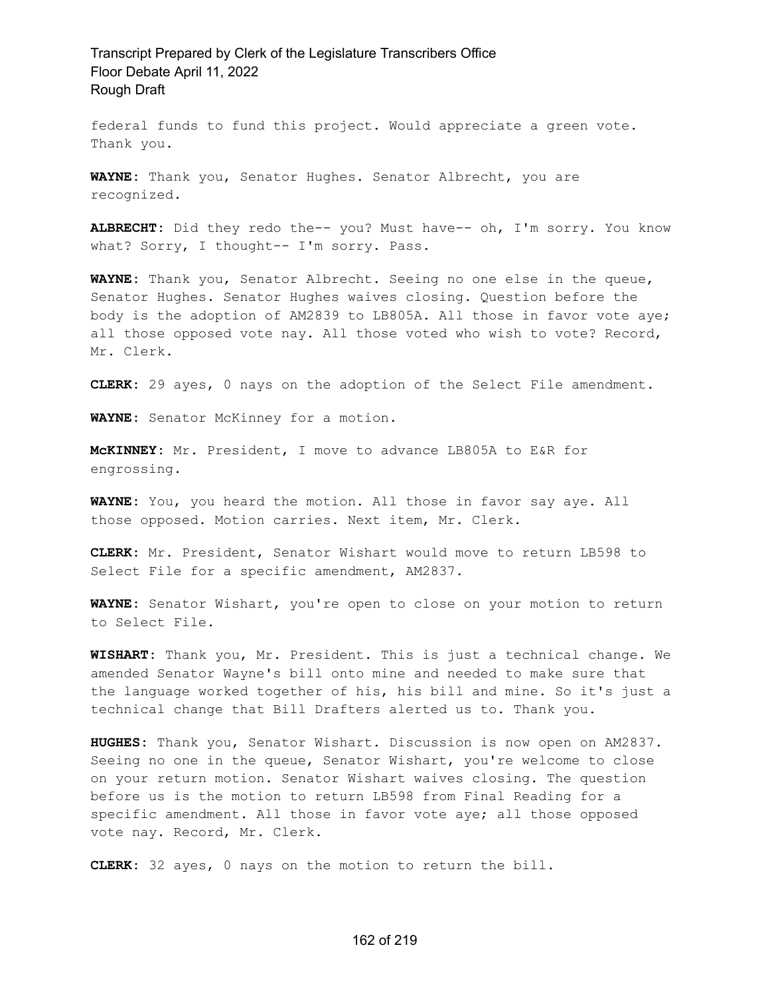federal funds to fund this project. Would appreciate a green vote. Thank you.

**WAYNE:** Thank you, Senator Hughes. Senator Albrecht, you are recognized.

**ALBRECHT:** Did they redo the-- you? Must have-- oh, I'm sorry. You know what? Sorry, I thought-- I'm sorry. Pass.

**WAYNE:** Thank you, Senator Albrecht. Seeing no one else in the queue, Senator Hughes. Senator Hughes waives closing. Question before the body is the adoption of AM2839 to LB805A. All those in favor vote aye; all those opposed vote nay. All those voted who wish to vote? Record, Mr. Clerk.

**CLERK:** 29 ayes, 0 nays on the adoption of the Select File amendment.

**WAYNE:** Senator McKinney for a motion.

**McKINNEY:** Mr. President, I move to advance LB805A to E&R for engrossing.

**WAYNE:** You, you heard the motion. All those in favor say aye. All those opposed. Motion carries. Next item, Mr. Clerk.

**CLERK:** Mr. President, Senator Wishart would move to return LB598 to Select File for a specific amendment, AM2837.

**WAYNE:** Senator Wishart, you're open to close on your motion to return to Select File.

**WISHART:** Thank you, Mr. President. This is just a technical change. We amended Senator Wayne's bill onto mine and needed to make sure that the language worked together of his, his bill and mine. So it's just a technical change that Bill Drafters alerted us to. Thank you.

**HUGHES:** Thank you, Senator Wishart. Discussion is now open on AM2837. Seeing no one in the queue, Senator Wishart, you're welcome to close on your return motion. Senator Wishart waives closing. The question before us is the motion to return LB598 from Final Reading for a specific amendment. All those in favor vote aye; all those opposed vote nay. Record, Mr. Clerk.

**CLERK:** 32 ayes, 0 nays on the motion to return the bill.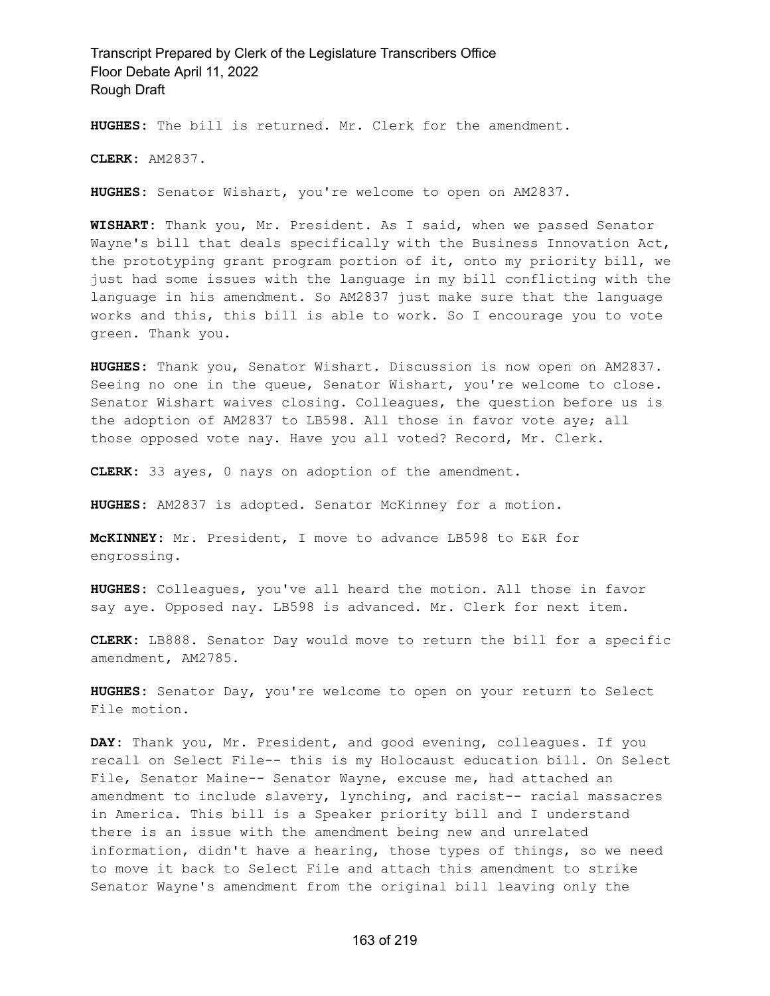**HUGHES:** The bill is returned. Mr. Clerk for the amendment.

**CLERK:** AM2837.

**HUGHES:** Senator Wishart, you're welcome to open on AM2837.

**WISHART:** Thank you, Mr. President. As I said, when we passed Senator Wayne's bill that deals specifically with the Business Innovation Act, the prototyping grant program portion of it, onto my priority bill, we just had some issues with the language in my bill conflicting with the language in his amendment. So AM2837 just make sure that the language works and this, this bill is able to work. So I encourage you to vote green. Thank you.

**HUGHES:** Thank you, Senator Wishart. Discussion is now open on AM2837. Seeing no one in the queue, Senator Wishart, you're welcome to close. Senator Wishart waives closing. Colleagues, the question before us is the adoption of AM2837 to LB598. All those in favor vote aye; all those opposed vote nay. Have you all voted? Record, Mr. Clerk.

**CLERK:** 33 ayes, 0 nays on adoption of the amendment.

**HUGHES:** AM2837 is adopted. Senator McKinney for a motion.

**McKINNEY:** Mr. President, I move to advance LB598 to E&R for engrossing.

**HUGHES:** Colleagues, you've all heard the motion. All those in favor say aye. Opposed nay. LB598 is advanced. Mr. Clerk for next item.

**CLERK:** LB888. Senator Day would move to return the bill for a specific amendment, AM2785.

**HUGHES:** Senator Day, you're welcome to open on your return to Select File motion.

**DAY:** Thank you, Mr. President, and good evening, colleagues. If you recall on Select File-- this is my Holocaust education bill. On Select File, Senator Maine-- Senator Wayne, excuse me, had attached an amendment to include slavery, lynching, and racist-- racial massacres in America. This bill is a Speaker priority bill and I understand there is an issue with the amendment being new and unrelated information, didn't have a hearing, those types of things, so we need to move it back to Select File and attach this amendment to strike Senator Wayne's amendment from the original bill leaving only the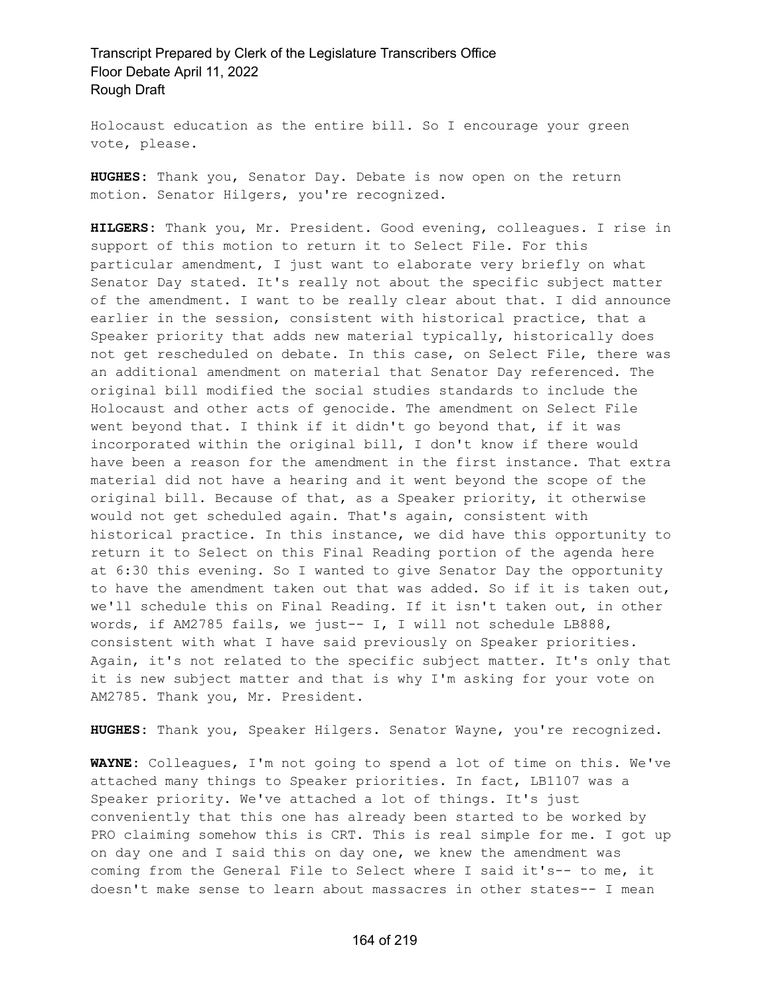Holocaust education as the entire bill. So I encourage your green vote, please.

**HUGHES:** Thank you, Senator Day. Debate is now open on the return motion. Senator Hilgers, you're recognized.

**HILGERS:** Thank you, Mr. President. Good evening, colleagues. I rise in support of this motion to return it to Select File. For this particular amendment, I just want to elaborate very briefly on what Senator Day stated. It's really not about the specific subject matter of the amendment. I want to be really clear about that. I did announce earlier in the session, consistent with historical practice, that a Speaker priority that adds new material typically, historically does not get rescheduled on debate. In this case, on Select File, there was an additional amendment on material that Senator Day referenced. The original bill modified the social studies standards to include the Holocaust and other acts of genocide. The amendment on Select File went beyond that. I think if it didn't go beyond that, if it was incorporated within the original bill, I don't know if there would have been a reason for the amendment in the first instance. That extra material did not have a hearing and it went beyond the scope of the original bill. Because of that, as a Speaker priority, it otherwise would not get scheduled again. That's again, consistent with historical practice. In this instance, we did have this opportunity to return it to Select on this Final Reading portion of the agenda here at 6:30 this evening. So I wanted to give Senator Day the opportunity to have the amendment taken out that was added. So if it is taken out, we'll schedule this on Final Reading. If it isn't taken out, in other words, if AM2785 fails, we just-- I, I will not schedule LB888, consistent with what I have said previously on Speaker priorities. Again, it's not related to the specific subject matter. It's only that it is new subject matter and that is why I'm asking for your vote on AM2785. Thank you, Mr. President.

**HUGHES:** Thank you, Speaker Hilgers. Senator Wayne, you're recognized.

**WAYNE:** Colleagues, I'm not going to spend a lot of time on this. We've attached many things to Speaker priorities. In fact, LB1107 was a Speaker priority. We've attached a lot of things. It's just conveniently that this one has already been started to be worked by PRO claiming somehow this is CRT. This is real simple for me. I got up on day one and I said this on day one, we knew the amendment was coming from the General File to Select where I said it's-- to me, it doesn't make sense to learn about massacres in other states-- I mean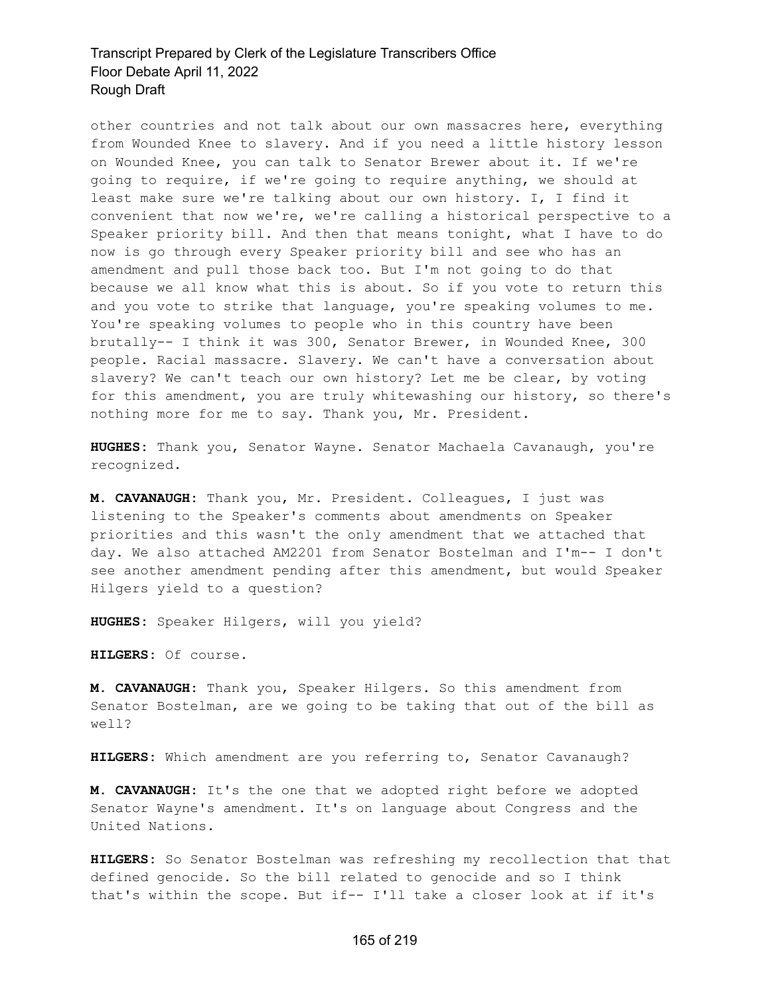other countries and not talk about our own massacres here, everything from Wounded Knee to slavery. And if you need a little history lesson on Wounded Knee, you can talk to Senator Brewer about it. If we're going to require, if we're going to require anything, we should at least make sure we're talking about our own history. I, I find it convenient that now we're, we're calling a historical perspective to a Speaker priority bill. And then that means tonight, what I have to do now is go through every Speaker priority bill and see who has an amendment and pull those back too. But I'm not going to do that because we all know what this is about. So if you vote to return this and you vote to strike that language, you're speaking volumes to me. You're speaking volumes to people who in this country have been brutally-- I think it was 300, Senator Brewer, in Wounded Knee, 300 people. Racial massacre. Slavery. We can't have a conversation about slavery? We can't teach our own history? Let me be clear, by voting for this amendment, you are truly whitewashing our history, so there's nothing more for me to say. Thank you, Mr. President.

**HUGHES:** Thank you, Senator Wayne. Senator Machaela Cavanaugh, you're recognized.

**M. CAVANAUGH:** Thank you, Mr. President. Colleagues, I just was listening to the Speaker's comments about amendments on Speaker priorities and this wasn't the only amendment that we attached that day. We also attached AM2201 from Senator Bostelman and I'm-- I don't see another amendment pending after this amendment, but would Speaker Hilgers yield to a question?

**HUGHES:** Speaker Hilgers, will you yield?

**HILGERS:** Of course.

**M. CAVANAUGH:** Thank you, Speaker Hilgers. So this amendment from Senator Bostelman, are we going to be taking that out of the bill as well?

**HILGERS:** Which amendment are you referring to, Senator Cavanaugh?

**M. CAVANAUGH:** It's the one that we adopted right before we adopted Senator Wayne's amendment. It's on language about Congress and the United Nations.

**HILGERS:** So Senator Bostelman was refreshing my recollection that that defined genocide. So the bill related to genocide and so I think that's within the scope. But if-- I'll take a closer look at if it's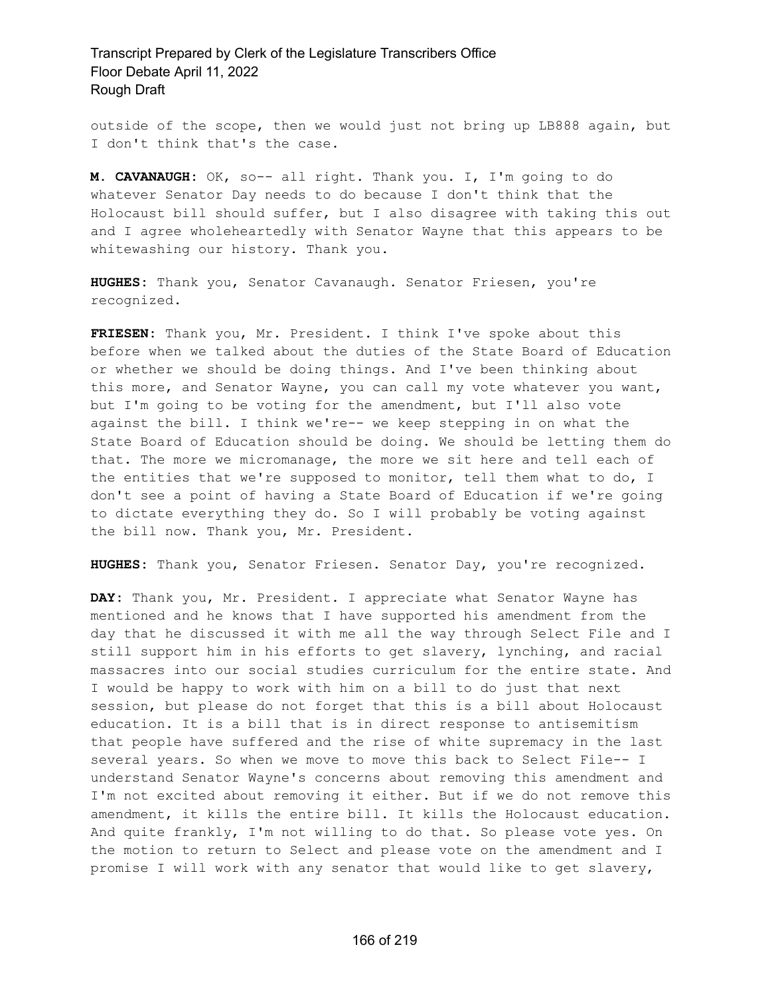outside of the scope, then we would just not bring up LB888 again, but I don't think that's the case.

**M. CAVANAUGH:** OK, so-- all right. Thank you. I, I'm going to do whatever Senator Day needs to do because I don't think that the Holocaust bill should suffer, but I also disagree with taking this out and I agree wholeheartedly with Senator Wayne that this appears to be whitewashing our history. Thank you.

**HUGHES:** Thank you, Senator Cavanaugh. Senator Friesen, you're recognized.

**FRIESEN:** Thank you, Mr. President. I think I've spoke about this before when we talked about the duties of the State Board of Education or whether we should be doing things. And I've been thinking about this more, and Senator Wayne, you can call my vote whatever you want, but I'm going to be voting for the amendment, but I'll also vote against the bill. I think we're-- we keep stepping in on what the State Board of Education should be doing. We should be letting them do that. The more we micromanage, the more we sit here and tell each of the entities that we're supposed to monitor, tell them what to do, I don't see a point of having a State Board of Education if we're going to dictate everything they do. So I will probably be voting against the bill now. Thank you, Mr. President.

**HUGHES:** Thank you, Senator Friesen. Senator Day, you're recognized.

**DAY:** Thank you, Mr. President. I appreciate what Senator Wayne has mentioned and he knows that I have supported his amendment from the day that he discussed it with me all the way through Select File and I still support him in his efforts to get slavery, lynching, and racial massacres into our social studies curriculum for the entire state. And I would be happy to work with him on a bill to do just that next session, but please do not forget that this is a bill about Holocaust education. It is a bill that is in direct response to antisemitism that people have suffered and the rise of white supremacy in the last several years. So when we move to move this back to Select File-- I understand Senator Wayne's concerns about removing this amendment and I'm not excited about removing it either. But if we do not remove this amendment, it kills the entire bill. It kills the Holocaust education. And quite frankly, I'm not willing to do that. So please vote yes. On the motion to return to Select and please vote on the amendment and I promise I will work with any senator that would like to get slavery,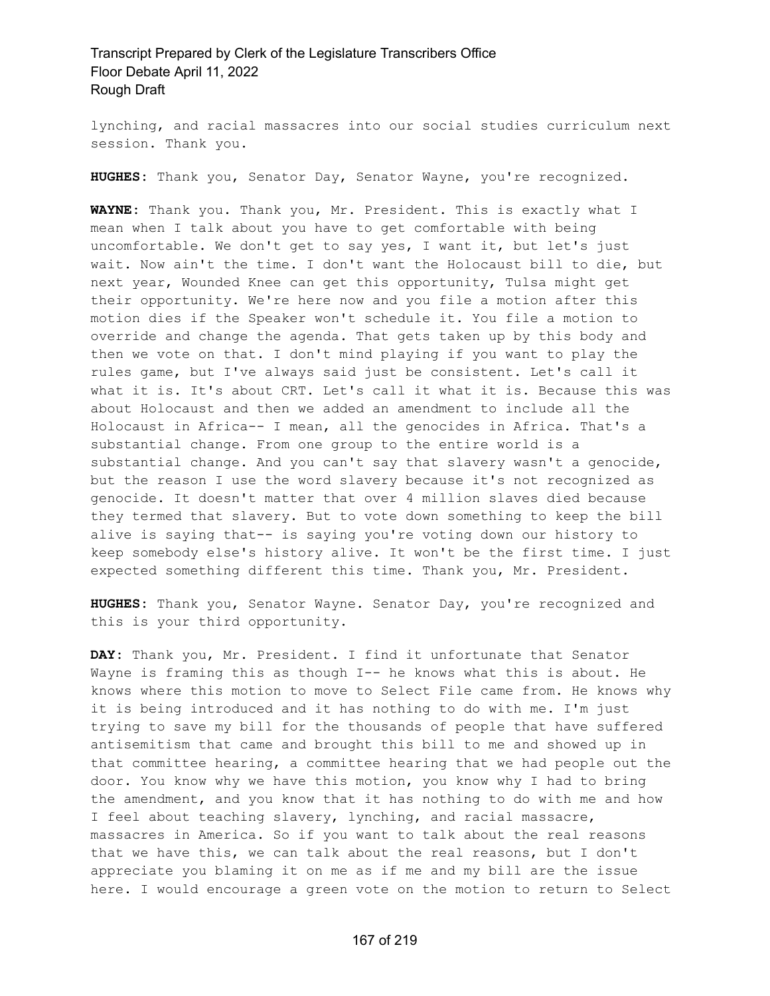lynching, and racial massacres into our social studies curriculum next session. Thank you.

**HUGHES:** Thank you, Senator Day, Senator Wayne, you're recognized.

**WAYNE:** Thank you. Thank you, Mr. President. This is exactly what I mean when I talk about you have to get comfortable with being uncomfortable. We don't get to say yes, I want it, but let's just wait. Now ain't the time. I don't want the Holocaust bill to die, but next year, Wounded Knee can get this opportunity, Tulsa might get their opportunity. We're here now and you file a motion after this motion dies if the Speaker won't schedule it. You file a motion to override and change the agenda. That gets taken up by this body and then we vote on that. I don't mind playing if you want to play the rules game, but I've always said just be consistent. Let's call it what it is. It's about CRT. Let's call it what it is. Because this was about Holocaust and then we added an amendment to include all the Holocaust in Africa-- I mean, all the genocides in Africa. That's a substantial change. From one group to the entire world is a substantial change. And you can't say that slavery wasn't a genocide, but the reason I use the word slavery because it's not recognized as genocide. It doesn't matter that over 4 million slaves died because they termed that slavery. But to vote down something to keep the bill alive is saying that-- is saying you're voting down our history to keep somebody else's history alive. It won't be the first time. I just expected something different this time. Thank you, Mr. President.

**HUGHES:** Thank you, Senator Wayne. Senator Day, you're recognized and this is your third opportunity.

**DAY:** Thank you, Mr. President. I find it unfortunate that Senator Wayne is framing this as though I-- he knows what this is about. He knows where this motion to move to Select File came from. He knows why it is being introduced and it has nothing to do with me. I'm just trying to save my bill for the thousands of people that have suffered antisemitism that came and brought this bill to me and showed up in that committee hearing, a committee hearing that we had people out the door. You know why we have this motion, you know why I had to bring the amendment, and you know that it has nothing to do with me and how I feel about teaching slavery, lynching, and racial massacre, massacres in America. So if you want to talk about the real reasons that we have this, we can talk about the real reasons, but I don't appreciate you blaming it on me as if me and my bill are the issue here. I would encourage a green vote on the motion to return to Select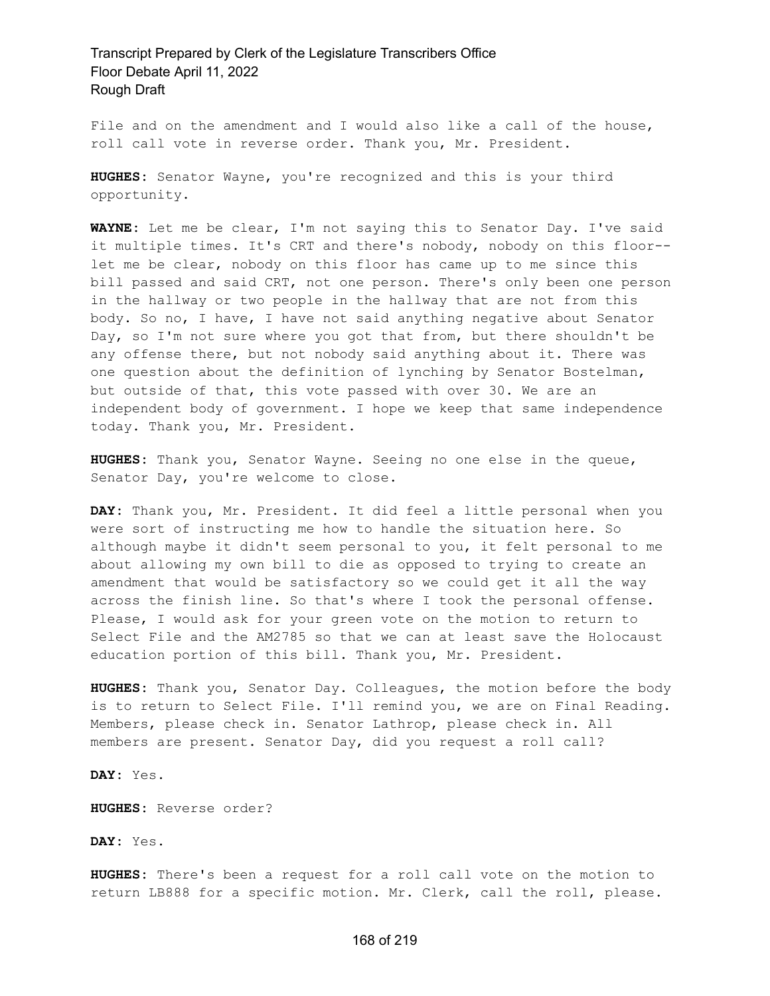File and on the amendment and I would also like a call of the house, roll call vote in reverse order. Thank you, Mr. President.

**HUGHES:** Senator Wayne, you're recognized and this is your third opportunity.

**WAYNE:** Let me be clear, I'm not saying this to Senator Day. I've said it multiple times. It's CRT and there's nobody, nobody on this floor- let me be clear, nobody on this floor has came up to me since this bill passed and said CRT, not one person. There's only been one person in the hallway or two people in the hallway that are not from this body. So no, I have, I have not said anything negative about Senator Day, so I'm not sure where you got that from, but there shouldn't be any offense there, but not nobody said anything about it. There was one question about the definition of lynching by Senator Bostelman, but outside of that, this vote passed with over 30. We are an independent body of government. I hope we keep that same independence today. Thank you, Mr. President.

**HUGHES:** Thank you, Senator Wayne. Seeing no one else in the queue, Senator Day, you're welcome to close.

**DAY:** Thank you, Mr. President. It did feel a little personal when you were sort of instructing me how to handle the situation here. So although maybe it didn't seem personal to you, it felt personal to me about allowing my own bill to die as opposed to trying to create an amendment that would be satisfactory so we could get it all the way across the finish line. So that's where I took the personal offense. Please, I would ask for your green vote on the motion to return to Select File and the AM2785 so that we can at least save the Holocaust education portion of this bill. Thank you, Mr. President.

**HUGHES:** Thank you, Senator Day. Colleagues, the motion before the body is to return to Select File. I'll remind you, we are on Final Reading. Members, please check in. Senator Lathrop, please check in. All members are present. Senator Day, did you request a roll call?

**DAY:** Yes.

**HUGHES:** Reverse order?

**DAY:** Yes.

**HUGHES:** There's been a request for a roll call vote on the motion to return LB888 for a specific motion. Mr. Clerk, call the roll, please.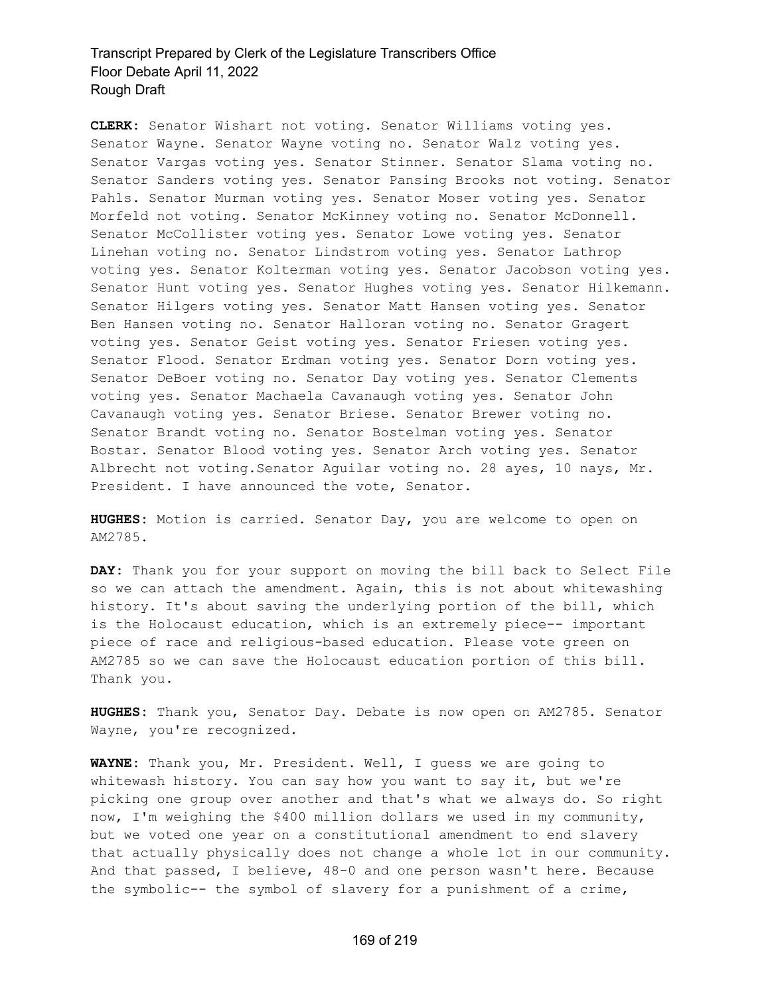**CLERK:** Senator Wishart not voting. Senator Williams voting yes. Senator Wayne. Senator Wayne voting no. Senator Walz voting yes. Senator Vargas voting yes. Senator Stinner. Senator Slama voting no. Senator Sanders voting yes. Senator Pansing Brooks not voting. Senator Pahls. Senator Murman voting yes. Senator Moser voting yes. Senator Morfeld not voting. Senator McKinney voting no. Senator McDonnell. Senator McCollister voting yes. Senator Lowe voting yes. Senator Linehan voting no. Senator Lindstrom voting yes. Senator Lathrop voting yes. Senator Kolterman voting yes. Senator Jacobson voting yes. Senator Hunt voting yes. Senator Hughes voting yes. Senator Hilkemann. Senator Hilgers voting yes. Senator Matt Hansen voting yes. Senator Ben Hansen voting no. Senator Halloran voting no. Senator Gragert voting yes. Senator Geist voting yes. Senator Friesen voting yes. Senator Flood. Senator Erdman voting yes. Senator Dorn voting yes. Senator DeBoer voting no. Senator Day voting yes. Senator Clements voting yes. Senator Machaela Cavanaugh voting yes. Senator John Cavanaugh voting yes. Senator Briese. Senator Brewer voting no. Senator Brandt voting no. Senator Bostelman voting yes. Senator Bostar. Senator Blood voting yes. Senator Arch voting yes. Senator Albrecht not voting.Senator Aguilar voting no. 28 ayes, 10 nays, Mr. President. I have announced the vote, Senator.

**HUGHES:** Motion is carried. Senator Day, you are welcome to open on AM2785.

**DAY:** Thank you for your support on moving the bill back to Select File so we can attach the amendment. Again, this is not about whitewashing history. It's about saving the underlying portion of the bill, which is the Holocaust education, which is an extremely piece-- important piece of race and religious-based education. Please vote green on AM2785 so we can save the Holocaust education portion of this bill. Thank you.

**HUGHES:** Thank you, Senator Day. Debate is now open on AM2785. Senator Wayne, you're recognized.

**WAYNE:** Thank you, Mr. President. Well, I guess we are going to whitewash history. You can say how you want to say it, but we're picking one group over another and that's what we always do. So right now, I'm weighing the \$400 million dollars we used in my community, but we voted one year on a constitutional amendment to end slavery that actually physically does not change a whole lot in our community. And that passed, I believe, 48-0 and one person wasn't here. Because the symbolic-- the symbol of slavery for a punishment of a crime,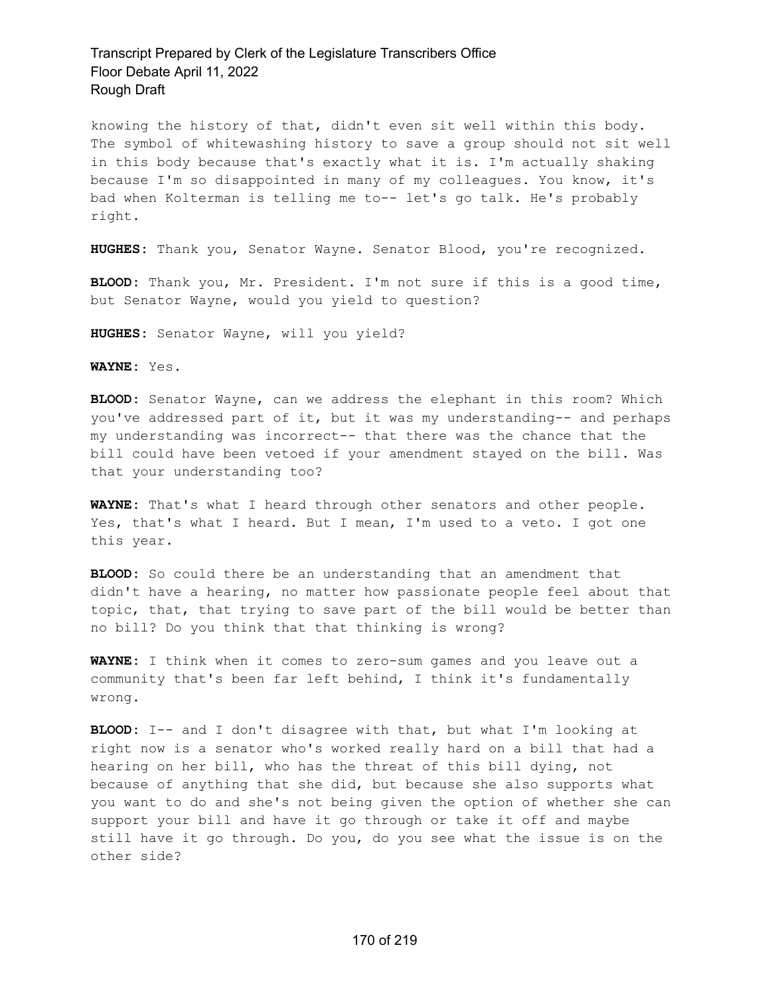knowing the history of that, didn't even sit well within this body. The symbol of whitewashing history to save a group should not sit well in this body because that's exactly what it is. I'm actually shaking because I'm so disappointed in many of my colleagues. You know, it's bad when Kolterman is telling me to-- let's go talk. He's probably right.

**HUGHES:** Thank you, Senator Wayne. Senator Blood, you're recognized.

**BLOOD:** Thank you, Mr. President. I'm not sure if this is a good time, but Senator Wayne, would you yield to question?

**HUGHES:** Senator Wayne, will you yield?

**WAYNE:** Yes.

**BLOOD:** Senator Wayne, can we address the elephant in this room? Which you've addressed part of it, but it was my understanding-- and perhaps my understanding was incorrect-- that there was the chance that the bill could have been vetoed if your amendment stayed on the bill. Was that your understanding too?

**WAYNE:** That's what I heard through other senators and other people. Yes, that's what I heard. But I mean, I'm used to a veto. I got one this year.

**BLOOD:** So could there be an understanding that an amendment that didn't have a hearing, no matter how passionate people feel about that topic, that, that trying to save part of the bill would be better than no bill? Do you think that that thinking is wrong?

**WAYNE:** I think when it comes to zero-sum games and you leave out a community that's been far left behind, I think it's fundamentally wrong.

**BLOOD:** I-- and I don't disagree with that, but what I'm looking at right now is a senator who's worked really hard on a bill that had a hearing on her bill, who has the threat of this bill dying, not because of anything that she did, but because she also supports what you want to do and she's not being given the option of whether she can support your bill and have it go through or take it off and maybe still have it go through. Do you, do you see what the issue is on the other side?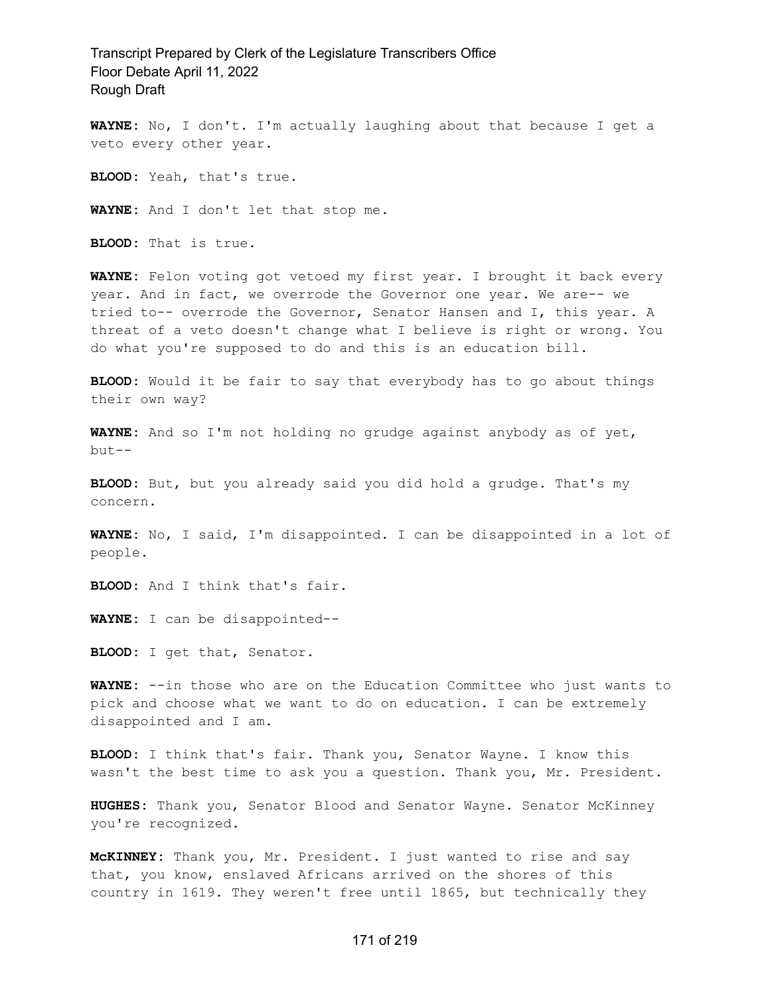**WAYNE:** No, I don't. I'm actually laughing about that because I get a veto every other year.

**BLOOD:** Yeah, that's true.

**WAYNE:** And I don't let that stop me.

**BLOOD:** That is true.

**WAYNE:** Felon voting got vetoed my first year. I brought it back every year. And in fact, we overrode the Governor one year. We are-- we tried to-- overrode the Governor, Senator Hansen and I, this year. A threat of a veto doesn't change what I believe is right or wrong. You do what you're supposed to do and this is an education bill.

**BLOOD:** Would it be fair to say that everybody has to go about things their own way?

**WAYNE:** And so I'm not holding no grudge against anybody as of yet, but--

**BLOOD:** But, but you already said you did hold a grudge. That's my concern.

**WAYNE:** No, I said, I'm disappointed. I can be disappointed in a lot of people.

**BLOOD:** And I think that's fair.

**WAYNE:** I can be disappointed--

**BLOOD:** I get that, Senator.

**WAYNE:** --in those who are on the Education Committee who just wants to pick and choose what we want to do on education. I can be extremely disappointed and I am.

**BLOOD:** I think that's fair. Thank you, Senator Wayne. I know this wasn't the best time to ask you a question. Thank you, Mr. President.

**HUGHES:** Thank you, Senator Blood and Senator Wayne. Senator McKinney you're recognized.

**McKINNEY:** Thank you, Mr. President. I just wanted to rise and say that, you know, enslaved Africans arrived on the shores of this country in 1619. They weren't free until 1865, but technically they

#### 171 of 219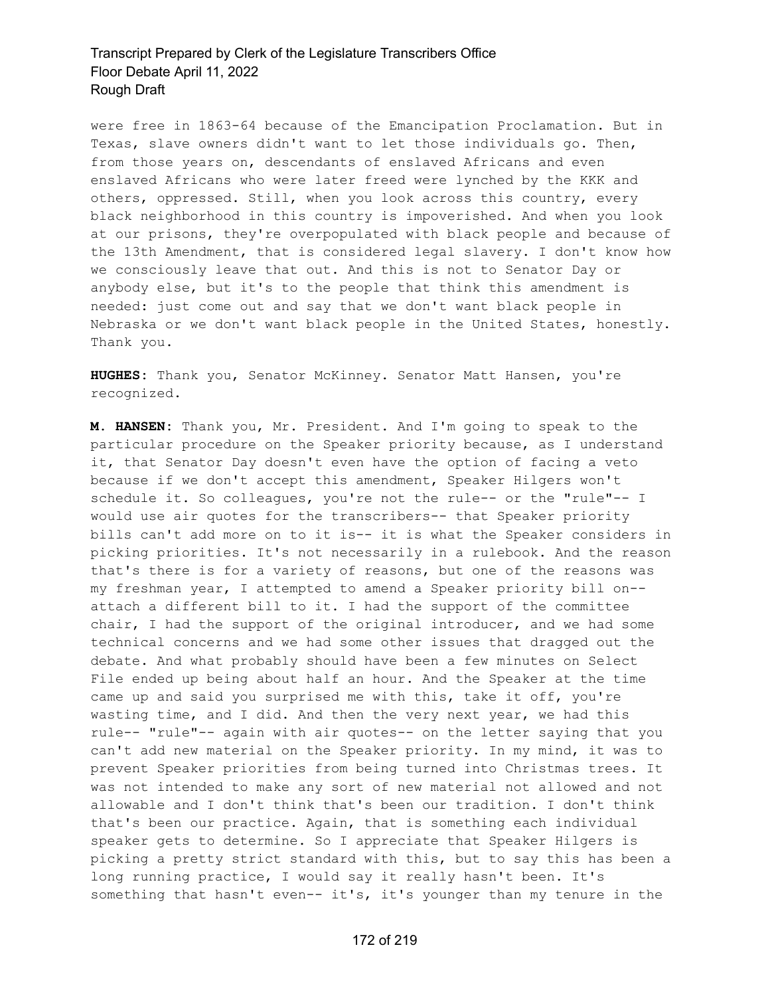were free in 1863-64 because of the Emancipation Proclamation. But in Texas, slave owners didn't want to let those individuals go. Then, from those years on, descendants of enslaved Africans and even enslaved Africans who were later freed were lynched by the KKK and others, oppressed. Still, when you look across this country, every black neighborhood in this country is impoverished. And when you look at our prisons, they're overpopulated with black people and because of the 13th Amendment, that is considered legal slavery. I don't know how we consciously leave that out. And this is not to Senator Day or anybody else, but it's to the people that think this amendment is needed: just come out and say that we don't want black people in Nebraska or we don't want black people in the United States, honestly. Thank you.

**HUGHES:** Thank you, Senator McKinney. Senator Matt Hansen, you're recognized.

**M. HANSEN:** Thank you, Mr. President. And I'm going to speak to the particular procedure on the Speaker priority because, as I understand it, that Senator Day doesn't even have the option of facing a veto because if we don't accept this amendment, Speaker Hilgers won't schedule it. So colleagues, you're not the rule-- or the "rule"-- I would use air quotes for the transcribers-- that Speaker priority bills can't add more on to it is-- it is what the Speaker considers in picking priorities. It's not necessarily in a rulebook. And the reason that's there is for a variety of reasons, but one of the reasons was my freshman year, I attempted to amend a Speaker priority bill on- attach a different bill to it. I had the support of the committee chair, I had the support of the original introducer, and we had some technical concerns and we had some other issues that dragged out the debate. And what probably should have been a few minutes on Select File ended up being about half an hour. And the Speaker at the time came up and said you surprised me with this, take it off, you're wasting time, and I did. And then the very next year, we had this rule-- "rule"-- again with air quotes-- on the letter saying that you can't add new material on the Speaker priority. In my mind, it was to prevent Speaker priorities from being turned into Christmas trees. It was not intended to make any sort of new material not allowed and not allowable and I don't think that's been our tradition. I don't think that's been our practice. Again, that is something each individual speaker gets to determine. So I appreciate that Speaker Hilgers is picking a pretty strict standard with this, but to say this has been a long running practice, I would say it really hasn't been. It's something that hasn't even-- it's, it's younger than my tenure in the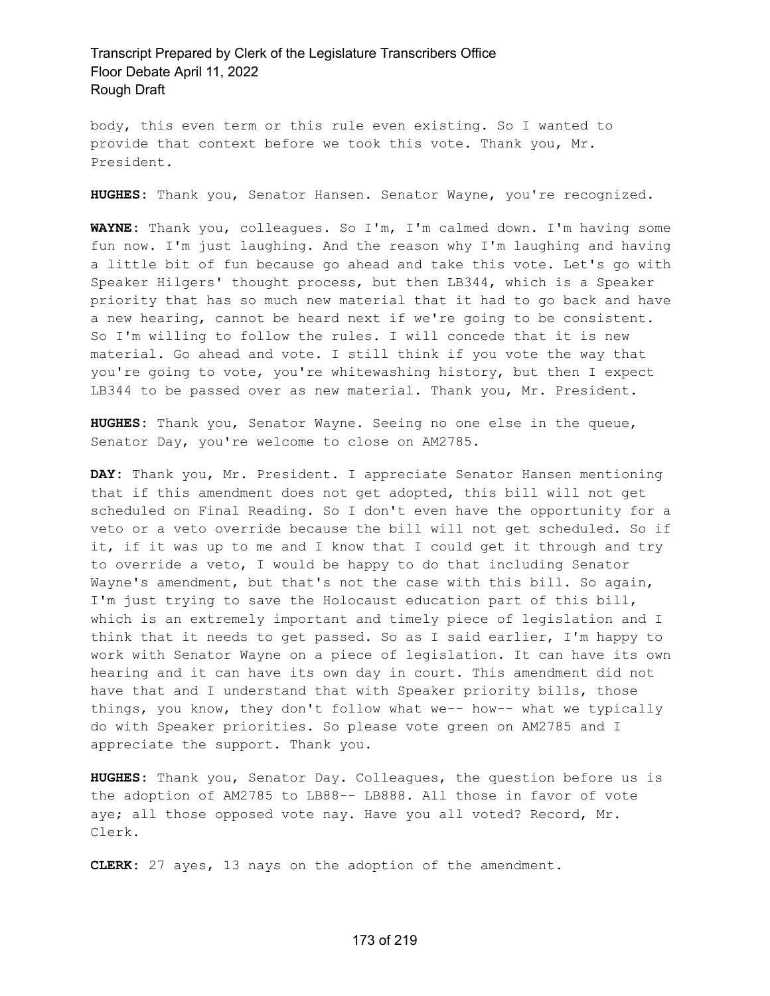body, this even term or this rule even existing. So I wanted to provide that context before we took this vote. Thank you, Mr. President.

**HUGHES:** Thank you, Senator Hansen. Senator Wayne, you're recognized.

**WAYNE:** Thank you, colleagues. So I'm, I'm calmed down. I'm having some fun now. I'm just laughing. And the reason why I'm laughing and having a little bit of fun because go ahead and take this vote. Let's go with Speaker Hilgers' thought process, but then LB344, which is a Speaker priority that has so much new material that it had to go back and have a new hearing, cannot be heard next if we're going to be consistent. So I'm willing to follow the rules. I will concede that it is new material. Go ahead and vote. I still think if you vote the way that you're going to vote, you're whitewashing history, but then I expect LB344 to be passed over as new material. Thank you, Mr. President.

**HUGHES:** Thank you, Senator Wayne. Seeing no one else in the queue, Senator Day, you're welcome to close on AM2785.

**DAY:** Thank you, Mr. President. I appreciate Senator Hansen mentioning that if this amendment does not get adopted, this bill will not get scheduled on Final Reading. So I don't even have the opportunity for a veto or a veto override because the bill will not get scheduled. So if it, if it was up to me and I know that I could get it through and try to override a veto, I would be happy to do that including Senator Wayne's amendment, but that's not the case with this bill. So again, I'm just trying to save the Holocaust education part of this bill, which is an extremely important and timely piece of legislation and I think that it needs to get passed. So as I said earlier, I'm happy to work with Senator Wayne on a piece of legislation. It can have its own hearing and it can have its own day in court. This amendment did not have that and I understand that with Speaker priority bills, those things, you know, they don't follow what we-- how-- what we typically do with Speaker priorities. So please vote green on AM2785 and I appreciate the support. Thank you.

**HUGHES:** Thank you, Senator Day. Colleagues, the question before us is the adoption of AM2785 to LB88-- LB888. All those in favor of vote aye; all those opposed vote nay. Have you all voted? Record, Mr. Clerk.

**CLERK:** 27 ayes, 13 nays on the adoption of the amendment.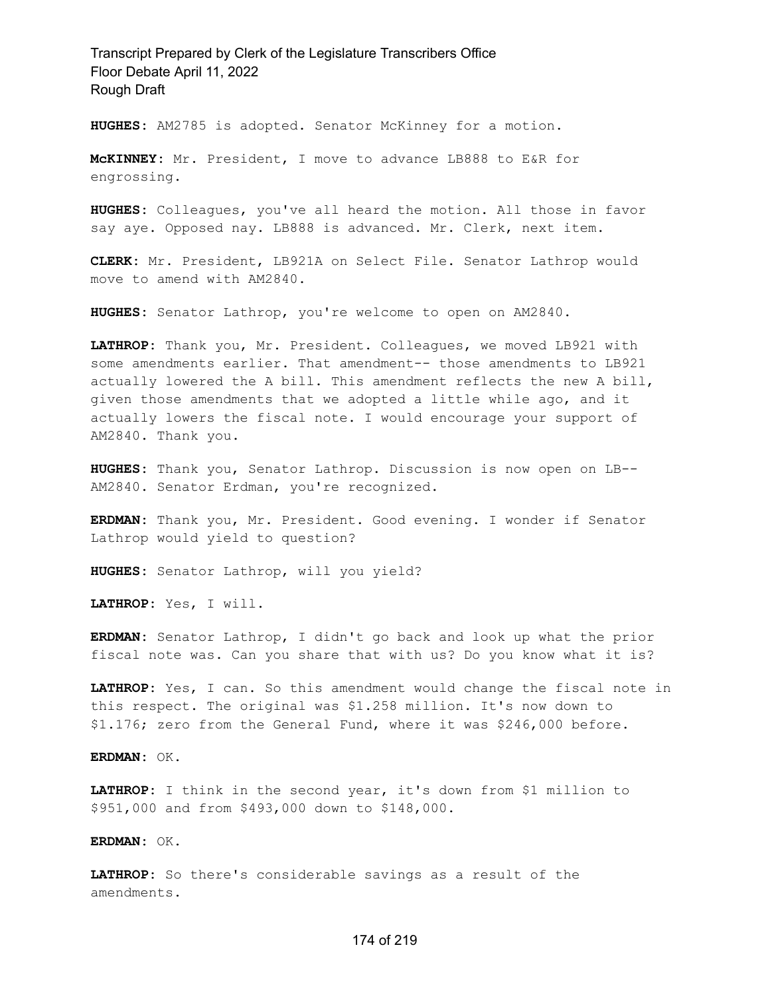**HUGHES:** AM2785 is adopted. Senator McKinney for a motion.

**McKINNEY:** Mr. President, I move to advance LB888 to E&R for engrossing.

**HUGHES:** Colleagues, you've all heard the motion. All those in favor say aye. Opposed nay. LB888 is advanced. Mr. Clerk, next item.

**CLERK:** Mr. President, LB921A on Select File. Senator Lathrop would move to amend with AM2840.

**HUGHES:** Senator Lathrop, you're welcome to open on AM2840.

**LATHROP:** Thank you, Mr. President. Colleagues, we moved LB921 with some amendments earlier. That amendment-- those amendments to LB921 actually lowered the A bill. This amendment reflects the new A bill, given those amendments that we adopted a little while ago, and it actually lowers the fiscal note. I would encourage your support of AM2840. Thank you.

**HUGHES:** Thank you, Senator Lathrop. Discussion is now open on LB-- AM2840. Senator Erdman, you're recognized.

**ERDMAN:** Thank you, Mr. President. Good evening. I wonder if Senator Lathrop would yield to question?

**HUGHES:** Senator Lathrop, will you yield?

**LATHROP:** Yes, I will.

**ERDMAN:** Senator Lathrop, I didn't go back and look up what the prior fiscal note was. Can you share that with us? Do you know what it is?

**LATHROP:** Yes, I can. So this amendment would change the fiscal note in this respect. The original was \$1.258 million. It's now down to \$1.176; zero from the General Fund, where it was \$246,000 before.

**ERDMAN:** OK.

**LATHROP:** I think in the second year, it's down from \$1 million to \$951,000 and from \$493,000 down to \$148,000.

**ERDMAN:** OK.

**LATHROP:** So there's considerable savings as a result of the amendments.

#### 174 of 219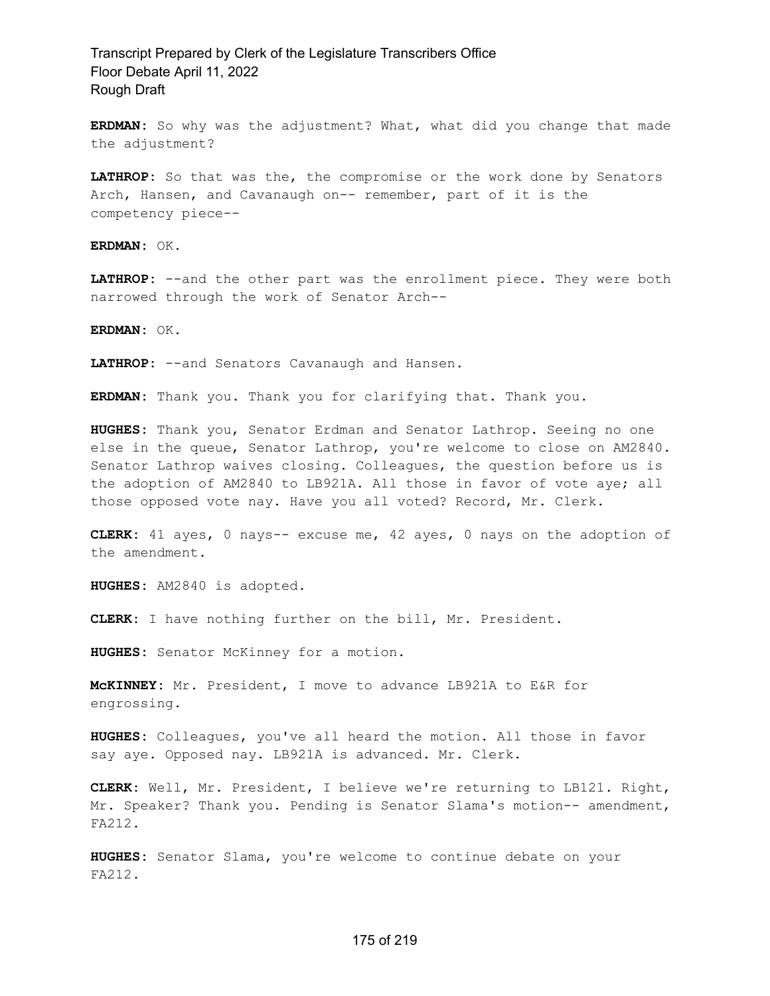**ERDMAN:** So why was the adjustment? What, what did you change that made the adjustment?

**LATHROP:** So that was the, the compromise or the work done by Senators Arch, Hansen, and Cavanaugh on-- remember, part of it is the competency piece--

**ERDMAN:** OK.

**LATHROP:** --and the other part was the enrollment piece. They were both narrowed through the work of Senator Arch--

**ERDMAN:** OK.

**LATHROP:** --and Senators Cavanaugh and Hansen.

**ERDMAN:** Thank you. Thank you for clarifying that. Thank you.

**HUGHES:** Thank you, Senator Erdman and Senator Lathrop. Seeing no one else in the queue, Senator Lathrop, you're welcome to close on AM2840. Senator Lathrop waives closing. Colleagues, the question before us is the adoption of AM2840 to LB921A. All those in favor of vote aye; all those opposed vote nay. Have you all voted? Record, Mr. Clerk.

**CLERK:** 41 ayes, 0 nays-- excuse me, 42 ayes, 0 nays on the adoption of the amendment.

**HUGHES:** AM2840 is adopted.

**CLERK:** I have nothing further on the bill, Mr. President.

**HUGHES:** Senator McKinney for a motion.

**McKINNEY:** Mr. President, I move to advance LB921A to E&R for engrossing.

**HUGHES:** Colleagues, you've all heard the motion. All those in favor say aye. Opposed nay. LB921A is advanced. Mr. Clerk.

**CLERK:** Well, Mr. President, I believe we're returning to LB121. Right, Mr. Speaker? Thank you. Pending is Senator Slama's motion-- amendment, FA212.

**HUGHES:** Senator Slama, you're welcome to continue debate on your FA212.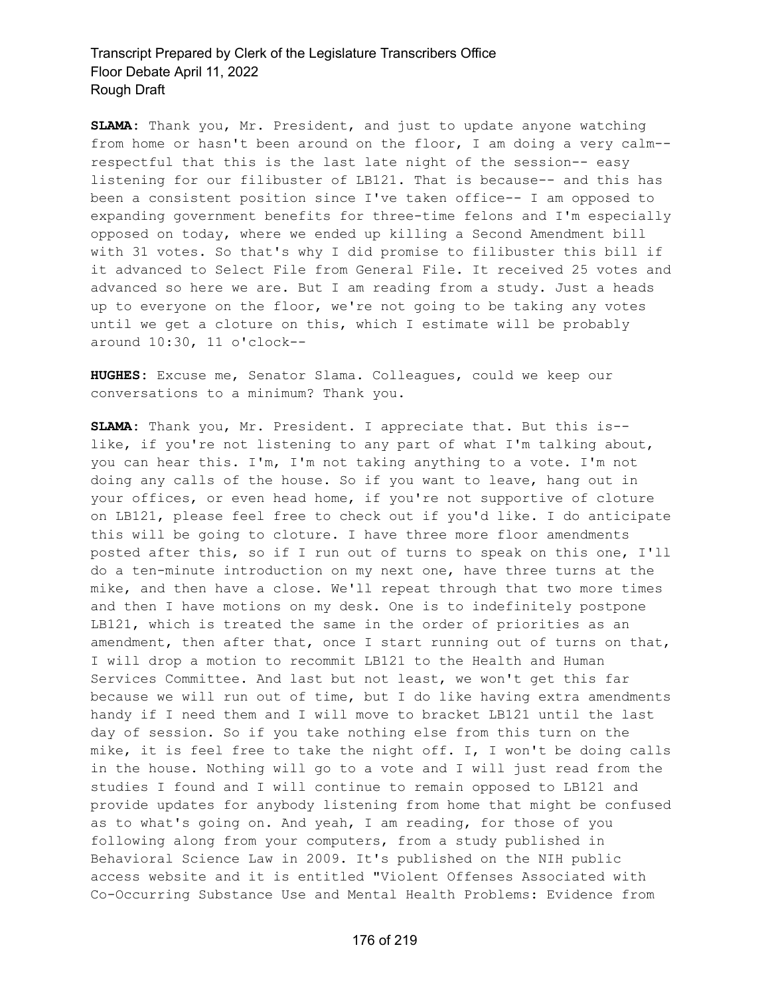**SLAMA:** Thank you, Mr. President, and just to update anyone watching from home or hasn't been around on the floor, I am doing a very calm- respectful that this is the last late night of the session-- easy listening for our filibuster of LB121. That is because-- and this has been a consistent position since I've taken office-- I am opposed to expanding government benefits for three-time felons and I'm especially opposed on today, where we ended up killing a Second Amendment bill with 31 votes. So that's why I did promise to filibuster this bill if it advanced to Select File from General File. It received 25 votes and advanced so here we are. But I am reading from a study. Just a heads up to everyone on the floor, we're not going to be taking any votes until we get a cloture on this, which I estimate will be probably around 10:30, 11 o'clock--

**HUGHES:** Excuse me, Senator Slama. Colleagues, could we keep our conversations to a minimum? Thank you.

**SLAMA:** Thank you, Mr. President. I appreciate that. But this is- like, if you're not listening to any part of what I'm talking about, you can hear this. I'm, I'm not taking anything to a vote. I'm not doing any calls of the house. So if you want to leave, hang out in your offices, or even head home, if you're not supportive of cloture on LB121, please feel free to check out if you'd like. I do anticipate this will be going to cloture. I have three more floor amendments posted after this, so if I run out of turns to speak on this one, I'll do a ten-minute introduction on my next one, have three turns at the mike, and then have a close. We'll repeat through that two more times and then I have motions on my desk. One is to indefinitely postpone LB121, which is treated the same in the order of priorities as an amendment, then after that, once I start running out of turns on that, I will drop a motion to recommit LB121 to the Health and Human Services Committee. And last but not least, we won't get this far because we will run out of time, but I do like having extra amendments handy if I need them and I will move to bracket LB121 until the last day of session. So if you take nothing else from this turn on the mike, it is feel free to take the night off. I, I won't be doing calls in the house. Nothing will go to a vote and I will just read from the studies I found and I will continue to remain opposed to LB121 and provide updates for anybody listening from home that might be confused as to what's going on. And yeah, I am reading, for those of you following along from your computers, from a study published in Behavioral Science Law in 2009. It's published on the NIH public access website and it is entitled "Violent Offenses Associated with Co-Occurring Substance Use and Mental Health Problems: Evidence from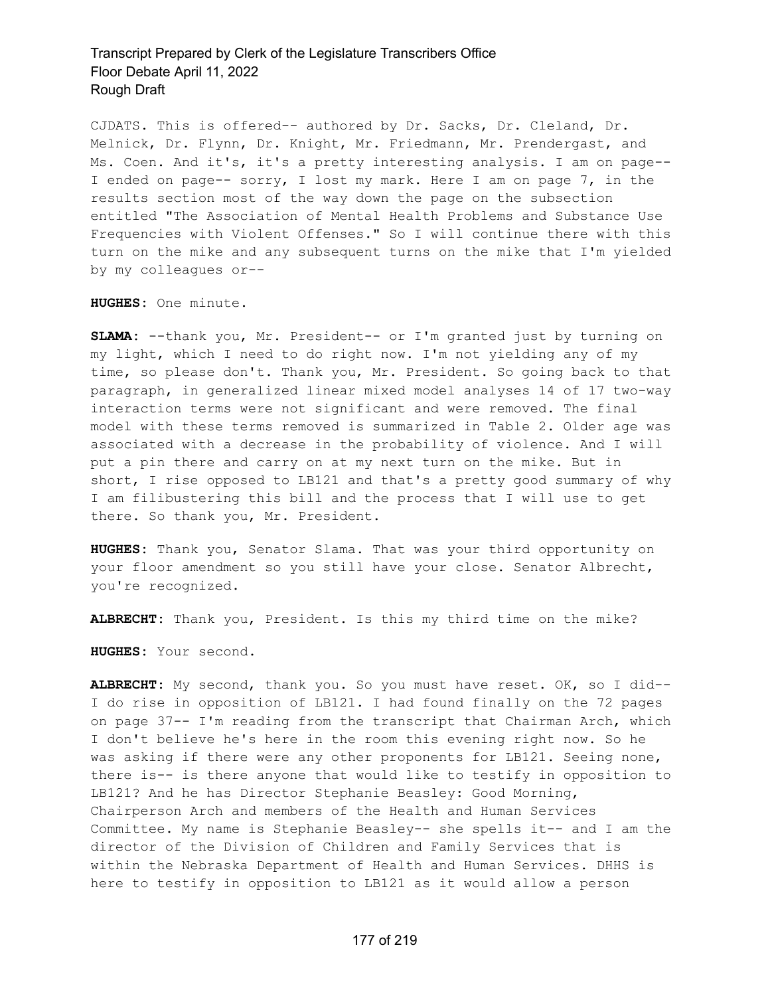CJDATS. This is offered-- authored by Dr. Sacks, Dr. Cleland, Dr. Melnick, Dr. Flynn, Dr. Knight, Mr. Friedmann, Mr. Prendergast, and Ms. Coen. And it's, it's a pretty interesting analysis. I am on page-- I ended on page-- sorry, I lost my mark. Here I am on page 7, in the results section most of the way down the page on the subsection entitled "The Association of Mental Health Problems and Substance Use Frequencies with Violent Offenses." So I will continue there with this turn on the mike and any subsequent turns on the mike that I'm yielded by my colleagues or--

**HUGHES:** One minute.

**SLAMA:** --thank you, Mr. President-- or I'm granted just by turning on my light, which I need to do right now. I'm not yielding any of my time, so please don't. Thank you, Mr. President. So going back to that paragraph, in generalized linear mixed model analyses 14 of 17 two-way interaction terms were not significant and were removed. The final model with these terms removed is summarized in Table 2. Older age was associated with a decrease in the probability of violence. And I will put a pin there and carry on at my next turn on the mike. But in short, I rise opposed to LB121 and that's a pretty good summary of why I am filibustering this bill and the process that I will use to get there. So thank you, Mr. President.

**HUGHES:** Thank you, Senator Slama. That was your third opportunity on your floor amendment so you still have your close. Senator Albrecht, you're recognized.

**ALBRECHT:** Thank you, President. Is this my third time on the mike?

**HUGHES:** Your second.

**ALBRECHT:** My second, thank you. So you must have reset. OK, so I did-- I do rise in opposition of LB121. I had found finally on the 72 pages on page 37-- I'm reading from the transcript that Chairman Arch, which I don't believe he's here in the room this evening right now. So he was asking if there were any other proponents for LB121. Seeing none, there is-- is there anyone that would like to testify in opposition to LB121? And he has Director Stephanie Beasley: Good Morning, Chairperson Arch and members of the Health and Human Services Committee. My name is Stephanie Beasley-- she spells it-- and I am the director of the Division of Children and Family Services that is within the Nebraska Department of Health and Human Services. DHHS is here to testify in opposition to LB121 as it would allow a person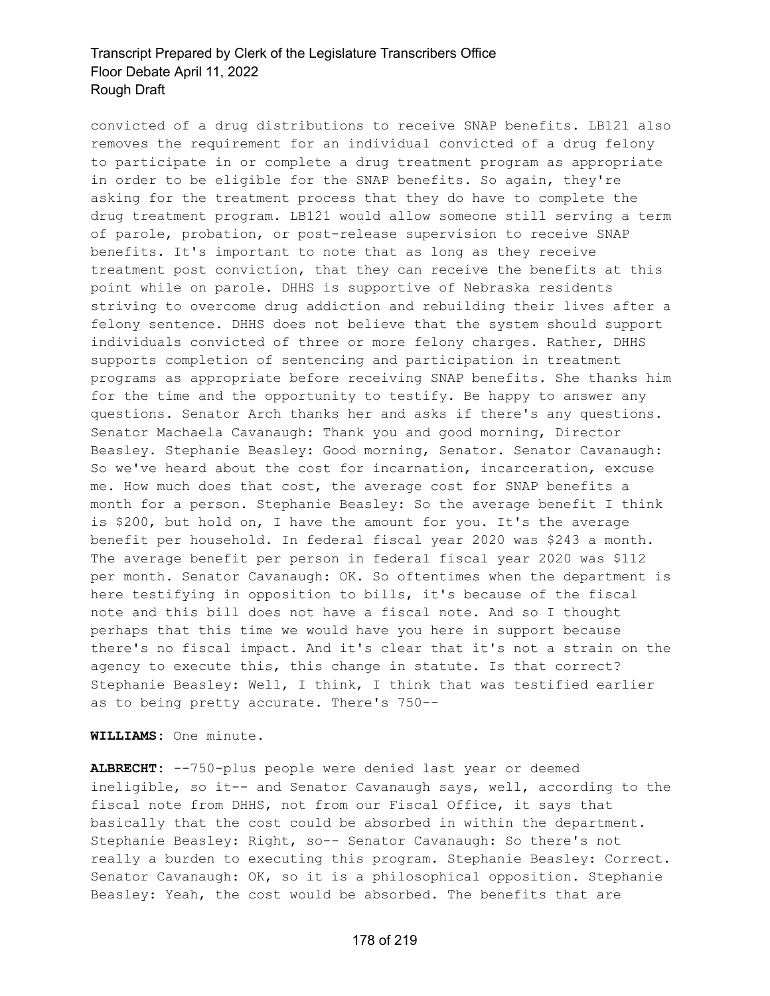convicted of a drug distributions to receive SNAP benefits. LB121 also removes the requirement for an individual convicted of a drug felony to participate in or complete a drug treatment program as appropriate in order to be eligible for the SNAP benefits. So again, they're asking for the treatment process that they do have to complete the drug treatment program. LB121 would allow someone still serving a term of parole, probation, or post-release supervision to receive SNAP benefits. It's important to note that as long as they receive treatment post conviction, that they can receive the benefits at this point while on parole. DHHS is supportive of Nebraska residents striving to overcome drug addiction and rebuilding their lives after a felony sentence. DHHS does not believe that the system should support individuals convicted of three or more felony charges. Rather, DHHS supports completion of sentencing and participation in treatment programs as appropriate before receiving SNAP benefits. She thanks him for the time and the opportunity to testify. Be happy to answer any questions. Senator Arch thanks her and asks if there's any questions. Senator Machaela Cavanaugh: Thank you and good morning, Director Beasley. Stephanie Beasley: Good morning, Senator. Senator Cavanaugh: So we've heard about the cost for incarnation, incarceration, excuse me. How much does that cost, the average cost for SNAP benefits a month for a person. Stephanie Beasley: So the average benefit I think is \$200, but hold on, I have the amount for you. It's the average benefit per household. In federal fiscal year 2020 was \$243 a month. The average benefit per person in federal fiscal year 2020 was \$112 per month. Senator Cavanaugh: OK. So oftentimes when the department is here testifying in opposition to bills, it's because of the fiscal note and this bill does not have a fiscal note. And so I thought perhaps that this time we would have you here in support because there's no fiscal impact. And it's clear that it's not a strain on the agency to execute this, this change in statute. Is that correct? Stephanie Beasley: Well, I think, I think that was testified earlier as to being pretty accurate. There's 750--

**WILLIAMS:** One minute.

**ALBRECHT:** --750-plus people were denied last year or deemed ineligible, so it-- and Senator Cavanaugh says, well, according to the fiscal note from DHHS, not from our Fiscal Office, it says that basically that the cost could be absorbed in within the department. Stephanie Beasley: Right, so-- Senator Cavanaugh: So there's not really a burden to executing this program. Stephanie Beasley: Correct. Senator Cavanaugh: OK, so it is a philosophical opposition. Stephanie Beasley: Yeah, the cost would be absorbed. The benefits that are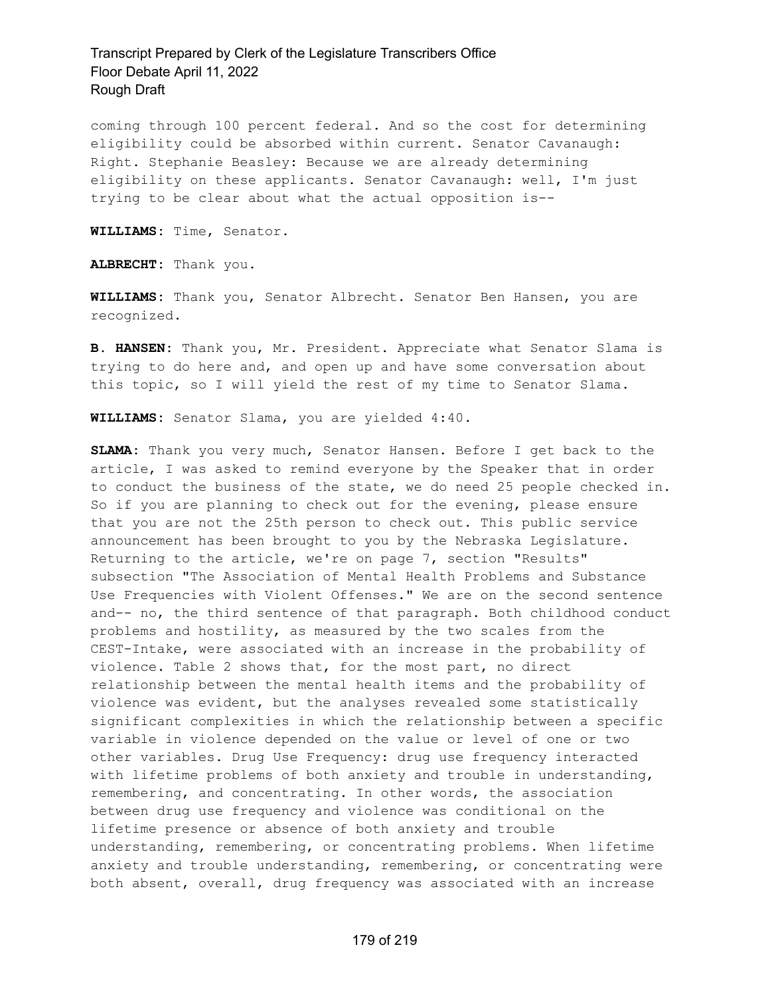coming through 100 percent federal. And so the cost for determining eligibility could be absorbed within current. Senator Cavanaugh: Right. Stephanie Beasley: Because we are already determining eligibility on these applicants. Senator Cavanaugh: well, I'm just trying to be clear about what the actual opposition is--

**WILLIAMS:** Time, Senator.

**ALBRECHT:** Thank you.

**WILLIAMS:** Thank you, Senator Albrecht. Senator Ben Hansen, you are recognized.

**B. HANSEN:** Thank you, Mr. President. Appreciate what Senator Slama is trying to do here and, and open up and have some conversation about this topic, so I will yield the rest of my time to Senator Slama.

**WILLIAMS:** Senator Slama, you are yielded 4:40.

**SLAMA:** Thank you very much, Senator Hansen. Before I get back to the article, I was asked to remind everyone by the Speaker that in order to conduct the business of the state, we do need 25 people checked in. So if you are planning to check out for the evening, please ensure that you are not the 25th person to check out. This public service announcement has been brought to you by the Nebraska Legislature. Returning to the article, we're on page 7, section "Results" subsection "The Association of Mental Health Problems and Substance Use Frequencies with Violent Offenses." We are on the second sentence and-- no, the third sentence of that paragraph. Both childhood conduct problems and hostility, as measured by the two scales from the CEST-Intake, were associated with an increase in the probability of violence. Table 2 shows that, for the most part, no direct relationship between the mental health items and the probability of violence was evident, but the analyses revealed some statistically significant complexities in which the relationship between a specific variable in violence depended on the value or level of one or two other variables. Drug Use Frequency: drug use frequency interacted with lifetime problems of both anxiety and trouble in understanding, remembering, and concentrating. In other words, the association between drug use frequency and violence was conditional on the lifetime presence or absence of both anxiety and trouble understanding, remembering, or concentrating problems. When lifetime anxiety and trouble understanding, remembering, or concentrating were both absent, overall, drug frequency was associated with an increase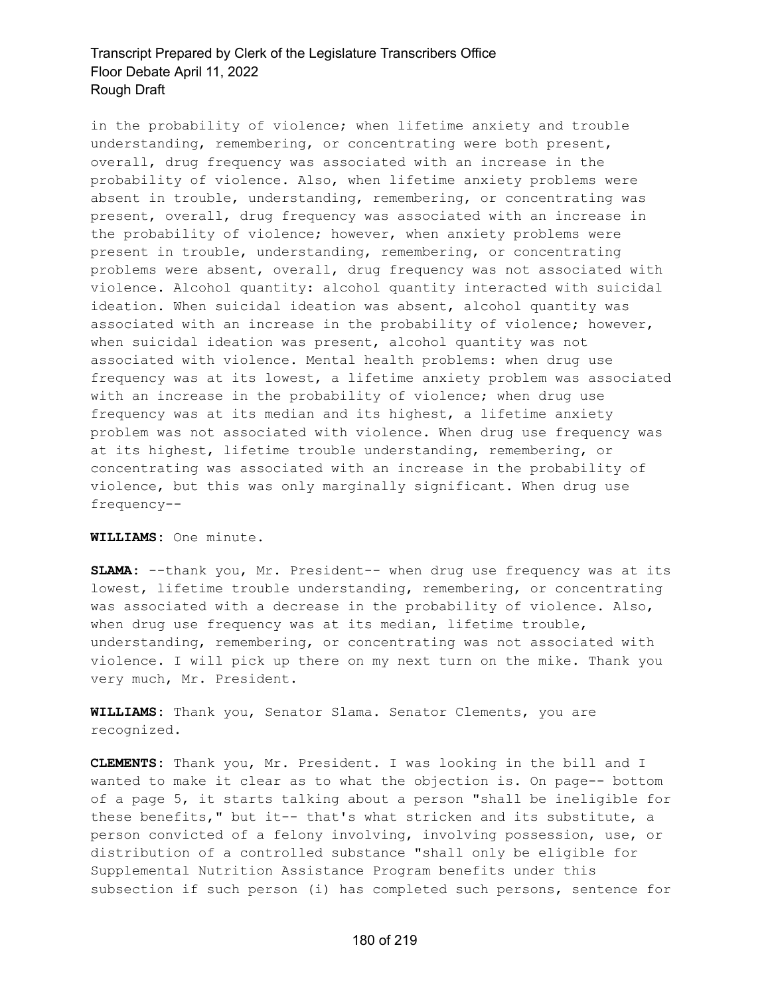in the probability of violence; when lifetime anxiety and trouble understanding, remembering, or concentrating were both present, overall, drug frequency was associated with an increase in the probability of violence. Also, when lifetime anxiety problems were absent in trouble, understanding, remembering, or concentrating was present, overall, drug frequency was associated with an increase in the probability of violence; however, when anxiety problems were present in trouble, understanding, remembering, or concentrating problems were absent, overall, drug frequency was not associated with violence. Alcohol quantity: alcohol quantity interacted with suicidal ideation. When suicidal ideation was absent, alcohol quantity was associated with an increase in the probability of violence; however, when suicidal ideation was present, alcohol quantity was not associated with violence. Mental health problems: when drug use frequency was at its lowest, a lifetime anxiety problem was associated with an increase in the probability of violence; when drug use frequency was at its median and its highest, a lifetime anxiety problem was not associated with violence. When drug use frequency was at its highest, lifetime trouble understanding, remembering, or concentrating was associated with an increase in the probability of violence, but this was only marginally significant. When drug use frequency--

#### **WILLIAMS:** One minute.

**SLAMA:** --thank you, Mr. President-- when drug use frequency was at its lowest, lifetime trouble understanding, remembering, or concentrating was associated with a decrease in the probability of violence. Also, when drug use frequency was at its median, lifetime trouble, understanding, remembering, or concentrating was not associated with violence. I will pick up there on my next turn on the mike. Thank you very much, Mr. President.

**WILLIAMS:** Thank you, Senator Slama. Senator Clements, you are recognized.

**CLEMENTS:** Thank you, Mr. President. I was looking in the bill and I wanted to make it clear as to what the objection is. On page-- bottom of a page 5, it starts talking about a person "shall be ineligible for these benefits," but it-- that's what stricken and its substitute, a person convicted of a felony involving, involving possession, use, or distribution of a controlled substance "shall only be eligible for Supplemental Nutrition Assistance Program benefits under this subsection if such person (i) has completed such persons, sentence for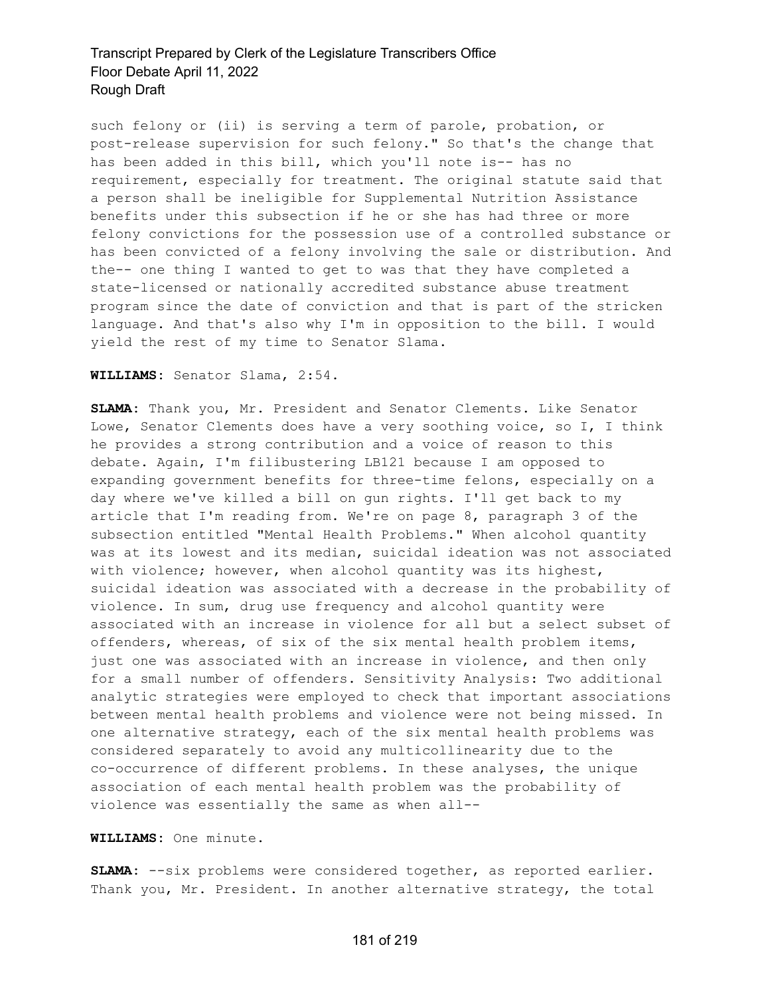such felony or (ii) is serving a term of parole, probation, or post-release supervision for such felony." So that's the change that has been added in this bill, which you'll note is-- has no requirement, especially for treatment. The original statute said that a person shall be ineligible for Supplemental Nutrition Assistance benefits under this subsection if he or she has had three or more felony convictions for the possession use of a controlled substance or has been convicted of a felony involving the sale or distribution. And the-- one thing I wanted to get to was that they have completed a state-licensed or nationally accredited substance abuse treatment program since the date of conviction and that is part of the stricken language. And that's also why I'm in opposition to the bill. I would yield the rest of my time to Senator Slama.

#### **WILLIAMS:** Senator Slama, 2:54.

**SLAMA:** Thank you, Mr. President and Senator Clements. Like Senator Lowe, Senator Clements does have a very soothing voice, so I, I think he provides a strong contribution and a voice of reason to this debate. Again, I'm filibustering LB121 because I am opposed to expanding government benefits for three-time felons, especially on a day where we've killed a bill on gun rights. I'll get back to my article that I'm reading from. We're on page 8, paragraph 3 of the subsection entitled "Mental Health Problems." When alcohol quantity was at its lowest and its median, suicidal ideation was not associated with violence; however, when alcohol quantity was its highest, suicidal ideation was associated with a decrease in the probability of violence. In sum, drug use frequency and alcohol quantity were associated with an increase in violence for all but a select subset of offenders, whereas, of six of the six mental health problem items, just one was associated with an increase in violence, and then only for a small number of offenders. Sensitivity Analysis: Two additional analytic strategies were employed to check that important associations between mental health problems and violence were not being missed. In one alternative strategy, each of the six mental health problems was considered separately to avoid any multicollinearity due to the co-occurrence of different problems. In these analyses, the unique association of each mental health problem was the probability of violence was essentially the same as when all--

#### **WILLIAMS:** One minute.

**SLAMA:** --six problems were considered together, as reported earlier. Thank you, Mr. President. In another alternative strategy, the total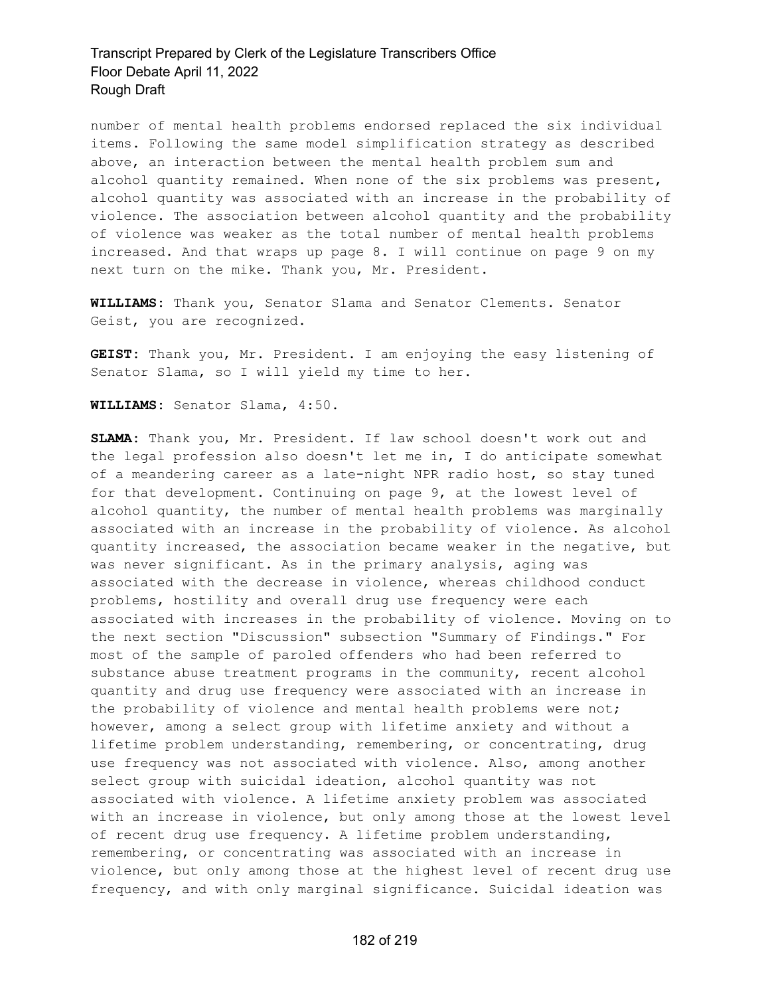number of mental health problems endorsed replaced the six individual items. Following the same model simplification strategy as described above, an interaction between the mental health problem sum and alcohol quantity remained. When none of the six problems was present, alcohol quantity was associated with an increase in the probability of violence. The association between alcohol quantity and the probability of violence was weaker as the total number of mental health problems increased. And that wraps up page 8. I will continue on page 9 on my next turn on the mike. Thank you, Mr. President.

**WILLIAMS:** Thank you, Senator Slama and Senator Clements. Senator Geist, you are recognized.

**GEIST:** Thank you, Mr. President. I am enjoying the easy listening of Senator Slama, so I will yield my time to her.

**WILLIAMS:** Senator Slama, 4:50.

**SLAMA:** Thank you, Mr. President. If law school doesn't work out and the legal profession also doesn't let me in, I do anticipate somewhat of a meandering career as a late-night NPR radio host, so stay tuned for that development. Continuing on page 9, at the lowest level of alcohol quantity, the number of mental health problems was marginally associated with an increase in the probability of violence. As alcohol quantity increased, the association became weaker in the negative, but was never significant. As in the primary analysis, aging was associated with the decrease in violence, whereas childhood conduct problems, hostility and overall drug use frequency were each associated with increases in the probability of violence. Moving on to the next section "Discussion" subsection "Summary of Findings." For most of the sample of paroled offenders who had been referred to substance abuse treatment programs in the community, recent alcohol quantity and drug use frequency were associated with an increase in the probability of violence and mental health problems were not; however, among a select group with lifetime anxiety and without a lifetime problem understanding, remembering, or concentrating, drug use frequency was not associated with violence. Also, among another select group with suicidal ideation, alcohol quantity was not associated with violence. A lifetime anxiety problem was associated with an increase in violence, but only among those at the lowest level of recent drug use frequency. A lifetime problem understanding, remembering, or concentrating was associated with an increase in violence, but only among those at the highest level of recent drug use frequency, and with only marginal significance. Suicidal ideation was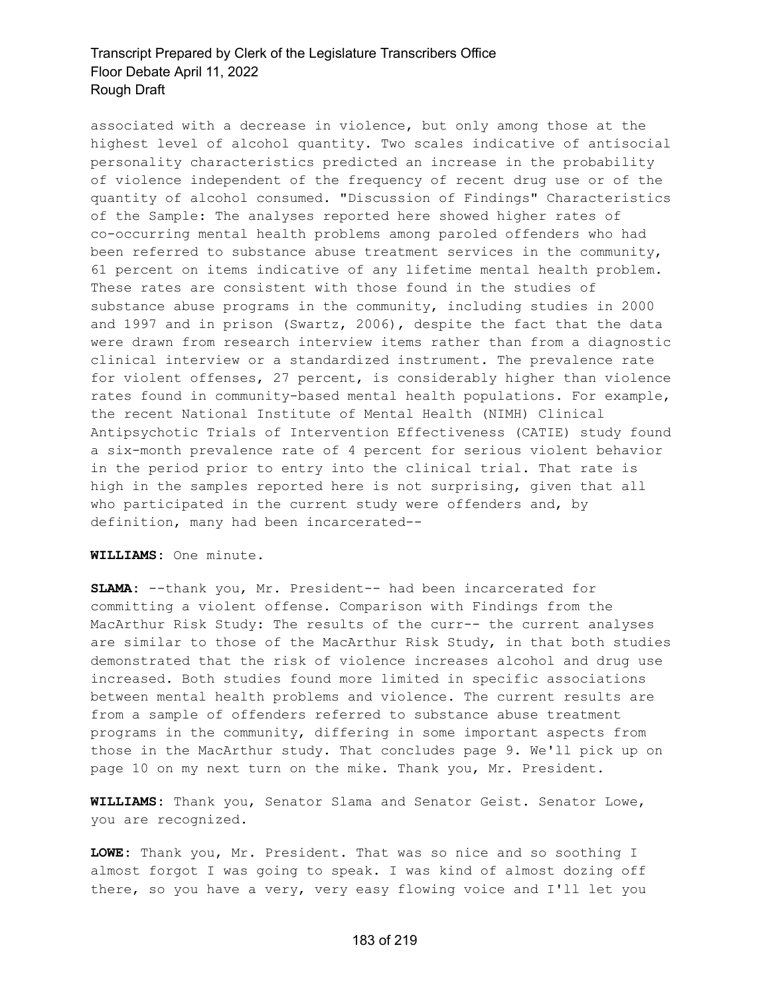associated with a decrease in violence, but only among those at the highest level of alcohol quantity. Two scales indicative of antisocial personality characteristics predicted an increase in the probability of violence independent of the frequency of recent drug use or of the quantity of alcohol consumed. "Discussion of Findings" Characteristics of the Sample: The analyses reported here showed higher rates of co-occurring mental health problems among paroled offenders who had been referred to substance abuse treatment services in the community, 61 percent on items indicative of any lifetime mental health problem. These rates are consistent with those found in the studies of substance abuse programs in the community, including studies in 2000 and 1997 and in prison (Swartz, 2006), despite the fact that the data were drawn from research interview items rather than from a diagnostic clinical interview or a standardized instrument. The prevalence rate for violent offenses, 27 percent, is considerably higher than violence rates found in community-based mental health populations. For example, the recent National Institute of Mental Health (NIMH) Clinical Antipsychotic Trials of Intervention Effectiveness (CATIE) study found a six-month prevalence rate of 4 percent for serious violent behavior in the period prior to entry into the clinical trial. That rate is high in the samples reported here is not surprising, given that all who participated in the current study were offenders and, by definition, many had been incarcerated--

#### **WILLIAMS:** One minute.

**SLAMA:** --thank you, Mr. President-- had been incarcerated for committing a violent offense. Comparison with Findings from the MacArthur Risk Study: The results of the curr-- the current analyses are similar to those of the MacArthur Risk Study, in that both studies demonstrated that the risk of violence increases alcohol and drug use increased. Both studies found more limited in specific associations between mental health problems and violence. The current results are from a sample of offenders referred to substance abuse treatment programs in the community, differing in some important aspects from those in the MacArthur study. That concludes page 9. We'll pick up on page 10 on my next turn on the mike. Thank you, Mr. President.

**WILLIAMS:** Thank you, Senator Slama and Senator Geist. Senator Lowe, you are recognized.

**LOWE:** Thank you, Mr. President. That was so nice and so soothing I almost forgot I was going to speak. I was kind of almost dozing off there, so you have a very, very easy flowing voice and I'll let you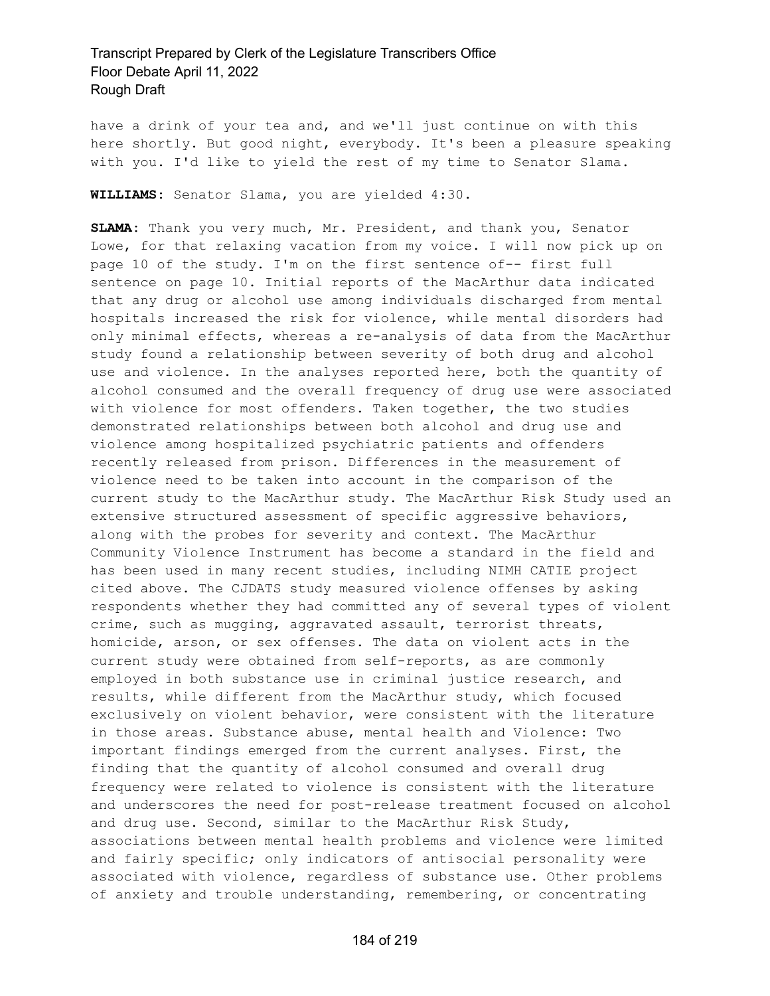have a drink of your tea and, and we'll just continue on with this here shortly. But good night, everybody. It's been a pleasure speaking with you. I'd like to yield the rest of my time to Senator Slama.

**WILLIAMS:** Senator Slama, you are yielded 4:30.

**SLAMA:** Thank you very much, Mr. President, and thank you, Senator Lowe, for that relaxing vacation from my voice. I will now pick up on page 10 of the study. I'm on the first sentence of-- first full sentence on page 10. Initial reports of the MacArthur data indicated that any drug or alcohol use among individuals discharged from mental hospitals increased the risk for violence, while mental disorders had only minimal effects, whereas a re-analysis of data from the MacArthur study found a relationship between severity of both drug and alcohol use and violence. In the analyses reported here, both the quantity of alcohol consumed and the overall frequency of drug use were associated with violence for most offenders. Taken together, the two studies demonstrated relationships between both alcohol and drug use and violence among hospitalized psychiatric patients and offenders recently released from prison. Differences in the measurement of violence need to be taken into account in the comparison of the current study to the MacArthur study. The MacArthur Risk Study used an extensive structured assessment of specific aggressive behaviors, along with the probes for severity and context. The MacArthur Community Violence Instrument has become a standard in the field and has been used in many recent studies, including NIMH CATIE project cited above. The CJDATS study measured violence offenses by asking respondents whether they had committed any of several types of violent crime, such as mugging, aggravated assault, terrorist threats, homicide, arson, or sex offenses. The data on violent acts in the current study were obtained from self-reports, as are commonly employed in both substance use in criminal justice research, and results, while different from the MacArthur study, which focused exclusively on violent behavior, were consistent with the literature in those areas. Substance abuse, mental health and Violence: Two important findings emerged from the current analyses. First, the finding that the quantity of alcohol consumed and overall drug frequency were related to violence is consistent with the literature and underscores the need for post-release treatment focused on alcohol and drug use. Second, similar to the MacArthur Risk Study, associations between mental health problems and violence were limited and fairly specific; only indicators of antisocial personality were associated with violence, regardless of substance use. Other problems of anxiety and trouble understanding, remembering, or concentrating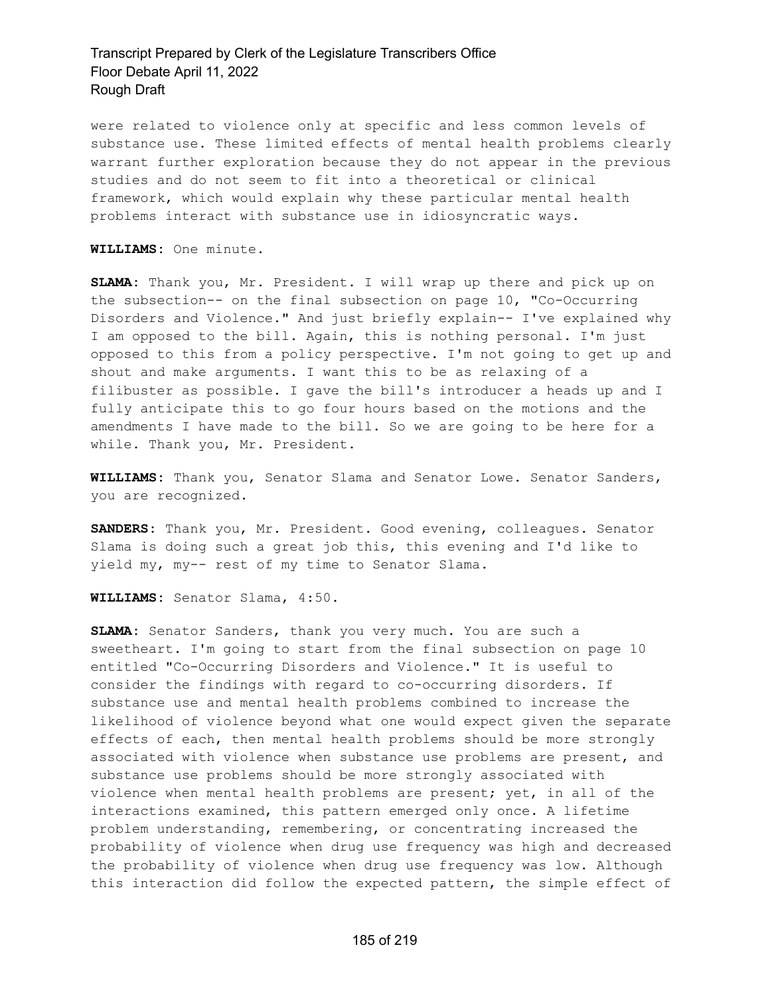were related to violence only at specific and less common levels of substance use. These limited effects of mental health problems clearly warrant further exploration because they do not appear in the previous studies and do not seem to fit into a theoretical or clinical framework, which would explain why these particular mental health problems interact with substance use in idiosyncratic ways.

**WILLIAMS:** One minute.

**SLAMA:** Thank you, Mr. President. I will wrap up there and pick up on the subsection-- on the final subsection on page 10, "Co-Occurring Disorders and Violence." And just briefly explain-- I've explained why I am opposed to the bill. Again, this is nothing personal. I'm just opposed to this from a policy perspective. I'm not going to get up and shout and make arguments. I want this to be as relaxing of a filibuster as possible. I gave the bill's introducer a heads up and I fully anticipate this to go four hours based on the motions and the amendments I have made to the bill. So we are going to be here for a while. Thank you, Mr. President.

**WILLIAMS:** Thank you, Senator Slama and Senator Lowe. Senator Sanders, you are recognized.

**SANDERS:** Thank you, Mr. President. Good evening, colleagues. Senator Slama is doing such a great job this, this evening and I'd like to yield my, my-- rest of my time to Senator Slama.

**WILLIAMS:** Senator Slama, 4:50.

**SLAMA:** Senator Sanders, thank you very much. You are such a sweetheart. I'm going to start from the final subsection on page 10 entitled "Co-Occurring Disorders and Violence." It is useful to consider the findings with regard to co-occurring disorders. If substance use and mental health problems combined to increase the likelihood of violence beyond what one would expect given the separate effects of each, then mental health problems should be more strongly associated with violence when substance use problems are present, and substance use problems should be more strongly associated with violence when mental health problems are present; yet, in all of the interactions examined, this pattern emerged only once. A lifetime problem understanding, remembering, or concentrating increased the probability of violence when drug use frequency was high and decreased the probability of violence when drug use frequency was low. Although this interaction did follow the expected pattern, the simple effect of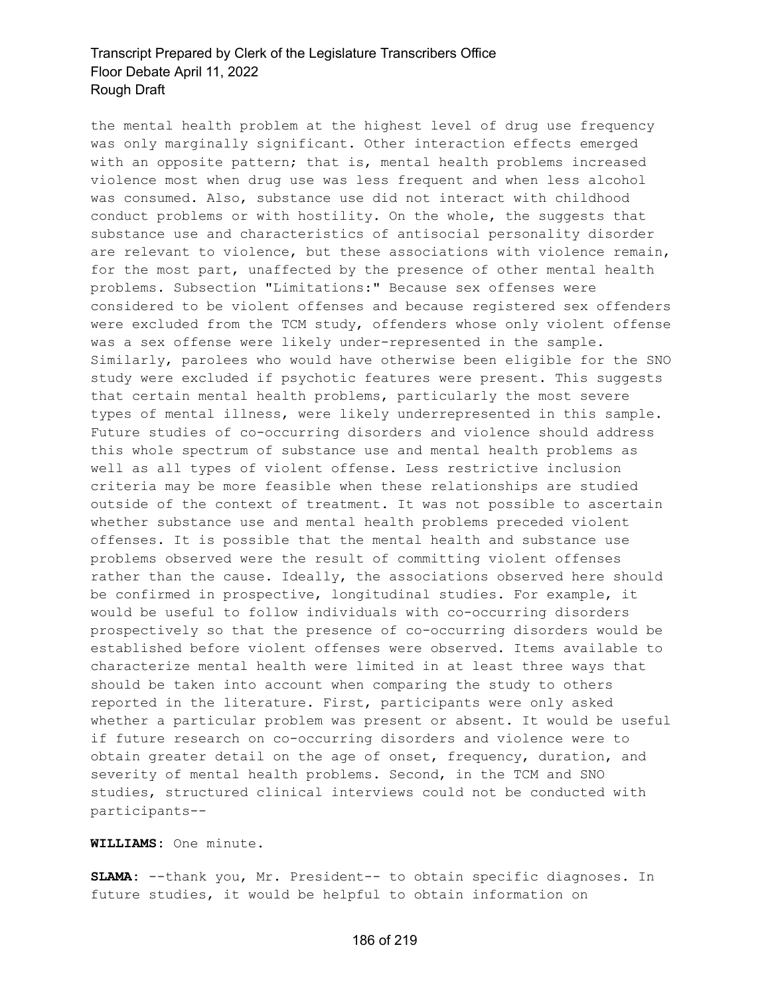the mental health problem at the highest level of drug use frequency was only marginally significant. Other interaction effects emerged with an opposite pattern; that is, mental health problems increased violence most when drug use was less frequent and when less alcohol was consumed. Also, substance use did not interact with childhood conduct problems or with hostility. On the whole, the suggests that substance use and characteristics of antisocial personality disorder are relevant to violence, but these associations with violence remain, for the most part, unaffected by the presence of other mental health problems. Subsection "Limitations:" Because sex offenses were considered to be violent offenses and because registered sex offenders were excluded from the TCM study, offenders whose only violent offense was a sex offense were likely under-represented in the sample. Similarly, parolees who would have otherwise been eligible for the SNO study were excluded if psychotic features were present. This suggests that certain mental health problems, particularly the most severe types of mental illness, were likely underrepresented in this sample. Future studies of co-occurring disorders and violence should address this whole spectrum of substance use and mental health problems as well as all types of violent offense. Less restrictive inclusion criteria may be more feasible when these relationships are studied outside of the context of treatment. It was not possible to ascertain whether substance use and mental health problems preceded violent offenses. It is possible that the mental health and substance use problems observed were the result of committing violent offenses rather than the cause. Ideally, the associations observed here should be confirmed in prospective, longitudinal studies. For example, it would be useful to follow individuals with co-occurring disorders prospectively so that the presence of co-occurring disorders would be established before violent offenses were observed. Items available to characterize mental health were limited in at least three ways that should be taken into account when comparing the study to others reported in the literature. First, participants were only asked whether a particular problem was present or absent. It would be useful if future research on co-occurring disorders and violence were to obtain greater detail on the age of onset, frequency, duration, and severity of mental health problems. Second, in the TCM and SNO studies, structured clinical interviews could not be conducted with participants--

**WILLIAMS:** One minute.

**SLAMA:** --thank you, Mr. President-- to obtain specific diagnoses. In future studies, it would be helpful to obtain information on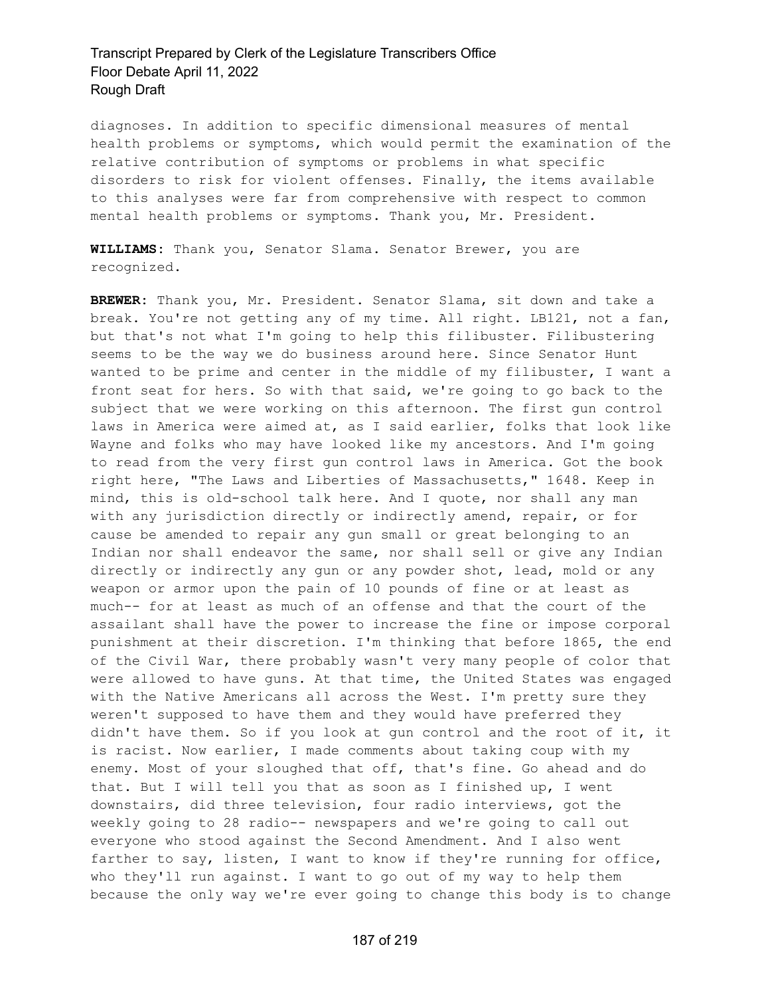diagnoses. In addition to specific dimensional measures of mental health problems or symptoms, which would permit the examination of the relative contribution of symptoms or problems in what specific disorders to risk for violent offenses. Finally, the items available to this analyses were far from comprehensive with respect to common mental health problems or symptoms. Thank you, Mr. President.

**WILLIAMS:** Thank you, Senator Slama. Senator Brewer, you are recognized.

**BREWER:** Thank you, Mr. President. Senator Slama, sit down and take a break. You're not getting any of my time. All right. LB121, not a fan, but that's not what I'm going to help this filibuster. Filibustering seems to be the way we do business around here. Since Senator Hunt wanted to be prime and center in the middle of my filibuster, I want a front seat for hers. So with that said, we're going to go back to the subject that we were working on this afternoon. The first gun control laws in America were aimed at, as I said earlier, folks that look like Wayne and folks who may have looked like my ancestors. And I'm going to read from the very first gun control laws in America. Got the book right here, "The Laws and Liberties of Massachusetts," 1648. Keep in mind, this is old-school talk here. And I quote, nor shall any man with any jurisdiction directly or indirectly amend, repair, or for cause be amended to repair any gun small or great belonging to an Indian nor shall endeavor the same, nor shall sell or give any Indian directly or indirectly any gun or any powder shot, lead, mold or any weapon or armor upon the pain of 10 pounds of fine or at least as much-- for at least as much of an offense and that the court of the assailant shall have the power to increase the fine or impose corporal punishment at their discretion. I'm thinking that before 1865, the end of the Civil War, there probably wasn't very many people of color that were allowed to have guns. At that time, the United States was engaged with the Native Americans all across the West. I'm pretty sure they weren't supposed to have them and they would have preferred they didn't have them. So if you look at gun control and the root of it, it is racist. Now earlier, I made comments about taking coup with my enemy. Most of your sloughed that off, that's fine. Go ahead and do that. But I will tell you that as soon as I finished up, I went downstairs, did three television, four radio interviews, got the weekly going to 28 radio-- newspapers and we're going to call out everyone who stood against the Second Amendment. And I also went farther to say, listen, I want to know if they're running for office, who they'll run against. I want to go out of my way to help them because the only way we're ever going to change this body is to change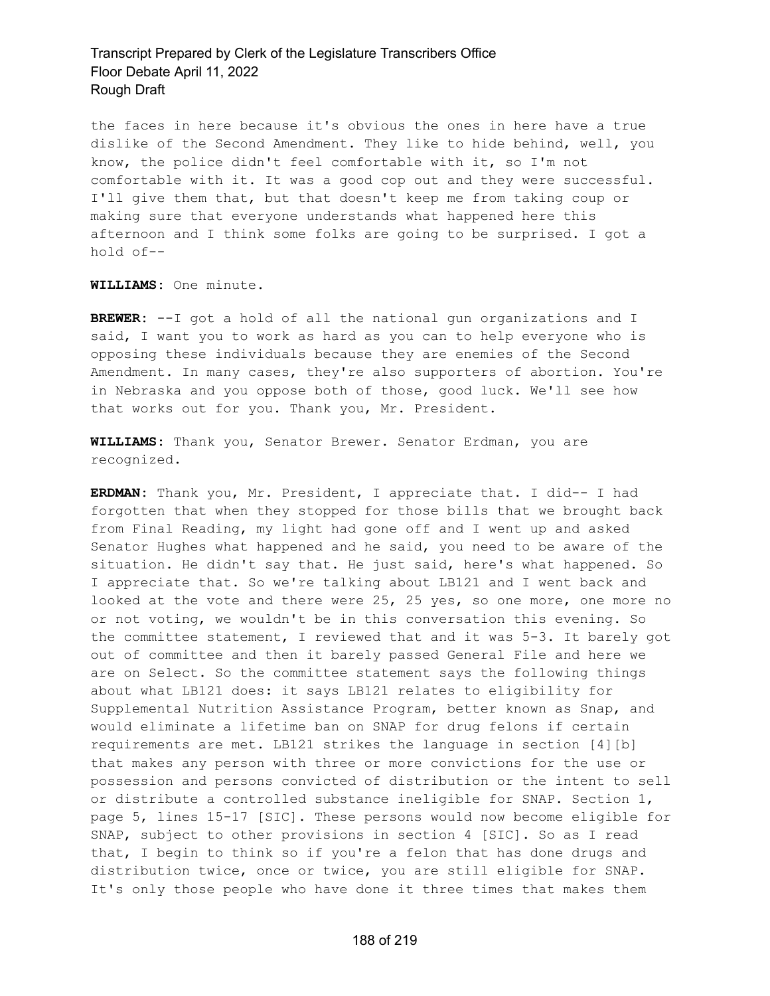the faces in here because it's obvious the ones in here have a true dislike of the Second Amendment. They like to hide behind, well, you know, the police didn't feel comfortable with it, so I'm not comfortable with it. It was a good cop out and they were successful. I'll give them that, but that doesn't keep me from taking coup or making sure that everyone understands what happened here this afternoon and I think some folks are going to be surprised. I got a hold of--

**WILLIAMS:** One minute.

**BREWER:** --I got a hold of all the national gun organizations and I said, I want you to work as hard as you can to help everyone who is opposing these individuals because they are enemies of the Second Amendment. In many cases, they're also supporters of abortion. You're in Nebraska and you oppose both of those, good luck. We'll see how that works out for you. Thank you, Mr. President.

**WILLIAMS:** Thank you, Senator Brewer. Senator Erdman, you are recognized.

**ERDMAN:** Thank you, Mr. President, I appreciate that. I did-- I had forgotten that when they stopped for those bills that we brought back from Final Reading, my light had gone off and I went up and asked Senator Hughes what happened and he said, you need to be aware of the situation. He didn't say that. He just said, here's what happened. So I appreciate that. So we're talking about LB121 and I went back and looked at the vote and there were 25, 25 yes, so one more, one more no or not voting, we wouldn't be in this conversation this evening. So the committee statement, I reviewed that and it was 5-3. It barely got out of committee and then it barely passed General File and here we are on Select. So the committee statement says the following things about what LB121 does: it says LB121 relates to eligibility for Supplemental Nutrition Assistance Program, better known as Snap, and would eliminate a lifetime ban on SNAP for drug felons if certain requirements are met. LB121 strikes the language in section [4][b] that makes any person with three or more convictions for the use or possession and persons convicted of distribution or the intent to sell or distribute a controlled substance ineligible for SNAP. Section 1, page 5, lines 15-17 [SIC]. These persons would now become eligible for SNAP, subject to other provisions in section 4 [SIC]. So as I read that, I begin to think so if you're a felon that has done drugs and distribution twice, once or twice, you are still eligible for SNAP. It's only those people who have done it three times that makes them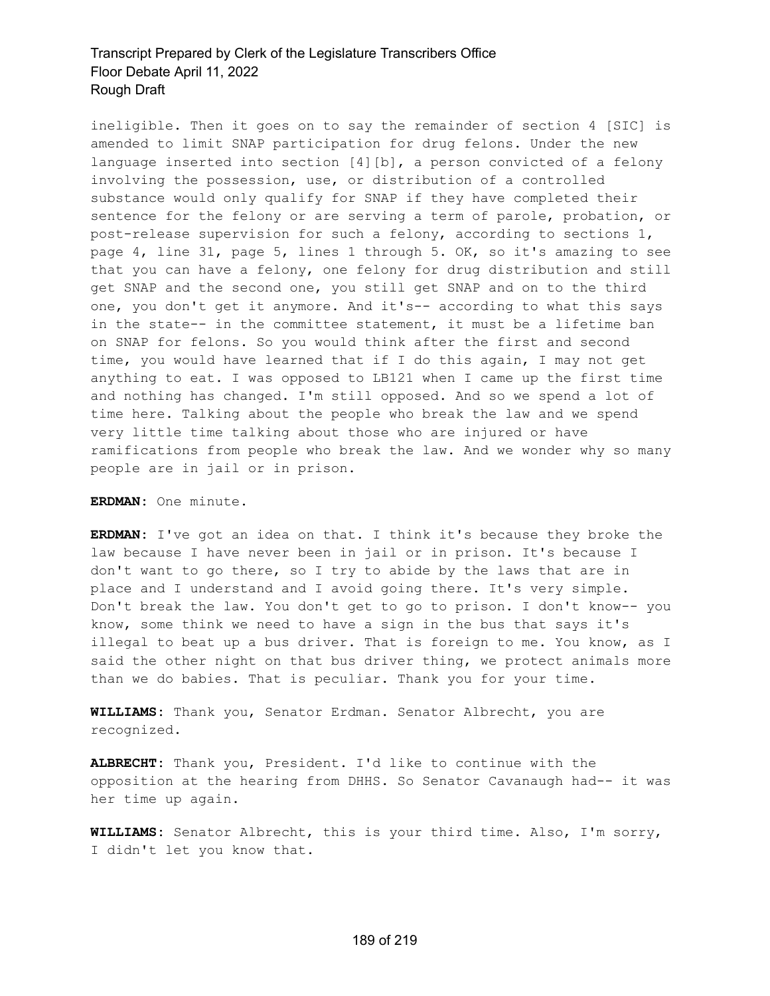ineligible. Then it goes on to say the remainder of section 4 [SIC] is amended to limit SNAP participation for drug felons. Under the new language inserted into section [4][b], a person convicted of a felony involving the possession, use, or distribution of a controlled substance would only qualify for SNAP if they have completed their sentence for the felony or are serving a term of parole, probation, or post-release supervision for such a felony, according to sections 1, page 4, line 31, page 5, lines 1 through 5. OK, so it's amazing to see that you can have a felony, one felony for drug distribution and still get SNAP and the second one, you still get SNAP and on to the third one, you don't get it anymore. And it's-- according to what this says in the state-- in the committee statement, it must be a lifetime ban on SNAP for felons. So you would think after the first and second time, you would have learned that if I do this again, I may not get anything to eat. I was opposed to LB121 when I came up the first time and nothing has changed. I'm still opposed. And so we spend a lot of time here. Talking about the people who break the law and we spend very little time talking about those who are injured or have ramifications from people who break the law. And we wonder why so many people are in jail or in prison.

**ERDMAN:** One minute.

**ERDMAN:** I've got an idea on that. I think it's because they broke the law because I have never been in jail or in prison. It's because I don't want to go there, so I try to abide by the laws that are in place and I understand and I avoid going there. It's very simple. Don't break the law. You don't get to go to prison. I don't know-- you know, some think we need to have a sign in the bus that says it's illegal to beat up a bus driver. That is foreign to me. You know, as I said the other night on that bus driver thing, we protect animals more than we do babies. That is peculiar. Thank you for your time.

**WILLIAMS:** Thank you, Senator Erdman. Senator Albrecht, you are recognized.

**ALBRECHT:** Thank you, President. I'd like to continue with the opposition at the hearing from DHHS. So Senator Cavanaugh had-- it was her time up again.

**WILLIAMS:** Senator Albrecht, this is your third time. Also, I'm sorry, I didn't let you know that.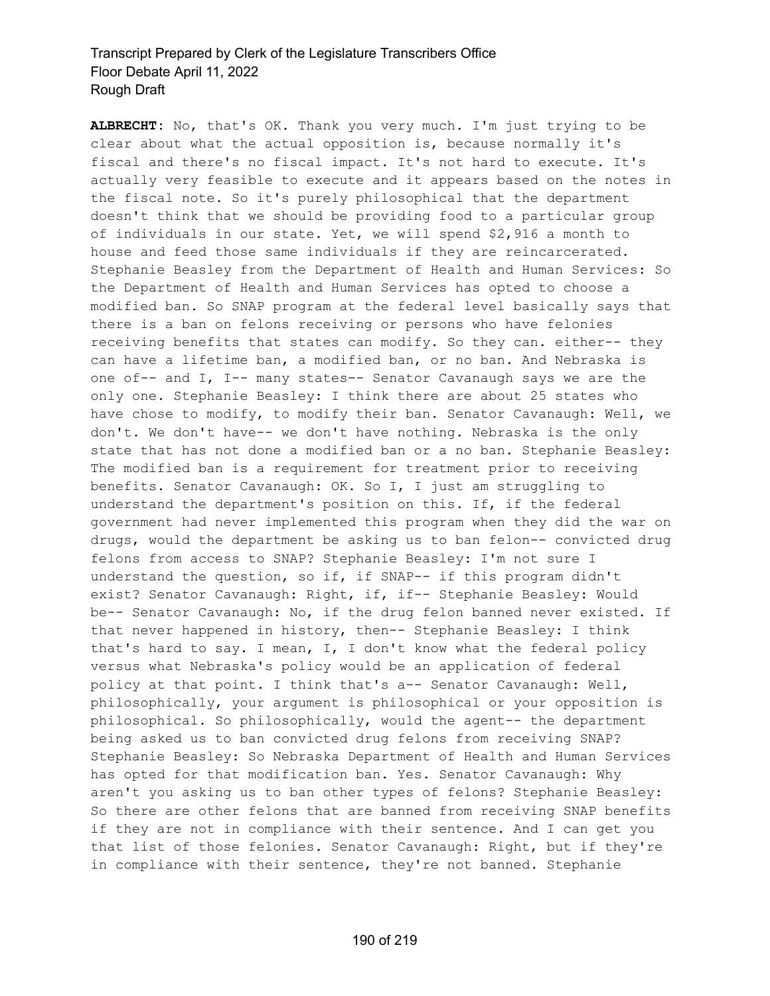**ALBRECHT:** No, that's OK. Thank you very much. I'm just trying to be clear about what the actual opposition is, because normally it's fiscal and there's no fiscal impact. It's not hard to execute. It's actually very feasible to execute and it appears based on the notes in the fiscal note. So it's purely philosophical that the department doesn't think that we should be providing food to a particular group of individuals in our state. Yet, we will spend \$2,916 a month to house and feed those same individuals if they are reincarcerated. Stephanie Beasley from the Department of Health and Human Services: So the Department of Health and Human Services has opted to choose a modified ban. So SNAP program at the federal level basically says that there is a ban on felons receiving or persons who have felonies receiving benefits that states can modify. So they can. either-- they can have a lifetime ban, a modified ban, or no ban. And Nebraska is one of-- and I, I-- many states-- Senator Cavanaugh says we are the only one. Stephanie Beasley: I think there are about 25 states who have chose to modify, to modify their ban. Senator Cavanaugh: Well, we don't. We don't have-- we don't have nothing. Nebraska is the only state that has not done a modified ban or a no ban. Stephanie Beasley: The modified ban is a requirement for treatment prior to receiving benefits. Senator Cavanaugh: OK. So I, I just am struggling to understand the department's position on this. If, if the federal government had never implemented this program when they did the war on drugs, would the department be asking us to ban felon-- convicted drug felons from access to SNAP? Stephanie Beasley: I'm not sure I understand the question, so if, if SNAP-- if this program didn't exist? Senator Cavanaugh: Right, if, if-- Stephanie Beasley: Would be-- Senator Cavanaugh: No, if the drug felon banned never existed. If that never happened in history, then-- Stephanie Beasley: I think that's hard to say. I mean, I, I don't know what the federal policy versus what Nebraska's policy would be an application of federal policy at that point. I think that's a-- Senator Cavanaugh: Well, philosophically, your argument is philosophical or your opposition is philosophical. So philosophically, would the agent-- the department being asked us to ban convicted drug felons from receiving SNAP? Stephanie Beasley: So Nebraska Department of Health and Human Services has opted for that modification ban. Yes. Senator Cavanaugh: Why aren't you asking us to ban other types of felons? Stephanie Beasley: So there are other felons that are banned from receiving SNAP benefits if they are not in compliance with their sentence. And I can get you that list of those felonies. Senator Cavanaugh: Right, but if they're in compliance with their sentence, they're not banned. Stephanie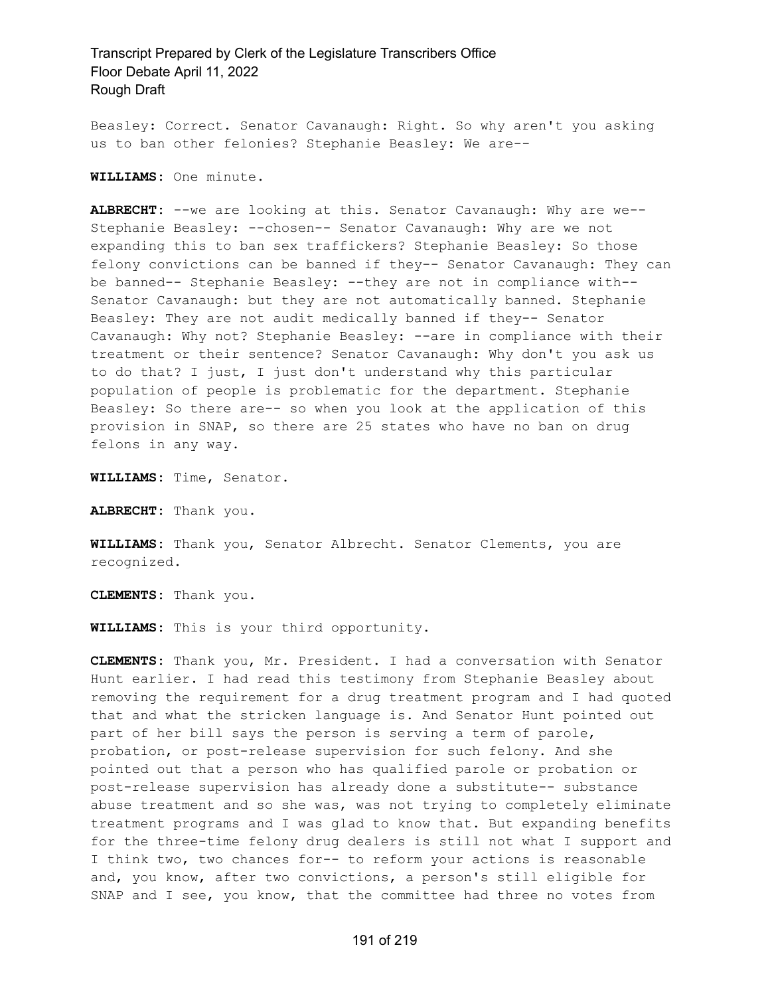Beasley: Correct. Senator Cavanaugh: Right. So why aren't you asking us to ban other felonies? Stephanie Beasley: We are--

**WILLIAMS:** One minute.

**ALBRECHT:** --we are looking at this. Senator Cavanaugh: Why are we-- Stephanie Beasley: --chosen-- Senator Cavanaugh: Why are we not expanding this to ban sex traffickers? Stephanie Beasley: So those felony convictions can be banned if they-- Senator Cavanaugh: They can be banned-- Stephanie Beasley: --they are not in compliance with-- Senator Cavanaugh: but they are not automatically banned. Stephanie Beasley: They are not audit medically banned if they-- Senator Cavanaugh: Why not? Stephanie Beasley: --are in compliance with their treatment or their sentence? Senator Cavanaugh: Why don't you ask us to do that? I just, I just don't understand why this particular population of people is problematic for the department. Stephanie Beasley: So there are-- so when you look at the application of this provision in SNAP, so there are 25 states who have no ban on drug felons in any way.

**WILLIAMS:** Time, Senator.

**ALBRECHT:** Thank you.

**WILLIAMS:** Thank you, Senator Albrecht. Senator Clements, you are recognized.

**CLEMENTS:** Thank you.

**WILLIAMS:** This is your third opportunity.

**CLEMENTS:** Thank you, Mr. President. I had a conversation with Senator Hunt earlier. I had read this testimony from Stephanie Beasley about removing the requirement for a drug treatment program and I had quoted that and what the stricken language is. And Senator Hunt pointed out part of her bill says the person is serving a term of parole, probation, or post-release supervision for such felony. And she pointed out that a person who has qualified parole or probation or post-release supervision has already done a substitute-- substance abuse treatment and so she was, was not trying to completely eliminate treatment programs and I was glad to know that. But expanding benefits for the three-time felony drug dealers is still not what I support and I think two, two chances for-- to reform your actions is reasonable and, you know, after two convictions, a person's still eligible for SNAP and I see, you know, that the committee had three no votes from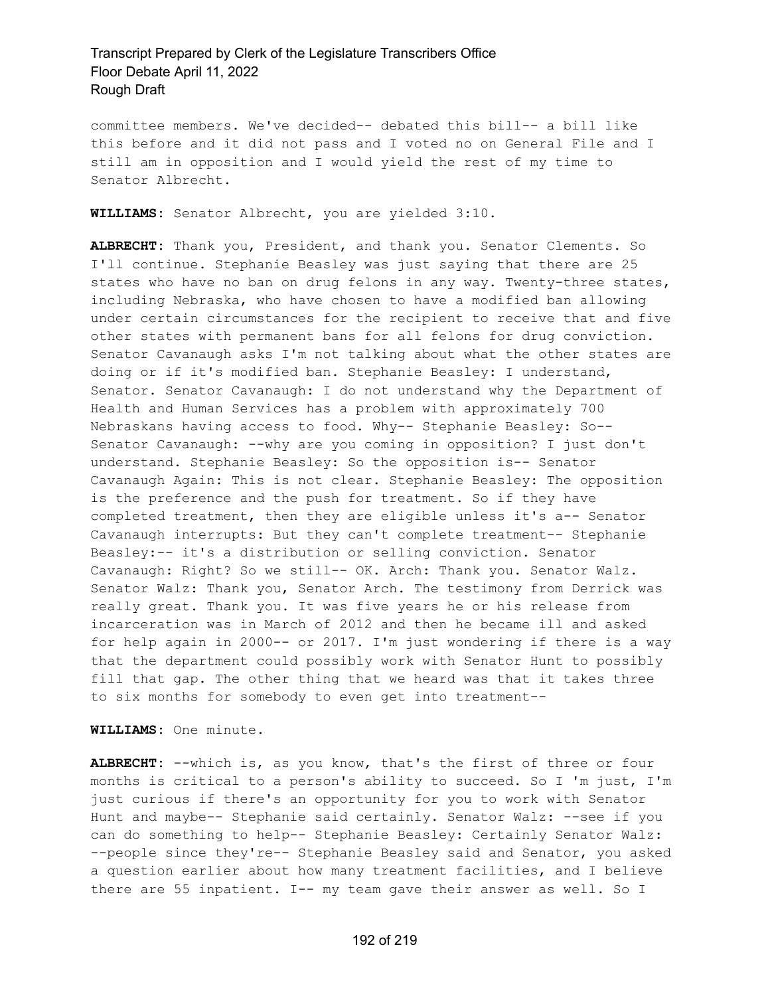committee members. We've decided-- debated this bill-- a bill like this before and it did not pass and I voted no on General File and I still am in opposition and I would yield the rest of my time to Senator Albrecht.

**WILLIAMS:** Senator Albrecht, you are yielded 3:10.

**ALBRECHT:** Thank you, President, and thank you. Senator Clements. So I'll continue. Stephanie Beasley was just saying that there are 25 states who have no ban on drug felons in any way. Twenty-three states, including Nebraska, who have chosen to have a modified ban allowing under certain circumstances for the recipient to receive that and five other states with permanent bans for all felons for drug conviction. Senator Cavanaugh asks I'm not talking about what the other states are doing or if it's modified ban. Stephanie Beasley: I understand, Senator. Senator Cavanaugh: I do not understand why the Department of Health and Human Services has a problem with approximately 700 Nebraskans having access to food. Why-- Stephanie Beasley: So-- Senator Cavanaugh: --why are you coming in opposition? I just don't understand. Stephanie Beasley: So the opposition is-- Senator Cavanaugh Again: This is not clear. Stephanie Beasley: The opposition is the preference and the push for treatment. So if they have completed treatment, then they are eligible unless it's a-- Senator Cavanaugh interrupts: But they can't complete treatment-- Stephanie Beasley:-- it's a distribution or selling conviction. Senator Cavanaugh: Right? So we still-- OK. Arch: Thank you. Senator Walz. Senator Walz: Thank you, Senator Arch. The testimony from Derrick was really great. Thank you. It was five years he or his release from incarceration was in March of 2012 and then he became ill and asked for help again in 2000-- or 2017. I'm just wondering if there is a way that the department could possibly work with Senator Hunt to possibly fill that gap. The other thing that we heard was that it takes three to six months for somebody to even get into treatment--

**WILLIAMS:** One minute.

**ALBRECHT:** --which is, as you know, that's the first of three or four months is critical to a person's ability to succeed. So I 'm just, I'm just curious if there's an opportunity for you to work with Senator Hunt and maybe-- Stephanie said certainly. Senator Walz: --see if you can do something to help-- Stephanie Beasley: Certainly Senator Walz: --people since they're-- Stephanie Beasley said and Senator, you asked a question earlier about how many treatment facilities, and I believe there are 55 inpatient. I-- my team gave their answer as well. So I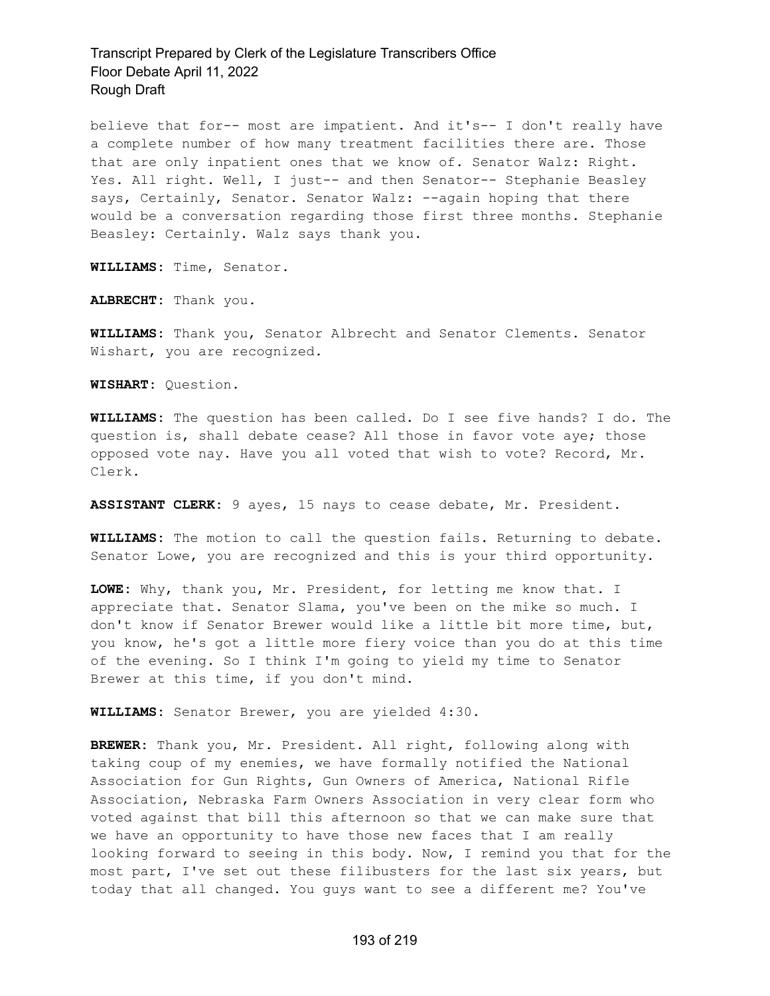believe that for-- most are impatient. And it's-- I don't really have a complete number of how many treatment facilities there are. Those that are only inpatient ones that we know of. Senator Walz: Right. Yes. All right. Well, I just-- and then Senator-- Stephanie Beasley says, Certainly, Senator. Senator Walz: --again hoping that there would be a conversation regarding those first three months. Stephanie Beasley: Certainly. Walz says thank you.

**WILLIAMS:** Time, Senator.

**ALBRECHT:** Thank you.

**WILLIAMS:** Thank you, Senator Albrecht and Senator Clements. Senator Wishart, you are recognized.

**WISHART:** Question.

**WILLIAMS:** The question has been called. Do I see five hands? I do. The question is, shall debate cease? All those in favor vote aye; those opposed vote nay. Have you all voted that wish to vote? Record, Mr. Clerk.

**ASSISTANT CLERK:** 9 ayes, 15 nays to cease debate, Mr. President.

**WILLIAMS:** The motion to call the question fails. Returning to debate. Senator Lowe, you are recognized and this is your third opportunity.

**LOWE:** Why, thank you, Mr. President, for letting me know that. I appreciate that. Senator Slama, you've been on the mike so much. I don't know if Senator Brewer would like a little bit more time, but, you know, he's got a little more fiery voice than you do at this time of the evening. So I think I'm going to yield my time to Senator Brewer at this time, if you don't mind.

**WILLIAMS:** Senator Brewer, you are yielded 4:30.

**BREWER:** Thank you, Mr. President. All right, following along with taking coup of my enemies, we have formally notified the National Association for Gun Rights, Gun Owners of America, National Rifle Association, Nebraska Farm Owners Association in very clear form who voted against that bill this afternoon so that we can make sure that we have an opportunity to have those new faces that I am really looking forward to seeing in this body. Now, I remind you that for the most part, I've set out these filibusters for the last six years, but today that all changed. You guys want to see a different me? You've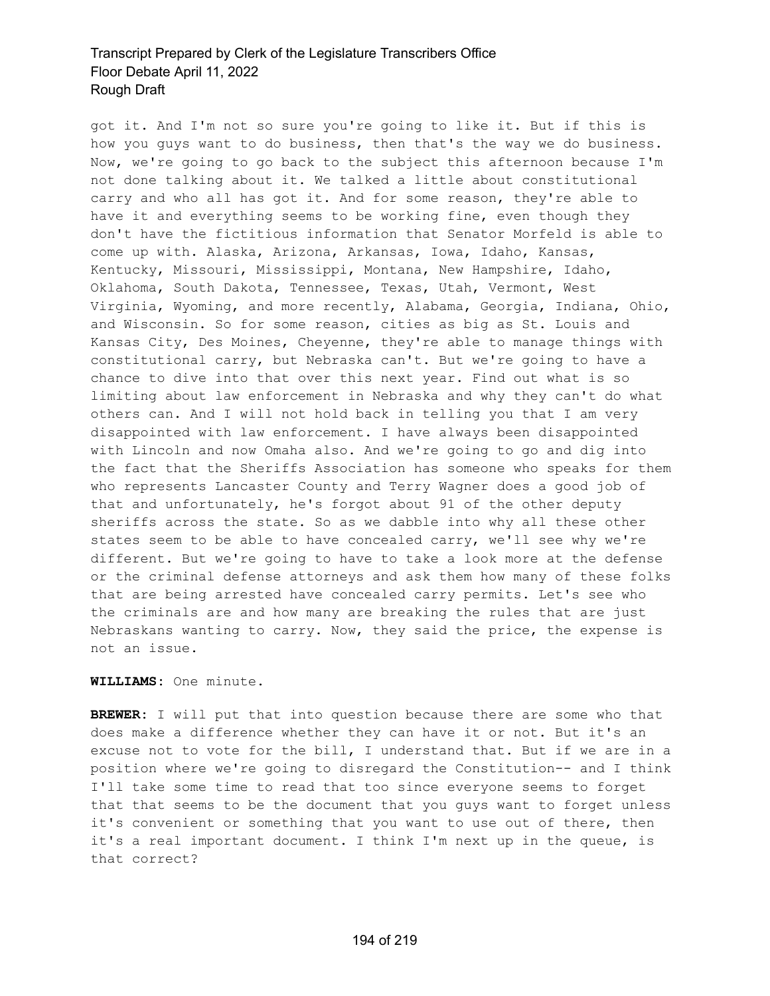got it. And I'm not so sure you're going to like it. But if this is how you guys want to do business, then that's the way we do business. Now, we're going to go back to the subject this afternoon because I'm not done talking about it. We talked a little about constitutional carry and who all has got it. And for some reason, they're able to have it and everything seems to be working fine, even though they don't have the fictitious information that Senator Morfeld is able to come up with. Alaska, Arizona, Arkansas, Iowa, Idaho, Kansas, Kentucky, Missouri, Mississippi, Montana, New Hampshire, Idaho, Oklahoma, South Dakota, Tennessee, Texas, Utah, Vermont, West Virginia, Wyoming, and more recently, Alabama, Georgia, Indiana, Ohio, and Wisconsin. So for some reason, cities as big as St. Louis and Kansas City, Des Moines, Cheyenne, they're able to manage things with constitutional carry, but Nebraska can't. But we're going to have a chance to dive into that over this next year. Find out what is so limiting about law enforcement in Nebraska and why they can't do what others can. And I will not hold back in telling you that I am very disappointed with law enforcement. I have always been disappointed with Lincoln and now Omaha also. And we're going to go and dig into the fact that the Sheriffs Association has someone who speaks for them who represents Lancaster County and Terry Wagner does a good job of that and unfortunately, he's forgot about 91 of the other deputy sheriffs across the state. So as we dabble into why all these other states seem to be able to have concealed carry, we'll see why we're different. But we're going to have to take a look more at the defense or the criminal defense attorneys and ask them how many of these folks that are being arrested have concealed carry permits. Let's see who the criminals are and how many are breaking the rules that are just Nebraskans wanting to carry. Now, they said the price, the expense is not an issue.

#### **WILLIAMS:** One minute.

**BREWER:** I will put that into question because there are some who that does make a difference whether they can have it or not. But it's an excuse not to vote for the bill, I understand that. But if we are in a position where we're going to disregard the Constitution-- and I think I'll take some time to read that too since everyone seems to forget that that seems to be the document that you guys want to forget unless it's convenient or something that you want to use out of there, then it's a real important document. I think I'm next up in the queue, is that correct?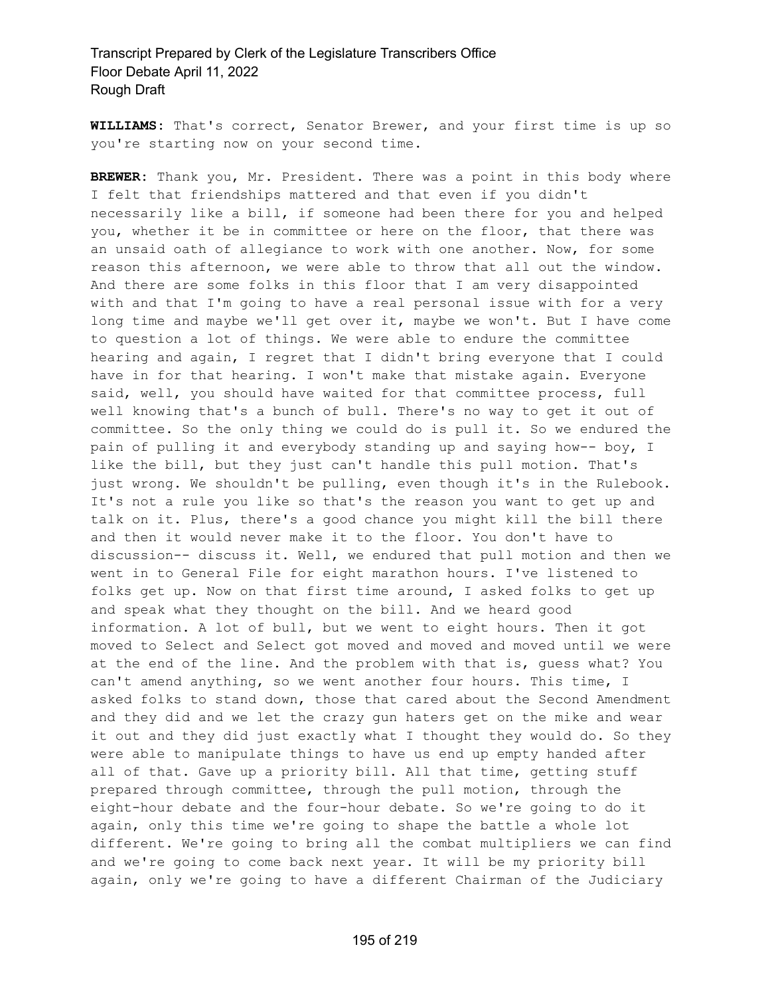**WILLIAMS:** That's correct, Senator Brewer, and your first time is up so you're starting now on your second time.

**BREWER:** Thank you, Mr. President. There was a point in this body where I felt that friendships mattered and that even if you didn't necessarily like a bill, if someone had been there for you and helped you, whether it be in committee or here on the floor, that there was an unsaid oath of allegiance to work with one another. Now, for some reason this afternoon, we were able to throw that all out the window. And there are some folks in this floor that I am very disappointed with and that I'm going to have a real personal issue with for a very long time and maybe we'll get over it, maybe we won't. But I have come to question a lot of things. We were able to endure the committee hearing and again, I regret that I didn't bring everyone that I could have in for that hearing. I won't make that mistake again. Everyone said, well, you should have waited for that committee process, full well knowing that's a bunch of bull. There's no way to get it out of committee. So the only thing we could do is pull it. So we endured the pain of pulling it and everybody standing up and saying how-- boy, I like the bill, but they just can't handle this pull motion. That's just wrong. We shouldn't be pulling, even though it's in the Rulebook. It's not a rule you like so that's the reason you want to get up and talk on it. Plus, there's a good chance you might kill the bill there and then it would never make it to the floor. You don't have to discussion-- discuss it. Well, we endured that pull motion and then we went in to General File for eight marathon hours. I've listened to folks get up. Now on that first time around, I asked folks to get up and speak what they thought on the bill. And we heard good information. A lot of bull, but we went to eight hours. Then it got moved to Select and Select got moved and moved and moved until we were at the end of the line. And the problem with that is, guess what? You can't amend anything, so we went another four hours. This time, I asked folks to stand down, those that cared about the Second Amendment and they did and we let the crazy gun haters get on the mike and wear it out and they did just exactly what I thought they would do. So they were able to manipulate things to have us end up empty handed after all of that. Gave up a priority bill. All that time, getting stuff prepared through committee, through the pull motion, through the eight-hour debate and the four-hour debate. So we're going to do it again, only this time we're going to shape the battle a whole lot different. We're going to bring all the combat multipliers we can find and we're going to come back next year. It will be my priority bill again, only we're going to have a different Chairman of the Judiciary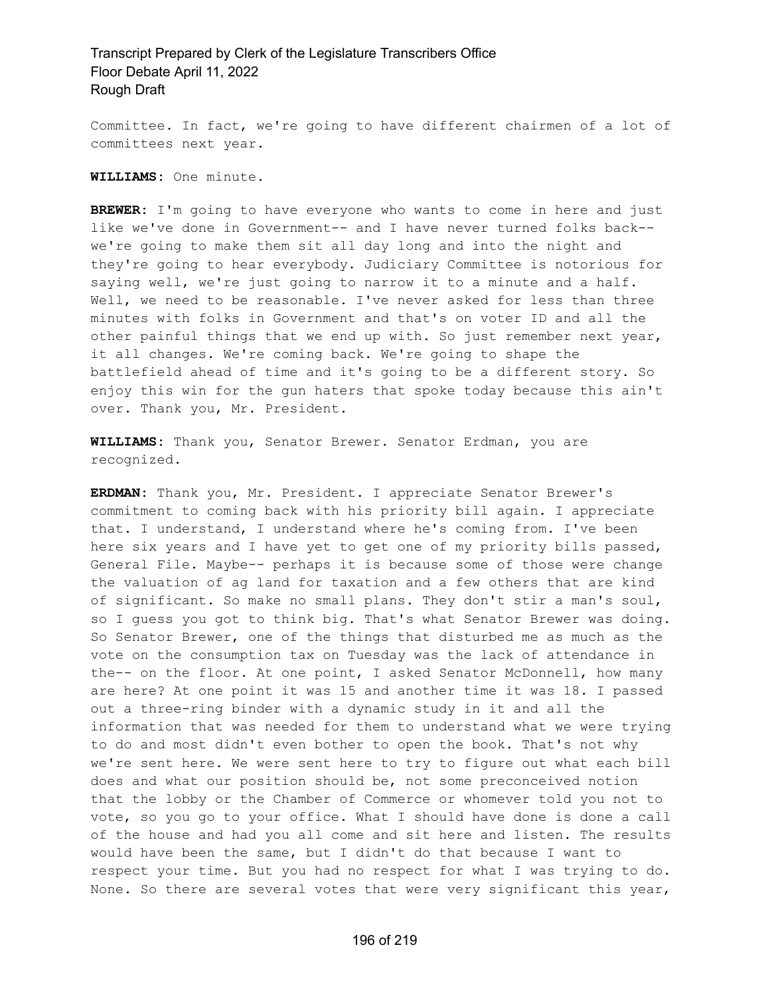Committee. In fact, we're going to have different chairmen of a lot of committees next year.

**WILLIAMS:** One minute.

**BREWER:** I'm going to have everyone who wants to come in here and just like we've done in Government-- and I have never turned folks back- we're going to make them sit all day long and into the night and they're going to hear everybody. Judiciary Committee is notorious for saying well, we're just going to narrow it to a minute and a half. Well, we need to be reasonable. I've never asked for less than three minutes with folks in Government and that's on voter ID and all the other painful things that we end up with. So just remember next year, it all changes. We're coming back. We're going to shape the battlefield ahead of time and it's going to be a different story. So enjoy this win for the gun haters that spoke today because this ain't over. Thank you, Mr. President.

**WILLIAMS:** Thank you, Senator Brewer. Senator Erdman, you are recognized.

**ERDMAN:** Thank you, Mr. President. I appreciate Senator Brewer's commitment to coming back with his priority bill again. I appreciate that. I understand, I understand where he's coming from. I've been here six years and I have yet to get one of my priority bills passed, General File. Maybe-- perhaps it is because some of those were change the valuation of ag land for taxation and a few others that are kind of significant. So make no small plans. They don't stir a man's soul, so I guess you got to think big. That's what Senator Brewer was doing. So Senator Brewer, one of the things that disturbed me as much as the vote on the consumption tax on Tuesday was the lack of attendance in the-- on the floor. At one point, I asked Senator McDonnell, how many are here? At one point it was 15 and another time it was 18. I passed out a three-ring binder with a dynamic study in it and all the information that was needed for them to understand what we were trying to do and most didn't even bother to open the book. That's not why we're sent here. We were sent here to try to figure out what each bill does and what our position should be, not some preconceived notion that the lobby or the Chamber of Commerce or whomever told you not to vote, so you go to your office. What I should have done is done a call of the house and had you all come and sit here and listen. The results would have been the same, but I didn't do that because I want to respect your time. But you had no respect for what I was trying to do. None. So there are several votes that were very significant this year,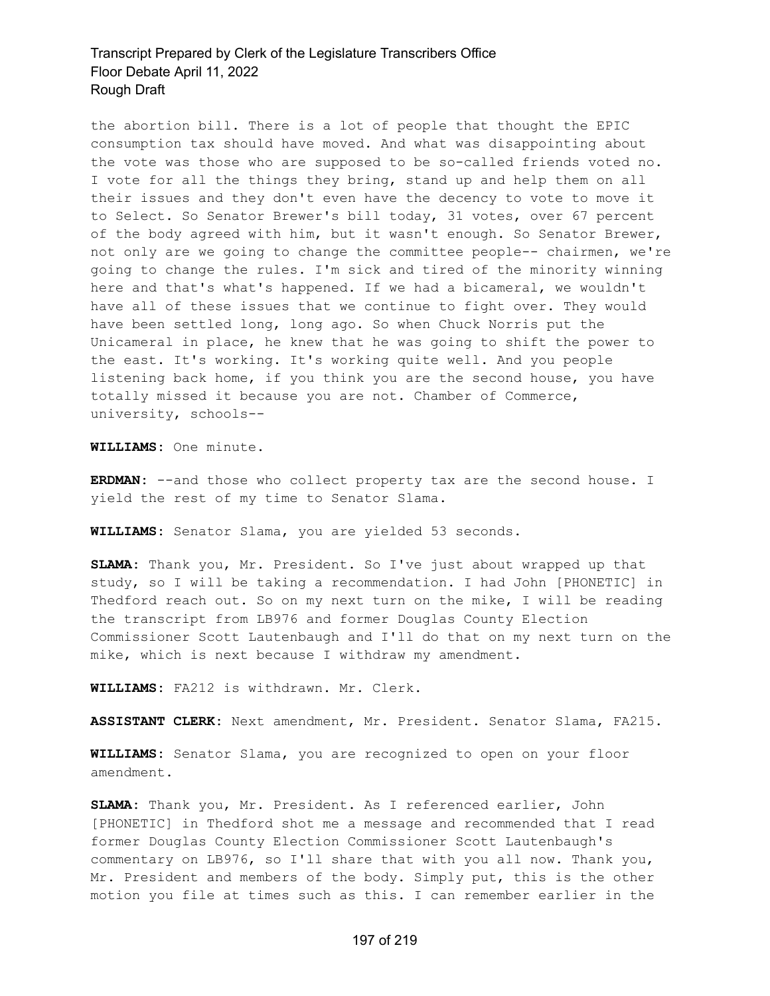the abortion bill. There is a lot of people that thought the EPIC consumption tax should have moved. And what was disappointing about the vote was those who are supposed to be so-called friends voted no. I vote for all the things they bring, stand up and help them on all their issues and they don't even have the decency to vote to move it to Select. So Senator Brewer's bill today, 31 votes, over 67 percent of the body agreed with him, but it wasn't enough. So Senator Brewer, not only are we going to change the committee people-- chairmen, we're going to change the rules. I'm sick and tired of the minority winning here and that's what's happened. If we had a bicameral, we wouldn't have all of these issues that we continue to fight over. They would have been settled long, long ago. So when Chuck Norris put the Unicameral in place, he knew that he was going to shift the power to the east. It's working. It's working quite well. And you people listening back home, if you think you are the second house, you have totally missed it because you are not. Chamber of Commerce, university, schools--

**WILLIAMS:** One minute.

**ERDMAN:** --and those who collect property tax are the second house. I yield the rest of my time to Senator Slama.

**WILLIAMS:** Senator Slama, you are yielded 53 seconds.

**SLAMA:** Thank you, Mr. President. So I've just about wrapped up that study, so I will be taking a recommendation. I had John [PHONETIC] in Thedford reach out. So on my next turn on the mike, I will be reading the transcript from LB976 and former Douglas County Election Commissioner Scott Lautenbaugh and I'll do that on my next turn on the mike, which is next because I withdraw my amendment.

**WILLIAMS:** FA212 is withdrawn. Mr. Clerk.

**ASSISTANT CLERK:** Next amendment, Mr. President. Senator Slama, FA215.

**WILLIAMS:** Senator Slama, you are recognized to open on your floor amendment.

**SLAMA:** Thank you, Mr. President. As I referenced earlier, John [PHONETIC] in Thedford shot me a message and recommended that I read former Douglas County Election Commissioner Scott Lautenbaugh's commentary on LB976, so I'll share that with you all now. Thank you, Mr. President and members of the body. Simply put, this is the other motion you file at times such as this. I can remember earlier in the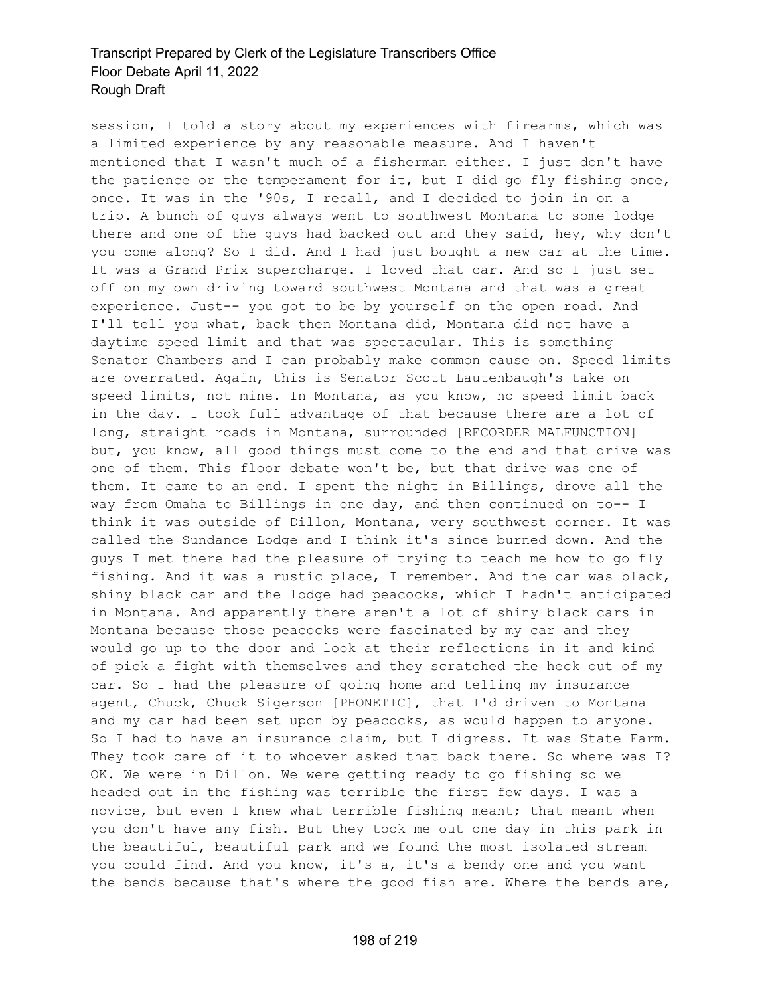session, I told a story about my experiences with firearms, which was a limited experience by any reasonable measure. And I haven't mentioned that I wasn't much of a fisherman either. I just don't have the patience or the temperament for it, but I did go fly fishing once, once. It was in the '90s, I recall, and I decided to join in on a trip. A bunch of guys always went to southwest Montana to some lodge there and one of the guys had backed out and they said, hey, why don't you come along? So I did. And I had just bought a new car at the time. It was a Grand Prix supercharge. I loved that car. And so I just set off on my own driving toward southwest Montana and that was a great experience. Just-- you got to be by yourself on the open road. And I'll tell you what, back then Montana did, Montana did not have a daytime speed limit and that was spectacular. This is something Senator Chambers and I can probably make common cause on. Speed limits are overrated. Again, this is Senator Scott Lautenbaugh's take on speed limits, not mine. In Montana, as you know, no speed limit back in the day. I took full advantage of that because there are a lot of long, straight roads in Montana, surrounded [RECORDER MALFUNCTION] but, you know, all good things must come to the end and that drive was one of them. This floor debate won't be, but that drive was one of them. It came to an end. I spent the night in Billings, drove all the way from Omaha to Billings in one day, and then continued on to-- I think it was outside of Dillon, Montana, very southwest corner. It was called the Sundance Lodge and I think it's since burned down. And the guys I met there had the pleasure of trying to teach me how to go fly fishing. And it was a rustic place, I remember. And the car was black, shiny black car and the lodge had peacocks, which I hadn't anticipated in Montana. And apparently there aren't a lot of shiny black cars in Montana because those peacocks were fascinated by my car and they would go up to the door and look at their reflections in it and kind of pick a fight with themselves and they scratched the heck out of my car. So I had the pleasure of going home and telling my insurance agent, Chuck, Chuck Sigerson [PHONETIC], that I'd driven to Montana and my car had been set upon by peacocks, as would happen to anyone. So I had to have an insurance claim, but I digress. It was State Farm. They took care of it to whoever asked that back there. So where was I? OK. We were in Dillon. We were getting ready to go fishing so we headed out in the fishing was terrible the first few days. I was a novice, but even I knew what terrible fishing meant; that meant when you don't have any fish. But they took me out one day in this park in the beautiful, beautiful park and we found the most isolated stream you could find. And you know, it's a, it's a bendy one and you want the bends because that's where the good fish are. Where the bends are,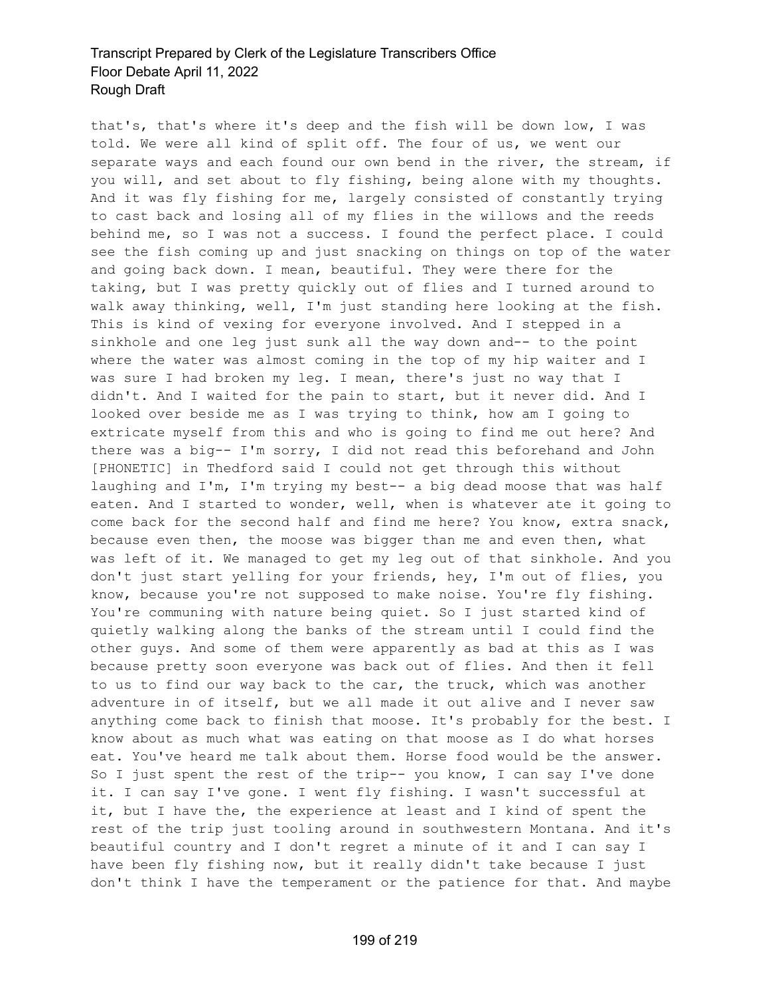that's, that's where it's deep and the fish will be down low, I was told. We were all kind of split off. The four of us, we went our separate ways and each found our own bend in the river, the stream, if you will, and set about to fly fishing, being alone with my thoughts. And it was fly fishing for me, largely consisted of constantly trying to cast back and losing all of my flies in the willows and the reeds behind me, so I was not a success. I found the perfect place. I could see the fish coming up and just snacking on things on top of the water and going back down. I mean, beautiful. They were there for the taking, but I was pretty quickly out of flies and I turned around to walk away thinking, well, I'm just standing here looking at the fish. This is kind of vexing for everyone involved. And I stepped in a sinkhole and one leg just sunk all the way down and-- to the point where the water was almost coming in the top of my hip waiter and I was sure I had broken my leg. I mean, there's just no way that I didn't. And I waited for the pain to start, but it never did. And I looked over beside me as I was trying to think, how am I going to extricate myself from this and who is going to find me out here? And there was a big-- I'm sorry, I did not read this beforehand and John [PHONETIC] in Thedford said I could not get through this without laughing and I'm, I'm trying my best-- a big dead moose that was half eaten. And I started to wonder, well, when is whatever ate it going to come back for the second half and find me here? You know, extra snack, because even then, the moose was bigger than me and even then, what was left of it. We managed to get my leg out of that sinkhole. And you don't just start yelling for your friends, hey, I'm out of flies, you know, because you're not supposed to make noise. You're fly fishing. You're communing with nature being quiet. So I just started kind of quietly walking along the banks of the stream until I could find the other guys. And some of them were apparently as bad at this as I was because pretty soon everyone was back out of flies. And then it fell to us to find our way back to the car, the truck, which was another adventure in of itself, but we all made it out alive and I never saw anything come back to finish that moose. It's probably for the best. I know about as much what was eating on that moose as I do what horses eat. You've heard me talk about them. Horse food would be the answer. So I just spent the rest of the trip-- you know, I can say I've done it. I can say I've gone. I went fly fishing. I wasn't successful at it, but I have the, the experience at least and I kind of spent the rest of the trip just tooling around in southwestern Montana. And it's beautiful country and I don't regret a minute of it and I can say I have been fly fishing now, but it really didn't take because I just don't think I have the temperament or the patience for that. And maybe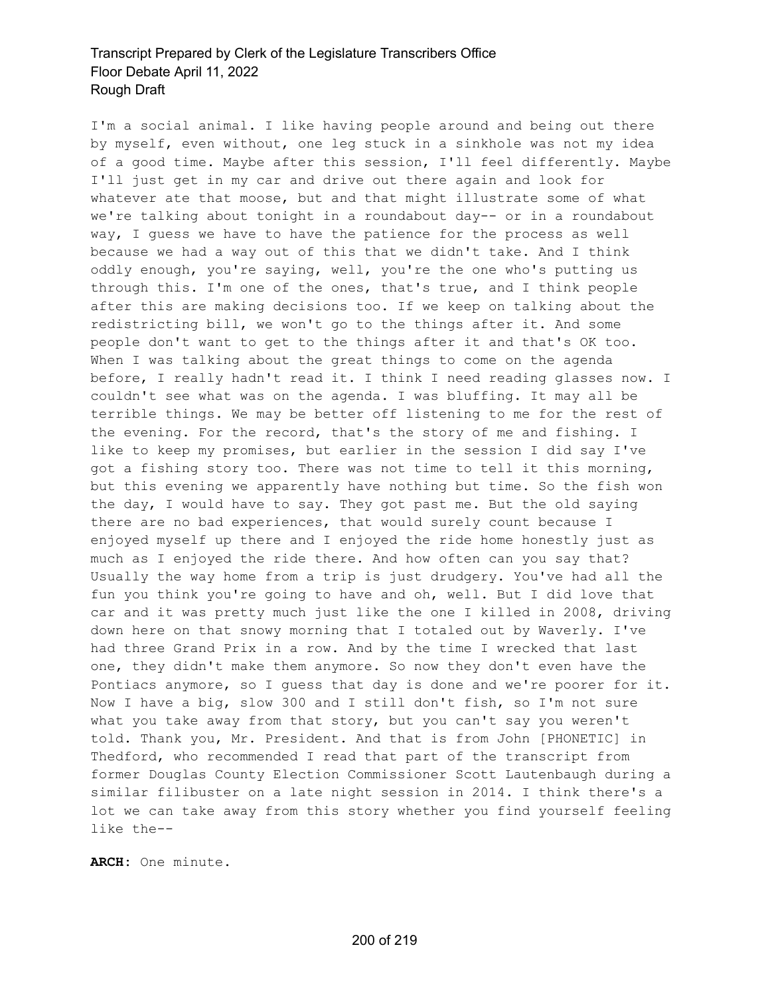I'm a social animal. I like having people around and being out there by myself, even without, one leg stuck in a sinkhole was not my idea of a good time. Maybe after this session, I'll feel differently. Maybe I'll just get in my car and drive out there again and look for whatever ate that moose, but and that might illustrate some of what we're talking about tonight in a roundabout day-- or in a roundabout way, I guess we have to have the patience for the process as well because we had a way out of this that we didn't take. And I think oddly enough, you're saying, well, you're the one who's putting us through this. I'm one of the ones, that's true, and I think people after this are making decisions too. If we keep on talking about the redistricting bill, we won't go to the things after it. And some people don't want to get to the things after it and that's OK too. When I was talking about the great things to come on the agenda before, I really hadn't read it. I think I need reading glasses now. I couldn't see what was on the agenda. I was bluffing. It may all be terrible things. We may be better off listening to me for the rest of the evening. For the record, that's the story of me and fishing. I like to keep my promises, but earlier in the session I did say I've got a fishing story too. There was not time to tell it this morning, but this evening we apparently have nothing but time. So the fish won the day, I would have to say. They got past me. But the old saying there are no bad experiences, that would surely count because I enjoyed myself up there and I enjoyed the ride home honestly just as much as I enjoyed the ride there. And how often can you say that? Usually the way home from a trip is just drudgery. You've had all the fun you think you're going to have and oh, well. But I did love that car and it was pretty much just like the one I killed in 2008, driving down here on that snowy morning that I totaled out by Waverly. I've had three Grand Prix in a row. And by the time I wrecked that last one, they didn't make them anymore. So now they don't even have the Pontiacs anymore, so I guess that day is done and we're poorer for it. Now I have a big, slow 300 and I still don't fish, so I'm not sure what you take away from that story, but you can't say you weren't told. Thank you, Mr. President. And that is from John [PHONETIC] in Thedford, who recommended I read that part of the transcript from former Douglas County Election Commissioner Scott Lautenbaugh during a similar filibuster on a late night session in 2014. I think there's a lot we can take away from this story whether you find yourself feeling like the--

**ARCH:** One minute.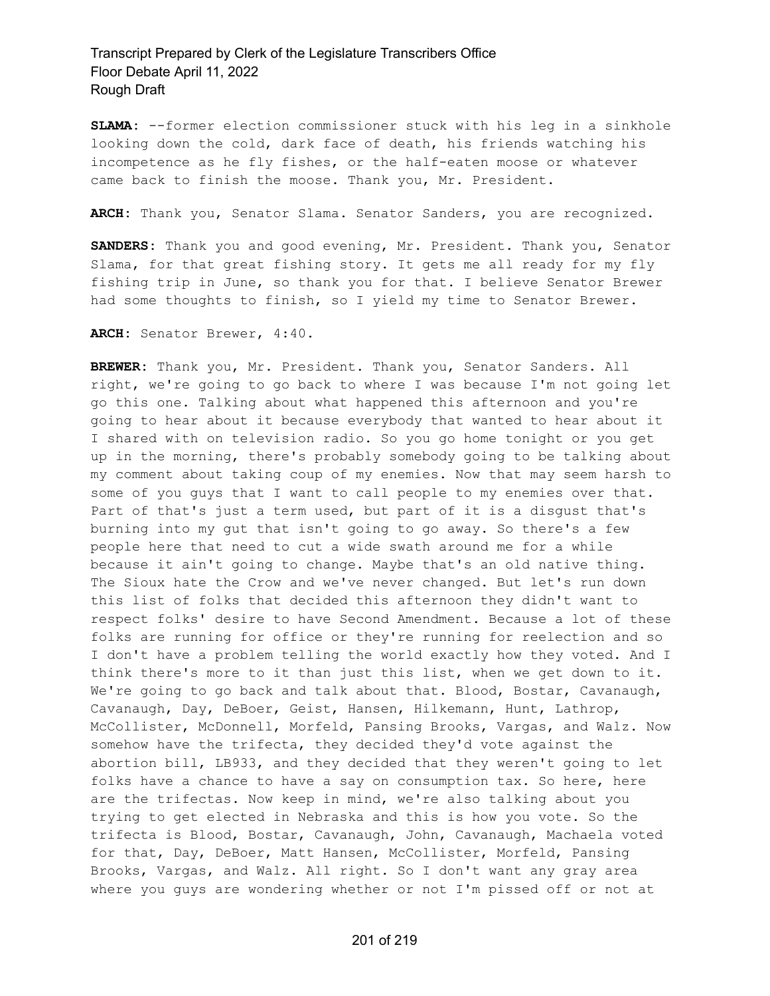**SLAMA:** --former election commissioner stuck with his leg in a sinkhole looking down the cold, dark face of death, his friends watching his incompetence as he fly fishes, or the half-eaten moose or whatever came back to finish the moose. Thank you, Mr. President.

**ARCH:** Thank you, Senator Slama. Senator Sanders, you are recognized.

**SANDERS:** Thank you and good evening, Mr. President. Thank you, Senator Slama, for that great fishing story. It gets me all ready for my fly fishing trip in June, so thank you for that. I believe Senator Brewer had some thoughts to finish, so I yield my time to Senator Brewer.

**ARCH:** Senator Brewer, 4:40.

**BREWER:** Thank you, Mr. President. Thank you, Senator Sanders. All right, we're going to go back to where I was because I'm not going let go this one. Talking about what happened this afternoon and you're going to hear about it because everybody that wanted to hear about it I shared with on television radio. So you go home tonight or you get up in the morning, there's probably somebody going to be talking about my comment about taking coup of my enemies. Now that may seem harsh to some of you guys that I want to call people to my enemies over that. Part of that's just a term used, but part of it is a disgust that's burning into my gut that isn't going to go away. So there's a few people here that need to cut a wide swath around me for a while because it ain't going to change. Maybe that's an old native thing. The Sioux hate the Crow and we've never changed. But let's run down this list of folks that decided this afternoon they didn't want to respect folks' desire to have Second Amendment. Because a lot of these folks are running for office or they're running for reelection and so I don't have a problem telling the world exactly how they voted. And I think there's more to it than just this list, when we get down to it. We're going to go back and talk about that. Blood, Bostar, Cavanaugh, Cavanaugh, Day, DeBoer, Geist, Hansen, Hilkemann, Hunt, Lathrop, McCollister, McDonnell, Morfeld, Pansing Brooks, Vargas, and Walz. Now somehow have the trifecta, they decided they'd vote against the abortion bill, LB933, and they decided that they weren't going to let folks have a chance to have a say on consumption tax. So here, here are the trifectas. Now keep in mind, we're also talking about you trying to get elected in Nebraska and this is how you vote. So the trifecta is Blood, Bostar, Cavanaugh, John, Cavanaugh, Machaela voted for that, Day, DeBoer, Matt Hansen, McCollister, Morfeld, Pansing Brooks, Vargas, and Walz. All right. So I don't want any gray area where you guys are wondering whether or not I'm pissed off or not at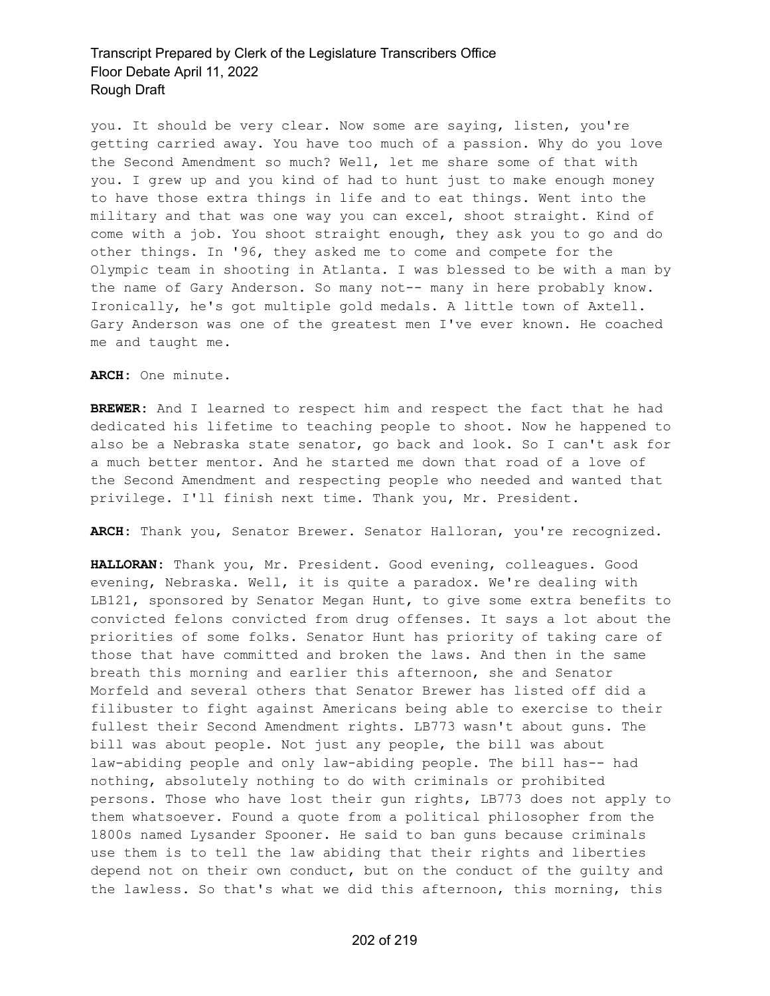you. It should be very clear. Now some are saying, listen, you're getting carried away. You have too much of a passion. Why do you love the Second Amendment so much? Well, let me share some of that with you. I grew up and you kind of had to hunt just to make enough money to have those extra things in life and to eat things. Went into the military and that was one way you can excel, shoot straight. Kind of come with a job. You shoot straight enough, they ask you to go and do other things. In '96, they asked me to come and compete for the Olympic team in shooting in Atlanta. I was blessed to be with a man by the name of Gary Anderson. So many not-- many in here probably know. Ironically, he's got multiple gold medals. A little town of Axtell. Gary Anderson was one of the greatest men I've ever known. He coached me and taught me.

**ARCH:** One minute.

**BREWER:** And I learned to respect him and respect the fact that he had dedicated his lifetime to teaching people to shoot. Now he happened to also be a Nebraska state senator, go back and look. So I can't ask for a much better mentor. And he started me down that road of a love of the Second Amendment and respecting people who needed and wanted that privilege. I'll finish next time. Thank you, Mr. President.

**ARCH:** Thank you, Senator Brewer. Senator Halloran, you're recognized.

**HALLORAN:** Thank you, Mr. President. Good evening, colleagues. Good evening, Nebraska. Well, it is quite a paradox. We're dealing with LB121, sponsored by Senator Megan Hunt, to give some extra benefits to convicted felons convicted from drug offenses. It says a lot about the priorities of some folks. Senator Hunt has priority of taking care of those that have committed and broken the laws. And then in the same breath this morning and earlier this afternoon, she and Senator Morfeld and several others that Senator Brewer has listed off did a filibuster to fight against Americans being able to exercise to their fullest their Second Amendment rights. LB773 wasn't about guns. The bill was about people. Not just any people, the bill was about law-abiding people and only law-abiding people. The bill has-- had nothing, absolutely nothing to do with criminals or prohibited persons. Those who have lost their gun rights, LB773 does not apply to them whatsoever. Found a quote from a political philosopher from the 1800s named Lysander Spooner. He said to ban guns because criminals use them is to tell the law abiding that their rights and liberties depend not on their own conduct, but on the conduct of the guilty and the lawless. So that's what we did this afternoon, this morning, this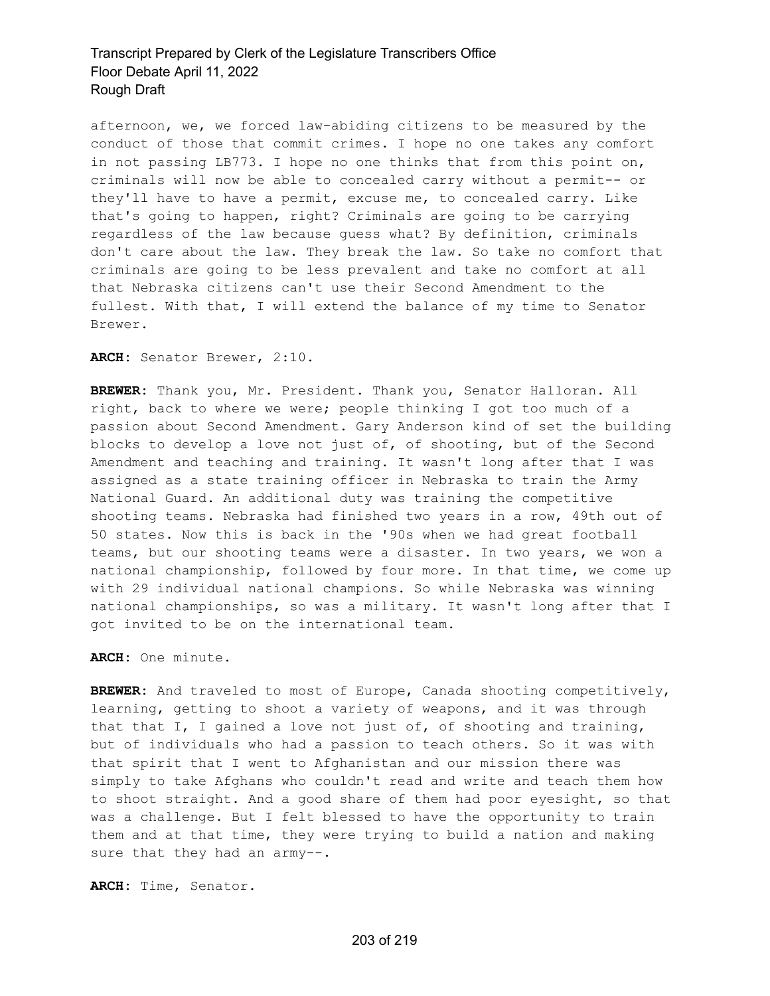afternoon, we, we forced law-abiding citizens to be measured by the conduct of those that commit crimes. I hope no one takes any comfort in not passing LB773. I hope no one thinks that from this point on, criminals will now be able to concealed carry without a permit-- or they'll have to have a permit, excuse me, to concealed carry. Like that's going to happen, right? Criminals are going to be carrying regardless of the law because guess what? By definition, criminals don't care about the law. They break the law. So take no comfort that criminals are going to be less prevalent and take no comfort at all that Nebraska citizens can't use their Second Amendment to the fullest. With that, I will extend the balance of my time to Senator Brewer.

**ARCH:** Senator Brewer, 2:10.

**BREWER:** Thank you, Mr. President. Thank you, Senator Halloran. All right, back to where we were; people thinking I got too much of a passion about Second Amendment. Gary Anderson kind of set the building blocks to develop a love not just of, of shooting, but of the Second Amendment and teaching and training. It wasn't long after that I was assigned as a state training officer in Nebraska to train the Army National Guard. An additional duty was training the competitive shooting teams. Nebraska had finished two years in a row, 49th out of 50 states. Now this is back in the '90s when we had great football teams, but our shooting teams were a disaster. In two years, we won a national championship, followed by four more. In that time, we come up with 29 individual national champions. So while Nebraska was winning national championships, so was a military. It wasn't long after that I got invited to be on the international team.

**ARCH:** One minute.

**BREWER:** And traveled to most of Europe, Canada shooting competitively, learning, getting to shoot a variety of weapons, and it was through that that I, I gained a love not just of, of shooting and training, but of individuals who had a passion to teach others. So it was with that spirit that I went to Afghanistan and our mission there was simply to take Afghans who couldn't read and write and teach them how to shoot straight. And a good share of them had poor eyesight, so that was a challenge. But I felt blessed to have the opportunity to train them and at that time, they were trying to build a nation and making sure that they had an army--.

**ARCH:** Time, Senator.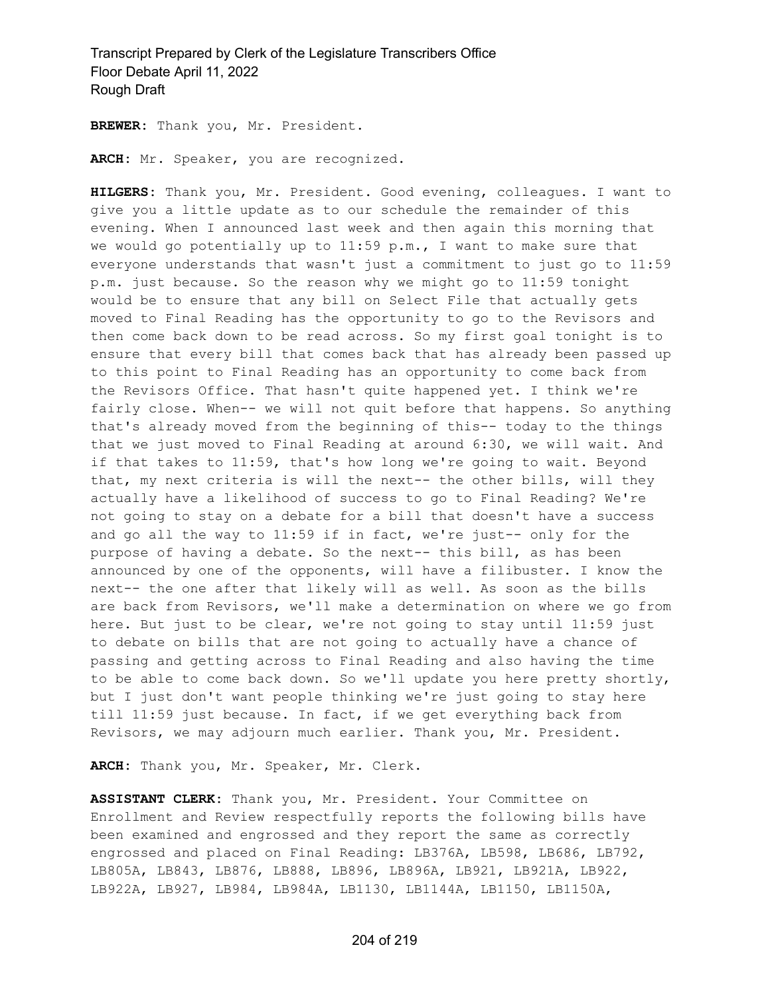**BREWER:** Thank you, Mr. President.

**ARCH:** Mr. Speaker, you are recognized.

**HILGERS:** Thank you, Mr. President. Good evening, colleagues. I want to give you a little update as to our schedule the remainder of this evening. When I announced last week and then again this morning that we would go potentially up to  $11:59$  p.m., I want to make sure that everyone understands that wasn't just a commitment to just go to 11:59 p.m. just because. So the reason why we might go to 11:59 tonight would be to ensure that any bill on Select File that actually gets moved to Final Reading has the opportunity to go to the Revisors and then come back down to be read across. So my first goal tonight is to ensure that every bill that comes back that has already been passed up to this point to Final Reading has an opportunity to come back from the Revisors Office. That hasn't quite happened yet. I think we're fairly close. When-- we will not quit before that happens. So anything that's already moved from the beginning of this-- today to the things that we just moved to Final Reading at around 6:30, we will wait. And if that takes to 11:59, that's how long we're going to wait. Beyond that, my next criteria is will the next-- the other bills, will they actually have a likelihood of success to go to Final Reading? We're not going to stay on a debate for a bill that doesn't have a success and go all the way to 11:59 if in fact, we're just-- only for the purpose of having a debate. So the next-- this bill, as has been announced by one of the opponents, will have a filibuster. I know the next-- the one after that likely will as well. As soon as the bills are back from Revisors, we'll make a determination on where we go from here. But just to be clear, we're not going to stay until 11:59 just to debate on bills that are not going to actually have a chance of passing and getting across to Final Reading and also having the time to be able to come back down. So we'll update you here pretty shortly, but I just don't want people thinking we're just going to stay here till 11:59 just because. In fact, if we get everything back from Revisors, we may adjourn much earlier. Thank you, Mr. President.

**ARCH:** Thank you, Mr. Speaker, Mr. Clerk.

**ASSISTANT CLERK:** Thank you, Mr. President. Your Committee on Enrollment and Review respectfully reports the following bills have been examined and engrossed and they report the same as correctly engrossed and placed on Final Reading: LB376A, LB598, LB686, LB792, LB805A, LB843, LB876, LB888, LB896, LB896A, LB921, LB921A, LB922, LB922A, LB927, LB984, LB984A, LB1130, LB1144A, LB1150, LB1150A,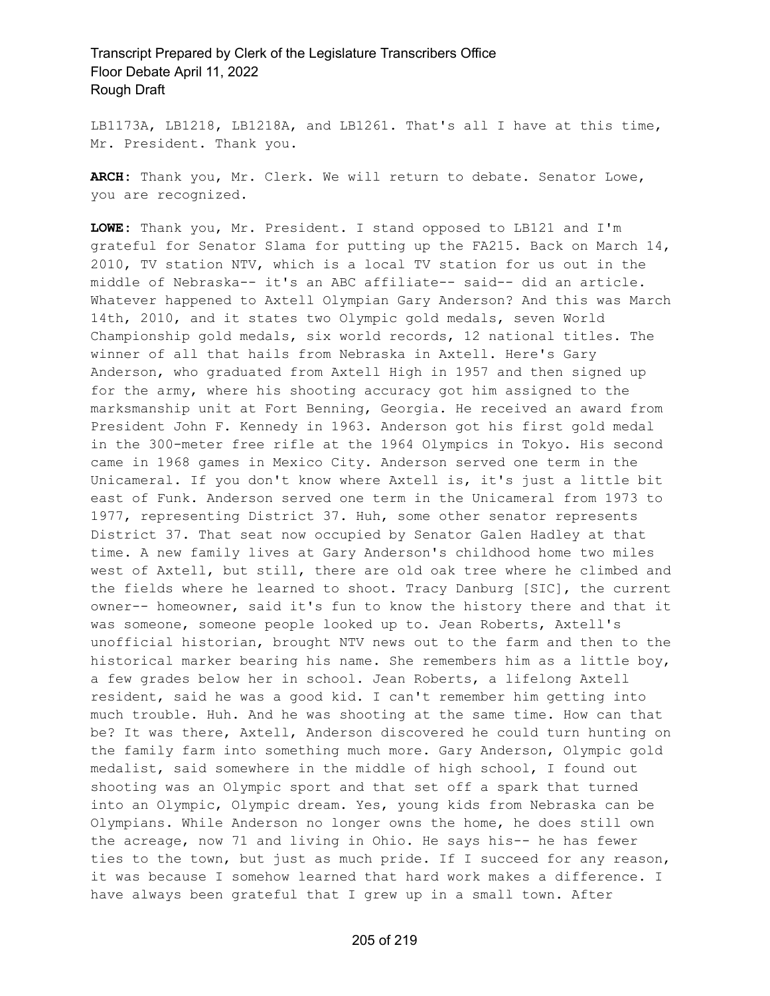LB1173A, LB1218, LB1218A, and LB1261. That's all I have at this time, Mr. President. Thank you.

**ARCH:** Thank you, Mr. Clerk. We will return to debate. Senator Lowe, you are recognized.

**LOWE:** Thank you, Mr. President. I stand opposed to LB121 and I'm grateful for Senator Slama for putting up the FA215. Back on March 14, 2010, TV station NTV, which is a local TV station for us out in the middle of Nebraska-- it's an ABC affiliate-- said-- did an article. Whatever happened to Axtell Olympian Gary Anderson? And this was March 14th, 2010, and it states two Olympic gold medals, seven World Championship gold medals, six world records, 12 national titles. The winner of all that hails from Nebraska in Axtell. Here's Gary Anderson, who graduated from Axtell High in 1957 and then signed up for the army, where his shooting accuracy got him assigned to the marksmanship unit at Fort Benning, Georgia. He received an award from President John F. Kennedy in 1963. Anderson got his first gold medal in the 300-meter free rifle at the 1964 Olympics in Tokyo. His second came in 1968 games in Mexico City. Anderson served one term in the Unicameral. If you don't know where Axtell is, it's just a little bit east of Funk. Anderson served one term in the Unicameral from 1973 to 1977, representing District 37. Huh, some other senator represents District 37. That seat now occupied by Senator Galen Hadley at that time. A new family lives at Gary Anderson's childhood home two miles west of Axtell, but still, there are old oak tree where he climbed and the fields where he learned to shoot. Tracy Danburg [SIC], the current owner-- homeowner, said it's fun to know the history there and that it was someone, someone people looked up to. Jean Roberts, Axtell's unofficial historian, brought NTV news out to the farm and then to the historical marker bearing his name. She remembers him as a little boy, a few grades below her in school. Jean Roberts, a lifelong Axtell resident, said he was a good kid. I can't remember him getting into much trouble. Huh. And he was shooting at the same time. How can that be? It was there, Axtell, Anderson discovered he could turn hunting on the family farm into something much more. Gary Anderson, Olympic gold medalist, said somewhere in the middle of high school, I found out shooting was an Olympic sport and that set off a spark that turned into an Olympic, Olympic dream. Yes, young kids from Nebraska can be Olympians. While Anderson no longer owns the home, he does still own the acreage, now 71 and living in Ohio. He says his-- he has fewer ties to the town, but just as much pride. If I succeed for any reason, it was because I somehow learned that hard work makes a difference. I have always been grateful that I grew up in a small town. After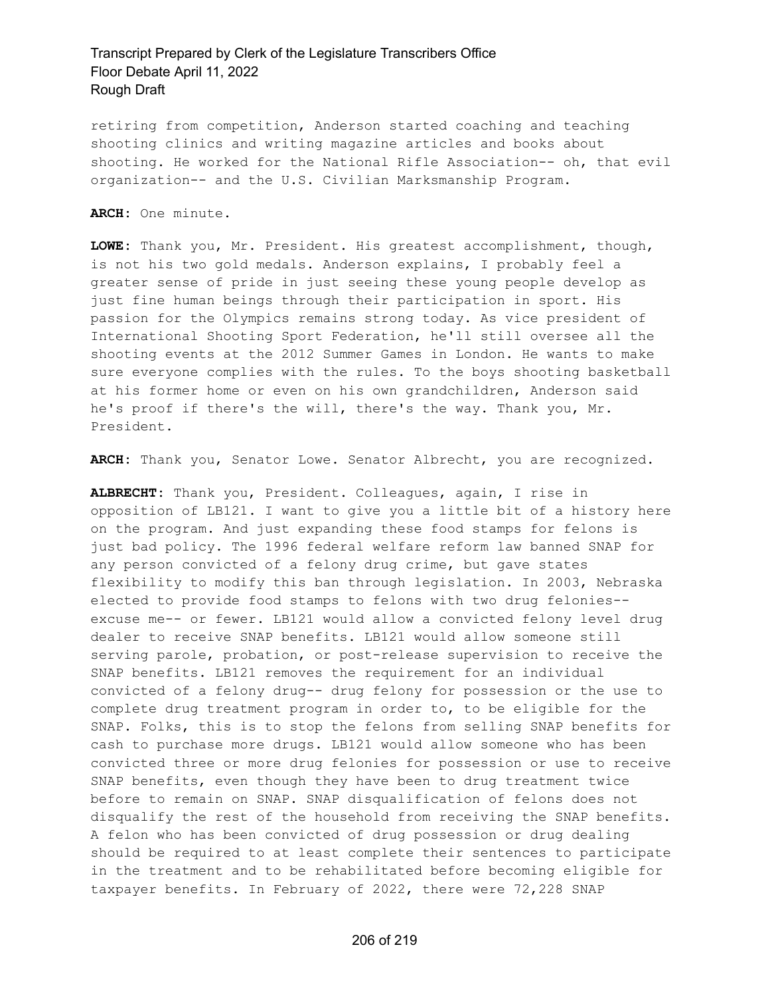retiring from competition, Anderson started coaching and teaching shooting clinics and writing magazine articles and books about shooting. He worked for the National Rifle Association-- oh, that evil organization-- and the U.S. Civilian Marksmanship Program.

**ARCH:** One minute.

**LOWE:** Thank you, Mr. President. His greatest accomplishment, though, is not his two gold medals. Anderson explains, I probably feel a greater sense of pride in just seeing these young people develop as just fine human beings through their participation in sport. His passion for the Olympics remains strong today. As vice president of International Shooting Sport Federation, he'll still oversee all the shooting events at the 2012 Summer Games in London. He wants to make sure everyone complies with the rules. To the boys shooting basketball at his former home or even on his own grandchildren, Anderson said he's proof if there's the will, there's the way. Thank you, Mr. President.

**ARCH:** Thank you, Senator Lowe. Senator Albrecht, you are recognized.

**ALBRECHT:** Thank you, President. Colleagues, again, I rise in opposition of LB121. I want to give you a little bit of a history here on the program. And just expanding these food stamps for felons is just bad policy. The 1996 federal welfare reform law banned SNAP for any person convicted of a felony drug crime, but gave states flexibility to modify this ban through legislation. In 2003, Nebraska elected to provide food stamps to felons with two drug felonies- excuse me-- or fewer. LB121 would allow a convicted felony level drug dealer to receive SNAP benefits. LB121 would allow someone still serving parole, probation, or post-release supervision to receive the SNAP benefits. LB121 removes the requirement for an individual convicted of a felony drug-- drug felony for possession or the use to complete drug treatment program in order to, to be eligible for the SNAP. Folks, this is to stop the felons from selling SNAP benefits for cash to purchase more drugs. LB121 would allow someone who has been convicted three or more drug felonies for possession or use to receive SNAP benefits, even though they have been to drug treatment twice before to remain on SNAP. SNAP disqualification of felons does not disqualify the rest of the household from receiving the SNAP benefits. A felon who has been convicted of drug possession or drug dealing should be required to at least complete their sentences to participate in the treatment and to be rehabilitated before becoming eligible for taxpayer benefits. In February of 2022, there were 72,228 SNAP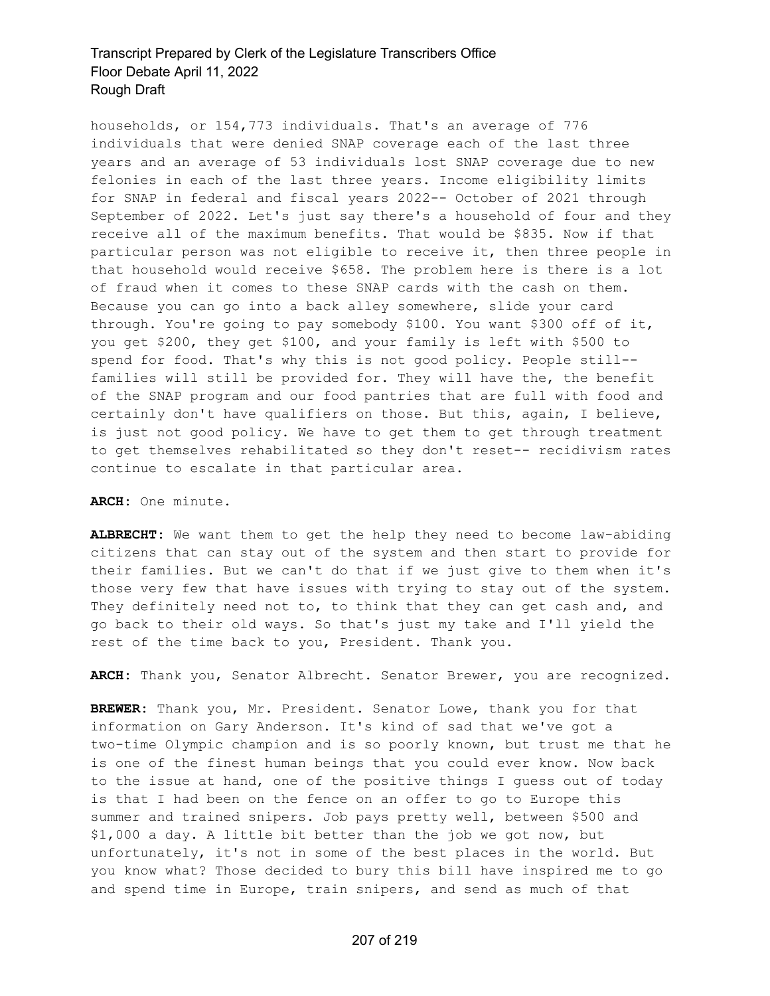households, or 154,773 individuals. That's an average of 776 individuals that were denied SNAP coverage each of the last three years and an average of 53 individuals lost SNAP coverage due to new felonies in each of the last three years. Income eligibility limits for SNAP in federal and fiscal years 2022-- October of 2021 through September of 2022. Let's just say there's a household of four and they receive all of the maximum benefits. That would be \$835. Now if that particular person was not eligible to receive it, then three people in that household would receive \$658. The problem here is there is a lot of fraud when it comes to these SNAP cards with the cash on them. Because you can go into a back alley somewhere, slide your card through. You're going to pay somebody \$100. You want \$300 off of it, you get \$200, they get \$100, and your family is left with \$500 to spend for food. That's why this is not good policy. People still- families will still be provided for. They will have the, the benefit of the SNAP program and our food pantries that are full with food and certainly don't have qualifiers on those. But this, again, I believe, is just not good policy. We have to get them to get through treatment to get themselves rehabilitated so they don't reset-- recidivism rates continue to escalate in that particular area.

**ARCH:** One minute.

**ALBRECHT:** We want them to get the help they need to become law-abiding citizens that can stay out of the system and then start to provide for their families. But we can't do that if we just give to them when it's those very few that have issues with trying to stay out of the system. They definitely need not to, to think that they can get cash and, and go back to their old ways. So that's just my take and I'll yield the rest of the time back to you, President. Thank you.

**ARCH:** Thank you, Senator Albrecht. Senator Brewer, you are recognized.

**BREWER:** Thank you, Mr. President. Senator Lowe, thank you for that information on Gary Anderson. It's kind of sad that we've got a two-time Olympic champion and is so poorly known, but trust me that he is one of the finest human beings that you could ever know. Now back to the issue at hand, one of the positive things I guess out of today is that I had been on the fence on an offer to go to Europe this summer and trained snipers. Job pays pretty well, between \$500 and \$1,000 a day. A little bit better than the job we got now, but unfortunately, it's not in some of the best places in the world. But you know what? Those decided to bury this bill have inspired me to go and spend time in Europe, train snipers, and send as much of that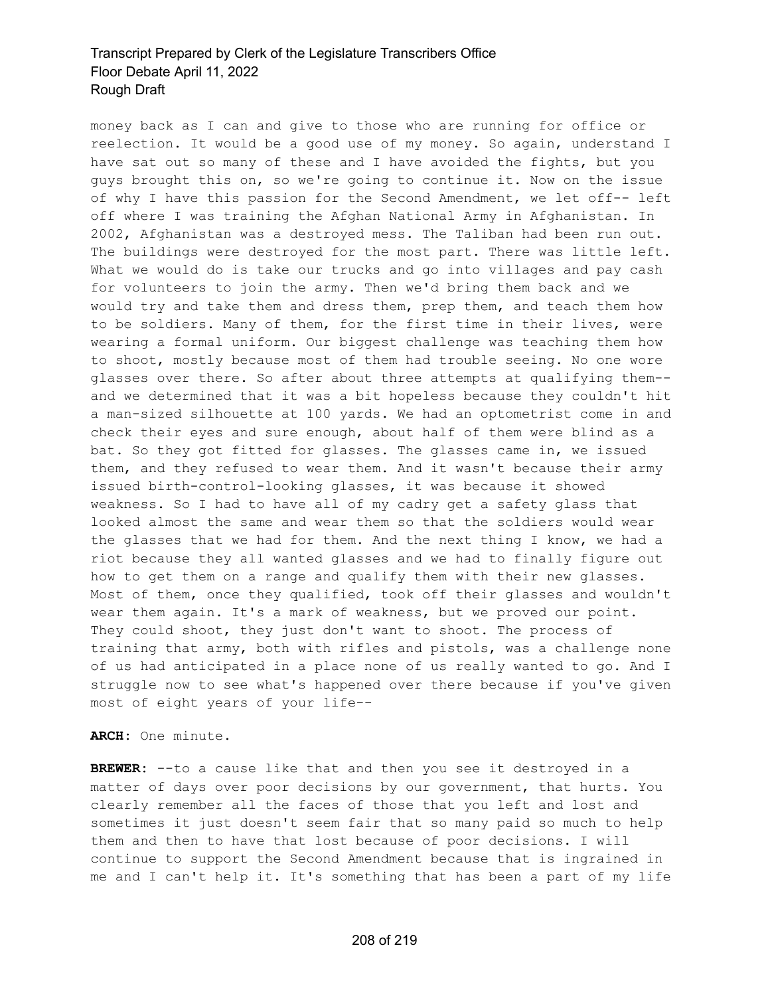money back as I can and give to those who are running for office or reelection. It would be a good use of my money. So again, understand I have sat out so many of these and I have avoided the fights, but you guys brought this on, so we're going to continue it. Now on the issue of why I have this passion for the Second Amendment, we let off-- left off where I was training the Afghan National Army in Afghanistan. In 2002, Afghanistan was a destroyed mess. The Taliban had been run out. The buildings were destroyed for the most part. There was little left. What we would do is take our trucks and go into villages and pay cash for volunteers to join the army. Then we'd bring them back and we would try and take them and dress them, prep them, and teach them how to be soldiers. Many of them, for the first time in their lives, were wearing a formal uniform. Our biggest challenge was teaching them how to shoot, mostly because most of them had trouble seeing. No one wore glasses over there. So after about three attempts at qualifying them- and we determined that it was a bit hopeless because they couldn't hit a man-sized silhouette at 100 yards. We had an optometrist come in and check their eyes and sure enough, about half of them were blind as a bat. So they got fitted for glasses. The glasses came in, we issued them, and they refused to wear them. And it wasn't because their army issued birth-control-looking glasses, it was because it showed weakness. So I had to have all of my cadry get a safety glass that looked almost the same and wear them so that the soldiers would wear the glasses that we had for them. And the next thing I know, we had a riot because they all wanted glasses and we had to finally figure out how to get them on a range and qualify them with their new glasses. Most of them, once they qualified, took off their glasses and wouldn't wear them again. It's a mark of weakness, but we proved our point. They could shoot, they just don't want to shoot. The process of training that army, both with rifles and pistols, was a challenge none of us had anticipated in a place none of us really wanted to go. And I struggle now to see what's happened over there because if you've given most of eight years of your life--

#### **ARCH:** One minute.

**BREWER:** --to a cause like that and then you see it destroyed in a matter of days over poor decisions by our government, that hurts. You clearly remember all the faces of those that you left and lost and sometimes it just doesn't seem fair that so many paid so much to help them and then to have that lost because of poor decisions. I will continue to support the Second Amendment because that is ingrained in me and I can't help it. It's something that has been a part of my life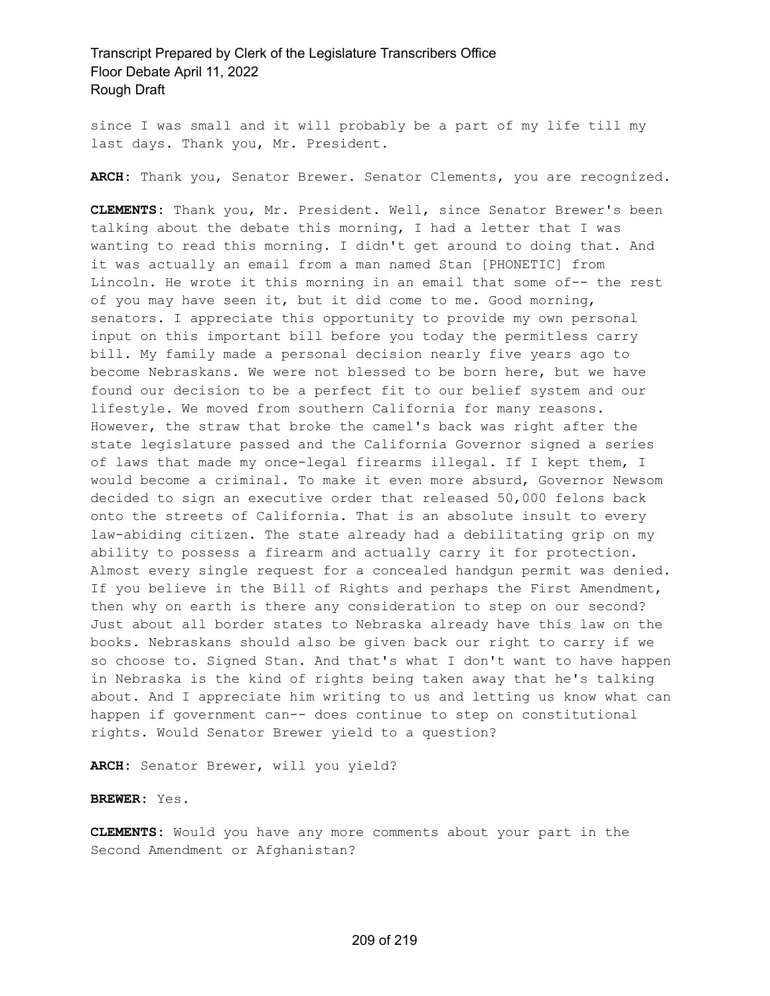since I was small and it will probably be a part of my life till my last days. Thank you, Mr. President.

**ARCH:** Thank you, Senator Brewer. Senator Clements, you are recognized.

**CLEMENTS:** Thank you, Mr. President. Well, since Senator Brewer's been talking about the debate this morning, I had a letter that I was wanting to read this morning. I didn't get around to doing that. And it was actually an email from a man named Stan [PHONETIC] from Lincoln. He wrote it this morning in an email that some of-- the rest of you may have seen it, but it did come to me. Good morning, senators. I appreciate this opportunity to provide my own personal input on this important bill before you today the permitless carry bill. My family made a personal decision nearly five years ago to become Nebraskans. We were not blessed to be born here, but we have found our decision to be a perfect fit to our belief system and our lifestyle. We moved from southern California for many reasons. However, the straw that broke the camel's back was right after the state legislature passed and the California Governor signed a series of laws that made my once-legal firearms illegal. If I kept them, I would become a criminal. To make it even more absurd, Governor Newsom decided to sign an executive order that released 50,000 felons back onto the streets of California. That is an absolute insult to every law-abiding citizen. The state already had a debilitating grip on my ability to possess a firearm and actually carry it for protection. Almost every single request for a concealed handgun permit was denied. If you believe in the Bill of Rights and perhaps the First Amendment, then why on earth is there any consideration to step on our second? Just about all border states to Nebraska already have this law on the books. Nebraskans should also be given back our right to carry if we so choose to. Signed Stan. And that's what I don't want to have happen in Nebraska is the kind of rights being taken away that he's talking about. And I appreciate him writing to us and letting us know what can happen if government can-- does continue to step on constitutional rights. Would Senator Brewer yield to a question?

**ARCH:** Senator Brewer, will you yield?

**BREWER:** Yes.

**CLEMENTS:** Would you have any more comments about your part in the Second Amendment or Afghanistan?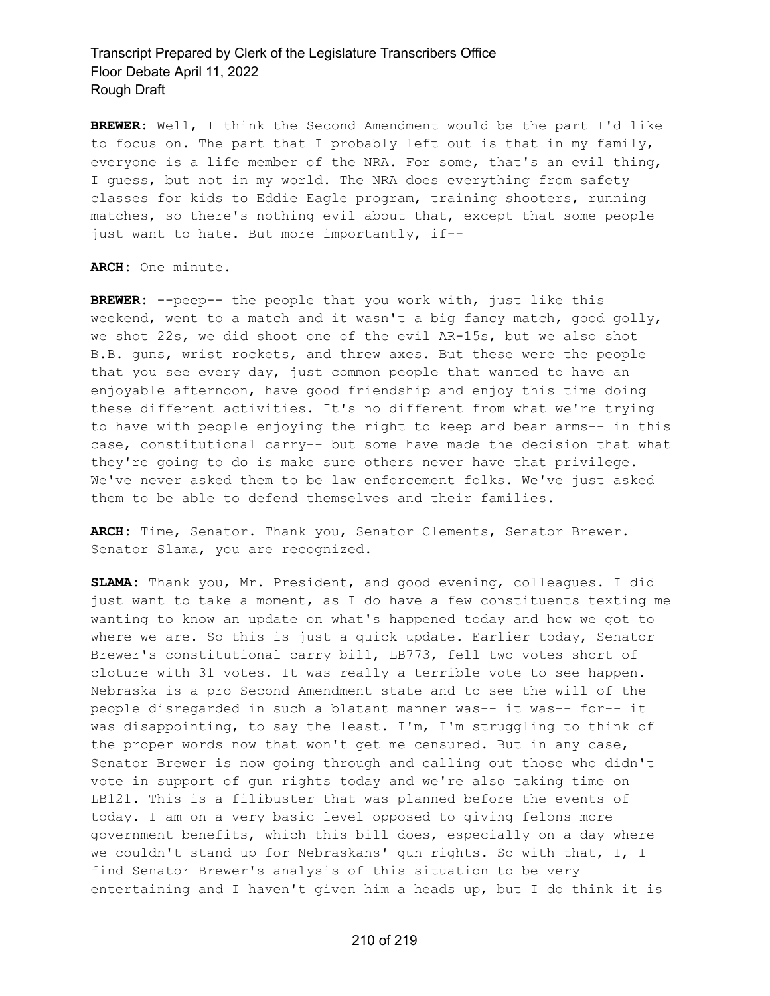**BREWER:** Well, I think the Second Amendment would be the part I'd like to focus on. The part that I probably left out is that in my family, everyone is a life member of the NRA. For some, that's an evil thing, I guess, but not in my world. The NRA does everything from safety classes for kids to Eddie Eagle program, training shooters, running matches, so there's nothing evil about that, except that some people just want to hate. But more importantly, if--

#### **ARCH:** One minute.

**BREWER:** --peep-- the people that you work with, just like this weekend, went to a match and it wasn't a big fancy match, good golly, we shot 22s, we did shoot one of the evil AR-15s, but we also shot B.B. guns, wrist rockets, and threw axes. But these were the people that you see every day, just common people that wanted to have an enjoyable afternoon, have good friendship and enjoy this time doing these different activities. It's no different from what we're trying to have with people enjoying the right to keep and bear arms-- in this case, constitutional carry-- but some have made the decision that what they're going to do is make sure others never have that privilege. We've never asked them to be law enforcement folks. We've just asked them to be able to defend themselves and their families.

**ARCH:** Time, Senator. Thank you, Senator Clements, Senator Brewer. Senator Slama, you are recognized.

**SLAMA:** Thank you, Mr. President, and good evening, colleagues. I did just want to take a moment, as I do have a few constituents texting me wanting to know an update on what's happened today and how we got to where we are. So this is just a quick update. Earlier today, Senator Brewer's constitutional carry bill, LB773, fell two votes short of cloture with 31 votes. It was really a terrible vote to see happen. Nebraska is a pro Second Amendment state and to see the will of the people disregarded in such a blatant manner was-- it was-- for-- it was disappointing, to say the least. I'm, I'm struggling to think of the proper words now that won't get me censured. But in any case, Senator Brewer is now going through and calling out those who didn't vote in support of gun rights today and we're also taking time on LB121. This is a filibuster that was planned before the events of today. I am on a very basic level opposed to giving felons more government benefits, which this bill does, especially on a day where we couldn't stand up for Nebraskans' gun rights. So with that, I, I find Senator Brewer's analysis of this situation to be very entertaining and I haven't given him a heads up, but I do think it is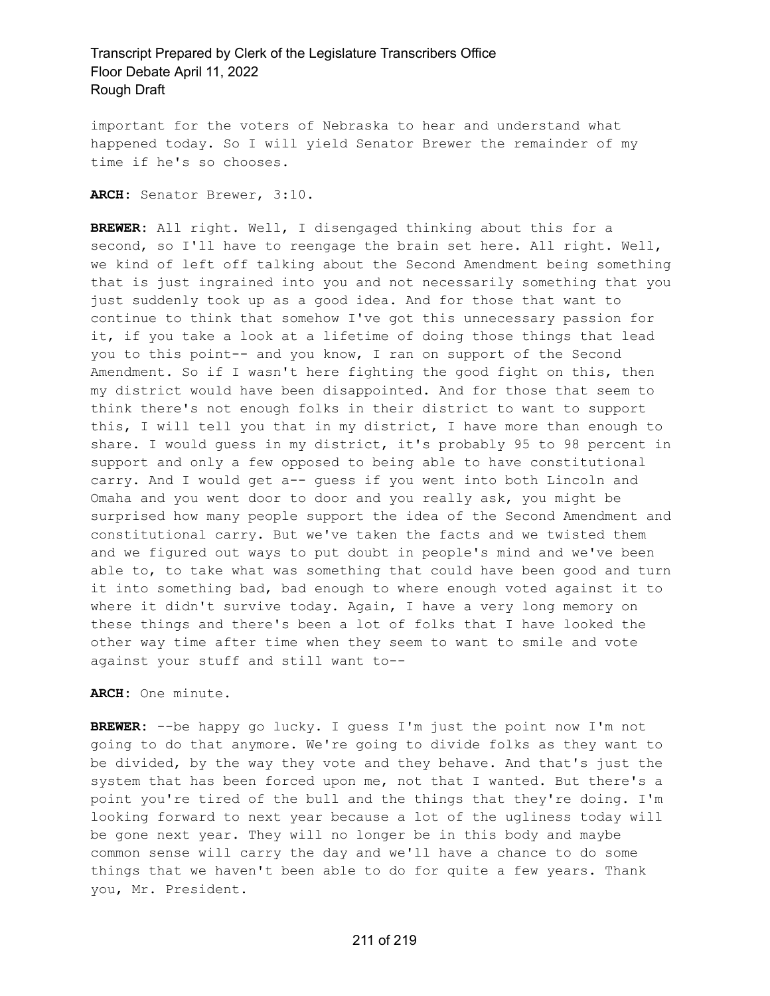important for the voters of Nebraska to hear and understand what happened today. So I will yield Senator Brewer the remainder of my time if he's so chooses.

**ARCH:** Senator Brewer, 3:10.

**BREWER:** All right. Well, I disengaged thinking about this for a second, so I'll have to reengage the brain set here. All right. Well, we kind of left off talking about the Second Amendment being something that is just ingrained into you and not necessarily something that you just suddenly took up as a good idea. And for those that want to continue to think that somehow I've got this unnecessary passion for it, if you take a look at a lifetime of doing those things that lead you to this point-- and you know, I ran on support of the Second Amendment. So if I wasn't here fighting the good fight on this, then my district would have been disappointed. And for those that seem to think there's not enough folks in their district to want to support this, I will tell you that in my district, I have more than enough to share. I would guess in my district, it's probably 95 to 98 percent in support and only a few opposed to being able to have constitutional carry. And I would get a-- guess if you went into both Lincoln and Omaha and you went door to door and you really ask, you might be surprised how many people support the idea of the Second Amendment and constitutional carry. But we've taken the facts and we twisted them and we figured out ways to put doubt in people's mind and we've been able to, to take what was something that could have been good and turn it into something bad, bad enough to where enough voted against it to where it didn't survive today. Again, I have a very long memory on these things and there's been a lot of folks that I have looked the other way time after time when they seem to want to smile and vote against your stuff and still want to--

**ARCH:** One minute.

**BREWER:** --be happy go lucky. I guess I'm just the point now I'm not going to do that anymore. We're going to divide folks as they want to be divided, by the way they vote and they behave. And that's just the system that has been forced upon me, not that I wanted. But there's a point you're tired of the bull and the things that they're doing. I'm looking forward to next year because a lot of the ugliness today will be gone next year. They will no longer be in this body and maybe common sense will carry the day and we'll have a chance to do some things that we haven't been able to do for quite a few years. Thank you, Mr. President.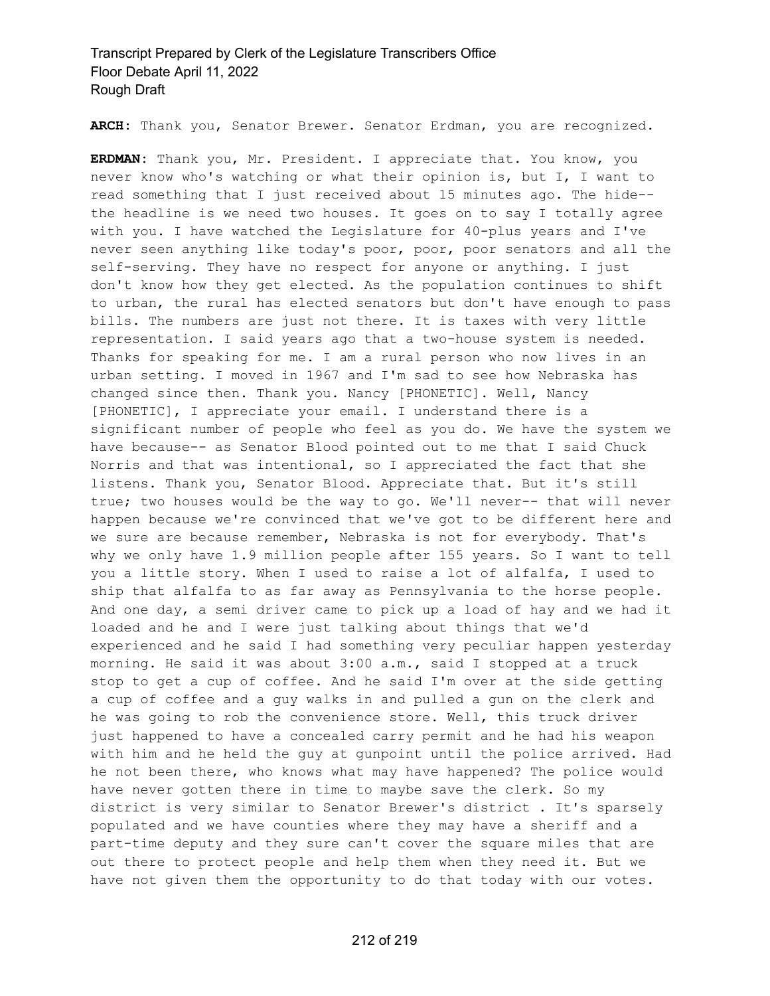**ARCH:** Thank you, Senator Brewer. Senator Erdman, you are recognized.

**ERDMAN:** Thank you, Mr. President. I appreciate that. You know, you never know who's watching or what their opinion is, but I, I want to read something that I just received about 15 minutes ago. The hide- the headline is we need two houses. It goes on to say I totally agree with you. I have watched the Legislature for 40-plus years and I've never seen anything like today's poor, poor, poor senators and all the self-serving. They have no respect for anyone or anything. I just don't know how they get elected. As the population continues to shift to urban, the rural has elected senators but don't have enough to pass bills. The numbers are just not there. It is taxes with very little representation. I said years ago that a two-house system is needed. Thanks for speaking for me. I am a rural person who now lives in an urban setting. I moved in 1967 and I'm sad to see how Nebraska has changed since then. Thank you. Nancy [PHONETIC]. Well, Nancy [PHONETIC], I appreciate your email. I understand there is a significant number of people who feel as you do. We have the system we have because-- as Senator Blood pointed out to me that I said Chuck Norris and that was intentional, so I appreciated the fact that she listens. Thank you, Senator Blood. Appreciate that. But it's still true; two houses would be the way to go. We'll never-- that will never happen because we're convinced that we've got to be different here and we sure are because remember, Nebraska is not for everybody. That's why we only have 1.9 million people after 155 years. So I want to tell you a little story. When I used to raise a lot of alfalfa, I used to ship that alfalfa to as far away as Pennsylvania to the horse people. And one day, a semi driver came to pick up a load of hay and we had it loaded and he and I were just talking about things that we'd experienced and he said I had something very peculiar happen yesterday morning. He said it was about 3:00 a.m., said I stopped at a truck stop to get a cup of coffee. And he said I'm over at the side getting a cup of coffee and a guy walks in and pulled a gun on the clerk and he was going to rob the convenience store. Well, this truck driver just happened to have a concealed carry permit and he had his weapon with him and he held the guy at gunpoint until the police arrived. Had he not been there, who knows what may have happened? The police would have never gotten there in time to maybe save the clerk. So my district is very similar to Senator Brewer's district . It's sparsely populated and we have counties where they may have a sheriff and a part-time deputy and they sure can't cover the square miles that are out there to protect people and help them when they need it. But we have not given them the opportunity to do that today with our votes.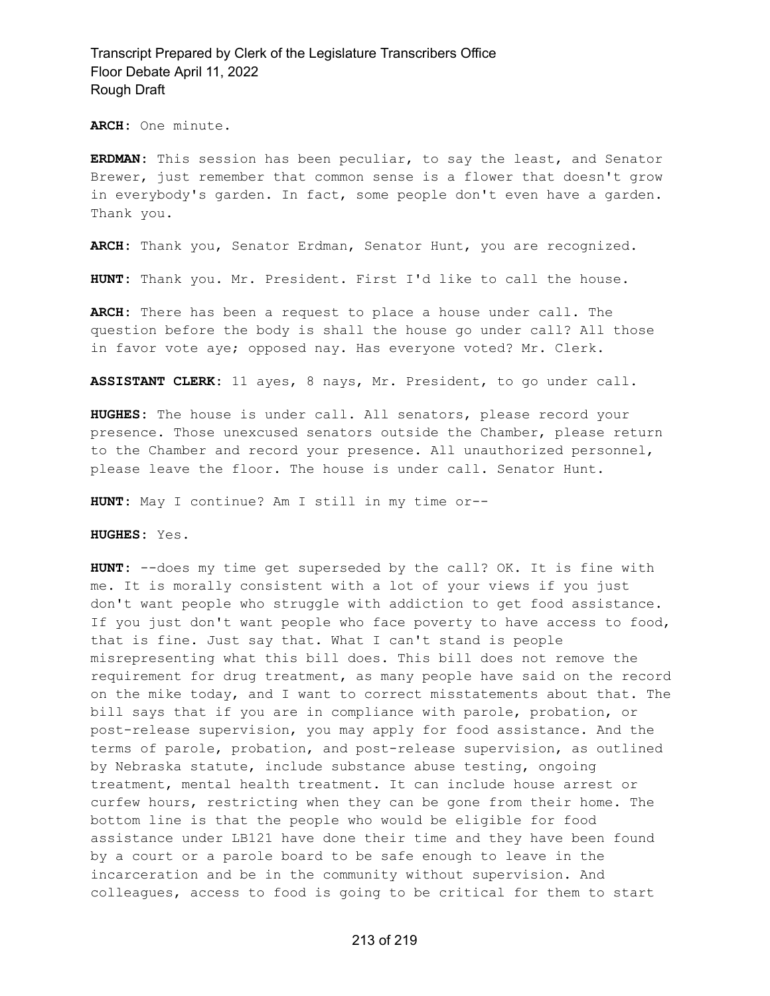**ARCH:** One minute.

**ERDMAN:** This session has been peculiar, to say the least, and Senator Brewer, just remember that common sense is a flower that doesn't grow in everybody's garden. In fact, some people don't even have a garden. Thank you.

**ARCH:** Thank you, Senator Erdman, Senator Hunt, you are recognized.

**HUNT:** Thank you. Mr. President. First I'd like to call the house.

**ARCH:** There has been a request to place a house under call. The question before the body is shall the house go under call? All those in favor vote aye; opposed nay. Has everyone voted? Mr. Clerk.

**ASSISTANT CLERK:** 11 ayes, 8 nays, Mr. President, to go under call.

**HUGHES:** The house is under call. All senators, please record your presence. Those unexcused senators outside the Chamber, please return to the Chamber and record your presence. All unauthorized personnel, please leave the floor. The house is under call. Senator Hunt.

**HUNT:** May I continue? Am I still in my time or--

**HUGHES:** Yes.

**HUNT:** --does my time get superseded by the call? OK. It is fine with me. It is morally consistent with a lot of your views if you just don't want people who struggle with addiction to get food assistance. If you just don't want people who face poverty to have access to food, that is fine. Just say that. What I can't stand is people misrepresenting what this bill does. This bill does not remove the requirement for drug treatment, as many people have said on the record on the mike today, and I want to correct misstatements about that. The bill says that if you are in compliance with parole, probation, or post-release supervision, you may apply for food assistance. And the terms of parole, probation, and post-release supervision, as outlined by Nebraska statute, include substance abuse testing, ongoing treatment, mental health treatment. It can include house arrest or curfew hours, restricting when they can be gone from their home. The bottom line is that the people who would be eligible for food assistance under LB121 have done their time and they have been found by a court or a parole board to be safe enough to leave in the incarceration and be in the community without supervision. And colleagues, access to food is going to be critical for them to start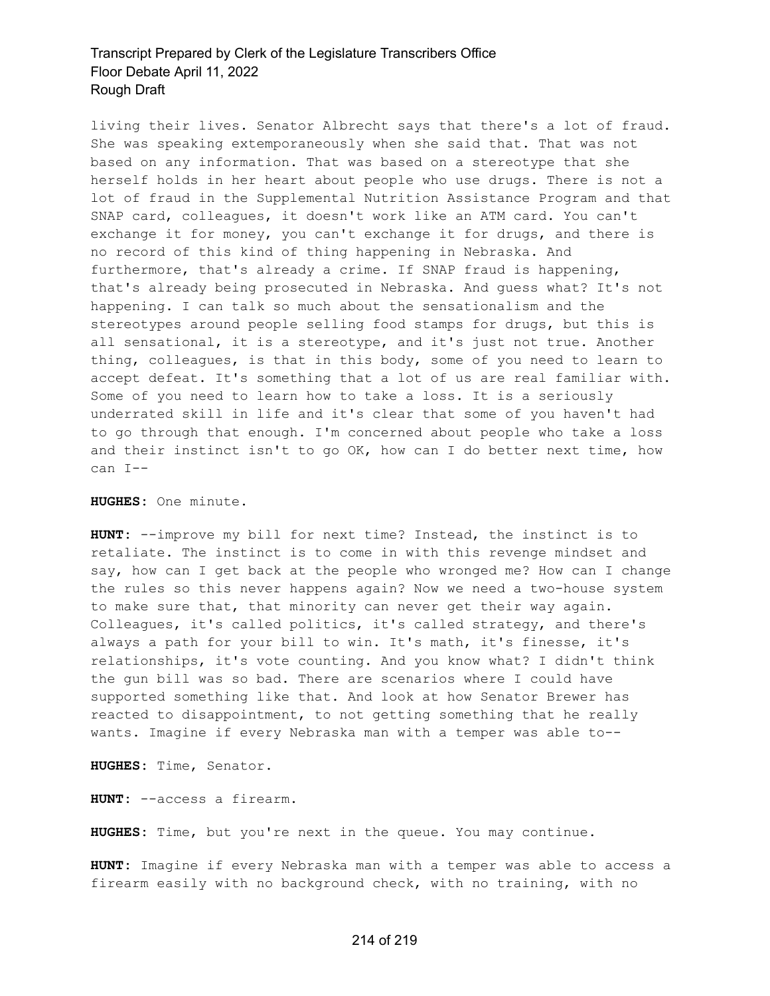living their lives. Senator Albrecht says that there's a lot of fraud. She was speaking extemporaneously when she said that. That was not based on any information. That was based on a stereotype that she herself holds in her heart about people who use drugs. There is not a lot of fraud in the Supplemental Nutrition Assistance Program and that SNAP card, colleagues, it doesn't work like an ATM card. You can't exchange it for money, you can't exchange it for drugs, and there is no record of this kind of thing happening in Nebraska. And furthermore, that's already a crime. If SNAP fraud is happening, that's already being prosecuted in Nebraska. And guess what? It's not happening. I can talk so much about the sensationalism and the stereotypes around people selling food stamps for drugs, but this is all sensational, it is a stereotype, and it's just not true. Another thing, colleagues, is that in this body, some of you need to learn to accept defeat. It's something that a lot of us are real familiar with. Some of you need to learn how to take a loss. It is a seriously underrated skill in life and it's clear that some of you haven't had to go through that enough. I'm concerned about people who take a loss and their instinct isn't to go OK, how can I do better next time, how can I--

**HUGHES:** One minute.

**HUNT:** --improve my bill for next time? Instead, the instinct is to retaliate. The instinct is to come in with this revenge mindset and say, how can I get back at the people who wronged me? How can I change the rules so this never happens again? Now we need a two-house system to make sure that, that minority can never get their way again. Colleagues, it's called politics, it's called strategy, and there's always a path for your bill to win. It's math, it's finesse, it's relationships, it's vote counting. And you know what? I didn't think the gun bill was so bad. There are scenarios where I could have supported something like that. And look at how Senator Brewer has reacted to disappointment, to not getting something that he really wants. Imagine if every Nebraska man with a temper was able to--

**HUGHES:** Time, Senator.

**HUNT:** --access a firearm.

**HUGHES:** Time, but you're next in the queue. You may continue.

**HUNT:** Imagine if every Nebraska man with a temper was able to access a firearm easily with no background check, with no training, with no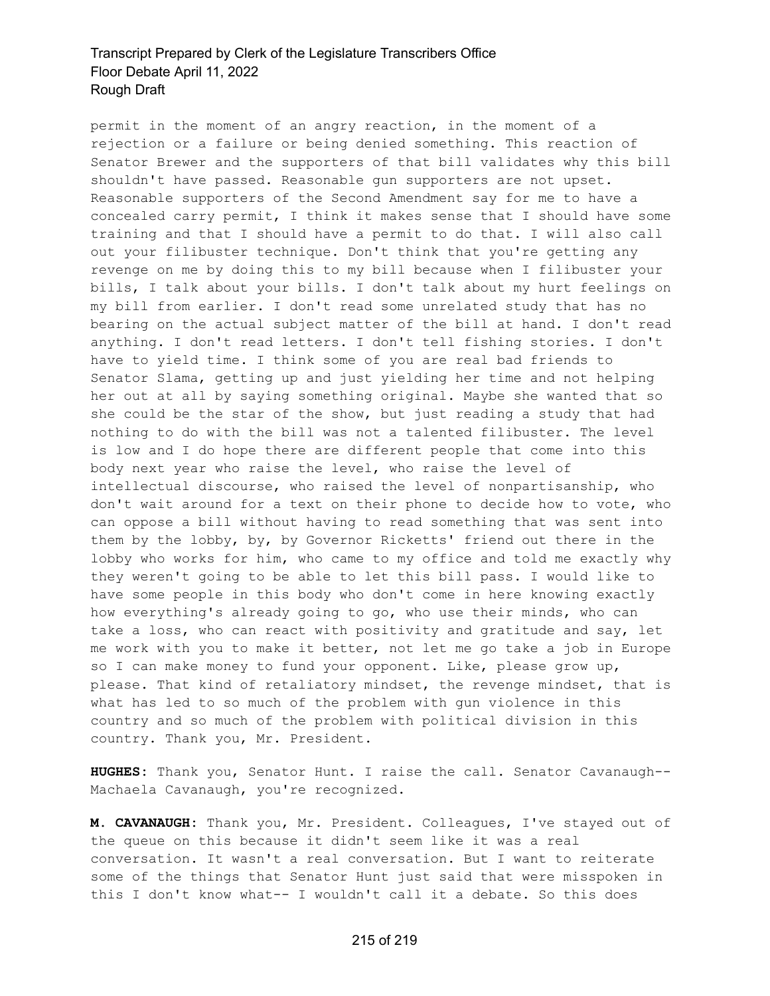permit in the moment of an angry reaction, in the moment of a rejection or a failure or being denied something. This reaction of Senator Brewer and the supporters of that bill validates why this bill shouldn't have passed. Reasonable gun supporters are not upset. Reasonable supporters of the Second Amendment say for me to have a concealed carry permit, I think it makes sense that I should have some training and that I should have a permit to do that. I will also call out your filibuster technique. Don't think that you're getting any revenge on me by doing this to my bill because when I filibuster your bills, I talk about your bills. I don't talk about my hurt feelings on my bill from earlier. I don't read some unrelated study that has no bearing on the actual subject matter of the bill at hand. I don't read anything. I don't read letters. I don't tell fishing stories. I don't have to yield time. I think some of you are real bad friends to Senator Slama, getting up and just yielding her time and not helping her out at all by saying something original. Maybe she wanted that so she could be the star of the show, but just reading a study that had nothing to do with the bill was not a talented filibuster. The level is low and I do hope there are different people that come into this body next year who raise the level, who raise the level of intellectual discourse, who raised the level of nonpartisanship, who don't wait around for a text on their phone to decide how to vote, who can oppose a bill without having to read something that was sent into them by the lobby, by, by Governor Ricketts' friend out there in the lobby who works for him, who came to my office and told me exactly why they weren't going to be able to let this bill pass. I would like to have some people in this body who don't come in here knowing exactly how everything's already going to go, who use their minds, who can take a loss, who can react with positivity and gratitude and say, let me work with you to make it better, not let me go take a job in Europe so I can make money to fund your opponent. Like, please grow up, please. That kind of retaliatory mindset, the revenge mindset, that is what has led to so much of the problem with gun violence in this country and so much of the problem with political division in this country. Thank you, Mr. President.

**HUGHES:** Thank you, Senator Hunt. I raise the call. Senator Cavanaugh-- Machaela Cavanaugh, you're recognized.

**M. CAVANAUGH:** Thank you, Mr. President. Colleagues, I've stayed out of the queue on this because it didn't seem like it was a real conversation. It wasn't a real conversation. But I want to reiterate some of the things that Senator Hunt just said that were misspoken in this I don't know what-- I wouldn't call it a debate. So this does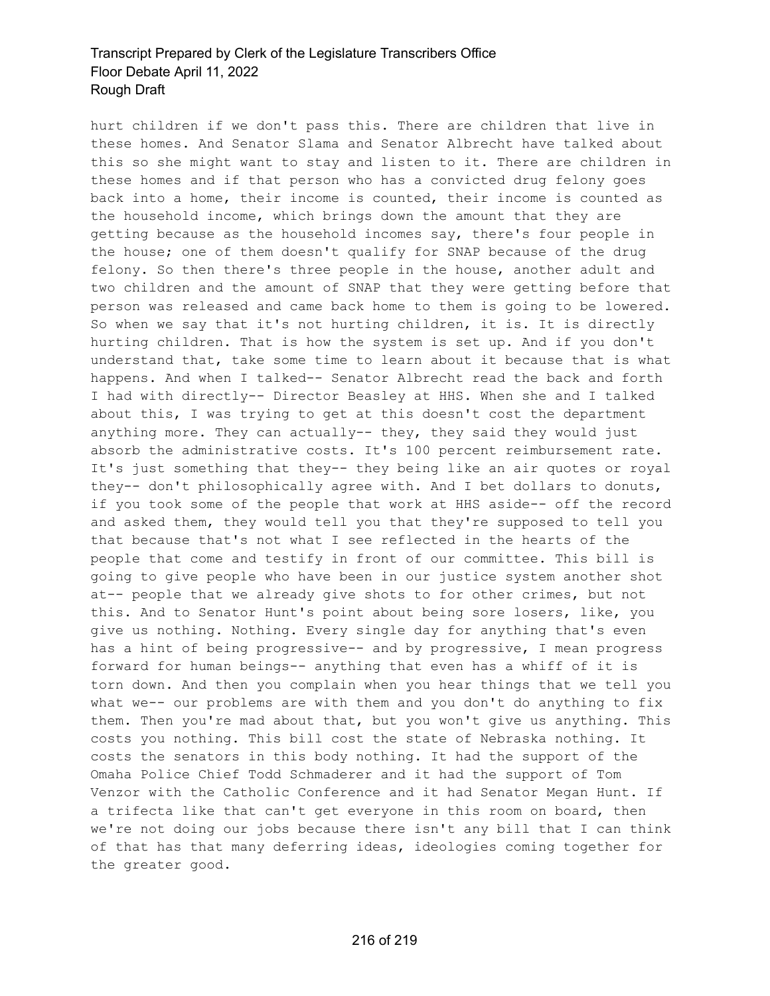hurt children if we don't pass this. There are children that live in these homes. And Senator Slama and Senator Albrecht have talked about this so she might want to stay and listen to it. There are children in these homes and if that person who has a convicted drug felony goes back into a home, their income is counted, their income is counted as the household income, which brings down the amount that they are getting because as the household incomes say, there's four people in the house; one of them doesn't qualify for SNAP because of the drug felony. So then there's three people in the house, another adult and two children and the amount of SNAP that they were getting before that person was released and came back home to them is going to be lowered. So when we say that it's not hurting children, it is. It is directly hurting children. That is how the system is set up. And if you don't understand that, take some time to learn about it because that is what happens. And when I talked-- Senator Albrecht read the back and forth I had with directly-- Director Beasley at HHS. When she and I talked about this, I was trying to get at this doesn't cost the department anything more. They can actually-- they, they said they would just absorb the administrative costs. It's 100 percent reimbursement rate. It's just something that they-- they being like an air quotes or royal they-- don't philosophically agree with. And I bet dollars to donuts, if you took some of the people that work at HHS aside-- off the record and asked them, they would tell you that they're supposed to tell you that because that's not what I see reflected in the hearts of the people that come and testify in front of our committee. This bill is going to give people who have been in our justice system another shot at-- people that we already give shots to for other crimes, but not this. And to Senator Hunt's point about being sore losers, like, you give us nothing. Nothing. Every single day for anything that's even has a hint of being progressive-- and by progressive, I mean progress forward for human beings-- anything that even has a whiff of it is torn down. And then you complain when you hear things that we tell you what we-- our problems are with them and you don't do anything to fix them. Then you're mad about that, but you won't give us anything. This costs you nothing. This bill cost the state of Nebraska nothing. It costs the senators in this body nothing. It had the support of the Omaha Police Chief Todd Schmaderer and it had the support of Tom Venzor with the Catholic Conference and it had Senator Megan Hunt. If a trifecta like that can't get everyone in this room on board, then we're not doing our jobs because there isn't any bill that I can think of that has that many deferring ideas, ideologies coming together for the greater good.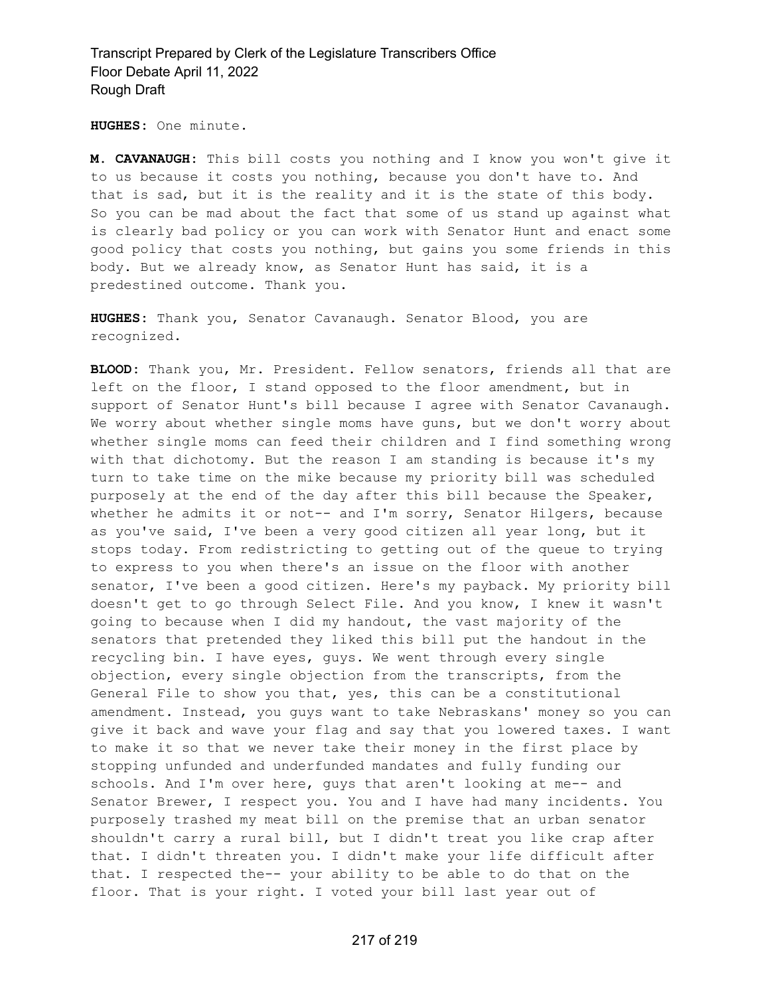Transcript Prepared by Clerk of the Legislature Transcribers Office Floor Debate April 11, 2022 Rough Draft

**HUGHES:** One minute.

**M. CAVANAUGH:** This bill costs you nothing and I know you won't give it to us because it costs you nothing, because you don't have to. And that is sad, but it is the reality and it is the state of this body. So you can be mad about the fact that some of us stand up against what is clearly bad policy or you can work with Senator Hunt and enact some good policy that costs you nothing, but gains you some friends in this body. But we already know, as Senator Hunt has said, it is a predestined outcome. Thank you.

**HUGHES:** Thank you, Senator Cavanaugh. Senator Blood, you are recognized.

**BLOOD:** Thank you, Mr. President. Fellow senators, friends all that are left on the floor, I stand opposed to the floor amendment, but in support of Senator Hunt's bill because I agree with Senator Cavanaugh. We worry about whether single moms have guns, but we don't worry about whether single moms can feed their children and I find something wrong with that dichotomy. But the reason I am standing is because it's my turn to take time on the mike because my priority bill was scheduled purposely at the end of the day after this bill because the Speaker, whether he admits it or not-- and I'm sorry, Senator Hilgers, because as you've said, I've been a very good citizen all year long, but it stops today. From redistricting to getting out of the queue to trying to express to you when there's an issue on the floor with another senator, I've been a good citizen. Here's my payback. My priority bill doesn't get to go through Select File. And you know, I knew it wasn't going to because when I did my handout, the vast majority of the senators that pretended they liked this bill put the handout in the recycling bin. I have eyes, guys. We went through every single objection, every single objection from the transcripts, from the General File to show you that, yes, this can be a constitutional amendment. Instead, you guys want to take Nebraskans' money so you can give it back and wave your flag and say that you lowered taxes. I want to make it so that we never take their money in the first place by stopping unfunded and underfunded mandates and fully funding our schools. And I'm over here, guys that aren't looking at me-- and Senator Brewer, I respect you. You and I have had many incidents. You purposely trashed my meat bill on the premise that an urban senator shouldn't carry a rural bill, but I didn't treat you like crap after that. I didn't threaten you. I didn't make your life difficult after that. I respected the-- your ability to be able to do that on the floor. That is your right. I voted your bill last year out of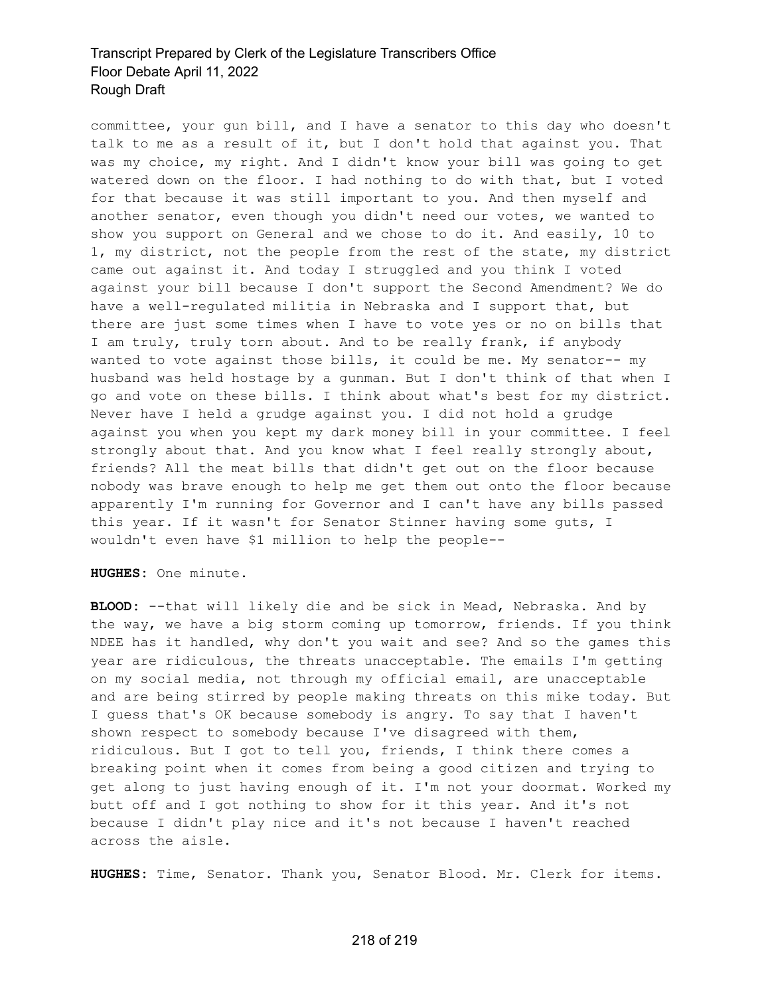## Transcript Prepared by Clerk of the Legislature Transcribers Office Floor Debate April 11, 2022 Rough Draft

committee, your gun bill, and I have a senator to this day who doesn't talk to me as a result of it, but I don't hold that against you. That was my choice, my right. And I didn't know your bill was going to get watered down on the floor. I had nothing to do with that, but I voted for that because it was still important to you. And then myself and another senator, even though you didn't need our votes, we wanted to show you support on General and we chose to do it. And easily, 10 to 1, my district, not the people from the rest of the state, my district came out against it. And today I struggled and you think I voted against your bill because I don't support the Second Amendment? We do have a well-regulated militia in Nebraska and I support that, but there are just some times when I have to vote yes or no on bills that I am truly, truly torn about. And to be really frank, if anybody wanted to vote against those bills, it could be me. My senator-- my husband was held hostage by a gunman. But I don't think of that when I go and vote on these bills. I think about what's best for my district. Never have I held a grudge against you. I did not hold a grudge against you when you kept my dark money bill in your committee. I feel strongly about that. And you know what I feel really strongly about, friends? All the meat bills that didn't get out on the floor because nobody was brave enough to help me get them out onto the floor because apparently I'm running for Governor and I can't have any bills passed this year. If it wasn't for Senator Stinner having some guts, I wouldn't even have \$1 million to help the people--

**HUGHES:** One minute.

**BLOOD:** --that will likely die and be sick in Mead, Nebraska. And by the way, we have a big storm coming up tomorrow, friends. If you think NDEE has it handled, why don't you wait and see? And so the games this year are ridiculous, the threats unacceptable. The emails I'm getting on my social media, not through my official email, are unacceptable and are being stirred by people making threats on this mike today. But I guess that's OK because somebody is angry. To say that I haven't shown respect to somebody because I've disagreed with them, ridiculous. But I got to tell you, friends, I think there comes a breaking point when it comes from being a good citizen and trying to get along to just having enough of it. I'm not your doormat. Worked my butt off and I got nothing to show for it this year. And it's not because I didn't play nice and it's not because I haven't reached across the aisle.

**HUGHES:** Time, Senator. Thank you, Senator Blood. Mr. Clerk for items.